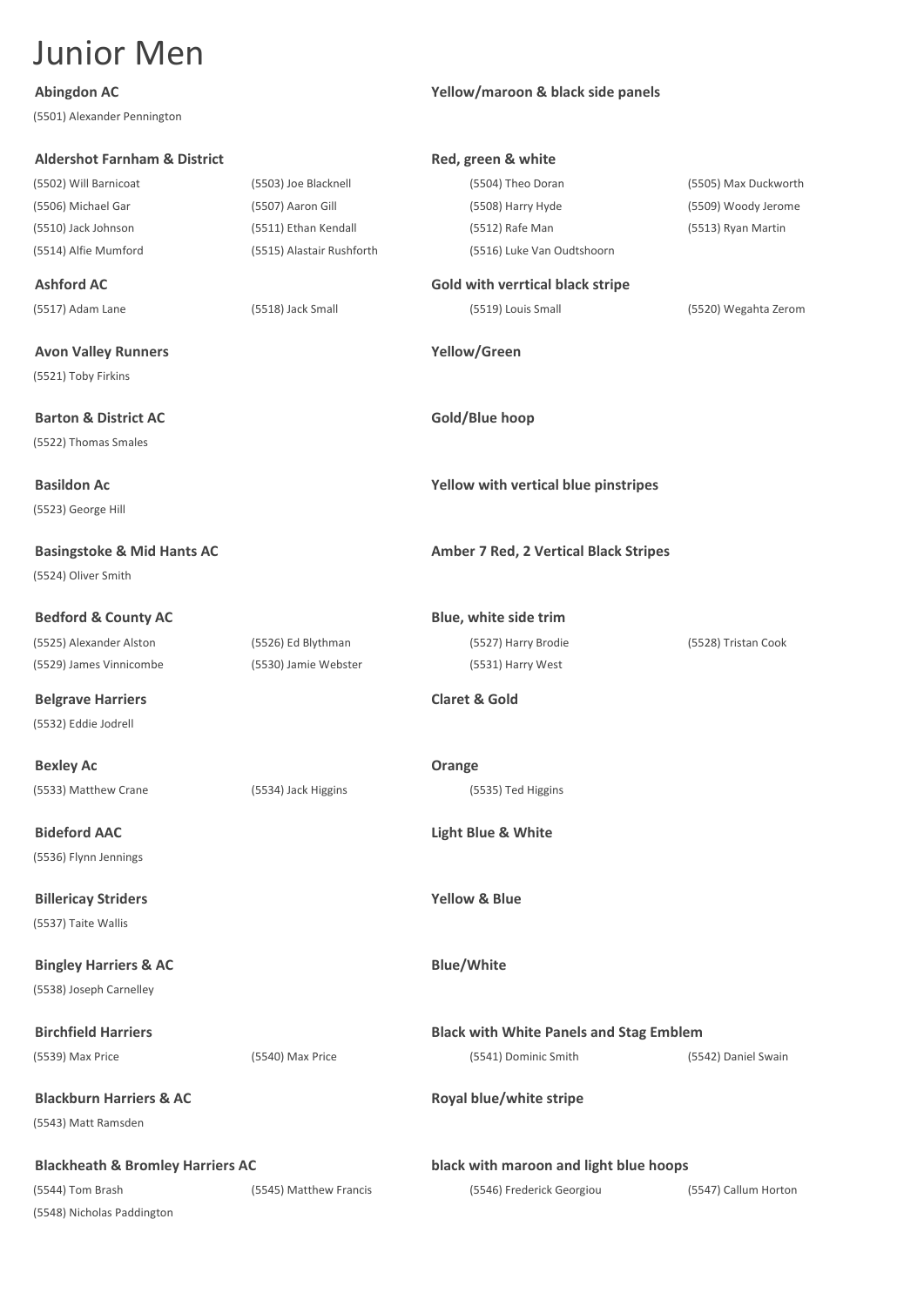(5501) Alexander Pennington

(5521) Toby Firkins

(5522) Thomas Smales

(5523) George Hill

(5524) Oliver Smith

(5532) Eddie Jodrell

(5536) Flynn Jennings

(5537) Taite Wallis

(5538) Joseph Carnelley

(5543) Matt Ramsden

**Blackheath & Bromley Harriers AC black with maroon and light blue hoops** (5544) Tom Brash (5545) Matthew Francis (5546) Frederick Georgiou (5547) Callum Horton (5548) Nicholas Paddington

**Abingdon AC Yellow/maroon & black side panels**

**Aldershot Farnham & District Red, green & white** (5502) Will Barnicoat (5503) Joe Blacknell (5504) Theo Doran (5505) Max Duckworth (5506) Michael Gar (5507) Aaron Gill (5508) Harry Hyde (5509) Woody Jerome (5510) Jack Johnson (5511) Ethan Kendall (5512) Rafe Man (5513) Ryan Martin (5514) Alfie Mumford (5515) Alastair Rushforth (5516) Luke Van Oudtshoorn **Ashford AC Gold with verrtical black stripe** (5517) Adam Lane (5518) Jack Small (5519) Louis Small (5520) Wegahta Zerom **Avon Valley Runners Yellow/Green Barton & District AC Gold/Blue hoop Basildon Ac Yellow with vertical blue pinstripes Basingstoke & Mid Hants AC Amber 7 Red, 2 Vertical Black Stripes Bedford & County AC Blue, white side trim** (5525) Alexander Alston (5526) Ed Blythman (5527) Harry Brodie (5528) Tristan Cook (5529) James Vinnicombe (5530) Jamie Webster (5531) Harry West **Belgrave Harriers Claret & Gold Bexley Ac Orange** (5533) Matthew Crane (5534) Jack Higgins (5535) Ted Higgins **Bideford AAC Light Blue & White Billericay Striders Yellow & Blue Bingley Harriers & AC Blue/White Birchfield Harriers Black with White Panels and Stag Emblem** (5539) Max Price (5540) Max Price (5541) Dominic Smith (5542) Daniel Swain **Blackburn Harriers & AC Royal blue/white stripe**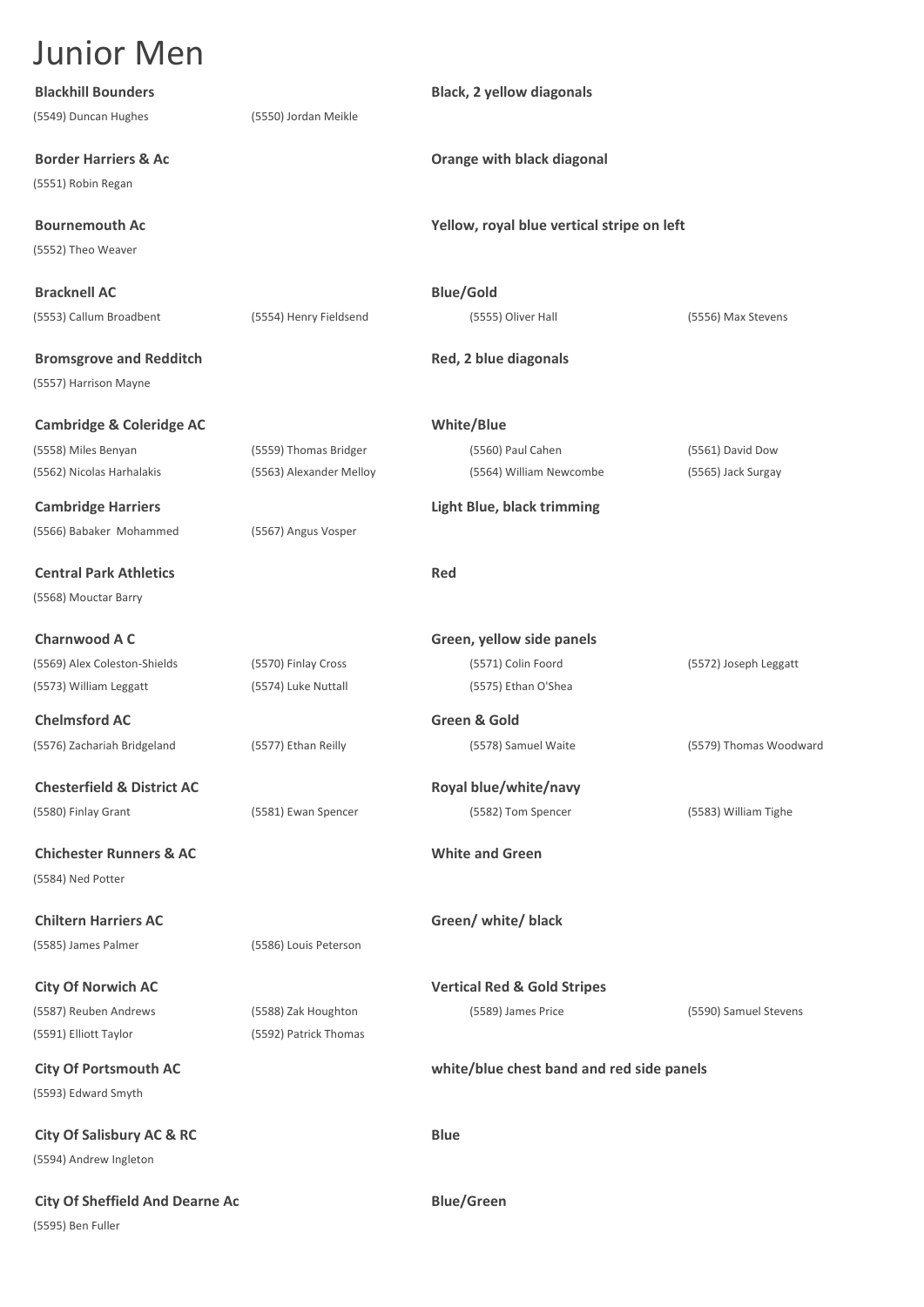| <b>Junior Men</b>                                     |                         |                                            |                        |
|-------------------------------------------------------|-------------------------|--------------------------------------------|------------------------|
| <b>Blackhill Bounders</b>                             |                         | <b>Black, 2 yellow diagonals</b>           |                        |
| (5549) Duncan Hughes                                  | (5550) Jordan Meikle    |                                            |                        |
| <b>Border Harriers &amp; Ac</b><br>(5551) Robin Regan |                         | Orange with black diagonal                 |                        |
| <b>Bournemouth Ac</b>                                 |                         | Yellow, royal blue vertical stripe on left |                        |
| (5552) Theo Weaver                                    |                         |                                            |                        |
| <b>Bracknell AC</b>                                   |                         | <b>Blue/Gold</b>                           |                        |
| (5553) Callum Broadbent                               | (5554) Henry Fieldsend  | (5555) Oliver Hall                         | (5556) Max Stevens     |
| <b>Bromsgrove and Redditch</b>                        |                         | Red, 2 blue diagonals                      |                        |
| (5557) Harrison Mayne                                 |                         |                                            |                        |
| <b>Cambridge &amp; Coleridge AC</b>                   |                         | <b>White/Blue</b>                          |                        |
| (5558) Miles Benyan                                   | (5559) Thomas Bridger   | (5560) Paul Cahen                          | (5561) David Dow       |
| (5562) Nicolas Harhalakis                             | (5563) Alexander Melloy | (5564) William Newcombe                    | (5565) Jack Surgay     |
| <b>Cambridge Harriers</b>                             |                         | <b>Light Blue, black trimming</b>          |                        |
| (5566) Babaker Mohammed                               | (5567) Angus Vosper     |                                            |                        |
| <b>Central Park Athletics</b>                         |                         | Red                                        |                        |
| (5568) Mouctar Barry                                  |                         |                                            |                        |
| <b>Charnwood A C</b>                                  |                         | Green, yellow side panels                  |                        |
| (5569) Alex Coleston-Shields                          | (5570) Finlay Cross     | (5571) Colin Foord                         | (5572) Joseph Leggatt  |
| (5573) William Leggatt                                | (5574) Luke Nuttall     | (5575) Ethan O'Shea                        |                        |
| <b>Chelmsford AC</b>                                  |                         | Green & Gold                               |                        |
| (5576) Zachariah Bridgeland                           | (5577) Ethan Reilly     | (5578) Samuel Waite                        | (5579) Thomas Woodward |
| <b>Chesterfield &amp; District AC</b>                 |                         | Royal blue/white/navy                      |                        |
| (5580) Finlay Grant                                   | (5581) Ewan Spencer     | (5582) Tom Spencer                         | (5583) William Tighe   |
| <b>Chichester Runners &amp; AC</b>                    |                         | <b>White and Green</b>                     |                        |
| (5584) Ned Potter                                     |                         |                                            |                        |
| <b>Chiltern Harriers AC</b>                           |                         | Green/ white/ black                        |                        |
| (5585) James Palmer                                   | (5586) Louis Peterson   |                                            |                        |
| <b>City Of Norwich AC</b>                             |                         | <b>Vertical Red &amp; Gold Stripes</b>     |                        |
| (5587) Reuben Andrews                                 | (5588) Zak Houghton     | (5589) James Price                         | (5590) Samuel Stevens  |
| (5591) Elliott Taylor                                 | (5592) Patrick Thomas   |                                            |                        |
| <b>City Of Portsmouth AC</b>                          |                         | white/blue chest band and red side panels  |                        |
| (5593) Edward Smyth                                   |                         |                                            |                        |
| <b>City Of Salisbury AC &amp; RC</b>                  |                         | <b>Blue</b>                                |                        |
| (5594) Andrew Ingleton                                |                         |                                            |                        |

**City Of Sheffield And Dearne Ac Blue/Green** (5595) Ben Fuller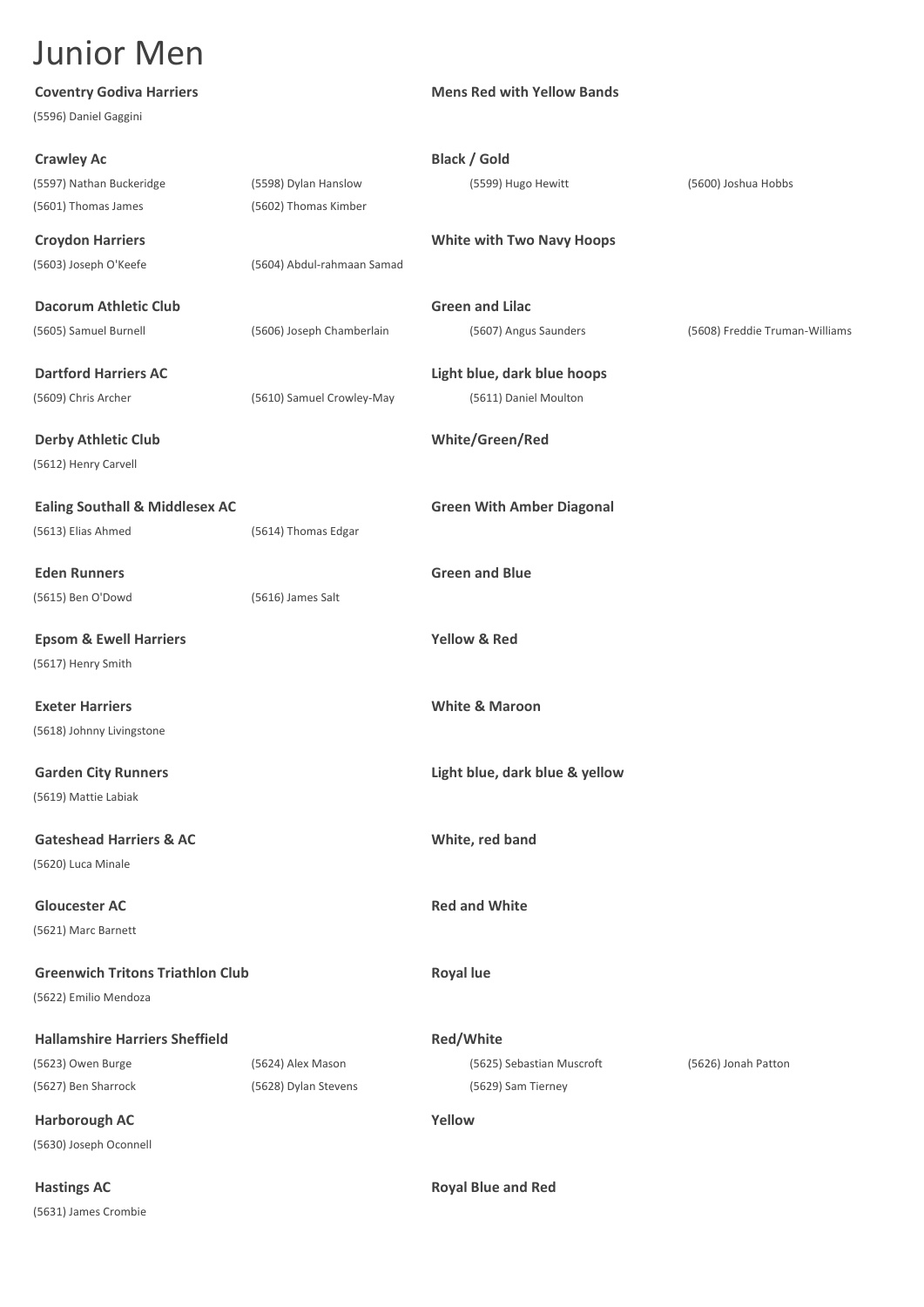| <b>Coventry Godiva Harriers</b>           |                            | <b>Mens Red with Yellow Bands</b> |                                |
|-------------------------------------------|----------------------------|-----------------------------------|--------------------------------|
| (5596) Daniel Gaggini                     |                            |                                   |                                |
| <b>Crawley Ac</b>                         |                            | <b>Black / Gold</b>               |                                |
| (5597) Nathan Buckeridge                  | (5598) Dylan Hanslow       | (5599) Hugo Hewitt                | (5600) Joshua Hobbs            |
| (5601) Thomas James                       | (5602) Thomas Kimber       |                                   |                                |
| <b>Croydon Harriers</b>                   |                            | <b>White with Two Navy Hoops</b>  |                                |
| (5603) Joseph O'Keefe                     | (5604) Abdul-rahmaan Samad |                                   |                                |
| <b>Dacorum Athletic Club</b>              |                            | <b>Green and Lilac</b>            |                                |
| (5605) Samuel Burnell                     | (5606) Joseph Chamberlain  | (5607) Angus Saunders             | (5608) Freddie Truman-Williams |
| <b>Dartford Harriers AC</b>               |                            | Light blue, dark blue hoops       |                                |
| (5609) Chris Archer                       | (5610) Samuel Crowley-May  | (5611) Daniel Moulton             |                                |
| <b>Derby Athletic Club</b>                |                            | White/Green/Red                   |                                |
| (5612) Henry Carvell                      |                            |                                   |                                |
| <b>Ealing Southall &amp; Middlesex AC</b> |                            | <b>Green With Amber Diagonal</b>  |                                |
| (5613) Elias Ahmed                        | (5614) Thomas Edgar        |                                   |                                |
| <b>Eden Runners</b>                       |                            | <b>Green and Blue</b>             |                                |
| (5615) Ben O'Dowd                         | (5616) James Salt          |                                   |                                |
| <b>Epsom &amp; Ewell Harriers</b>         |                            | <b>Yellow &amp; Red</b>           |                                |
| (5617) Henry Smith                        |                            |                                   |                                |
|                                           |                            |                                   |                                |
| <b>Exeter Harriers</b>                    |                            | <b>White &amp; Maroon</b>         |                                |
| (5618) Johnny Livingstone                 |                            |                                   |                                |
| <b>Garden City Runners</b>                |                            | Light blue, dark blue & yellow    |                                |
| (5619) Mattie Labiak                      |                            |                                   |                                |
| <b>Gateshead Harriers &amp; AC</b>        |                            | White, red band                   |                                |
| (5620) Luca Minale                        |                            |                                   |                                |
| <b>Gloucester AC</b>                      |                            | <b>Red and White</b>              |                                |
| (5621) Marc Barnett                       |                            |                                   |                                |
| <b>Greenwich Tritons Triathlon Club</b>   |                            | <b>Royal lue</b>                  |                                |
| (5622) Emilio Mendoza                     |                            |                                   |                                |
| <b>Hallamshire Harriers Sheffield</b>     |                            | <b>Red/White</b>                  |                                |
| (5623) Owen Burge                         | (5624) Alex Mason          | (5625) Sebastian Muscroft         | (5626) Jonah Patton            |
| (5627) Ben Sharrock                       | (5628) Dylan Stevens       | (5629) Sam Tierney                |                                |
| <b>Harborough AC</b>                      |                            | Yellow                            |                                |
| (5630) Joseph Oconnell                    |                            |                                   |                                |
| <b>Hastings AC</b>                        |                            | <b>Royal Blue and Red</b>         |                                |

(5631) James Crombie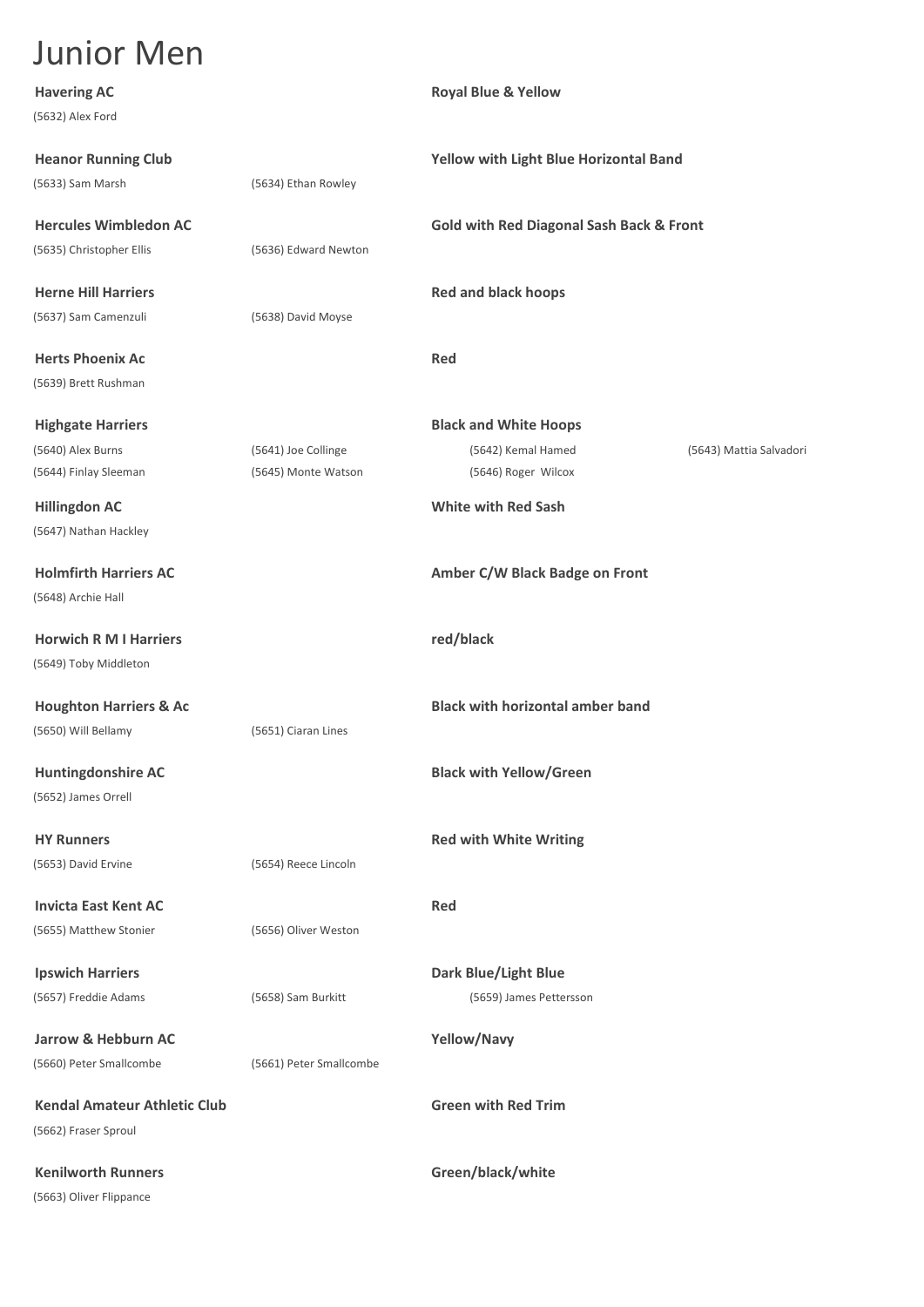| <b>Havering AC</b>                  |                         | <b>Royal Blue &amp; Yellow</b>                      |                         |
|-------------------------------------|-------------------------|-----------------------------------------------------|-------------------------|
| (5632) Alex Ford                    |                         |                                                     |                         |
| <b>Heanor Running Club</b>          |                         | Yellow with Light Blue Horizontal Band              |                         |
| (5633) Sam Marsh                    | (5634) Ethan Rowley     |                                                     |                         |
| <b>Hercules Wimbledon AC</b>        |                         | <b>Gold with Red Diagonal Sash Back &amp; Front</b> |                         |
| (5635) Christopher Ellis            | (5636) Edward Newton    |                                                     |                         |
| <b>Herne Hill Harriers</b>          |                         | <b>Red and black hoops</b>                          |                         |
| (5637) Sam Camenzuli                | (5638) David Moyse      |                                                     |                         |
| <b>Herts Phoenix Ac</b>             |                         | Red                                                 |                         |
| (5639) Brett Rushman                |                         |                                                     |                         |
| <b>Highgate Harriers</b>            |                         | <b>Black and White Hoops</b>                        |                         |
| (5640) Alex Burns                   | (5641) Joe Collinge     | (5642) Kemal Hamed                                  | (5643) Mattia Salvadori |
| (5644) Finlay Sleeman               | (5645) Monte Watson     | (5646) Roger Wilcox                                 |                         |
| <b>Hillingdon AC</b>                |                         | <b>White with Red Sash</b>                          |                         |
| (5647) Nathan Hackley               |                         |                                                     |                         |
| <b>Holmfirth Harriers AC</b>        |                         | Amber C/W Black Badge on Front                      |                         |
| (5648) Archie Hall                  |                         |                                                     |                         |
| <b>Horwich R M I Harriers</b>       |                         | red/black                                           |                         |
| (5649) Toby Middleton               |                         |                                                     |                         |
| <b>Houghton Harriers &amp; Ac</b>   |                         | <b>Black with horizontal amber band</b>             |                         |
| (5650) Will Bellamy                 | (5651) Ciaran Lines     |                                                     |                         |
| <b>Huntingdonshire AC</b>           |                         | <b>Black with Yellow/Green</b>                      |                         |
| (5652) James Orrell                 |                         |                                                     |                         |
| <b>HY Runners</b>                   |                         | <b>Red with White Writing</b>                       |                         |
| (5653) David Ervine                 | (5654) Reece Lincoln    |                                                     |                         |
| <b>Invicta East Kent AC</b>         |                         | <b>Red</b>                                          |                         |
| (5655) Matthew Stonier              | (5656) Oliver Weston    |                                                     |                         |
| <b>Ipswich Harriers</b>             |                         | <b>Dark Blue/Light Blue</b>                         |                         |
| (5657) Freddie Adams                | (5658) Sam Burkitt      | (5659) James Pettersson                             |                         |
| Jarrow & Hebburn AC                 |                         | Yellow/Navy                                         |                         |
| (5660) Peter Smallcombe             | (5661) Peter Smallcombe |                                                     |                         |
| <b>Kendal Amateur Athletic Club</b> |                         | <b>Green with Red Trim</b>                          |                         |
| (5662) Fraser Sproul                |                         |                                                     |                         |
| <b>Kenilworth Runners</b>           |                         | Green/black/white                                   |                         |
| (5663) Oliver Flippance             |                         |                                                     |                         |
|                                     |                         |                                                     |                         |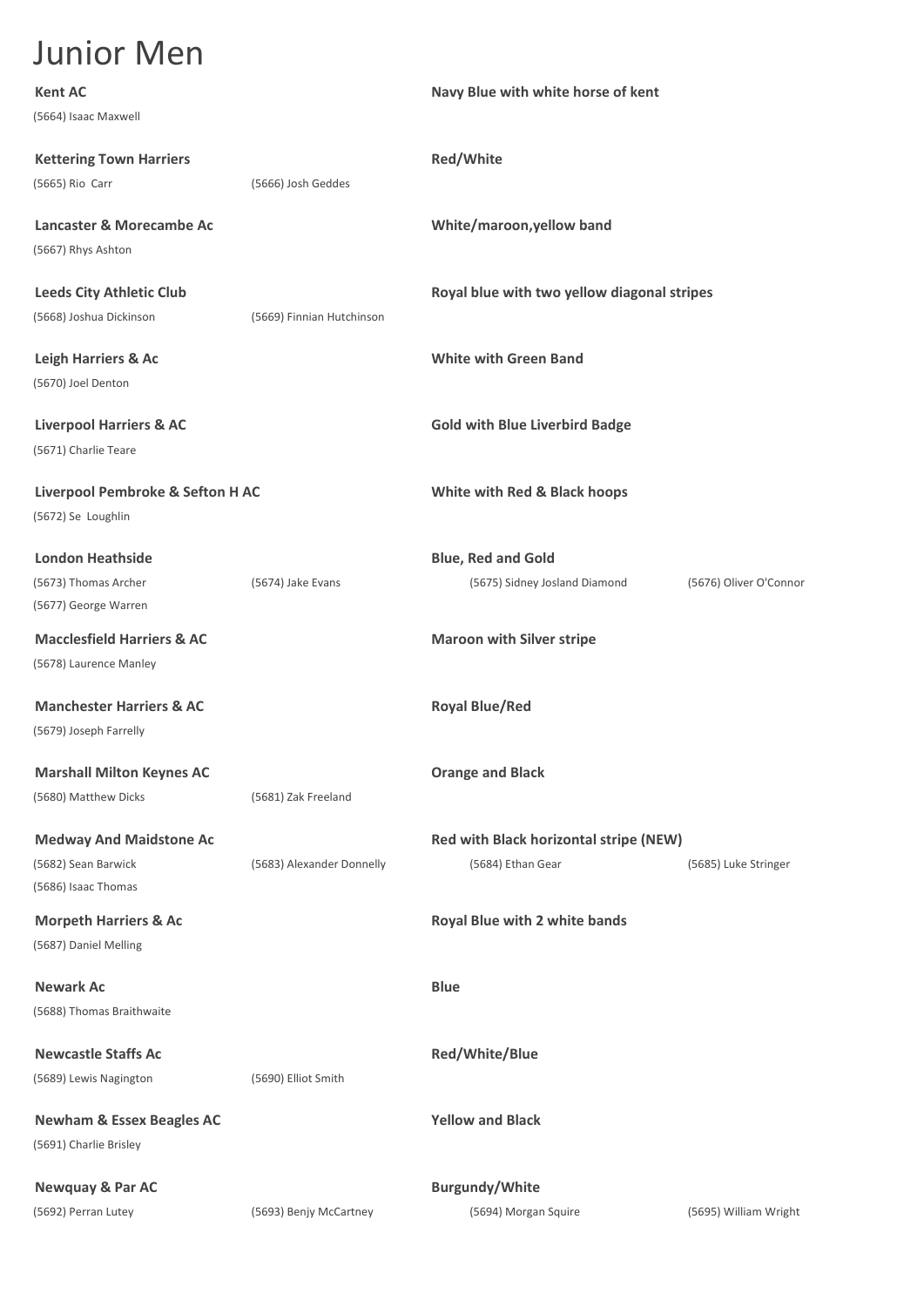| <b>Kent AC</b>                        |                           | Navy Blue with white horse of kent          |                        |
|---------------------------------------|---------------------------|---------------------------------------------|------------------------|
| (5664) Isaac Maxwell                  |                           |                                             |                        |
| <b>Kettering Town Harriers</b>        |                           | Red/White                                   |                        |
| (5665) Rio Carr                       | (5666) Josh Geddes        |                                             |                        |
| Lancaster & Morecambe Ac              |                           | White/maroon, yellow band                   |                        |
| (5667) Rhys Ashton                    |                           |                                             |                        |
| <b>Leeds City Athletic Club</b>       |                           | Royal blue with two yellow diagonal stripes |                        |
| (5668) Joshua Dickinson               | (5669) Finnian Hutchinson |                                             |                        |
| Leigh Harriers & Ac                   |                           | <b>White with Green Band</b>                |                        |
| (5670) Joel Denton                    |                           |                                             |                        |
| <b>Liverpool Harriers &amp; AC</b>    |                           | <b>Gold with Blue Liverbird Badge</b>       |                        |
| (5671) Charlie Teare                  |                           |                                             |                        |
| Liverpool Pembroke & Sefton H AC      |                           | White with Red & Black hoops                |                        |
| (5672) Se Loughlin                    |                           |                                             |                        |
| <b>London Heathside</b>               |                           | <b>Blue, Red and Gold</b>                   |                        |
| (5673) Thomas Archer                  | (5674) Jake Evans         | (5675) Sidney Josland Diamond               | (5676) Oliver O'Connor |
| (5677) George Warren                  |                           |                                             |                        |
| <b>Macclesfield Harriers &amp; AC</b> |                           | <b>Maroon with Silver stripe</b>            |                        |
| (5678) Laurence Manley                |                           |                                             |                        |
| <b>Manchester Harriers &amp; AC</b>   |                           | <b>Royal Blue/Red</b>                       |                        |
| (5679) Joseph Farrelly                |                           |                                             |                        |
| <b>Marshall Milton Keynes AC</b>      |                           | <b>Orange and Black</b>                     |                        |
| (5680) Matthew Dicks                  | (5681) Zak Freeland       |                                             |                        |
| <b>Medway And Maidstone Ac</b>        |                           | Red with Black horizontal stripe (NEW)      |                        |
| (5682) Sean Barwick                   | (5683) Alexander Donnelly | (5684) Ethan Gear                           | (5685) Luke Stringer   |
| (5686) Isaac Thomas                   |                           |                                             |                        |
| <b>Morpeth Harriers &amp; Ac</b>      |                           | Royal Blue with 2 white bands               |                        |
| (5687) Daniel Melling                 |                           |                                             |                        |
| <b>Newark Ac</b>                      |                           | <b>Blue</b>                                 |                        |
| (5688) Thomas Braithwaite             |                           |                                             |                        |
| <b>Newcastle Staffs Ac</b>            |                           | Red/White/Blue                              |                        |
| (5689) Lewis Nagington                | (5690) Elliot Smith       |                                             |                        |
| <b>Newham &amp; Essex Beagles AC</b>  |                           | <b>Yellow and Black</b>                     |                        |
| (5691) Charlie Brisley                |                           |                                             |                        |
| <b>Newquay &amp; Par AC</b>           |                           | <b>Burgundy/White</b>                       |                        |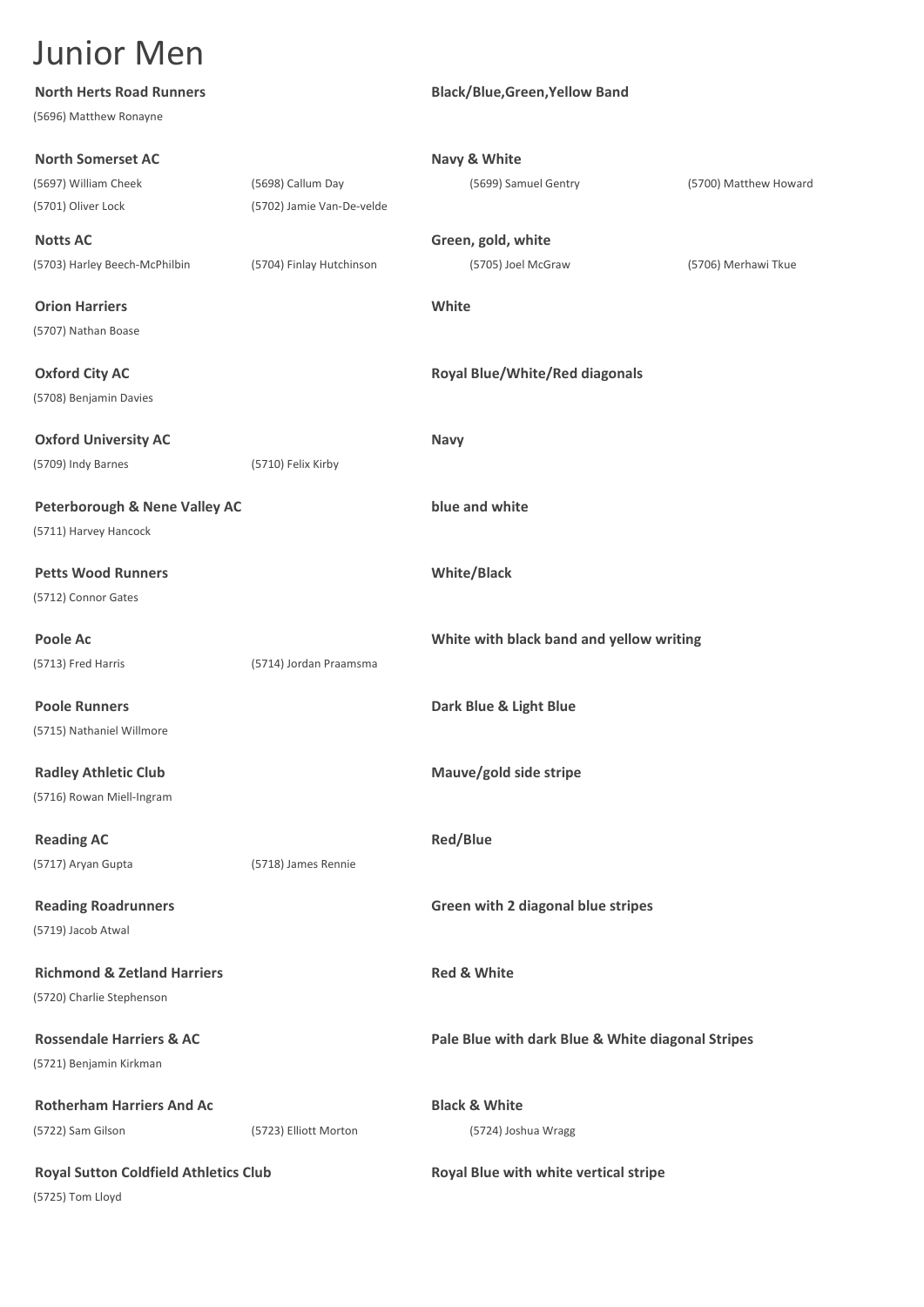| <b>North Herts Road Runners</b>              |                           | <b>Black/Blue, Green, Yellow Band</b>             |                       |
|----------------------------------------------|---------------------------|---------------------------------------------------|-----------------------|
| (5696) Matthew Ronayne                       |                           |                                                   |                       |
| <b>North Somerset AC</b>                     |                           | Navy & White                                      |                       |
| (5697) William Cheek                         | (5698) Callum Day         | (5699) Samuel Gentry                              | (5700) Matthew Howard |
| (5701) Oliver Lock                           | (5702) Jamie Van-De-velde |                                                   |                       |
| <b>Notts AC</b>                              |                           | Green, gold, white                                |                       |
| (5703) Harley Beech-McPhilbin                | (5704) Finlay Hutchinson  | (5705) Joel McGraw                                | (5706) Merhawi Tkue   |
| <b>Orion Harriers</b>                        |                           | White                                             |                       |
| (5707) Nathan Boase                          |                           |                                                   |                       |
| <b>Oxford City AC</b>                        |                           | <b>Royal Blue/White/Red diagonals</b>             |                       |
| (5708) Benjamin Davies                       |                           |                                                   |                       |
| <b>Oxford University AC</b>                  |                           | <b>Navy</b>                                       |                       |
| (5709) Indy Barnes                           | (5710) Felix Kirby        |                                                   |                       |
| <b>Peterborough &amp; Nene Valley AC</b>     |                           | blue and white                                    |                       |
| (5711) Harvey Hancock                        |                           |                                                   |                       |
| <b>Petts Wood Runners</b>                    |                           | <b>White/Black</b>                                |                       |
| (5712) Connor Gates                          |                           |                                                   |                       |
| Poole Ac                                     |                           | White with black band and yellow writing          |                       |
| (5713) Fred Harris                           | (5714) Jordan Praamsma    |                                                   |                       |
| <b>Poole Runners</b>                         |                           | Dark Blue & Light Blue                            |                       |
| (5715) Nathaniel Willmore                    |                           |                                                   |                       |
| <b>Radley Athletic Club</b>                  |                           | Mauve/gold side stripe                            |                       |
| (5716) Rowan Miell-Ingram                    |                           |                                                   |                       |
| <b>Reading AC</b>                            |                           | <b>Red/Blue</b>                                   |                       |
| (5717) Aryan Gupta                           | (5718) James Rennie       |                                                   |                       |
| <b>Reading Roadrunners</b>                   |                           | Green with 2 diagonal blue stripes                |                       |
| (5719) Jacob Atwal                           |                           |                                                   |                       |
| <b>Richmond &amp; Zetland Harriers</b>       |                           | <b>Red &amp; White</b>                            |                       |
| (5720) Charlie Stephenson                    |                           |                                                   |                       |
| <b>Rossendale Harriers &amp; AC</b>          |                           | Pale Blue with dark Blue & White diagonal Stripes |                       |
| (5721) Benjamin Kirkman                      |                           |                                                   |                       |
| <b>Rotherham Harriers And Ac</b>             |                           | <b>Black &amp; White</b>                          |                       |
| (5722) Sam Gilson                            | (5723) Elliott Morton     | (5724) Joshua Wragg                               |                       |
| <b>Royal Sutton Coldfield Athletics Club</b> |                           | Royal Blue with white vertical stripe             |                       |
| (5725) Tom Lloyd                             |                           |                                                   |                       |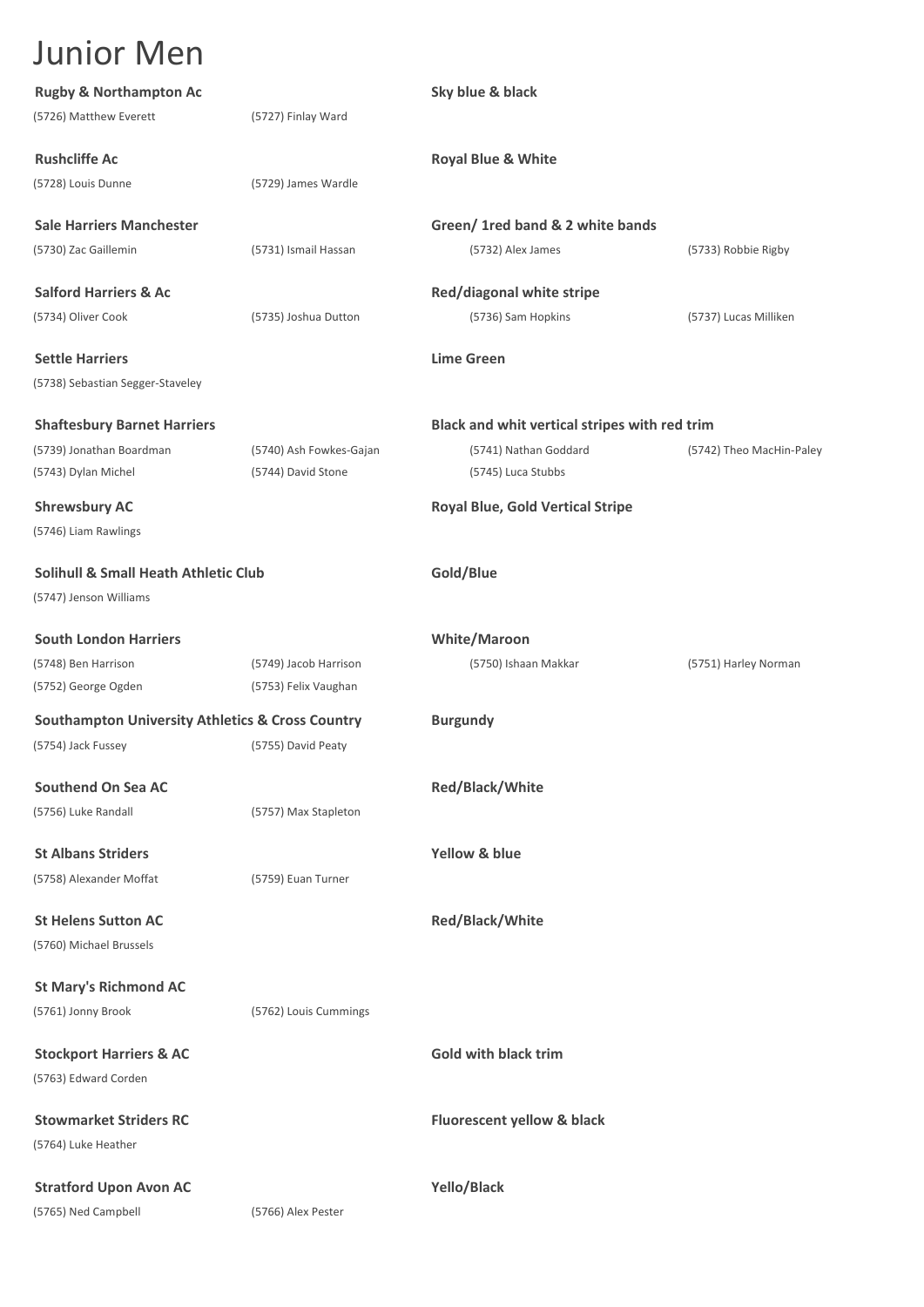| <b>Rugby &amp; Northampton Ac</b>                           |                         | Sky blue & black                              |                          |
|-------------------------------------------------------------|-------------------------|-----------------------------------------------|--------------------------|
| (5726) Matthew Everett                                      | (5727) Finlay Ward      |                                               |                          |
| <b>Rushcliffe Ac</b>                                        |                         | <b>Royal Blue &amp; White</b>                 |                          |
| (5728) Louis Dunne                                          | (5729) James Wardle     |                                               |                          |
| <b>Sale Harriers Manchester</b>                             |                         | Green/ 1red band & 2 white bands              |                          |
| (5730) Zac Gaillemin                                        | (5731) Ismail Hassan    | (5732) Alex James                             | (5733) Robbie Rigby      |
| <b>Salford Harriers &amp; Ac</b>                            |                         | Red/diagonal white stripe                     |                          |
| (5734) Oliver Cook                                          | (5735) Joshua Dutton    | (5736) Sam Hopkins                            | (5737) Lucas Milliken    |
| <b>Settle Harriers</b>                                      |                         | <b>Lime Green</b>                             |                          |
| (5738) Sebastian Segger-Staveley                            |                         |                                               |                          |
| <b>Shaftesbury Barnet Harriers</b>                          |                         | Black and whit vertical stripes with red trim |                          |
| (5739) Jonathan Boardman                                    | (5740) Ash Fowkes-Gajan | (5741) Nathan Goddard                         | (5742) Theo MacHin-Paley |
| (5743) Dylan Michel                                         | (5744) David Stone      | (5745) Luca Stubbs                            |                          |
| <b>Shrewsbury AC</b>                                        |                         | <b>Royal Blue, Gold Vertical Stripe</b>       |                          |
| (5746) Liam Rawlings                                        |                         |                                               |                          |
| <b>Solihull &amp; Small Heath Athletic Club</b>             |                         | Gold/Blue                                     |                          |
| (5747) Jenson Williams                                      |                         |                                               |                          |
| <b>South London Harriers</b>                                |                         | <b>White/Maroon</b>                           |                          |
| (5748) Ben Harrison                                         | (5749) Jacob Harrison   | (5750) Ishaan Makkar                          | (5751) Harley Norman     |
| (5752) George Ogden                                         | (5753) Felix Vaughan    |                                               |                          |
| <b>Southampton University Athletics &amp; Cross Country</b> |                         | <b>Burgundy</b>                               |                          |
| (5754) Jack Fussey                                          | (5755) David Peaty      |                                               |                          |
| Southend On Sea AC                                          |                         | Red/Black/White                               |                          |
| (5756) Luke Randall                                         | (5757) Max Stapleton    |                                               |                          |
| <b>St Albans Striders</b>                                   |                         | Yellow & blue                                 |                          |
| (5758) Alexander Moffat                                     | (5759) Euan Turner      |                                               |                          |
| <b>St Helens Sutton AC</b>                                  |                         | Red/Black/White                               |                          |
| (5760) Michael Brussels                                     |                         |                                               |                          |
| <b>St Mary's Richmond AC</b>                                |                         |                                               |                          |
| (5761) Jonny Brook                                          | (5762) Louis Cummings   |                                               |                          |
| <b>Stockport Harriers &amp; AC</b>                          |                         | Gold with black trim                          |                          |
| (5763) Edward Corden                                        |                         |                                               |                          |
| <b>Stowmarket Striders RC</b>                               |                         | Fluorescent yellow & black                    |                          |
| (5764) Luke Heather                                         |                         |                                               |                          |
| <b>Stratford Upon Avon AC</b>                               |                         | Yello/Black                                   |                          |
| (5765) Ned Campbell                                         | (5766) Alex Pester      |                                               |                          |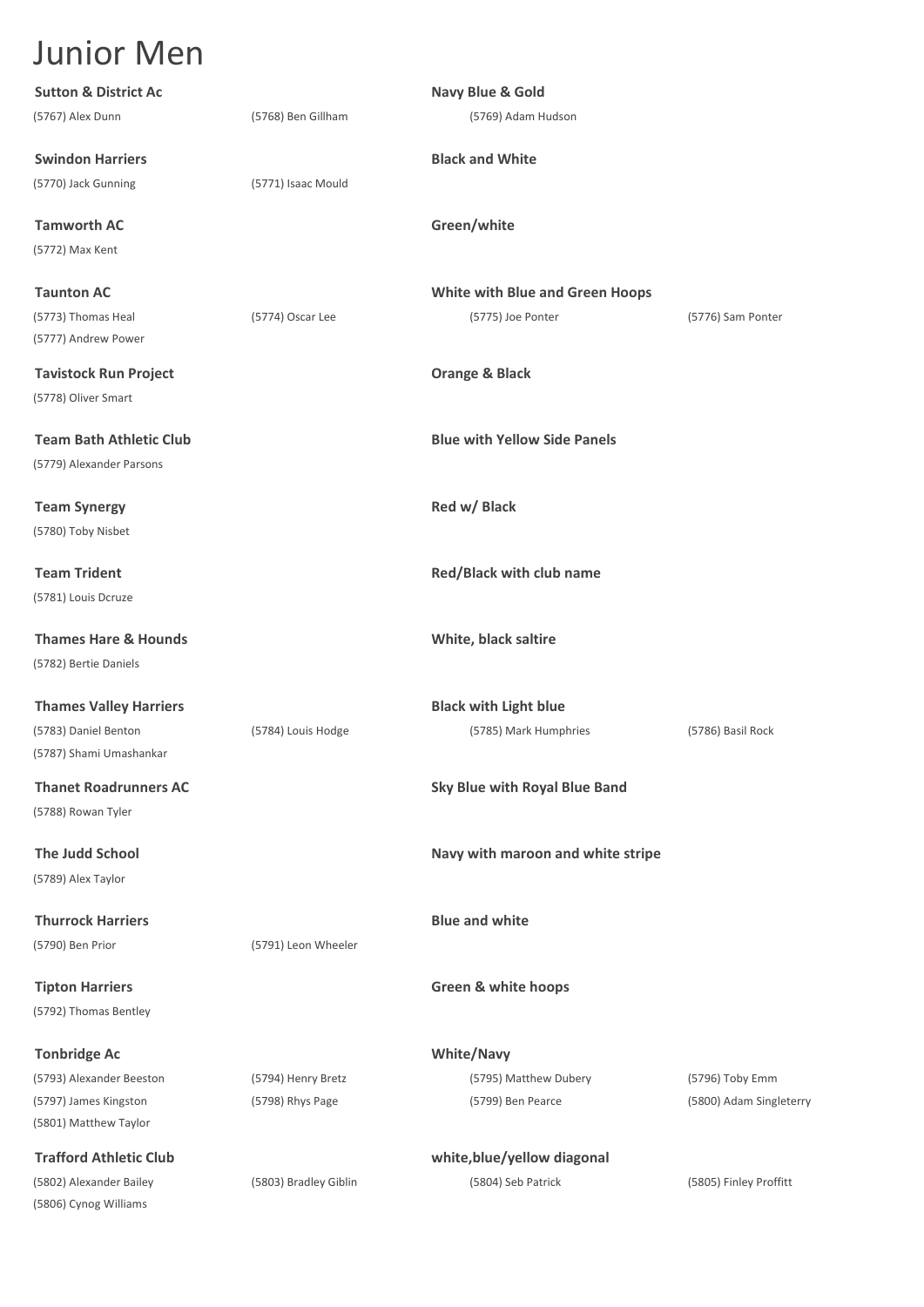**Sutton & District Ac Navy Blue & Gold** (5767) Alex Dunn (5768) Ben Gillham (5769) Adam Hudson **Swindon Harriers Black and White** (5770) Jack Gunning (5771) Isaac Mould **Tamworth AC Green/white** (5772) Max Kent **Taunton AC White with Blue and Green Hoops** (5773) Thomas Heal (5774) Oscar Lee (5775) Joe Ponter (5776) Sam Ponter (5777) Andrew Power **Tavistock Run Project Orange & Black** (5778) Oliver Smart **Team Bath Athletic Club Blue with Yellow Side Panels** (5779) Alexander Parsons **Team Synergy Red w/ Black** (5780) Toby Nisbet **Team Trident Red/Black with club name** (5781) Louis Dcruze **Thames Hare & Hounds White, black saltire** (5782) Bertie Daniels **Thames Valley Harriers Black with Light blue** (5783) Daniel Benton (5784) Louis Hodge (5785) Mark Humphries (5786) Basil Rock (5787) Shami Umashankar **Thanet Roadrunners AC Sky Blue with Royal Blue Band** (5788) Rowan Tyler **The Judd School Navy with maroon and white stripe** (5789) Alex Taylor **Thurrock Harriers Blue and white** (5790) Ben Prior (5791) Leon Wheeler **Tipton Harriers Green & white hoops** (5792) Thomas Bentley **Tonbridge Ac White/Navy** (5793) Alexander Beeston (5794) Henry Bretz (5795) Matthew Dubery (5796) Toby Emm (5797) James Kingston (5798) Rhys Page (5799) Ben Pearce (5800) Adam Singleterry (5801) Matthew Taylor **Trafford Athletic Club white,blue/yellow diagonal** (5802) Alexander Bailey (5803) Bradley Giblin (5804) Seb Patrick (5805) Finley Proffitt (5806) Cynog Williams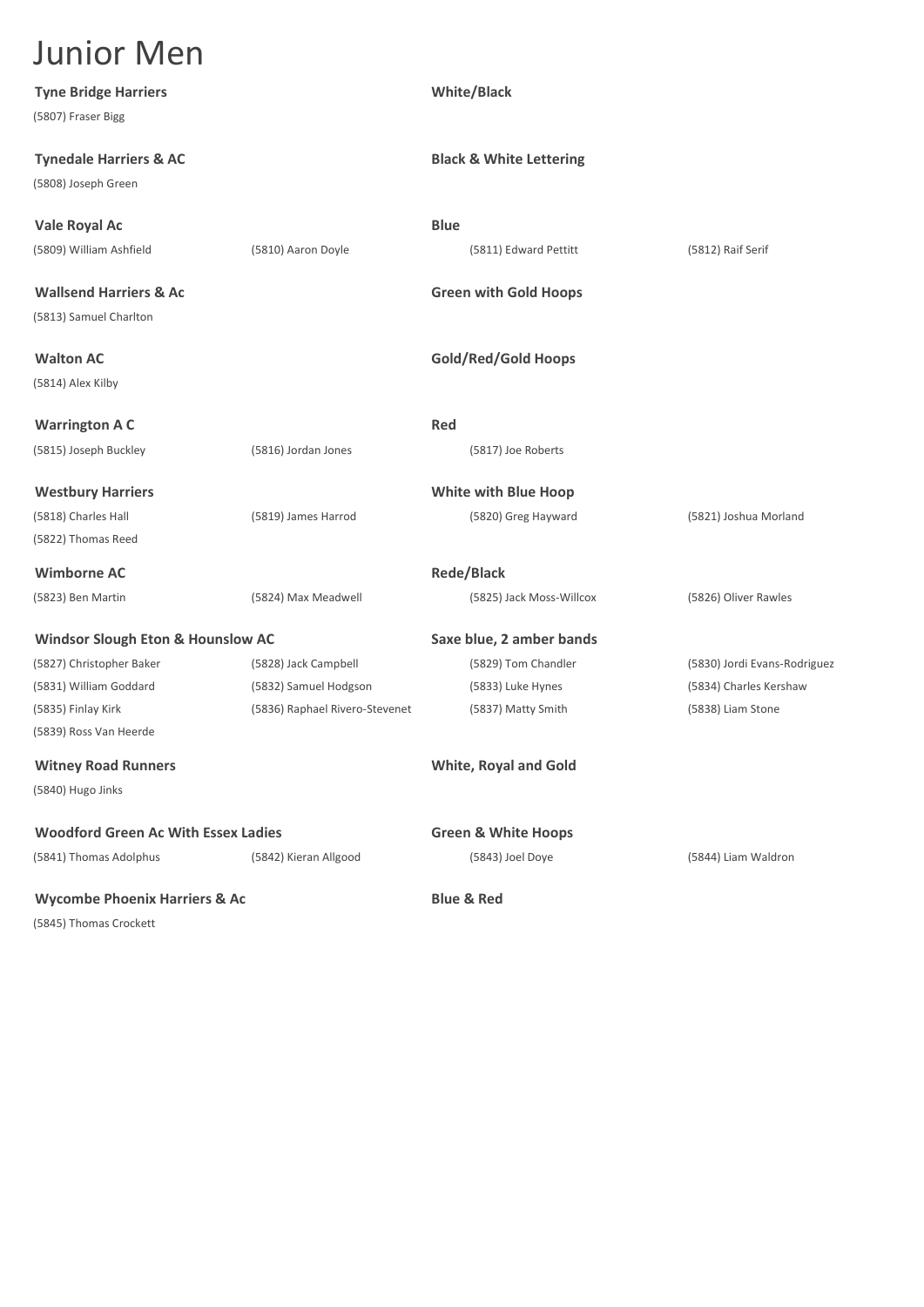| <b>Junior Men</b>                                        |                                |                                    |                              |
|----------------------------------------------------------|--------------------------------|------------------------------------|------------------------------|
| <b>Tyne Bridge Harriers</b><br>(5807) Fraser Bigg        |                                | <b>White/Black</b>                 |                              |
| <b>Tynedale Harriers &amp; AC</b><br>(5808) Joseph Green |                                | <b>Black &amp; White Lettering</b> |                              |
| Vale Royal Ac                                            |                                | <b>Blue</b>                        |                              |
| (5809) William Ashfield                                  | (5810) Aaron Doyle             | (5811) Edward Pettitt              | (5812) Raif Serif            |
| <b>Wallsend Harriers &amp; Ac</b>                        |                                | <b>Green with Gold Hoops</b>       |                              |
| (5813) Samuel Charlton                                   |                                |                                    |                              |
| <b>Walton AC</b>                                         |                                | <b>Gold/Red/Gold Hoops</b>         |                              |
| (5814) Alex Kilby                                        |                                |                                    |                              |
| <b>Warrington A C</b>                                    |                                | Red                                |                              |
| (5815) Joseph Buckley                                    | (5816) Jordan Jones            | (5817) Joe Roberts                 |                              |
| <b>Westbury Harriers</b>                                 |                                | <b>White with Blue Hoop</b>        |                              |
| (5818) Charles Hall                                      | (5819) James Harrod            | (5820) Greg Hayward                | (5821) Joshua Morland        |
| (5822) Thomas Reed                                       |                                |                                    |                              |
| <b>Wimborne AC</b>                                       |                                | <b>Rede/Black</b>                  |                              |
| (5823) Ben Martin                                        | (5824) Max Meadwell            | (5825) Jack Moss-Willcox           | (5826) Oliver Rawles         |
| <b>Windsor Slough Eton &amp; Hounslow AC</b>             |                                | Saxe blue, 2 amber bands           |                              |
| (5827) Christopher Baker                                 | (5828) Jack Campbell           | (5829) Tom Chandler                | (5830) Jordi Evans-Rodriguez |
| (5831) William Goddard                                   | (5832) Samuel Hodgson          | (5833) Luke Hynes                  | (5834) Charles Kershaw       |
| (5835) Finlay Kirk                                       | (5836) Raphael Rivero-Stevenet | (5837) Matty Smith                 | (5838) Liam Stone            |
| (5839) Ross Van Heerde                                   |                                |                                    |                              |
| <b>Witney Road Runners</b>                               |                                | <b>White, Royal and Gold</b>       |                              |
| (5840) Hugo Jinks                                        |                                |                                    |                              |
| <b>Woodford Green Ac With Essex Ladies</b>               |                                | <b>Green &amp; White Hoops</b>     |                              |
| (5841) Thomas Adolphus                                   | (5842) Kieran Allgood          | (5843) Joel Doye                   | (5844) Liam Waldron          |
| <b>Wycombe Phoenix Harriers &amp; Ac</b>                 |                                | <b>Blue &amp; Red</b>              |                              |

(5845) Thomas Crockett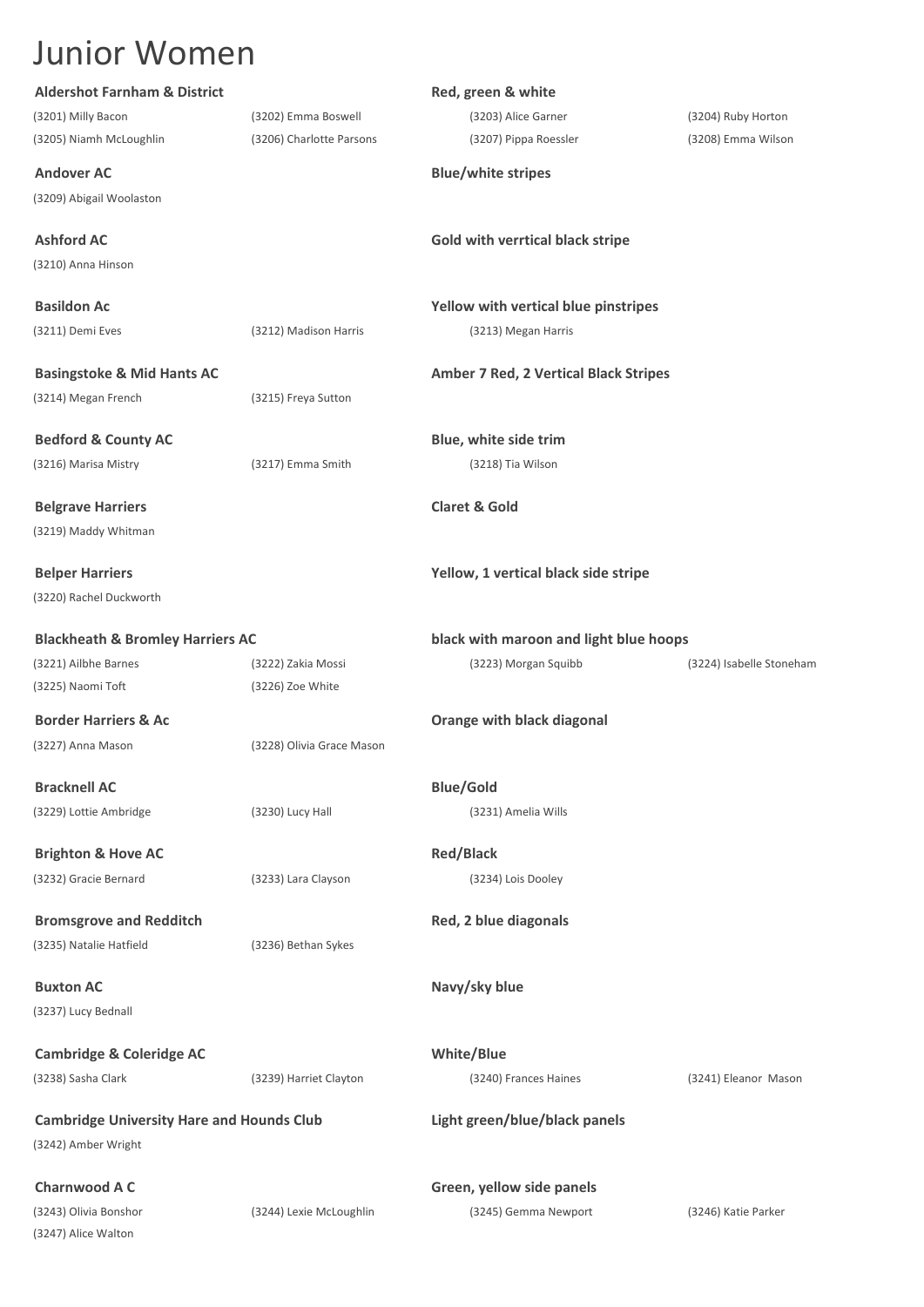| <b>Aldershot Farnham &amp; District</b>          |                           | Red, green & white                           |                          |
|--------------------------------------------------|---------------------------|----------------------------------------------|--------------------------|
| (3201) Milly Bacon                               | (3202) Emma Boswell       | (3203) Alice Garner                          | (3204) Ruby Horton       |
| (3205) Niamh McLoughlin                          | (3206) Charlotte Parsons  | (3207) Pippa Roessler                        | (3208) Emma Wilson       |
| <b>Andover AC</b>                                |                           | <b>Blue/white stripes</b>                    |                          |
| (3209) Abigail Woolaston                         |                           |                                              |                          |
| <b>Ashford AC</b>                                |                           | Gold with verrtical black stripe             |                          |
| (3210) Anna Hinson                               |                           |                                              |                          |
| <b>Basildon Ac</b>                               |                           | Yellow with vertical blue pinstripes         |                          |
| (3211) Demi Eves                                 | (3212) Madison Harris     | (3213) Megan Harris                          |                          |
| <b>Basingstoke &amp; Mid Hants AC</b>            |                           | <b>Amber 7 Red, 2 Vertical Black Stripes</b> |                          |
| (3214) Megan French                              | (3215) Freya Sutton       |                                              |                          |
|                                                  |                           |                                              |                          |
| <b>Bedford &amp; County AC</b>                   |                           | Blue, white side trim                        |                          |
| (3216) Marisa Mistry                             | (3217) Emma Smith         | (3218) Tia Wilson                            |                          |
| <b>Belgrave Harriers</b>                         |                           | <b>Claret &amp; Gold</b>                     |                          |
| (3219) Maddy Whitman                             |                           |                                              |                          |
| <b>Belper Harriers</b>                           |                           | Yellow, 1 vertical black side stripe         |                          |
| (3220) Rachel Duckworth                          |                           |                                              |                          |
| <b>Blackheath &amp; Bromley Harriers AC</b>      |                           | black with maroon and light blue hoops       |                          |
| (3221) Ailbhe Barnes                             | (3222) Zakia Mossi        | (3223) Morgan Squibb                         | (3224) Isabelle Stoneham |
| (3225) Naomi Toft                                | (3226) Zoe White          |                                              |                          |
| <b>Border Harriers &amp; Ac</b>                  |                           | Orange with black diagonal                   |                          |
| (3227) Anna Mason                                | (3228) Olivia Grace Mason |                                              |                          |
|                                                  |                           |                                              |                          |
| <b>Bracknell AC</b>                              |                           | <b>Blue/Gold</b>                             |                          |
| (3229) Lottie Ambridge                           | (3230) Lucy Hall          | (3231) Amelia Wills                          |                          |
| <b>Brighton &amp; Hove AC</b>                    |                           | <b>Red/Black</b>                             |                          |
| (3232) Gracie Bernard                            | (3233) Lara Clayson       | (3234) Lois Dooley                           |                          |
|                                                  |                           |                                              |                          |
| <b>Bromsgrove and Redditch</b>                   |                           | Red, 2 blue diagonals                        |                          |
| (3235) Natalie Hatfield                          | (3236) Bethan Sykes       |                                              |                          |
| <b>Buxton AC</b>                                 |                           | Navy/sky blue                                |                          |
| (3237) Lucy Bednall                              |                           |                                              |                          |
| <b>Cambridge &amp; Coleridge AC</b>              |                           | White/Blue                                   |                          |
| (3238) Sasha Clark                               | (3239) Harriet Clayton    | (3240) Frances Haines                        | (3241) Eleanor Mason     |
| <b>Cambridge University Hare and Hounds Club</b> |                           | Light green/blue/black panels                |                          |
| (3242) Amber Wright                              |                           |                                              |                          |
| <b>Charnwood A C</b>                             |                           | Green, yellow side panels                    |                          |
| (3243) Olivia Bonshor                            | (3244) Lexie McLoughlin   | (3245) Gemma Newport                         | (3246) Katie Parker      |
| (3247) Alice Walton                              |                           |                                              |                          |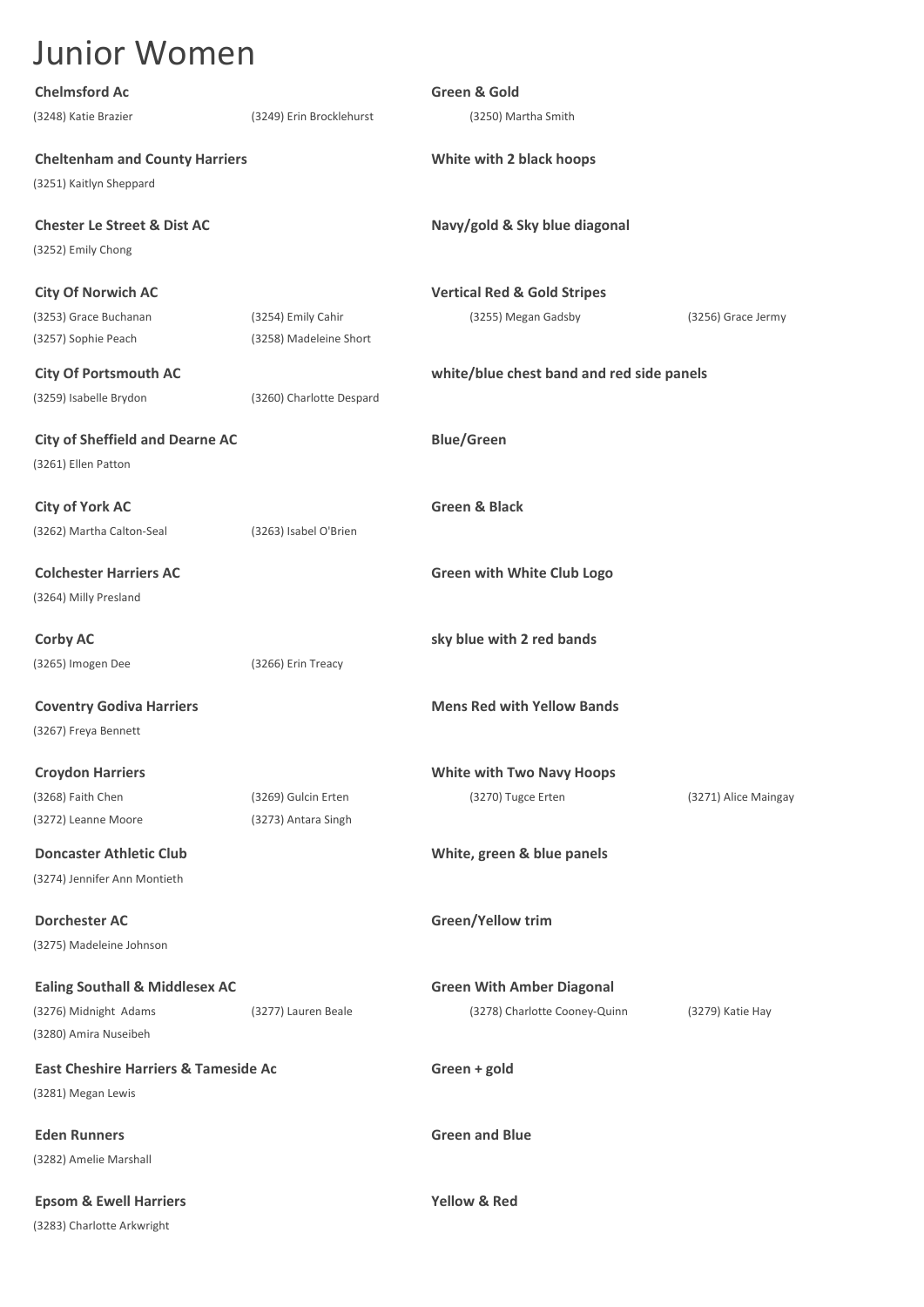| <b>Chelmsford Ac</b>                            |                          | <b>Green &amp; Gold</b>                   |                      |
|-------------------------------------------------|--------------------------|-------------------------------------------|----------------------|
| (3248) Katie Brazier                            | (3249) Erin Brocklehurst | (3250) Martha Smith                       |                      |
| <b>Cheltenham and County Harriers</b>           |                          | White with 2 black hoops                  |                      |
| (3251) Kaitlyn Sheppard                         |                          |                                           |                      |
| <b>Chester Le Street &amp; Dist AC</b>          |                          | Navy/gold & Sky blue diagonal             |                      |
| (3252) Emily Chong                              |                          |                                           |                      |
| <b>City Of Norwich AC</b>                       |                          | <b>Vertical Red &amp; Gold Stripes</b>    |                      |
| (3253) Grace Buchanan                           | (3254) Emily Cahir       | (3255) Megan Gadsby                       | (3256) Grace Jermy   |
| (3257) Sophie Peach                             | (3258) Madeleine Short   |                                           |                      |
| <b>City Of Portsmouth AC</b>                    |                          | white/blue chest band and red side panels |                      |
| (3259) Isabelle Brydon                          | (3260) Charlotte Despard |                                           |                      |
| <b>City of Sheffield and Dearne AC</b>          |                          | <b>Blue/Green</b>                         |                      |
| (3261) Ellen Patton                             |                          |                                           |                      |
| <b>City of York AC</b>                          |                          | <b>Green &amp; Black</b>                  |                      |
| (3262) Martha Calton-Seal                       | (3263) Isabel O'Brien    |                                           |                      |
| <b>Colchester Harriers AC</b>                   |                          | <b>Green with White Club Logo</b>         |                      |
| (3264) Milly Presland                           |                          |                                           |                      |
| <b>Corby AC</b>                                 |                          | sky blue with 2 red bands                 |                      |
| (3265) Imogen Dee                               | (3266) Erin Treacy       |                                           |                      |
| <b>Coventry Godiva Harriers</b>                 |                          | <b>Mens Red with Yellow Bands</b>         |                      |
| (3267) Freya Bennett                            |                          |                                           |                      |
| <b>Croydon Harriers</b>                         |                          | <b>White with Two Navy Hoops</b>          |                      |
| (3268) Faith Chen                               | (3269) Gulcin Erten      | (3270) Tugce Erten                        | (3271) Alice Maingay |
| (3272) Leanne Moore                             | (3273) Antara Singh      |                                           |                      |
| <b>Doncaster Athletic Club</b>                  |                          | White, green & blue panels                |                      |
| (3274) Jennifer Ann Montieth                    |                          |                                           |                      |
| <b>Dorchester AC</b>                            |                          | Green/Yellow trim                         |                      |
| (3275) Madeleine Johnson                        |                          |                                           |                      |
| <b>Ealing Southall &amp; Middlesex AC</b>       |                          | <b>Green With Amber Diagonal</b>          |                      |
| (3276) Midnight Adams                           | (3277) Lauren Beale      | (3278) Charlotte Cooney-Quinn             | (3279) Katie Hay     |
| (3280) Amira Nuseibeh                           |                          |                                           |                      |
| <b>East Cheshire Harriers &amp; Tameside Ac</b> |                          | Green + gold                              |                      |
| (3281) Megan Lewis                              |                          |                                           |                      |
| <b>Eden Runners</b>                             |                          | <b>Green and Blue</b>                     |                      |
| (3282) Amelie Marshall                          |                          |                                           |                      |
| <b>Epsom &amp; Ewell Harriers</b>               |                          | <b>Yellow &amp; Red</b>                   |                      |
| (3283) Charlotte Arkwright                      |                          |                                           |                      |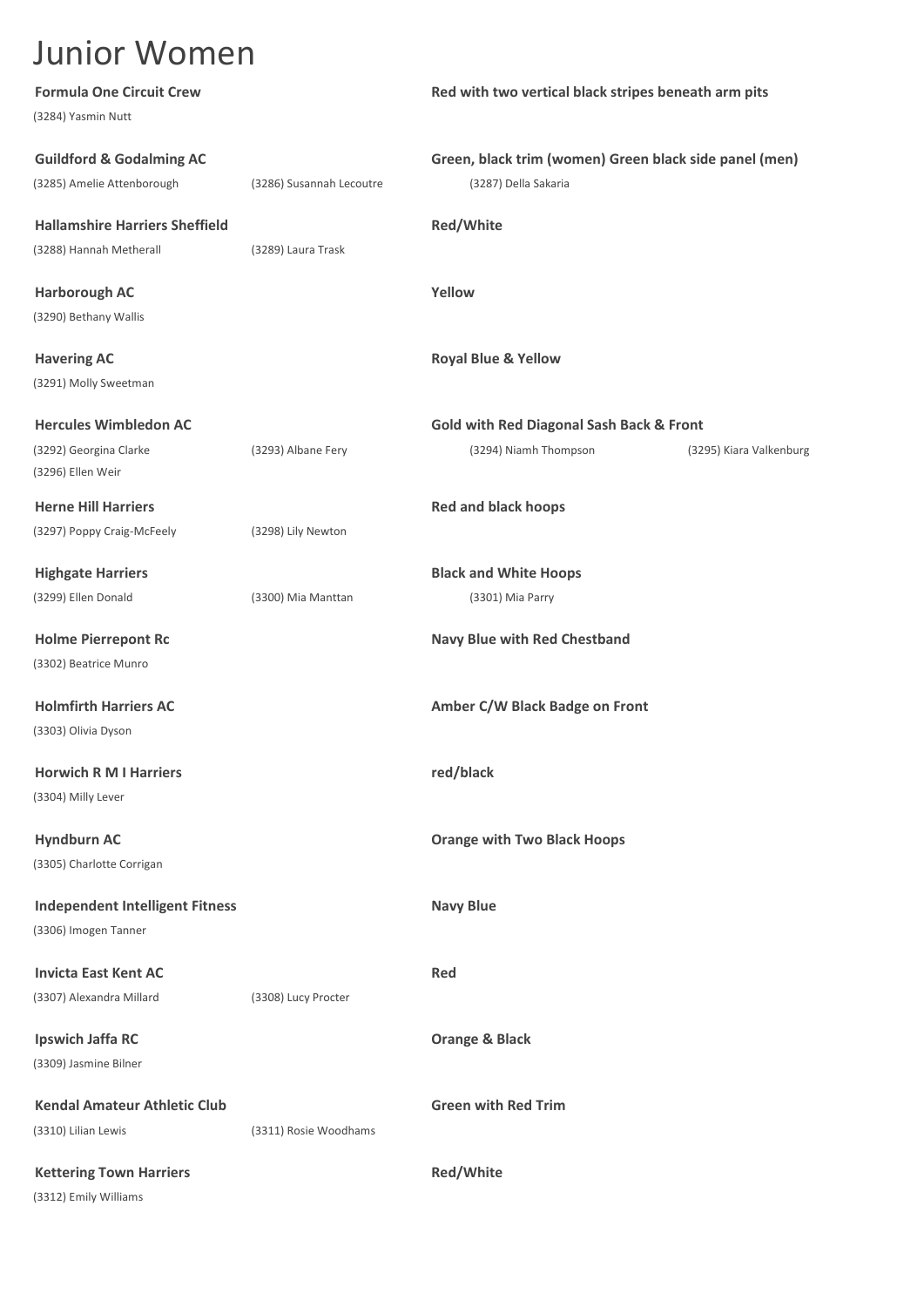| <b>Formula One Circuit Crew</b>        |                          | Red with two vertical black stripes beneath arm pits   |  |
|----------------------------------------|--------------------------|--------------------------------------------------------|--|
| (3284) Yasmin Nutt                     |                          |                                                        |  |
| <b>Guildford &amp; Godalming AC</b>    |                          | Green, black trim (women) Green black side panel (men) |  |
| (3285) Amelie Attenborough             | (3286) Susannah Lecoutre | (3287) Della Sakaria                                   |  |
| <b>Hallamshire Harriers Sheffield</b>  |                          | Red/White                                              |  |
| (3288) Hannah Metherall                | (3289) Laura Trask       |                                                        |  |
| <b>Harborough AC</b>                   |                          | Yellow                                                 |  |
| (3290) Bethany Wallis                  |                          |                                                        |  |
| <b>Havering AC</b>                     |                          | <b>Royal Blue &amp; Yellow</b>                         |  |
| (3291) Molly Sweetman                  |                          |                                                        |  |
| <b>Hercules Wimbledon AC</b>           |                          | <b>Gold with Red Diagonal Sash Back &amp; Front</b>    |  |
| (3292) Georgina Clarke                 | (3293) Albane Fery       | (3294) Niamh Thompson<br>(3295) Kiara Valkenburg       |  |
| (3296) Ellen Weir                      |                          |                                                        |  |
| <b>Herne Hill Harriers</b>             |                          | <b>Red and black hoops</b>                             |  |
| (3297) Poppy Craig-McFeely             | (3298) Lily Newton       |                                                        |  |
| <b>Highgate Harriers</b>               |                          | <b>Black and White Hoops</b>                           |  |
| (3299) Ellen Donald                    | (3300) Mia Manttan       | (3301) Mia Parry                                       |  |
| <b>Holme Pierrepont Rc</b>             |                          | <b>Navy Blue with Red Chestband</b>                    |  |
| (3302) Beatrice Munro                  |                          |                                                        |  |
| <b>Holmfirth Harriers AC</b>           |                          | Amber C/W Black Badge on Front                         |  |
| (3303) Olivia Dyson                    |                          |                                                        |  |
| <b>Horwich R M I Harriers</b>          |                          | red/black                                              |  |
| (3304) Milly Lever                     |                          |                                                        |  |
| <b>Hyndburn AC</b>                     |                          | <b>Orange with Two Black Hoops</b>                     |  |
| (3305) Charlotte Corrigan              |                          |                                                        |  |
| <b>Independent Intelligent Fitness</b> |                          | <b>Navy Blue</b>                                       |  |
| (3306) Imogen Tanner                   |                          |                                                        |  |
| <b>Invicta East Kent AC</b>            |                          | Red                                                    |  |
| (3307) Alexandra Millard               | (3308) Lucy Procter      |                                                        |  |
| <b>Ipswich Jaffa RC</b>                |                          | Orange & Black                                         |  |
| (3309) Jasmine Bilner                  |                          |                                                        |  |
| <b>Kendal Amateur Athletic Club</b>    |                          | <b>Green with Red Trim</b>                             |  |
| (3310) Lilian Lewis                    | (3311) Rosie Woodhams    |                                                        |  |
| <b>Kettering Town Harriers</b>         |                          | Red/White                                              |  |
| (3312) Emily Williams                  |                          |                                                        |  |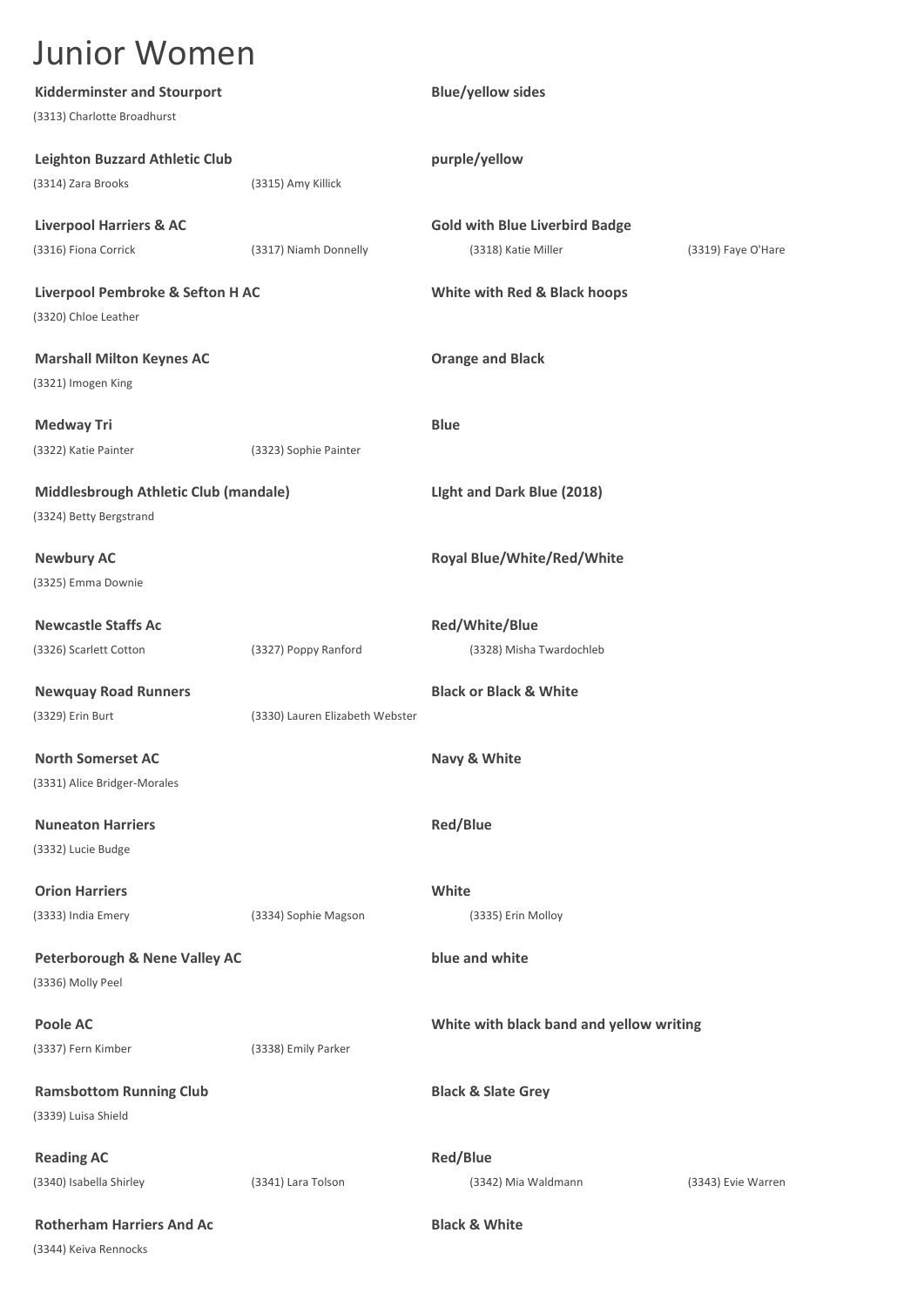| <b>Kidderminster and Stourport</b>       |                                 | <b>Blue/yellow sides</b>                 |                    |
|------------------------------------------|---------------------------------|------------------------------------------|--------------------|
| (3313) Charlotte Broadhurst              |                                 |                                          |                    |
| <b>Leighton Buzzard Athletic Club</b>    |                                 | purple/yellow                            |                    |
| (3314) Zara Brooks                       | (3315) Amy Killick              |                                          |                    |
| <b>Liverpool Harriers &amp; AC</b>       |                                 | <b>Gold with Blue Liverbird Badge</b>    |                    |
| (3316) Fiona Corrick                     | (3317) Niamh Donnelly           | (3318) Katie Miller                      | (3319) Faye O'Hare |
| Liverpool Pembroke & Sefton H AC         |                                 | White with Red & Black hoops             |                    |
| (3320) Chloe Leather                     |                                 |                                          |                    |
| <b>Marshall Milton Keynes AC</b>         |                                 | <b>Orange and Black</b>                  |                    |
| (3321) Imogen King                       |                                 |                                          |                    |
| <b>Medway Tri</b>                        |                                 | <b>Blue</b>                              |                    |
| (3322) Katie Painter                     | (3323) Sophie Painter           |                                          |                    |
| Middlesbrough Athletic Club (mandale)    |                                 | Light and Dark Blue (2018)               |                    |
| (3324) Betty Bergstrand                  |                                 |                                          |                    |
| <b>Newbury AC</b>                        |                                 | Royal Blue/White/Red/White               |                    |
| (3325) Emma Downie                       |                                 |                                          |                    |
| <b>Newcastle Staffs Ac</b>               |                                 | Red/White/Blue                           |                    |
| (3326) Scarlett Cotton                   | (3327) Poppy Ranford            | (3328) Misha Twardochleb                 |                    |
| <b>Newquay Road Runners</b>              |                                 | <b>Black or Black &amp; White</b>        |                    |
| (3329) Erin Burt                         | (3330) Lauren Elizabeth Webster |                                          |                    |
| <b>North Somerset AC</b>                 |                                 | Navy & White                             |                    |
| (3331) Alice Bridger-Morales             |                                 |                                          |                    |
| <b>Nuneaton Harriers</b>                 |                                 | <b>Red/Blue</b>                          |                    |
| (3332) Lucie Budge                       |                                 |                                          |                    |
| <b>Orion Harriers</b>                    |                                 | White                                    |                    |
| (3333) India Emery                       | (3334) Sophie Magson            | (3335) Erin Molloy                       |                    |
| <b>Peterborough &amp; Nene Valley AC</b> |                                 | blue and white                           |                    |
| (3336) Molly Peel                        |                                 |                                          |                    |
| <b>Poole AC</b>                          |                                 | White with black band and yellow writing |                    |
| (3337) Fern Kimber                       | (3338) Emily Parker             |                                          |                    |
| <b>Ramsbottom Running Club</b>           |                                 | <b>Black &amp; Slate Grey</b>            |                    |
| (3339) Luisa Shield                      |                                 |                                          |                    |
| <b>Reading AC</b>                        |                                 | <b>Red/Blue</b>                          |                    |
| (3340) Isabella Shirley                  | (3341) Lara Tolson              | (3342) Mia Waldmann                      | (3343) Evie Warren |
| <b>Rotherham Harriers And Ac</b>         |                                 | <b>Black &amp; White</b>                 |                    |
| (3344) Keiva Rennocks                    |                                 |                                          |                    |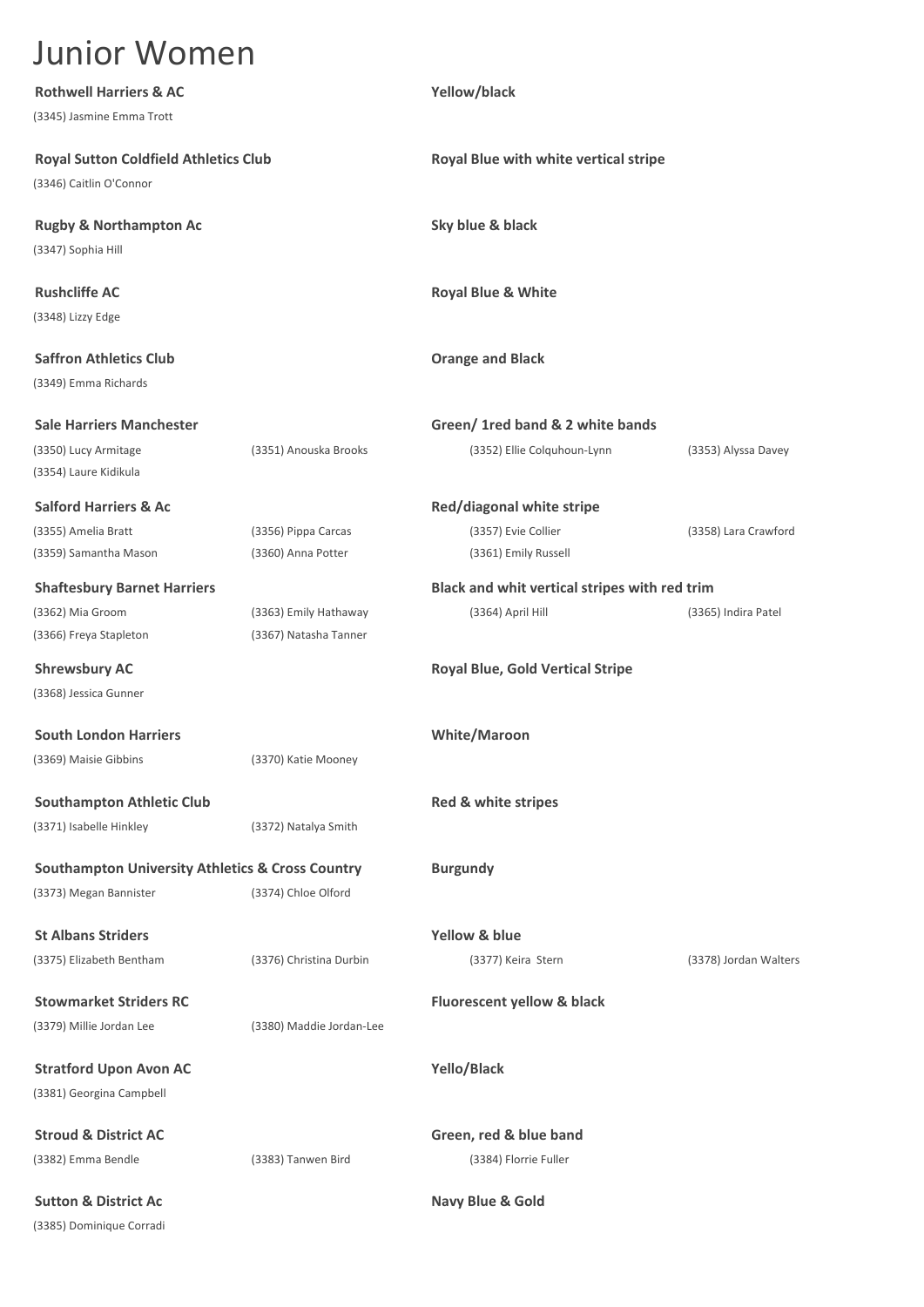| <b>Rothwell Harriers &amp; AC</b>                           |                          | Yellow/black                                  |                       |
|-------------------------------------------------------------|--------------------------|-----------------------------------------------|-----------------------|
| (3345) Jasmine Emma Trott                                   |                          |                                               |                       |
| <b>Royal Sutton Coldfield Athletics Club</b>                |                          | Royal Blue with white vertical stripe         |                       |
| (3346) Caitlin O'Connor                                     |                          |                                               |                       |
| <b>Rugby &amp; Northampton Ac</b>                           |                          | Sky blue & black                              |                       |
| (3347) Sophia Hill                                          |                          |                                               |                       |
| <b>Rushcliffe AC</b>                                        |                          | <b>Royal Blue &amp; White</b>                 |                       |
| (3348) Lizzy Edge                                           |                          |                                               |                       |
| <b>Saffron Athletics Club</b>                               |                          | <b>Orange and Black</b>                       |                       |
| (3349) Emma Richards                                        |                          |                                               |                       |
| <b>Sale Harriers Manchester</b>                             |                          | Green/ 1 red band & 2 white bands             |                       |
| (3350) Lucy Armitage                                        | (3351) Anouska Brooks    | (3352) Ellie Colquhoun-Lynn                   | (3353) Alyssa Davey   |
| (3354) Laure Kidikula                                       |                          |                                               |                       |
| <b>Salford Harriers &amp; Ac</b>                            |                          | Red/diagonal white stripe                     |                       |
| (3355) Amelia Bratt                                         | (3356) Pippa Carcas      | (3357) Evie Collier                           | (3358) Lara Crawford  |
| (3359) Samantha Mason                                       | (3360) Anna Potter       | (3361) Emily Russell                          |                       |
| <b>Shaftesbury Barnet Harriers</b>                          |                          | Black and whit vertical stripes with red trim |                       |
| (3362) Mia Groom                                            | (3363) Emily Hathaway    | (3364) April Hill                             | (3365) Indira Patel   |
| (3366) Freya Stapleton                                      | (3367) Natasha Tanner    |                                               |                       |
| <b>Shrewsbury AC</b>                                        |                          | <b>Royal Blue, Gold Vertical Stripe</b>       |                       |
| (3368) Jessica Gunner                                       |                          |                                               |                       |
| <b>South London Harriers</b>                                |                          | <b>White/Maroon</b>                           |                       |
| (3369) Maisie Gibbins                                       | (3370) Katie Mooney      |                                               |                       |
| <b>Southampton Athletic Club</b>                            |                          | Red & white stripes                           |                       |
| (3371) Isabelle Hinkley                                     | (3372) Natalya Smith     |                                               |                       |
| <b>Southampton University Athletics &amp; Cross Country</b> |                          | <b>Burgundy</b>                               |                       |
| (3373) Megan Bannister                                      | (3374) Chloe Olford      |                                               |                       |
| <b>St Albans Striders</b>                                   |                          | Yellow & blue                                 |                       |
| (3375) Elizabeth Bentham                                    | (3376) Christina Durbin  | (3377) Keira Stern                            | (3378) Jordan Walters |
| <b>Stowmarket Striders RC</b>                               |                          | Fluorescent yellow & black                    |                       |
| (3379) Millie Jordan Lee                                    | (3380) Maddie Jordan-Lee |                                               |                       |
| <b>Stratford Upon Avon AC</b>                               |                          | Yello/Black                                   |                       |
| (3381) Georgina Campbell                                    |                          |                                               |                       |
| <b>Stroud &amp; District AC</b>                             |                          | Green, red & blue band                        |                       |
| (3382) Emma Bendle                                          | (3383) Tanwen Bird       | (3384) Florrie Fuller                         |                       |
| <b>Sutton &amp; District Ac</b>                             |                          | Navy Blue & Gold                              |                       |
| (3385) Dominique Corradi                                    |                          |                                               |                       |
|                                                             |                          |                                               |                       |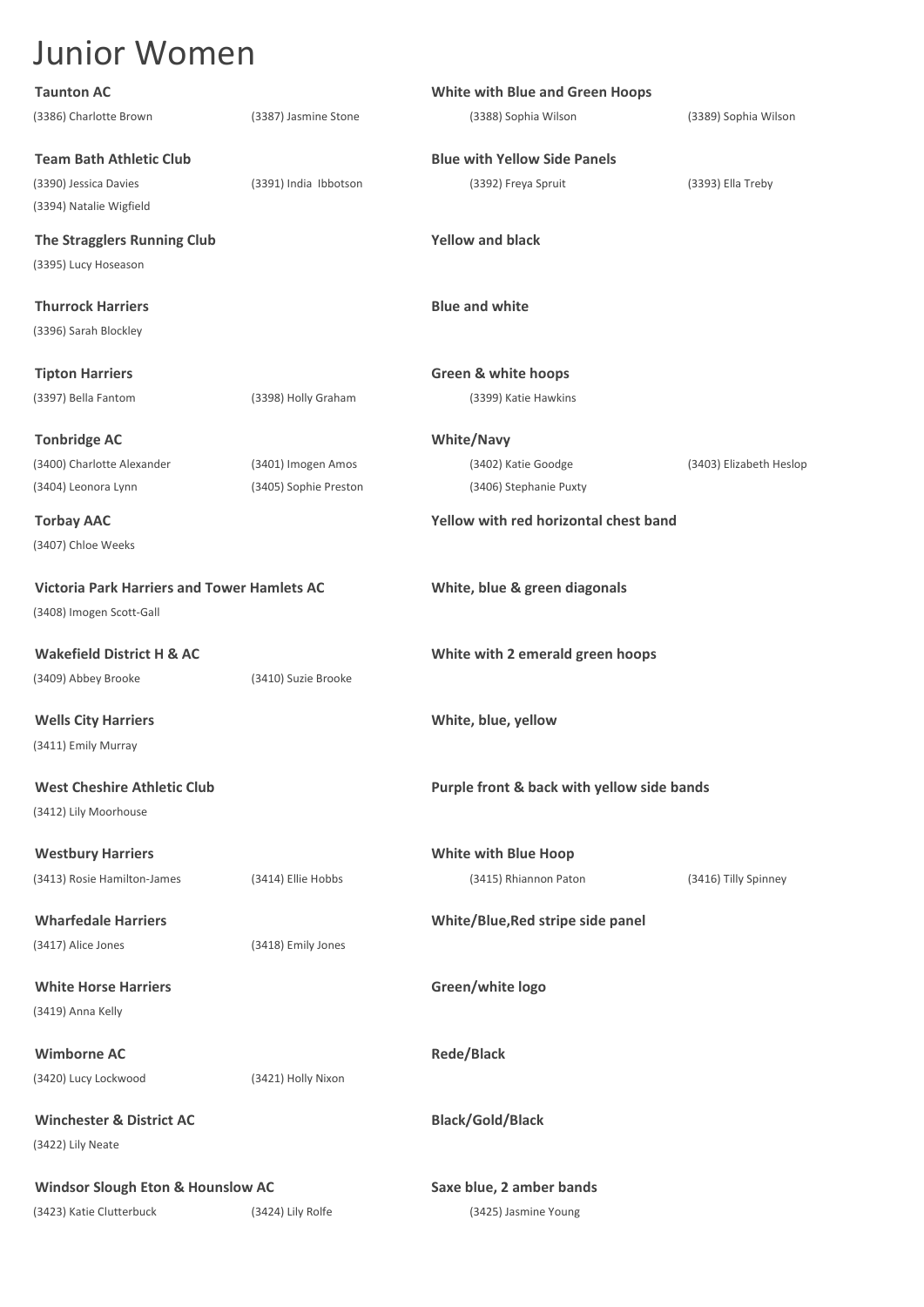| <b>Taunton AC</b>                                  |                       | <b>White with Blue and Green Hoops</b>     |                         |
|----------------------------------------------------|-----------------------|--------------------------------------------|-------------------------|
| (3386) Charlotte Brown                             | (3387) Jasmine Stone  | (3388) Sophia Wilson                       | (3389) Sophia Wilson    |
| <b>Team Bath Athletic Club</b>                     |                       | <b>Blue with Yellow Side Panels</b>        |                         |
| (3390) Jessica Davies                              | (3391) India Ibbotson | (3392) Freya Spruit                        | (3393) Ella Treby       |
| (3394) Natalie Wigfield                            |                       |                                            |                         |
| The Stragglers Running Club                        |                       | <b>Yellow and black</b>                    |                         |
| (3395) Lucy Hoseason                               |                       |                                            |                         |
| <b>Thurrock Harriers</b>                           |                       | <b>Blue and white</b>                      |                         |
| (3396) Sarah Blockley                              |                       |                                            |                         |
| <b>Tipton Harriers</b>                             |                       | <b>Green &amp; white hoops</b>             |                         |
| (3397) Bella Fantom                                | (3398) Holly Graham   | (3399) Katie Hawkins                       |                         |
|                                                    |                       |                                            |                         |
| <b>Tonbridge AC</b>                                |                       | <b>White/Navy</b>                          |                         |
| (3400) Charlotte Alexander                         | (3401) Imogen Amos    | (3402) Katie Goodge                        | (3403) Elizabeth Heslop |
| (3404) Leonora Lynn                                | (3405) Sophie Preston | (3406) Stephanie Puxty                     |                         |
| <b>Torbay AAC</b>                                  |                       | Yellow with red horizontal chest band      |                         |
| (3407) Chloe Weeks                                 |                       |                                            |                         |
| <b>Victoria Park Harriers and Tower Hamlets AC</b> |                       | White, blue & green diagonals              |                         |
| (3408) Imogen Scott-Gall                           |                       |                                            |                         |
|                                                    |                       |                                            |                         |
| <b>Wakefield District H &amp; AC</b>               |                       | White with 2 emerald green hoops           |                         |
| (3409) Abbey Brooke                                | (3410) Suzie Brooke   |                                            |                         |
| <b>Wells City Harriers</b>                         |                       | White, blue, yellow                        |                         |
| (3411) Emily Murray                                |                       |                                            |                         |
| <b>West Cheshire Athletic Club</b>                 |                       | Purple front & back with yellow side bands |                         |
| (3412) Lily Moorhouse                              |                       |                                            |                         |
| <b>Westbury Harriers</b>                           |                       | <b>White with Blue Hoop</b>                |                         |
| (3413) Rosie Hamilton-James                        | (3414) Ellie Hobbs    | (3415) Rhiannon Paton                      | (3416) Tilly Spinney    |
| <b>Wharfedale Harriers</b>                         |                       | White/Blue, Red stripe side panel          |                         |
| (3417) Alice Jones                                 | (3418) Emily Jones    |                                            |                         |
|                                                    |                       |                                            |                         |
| <b>White Horse Harriers</b>                        |                       | Green/white logo                           |                         |
| (3419) Anna Kelly                                  |                       |                                            |                         |
| <b>Wimborne AC</b>                                 |                       | <b>Rede/Black</b>                          |                         |
| (3420) Lucy Lockwood                               | (3421) Holly Nixon    |                                            |                         |
| <b>Winchester &amp; District AC</b>                |                       | <b>Black/Gold/Black</b>                    |                         |
| (3422) Lily Neate                                  |                       |                                            |                         |
|                                                    |                       |                                            |                         |
| <b>Windsor Slough Eton &amp; Hounslow AC</b>       |                       | Saxe blue, 2 amber bands                   |                         |
| (3423) Katie Clutterbuck                           | (3424) Lily Rolfe     | (3425) Jasmine Young                       |                         |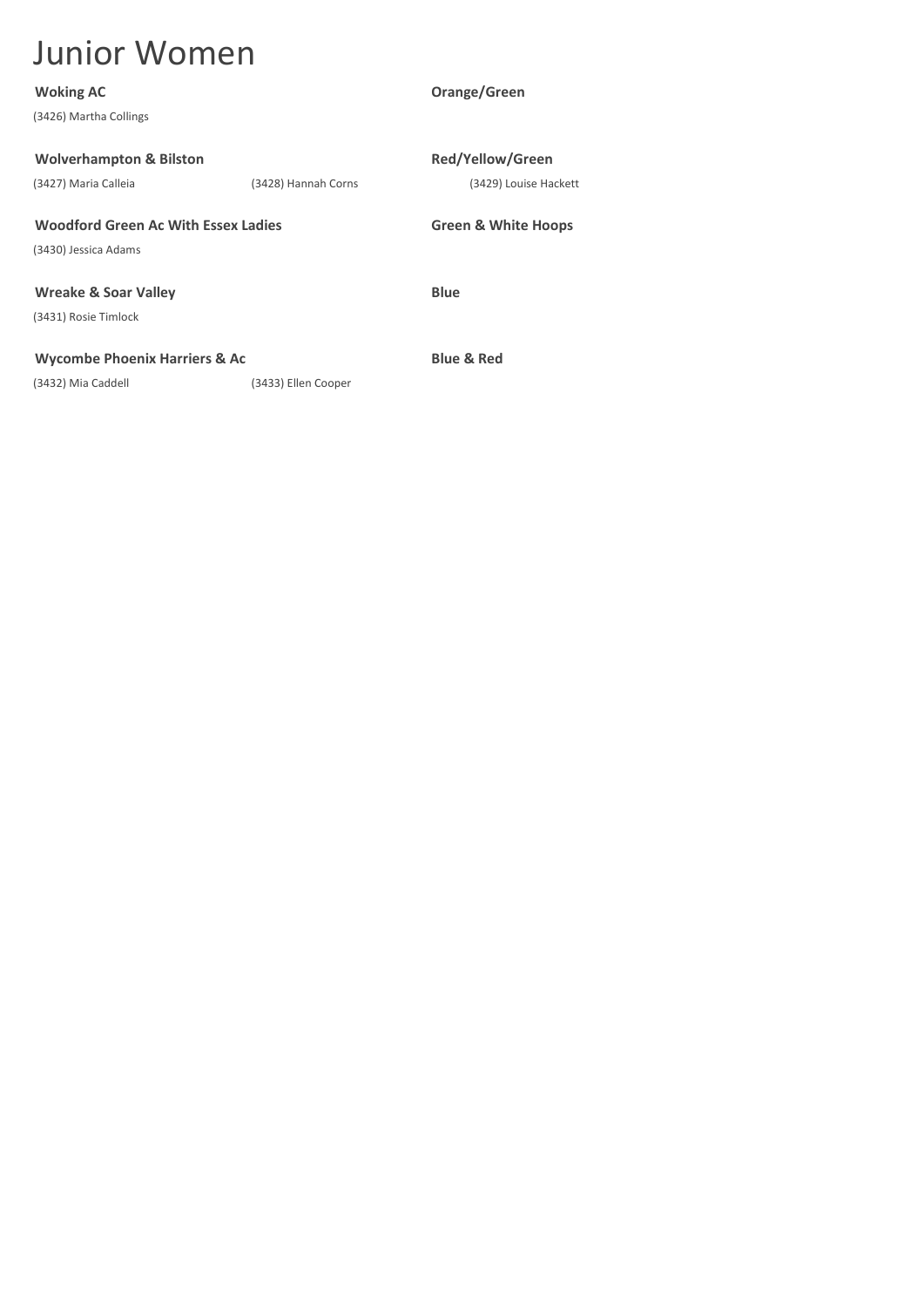| <b>Woking AC</b>                           |                     | Orange/Green                   |
|--------------------------------------------|---------------------|--------------------------------|
| (3426) Martha Collings                     |                     |                                |
|                                            |                     |                                |
| <b>Wolverhampton &amp; Bilston</b>         |                     | <b>Red/Yellow/Green</b>        |
| (3427) Maria Calleia                       | (3428) Hannah Corns | (3429) Louise Hackett          |
|                                            |                     |                                |
| <b>Woodford Green Ac With Essex Ladies</b> |                     | <b>Green &amp; White Hoops</b> |
| (3430) Jessica Adams                       |                     |                                |
|                                            |                     |                                |
| <b>Wreake &amp; Soar Valley</b>            |                     | <b>Blue</b>                    |
| (3431) Rosie Timlock                       |                     |                                |
|                                            |                     |                                |
| <b>Wycombe Phoenix Harriers &amp; Ac</b>   |                     | <b>Blue &amp; Red</b>          |
| (3432) Mia Caddell                         | (3433) Ellen Cooper |                                |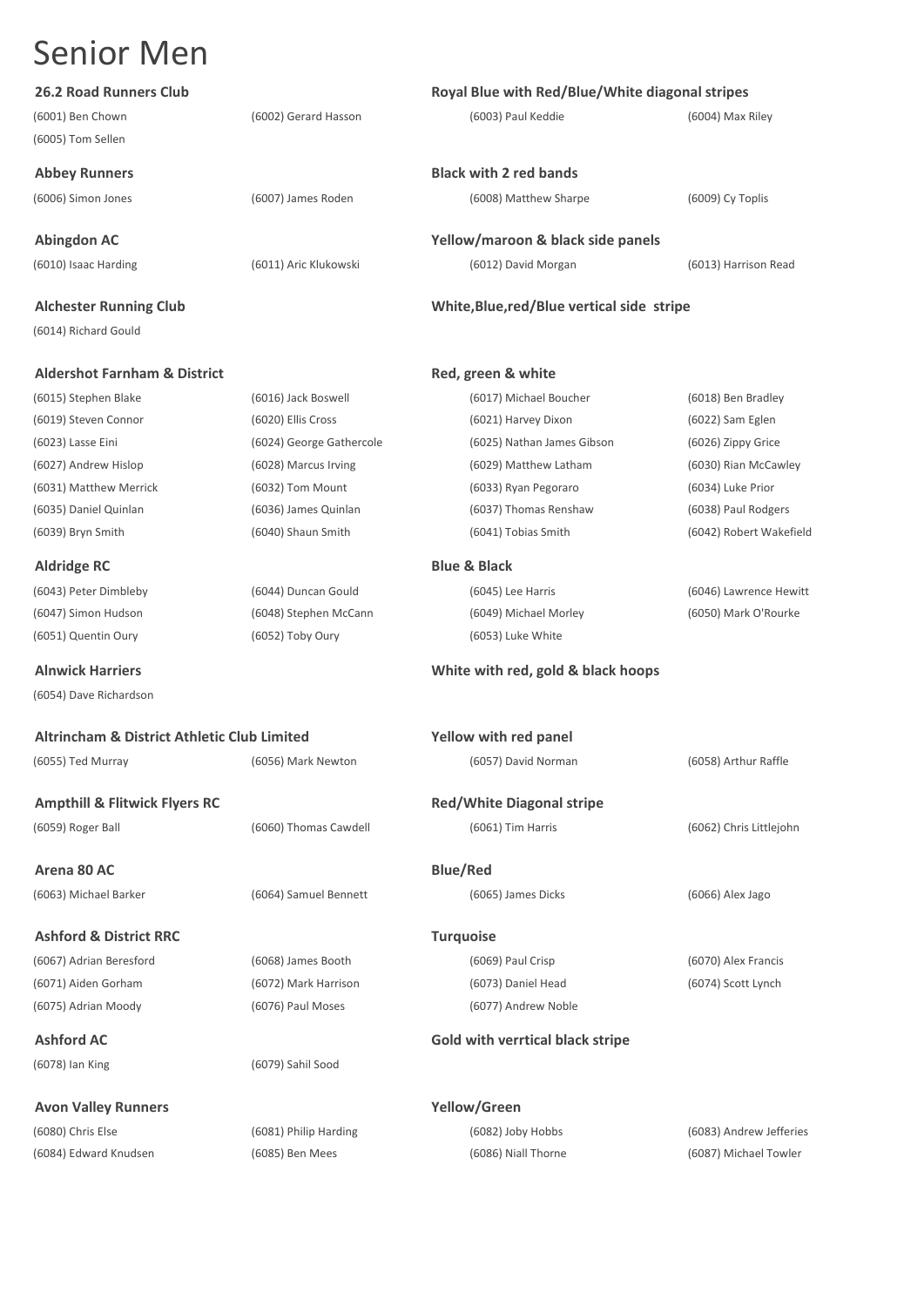| <b>26.2 Road Runners Club</b>                          |                          | Royal Blue with Red/Blue/White diagonal stripes |                         |
|--------------------------------------------------------|--------------------------|-------------------------------------------------|-------------------------|
| (6001) Ben Chown                                       | (6002) Gerard Hasson     | (6003) Paul Keddie                              | (6004) Max Riley        |
| (6005) Tom Sellen                                      |                          |                                                 |                         |
| <b>Abbey Runners</b>                                   |                          | <b>Black with 2 red bands</b>                   |                         |
|                                                        |                          |                                                 |                         |
| (6006) Simon Jones                                     | (6007) James Roden       | (6008) Matthew Sharpe                           | (6009) Cy Toplis        |
| <b>Abingdon AC</b>                                     |                          | Yellow/maroon & black side panels               |                         |
| (6010) Isaac Harding                                   | (6011) Aric Klukowski    | (6012) David Morgan                             | (6013) Harrison Read    |
|                                                        |                          |                                                 |                         |
| <b>Alchester Running Club</b>                          |                          | White, Blue, red/Blue vertical side stripe      |                         |
| (6014) Richard Gould                                   |                          |                                                 |                         |
| <b>Aldershot Farnham &amp; District</b>                |                          | Red, green & white                              |                         |
| (6015) Stephen Blake                                   | (6016) Jack Boswell      | (6017) Michael Boucher                          | (6018) Ben Bradley      |
| (6019) Steven Connor                                   | (6020) Ellis Cross       | (6021) Harvey Dixon                             | (6022) Sam Eglen        |
| (6023) Lasse Eini                                      | (6024) George Gathercole | (6025) Nathan James Gibson                      | (6026) Zippy Grice      |
| (6027) Andrew Hislop                                   | (6028) Marcus Irving     | (6029) Matthew Latham                           | (6030) Rian McCawley    |
| (6031) Matthew Merrick                                 | (6032) Tom Mount         | (6033) Ryan Pegoraro                            | (6034) Luke Prior       |
| (6035) Daniel Quinlan                                  | (6036) James Quinlan     | (6037) Thomas Renshaw                           | (6038) Paul Rodgers     |
| (6039) Bryn Smith                                      | (6040) Shaun Smith       | (6041) Tobias Smith                             | (6042) Robert Wakefield |
|                                                        |                          |                                                 |                         |
| <b>Aldridge RC</b>                                     |                          | <b>Blue &amp; Black</b>                         |                         |
| (6043) Peter Dimbleby                                  | (6044) Duncan Gould      | (6045) Lee Harris                               | (6046) Lawrence Hewitt  |
| (6047) Simon Hudson                                    | (6048) Stephen McCann    | (6049) Michael Morley                           | (6050) Mark O'Rourke    |
| (6051) Quentin Oury                                    | (6052) Toby Oury         | (6053) Luke White                               |                         |
| <b>Alnwick Harriers</b>                                |                          | White with red, gold & black hoops              |                         |
| (6054) Dave Richardson                                 |                          |                                                 |                         |
| <b>Altrincham &amp; District Athletic Club Limited</b> |                          | Yellow with red panel                           |                         |
| (6055) Ted Murray                                      | (6056) Mark Newton       | (6057) David Norman                             | (6058) Arthur Raffle    |
|                                                        |                          |                                                 |                         |
| <b>Ampthill &amp; Flitwick Flyers RC</b>               |                          | <b>Red/White Diagonal stripe</b>                |                         |
| (6059) Roger Ball                                      | (6060) Thomas Cawdell    | (6061) Tim Harris                               | (6062) Chris Littlejohn |
| Arena 80 AC                                            |                          | <b>Blue/Red</b>                                 |                         |
| (6063) Michael Barker                                  | (6064) Samuel Bennett    | (6065) James Dicks                              | (6066) Alex Jago        |
|                                                        |                          |                                                 |                         |
| <b>Ashford &amp; District RRC</b>                      |                          | <b>Turquoise</b>                                |                         |
| (6067) Adrian Beresford                                | (6068) James Booth       | (6069) Paul Crisp                               | (6070) Alex Francis     |
| (6071) Aiden Gorham                                    | (6072) Mark Harrison     | (6073) Daniel Head                              | (6074) Scott Lynch      |
| (6075) Adrian Moody                                    | (6076) Paul Moses        | (6077) Andrew Noble                             |                         |
| <b>Ashford AC</b>                                      |                          | Gold with verrtical black stripe                |                         |
| (6078) Ian King                                        | (6079) Sahil Sood        |                                                 |                         |
| <b>Avon Valley Runners</b>                             |                          | Yellow/Green                                    |                         |
| (6080) Chris Else                                      | (6081) Philip Harding    | (6082) Joby Hobbs                               | (6083) Andrew Jefferies |
| (6084) Edward Knudsen                                  | (6085) Ben Mees          | (6086) Niall Thorne                             | (6087) Michael Towler   |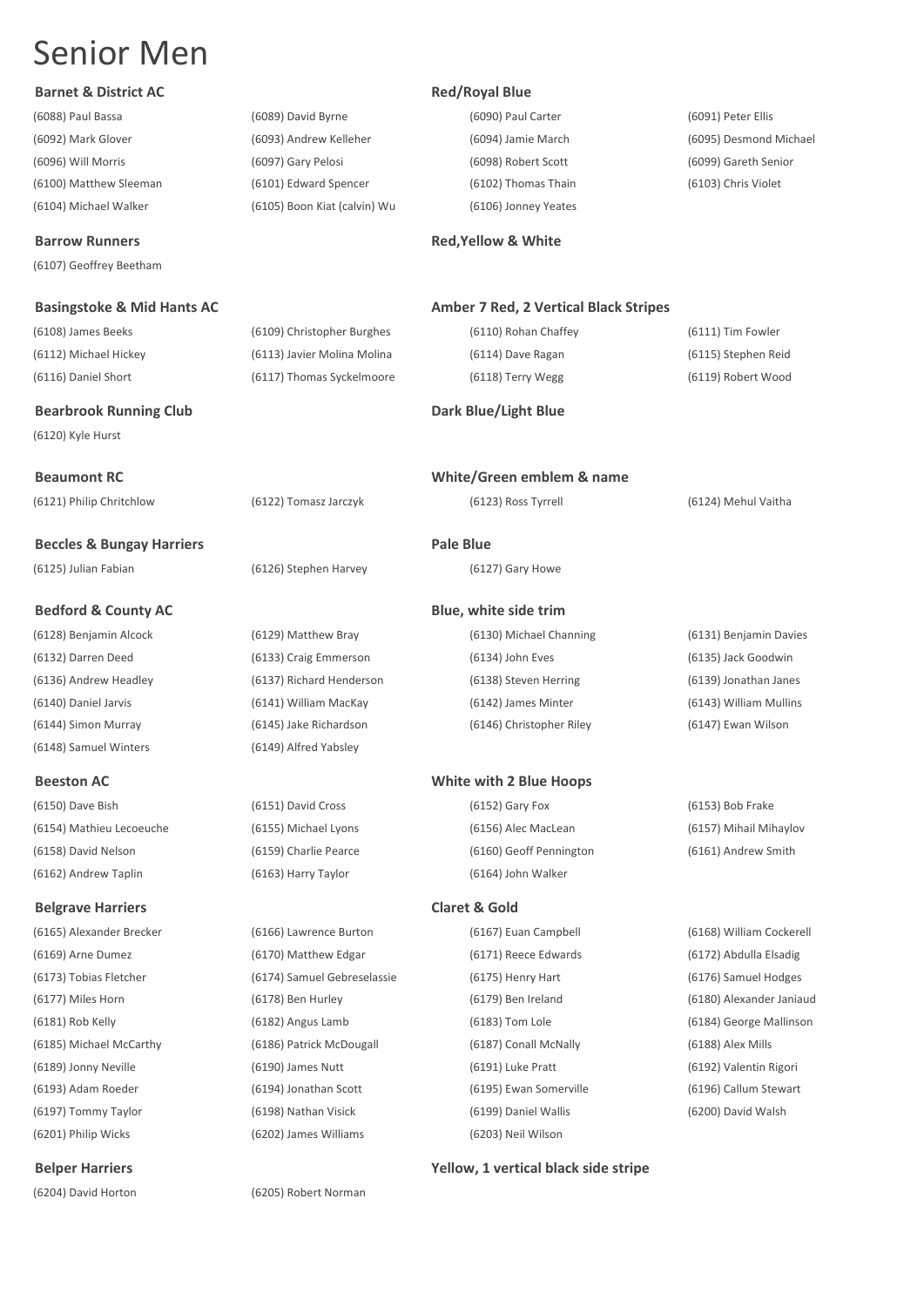|  |  | <b>Barnet &amp; District AC</b> |  |
|--|--|---------------------------------|--|
|--|--|---------------------------------|--|

(6104) Michael Walker (6105) Boon Kiat (calvin) Wu (6106) Jonney Yeates

**Barrow Runners Red,Yellow & White Red,Yellow & White** 

(6107) Geoffrey Beetham

(6112) Michael Hickey (6113) Javier Molina Molina (6114) Dave Ragan (6115) Stephen Reid (6116) Daniel Short (6117) Thomas Syckelmoore (6118) Terry Wegg (6119) Robert Wood

### **Bearbrook Running Club Dark Blue/Light Blue**

(6120) Kyle Hurst

**Beccles & Bungay Harriers Pale Blue** (6125) Julian Fabian (6126) Stephen Harvey (6127) Gary Howe

(6148) Samuel Winters (6149) Alfred Yabsley

(6154) Mathieu Lecoeuche (6155) Michael Lyons (6156) Alec MacLean (6157) Mihail Mihaylov (6158) David Nelson (6159) Charlie Pearce (6160) Geoff Pennington (6161) Andrew Smith (6162) Andrew Taplin (6163) Harry Taylor (6164) John Walker

### **Belgrave Harriers Claret & Gold**

(6165) Alexander Brecker (6166) Lawrence Burton (6167) Euan Campbell (6168) William Cockerell (6169) Arne Dumez (6170) Matthew Edgar (6171) Reece Edwards (6172) Abdulla Elsadig (6173) Tobias Fletcher (6174) Samuel Gebreselassie (6175) Henry Hart (6176) Samuel Hodges (6177) Miles Horn (6178) Ben Hurley (6179) Ben Ireland (6180) Alexander Janiaud (6181) Rob Kelly (6182) Angus Lamb (6183) Tom Lole (6184) George Mallinson (6185) Michael McCarthy (6186) Patrick McDougall (6187) Conall McNally (6188) Alex Mills (6189) Jonny Neville (6190) James Nutt (6191) Luke Pratt (6192) Valentin Rigori (6193) Adam Roeder (6194) Jonathan Scott (6195) Ewan Somerville (6196) Callum Stewart (6197) Tommy Taylor (6198) Nathan Visick (6199) Daniel Wallis (6200) David Walsh (6201) Philip Wicks (6202) James Williams (6203) Neil Wilson

(6088) Paul Bassa (6089) David Byrne (6090) Paul Carter (6091) Peter Ellis (6092) Mark Glover (6093) Andrew Kelleher (6094) Jamie March (6095) Desmond Michael (6096) Will Morris (6097) Gary Pelosi (6098) Robert Scott (6099) Gareth Senior (6100) Matthew Sleeman (6101) Edward Spencer (6102) Thomas Thain (6103) Chris Violet

### **Red/Royal Blue**

### **Basingstoke & Mid Hants AC Amber 7 Red, 2 Vertical Black Stripes Amber 7 Red, 2 Vertical Black Stripes**

(6108) James Beeks (6109) Christopher Burghes (6110) Rohan Chaffey (6111) Tim Fowler

**Beaumont RC White/Green emblem & name**

### **Bedford & County AC Blue, white side trim**

(6128) Benjamin Alcock (6129) Matthew Bray (6130) Michael Channing (6131) Benjamin Davies (6132) Darren Deed (6133) Craig Emmerson (6134) John Eves (6135) Jack Goodwin (6136) Andrew Headley (6137) Richard Henderson (6138) Steven Herring (6139) Jonathan Janes (6140) Daniel Jarvis (6141) William MacKay (6142) James Minter (6143) William Mullins (6144) Simon Murray (6145) Jake Richardson (6146) Christopher Riley (6147) Ewan Wilson

### **Beeston AC White with 2 Blue Hoops**

(6150) Dave Bish (6151) David Cross (6152) Gary Fox (6153) Bob Frake

### (6121) Philip Chritchlow (6122) Tomasz Jarczyk (6123) Ross Tyrrell (6124) Mehul Vaitha

**Belper Harriers Yellow, 1 vertical black side stripe**

(6204) David Horton (6205) Robert Norman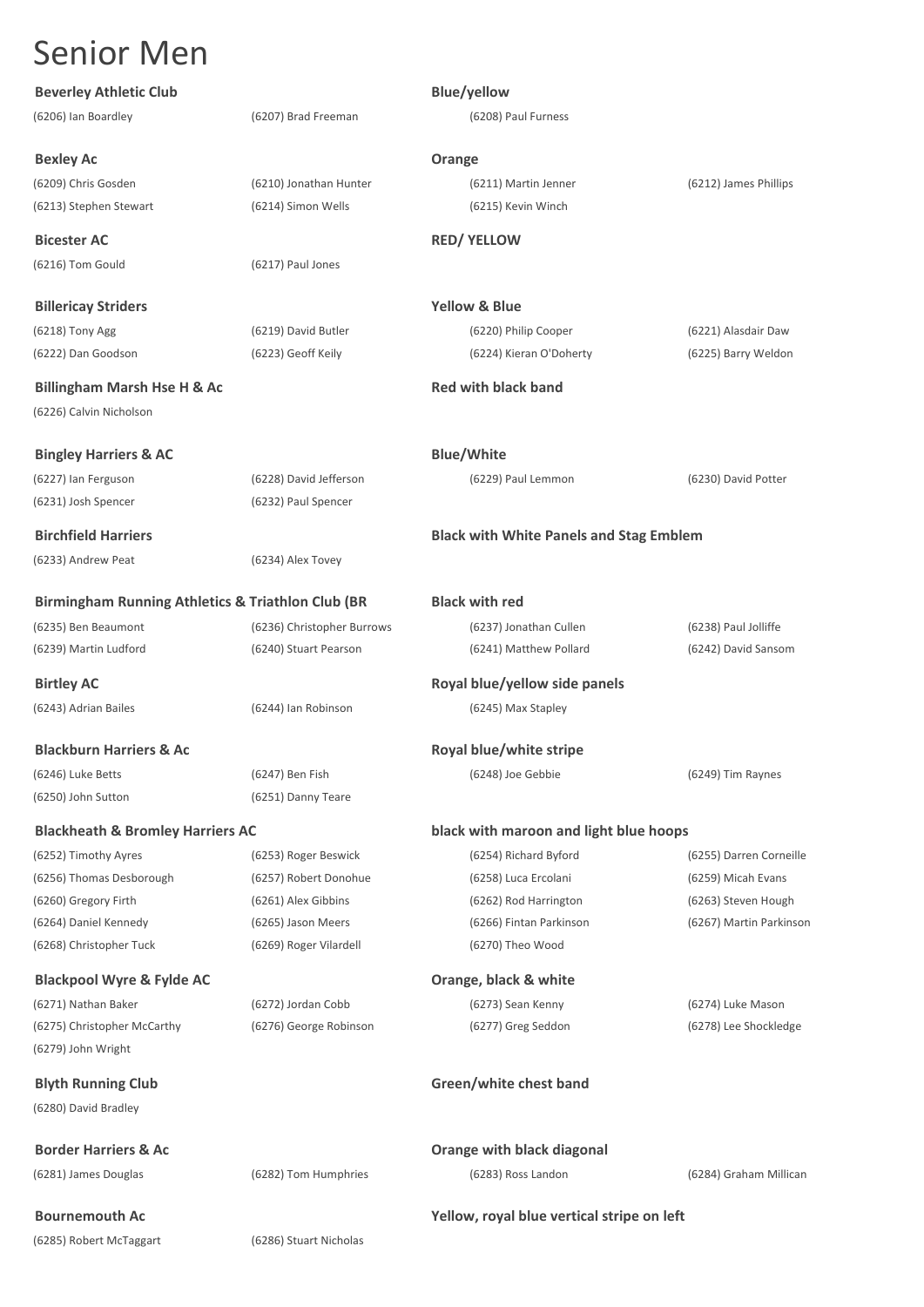| <b>Beverley Athletic Club</b>                                |                            | <b>Blue/yellow</b>                             |                         |
|--------------------------------------------------------------|----------------------------|------------------------------------------------|-------------------------|
| (6206) Ian Boardley                                          | (6207) Brad Freeman        | (6208) Paul Furness                            |                         |
| <b>Bexley Ac</b>                                             |                            | Orange                                         |                         |
| (6209) Chris Gosden                                          | (6210) Jonathan Hunter     | (6211) Martin Jenner                           | (6212) James Phillips   |
| (6213) Stephen Stewart                                       | (6214) Simon Wells         | (6215) Kevin Winch                             |                         |
| <b>Bicester AC</b>                                           |                            | <b>RED/ YELLOW</b>                             |                         |
| (6216) Tom Gould                                             | (6217) Paul Jones          |                                                |                         |
| <b>Billericay Striders</b>                                   |                            | <b>Yellow &amp; Blue</b>                       |                         |
| (6218) Tony Agg                                              | (6219) David Butler        | (6220) Philip Cooper                           | (6221) Alasdair Daw     |
| (6222) Dan Goodson                                           | (6223) Geoff Keily         | (6224) Kieran O'Doherty                        | (6225) Barry Weldon     |
| <b>Billingham Marsh Hse H &amp; Ac</b>                       |                            | <b>Red with black band</b>                     |                         |
| (6226) Calvin Nicholson                                      |                            |                                                |                         |
| <b>Bingley Harriers &amp; AC</b>                             |                            | <b>Blue/White</b>                              |                         |
| (6227) Ian Ferguson                                          | (6228) David Jefferson     | (6229) Paul Lemmon                             | (6230) David Potter     |
| (6231) Josh Spencer                                          | (6232) Paul Spencer        |                                                |                         |
| <b>Birchfield Harriers</b>                                   |                            | <b>Black with White Panels and Stag Emblem</b> |                         |
| (6233) Andrew Peat                                           | (6234) Alex Tovey          |                                                |                         |
| <b>Birmingham Running Athletics &amp; Triathlon Club (BR</b> |                            | <b>Black with red</b>                          |                         |
| (6235) Ben Beaumont                                          | (6236) Christopher Burrows | (6237) Jonathan Cullen                         | (6238) Paul Jolliffe    |
| (6239) Martin Ludford                                        | (6240) Stuart Pearson      | (6241) Matthew Pollard                         | (6242) David Sansom     |
| <b>Birtley AC</b>                                            |                            | Royal blue/yellow side panels                  |                         |
| (6243) Adrian Bailes                                         | (6244) Ian Robinson        | (6245) Max Stapley                             |                         |
| <b>Blackburn Harriers &amp; Ac</b>                           |                            | Royal blue/white stripe                        |                         |
| (6246) Luke Betts                                            | (6247) Ben Fish            | (6248) Joe Gebbie                              | (6249) Tim Raynes       |
| (6250) John Sutton                                           | (6251) Danny Teare         |                                                |                         |
| <b>Blackheath &amp; Bromley Harriers AC</b>                  |                            | black with maroon and light blue hoops         |                         |
| (6252) Timothy Ayres                                         | (6253) Roger Beswick       | (6254) Richard Byford                          | (6255) Darren Corneille |
| (6256) Thomas Desborough                                     | (6257) Robert Donohue      | (6258) Luca Ercolani                           | (6259) Micah Evans      |
| (6260) Gregory Firth                                         | (6261) Alex Gibbins        | (6262) Rod Harrington                          | (6263) Steven Hough     |
| (6264) Daniel Kennedy                                        | (6265) Jason Meers         | (6266) Fintan Parkinson                        | (6267) Martin Parkinson |
| (6268) Christopher Tuck                                      | (6269) Roger Vilardell     | (6270) Theo Wood                               |                         |
| <b>Blackpool Wyre &amp; Fylde AC</b>                         |                            | Orange, black & white                          |                         |
| (6271) Nathan Baker                                          | (6272) Jordan Cobb         | (6273) Sean Kenny                              | (6274) Luke Mason       |
| (6275) Christopher McCarthy                                  | (6276) George Robinson     | (6277) Greg Seddon                             | (6278) Lee Shockledge   |
| (6279) John Wright                                           |                            |                                                |                         |
| <b>Blyth Running Club</b>                                    |                            | Green/white chest band                         |                         |
| (6280) David Bradley                                         |                            |                                                |                         |
| <b>Border Harriers &amp; Ac</b>                              |                            | Orange with black diagonal                     |                         |
| (6281) James Douglas                                         | (6282) Tom Humphries       | (6283) Ross Landon                             | (6284) Graham Millican  |
| <b>Bournemouth Ac</b>                                        |                            | Yellow, royal blue vertical stripe on left     |                         |
| (6285) Robert McTaggart                                      | (6286) Stuart Nicholas     |                                                |                         |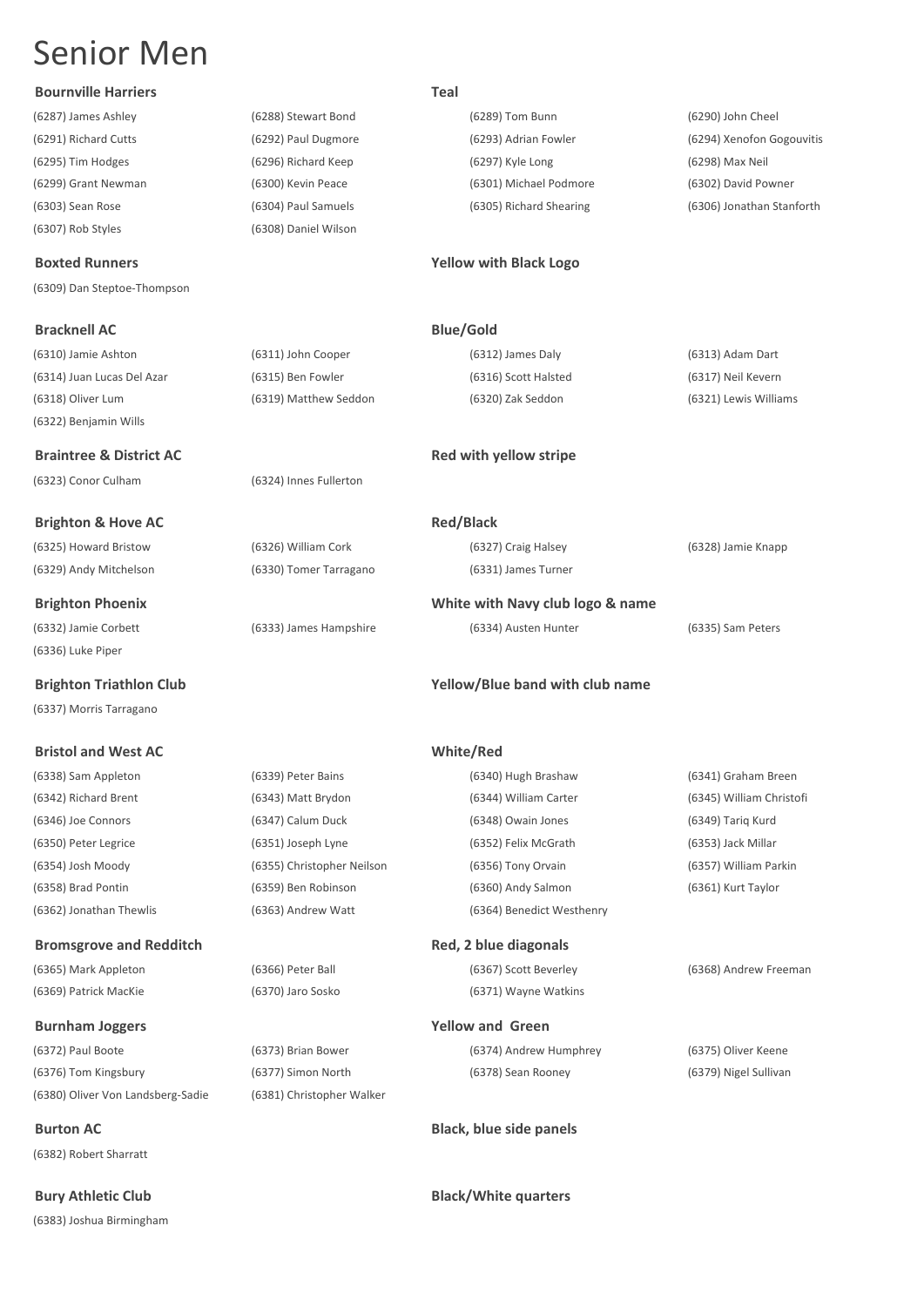### **Bournville Harriers Teal**

(6307) Rob Styles (6308) Daniel Wilson

(6309) Dan Steptoe-Thompson

(6310) Jamie Ashton (6311) John Cooper (6312) James Daly (6313) Adam Dart (6314) Juan Lucas Del Azar (6315) Ben Fowler (6316) Scott Halsted (6317) Neil Kevern (6318) Oliver Lum (6319) Matthew Seddon (6320) Zak Seddon (6321) Lewis Williams (6322) Benjamin Wills

**Braintree & District AC Red with yellow stripe Red with yellow stripe** (6323) Conor Culham (6324) Innes Fullerton

**Brighton & Hove AC Red/Black** (6325) Howard Bristow (6326) William Cork (6327) Craig Halsey (6328) Jamie Knapp

(6332) Jamie Corbett (6333) James Hampshire (6334) Austen Hunter (6335) Sam Peters (6336) Luke Piper

(6337) Morris Tarragano

### **Bristol and West AC White/Red**

### **Bromsgrove and Redditch <b>Red**, 2 blue diagonals

(6369) Patrick MacKie (6370) Jaro Sosko (6371) Wayne Watkins

### **Burnham Joggers Yellow and Green**

(6372) Paul Boote (6373) Brian Bower (6374) Andrew Humphrey (6375) Oliver Keene (6376) Tom Kingsbury (6377) Simon North (6378) Sean Rooney (6379) Nigel Sullivan (6380) Oliver Von Landsberg-Sadie (6381) Christopher Walker

(6382) Robert Sharratt

(6383) Joshua Birmingham

(6287) James Ashley (6288) Stewart Bond (6289) Tom Bunn (6290) John Cheel (6295) Tim Hodges (6296) Richard Keep (6297) Kyle Long (6298) Max Neil (6299) Grant Newman (6300) Kevin Peace (6301) Michael Podmore (6302) David Powner

(6291) Richard Cutts (6292) Paul Dugmore (6293) Adrian Fowler (6294) Xenofon Gogouvitis (6303) Sean Rose (6304) Paul Samuels (6305) Richard Shearing (6306) Jonathan Stanforth

### **Boxted Runners Yellow with Black Logo**

**Bracknell AC Blue/Gold** 

(6329) Andy Mitchelson (6330) Tomer Tarragano (6331) James Turner

**Brighton Phoenix White with Navy club logo & name**

### **Brighton Triathlon Club Yellow/Blue band with club name**

(6338) Sam Appleton (6339) Peter Bains (6340) Hugh Brashaw (6341) Graham Breen (6342) Richard Brent (6343) Matt Brydon (6344) William Carter (6345) William Christofi (6346) Joe Connors (6347) Calum Duck (6348) Owain Jones (6349) Tariq Kurd (6350) Peter Legrice (6351) Joseph Lyne (6352) Felix McGrath (6353) Jack Millar (6354) Josh Moody (6355) Christopher Neilson (6356) Tony Orvain (6357) William Parkin (6358) Brad Pontin (6359) Ben Robinson (6360) Andy Salmon (6361) Kurt Taylor (6362) Jonathan Thewlis (6363) Andrew Watt (6364) Benedict Westhenry

# (6365) Mark Appleton (6366) Peter Ball (6367) Scott Beverley (6368) Andrew Freeman

**Burton AC Black, blue side panels** 

**Bury Athletic Club Black/White quarters**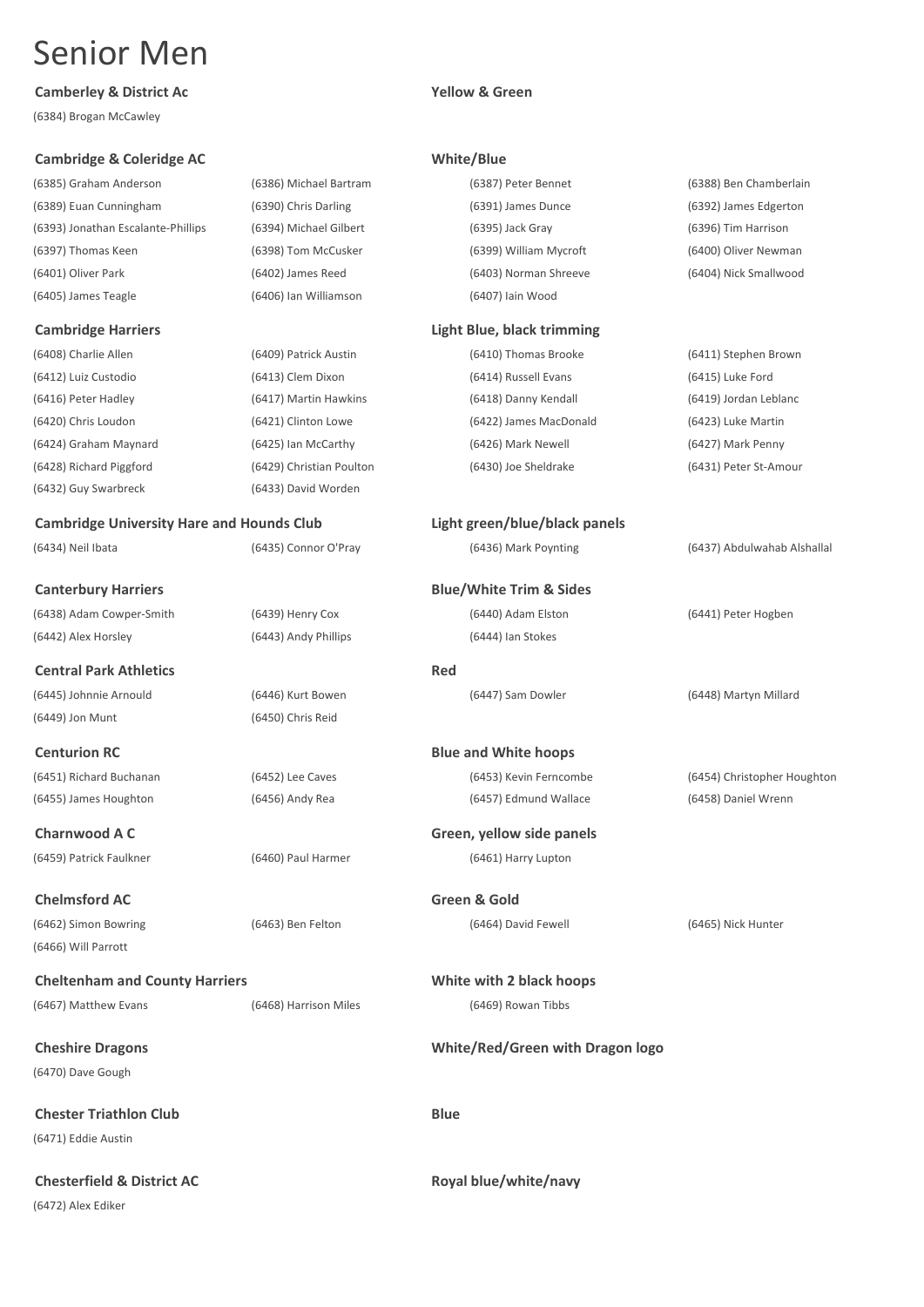### **Camberley & District Ac Yellow & Green**

(6384) Brogan McCawley

### **Cambridge & Coleridge AC White/Blue**

(6385) Graham Anderson (6389) Euan Cunning ham (6393) Jonathan Escalant (6397) Thomas Keen (6401) Oliver Park (6405) James Teagle

### **Cambridge Harriers**

(6408) Charlie Allen (6412) Luiz Custodio (6416) Peter Hadley (6420) Chris Loudon (6424) Graham Maynard (6428) Richard Piggford (6432) Guy Swarbreck

### **Cambridge University**

(6434) Neil Ibata

## **Canterbury Harriers**

(6438) Adam Cowper-Sm (6442) Alex Horsley

**Central Park Athleti** (6445) Johnnie Arnould (6449) Jon Munt

**Centurion RC** (6451) Richard Buchanan (6455) James Houghton

**Charnwood A C** (6459) Patrick Faulkner

### **Chelmsford AC** (6462) Simon Bowring (6466) Will Parrott

### **Cheltenham and Co** (6467) Matthew Evans

**Cheshire Dragons** (6470) Dave Gough

**Chester Triathlon C** (6471) Eddie Austin

**Chesterfield & Distr** (6472) Alex Ediker

|               | (6386) Michael Bartram   | (6387) Peter Bennet                | (6388) Ben Chamberlain      |
|---------------|--------------------------|------------------------------------|-----------------------------|
|               | (6390) Chris Darling     | (6391) James Dunce                 | (6392) James Edgerton       |
| e-Phillips    | (6394) Michael Gilbert   | (6395) Jack Gray                   | (6396) Tim Harrison         |
|               | (6398) Tom McCusker      | (6399) William Mycroft             | (6400) Oliver Newman        |
|               | (6402) James Reed        | (6403) Norman Shreeve              | (6404) Nick Smallwood       |
|               | (6406) Ian Williamson    | (6407) Iain Wood                   |                             |
|               |                          | <b>Light Blue, black trimming</b>  |                             |
|               | (6409) Patrick Austin    | (6410) Thomas Brooke               | (6411) Stephen Brown        |
|               | (6413) Clem Dixon        | (6414) Russell Evans               | (6415) Luke Ford            |
|               | (6417) Martin Hawkins    | (6418) Danny Kendall               | (6419) Jordan Leblanc       |
|               | (6421) Clinton Lowe      | (6422) James MacDonald             | (6423) Luke Martin          |
|               | (6425) Ian McCarthy      | (6426) Mark Newell                 | (6427) Mark Penny           |
|               | (6429) Christian Poulton | (6430) Joe Sheldrake               | (6431) Peter St-Amour       |
|               | (6433) David Worden      |                                    |                             |
|               | ity Hare and Hounds Club | Light green/blue/black panels      |                             |
|               | (6435) Connor O'Pray     | (6436) Mark Poynting               | (6437) Abdulwahab Alshallal |
| S             |                          | <b>Blue/White Trim &amp; Sides</b> |                             |
| ıith          | (6439) Henry Cox         | (6440) Adam Elston                 | (6441) Peter Hogben         |
|               | (6443) Andy Phillips     | (6444) Ian Stokes                  |                             |
| ics           |                          | Red                                |                             |
|               | (6446) Kurt Bowen        | (6447) Sam Dowler                  | (6448) Martyn Millard       |
|               | (6450) Chris Reid        |                                    |                             |
|               |                          |                                    |                             |
|               |                          | <b>Blue and White hoops</b>        |                             |
|               | (6452) Lee Caves         | (6453) Kevin Ferncombe             | (6454) Christopher Houghton |
|               | (6456) Andy Rea          | (6457) Edmund Wallace              | (6458) Daniel Wrenn         |
|               |                          | Green, yellow side panels          |                             |
|               | (6460) Paul Harmer       | (6461) Harry Lupton                |                             |
|               |                          | Green & Gold                       |                             |
|               | (6463) Ben Felton        | (6464) David Fewell                | (6465) Nick Hunter          |
|               |                          |                                    |                             |
| unty Harriers |                          | White with 2 black hoops           |                             |
|               | (6468) Harrison Miles    | (6469) Rowan Tibbs                 |                             |
|               |                          | White/Red/Green with Dragon logo   |                             |
|               |                          |                                    |                             |
| lub           |                          | <b>Blue</b>                        |                             |
| ict AC        |                          | Royal blue/white/navy              |                             |
|               |                          |                                    |                             |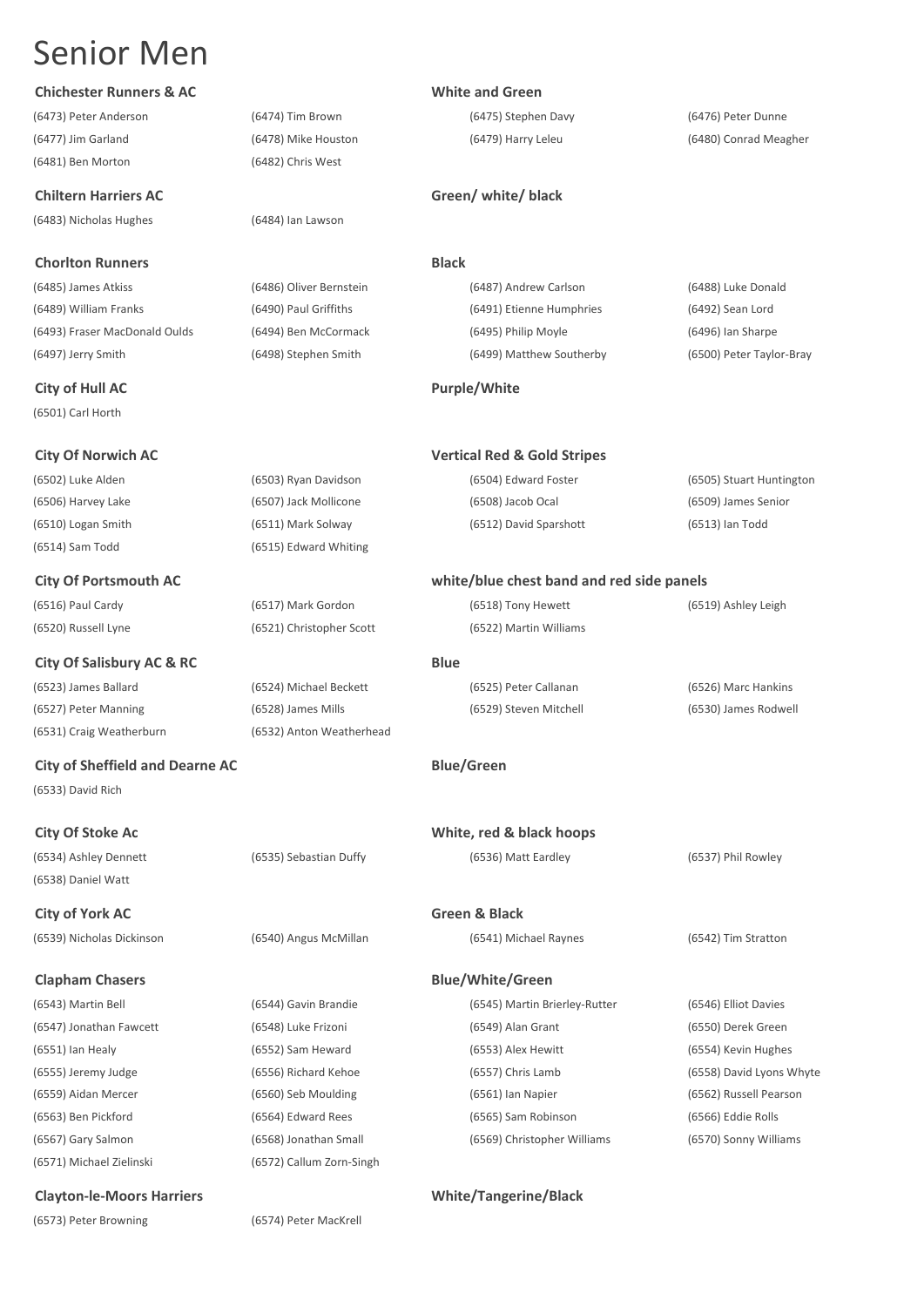### **Chichester Runners & AC White and Green**

(6473) Peter Anderson (6474) Tim Brown (6475) Stephen Davy (6476) Peter Dunne (6477) Jim Garland (6478) Mike Houston (6479) Harry Leleu (6480) Conrad Meagher (6481) Ben Morton (6482) Chris West

(6483) Nicholas Hughes (6484) Ian Lawson

### **Chorlton Runners Black**

**City of Hull AC Purple/White** (6501) Carl Horth

(6514) Sam Todd (6515) Edward Whiting

### **City Of Salisbury AC & RC Blue**

(6523) James Ballard (6524) Michael Beckett (6525) Peter Callanan (6526) Marc Hankins (6527) Peter Manning (6528) James Mills (6529) Steven Mitchell (6530) James Rodwell (6531) Craig Weatherburn (6532) Anton Weatherhead

**City of Sheffield and Dearne AC Blue/Green** (6533) David Rich

(6538) Daniel Watt

**City of York AC Green & Black** (6539) Nicholas Dickinson (6540) Angus McMillan (6541) Michael Raynes (6542) Tim Stratton

### **Clapham Chasers Blue/White/Green**

(6571) Michael Zielinski (6572) Callum Zorn-Singh

### **Clayton-le-Moors Harriers White/Tangerine/Black**

(6573) Peter Browning (6574) Peter MacKrell

### **Chiltern Harriers AC Green/ white/ black**

(6485) James Atkiss (6486) Oliver Bernstein (6487) Andrew Carlson (6488) Luke Donald (6489) William Franks (6490) Paul Griffiths (6491) Etienne Humphries (6492) Sean Lord (6493) Fraser MacDonald Oulds (6494) Ben McCormack (6495) Philip Moyle (6496) Ian Sharpe (6497) Jerry Smith (6498) Stephen Smith (6499) Matthew Southerby (6500) Peter Taylor-Bray

### **City Of Norwich AC Vertical Red & Gold Stripes**

(6502) Luke Alden (6503) Ryan Davidson (6504) Edward Foster (6505) Stuart Huntington (6506) Harvey Lake (6507) Jack Mollicone (6508) Jacob Ocal (6509) James Senior (6510) Logan Smith (6511) Mark Solway (6512) David Sparshott (6513) Ian Todd

### **City Of Portsmouth AC white/blue chest band and red side panels**

(6516) Paul Cardy (6517) Mark Gordon (6518) Tony Hewett (6519) Ashley Leigh (6520) Russell Lyne (6521) Christopher Scott (6522) Martin Williams

**City Of Stoke Ac White, red & black hoops** (6534) Ashley Dennett (6535) Sebastian Duffy (6536) Matt Eardley (6537) Phil Rowley

(6543) Martin Bell (6544) Gavin Brandie (6545) Martin Brierley-Rutter (6546) Elliot Davies (6547) Jonathan Fawcett (6548) Luke Frizoni (6549) Alan Grant (6550) Derek Green (6567) Gary Salmon (6568) Jonathan Small (6569) Christopher Williams (6570) Sonny Williams

(6551) Ian Healy (6552) Sam Heward (6553) Alex Hewitt (6554) Kevin Hughes (6555) Jeremy Judge (6556) Richard Kehoe (6557) Chris Lamb (6558) David Lyons Whyte (6559) Aidan Mercer (6560) Seb Moulding (6561) Ian Napier (6562) Russell Pearson (6563) Ben Pickford (6564) Edward Rees (6565) Sam Robinson (6566) Eddie Rolls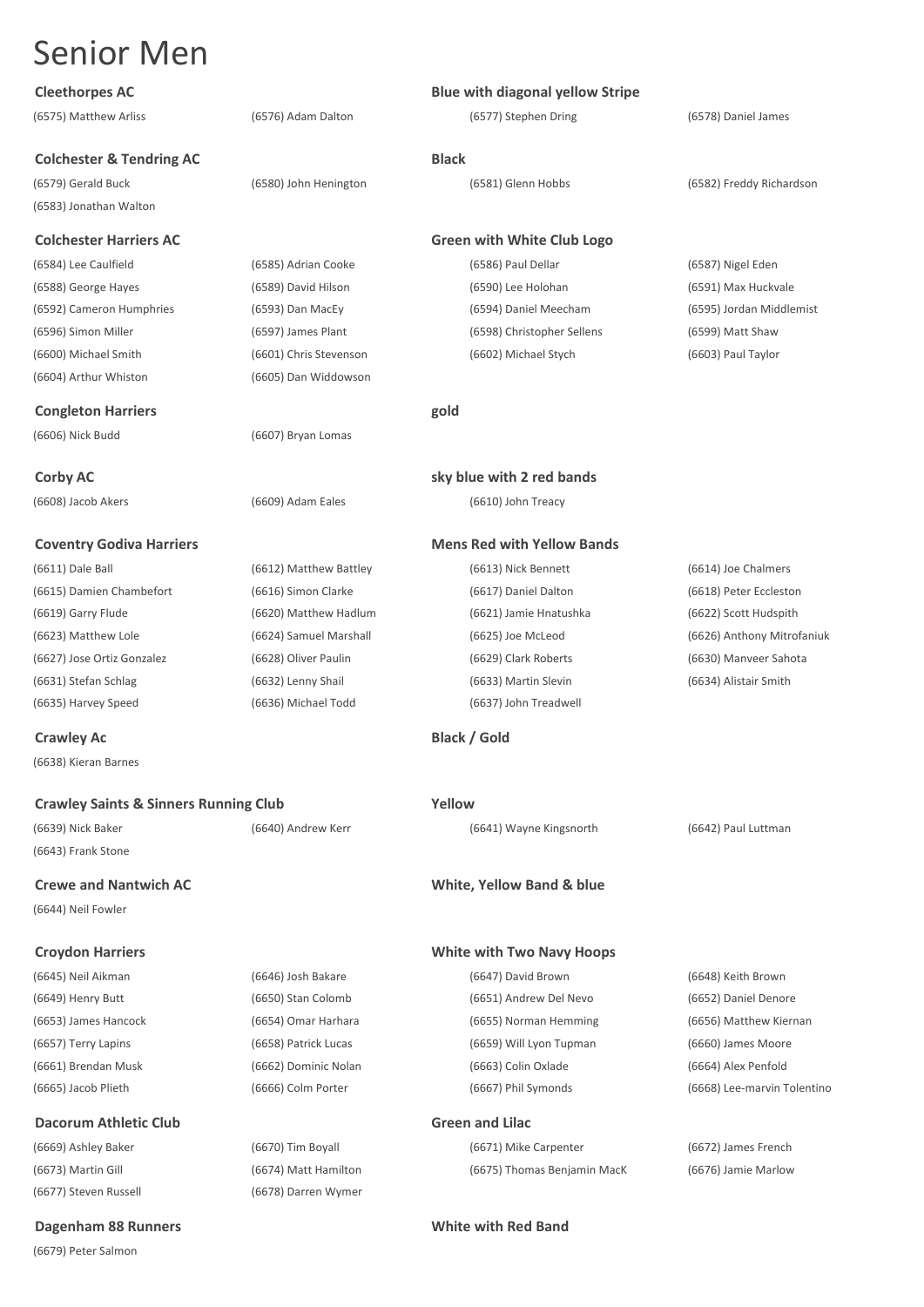| <b>Cleethorpes AC</b>                            |                        | <b>Blue with diagonal yellow Stripe</b> |                             |
|--------------------------------------------------|------------------------|-----------------------------------------|-----------------------------|
| (6575) Matthew Arliss                            | (6576) Adam Dalton     | (6577) Stephen Dring                    | (6578) Daniel James         |
| <b>Colchester &amp; Tendring AC</b>              |                        | <b>Black</b>                            |                             |
| (6579) Gerald Buck                               | (6580) John Henington  | (6581) Glenn Hobbs                      | (6582) Freddy Richardson    |
| (6583) Jonathan Walton                           |                        |                                         |                             |
| <b>Colchester Harriers AC</b>                    |                        | <b>Green with White Club Logo</b>       |                             |
| (6584) Lee Caulfield                             | (6585) Adrian Cooke    | (6586) Paul Dellar                      | (6587) Nigel Eden           |
| (6588) George Hayes                              | (6589) David Hilson    | (6590) Lee Holohan                      | (6591) Max Huckvale         |
| (6592) Cameron Humphries                         | (6593) Dan MacEy       | (6594) Daniel Meecham                   | (6595) Jordan Middlemist    |
| (6596) Simon Miller                              | (6597) James Plant     | (6598) Christopher Sellens              | (6599) Matt Shaw            |
| (6600) Michael Smith                             | (6601) Chris Stevenson | (6602) Michael Stych                    | (6603) Paul Taylor          |
| (6604) Arthur Whiston                            | (6605) Dan Widdowson   |                                         |                             |
| <b>Congleton Harriers</b>                        |                        | gold                                    |                             |
| (6606) Nick Budd                                 | (6607) Bryan Lomas     |                                         |                             |
| <b>Corby AC</b>                                  |                        | sky blue with 2 red bands               |                             |
| (6608) Jacob Akers                               | (6609) Adam Eales      | (6610) John Treacy                      |                             |
| <b>Coventry Godiva Harriers</b>                  |                        | <b>Mens Red with Yellow Bands</b>       |                             |
| (6611) Dale Ball                                 | (6612) Matthew Battley | (6613) Nick Bennett                     | (6614) Joe Chalmers         |
| (6615) Damien Chambefort                         | (6616) Simon Clarke    | (6617) Daniel Dalton                    | (6618) Peter Eccleston      |
| (6619) Garry Flude                               | (6620) Matthew Hadlum  | (6621) Jamie Hnatushka                  | (6622) Scott Hudspith       |
| (6623) Matthew Lole                              | (6624) Samuel Marshall | (6625) Joe McLeod                       | (6626) Anthony Mitrofaniuk  |
| (6627) Jose Ortiz Gonzalez                       | (6628) Oliver Paulin   | (6629) Clark Roberts                    | (6630) Manveer Sahota       |
| (6631) Stefan Schlag                             | (6632) Lenny Shail     | (6633) Martin Slevin                    | (6634) Alistair Smith       |
| (6635) Harvey Speed                              | (6636) Michael Todd    | (6637) John Treadwell                   |                             |
| <b>Crawley Ac</b>                                |                        | <b>Black / Gold</b>                     |                             |
| (6638) Kieran Barnes                             |                        |                                         |                             |
| <b>Crawley Saints &amp; Sinners Running Club</b> |                        | Yellow                                  |                             |
| (6639) Nick Baker                                | (6640) Andrew Kerr     | (6641) Wayne Kingsnorth                 | (6642) Paul Luttman         |
| (6643) Frank Stone                               |                        |                                         |                             |
| <b>Crewe and Nantwich AC</b>                     |                        | White, Yellow Band & blue               |                             |
| (6644) Neil Fowler                               |                        |                                         |                             |
| <b>Croydon Harriers</b>                          |                        | <b>White with Two Navy Hoops</b>        |                             |
| (6645) Neil Aikman                               | (6646) Josh Bakare     | (6647) David Brown                      | (6648) Keith Brown          |
| (6649) Henry Butt                                | (6650) Stan Colomb     | (6651) Andrew Del Nevo                  | (6652) Daniel Denore        |
| (6653) James Hancock                             | (6654) Omar Harhara    | (6655) Norman Hemming                   | (6656) Matthew Kiernan      |
| (6657) Terry Lapins                              | (6658) Patrick Lucas   | (6659) Will Lyon Tupman                 | (6660) James Moore          |
| (6661) Brendan Musk                              | (6662) Dominic Nolan   | (6663) Colin Oxlade                     | (6664) Alex Penfold         |
| (6665) Jacob Plieth                              | (6666) Colm Porter     | (6667) Phil Symonds                     | (6668) Lee-marvin Tolentinc |
| Dacorum Athletic Club                            |                        | <b>Green and Lilac</b>                  |                             |
| (6669) Ashley Baker                              | (6670) Tim Boyall      | (6671) Mike Carpenter                   | (6672) James French         |

(6673) Martin Gill (6674) Matt Hamilton (6675) Thomas Benjamin MacK (6676) Jamie Marlow (6677) Steven Russell (6678) Darren Wymer

**Dagenham 88 Runners White with Red Band** (6679) Peter Salmon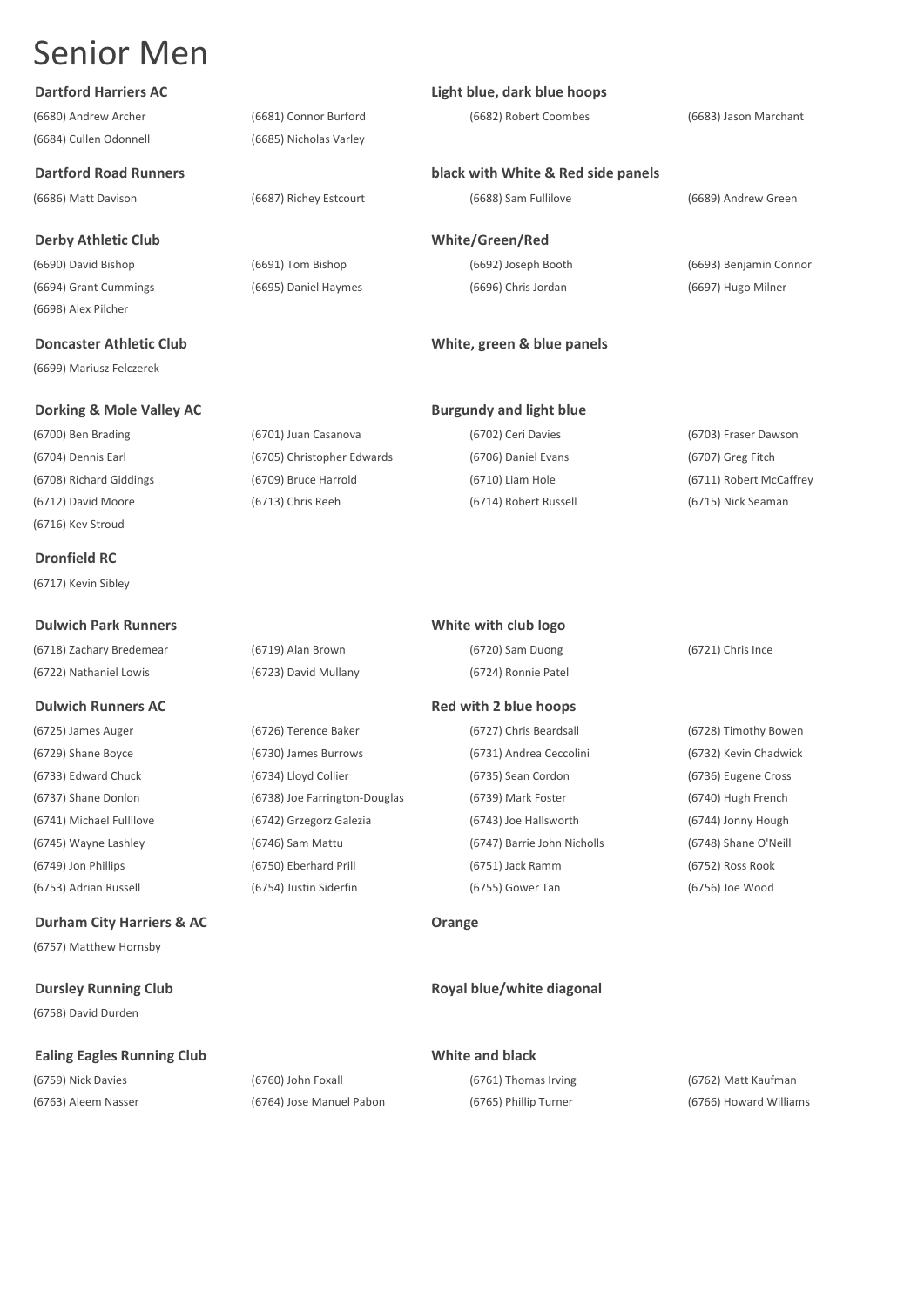(6684) Cullen Odonnell (6685) Nicholas Varley

### **Derby Athletic Club White/Green/Red**

(6690) David Bishop (6691) Tom Bishop (6692) Joseph Booth (6693) Benjamin Connor (6694) Grant Cummings (6695) Daniel Haymes (6696) Chris Jordan (6697) Hugo Milner (6698) Alex Pilcher

(6699) Mariusz Felczerek

(6716) Kev Stroud

**Dronfield RC**

(6717) Kevin Sibley

### **Durham City Harriers & AC Orange**

(6757) Matthew Hornsby

## **Dursley Running Club Royal blue/white diagonal**

(6758) David Durden

### **Ealing Eagles Running Club White and black**

(6686) Matt Davison (6687) Richey Estcourt (6688) Sam Fullilove (6689) Andrew Green

### **Dartford Harriers AC Light blue, dark blue hoops**

### **Dartford Road Runners black with White & Red side panels**

### **Doncaster Athletic Club Club Club White, green & blue panels**

### **Dulwich Runners AC Red with 2 blue hoops**

(6725) James Auger (6726) Terence Baker (6727) Chris Beardsall (6728) Timothy Bowen (6745) Wayne Lashley (6746) Sam Mattu (6747) Barrie John Nicholls (6748) Shane O'Neill (6749) Jon Phillips (6750) Eberhard Prill (6751) Jack Ramm (6752) Ross Rook (6753) Adrian Russell (6754) Justin Siderfin (6755) Gower Tan (6756) Joe Wood

(6759) Nick Davies (6760) John Foxall (6761) Thomas Irving (6762) Matt Kaufman (6763) Aleem Nasser (6764) Jose Manuel Pabon (6765) Phillip Turner (6766) Howard Williams

(6680) Andrew Archer (6681) Connor Burford (6682) Robert Coombes (6683) Jason Marchant

(6712) David Moore (6713) Chris Reeh (6714) Robert Russell (6715) Nick Seaman **Dulwich Park Runners White with club logo** (6718) Zachary Bredemear (6719) Alan Brown (6720) Sam Duong (6721) Chris Ince (6722) Nathaniel Lowis (6723) David Mullany (6724) Ronnie Patel

(6729) Shane Boyce (6730) James Burrows (6731) Andrea Ceccolini (6732) Kevin Chadwick (6733) Edward Chuck (6734) Lloyd Collier (6735) Sean Cordon (6736) Eugene Cross (6737) Shane Donlon (6738) Joe Farrington-Douglas (6739) Mark Foster (6740) Hugh French (6741) Michael Fullilove (6742) Grzegorz Galezia (6743) Joe Hallsworth (6744) Jonny Hough

**Dorking & Mole Valley AC Burgundy and light blue** (6700) Ben Brading (6701) Juan Casanova (6702) Ceri Davies (6703) Fraser Dawson (6704) Dennis Earl (6705) Christopher Edwards (6706) Daniel Evans (6707) Greg Fitch (6708) Richard Giddings (6709) Bruce Harrold (6710) Liam Hole (6711) Robert McCaffrey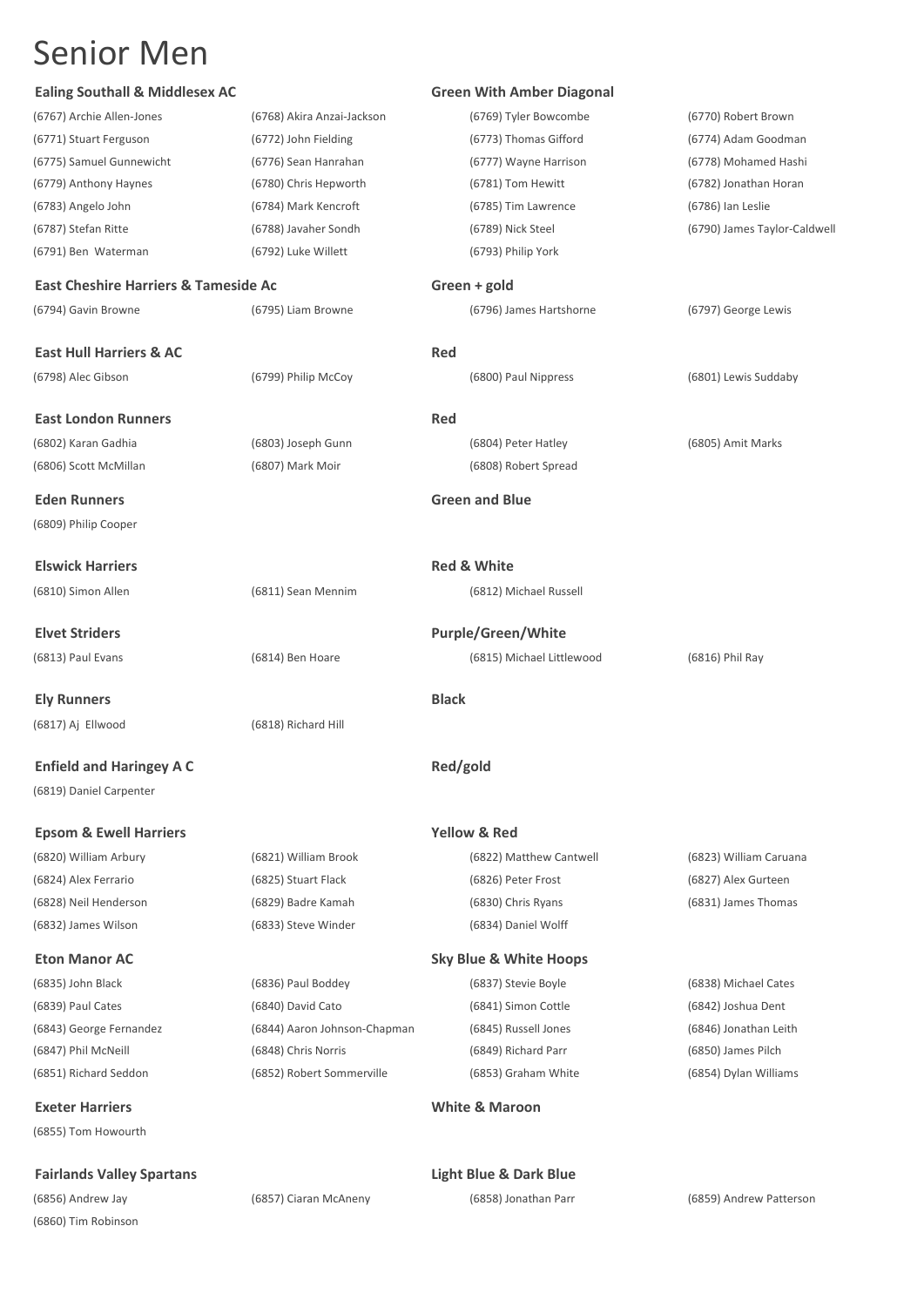| <b>Ealing Southall &amp; Middlesex AC</b>       |                              | <b>Green With Amber Diagonal</b>  |                              |
|-------------------------------------------------|------------------------------|-----------------------------------|------------------------------|
| (6767) Archie Allen-Jones                       | (6768) Akira Anzai-Jackson   | (6769) Tyler Bowcombe             | (6770) Robert Brown          |
| (6771) Stuart Ferguson                          | (6772) John Fielding         | (6773) Thomas Gifford             | (6774) Adam Goodman          |
| (6775) Samuel Gunnewicht                        | (6776) Sean Hanrahan         | (6777) Wayne Harrison             | (6778) Mohamed Hashi         |
| (6779) Anthony Haynes                           | (6780) Chris Hepworth        | (6781) Tom Hewitt                 | (6782) Jonathan Horan        |
| (6783) Angelo John                              | (6784) Mark Kencroft         | (6785) Tim Lawrence               | (6786) Ian Leslie            |
| (6787) Stefan Ritte                             | (6788) Javaher Sondh         | (6789) Nick Steel                 | (6790) James Taylor-Caldwell |
| (6791) Ben Waterman                             | (6792) Luke Willett          | (6793) Philip York                |                              |
| <b>East Cheshire Harriers &amp; Tameside Ac</b> |                              | Green + gold                      |                              |
| (6794) Gavin Browne                             | (6795) Liam Browne           | (6796) James Hartshorne           | (6797) George Lewis          |
| <b>East Hull Harriers &amp; AC</b>              |                              | Red                               |                              |
| (6798) Alec Gibson                              | (6799) Philip McCoy          | (6800) Paul Nippress              | (6801) Lewis Suddaby         |
| <b>East London Runners</b>                      |                              | Red                               |                              |
| (6802) Karan Gadhia                             | (6803) Joseph Gunn           | (6804) Peter Hatley               | (6805) Amit Marks            |
| (6806) Scott McMillan                           | (6807) Mark Moir             | (6808) Robert Spread              |                              |
| <b>Eden Runners</b>                             |                              | <b>Green and Blue</b>             |                              |
| (6809) Philip Cooper                            |                              |                                   |                              |
| <b>Elswick Harriers</b>                         |                              | <b>Red &amp; White</b>            |                              |
| (6810) Simon Allen                              | (6811) Sean Mennim           | (6812) Michael Russell            |                              |
| <b>Elvet Striders</b>                           |                              | <b>Purple/Green/White</b>         |                              |
| (6813) Paul Evans                               | (6814) Ben Hoare             | (6815) Michael Littlewood         | (6816) Phil Ray              |
| <b>Ely Runners</b>                              |                              | <b>Black</b>                      |                              |
| (6817) Aj Ellwood                               | (6818) Richard Hill          |                                   |                              |
| <b>Enfield and Haringey A C</b>                 |                              | Red/gold                          |                              |
| (6819) Daniel Carpenter                         |                              |                                   |                              |
| <b>Epsom &amp; Ewell Harriers</b>               |                              | <b>Yellow &amp; Red</b>           |                              |
| (6820) William Arbury                           | (6821) William Brook         | (6822) Matthew Cantwell           | (6823) William Caruana       |
| (6824) Alex Ferrario                            | (6825) Stuart Flack          | (6826) Peter Frost                | (6827) Alex Gurteen          |
| (6828) Neil Henderson                           | (6829) Badre Kamah           | (6830) Chris Ryans                | (6831) James Thomas          |
| (6832) James Wilson                             | (6833) Steve Winder          | (6834) Daniel Wolff               |                              |
| <b>Eton Manor AC</b>                            |                              | <b>Sky Blue &amp; White Hoops</b> |                              |
| (6835) John Black                               | (6836) Paul Boddey           | (6837) Stevie Boyle               | (6838) Michael Cates         |
| (6839) Paul Cates                               | (6840) David Cato            | (6841) Simon Cottle               | (6842) Joshua Dent           |
| (6843) George Fernandez                         | (6844) Aaron Johnson-Chapman | (6845) Russell Jones              | (6846) Jonathan Leith        |
| (6847) Phil McNeill                             | (6848) Chris Norris          | (6849) Richard Parr               | (6850) James Pilch           |
| (6851) Richard Seddon                           | (6852) Robert Sommerville    | (6853) Graham White               | (6854) Dylan Williams        |

**Exeter Harriers White & Maroon**

(6855) Tom Howourth

**Fairlands Valley Spartans Light Blue & Dark Blue** (6856) Andrew Jay (6857) Ciaran McAneny (6858) Jonathan Parr (6859) Andrew Patterson (6860) Tim Robinson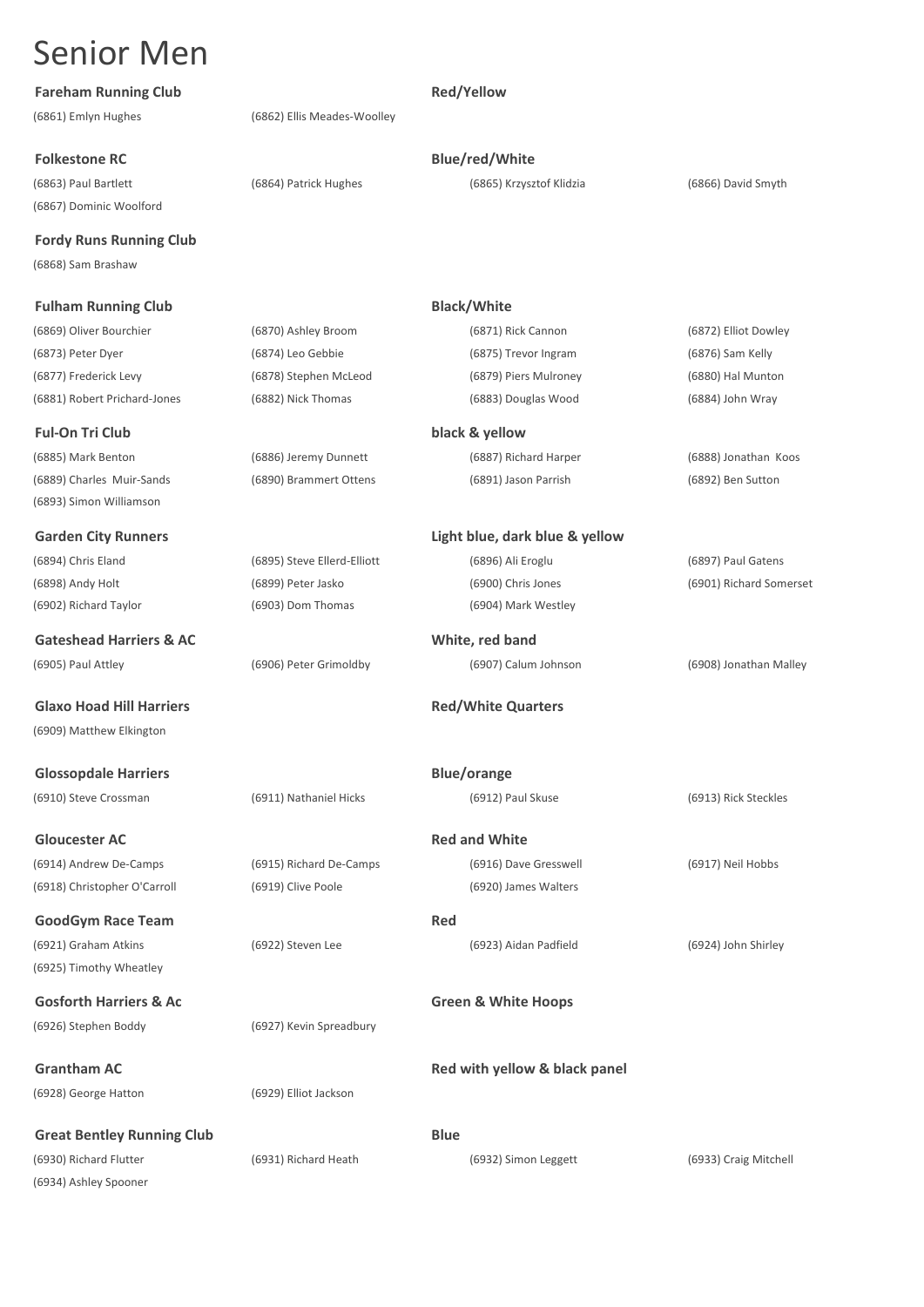**Fareham Running Club Red/Yellow Red/Yellow** 

**Folkestone RC Blue/red/White** 

(6867) Dominic Woolford

**Fordy Runs Running Club**

(6868) Sam Brashaw

### **Fulham Running Club Black/White**

(6869) Oliver Bourchier (6870) Ashley Broom (6871) Rick Cannon (6872) Elliot Dowley (6873) Peter Dyer (6874) Leo Gebbie (6875) Trevor Ingram (6876) Sam Kelly (6877) Frederick Levy (6878) Stephen McLeod (6879) Piers Mulroney (6880) Hal Munton (6881) Robert Prichard-Jones (6882) Nick Thomas (6883) Douglas Wood (6884) John Wray

**Ful-On Tri Club black & yellow** (6885) Mark Benton (6886) Jeremy Dunnett (6887) Richard Harper (6888) Jonathan Koos

(6893) Simon Williamson

**Gateshead Harriers & AC White, red band** (6905) Paul Attley (6906) Peter Grimoldby (6907) Calum Johnson (6908) Jonathan Malley

(6909) Matthew Elkington

**Glossopdale Harriers Blue/orange** (6910) Steve Crossman (6911) Nathaniel Hicks (6912) Paul Skuse (6913) Rick Steckles

(6914) Andrew De-Camps (6915) Richard De-Camps (6916) Dave Gresswell (6917) Neil Hobbs (6918) Christopher O'Carroll (6919) Clive Poole (6920) James Walters

**GoodGym Race Team** Red (6921) Graham Atkins (6922) Steven Lee (6923) Aidan Padfield (6924) John Shirley (6925) Timothy Wheatley

**Gosforth Harriers & Ac Green & White Hoops** (6926) Stephen Boddy (6927) Kevin Spreadbury

(6928) George Hatton (6929) Elliot Jackson

**Great Bentley Running Club Blue** (6930) Richard Flutter (6931) Richard Heath (6932) Simon Leggett (6933) Craig Mitchell (6934) Ashley Spooner

(6861) Emlyn Hughes (6862) Ellis Meades-Woolley

(6863) Paul Bartlett (6864) Patrick Hughes (6865) Krzysztof Klidzia (6866) David Smyth

(6889) Charles Muir-Sands (6890) Brammert Ottens (6891) Jason Parrish (6892) Ben Sutton

**Garden City Runners Light blue, dark blue & yellow** (6894) Chris Eland (6895) Steve Ellerd-Elliott (6896) Ali Eroglu (6897) Paul Gatens (6898) Andy Holt (6899) Peter Jasko (6900) Chris Jones (6901) Richard Somerset

(6902) Richard Taylor (6903) Dom Thomas (6904) Mark Westley

### **Glaxo Hoad Hill Harriers Red/White Quarters**

**Gloucester AC Red and White** 

**Grantham AC Red with yellow & black panel Red with yellow & black panel**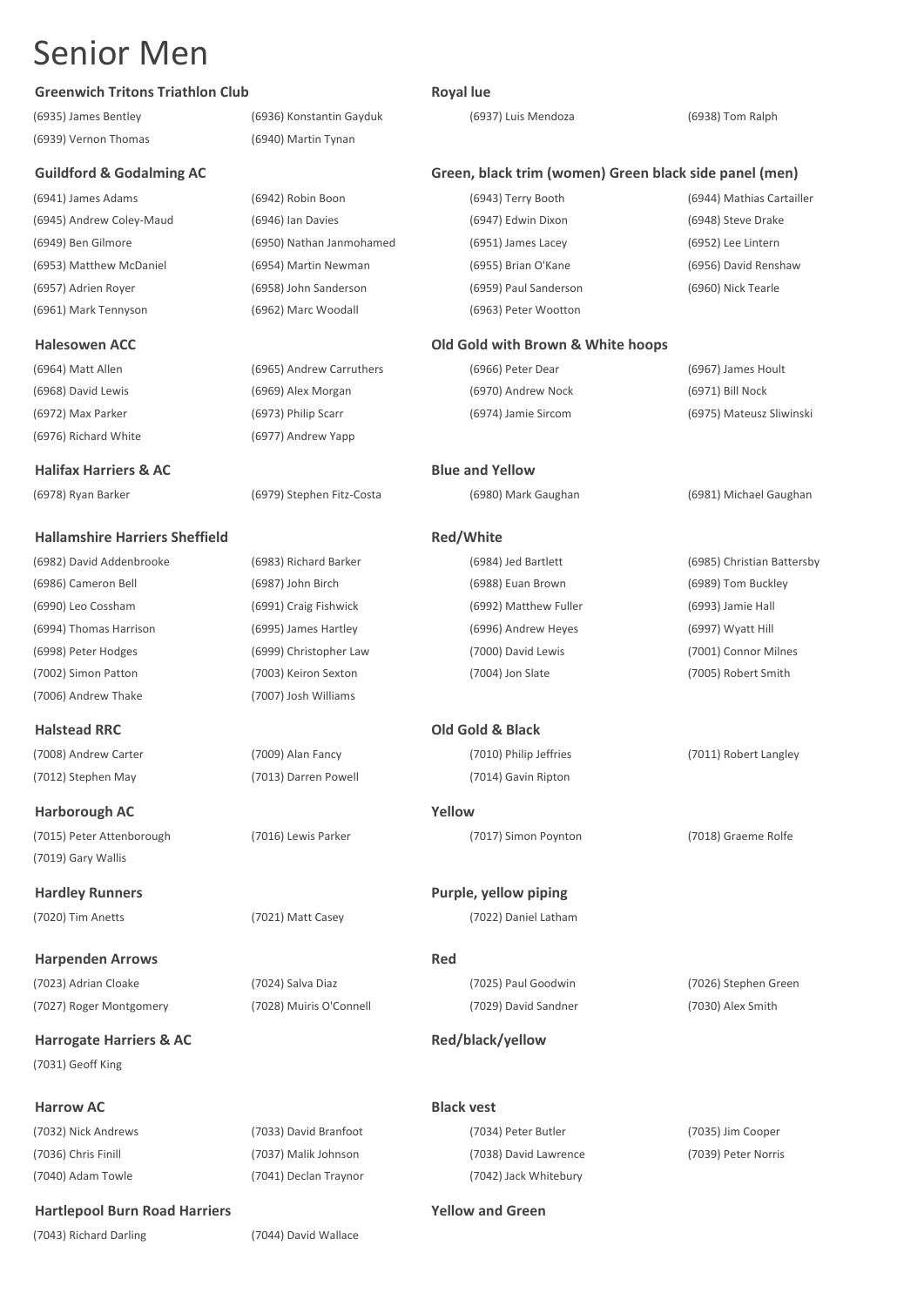### **Greenwich Tritons Triathlon Club Royal lue**

(6935) James Bentley (6936) Konstantin Gayduk (6937) Luis Mendoza (6938) Tom Ralph (6939) Vernon Thomas (6940) Martin Tynan

(6945) Andrew Coley-Maud (6946) Ian Davies (6953) Matthew McDaniel (6954) Martin Newman (6957) Adrien Royer (6958) John Sanderson (6961) Mark Tennyson (6962) Marc Woodall (6963) Peter Wootton

(6968) David Lewis (6969) Alex Morgan (6972) Max Parker (6973) Philip Scarr

### **Halifax Harriers & AC Blue and Yellow**

### **Hallamshire Harriers Sheffield Red/White**

(6982) David Addenbrooke (6983) Richard Barker (6984) Jed Bartlett (6985) Christian Battersby (6986) Cameron Bell (6987) John Birch (6988) Euan Brown (6989) Tom Buckley (6990) Leo Cossham (6991) Craig Fishwick (6992) Matthew Fuller (6993) Jamie Hall (6994) Thomas Harrison (6995) James Hartley (6996) Andrew Heyes (6997) Wyatt Hill (6998) Peter Hodges (6999) Christopher Law (7000) David Lewis (7001) Connor Milnes (7002) Simon Patton (7003) Keiron Sexton (7004) Jon Slate (7005) Robert Smith (7006) Andrew Thake (7007) Josh Williams

**Harborough AC Yellow**

(7019) Gary Wallis

(7023) Adrian Cloake (7024) Salva Diaz (7025) Paul Goodwin (7026) Stephen Green

**Harrogate Harriers & AC Red/black/yellow Red/black/yellow** (7031) Geoff King

### **Hartlepool Burn Road Harriers Yellow and Green**

(7043) Richard Darling (7044) David Wallace

(6941) James Adams (6942) Robin Boon (6949) Ben Gilmore (6950) Nathan Janmohamed

(6964) Matt Allen (6965) Andrew Carruthers (6976) Richard White (6977) Andrew Yapp

(7027) Roger Montgomery (7028) Muiris O'Connell (7029) David Sandner (7030) Alex Smith

### **Guildford & Godalming AC Green, black trim (women) Green black side panel (men)**

| (6943) Terry Booth        | (6944) Mathias Cartailler |
|---------------------------|---------------------------|
| (6947) Edwin Dixon        | (6948) Steve Drake        |
| (6951) James Lacey        | (6952) Lee Lintern        |
| (6955) Brian O'Kane       | (6956) David Renshaw      |
| (6959) Paul Sanderson     | (6960) Nick Tearle        |
| $(6062)$ Dotar $M$ ootton |                           |

### **Halesowen ACC Old Gold with Brown & White hoops**

| (6966) Peter Dear   | (6967) James Hoult       |
|---------------------|--------------------------|
| (6970) Andrew Nock  | (6971) Bill Nock         |
| (6974) Jamie Sircom | (6975) Mateusz Sliwinski |

(6978) Ryan Barker (6979) Stephen Fitz-Costa (6980) Mark Gaughan (6981) Michael Gaughan

(7015) Peter Attenborough (7016) Lewis Parker (7017) Simon Poynton (7018) Graeme Rolfe

(7032) Nick Andrews (7033) David Branfoot (7034) Peter Butler (7035) Jim Cooper (7036) Chris Finill (7037) Malik Johnson (7038) David Lawrence (7039) Peter Norris

(7040) Adam Towle (7041) Declan Traynor (7042) Jack Whitebury

**Halstead RRC Old Gold & Black** (7008) Andrew Carter (7009) Alan Fancy (7010) Philip Jeffries (7011) Robert Langley (7012) Stephen May (7013) Darren Powell (7014) Gavin Ripton

**Hardley Runners Purple, yellow piping** (7020) Tim Anetts (7021) Matt Casey (7022) Daniel Latham

**Harpenden Arrows Red**

**Harrow AC Black vest**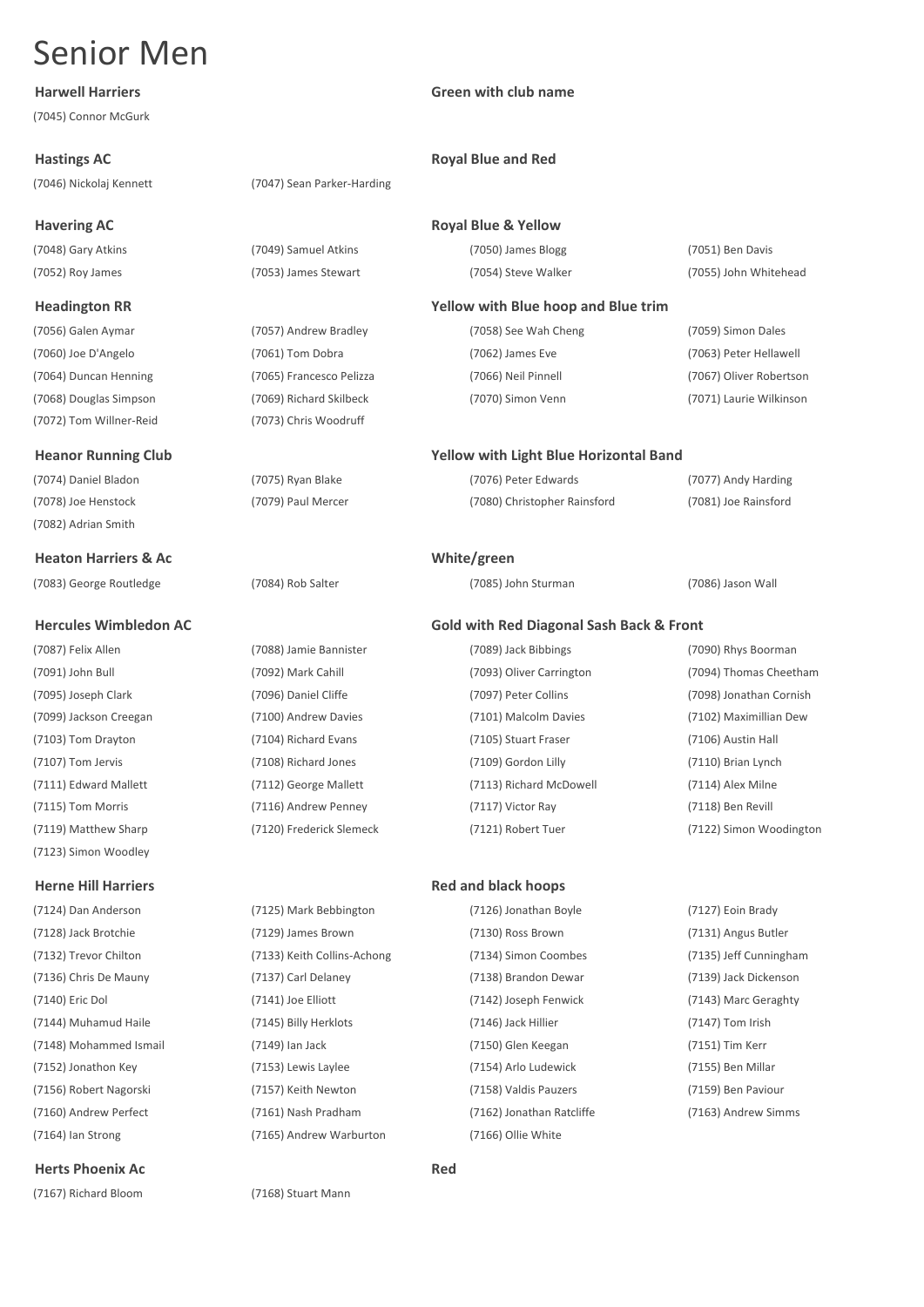(7045) Connor McGurk

(7046) Nickolaj Kennett (7047) Sean Parker-Harding

### **Havering AC Royal Blue & Yellow**

(7072) Tom Willner-Reid (7073) Chris Woodruff

(7082) Adrian Smith

### **Heaton Harriers & Ac White/green**

(7083) George Routledge (7084) Rob Salter (7085) John Sturman (7086) Jason Wall

(7123) Simon Woodley

(7124) Dan Anderson (7125) Mark Bebbington (7126) Jonathan Boyle (7127) Eoin Brady (7128) Jack Brotchie (7129) James Brown (7130) Ross Brown (7131) Angus Butler (7132) Trevor Chilton (7133) Keith Collins-Achong (7134) Simon Coombes (7135) Jeff Cunningham (7136) Chris De Mauny (7137) Carl Delaney (7138) Brandon Dewar (7139) Jack Dickenson (7140) Eric Dol (7141) Joe Elliott (7142) Joseph Fenwick (7143) Marc Geraghty (7144) Muhamud Haile (7145) Billy Herklots (7146) Jack Hillier (7147) Tom Irish (7148) Mohammed Ismail (7149) Ian Jack (7150) Glen Keegan (7151) Tim Kerr (7152) Jonathon Key (7153) Lewis Laylee (7154) Arlo Ludewick (7155) Ben Millar (7156) Robert Nagorski (7157) Keith Newton (7158) Valdis Pauzers (7159) Ben Paviour (7160) Andrew Perfect (7161) Nash Pradham (7162) Jonathan Ratcliffe (7163) Andrew Simms (7164) Ian Strong (7165) Andrew Warburton (7166) Ollie White

### **Herts Phoenix Ac Red**

(7167) Richard Bloom (7168) Stuart Mann

## (7052) Roy James (7053) James Stewart (7054) Steve Walker (7055) John Whitehead

**Harwell Harriers Green with club name**

### **Hastings AC Royal Blue and Red**

(7048) Gary Atkins (7049) Samuel Atkins (7050) James Blogg (7051) Ben Davis

### **Headington RR Yellow with Blue hoop and Blue trim**

(7056) Galen Aymar (7057) Andrew Bradley (7058) See Wah Cheng (7059) Simon Dales (7060) Joe D'Angelo (7061) Tom Dobra (7062) James Eve (7063) Peter Hellawell (7064) Duncan Henning (7065) Francesco Pelizza (7066) Neil Pinnell (7067) Oliver Robertson (7068) Douglas Simpson (7069) Richard Skilbeck (7070) Simon Venn (7071) Laurie Wilkinson

### **Heanor Running Club Yellow with Light Blue Horizontal Band**

(7074) Daniel Bladon (7075) Ryan Blake (7076) Peter Edwards (7077) Andy Harding (7078) Joe Henstock (7079) Paul Mercer (7080) Christopher Rainsford (7081) Joe Rainsford

### **Hercules Wimbledon AC Gold with Red Diagonal Sash Back & Front**

(7087) Felix Allen (7088) Jamie Bannister (7089) Jack Bibbings (7090) Rhys Boorman (7091) John Bull (7092) Mark Cahill (7093) Oliver Carrington (7094) Thomas Cheetham (7095) Joseph Clark (7096) Daniel Cliffe (7097) Peter Collins (7098) Jonathan Cornish (7099) Jackson Creegan (7100) Andrew Davies (7101) Malcolm Davies (7102) Maximillian Dew (7103) Tom Drayton (7104) Richard Evans (7105) Stuart Fraser (7106) Austin Hall (7107) Tom Jervis (7108) Richard Jones (7109) Gordon Lilly (7110) Brian Lynch (7111) Edward Mallett (7112) George Mallett (7113) Richard McDowell (7114) Alex Milne (7115) Tom Morris (7116) Andrew Penney (7117) Victor Ray (7118) Ben Revill

(7119) Matthew Sharp (7120) Frederick Slemeck (7121) Robert Tuer (7122) Simon Woodington

### **Herne Hill Harriers Red and black hoops**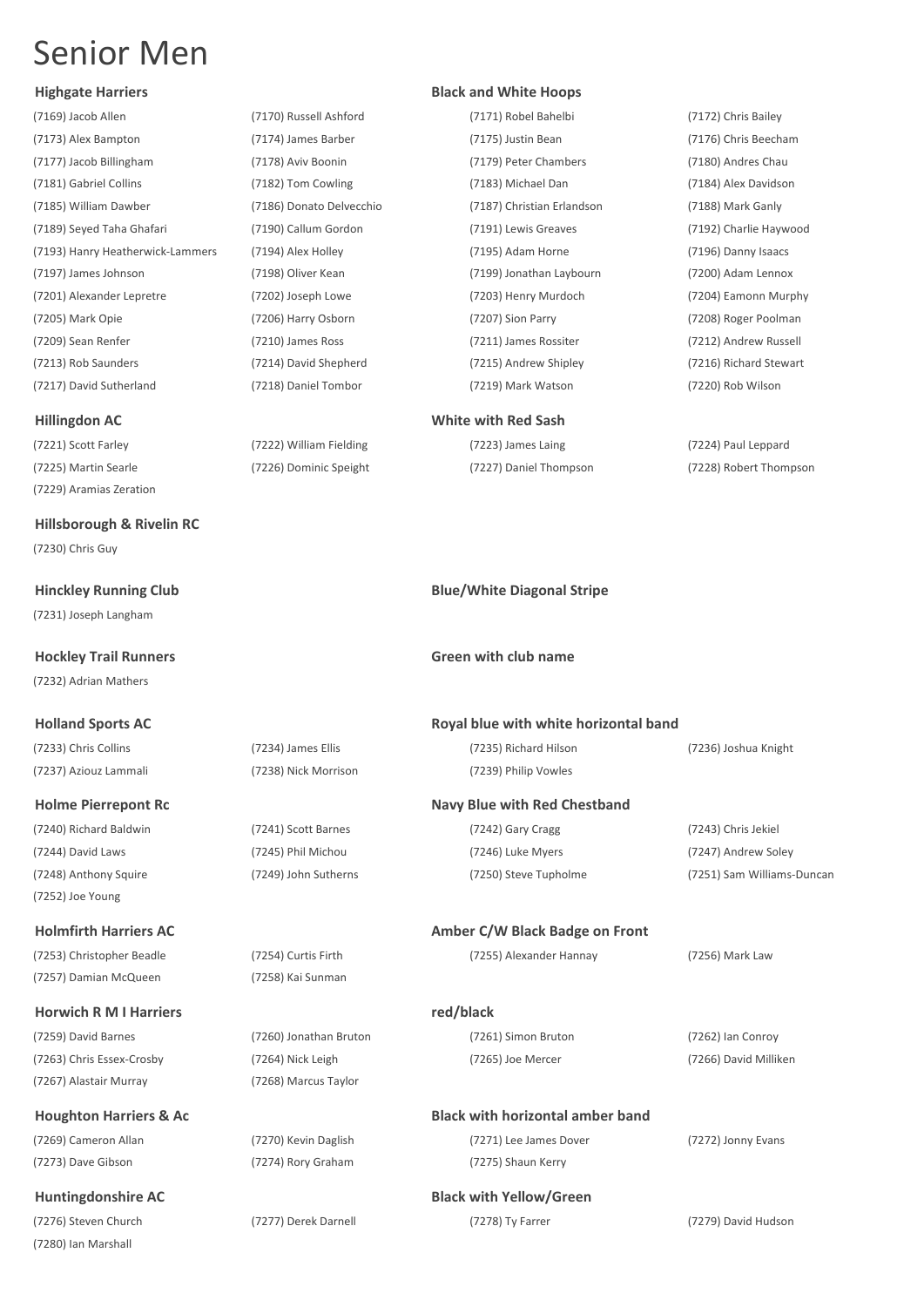(7169) Jacob Allen (7170) Russell Ashford (7171) Robel Bahelbi (7172) Chris Bailey (7173) Alex Bampton (7174) James Barber (7175) Justin Bean (7176) Chris Beecham (7177) Jacob Billingham (7178) Aviv Boonin (7179) Peter Chambers (7180) Andres Chau (7181) Gabriel Collins (7182) Tom Cowling (7183) Michael Dan (7184) Alex Davidson (7185) William Dawber (7186) Donato Delvecchio (7187) Christian Erlandson (7188) Mark Ganly (7189) Seyed Taha Ghafari (7190) Callum Gordon (7191) Lewis Greaves (7192) Charlie Haywood (7193) Hanry Heatherwick-Lammers (7194) Alex Holley (7195) Adam Horne (7196) Danny Isaacs (7197) James Johnson (7198) Oliver Kean (7199) Jonathan Laybourn (7200) Adam Lennox (7201) Alexander Lepretre (7202) Joseph Lowe (7203) Henry Murdoch (7204) Eamonn Murphy (7205) Mark Opie (7206) Harry Osborn (7207) Sion Parry (7208) Roger Poolman (7209) Sean Renfer (7210) James Ross (7211) James Rossiter (7212) Andrew Russell (7213) Rob Saunders (7214) David Shepherd (7215) Andrew Shipley (7216) Richard Stewart (7217) David Sutherland (7218) Daniel Tombor (7219) Mark Watson (7220) Rob Wilson

(7221) Scott Farley (7222) William Fielding (7223) James Laing (7224) Paul Leppard (7229) Aramias Zeration

**Hillsborough & Rivelin RC** (7230) Chris Guy

(7231) Joseph Langham

(7232) Adrian Mathers

(7248) Anthony Squire (7249) John Sutherns (7250) Steve Tupholme (7251) Sam Williams-Duncan (7252) Joe Young

**Holmfirth Harriers AC Amber C/W Black Badge on Front**  (7253) Christopher Beadle (7254) Curtis Firth (7255) Alexander Hannay (7256) Mark Law (7257) Damian McQueen (7258) Kai Sunman

### **Horwich R M I Harriers red/black**

(7259) David Barnes (7260) Jonathan Bruton (7261) Simon Bruton (7262) Ian Conroy (7263) Chris Essex-Crosby (7264) Nick Leigh (7265) Joe Mercer (7266) David Milliken (7267) Alastair Murray (7268) Marcus Taylor

**Houghton Harriers & Ac Black with horizontal amber band** (7269) Cameron Allan (7270) Kevin Daglish (7271) Lee James Dover (7272) Jonny Evans (7273) Dave Gibson (7274) Rory Graham (7275) Shaun Kerry

**Huntingdonshire AC Black with Yellow/Green** (7280) Ian Marshall

### **Highgate Harriers Black and White Hoops**

### **Hillingdon AC White with Red Sash**

(7225) Martin Searle (7226) Dominic Speight (7227) Daniel Thompson (7228) Robert Thompson

### **Hinckley Running Club Blue/White Diagonal Stripe**

### **Hockley Trail Runners Green with club name**

### **Holland Sports AC Royal blue with white horizontal band** (7233) Chris Collins (7234) James Ellis (7235) Richard Hilson (7236) Joshua Knight (7237) Aziouz Lammali (7238) Nick Morrison (7239) Philip Vowles

### **Holme Pierrepont Rc Navy Blue with Red Chestband**

(7240) Richard Baldwin (7241) Scott Barnes (7242) Gary Cragg (7243) Chris Jekiel (7244) David Laws (7245) Phil Michou (7246) Luke Myers (7247) Andrew Soley

(7276) Steven Church (7277) Derek Darnell (7278) Ty Farrer (7279) David Hudson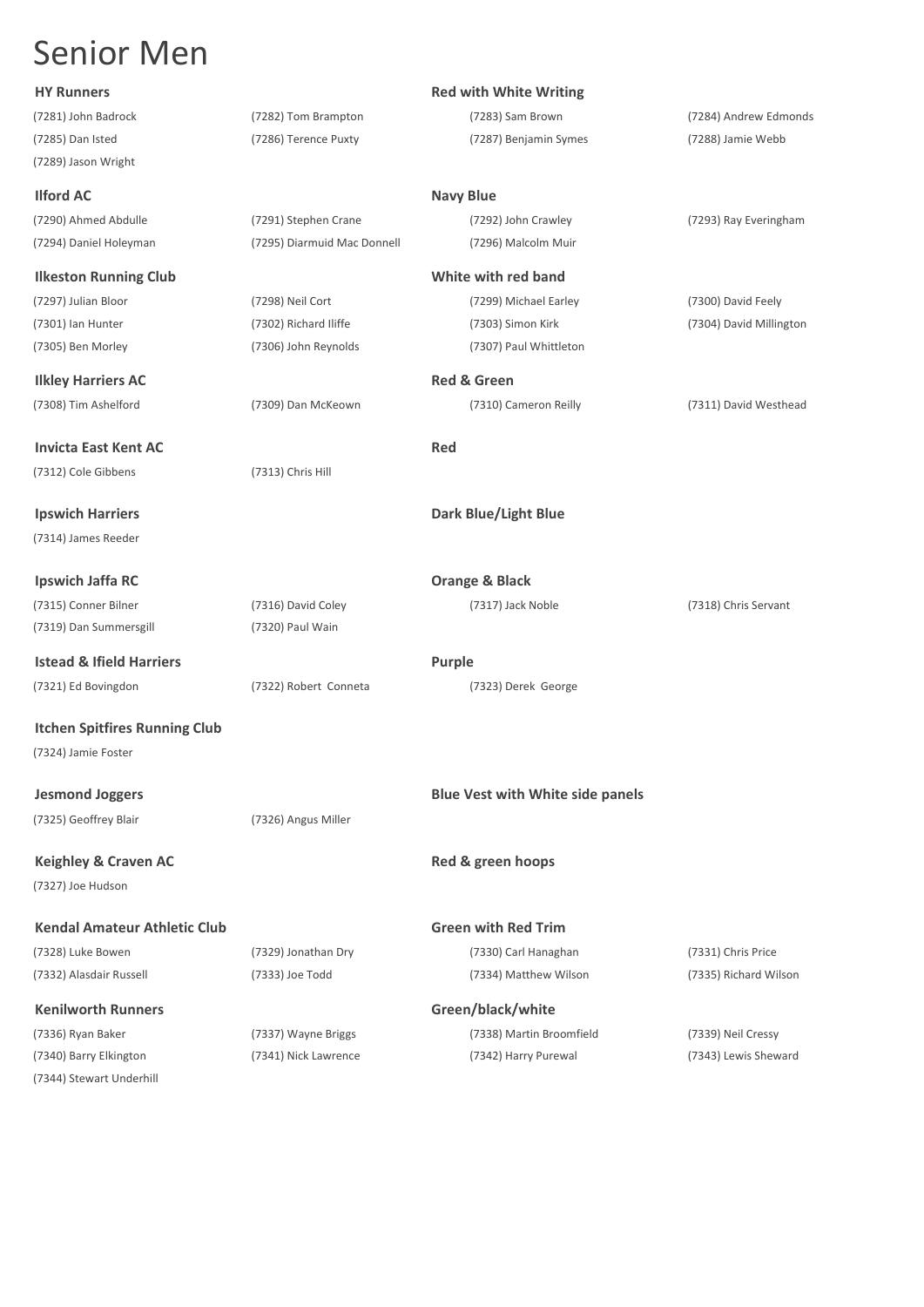(7289) Jason Wright

(7294) Daniel Holeyman (7295) Diarmuid Mac Donnell (7296) Malcolm Muir

### **Ilkeston Running Club White with red band**

(7297) Julian Bloor (7298) Neil Cort (7299) Michael Earley (7300) David Feely

### **Ilkley Harriers AC Red & Green**

### **Invicta East Kent AC** Red (7312) Cole Gibbens (7313) Chris Hill

(7314) James Reeder

**Ipswich Jaffa RC Orange & Black** (7315) Conner Bilner (7316) David Coley (7317) Jack Noble (7318) Chris Servant (7319) Dan Summersgill (7320) Paul Wain

**Istead & Ifield Harriers Purple** 

(7321) Ed Bovingdon (7322) Robert Conneta (7323) Derek George

**Itchen Spitfires Running Club** (7324) Jamie Foster

(7325) Geoffrey Blair (7326) Angus Miller

**Keighley & Craven AC Red & green hoops Red & green hoops** (7327) Joe Hudson

### **Kendal Amateur Athletic Club Green with Red Trim** (7328) Luke Bowen (7329) Jonathan Dry (7330) Carl Hanaghan (7331) Chris Price

### **Kenilworth Runners Green/black/white**

(7344) Stewart Underhill

## (7281) John Badrock (7282) Tom Brampton (7283) Sam Brown (7284) Andrew Edmonds

### **HY Runners Red with White Writing**

### **Ilford AC Navy Blue**

(7290) Ahmed Abdulle (7291) Stephen Crane (7292) John Crawley (7293) Ray Everingham

(7301) Ian Hunter (7302) Richard Iliffe (7303) Simon Kirk (7304) David Millington (7305) Ben Morley (7306) John Reynolds (7307) Paul Whittleton

### **Ipswich Harriers Dark Blue/Light Blue**

### **Jesmond Joggers Blue Vest with White side panels**

(7336) Ryan Baker (7337) Wayne Briggs (7338) Martin Broomfield (7339) Neil Cressy (7340) Barry Elkington (7341) Nick Lawrence (7342) Harry Purewal (7343) Lewis Sheward

(7332) Alasdair Russell (7333) Joe Todd (7334) Matthew Wilson (7335) Richard Wilson

### (7285) Dan Isted (7286) Terence Puxty (7287) Benjamin Symes (7288) Jamie Webb

(7308) Tim Ashelford (7309) Dan McKeown (7310) Cameron Reilly (7311) David Westhead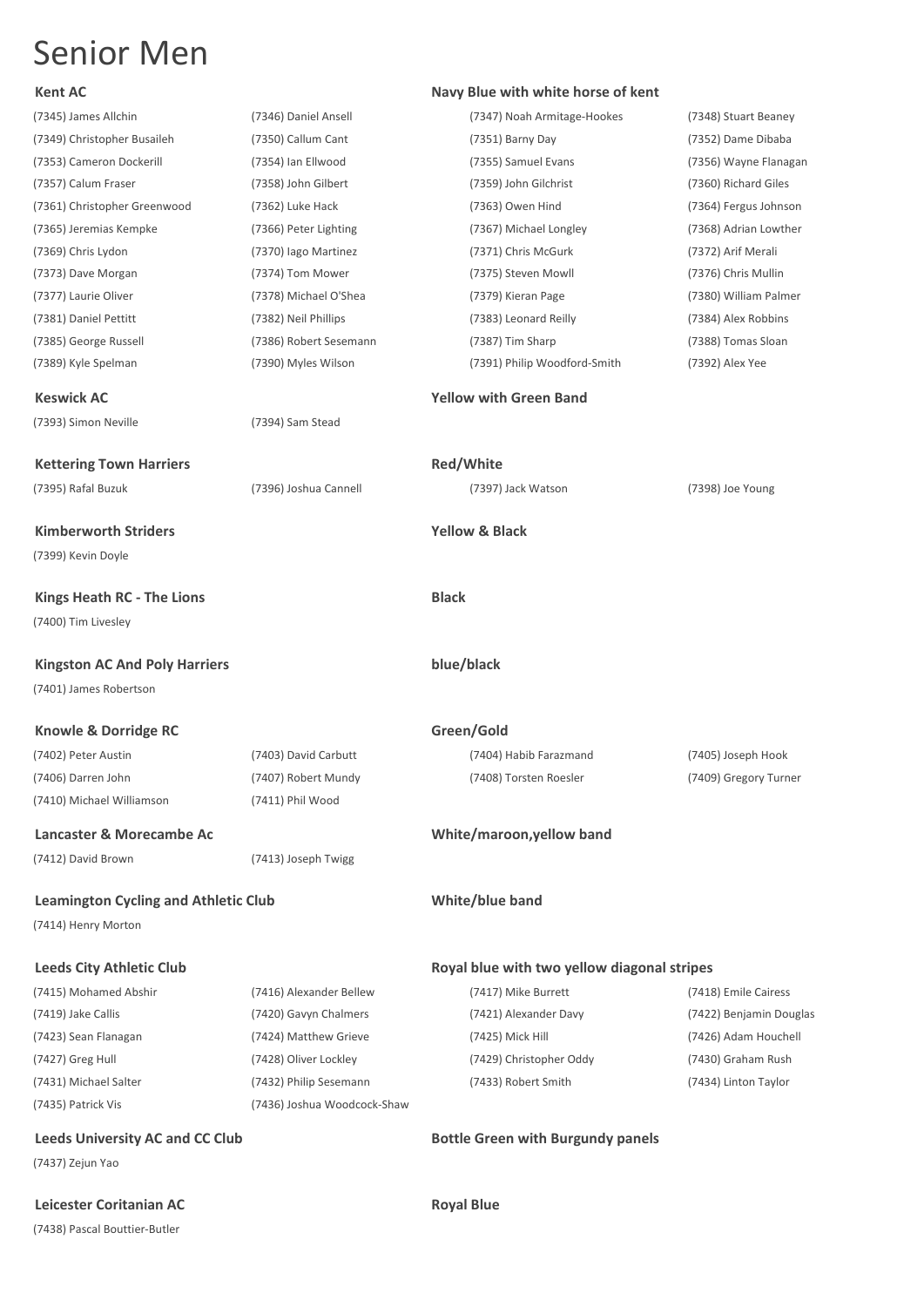### **Kent AC Navy Blue with white horse of kent**

|                                             | (7346) Daniel Ansell        | (7347) Noah Armitage-Hookes                 | (7348) Stuart Beaney    |
|---------------------------------------------|-----------------------------|---------------------------------------------|-------------------------|
| (7349) Christopher Busaileh                 | (7350) Callum Cant          | (7351) Barny Day                            | (7352) Dame Dibaba      |
| (7353) Cameron Dockerill                    | (7354) Ian Ellwood          | (7355) Samuel Evans                         | (7356) Wayne Flanagan   |
| (7357) Calum Fraser                         | (7358) John Gilbert         | (7359) John Gilchrist                       | (7360) Richard Giles    |
| (7361) Christopher Greenwood                | (7362) Luke Hack            | (7363) Owen Hind                            | (7364) Fergus Johnson   |
| (7365) Jeremias Kempke                      | (7366) Peter Lighting       | (7367) Michael Longley                      | (7368) Adrian Lowther   |
| (7369) Chris Lydon                          | (7370) lago Martinez        | (7371) Chris McGurk                         | (7372) Arif Merali      |
| (7373) Dave Morgan                          | (7374) Tom Mower            | (7375) Steven Mowll                         | (7376) Chris Mullin     |
| (7377) Laurie Oliver                        | (7378) Michael O'Shea       | (7379) Kieran Page                          | (7380) William Palmer   |
| (7381) Daniel Pettitt                       | (7382) Neil Phillips        | (7383) Leonard Reilly                       | (7384) Alex Robbins     |
| (7385) George Russell                       | (7386) Robert Sesemann      | (7387) Tim Sharp                            | (7388) Tomas Sloan      |
| (7389) Kyle Spelman                         | (7390) Myles Wilson         | (7391) Philip Woodford-Smith                | (7392) Alex Yee         |
| <b>Keswick AC</b>                           |                             | <b>Yellow with Green Band</b>               |                         |
| (7393) Simon Neville                        | (7394) Sam Stead            |                                             |                         |
|                                             |                             |                                             |                         |
| <b>Kettering Town Harriers</b>              |                             | Red/White                                   |                         |
| (7395) Rafal Buzuk                          | (7396) Joshua Cannell       | (7397) Jack Watson                          | (7398) Joe Young        |
| <b>Kimberworth Striders</b>                 |                             | <b>Yellow &amp; Black</b>                   |                         |
| (7399) Kevin Doyle                          |                             |                                             |                         |
| <b>Kings Heath RC - The Lions</b>           |                             | <b>Black</b>                                |                         |
| (7400) Tim Livesley                         |                             |                                             |                         |
|                                             |                             |                                             |                         |
| <b>Kingston AC And Poly Harriers</b>        |                             | blue/black                                  |                         |
| (7401) James Robertson                      |                             |                                             |                         |
|                                             |                             |                                             |                         |
| Knowle & Dorridge RC                        |                             | Green/Gold                                  |                         |
| (7402) Peter Austin                         | (7403) David Carbutt        | (7404) Habib Farazmand                      | (7405) Joseph Hook      |
| (7406) Darren John                          | (7407) Robert Mundy         | (7408) Torsten Roesler                      | (7409) Gregory Turner   |
| (7410) Michael Williamson                   | (7411) Phil Wood            |                                             |                         |
| Lancaster & Morecambe Ac                    |                             |                                             |                         |
| (7412) David Brown                          | (7413) Joseph Twigg         | White/maroon, yellow band                   |                         |
|                                             |                             |                                             |                         |
| <b>Leamington Cycling and Athletic Club</b> |                             | White/blue band                             |                         |
| (7414) Henry Morton                         |                             |                                             |                         |
| <b>Leeds City Athletic Club</b>             |                             | Royal blue with two yellow diagonal stripes |                         |
| (7415) Mohamed Abshir                       | (7416) Alexander Bellew     | (7417) Mike Burrett                         | (7418) Emile Cairess    |
| (7419) Jake Callis                          | (7420) Gavyn Chalmers       | (7421) Alexander Davy                       | (7422) Benjamin Douglas |
| (7423) Sean Flanagan                        | (7424) Matthew Grieve       | (7425) Mick Hill                            | (7426) Adam Houchell    |
| (7427) Greg Hull                            | (7428) Oliver Lockley       | (7429) Christopher Oddy                     | (7430) Graham Rush      |
| (7431) Michael Salter                       | (7432) Philip Sesemann      | (7433) Robert Smith                         | (7434) Linton Taylor    |
| (7435) Patrick Vis                          | (7436) Joshua Woodcock-Shaw |                                             |                         |
| <b>Leeds University AC and CC Club</b>      |                             | <b>Bottle Green with Burgundy panels</b>    |                         |
| (7437) Zejun Yao                            |                             |                                             |                         |

(7438) Pascal Bouttier-Butler

### **Leicester Coritanian AC Royal Blue**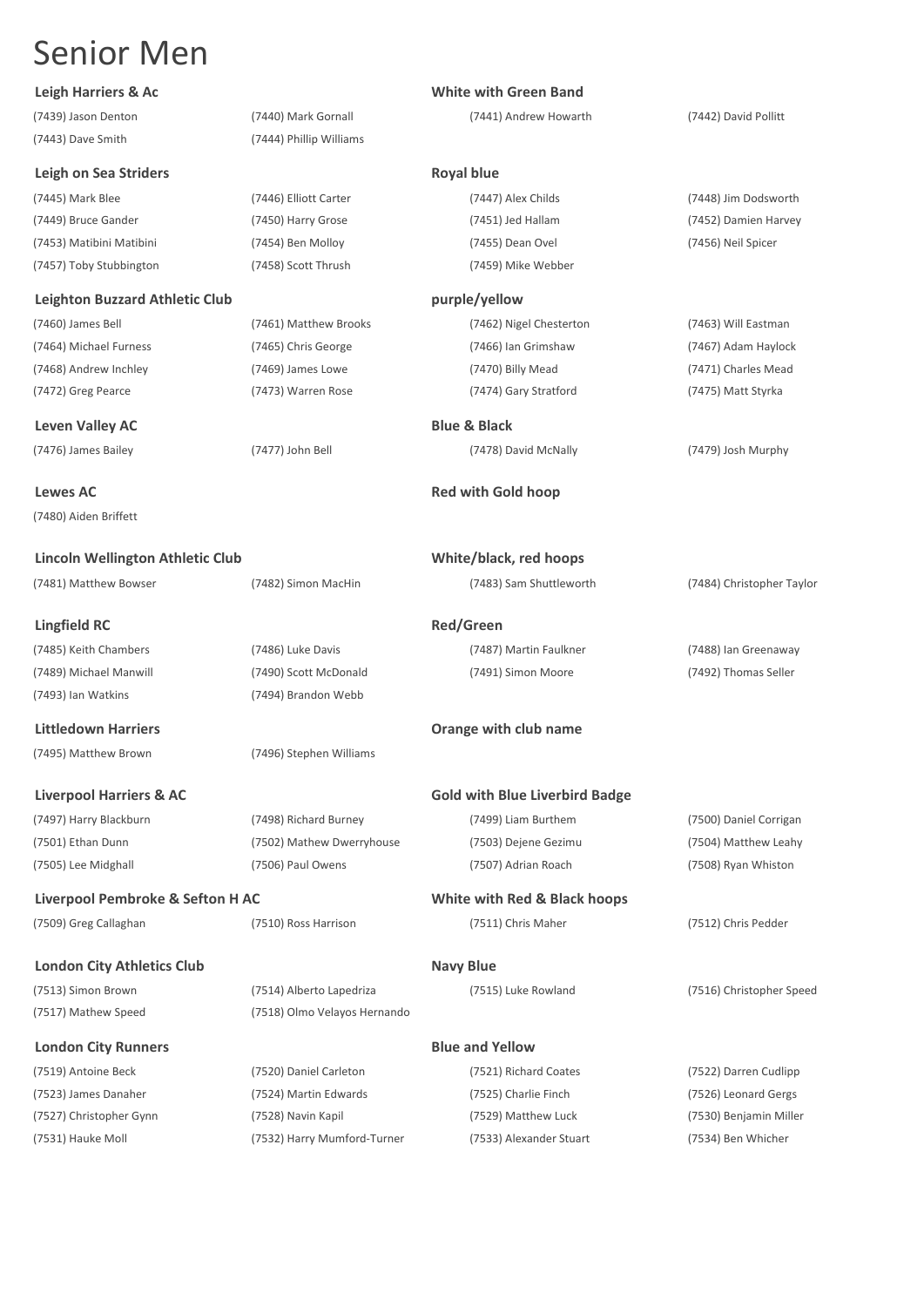### **Leigh Harriers & Ac White with Green Band**

(7439) Jason Denton (7440) Mark Gornall (7441) Andrew Howarth (7442) David Pollitt (7443) Dave Smith (7444) Phillip Williams

**Leven Valley AC Blue & Black** 

**Lewes AC Red with Gold hoop** (7480) Aiden Briffett

**Lincoln Wellington Athletic Club White/black, red hoops**

**Lingfield RC Red/Green** (7485) Keith Chambers (7486) Luke Davis (7487) Martin Faulkner (7488) Ian Greenaway (7489) Michael Manwill (7490) Scott McDonald (7491) Simon Moore (7492) Thomas Seller (7493) Ian Watkins (7494) Brandon Webb

(7495) Matthew Brown (7496) Stephen Williams

(7501) Ethan Dunn (7502) Mathew Dwerryhouse (7503) Dejene Gezimu (7504) Matthew Leahy

**Liverpool Pembroke & Sefton H AC White with Red & Black hoops**

(7517) Mathew Speed (7518) Olmo Velayos Hernando

(7531) Hauke Moll (7532) Harry Mumford-Turner (7533) Alexander Stuart (7534) Ben Whicher

**Leigh on Sea Striders Royal blue** (7445) Mark Blee (7446) Elliott Carter (7447) Alex Childs (7448) Jim Dodsworth (7449) Bruce Gander (7450) Harry Grose (7451) Jed Hallam (7452) Damien Harvey (7453) Matibini Matibini (7454) Ben Molloy (7455) Dean Ovel (7456) Neil Spicer (7457) Toby Stubbington (7458) Scott Thrush (7459) Mike Webber **Leighton Buzzard Athletic Club purple/yellow** (7460) James Bell (7461) Matthew Brooks (7462) Nigel Chesterton (7463) Will Eastman (7464) Michael Furness (7465) Chris George (7466) Ian Grimshaw (7467) Adam Haylock (7468) Andrew Inchley (7469) James Lowe (7470) Billy Mead (7471) Charles Mead (7472) Greg Pearce (7473) Warren Rose (7474) Gary Stratford (7475) Matt Styrka

(7476) James Bailey (7477) John Bell (7478) David McNally (7479) Josh Murphy

(7481) Matthew Bowser (7482) Simon MacHin (7483) Sam Shuttleworth (7484) Christopher Taylor

### **Littledown Harriers Orange with club name**

### **Liverpool Harriers & AC Gold with Blue Liverbird Badge**

(7505) Lee Midghall (7506) Paul Owens (7507) Adrian Roach (7508) Ryan Whiston

(7509) Greg Callaghan (7510) Ross Harrison (7511) Chris Maher (7512) Chris Pedder

(7497) Harry Blackburn (7498) Richard Burney (7499) Liam Burthem (7500) Daniel Corrigan

**London City Athletics Club Navy Blue** (7513) Simon Brown (7514) Alberto Lapedriza (7515) Luke Rowland (7516) Christopher Speed

**London City Runners Blue and Yellow** (7519) Antoine Beck (7520) Daniel Carleton (7521) Richard Coates (7522) Darren Cudlipp (7523) James Danaher (7524) Martin Edwards (7525) Charlie Finch (7526) Leonard Gergs (7527) Christopher Gynn (7528) Navin Kapil (7529) Matthew Luck (7530) Benjamin Miller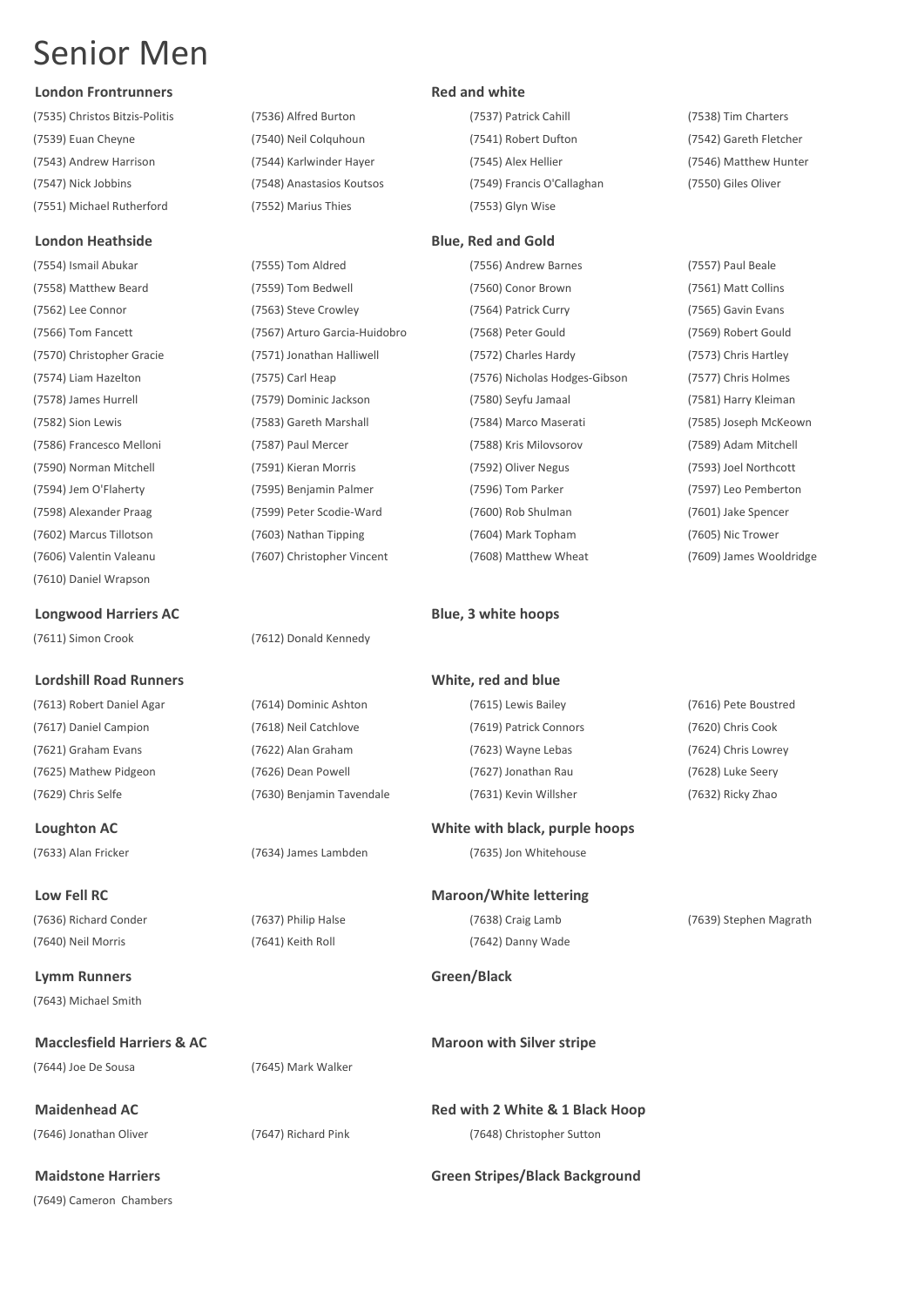### **London Frontrunners Red and white**

(7535) Christos Bitzis-Politis (7536) Alfred Burton (7537) Patrick Cahill (7538) Tim Charters (7539) Euan Cheyne (7540) Neil Colquhoun (7541) Robert Dufton (7542) Gareth Fletcher (7543) Andrew Harrison (7544) Karlwinder Hayer (7545) Alex Hellier (7546) Matthew Hunter (7547) Nick Jobbins (7548) Anastasios Koutsos (7549) Francis O'Callaghan (7550) Giles Oliver (7551) Michael Rutherford (7552) Marius Thies (7553) Glyn Wise

### **London Heathside Blue, Red and Gold**

(7610) Daniel Wrapson

**Longwood Harriers AC Blue, 3 white hoops** 

(7611) Simon Crook (7612) Donald Kennedy

### **Lordshill Road Runners White, red and blue**

(7613) Robert Daniel Agar (7614) Dominic Ashton (7615) Lewis Bailey (7616) Pete Boustred (7617) Daniel Campion (7618) Neil Catchlove (7619) Patrick Connors (7620) Chris Cook (7621) Graham Evans (7622) Alan Graham (7623) Wayne Lebas (7624) Chris Lowrey (7625) Mathew Pidgeon (7626) Dean Powell (7627) Jonathan Rau (7628) Luke Seery

**Lymm Runners Green/Black** (7643) Michael Smith

**Macclesfield Harriers & AC Macclesfield Harriers & AC Macclesfield Maroon with Silver stripe** (7644) Joe De Sousa (7645) Mark Walker

(7649) Cameron Chambers

(7554) Ismail Abukar (7555) Tom Aldred (7556) Andrew Barnes (7557) Paul Beale (7558) Matthew Beard (7559) Tom Bedwell (7560) Conor Brown (7561) Matt Collins (7562) Lee Connor (7563) Steve Crowley (7564) Patrick Curry (7565) Gavin Evans (7566) Tom Fancett (7567) Arturo Garcia-Huidobro (7568) Peter Gould (7569) Robert Gould (7570) Christopher Gracie (7571) Jonathan Halliwell (7572) Charles Hardy (7573) Chris Hartley (7574) Liam Hazelton (7575) Carl Heap (7576) Nicholas Hodges-Gibson (7577) Chris Holmes (7578) James Hurrell (7579) Dominic Jackson (7580) Seyfu Jamaal (7581) Harry Kleiman (7582) Sion Lewis (7583) Gareth Marshall (7584) Marco Maserati (7585) Joseph McKeown (7586) Francesco Melloni (7587) Paul Mercer (7588) Kris Milovsorov (7589) Adam Mitchell (7590) Norman Mitchell (7591) Kieran Morris (7592) Oliver Negus (7593) Joel Northcott (7594) Jem O'Flaherty (7595) Benjamin Palmer (7596) Tom Parker (7597) Leo Pemberton (7598) Alexander Praag (7599) Peter Scodie-Ward (7600) Rob Shulman (7601) Jake Spencer (7602) Marcus Tillotson (7603) Nathan Tipping (7604) Mark Topham (7605) Nic Trower (7606) Valentin Valeanu (7607) Christopher Vincent (7608) Matthew Wheat (7609) James Wooldridge

(7629) Chris Selfe (7630) Benjamin Tavendale (7631) Kevin Willsher (7632) Ricky Zhao

### **Loughton AC White with black, purple hoops**

(7633) Alan Fricker (7634) James Lambden (7635) Jon Whitehouse

**Low Fell RC Maroon/White lettering** (7636) Richard Conder (7637) Philip Halse (7638) Craig Lamb (7639) Stephen Magrath

(7640) Neil Morris (7641) Keith Roll (7642) Danny Wade

**Maidenhead AC Red with 2 White & 1 Black Hoop** (7646) Jonathan Oliver (7647) Richard Pink (7648) Christopher Sutton

### **Maidstone Harriers Green Stripes/Black Background**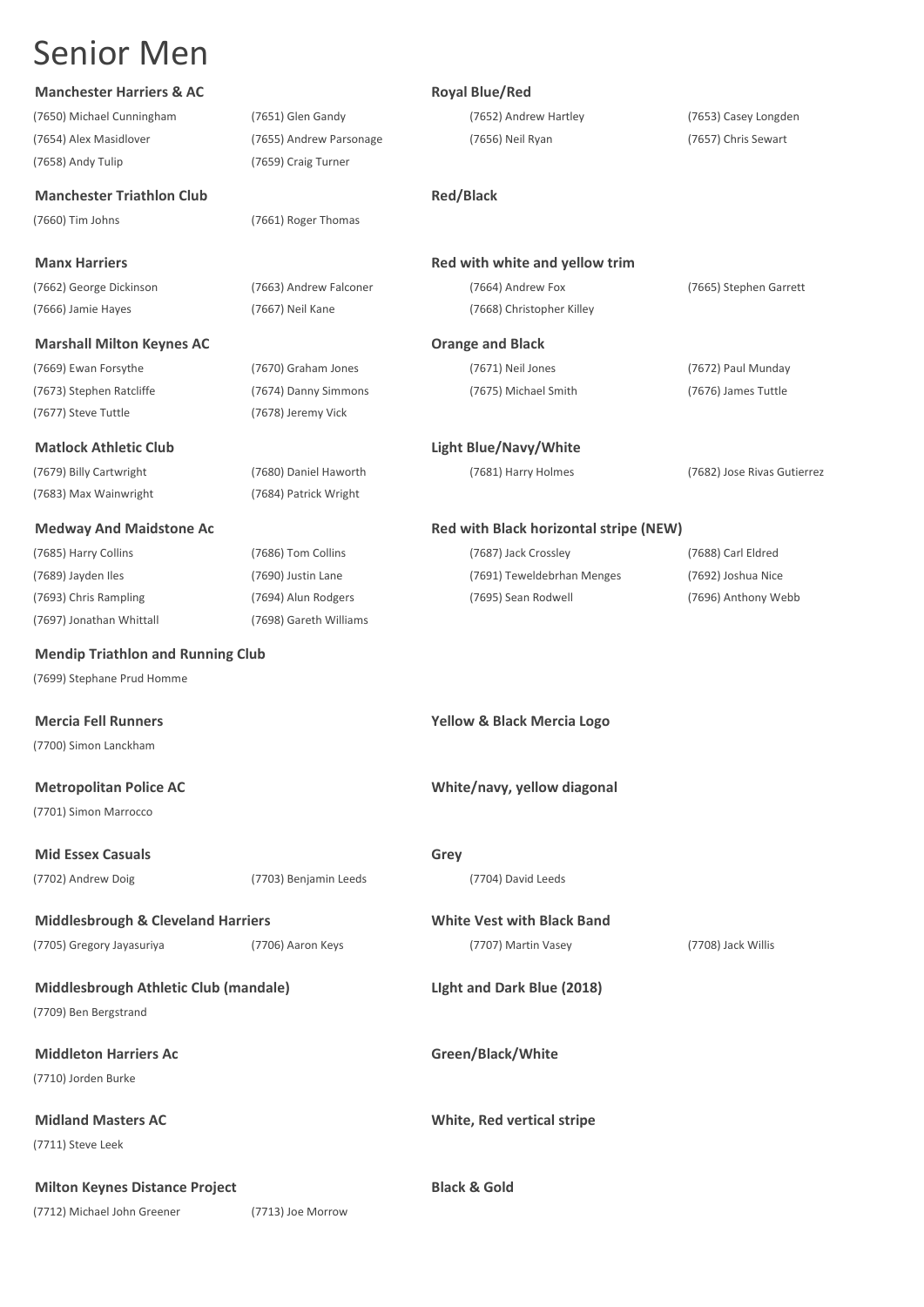| <b>Manchester Harriers &amp; AC</b> |  |  |
|-------------------------------------|--|--|
|-------------------------------------|--|--|

(7650) Michael Cunningham (7651) Glen Gandy (7652) Andrew Hartley (7653) Casey Longden (7654) Alex Masidlover (7655) Andrew Parsonage (7656) Neil Ryan (7657) Chris Sewart (7658) Andy Tulip (7659) Craig Turner

**Manchester Triathlon Club Red/Black** 

(7660) Tim Johns (7661) Roger Thomas

(7662) George Dickinson (7663) Andrew Falconer (7664) Andrew Fox (7665) Stephen Garrett (7666) Jamie Hayes (7667) Neil Kane (7668) Christopher Killey

### **Marshall Milton Keynes AC Case Constrainers Orange and Black**

(7669) Ewan Forsythe (7670) Graham Jones (7671) Neil Jones (7672) Paul Munday (7673) Stephen Ratcliffe (7674) Danny Simmons (7675) Michael Smith (7676) James Tuttle (7677) Steve Tuttle (7678) Jeremy Vick

### **Matlock Athletic Club Light Blue/Navy/White**

(7679) Billy Cartwright (7680) Daniel Haworth (7681) Harry Holmes (7682) Jose Rivas Gutierrez (7683) Max Wainwright (7684) Patrick Wright

(7685) Harry Collins (7686) Tom Collins (7687) Jack Crossley (7688) Carl Eldred (7697) Jonathan Whittall (7698) Gareth Williams

### **Mendip Triathlon and Running Club**

(7699) Stephane Prud Homme

(7700) Simon Lanckham

(7701) Simon Marrocco

**Mid Essex Casuals Grey** 

(7702) Andrew Doig (7703) Benjamin Leeds (7704) David Leeds

## **Middlesbrough & Cleveland Harriers White Vest with Black Band**

(7705) Gregory Jayasuriya (7706) Aaron Keys (7707) Martin Vasey (7708) Jack Willis

**Middlesbrough Athletic Club (mandale) LIght and Dark Blue (2018)** (7709) Ben Bergstrand

**Middleton Harriers Ac Green/Black/White** (7710) Jorden Burke

(7711) Steve Leek

**Milton Keynes Distance Project Black & Gold** 

(7712) Michael John Greener (7713) Joe Morrow

### **Royal Blue/Red**

**Manx Harriers Red with white and yellow trim**

### **Medway And Maidstone Ac Red with Black horizontal stripe (NEW)** Red with Black horizontal stripe (NEW)

(7689) Jayden Iles (7690) Justin Lane (7691) Teweldebrhan Menges (7692) Joshua Nice (7693) Chris Rampling (7694) Alun Rodgers (7695) Sean Rodwell (7696) Anthony Webb

**Mercia Fell Runners Yellow & Black Mercia Logo**

### **Metropolitan Police AC White/navy, yellow diagonal**

**Midland Masters AC White, Red vertical stripe**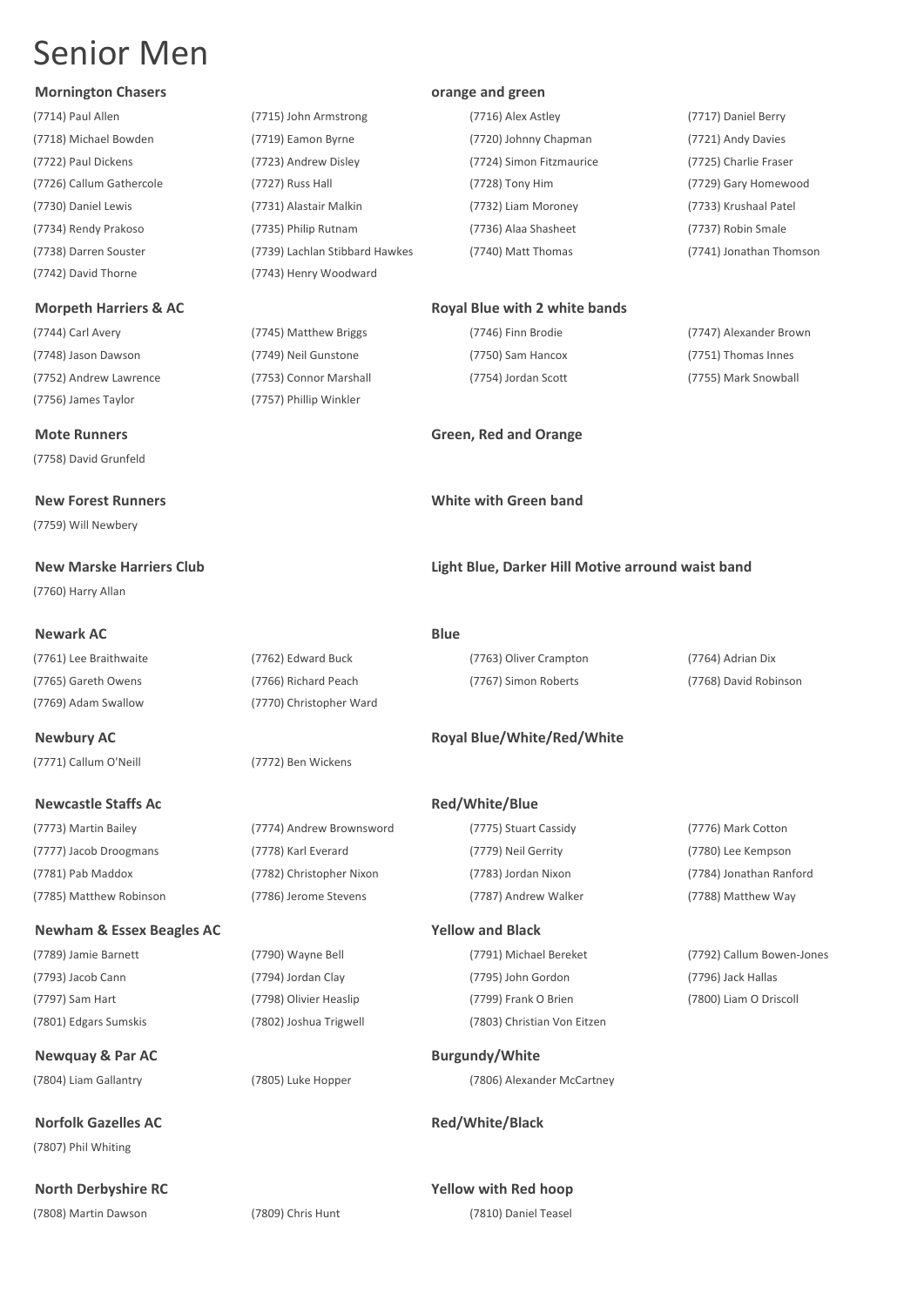### **Mornington Chasers orange and green**

(7742) David Thorne (7743) Henry Woodward

(7744) Carl Avery (7745) Matthew Briggs (7746) Finn Brodie (7747) Alexander Brown (7748) Jason Dawson (7749) Neil Gunstone (7750) Sam Hancox (7751) Thomas Innes (7752) Andrew Lawrence (7753) Connor Marshall (7754) Jordan Scott (7755) Mark Snowball (7756) James Taylor (7757) Phillip Winkler

(7758) David Grunfeld

(7759) Will Newbery

(7760) Harry Allan

### **Newark AC Blue**

(7761) Lee Braithwaite (7762) Edward Buck (7763) Oliver Crampton (7764) Adrian Dix (7769) Adam Swallow (7770) Christopher Ward

(7771) Callum O'Neill (7772) Ben Wickens

### **Newcastle Staffs Ac Red/White/Blue**

(7773) Martin Bailey (7774) Andrew Brownsword (7775) Stuart Cassidy (7776) Mark Cotton (7777) Jacob Droogmans (7778) Karl Everard (7779) Neil Gerrity (7780) Lee Kempson (7781) Pab Maddox (7782) Christopher Nixon (7783) Jordan Nixon (7784) Jonathan Ranford (7785) Matthew Robinson (7786) Jerome Stevens (7787) Andrew Walker (7788) Matthew Way

### **Newham & Essex Beagles AC Yellow and Black**

(7801) Edgars Sumskis (7802) Joshua Trigwell (7803) Christian Von Eitzen

**Newquay & Par AC Burgundy/White** 

**Norfolk Gazelles AC Red/White/Black** (7807) Phil Whiting

### (7714) Paul Allen (7715) John Armstrong (7716) Alex Astley (7717) Daniel Berry (7718) Michael Bowden (7719) Eamon Byrne (7720) Johnny Chapman (7721) Andy Davies (7722) Paul Dickens (7723) Andrew Disley (7724) Simon Fitzmaurice (7725) Charlie Fraser (7726) Callum Gathercole (7727) Russ Hall (7728) Tony Him (7729) Gary Homewood (7730) Daniel Lewis (7731) Alastair Malkin (7732) Liam Moroney (7733) Krushaal Patel (7734) Rendy Prakoso (7735) Philip Rutnam (7736) Alaa Shasheet (7737) Robin Smale (7738) Darren Souster (7739) Lachlan Stibbard Hawkes (7740) Matt Thomas (7741) Jonathan Thomson

### **Morpeth Harriers & AC Royal Blue with 2 white bands**

**Mote Runners Green, Red and Orange**

### **New Forest Runners White with Green band**

**New Marske Harriers Club Light Blue, Darker Hill Motive arround waist band**

(7765) Gareth Owens (7766) Richard Peach (7767) Simon Roberts (7768) David Robinson

### **Newbury AC Royal Blue/White/Red/White**

(7793) Jacob Cann (7794) Jordan Clay (7795) John Gordon (7796) Jack Hallas (7797) Sam Hart (7798) Olivier Heaslip (7799) Frank O Brien (7800) Liam O Driscoll

(7804) Liam Gallantry (7805) Luke Hopper (7806) Alexander McCartney

**North Derbyshire RC Yellow with Red hoop** (7808) Martin Dawson (7809) Chris Hunt (7810) Daniel Teasel

(7789) Jamie Barnett (7790) Wayne Bell (7791) Michael Bereket (7792) Callum Bowen-Jones



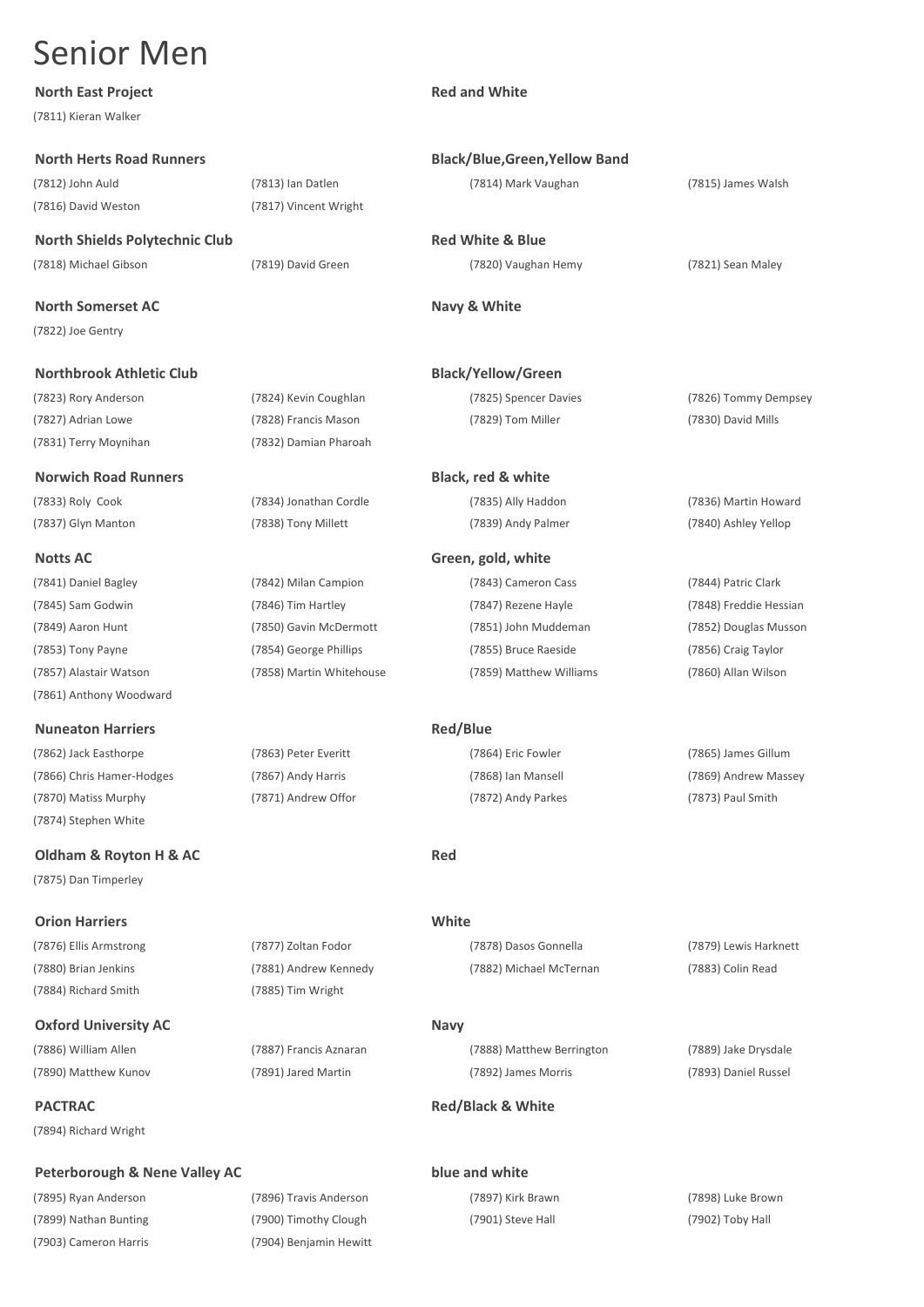### **North East Project**

### **North Herts Road Runners**

### **Northbrook Athletic Club**

### **Nuneaton Harriers**

### **Orion Harriers**

### **Peterborough & Nene Valley AC**

(7895) Ryan Anderson (7896) Travis Anderson (7897) Kirk Brawn (7898) Luke Brown (7903) Cameron Harris (7904) Benjamin Hewitt

| <b>North East Project</b>                |                          | <b>Red and White</b>                  |                        |
|------------------------------------------|--------------------------|---------------------------------------|------------------------|
| (7811) Kieran Walker                     |                          |                                       |                        |
| <b>North Herts Road Runners</b>          |                          | <b>Black/Blue, Green, Yellow Band</b> |                        |
| (7812) John Auld                         | (7813) Ian Datlen        | (7814) Mark Vaughan                   | (7815) James Walsh     |
| (7816) David Weston                      | (7817) Vincent Wright    |                                       |                        |
| <b>North Shields Polytechnic Club</b>    |                          | <b>Red White &amp; Blue</b>           |                        |
| (7818) Michael Gibson                    | (7819) David Green       | (7820) Vaughan Hemy                   | (7821) Sean Maley      |
| <b>North Somerset AC</b>                 |                          | Navy & White                          |                        |
| (7822) Joe Gentry                        |                          |                                       |                        |
| <b>Northbrook Athletic Club</b>          |                          | <b>Black/Yellow/Green</b>             |                        |
| (7823) Rory Anderson                     | (7824) Kevin Coughlan    | (7825) Spencer Davies                 | (7826) Tommy Dempsey   |
| (7827) Adrian Lowe                       | (7828) Francis Mason     | (7829) Tom Miller                     | (7830) David Mills     |
| (7831) Terry Moynihan                    | (7832) Damian Pharoah    |                                       |                        |
| <b>Norwich Road Runners</b>              |                          | Black, red & white                    |                        |
| (7833) Roly Cook                         | (7834) Jonathan Cordle   | (7835) Ally Haddon                    | (7836) Martin Howard   |
| (7837) Glyn Manton                       | (7838) Tony Millett      | (7839) Andy Palmer                    | (7840) Ashley Yellop   |
| Notts AC                                 |                          | Green, gold, white                    |                        |
| (7841) Daniel Bagley                     | (7842) Milan Campion     | (7843) Cameron Cass                   | (7844) Patric Clark    |
| (7845) Sam Godwin                        | (7846) Tim Hartley       | (7847) Rezene Hayle                   | (7848) Freddie Hessian |
| (7849) Aaron Hunt                        | (7850) Gavin McDermott   | (7851) John Muddeman                  | (7852) Douglas Musson  |
| (7853) Tony Payne                        | (7854) George Phillips   | (7855) Bruce Raeside                  | (7856) Craig Taylor    |
| (7857) Alastair Watson                   | (7858) Martin Whitehouse | (7859) Matthew Williams               | (7860) Allan Wilson    |
| (7861) Anthony Woodward                  |                          |                                       |                        |
| <b>Nuneaton Harriers</b>                 |                          | <b>Red/Blue</b>                       |                        |
| (7862) Jack Easthorpe                    | (7863) Peter Everitt     | (7864) Eric Fowler                    | (7865) James Gillum    |
| (7866) Chris Hamer-Hodges                | (7867) Andy Harris       | (7868) Ian Mansell                    | (7869) Andrew Massey   |
| (7870) Matiss Murphy                     | (7871) Andrew Offor      | (7872) Andy Parkes                    | (7873) Paul Smith      |
| (7874) Stephen White                     |                          |                                       |                        |
| Oldham & Royton H & AC                   |                          | <b>Red</b>                            |                        |
| (7875) Dan Timperley                     |                          |                                       |                        |
| <b>Orion Harriers</b>                    |                          | White                                 |                        |
| (7876) Ellis Armstrong                   | (7877) Zoltan Fodor      | (7878) Dasos Gonnella                 | (7879) Lewis Harknett  |
| (7880) Brian Jenkins                     | (7881) Andrew Kennedy    | (7882) Michael McTernan               | (7883) Colin Read      |
| (7884) Richard Smith                     | (7885) Tim Wright        |                                       |                        |
| <b>Oxford University AC</b>              |                          | <b>Navy</b>                           |                        |
| (7886) William Allen                     | (7887) Francis Aznaran   | (7888) Matthew Berrington             | (7889) Jake Drysdale   |
| (7890) Matthew Kunov                     | (7891) Jared Martin      | (7892) James Morris                   | (7893) Daniel Russel   |
| PACTRAC                                  |                          | <b>Red/Black &amp; White</b>          |                        |
| (7894) Richard Wright                    |                          |                                       |                        |
| <b>Peterborough &amp; Nene Valley AC</b> |                          | blue and white                        |                        |

(7899) Nathan Bunting (7900) Timothy Clough (7901) Steve Hall (7902) Toby Hall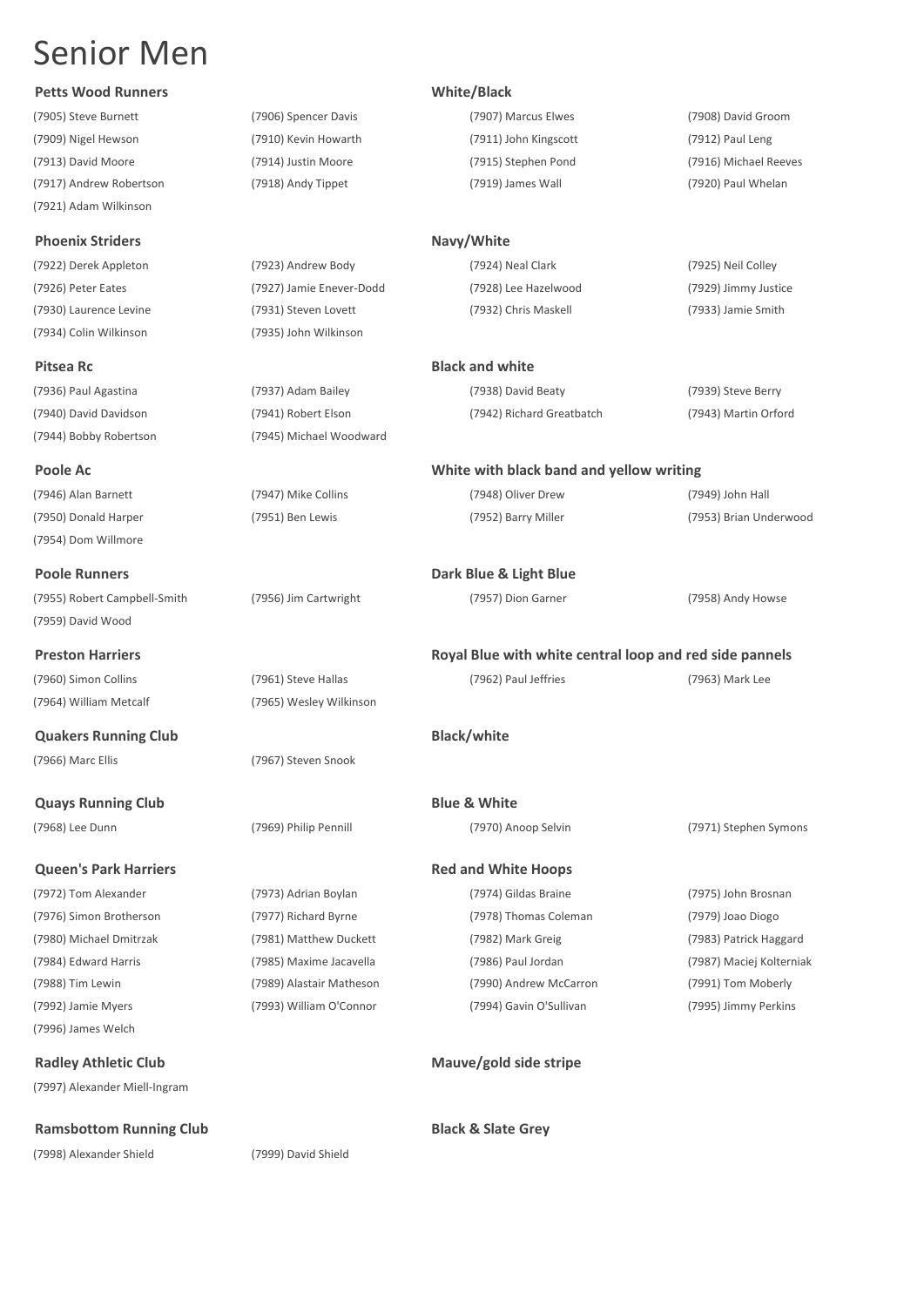## **Petts Wood Runners White/Black**

(7921) Adam Wilkinson

## **Phoenix Striders Navy/White**

(7934) Colin Wilkinson (7935) John Wilkinson

(7944) Bobby Robertson (7945) Michael Woodward

(7946) Alan Barnett (7947) Mike Collins (7948) Oliver Drew (7949) John Hall (7950) Donald Harper (7951) Ben Lewis (7952) Barry Miller (7953) Brian Underwood (7954) Dom Willmore

## **Poole Runners Dark Blue & Light Blue**

(7955) Robert Campbell-Smith (7956) Jim Cartwright (7957) Dion Garner (7958) Andy Howse (7959) David Wood

(7966) Marc Ellis (7967) Steven Snook

**Quays Running Club Blue & White** 

(7996) James Welch

(7997) Alexander Miell-Ingram

## **Ramsbottom Running Club Black & Slate Grey**

(7998) Alexander Shield (7999) David Shield

(7905) Steve Burnett (7906) Spencer Davis (7907) Marcus Elwes (7908) David Groom (7909) Nigel Hewson (7910) Kevin Howarth (7911) John Kingscott (7912) Paul Leng (7913) David Moore (7914) Justin Moore (7915) Stephen Pond (7916) Michael Reeves (7917) Andrew Robertson (7918) Andy Tippet (7919) James Wall (7920) Paul Whelan

(7922) Derek Appleton (7923) Andrew Body (7924) Neal Clark (7925) Neil Colley (7926) Peter Eates (7927) Jamie Enever-Dodd (7928) Lee Hazelwood (7929) Jimmy Justice (7930) Laurence Levine (7931) Steven Lovett (7932) Chris Maskell (7933) Jamie Smith

## **Pitsea Rc Black and white Black and white Black and white**

(7936) Paul Agastina (7937) Adam Bailey (7938) David Beaty (7939) Steve Berry (7940) David Davidson (7941) Robert Elson (7942) Richard Greatbatch (7943) Martin Orford

## **Poole Ac White with black band and yellow writing**

## **Preston Harriers Royal Blue with white central loop and red side pannels**

## **Queen's Park Harriers Red and White Hoops Red and White Hoops**

(7972) Tom Alexander (7973) Adrian Boylan (7974) Gildas Braine (7975) John Brosnan (7976) Simon Brotherson (7977) Richard Byrne (7978) Thomas Coleman (7979) Joao Diogo (7980) Michael Dmitrzak (7981) Matthew Duckett (7982) Mark Greig (7983) Patrick Haggard (7984) Edward Harris (7985) Maxime Jacavella (7986) Paul Jordan (7987) Maciej Kolterniak (7988) Tim Lewin (7989) Alastair Matheson (7990) Andrew McCarron (7991) Tom Moberly (7992) Jamie Myers (7993) William O'Connor (7994) Gavin O'Sullivan (7995) Jimmy Perkins

**Radley Athletic Club Mauve/gold side stripe**

(7960) Simon Collins (7961) Steve Hallas (7962) Paul Jeffries (7963) Mark Lee (7964) William Metcalf (7965) Wesley Wilkinson **Quakers Running Club Black/white**

(7968) Lee Dunn (7969) Philip Pennill (7970) Anoop Selvin (7971) Stephen Symons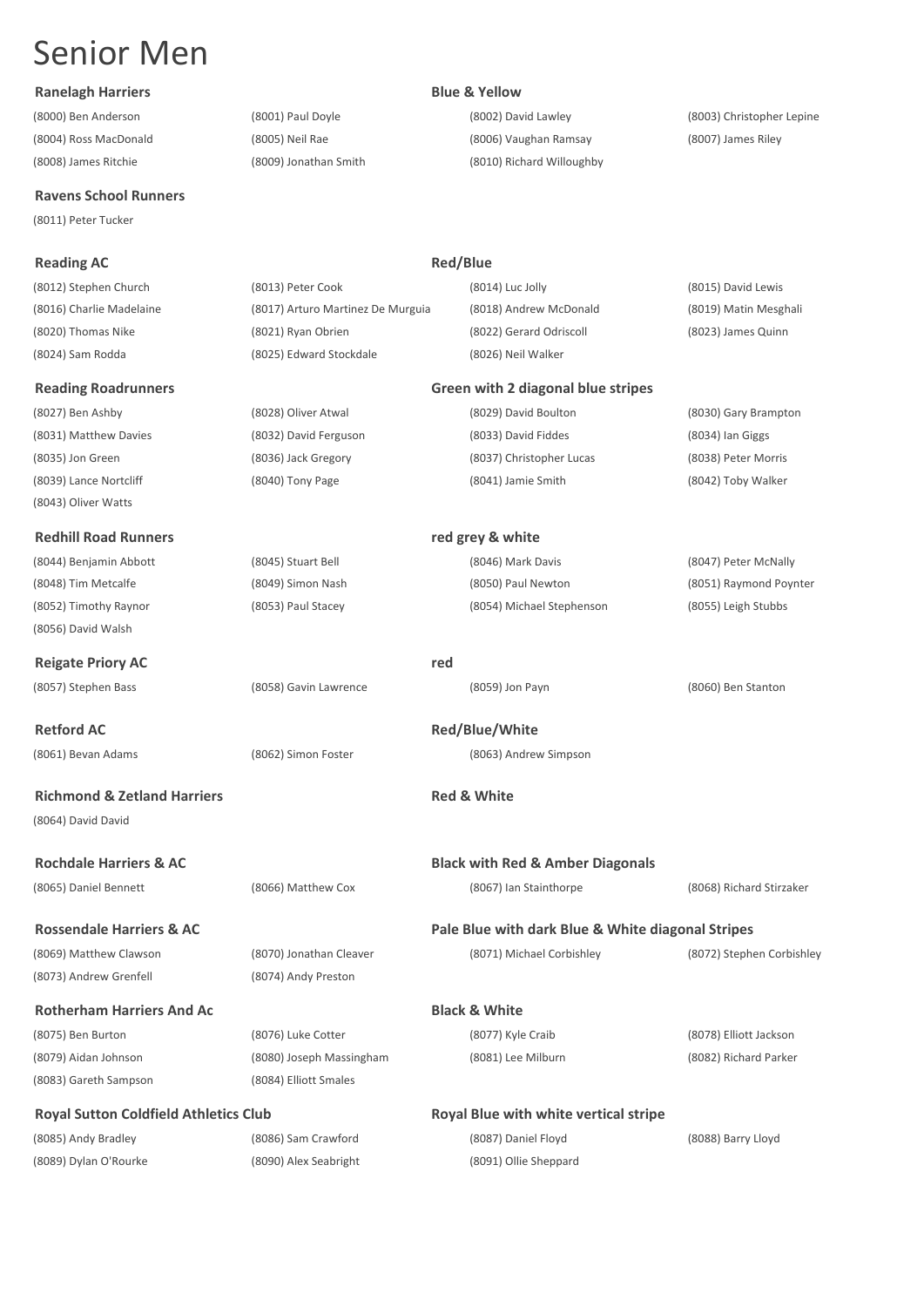## **Ranelagh Harriers Blue & Yellow**

## **Ravens School Runners**

(8011) Peter Tucker

## **Reading AC Reading AC Red/Blue**

(8043) Oliver Watts

## **Redhill Road Runners red grey & white**

(8056) David Walsh

**Reigate Priory AC red**

**Retford AC Red/Blue/White**

## **Richmond & Zetland Harriers Red & White** (8064) David David

**Rossendale Harriers & AC Pale Blue with dark Blue & White diagonal Stripes** (8069) Matthew Clawson (8070) Jonathan Cleaver (8071) Michael Corbishley (8072) Stephen Corbishley (8073) Andrew Grenfell (8074) Andy Preston

**Rotherham Harriers And Ac Black & White** (8075) Ben Burton (8076) Luke Cotter (8077) Kyle Craib (8078) Elliott Jackson (8079) Aidan Johnson (8080) Joseph Massingham (8081) Lee Milburn (8082) Richard Parker (8083) Gareth Sampson (8084) Elliott Smales

## **Royal Sutton Coldfield Athletics Club Royal Blue with white vertical stripe**

(8085) Andy Bradley (8086) Sam Crawford (8087) Daniel Floyd (8088) Barry Lloyd (8089) Dylan O'Rourke (8090) Alex Seabright (8091) Ollie Sheppard

(8000) Ben Anderson (8001) Paul Doyle (8002) David Lawley (8003) Christopher Lepine (8004) Ross MacDonald (8005) Neil Rae (8006) Vaughan Ramsay (8007) James Riley (8008) James Ritchie (8009) Jonathan Smith (8010) Richard Willoughby

| (8012) Stephen Church    | (8013) Peter Cook                 | (8014) Luc Jolly        | (8015) David Lewis    |
|--------------------------|-----------------------------------|-------------------------|-----------------------|
| (8016) Charlie Madelaine | (8017) Arturo Martinez De Murguia | (8018) Andrew McDonald  | (8019) Matin Mesghali |
| (8020) Thomas Nike       | (8021) Ryan Obrien                | (8022) Gerard Odriscoll | (8023) James Quinn    |
| (8024) Sam Rodda         | (8025) Edward Stockdale           | (8026) Neil Walker      |                       |

### **Reading Roadrunners Green with 2 diagonal blue stripes**

(8027) Ben Ashby (8028) Oliver Atwal (8029) David Boulton (8030) Gary Brampton (8031) Matthew Davies (8032) David Ferguson (8033) David Fiddes (8034) Ian Giggs (8035) Jon Green (8036) Jack Gregory (8037) Christopher Lucas (8038) Peter Morris (8039) Lance Nortcliff (8040) Tony Page (8041) Jamie Smith (8042) Toby Walker

(8044) Benjamin Abbott (8045) Stuart Bell (8046) Mark Davis (8047) Peter McNally (8048) Tim Metcalfe (8049) Simon Nash (8050) Paul Newton (8051) Raymond Poynter (8052) Timothy Raynor (8053) Paul Stacey (8054) Michael Stephenson (8055) Leigh Stubbs

(8057) Stephen Bass (8058) Gavin Lawrence (8059) Jon Payn (8060) Ben Stanton

(8061) Bevan Adams (8062) Simon Foster (8063) Andrew Simpson

**Rochdale Harriers & AC Black with Red & Amber Diagonals**

(8065) Daniel Bennett (8066) Matthew Cox (8067) Ian Stainthorpe (8068) Richard Stirzaker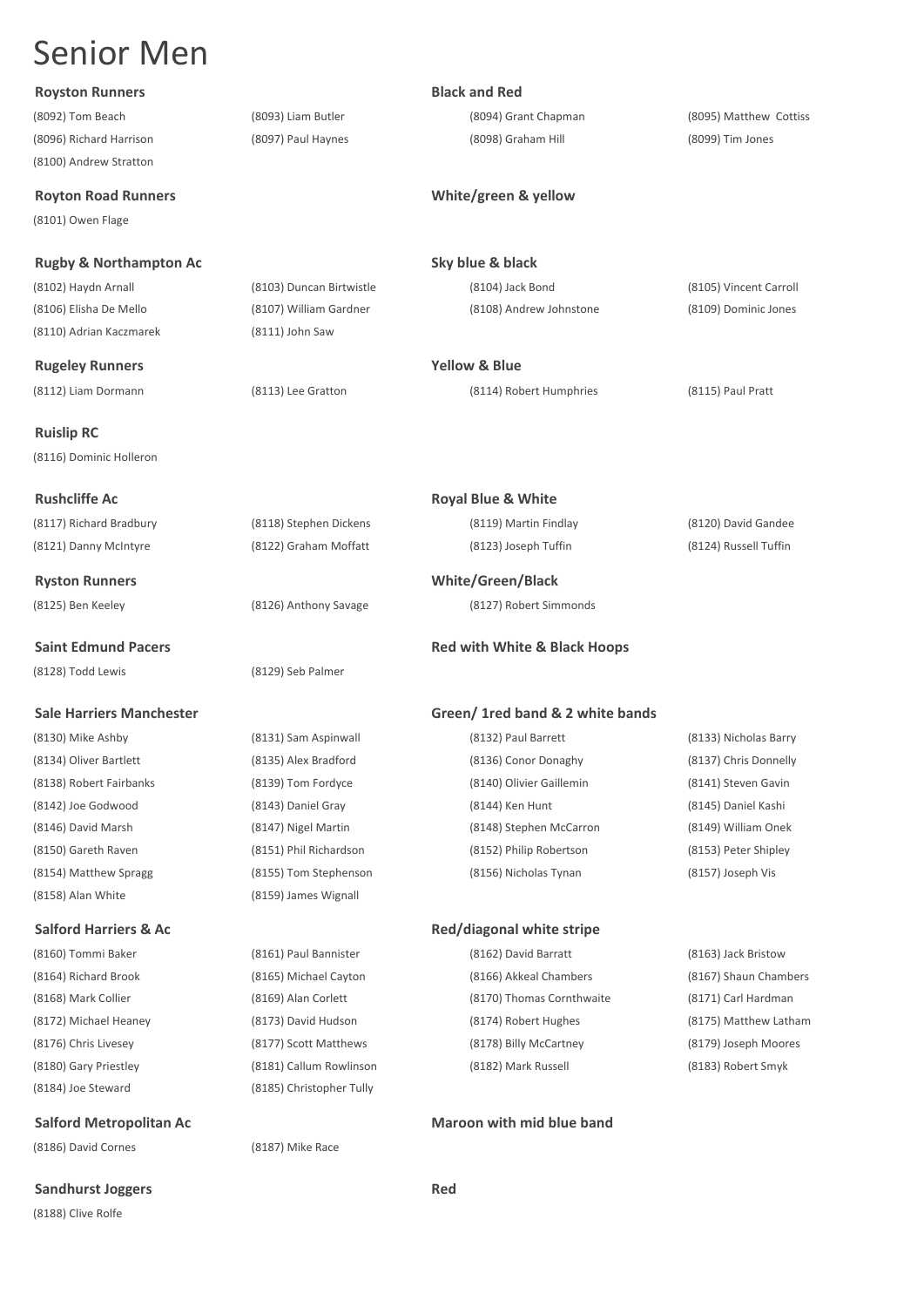## **Royston Runners Black and Red**

(8100) Andrew Stratton

(8101) Owen Flage

**Rugby & Northampton Ac Sky blue & black**

(8110) Adrian Kaczmarek (8111) John Saw

**Rugeley Runners Yellow & Blue**

(8112) Liam Dormann (8113) Lee Gratton (8114) Robert Humphries (8115) Paul Pratt

**Ruislip RC** (8116) Dominic Holleron

**Rushcliffe Ac Royal Blue & White**

(8121) Danny McIntyre (8122) Graham Moffatt (8123) Joseph Tuffin (8124) Russell Tuffin

(8128) Todd Lewis (8129) Seb Palmer

(8130) Mike Ashby (8131) Sam Aspinwall (8132) Paul Barrett (8133) Nicholas Barry (8158) Alan White (8159) James Wignall

(8184) Joe Steward (8185) Christopher Tully

(8186) David Cornes (8187) Mike Race

(8188) Clive Rolfe

(8096) Richard Harrison (8097) Paul Haynes (8098) Graham Hill (8099) Tim Jones

(8092) Tom Beach (8093) Liam Butler (8094) Grant Chapman (8095) Matthew Cottiss

## **Royton Road Runners White/green & yellow**

(8102) Haydn Arnall (8103) Duncan Birtwistle (8104) Jack Bond (8105) Vincent Carroll (8106) Elisha De Mello (8107) William Gardner (8108) Andrew Johnstone (8109) Dominic Jones

(8117) Richard Bradbury (8118) Stephen Dickens (8119) Martin Findlay (8120) David Gandee

**Ryston Runners White/Green/Black** (8125) Ben Keeley (8126) Anthony Savage (8127) Robert Simmonds

## **Saint Edmund Pacers Red with White & Black Hoops Red with White & Black Hoops**

### **Sale Harriers Manchester Green/ 1red band & 2 white bands**

(8134) Oliver Bartlett (8135) Alex Bradford (8136) Conor Donaghy (8137) Chris Donnelly (8138) Robert Fairbanks (8139) Tom Fordyce (8140) Olivier Gaillemin (8141) Steven Gavin (8142) Joe Godwood (8143) Daniel Gray (8144) Ken Hunt (8145) Daniel Kashi (8146) David Marsh (8147) Nigel Martin (8148) Stephen McCarron (8149) William Onek (8150) Gareth Raven (8151) Phil Richardson (8152) Philip Robertson (8153) Peter Shipley (8154) Matthew Spragg (8155) Tom Stephenson (8156) Nicholas Tynan (8157) Joseph Vis

**Sandhurst Joggers Red** 

## Salford Harriers & Ac *Red/diagonal white stripe* **Red/diagonal white stripe**

(8176) Chris Livesey (8177) Scott Matthews (8178) Billy McCartney (8179) Joseph Moores (8180) Gary Priestley (8181) Callum Rowlinson (8182) Mark Russell (8183) Robert Smyk

(8160) Tommi Baker (8161) Paul Bannister (8162) David Barratt (8163) Jack Bristow (8164) Richard Brook (8165) Michael Cayton (8166) Akkeal Chambers (8167) Shaun Chambers (8168) Mark Collier (8169) Alan Corlett (8170) Thomas Cornthwaite (8171) Carl Hardman (8172) Michael Heaney (8173) David Hudson (8174) Robert Hughes (8175) Matthew Latham

## **Salford Metropolitan Ac Maroon with mid blue band**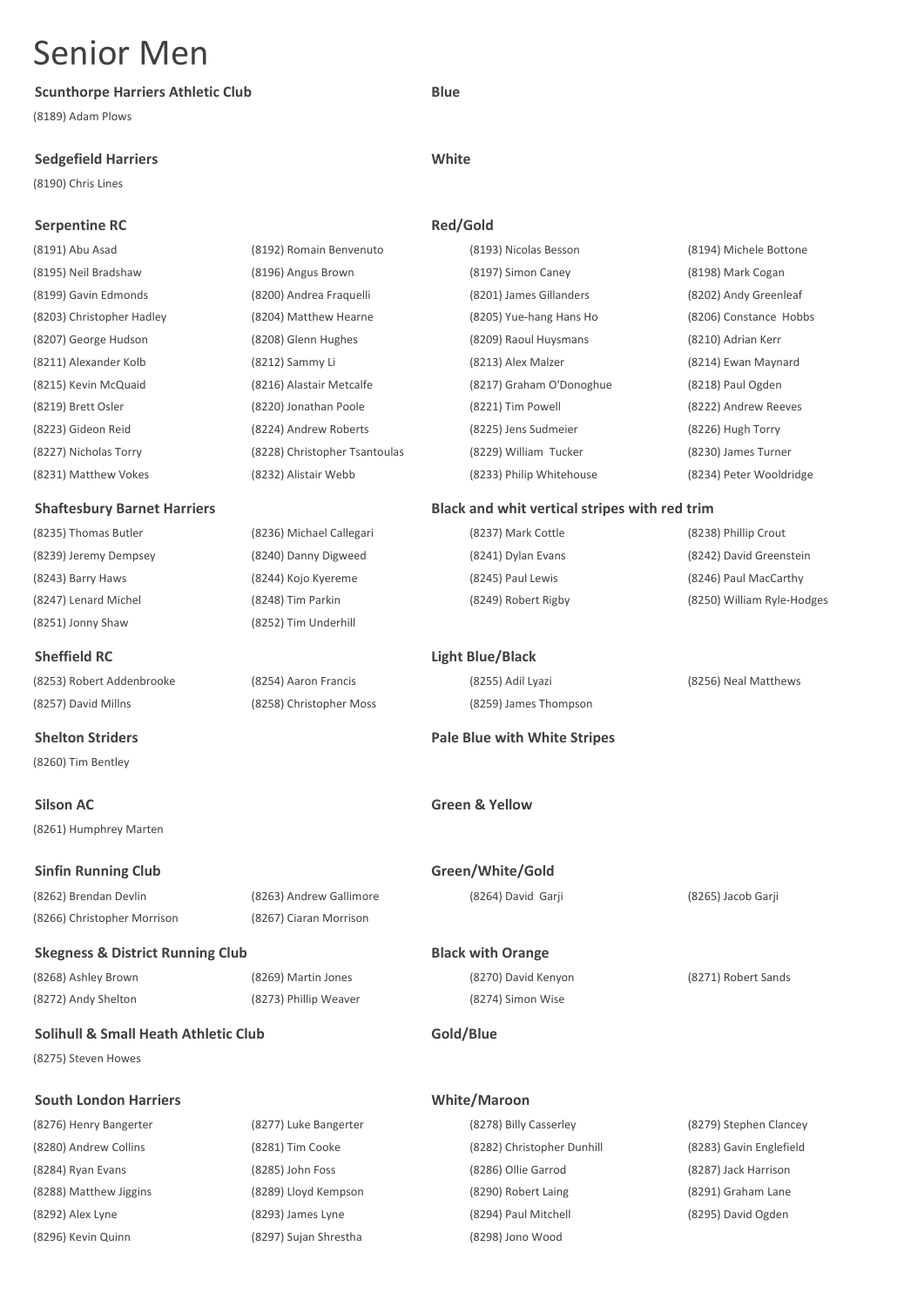## **Scunthorpe Harriers Athletic Club Blue**

(8189) Adam Plows

## **Sedgefield Harriers White**

(8190) Chris Lines

(8260) Tim Bentley

(8261) Humphrey Marten

(8272) Andy Shelton (8273) Phillip Weaver (8274) Simon Wise

## **Solihull & Small Heath Athletic Club Gold/Blue**

(8275) Steven Howes

## **South London Harriers White/Maroon**

(8296) Kevin Quinn (8297) Sujan Shrestha (8298) Jono Wood

## **Serpentine RC Red/Gold** (8191) Abu Asad (8192) Romain Benvenuto (8193) Nicolas Besson (8194) Michele Bottone (8195) Neil Bradshaw (8196) Angus Brown (8197) Simon Caney (8198) Mark Cogan (8199) Gavin Edmonds (8200) Andrea Fraquelli (8201) James Gillanders (8202) Andy Greenleaf (8203) Christopher Hadley (8204) Matthew Hearne (8205) Yue-hang Hans Ho (8206) Constance Hobbs (8207) George Hudson (8208) Glenn Hughes (8209) Raoul Huysmans (8210) Adrian Kerr (8211) Alexander Kolb (8212) Sammy Li (8213) Alex Malzer (8214) Ewan Maynard (8215) Kevin McQuaid (8216) Alastair Metcalfe (8217) Graham O'Donoghue (8218) Paul Ogden (8219) Brett Osler (8220) Jonathan Poole (8221) Tim Powell (8222) Andrew Reeves (8223) Gideon Reid (8224) Andrew Roberts (8225) Jens Sudmeier (8226) Hugh Torry (8227) Nicholas Torry (8228) Christopher Tsantoulas (8229) William Tucker (8230) James Turner (8231) Matthew Vokes (8232) Alistair Webb (8233) Philip Whitehouse (8234) Peter Wooldridge **Shaftesbury Barnet Harriers Black and whit vertical stripes with red trim** (8235) Thomas Butler (8236) Michael Callegari (8237) Mark Cottle (8238) Phillip Crout (8239) Jeremy Dempsey (8240) Danny Digweed (8241) Dylan Evans (8242) David Greenstein (8243) Barry Haws (8244) Kojo Kyereme (8245) Paul Lewis (8246) Paul MacCarthy (8247) Lenard Michel (8248) Tim Parkin (8249) Robert Rigby (8250) William Ryle-Hodges (8251) Jonny Shaw (8252) Tim Underhill **Sheffield RC Light Blue/Black** (8253) Robert Addenbrooke (8254) Aaron Francis (8255) Adil Lyazi (8256) Neal Matthews (8257) David Millns (8258) Christopher Moss (8259) James Thompson **Shelton Striders Pale Blue with White Stripes Silson AC Green & Yellow Sinfin Running Club Green/White/Gold** (8262) Brendan Devlin (8263) Andrew Gallimore (8264) David Garji (8265) Jacob Garji (8266) Christopher Morrison (8267) Ciaran Morrison **Skegness & District Running Club Black with Orange**

(8268) Ashley Brown (8269) Martin Jones (8270) David Kenyon (8271) Robert Sands

- (8276) Henry Bangerter (8277) Luke Bangerter (8278) Billy Casserley (8279) Stephen Clancey (8280) Andrew Collins (8281) Tim Cooke (8282) Christopher Dunhill (8283) Gavin Englefield (8284) Ryan Evans (8285) John Foss (8286) Ollie Garrod (8287) Jack Harrison (8288) Matthew Jiggins (8289) Lloyd Kempson (8290) Robert Laing (8291) Graham Lane (8292) Alex Lyne (8293) James Lyne (8294) Paul Mitchell (8295) David Ogden
	-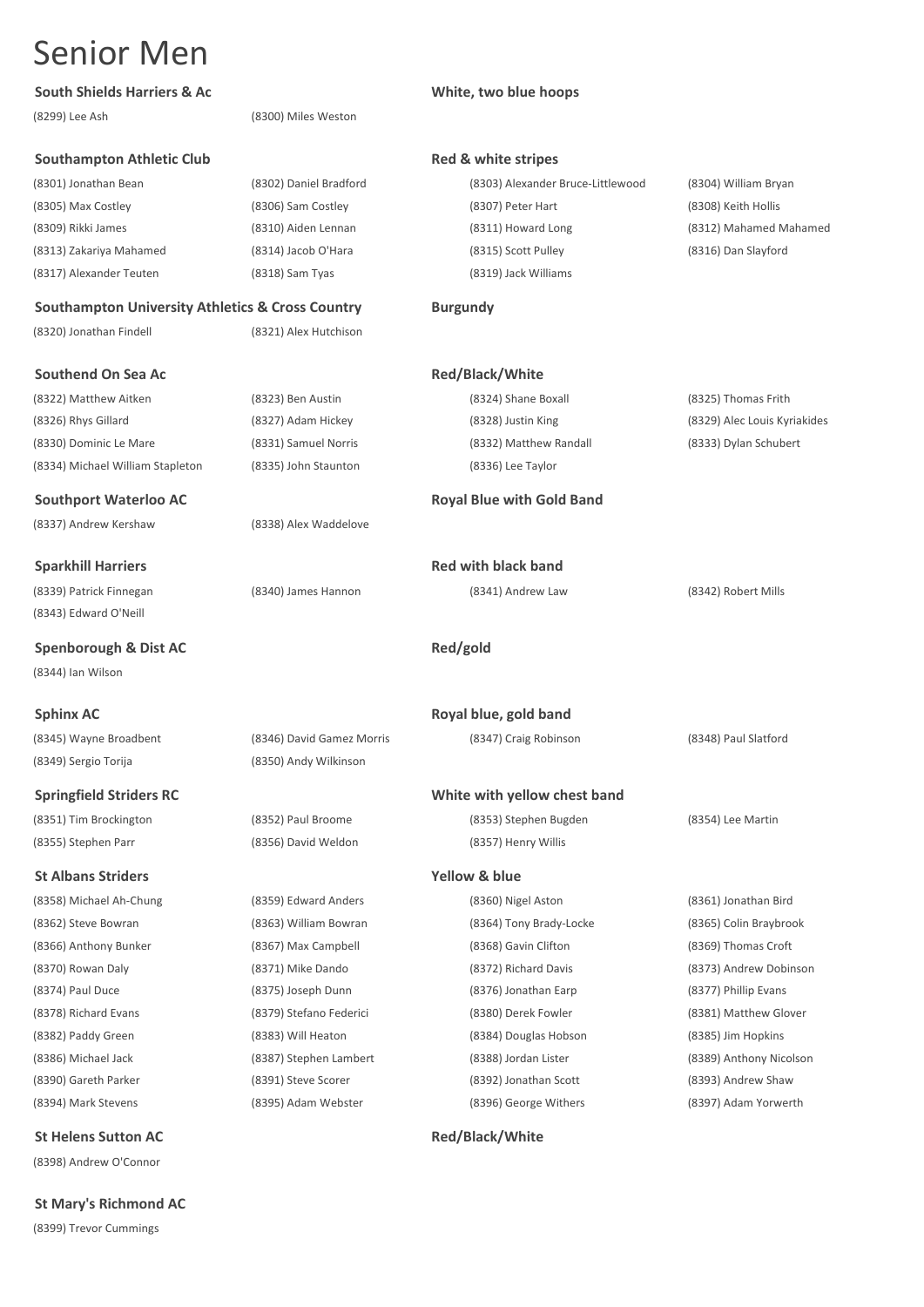## South Shields Harriers & Ac **White, two blue hoops White, two blue hoops**

(8299) Lee Ash (8300) Miles Weston

## **Southampton Athletic Club Red & white stripes**

(8317) Alexander Teuten (8318) Sam Tyas (8319) Jack Williams

## **Southampton University Athletics & Cross Country Burgundy**

(8320) Jonathan Findell (8321) Alex Hutchison

### **Southend On Sea Ac Red/Black/White**

(8322) Matthew Aitken (8323) Ben Austin (8324) Shane Boxall (8325) Thomas Frith (8326) Rhys Gillard (8327) Adam Hickey (8328) Justin King (8329) Alec Louis Kyriakides (8330) Dominic Le Mare (8331) Samuel Norris (8332) Matthew Randall (8333) Dylan Schubert (8334) Michael William Stapleton (8335) John Staunton (8336) Lee Taylor

(8337) Andrew Kershaw (8338) Alex Waddelove

(8339) Patrick Finnegan (8340) James Hannon (8341) Andrew Law (8342) Robert Mills (8343) Edward O'Neill

**Spenborough & Dist AC Red/gold** (8344) Ian Wilson

(8345) Wayne Broadbent (8346) David Gamez Morris (8347) Craig Robinson (8348) Paul Slatford

(8358) Michael Ah-Chung (8359) Edward Anders (8360) Nigel Aston (8361) Jonathan Bird (8394) Mark Stevens (8395) Adam Webster (8396) George Withers (8397) Adam Yorwerth

**St Helens Sutton AC Red/Black/White** 

(8398) Andrew O'Connor

**St Mary's Richmond AC** (8399) Trevor Cummings

(8301) Jonathan Bean (8302) Daniel Bradford (8303) Alexander Bruce-Littlewood (8304) William Bryan (8305) Max Costley (8306) Sam Costley (8307) Peter Hart (8308) Keith Hollis (8309) Rikki James (8310) Aiden Lennan (8311) Howard Long (8312) Mahamed Mahamed (8313) Zakariya Mahamed (8314) Jacob O'Hara (8315) Scott Pulley (8316) Dan Slayford

### **Southport Waterloo AC Royal Blue with Gold Band**

**Sparkhill Harriers Red with black band**

**Sphinx AC Royal blue, gold band** 

## **Springfield Striders RC White with yellow chest band**

(8351) Tim Brockington (8352) Paul Broome (8353) Stephen Bugden (8354) Lee Martin

(8362) Steve Bowran (8363) William Bowran (8364) Tony Brady-Locke (8365) Colin Braybrook (8366) Anthony Bunker (8367) Max Campbell (8368) Gavin Clifton (8369) Thomas Croft (8370) Rowan Daly (8371) Mike Dando (8372) Richard Davis (8373) Andrew Dobinson (8374) Paul Duce (8375) Joseph Dunn (8376) Jonathan Earp (8377) Phillip Evans (8378) Richard Evans (8379) Stefano Federici (8380) Derek Fowler (8381) Matthew Glover (8382) Paddy Green (8383) Will Heaton (8384) Douglas Hobson (8385) Jim Hopkins (8386) Michael Jack (8387) Stephen Lambert (8388) Jordan Lister (8389) Anthony Nicolson (8390) Gareth Parker (8391) Steve Scorer (8392) Jonathan Scott (8393) Andrew Shaw

(8349) Sergio Torija (8350) Andy Wilkinson

(8355) Stephen Parr (8356) David Weldon (8357) Henry Willis

**St Albans Striders Yellow & blue**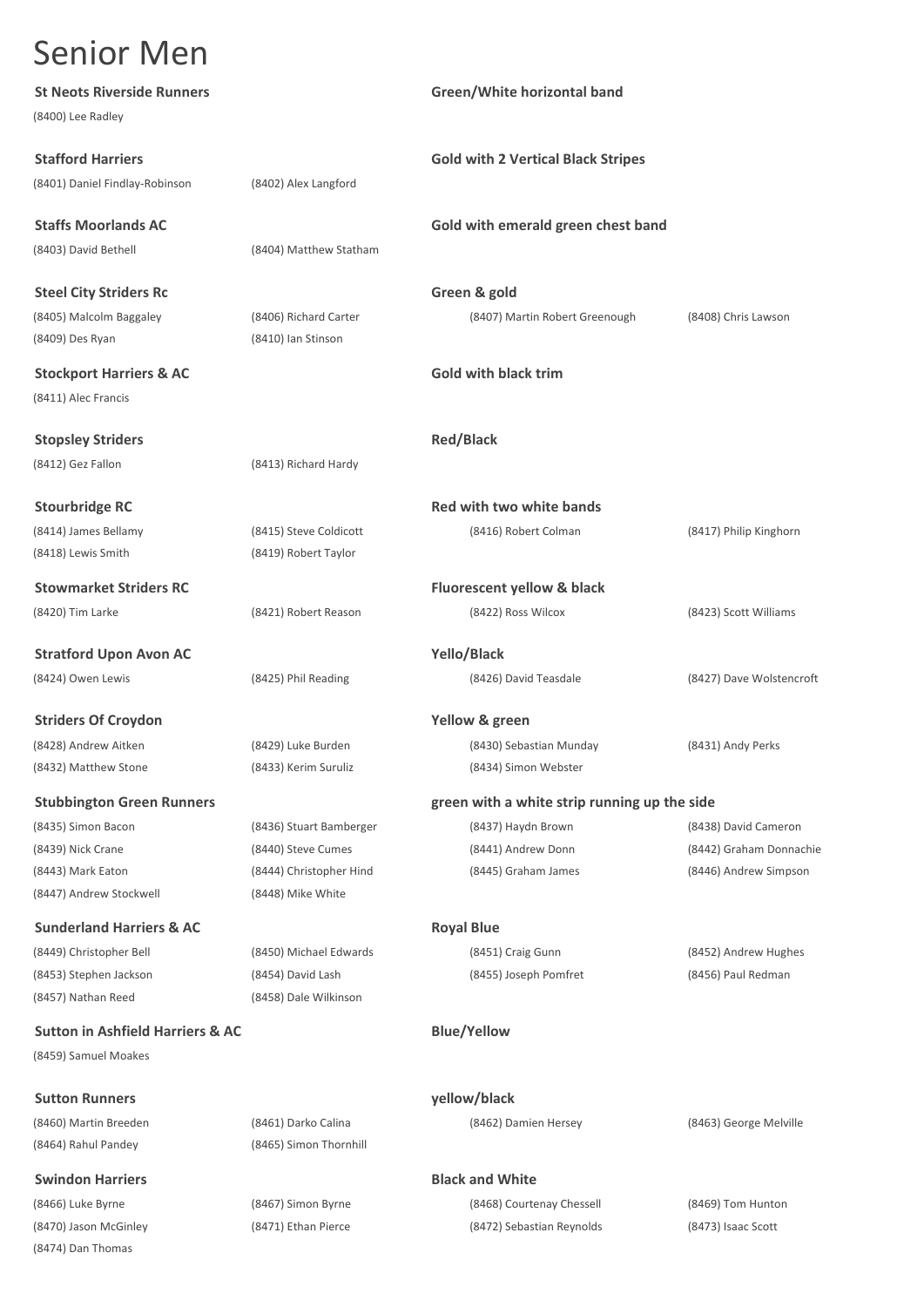(8474) Dan Thomas

| <b>St Neots Riverside Runners</b>           |                         | Green/White horizontal band                  |                          |
|---------------------------------------------|-------------------------|----------------------------------------------|--------------------------|
| (8400) Lee Radley                           |                         |                                              |                          |
| <b>Stafford Harriers</b>                    |                         | <b>Gold with 2 Vertical Black Stripes</b>    |                          |
| (8401) Daniel Findlay-Robinson              | (8402) Alex Langford    |                                              |                          |
| <b>Staffs Moorlands AC</b>                  |                         | Gold with emerald green chest band           |                          |
| (8403) David Bethell                        | (8404) Matthew Statham  |                                              |                          |
| <b>Steel City Striders Rc</b>               |                         | Green & gold                                 |                          |
| (8405) Malcolm Baggaley                     | (8406) Richard Carter   | (8407) Martin Robert Greenough               | (8408) Chris Lawson      |
| (8409) Des Ryan                             | (8410) Ian Stinson      |                                              |                          |
| <b>Stockport Harriers &amp; AC</b>          |                         | <b>Gold with black trim</b>                  |                          |
| (8411) Alec Francis                         |                         |                                              |                          |
| <b>Stopsley Striders</b>                    |                         | <b>Red/Black</b>                             |                          |
| (8412) Gez Fallon                           | (8413) Richard Hardy    |                                              |                          |
| <b>Stourbridge RC</b>                       |                         | Red with two white bands                     |                          |
| (8414) James Bellamy                        | (8415) Steve Coldicott  | (8416) Robert Colman                         | (8417) Philip Kinghorn   |
| (8418) Lewis Smith                          | (8419) Robert Taylor    |                                              |                          |
| <b>Stowmarket Striders RC</b>               |                         | <b>Fluorescent yellow &amp; black</b>        |                          |
| (8420) Tim Larke                            | (8421) Robert Reason    | (8422) Ross Wilcox                           | (8423) Scott Williams    |
| <b>Stratford Upon Avon AC</b>               |                         | Yello/Black                                  |                          |
| (8424) Owen Lewis                           | (8425) Phil Reading     | (8426) David Teasdale                        | (8427) Dave Wolstencroft |
| <b>Striders Of Croydon</b>                  |                         | Yellow & green                               |                          |
| (8428) Andrew Aitken                        | (8429) Luke Burden      | (8430) Sebastian Munday                      | (8431) Andy Perks        |
| (8432) Matthew Stone                        | (8433) Kerim Suruliz    | (8434) Simon Webster                         |                          |
| <b>Stubbington Green Runners</b>            |                         | green with a white strip running up the side |                          |
| (8435) Simon Bacon                          | (8436) Stuart Bamberger | (8437) Haydn Brown                           | (8438) David Cameron     |
| (8439) Nick Crane                           | (8440) Steve Cumes      | (8441) Andrew Donn                           | (8442) Graham Donnachie  |
| (8443) Mark Eaton                           | (8444) Christopher Hind | (8445) Graham James                          | (8446) Andrew Simpson    |
| (8447) Andrew Stockwell                     | (8448) Mike White       |                                              |                          |
| <b>Sunderland Harriers &amp; AC</b>         |                         | <b>Royal Blue</b>                            |                          |
| (8449) Christopher Bell                     | (8450) Michael Edwards  | (8451) Craig Gunn                            | (8452) Andrew Hughes     |
| (8453) Stephen Jackson                      | (8454) David Lash       | (8455) Joseph Pomfret                        | (8456) Paul Redman       |
| (8457) Nathan Reed                          | (8458) Dale Wilkinson   |                                              |                          |
| <b>Sutton in Ashfield Harriers &amp; AC</b> |                         | <b>Blue/Yellow</b>                           |                          |
| (8459) Samuel Moakes                        |                         |                                              |                          |
| <b>Sutton Runners</b>                       |                         | yellow/black                                 |                          |
| (8460) Martin Breeden                       | (8461) Darko Calina     | (8462) Damien Hersey                         | (8463) George Melville   |
| (8464) Rahul Pandey                         | (8465) Simon Thornhill  |                                              |                          |
| <b>Swindon Harriers</b>                     |                         | <b>Black and White</b>                       |                          |
| (8466) Luke Byrne                           | (8467) Simon Byrne      | (8468) Courtenay Chessell                    | (8469) Tom Hunton        |
| (8470) Jason McGinley                       | (8471) Ethan Pierce     | (8472) Sebastian Reynolds                    | (8473) Isaac Scott       |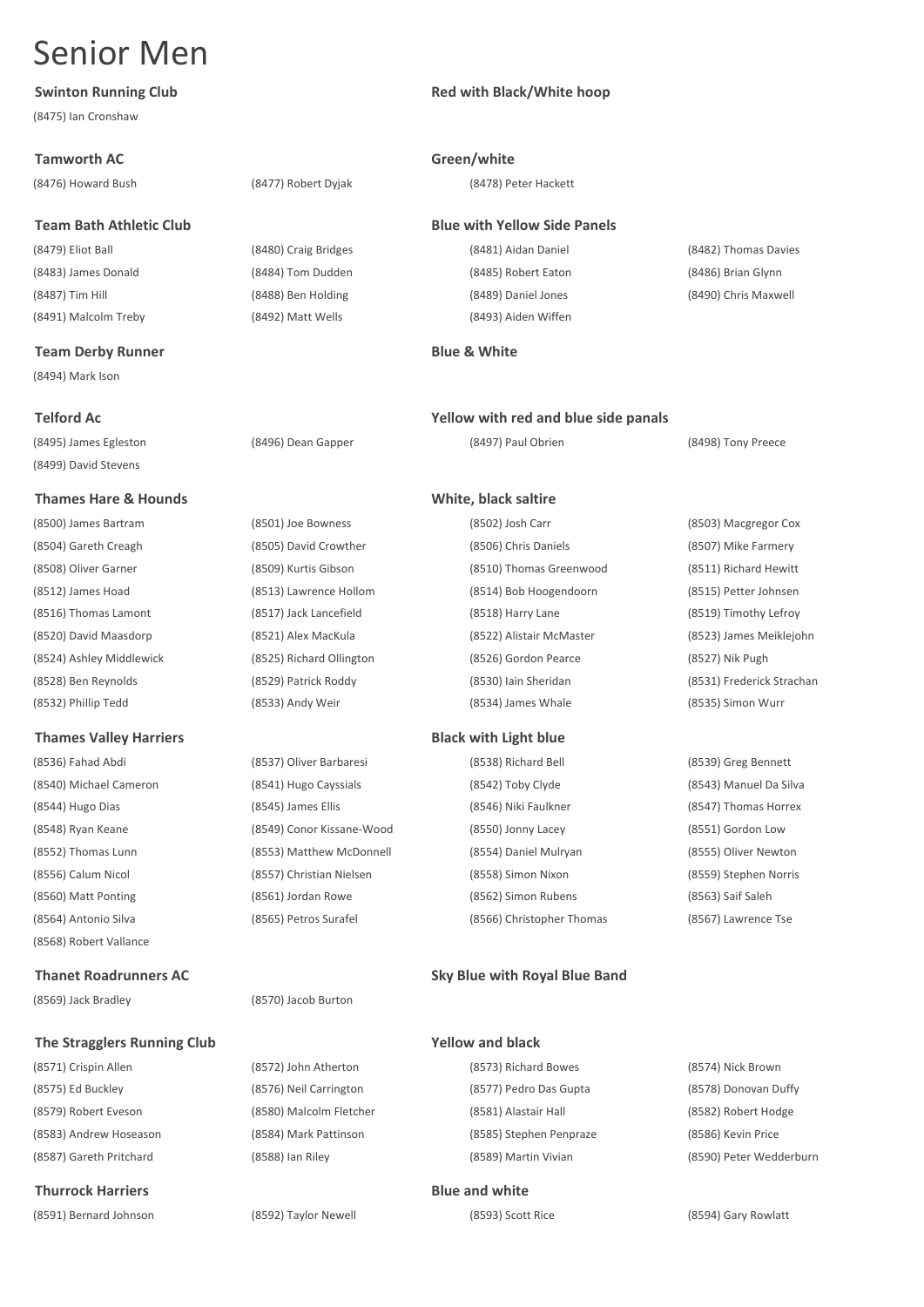(8475) Ian Cronshaw

## **Tamworth AC Green/white**

(8479) Eliot Ball (8480) Craig Bridges (8481) Aidan Daniel (8482) Thomas Davies (8483) James Donald (8484) Tom Dudden (8485) Robert Eaton (8486) Brian Glynn (8487) Tim Hill (8488) Ben Holding (8489) Daniel Jones (8490) Chris Maxwell (8491) Malcolm Treby (8492) Matt Wells (8493) Aiden Wiffen

## **Team Derby Runner Blue & White**

(8494) Mark Ison

(8495) James Egleston (8496) Dean Gapper (8497) Paul Obrien (8498) Tony Preece (8499) David Stevens

## **Thames Hare & Hounds White, black saltire**

(8500) James Bartram (8501) Joe Bowness (8502) Josh Carr (8503) Macgregor Cox

## **Thames Valley Harriers Black with Light blue**

(8568) Robert Vallance

(8569) Jack Bradley (8570) Jacob Burton

## **The Stragglers Running Club Yellow and black**

## **Thurrock Harriers Blue and white**

(8591) Bernard Johnson (8592) Taylor Newell (8593) Scott Rice (8594) Gary Rowlatt

## **Swinton Running Club Red with Black/White hoop**

(8476) Howard Bush (8477) Robert Dyjak (8478) Peter Hackett

## **Team Bath Athletic Club Blue with Yellow Side Panels**

## **Telford Ac Yellow with red and blue side panals**

(8504) Gareth Creagh (8505) David Crowther (8506) Chris Daniels (8507) Mike Farmery (8508) Oliver Garner (8509) Kurtis Gibson (8510) Thomas Greenwood (8511) Richard Hewitt (8512) James Hoad (8513) Lawrence Hollom (8514) Bob Hoogendoorn (8515) Petter Johnsen (8516) Thomas Lamont (8517) Jack Lancefield (8518) Harry Lane (8519) Timothy Lefroy (8520) David Maasdorp (8521) Alex MacKula (8522) Alistair McMaster (8523) James Meiklejohn (8524) Ashley Middlewick (8525) Richard Ollington (8526) Gordon Pearce (8527) Nik Pugh (8528) Ben Reynolds (8529) Patrick Roddy (8530) Iain Sheridan (8531) Frederick Strachan (8532) Phillip Tedd (8533) Andy Weir (8534) James Whale (8535) Simon Wurr

(8536) Fahad Abdi (8537) Oliver Barbaresi (8538) Richard Bell (8539) Greg Bennett (8540) Michael Cameron (8541) Hugo Cayssials (8542) Toby Clyde (8543) Manuel Da Silva (8544) Hugo Dias (8545) James Ellis (8546) Niki Faulkner (8547) Thomas Horrex (8548) Ryan Keane (8549) Conor Kissane-Wood (8550) Jonny Lacey (8551) Gordon Low (8552) Thomas Lunn (8553) Matthew McDonnell (8554) Daniel Mulryan (8555) Oliver Newton (8556) Calum Nicol (8557) Christian Nielsen (8558) Simon Nixon (8559) Stephen Norris (8560) Matt Ponting (8561) Jordan Rowe (8562) Simon Rubens (8563) Saif Saleh

(8564) Antonio Silva (8565) Petros Surafel (8566) Christopher Thomas (8567) Lawrence Tse

## **Thanet Roadrunners AC Sky Blue with Royal Blue Band**

(8571) Crispin Allen (8572) John Atherton (8573) Richard Bowes (8574) Nick Brown (8575) Ed Buckley (8576) Neil Carrington (8577) Pedro Das Gupta (8578) Donovan Duffy (8579) Robert Eveson (8580) Malcolm Fletcher (8581) Alastair Hall (8582) Robert Hodge (8583) Andrew Hoseason (8584) Mark Pattinson (8585) Stephen Penpraze (8586) Kevin Price (8587) Gareth Pritchard (8588) Ian Riley (8589) Martin Vivian (8590) Peter Wedderburn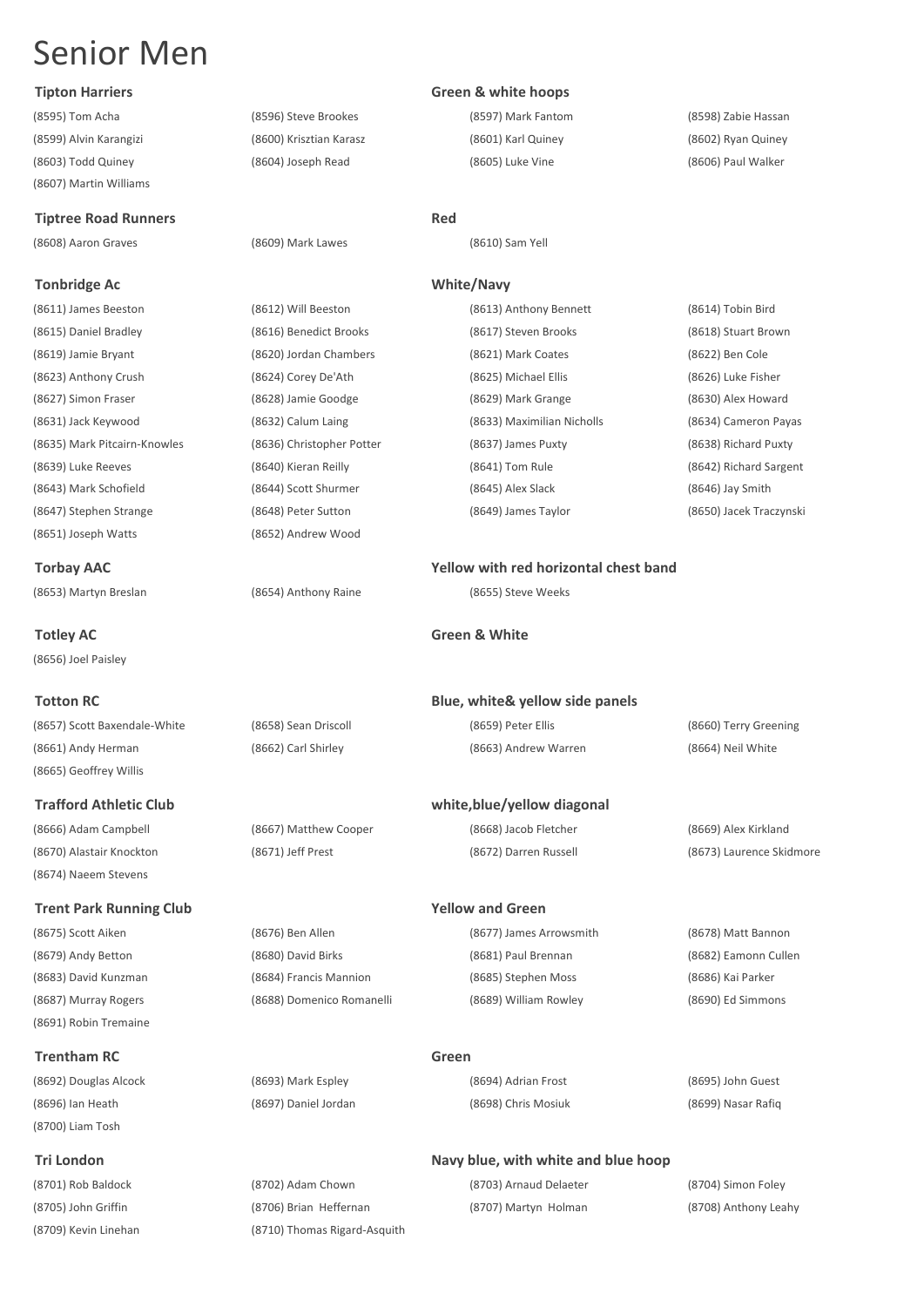(8603) Todd Quiney (8604) Joseph Read (8605) Luke Vine (8606) Paul Walker (8607) Martin Williams

## **Tiptree Road Runners Red**

(8608) Aaron Graves (8609) Mark Lawes (8610) Sam Yell

## **Tonbridge Ac White/Navy**

(8611) James Beeston (8612) Will Beeston (8613) Anthony Bennett (8614) Tobin Bird (8615) Daniel Bradley (8616) Benedict Brooks (8617) Steven Brooks (8618) Stuart Brown (8619) Jamie Bryant (8620) Jordan Chambers (8621) Mark Coates (8622) Ben Cole (8623) Anthony Crush (8624) Corey De'Ath (8625) Michael Ellis (8626) Luke Fisher (8627) Simon Fraser (8628) Jamie Goodge (8629) Mark Grange (8630) Alex Howard (8631) Jack Keywood (8632) Calum Laing (8633) Maximilian Nicholls (8634) Cameron Payas (8635) Mark Pitcairn-Knowles (8636) Christopher Potter (8637) James Puxty (8638) Richard Puxty (8639) Luke Reeves (8640) Kieran Reilly (8641) Tom Rule (8642) Richard Sargent (8643) Mark Schofield (8644) Scott Shurmer (8645) Alex Slack (8646) Jay Smith (8647) Stephen Strange (8648) Peter Sutton (8649) James Taylor (8650) Jacek Traczynski (8651) Joseph Watts (8652) Andrew Wood

**Torbay AAC Yellow with red horizontal chest band**

(8656) Joel Paisley

(8657) Scott Baxendale-White (8658) Sean Driscoll (8659) Peter Ellis (8660) Terry Greening (8661) Andy Herman (8662) Carl Shirley (8663) Andrew Warren (8664) Neil White

## **Trafford Athletic Club white,blue/yellow diagonal**

(8665) Geoffrey Willis

(8674) Naeem Stevens

## **Trent Park Running Club Yellow and Green**

(8691) Robin Tremaine

## **Trentham RC Green**

(8700) Liam Tosh

## (8595) Tom Acha (8596) Steve Brookes (8597) Mark Fantom (8598) Zabie Hassan (8599) Alvin Karangizi (8600) Krisztian Karasz (8601) Karl Quiney (8602) Ryan Quiney

## **Tipton Harriers Green & white hoops**

(8653) Martyn Breslan (8654) Anthony Raine (8655) Steve Weeks

(8666) Adam Campbell (8667) Matthew Cooper (8668) Jacob Fletcher (8669) Alex Kirkland

(8675) Scott Aiken (8676) Ben Allen (8677) James Arrowsmith (8678) Matt Bannon (8679) Andy Betton (8680) David Birks (8681) Paul Brennan (8682) Eamonn Cullen (8683) David Kunzman (8684) Francis Mannion (8685) Stephen Moss (8686) Kai Parker (8687) Murray Rogers (8688) Domenico Romanelli (8689) William Rowley (8690) Ed Simmons

(8692) Douglas Alcock (8693) Mark Espley (8694) Adrian Frost (8695) John Guest

## **Tri London Navy blue, with white and blue hoop**

(8701) Rob Baldock (8702) Adam Chown (8703) Arnaud Delaeter (8704) Simon Foley (8705) John Griffin (8706) Brian Heffernan (8707) Martyn Holman (8708) Anthony Leahy (8709) Kevin Linehan (8710) Thomas Rigard-Asquith

**Totley AC Green & White**

## **Totton RC Blue, white& yellow side panels**

(8670) Alastair Knockton (8671) Jeff Prest (8672) Darren Russell (8673) Laurence Skidmore

(8696) Ian Heath (8697) Daniel Jordan (8698) Chris Mosiuk (8699) Nasar Rafiq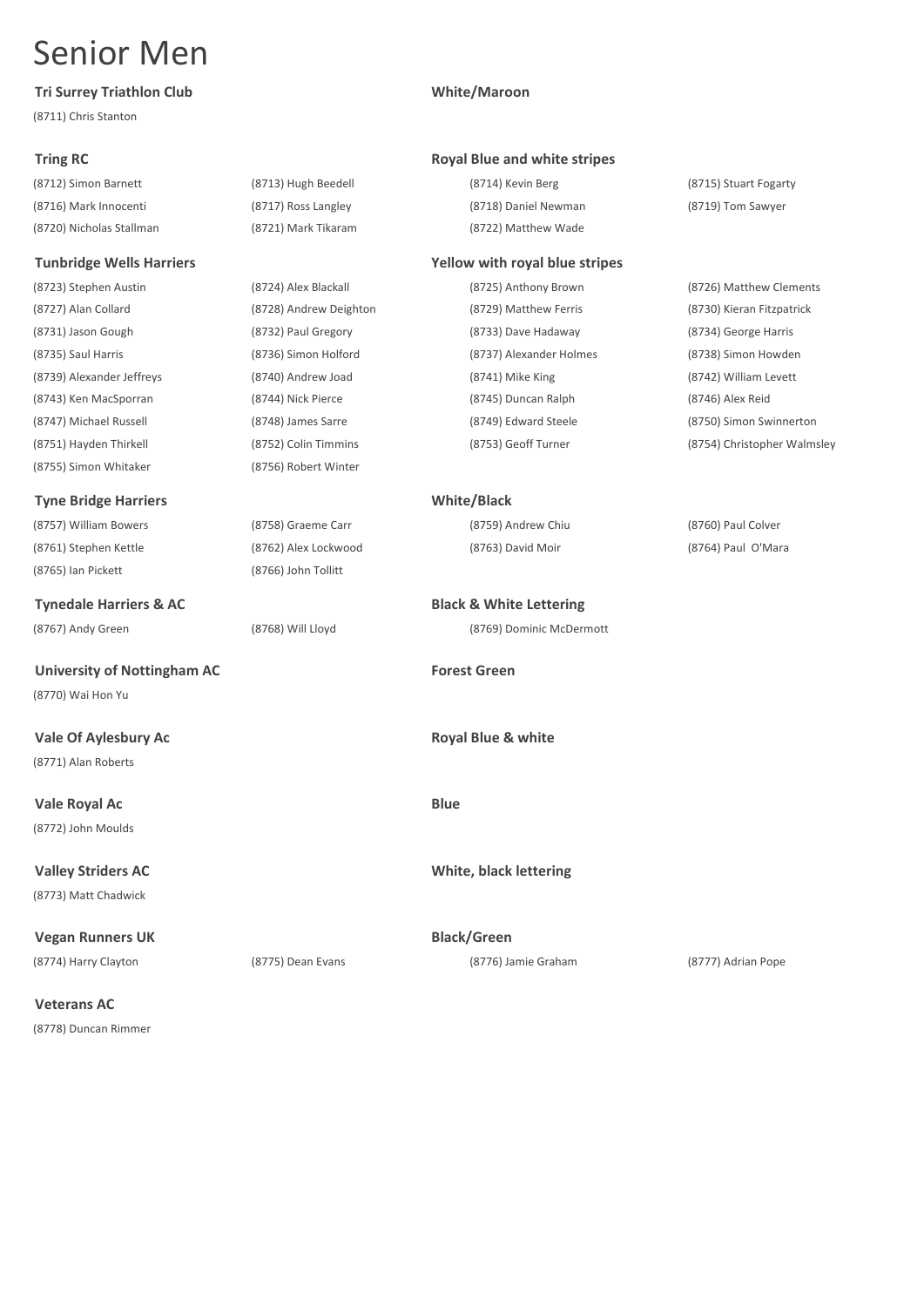## **Tri Surrey Triathlon Club White/Maroon**

(8711) Chris Stanton

## **Tunbridge Wells Harriers Yellow with royal blue stripes**

(8755) Simon Whitaker (8756) Robert Winter

## **Tyne Bridge Harriers White/Black**

(8757) William Bowers (8758) Graeme Carr (8759) Andrew Chiu (8760) Paul Colver (8761) Stephen Kettle (8762) Alex Lockwood (8763) David Moir (8764) Paul O'Mara (8765) Ian Pickett (8766) John Tollitt

**Tynedale Harriers & AC Black & White Lettering**

University of Nottingham AC **Forest Green** (8770) Wai Hon Yu

**Vale Of Aylesbury Ac Royal Blue & white** (8771) Alan Roberts

**Vale Royal Ac Blue** (8772) John Moulds

(8773) Matt Chadwick

**Vegan Runners UK Black/Green** (8774) Harry Clayton (8775) Dean Evans (8776) Jamie Graham (8777) Adrian Pope

**Veterans AC** (8778) Duncan Rimmer

## **Tring RC Royal Blue and white stripes Royal Blue and white stripes**

(8712) Simon Barnett (8713) Hugh Beedell (8714) Kevin Berg (8715) Stuart Fogarty (8716) Mark Innocenti (8717) Ross Langley (8718) Daniel Newman (8719) Tom Sawyer (8720) Nicholas Stallman (8721) Mark Tikaram (8722) Matthew Wade

(8727) Alan Collard (8728) Andrew Deighton (8729) Matthew Ferris (8730) Kieran Fitzpatrick (8731) Jason Gough (8732) Paul Gregory (8733) Dave Hadaway (8734) George Harris (8735) Saul Harris (8736) Simon Holford (8737) Alexander Holmes (8738) Simon Howden (8739) Alexander Jeffreys (8740) Andrew Joad (8741) Mike King (8742) William Levett (8743) Ken MacSporran (8744) Nick Pierce (8745) Duncan Ralph (8746) Alex Reid (8747) Michael Russell (8748) James Sarre (8749) Edward Steele (8750) Simon Swinnerton

(8767) Andy Green (8768) Will Lloyd (8769) Dominic McDermott

**Valley Striders AC White, black lettering**

(8723) Stephen Austin (8724) Alex Blackall (8725) Anthony Brown (8726) Matthew Clements (8751) Hayden Thirkell (8752) Colin Timmins (8753) Geoff Turner (8754) Christopher Walmsley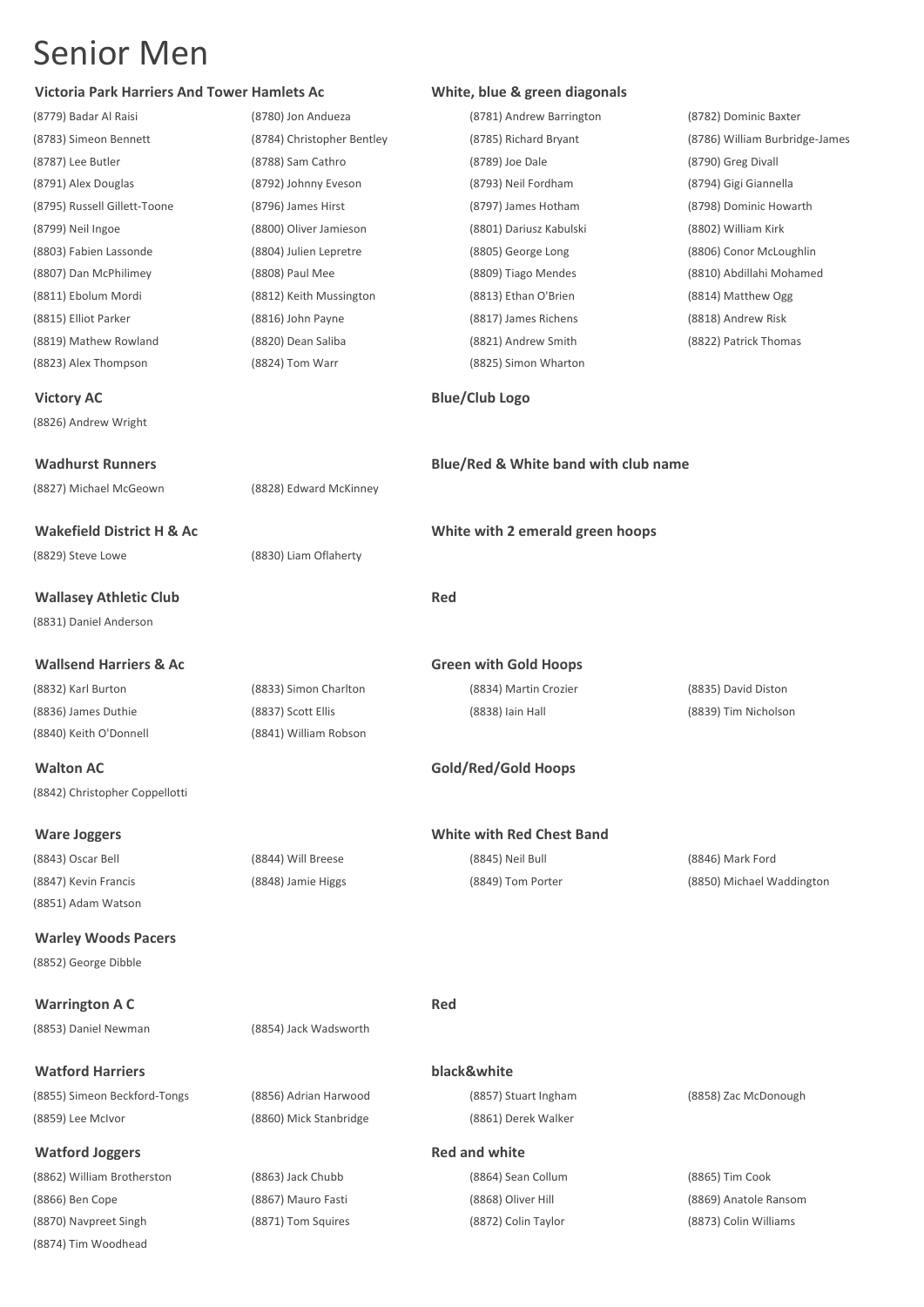(8874) Tim Woodhead

| <b>Victoria Park Harriers And Tower Hamlets Ac</b> |                            | White, blue & green diagonals        |                                |
|----------------------------------------------------|----------------------------|--------------------------------------|--------------------------------|
| (8779) Badar Al Raisi                              | (8780) Jon Andueza         | (8781) Andrew Barrington             | (8782) Dominic Baxter          |
| (8783) Simeon Bennett                              | (8784) Christopher Bentley | (8785) Richard Bryant                | (8786) William Burbridge-James |
| (8787) Lee Butler                                  | (8788) Sam Cathro          | (8789) Joe Dale                      | (8790) Greg Divall             |
| (8791) Alex Douglas                                | (8792) Johnny Eveson       | (8793) Neil Fordham                  | (8794) Gigi Giannella          |
| (8795) Russell Gillett-Toone                       | (8796) James Hirst         | (8797) James Hotham                  | (8798) Dominic Howarth         |
| (8799) Neil Ingoe                                  | (8800) Oliver Jamieson     | (8801) Dariusz Kabulski              | (8802) William Kirk            |
| (8803) Fabien Lassonde                             | (8804) Julien Lepretre     | (8805) George Long                   | (8806) Conor McLoughlin        |
| (8807) Dan McPhilimey                              | (8808) Paul Mee            | (8809) Tiago Mendes                  | (8810) Abdillahi Mohamed       |
| (8811) Ebolum Mordi                                | (8812) Keith Mussington    | (8813) Ethan O'Brien                 | (8814) Matthew Ogg             |
| (8815) Elliot Parker                               | (8816) John Payne          | (8817) James Richens                 | (8818) Andrew Risk             |
| (8819) Mathew Rowland                              | (8820) Dean Saliba         | (8821) Andrew Smith                  | (8822) Patrick Thomas          |
| (8823) Alex Thompson                               | (8824) Tom Warr            | (8825) Simon Wharton                 |                                |
| <b>Victory AC</b>                                  |                            | <b>Blue/Club Logo</b>                |                                |
| (8826) Andrew Wright                               |                            |                                      |                                |
| <b>Wadhurst Runners</b>                            |                            | Blue/Red & White band with club name |                                |
| (8827) Michael McGeown                             | (8828) Edward McKinney     |                                      |                                |
| <b>Wakefield District H &amp; Ac</b>               |                            | White with 2 emerald green hoops     |                                |
| (8829) Steve Lowe                                  | (8830) Liam Oflaherty      |                                      |                                |
| <b>Wallasey Athletic Club</b>                      |                            | <b>Red</b>                           |                                |
| (8831) Daniel Anderson                             |                            |                                      |                                |
| <b>Wallsend Harriers &amp; Ac</b>                  |                            | <b>Green with Gold Hoops</b>         |                                |
| (8832) Karl Burton                                 | (8833) Simon Charlton      | (8834) Martin Crozier                | (8835) David Diston            |
| (8836) James Duthie                                | (8837) Scott Ellis         | (8838) Iain Hall                     | (8839) Tim Nicholson           |
| (8840) Keith O'Donnell                             | (8841) William Robson      |                                      |                                |
| <b>Walton AC</b>                                   |                            | Gold/Red/Gold Hoops                  |                                |
| (8842) Christopher Coppellotti                     |                            |                                      |                                |
| <b>Ware Joggers</b>                                |                            | <b>White with Red Chest Band</b>     |                                |
| (8843) Oscar Bell                                  | (8844) Will Breese         | (8845) Neil Bull                     | (8846) Mark Ford               |
| (8847) Kevin Francis                               | (8848) Jamie Higgs         | (8849) Tom Porter                    | (8850) Michael Waddington      |
| (8851) Adam Watson                                 |                            |                                      |                                |
| <b>Warley Woods Pacers</b>                         |                            |                                      |                                |
| (8852) George Dibble                               |                            |                                      |                                |
| <b>Warrington A C</b>                              |                            | <b>Red</b>                           |                                |
| (8853) Daniel Newman                               | (8854) Jack Wadsworth      |                                      |                                |
| <b>Watford Harriers</b>                            |                            | black&white                          |                                |
| (8855) Simeon Beckford-Tongs                       | (8856) Adrian Harwood      | (8857) Stuart Ingham                 | (8858) Zac McDonough           |
| (8859) Lee McIvor                                  | (8860) Mick Stanbridge     | (8861) Derek Walker                  |                                |
| <b>Watford Joggers</b>                             |                            | <b>Red and white</b>                 |                                |
| (8862) William Brotherston                         | (8863) Jack Chubb          | (8864) Sean Collum                   | (8865) Tim Cook                |

(8866) Ben Cope (8867) Mauro Fasti (8868) Oliver Hill (8869) Anatole Ransom (8870) Navpreet Singh (8871) Tom Squires (8872) Colin Taylor (8873) Colin Williams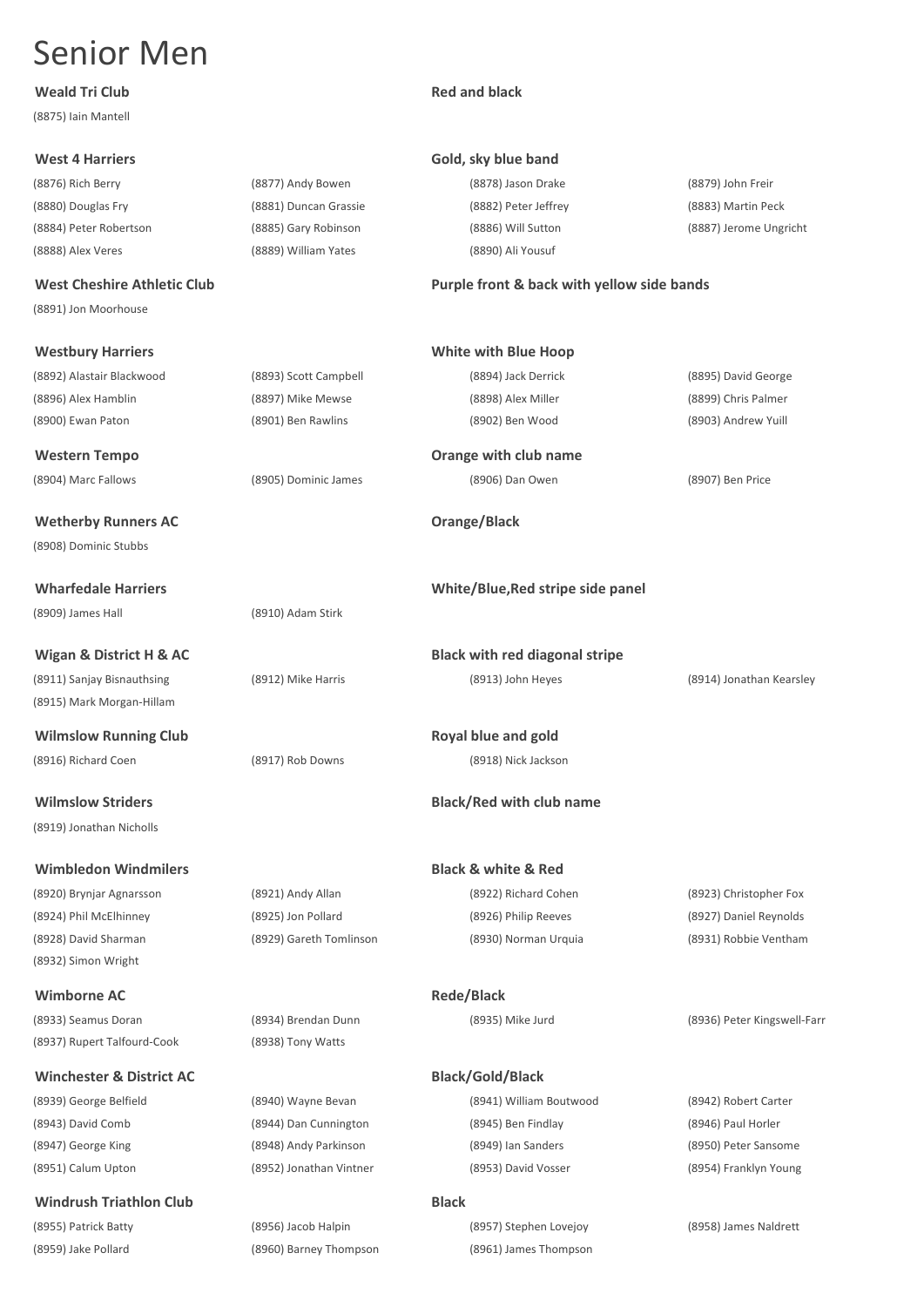## **Weald Tri Club Red and black**

(8875) Iain Mantell

(8876) Rich Berry (8877) Andy Bowen (8878) Jason Drake (8879) John Freir (8888) Alex Veres (8889) William Yates (8890) Ali Yousuf

(8891) Jon Moorhouse

## **Westbury Harriers**

## **Winchester & District AC**

## **West 4 Harriers Gold, sky blue band**

(8880) Douglas Fry (8881) Duncan Grassie (8882) Peter Jeffrey (8883) Martin Peck

# (8884) Peter Robertson (8885) Gary Robinson (8886) Will Sutton (8887) Jerome Ungricht

## **West Cheshire Athletic Club Purple front & back with yellow side bands**

| <b>Westbury Harriers</b>            |                         | <b>White with Blue Hoop</b>           |                             |
|-------------------------------------|-------------------------|---------------------------------------|-----------------------------|
| (8892) Alastair Blackwood           | (8893) Scott Campbell   | (8894) Jack Derrick                   | (8895) David George         |
| (8896) Alex Hamblin                 | (8897) Mike Mewse       | (8898) Alex Miller                    | (8899) Chris Palmer         |
| (8900) Ewan Paton                   | (8901) Ben Rawlins      | (8902) Ben Wood                       | (8903) Andrew Yuill         |
| <b>Western Tempo</b>                |                         | Orange with club name                 |                             |
| (8904) Marc Fallows                 | (8905) Dominic James    | (8906) Dan Owen                       | (8907) Ben Price            |
| <b>Wetherby Runners AC</b>          |                         | Orange/Black                          |                             |
| (8908) Dominic Stubbs               |                         |                                       |                             |
| <b>Wharfedale Harriers</b>          |                         | White/Blue, Red stripe side panel     |                             |
| (8909) James Hall                   | (8910) Adam Stirk       |                                       |                             |
| Wigan & District H & AC             |                         | <b>Black with red diagonal stripe</b> |                             |
| (8911) Sanjay Bisnauthsing          | (8912) Mike Harris      | (8913) John Heyes                     | (8914) Jonathan Kearsley    |
| (8915) Mark Morgan-Hillam           |                         |                                       |                             |
| <b>Wilmslow Running Club</b>        |                         | Royal blue and gold                   |                             |
| (8916) Richard Coen                 | (8917) Rob Downs        | (8918) Nick Jackson                   |                             |
| <b>Wilmslow Striders</b>            |                         | <b>Black/Red with club name</b>       |                             |
| (8919) Jonathan Nicholls            |                         |                                       |                             |
| <b>Wimbledon Windmilers</b>         |                         | <b>Black &amp; white &amp; Red</b>    |                             |
| (8920) Brynjar Agnarsson            | (8921) Andy Allan       | (8922) Richard Cohen                  | (8923) Christopher Fox      |
| (8924) Phil McElhinney              | (8925) Jon Pollard      | (8926) Philip Reeves                  | (8927) Daniel Reynolds      |
| (8928) David Sharman                | (8929) Gareth Tomlinson | (8930) Norman Urquia                  | (8931) Robbie Ventham       |
| (8932) Simon Wright                 |                         |                                       |                             |
| <b>Wimborne AC</b>                  |                         | Rede/Black                            |                             |
| (8933) Seamus Doran                 | (8934) Brendan Dunn     | (8935) Mike Jurd                      | (8936) Peter Kingswell-Farr |
| (8937) Rupert Talfourd-Cook         | (8938) Tony Watts       |                                       |                             |
| <b>Winchester &amp; District AC</b> |                         | <b>Black/Gold/Black</b>               |                             |
| (8939) George Belfield              | (8940) Wayne Bevan      | (8941) William Boutwood               | (8942) Robert Carter        |
| (8943) David Comb                   | (8944) Dan Cunnington   | (8945) Ben Findlay                    | (8946) Paul Horler          |
| (8947) George King                  | (8948) Andy Parkinson   | (8949) Ian Sanders                    | (8950) Peter Sansome        |
| (8951) Calum Upton                  | (8952) Jonathan Vintner | (8953) David Vosser                   | (8954) Franklyn Young       |
| <b>Windrush Triathlon Club</b>      |                         | <b>Black</b>                          |                             |
| (8955) Patrick Batty                | (8956) Jacob Halpin     | (8957) Stephen Lovejoy                | (8958) James Naldrett       |
| (8959) Jake Pollard                 | (8960) Barney Thompson  | (8961) James Thompson                 |                             |
|                                     |                         |                                       |                             |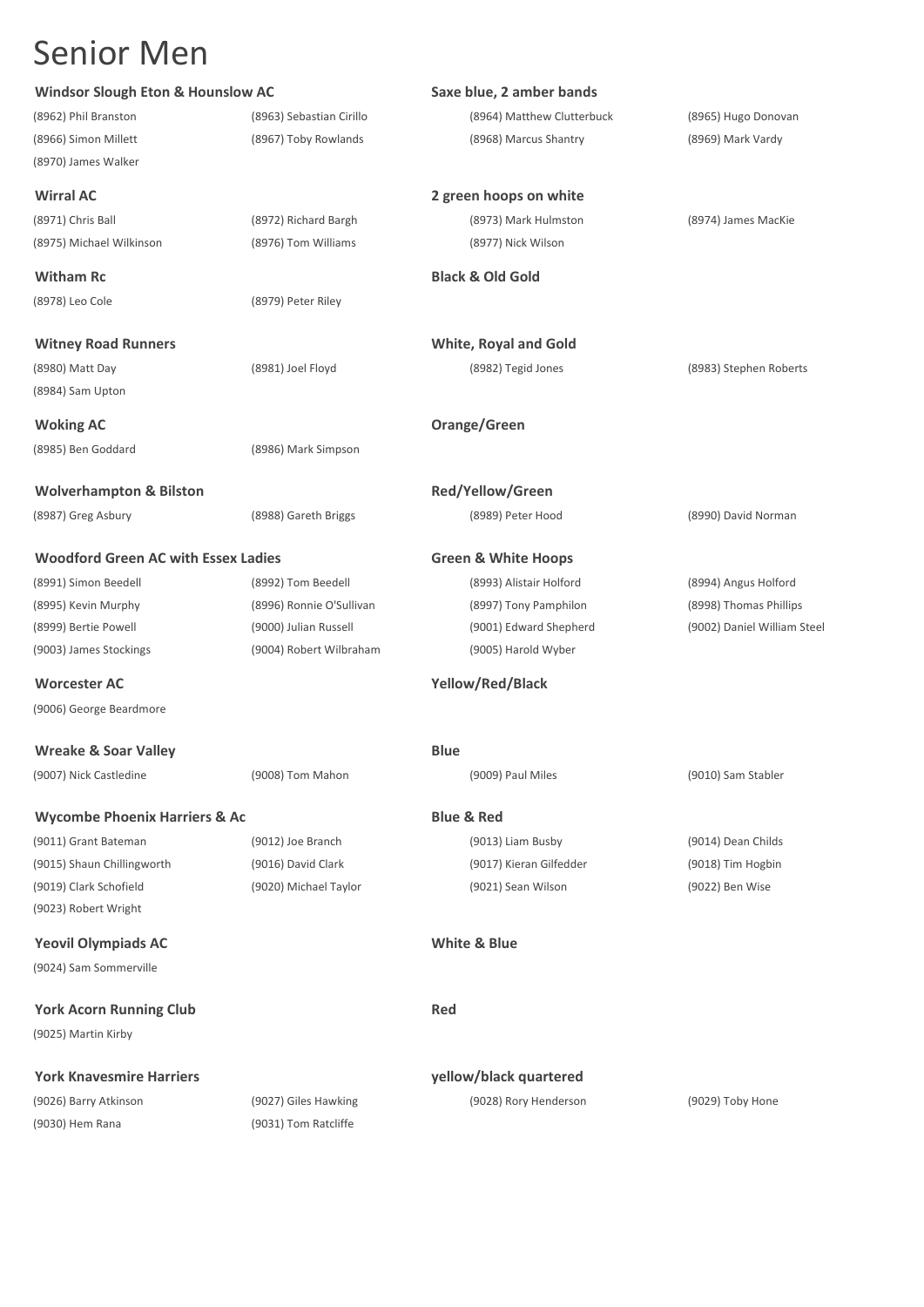(8970) James Walker

(8971) Chris Ball (8972) Richard Bargh (8973) Mark Hulmston (8974) James MacKie (8975) Michael Wilkinson (8976) Tom Williams (8977) Nick Wilson

(8978) Leo Cole (8979) Peter Riley

(8984) Sam Upton

(8985) Ben Goddard (8986) Mark Simpson

**Wolverhampton & Bilston Red/Yellow/Green**

## **Woodford Green AC with Essex Ladies Green & White Hoops**

**Worcester AC Yellow/Red/Black** (9006) George Beardmore

**Wreake & Soar Valley Blue Blue** 

(9007) Nick Castledine (9008) Tom Mahon (9009) Paul Miles (9010) Sam Stabler

## **Wycombe Phoenix Harriers & Ac Blue & Red**

(9023) Robert Wright

**Yeovil Olympiads AC White & Blue** (9024) Sam Sommerville

**York Acorn Running Club Red** (9025) Martin Kirby

## **York Knavesmire Harriers yellow/black quartered**

(9030) Hem Rana (9031) Tom Ratcliffe

**Saxe blue, 2 amber bands** (8962) Phil Branston (8963) Sebastian Cirillo (8964) Matthew Clutterbuck (8965) Hugo Donovan (8966) Simon Millett (8967) Toby Rowlands (8968) Marcus Shantry (8969) Mark Vardy

## **Wirral AC 2 green hoops on white**

**Witham Rc Black & Old Gold**

**Witney Road Runners White, Royal and Gold** (8980) Matt Day (8981) Joel Floyd (8982) Tegid Jones (8983) Stephen Roberts

**Woking AC Orange/Green**

(8987) Greg Asbury (8988) Gareth Briggs (8989) Peter Hood (8990) David Norman

(8991) Simon Beedell (8992) Tom Beedell (8993) Alistair Holford (8994) Angus Holford (8995) Kevin Murphy (8996) Ronnie O'Sullivan (8997) Tony Pamphilon (8998) Thomas Phillips (8999) Bertie Powell (9000) Julian Russell (9001) Edward Shepherd (9002) Daniel William Steel (9003) James Stockings (9004) Robert Wilbraham (9005) Harold Wyber

(9011) Grant Bateman (9012) Joe Branch (9013) Liam Busby (9014) Dean Childs (9015) Shaun Chillingworth (9016) David Clark (9017) Kieran Gilfedder (9018) Tim Hogbin (9019) Clark Schofield (9020) Michael Taylor (9021) Sean Wilson (9022) Ben Wise

(9026) Barry Atkinson (9027) Giles Hawking (9028) Rory Henderson (9029) Toby Hone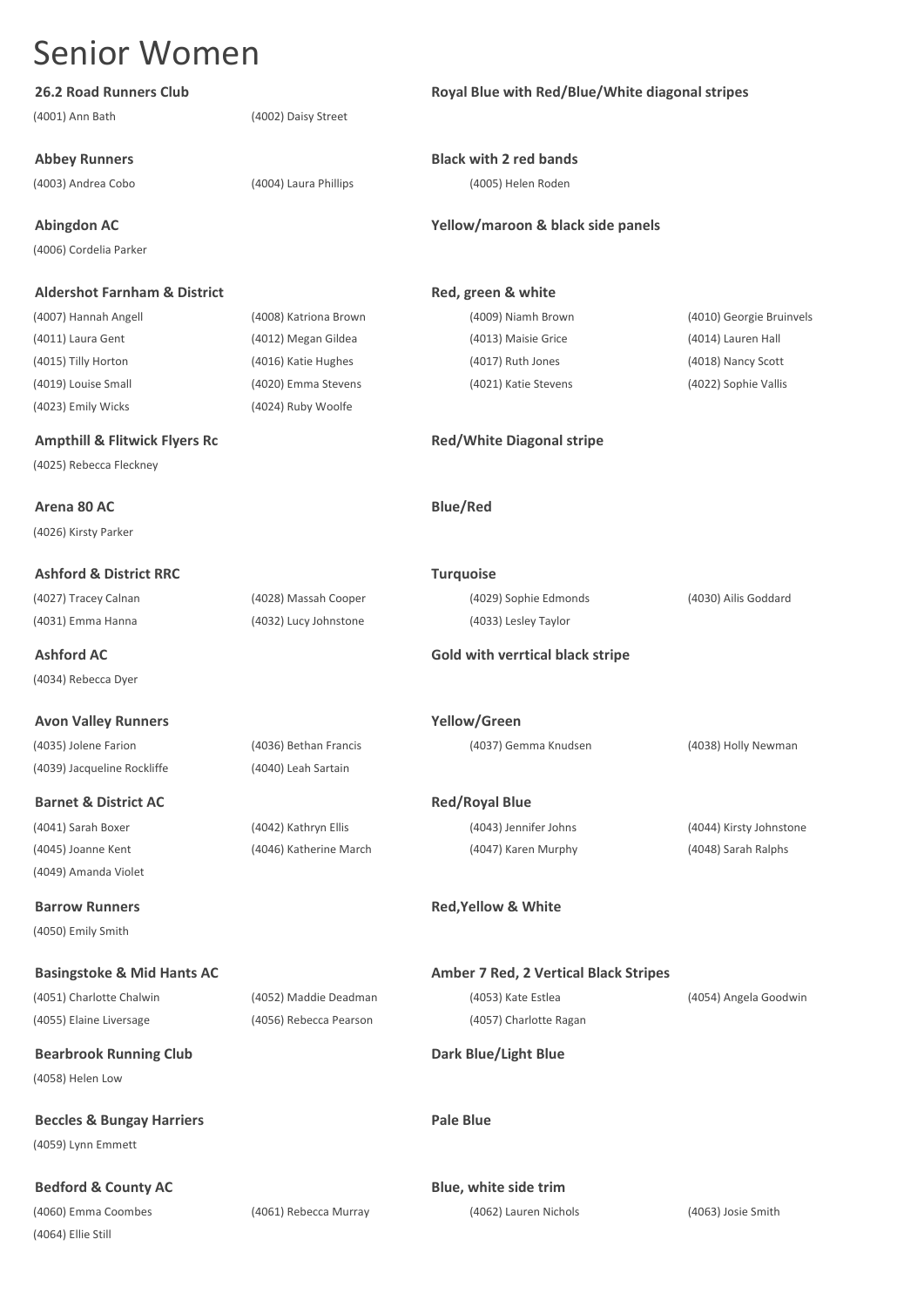(4001) Ann Bath (4002) Daisy Street

(4006) Cordelia Parker

## **Aldershot Farnham & District Red, green & white**

(4011) Laura Gent (4012) Megan Gildea (4013) Maisie Grice (4014) Lauren Hall (4015) Tilly Horton (4016) Katie Hughes (4017) Ruth Jones (4018) Nancy Scott (4019) Louise Small (4020) Emma Stevens (4021) Katie Stevens (4022) Sophie Vallis (4023) Emily Wicks (4024) Ruby Woolfe

## **Ampthill & Flitwick Flyers Rc Red/White Diagonal stripe**

(4025) Rebecca Fleckney

**Arena 80 AC Blue/Red** (4026) Kirsty Parker

**Ashford & District RRC Turquoise**

(4031) Emma Hanna (4032) Lucy Johnstone (4033) Lesley Taylor

(4034) Rebecca Dyer

**Avon Valley Runners Yellow/Green** (4035) Jolene Farion (4036) Bethan Francis (4037) Gemma Knudsen (4038) Holly Newman (4039) Jacqueline Rockliffe (4040) Leah Sartain

**Barnet & District AC Red/Royal Blue** (4041) Sarah Boxer (4042) Kathryn Ellis (4043) Jennifer Johns (4044) Kirsty Johnstone (4045) Joanne Kent (4046) Katherine March (4047) Karen Murphy (4048) Sarah Ralphs

(4049) Amanda Violet

(4050) Emily Smith

(4055) Elaine Liversage (4056) Rebecca Pearson (4057) Charlotte Ragan

**Bearbrook Running Club Dark Blue/Light Blue** (4058) Helen Low

**Beccles & Bungay Harriers Pale Blue** (4059) Lynn Emmett

**Bedford & County AC Blue, white side trim** 

(4060) Emma Coombes (4061) Rebecca Murray (4062) Lauren Nichols (4063) Josie Smith (4064) Ellie Still

**26.2 Road Runners Club Royal Blue with Red/Blue/White diagonal stripes**

**Abbey Runners Black with 2 red bands**

(4003) Andrea Cobo (4004) Laura Phillips (4005) Helen Roden

## **Abingdon AC Yellow/maroon & black side panels**

(4007) Hannah Angell (4008) Katriona Brown (4009) Niamh Brown (4010) Georgie Bruinvels

(4027) Tracey Calnan (4028) Massah Cooper (4029) Sophie Edmonds (4030) Ailis Goddard

## **Ashford AC Gold with verrtical black stripe**

**Barrow Runners Red,Yellow & White**

**Basingstoke & Mid Hants AC Amber 7 Red, 2 Vertical Black Stripes** (4051) Charlotte Chalwin (4052) Maddie Deadman (4053) Kate Estlea (4054) Angela Goodwin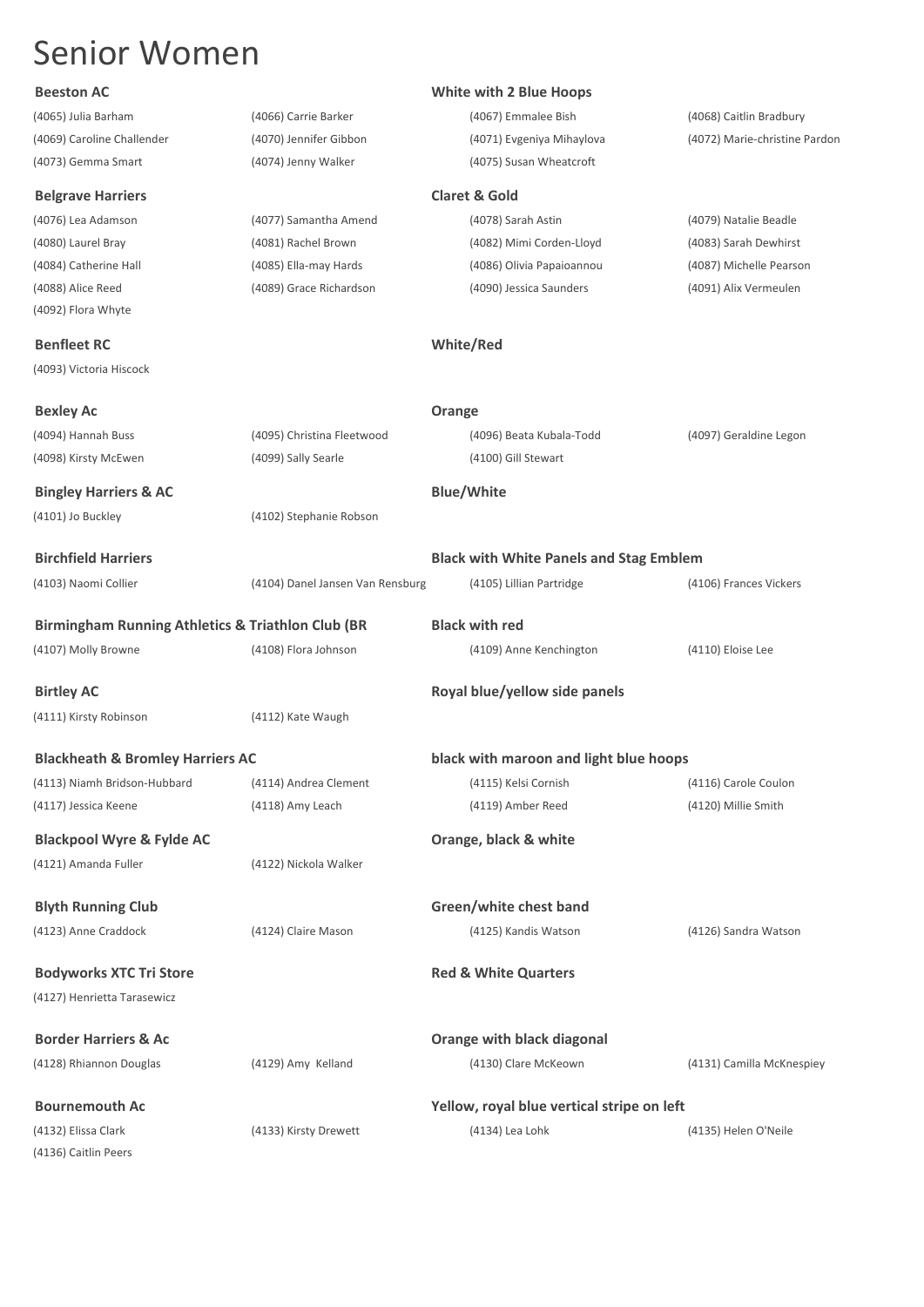(4073) Gemma Smart (4074) Jenny Walker (4075) Susan Wheatcroft

## **Belgrave Harriers**

## **Benfleet RC**

## **Beeston AC Beeston AC Reserves White with 2 Blue Hoops**

(4065) Julia Barham (4066) Carrie Barker (4067) Emmalee Bish (4068) Caitlin Bradbury

(4069) Caroline Challender (4070) Jennifer Gibbon (4071) Evgeniya Mihaylova (4072) Marie-christine Pardon

| <b>Belgrave Harriers</b>                                     |                                  | <b>Claret &amp; Gold</b>                       |                         |
|--------------------------------------------------------------|----------------------------------|------------------------------------------------|-------------------------|
| (4076) Lea Adamson                                           | (4077) Samantha Amend            | (4078) Sarah Astin                             | (4079) Natalie Beadle   |
| (4080) Laurel Bray                                           | (4081) Rachel Brown              | (4082) Mimi Corden-Lloyd                       | (4083) Sarah Dewhirst   |
| (4084) Catherine Hall                                        | (4085) Ella-may Hards            | (4086) Olivia Papaioannou                      | (4087) Michelle Pearson |
| (4088) Alice Reed                                            | (4089) Grace Richardson          | (4090) Jessica Saunders                        | (4091) Alix Vermeulen   |
| (4092) Flora Whyte                                           |                                  |                                                |                         |
| <b>Benfleet RC</b>                                           |                                  | White/Red                                      |                         |
| (4093) Victoria Hiscock                                      |                                  |                                                |                         |
| <b>Bexley Ac</b>                                             |                                  | Orange                                         |                         |
| (4094) Hannah Buss                                           | (4095) Christina Fleetwood       | (4096) Beata Kubala-Todd                       | (4097) Geraldine Legon  |
| (4098) Kirsty McEwen                                         | (4099) Sally Searle              | (4100) Gill Stewart                            |                         |
| <b>Bingley Harriers &amp; AC</b>                             |                                  | <b>Blue/White</b>                              |                         |
| (4101) Jo Buckley                                            | (4102) Stephanie Robson          |                                                |                         |
| <b>Birchfield Harriers</b>                                   |                                  | <b>Black with White Panels and Stag Emblem</b> |                         |
| (4103) Naomi Collier                                         | (4104) Danel Jansen Van Rensburg | (4105) Lillian Partridge                       | (4106) Frances Vickers  |
| <b>Birmingham Running Athletics &amp; Triathlon Club (BR</b> |                                  | <b>Black with red</b>                          |                         |
| (4107) Molly Browne                                          | (4108) Flora Johnson             | (4109) Anne Kenchington                        | (4110) Eloise Lee       |
| <b>Birtley AC</b>                                            |                                  | Royal blue/yellow side panels                  |                         |
| (4111) Kirsty Robinson                                       | (4112) Kate Waugh                |                                                |                         |
| <b>Blackheath &amp; Bromley Harriers AC</b>                  |                                  | black with maroon and light blue hoops         |                         |
| (4113) Niamh Bridson-Hubbard                                 | (4114) Andrea Clement            | (4115) Kelsi Cornish                           | (4116) Carole Coulon    |
| (4117) Jessica Keene                                         | (4118) Amy Leach                 | (4119) Amber Reed                              | (4120) Millie Smith     |
| <b>Blackpool Wyre &amp; Fylde AC</b>                         |                                  | Orange, black & white                          |                         |
| (4121) Amanda Fuller                                         | (4122) Nickola Walker            |                                                |                         |
| <b>Blyth Running Club</b>                                    |                                  | Green/white chest band                         |                         |
| (4123) Anne Craddock                                         | (4124) Claire Mason              | (4125) Kandis Watson                           | (4126) Sandra Watson    |
| <b>Bodyworks XTC Tri Store</b>                               |                                  | <b>Red &amp; White Quarters</b>                |                         |
| (4127) Henrietta Tarasewicz                                  |                                  |                                                |                         |

| <b>Border Harriers &amp; Ac</b> |                       | Orange with black diagonal                 |                           |
|---------------------------------|-----------------------|--------------------------------------------|---------------------------|
| (4128) Rhiannon Douglas         | (4129) Amy Kelland    | (4130) Clare McKeown                       | (4131) Camilla McKnespiey |
| <b>Bournemouth Ac</b>           |                       | Yellow, royal blue vertical stripe on left |                           |
| (4132) Elissa Clark             | (4133) Kirsty Drewett | (4134) Lea Lohk                            | (4135) Helen O'Neile      |

(4136) Caitlin Peers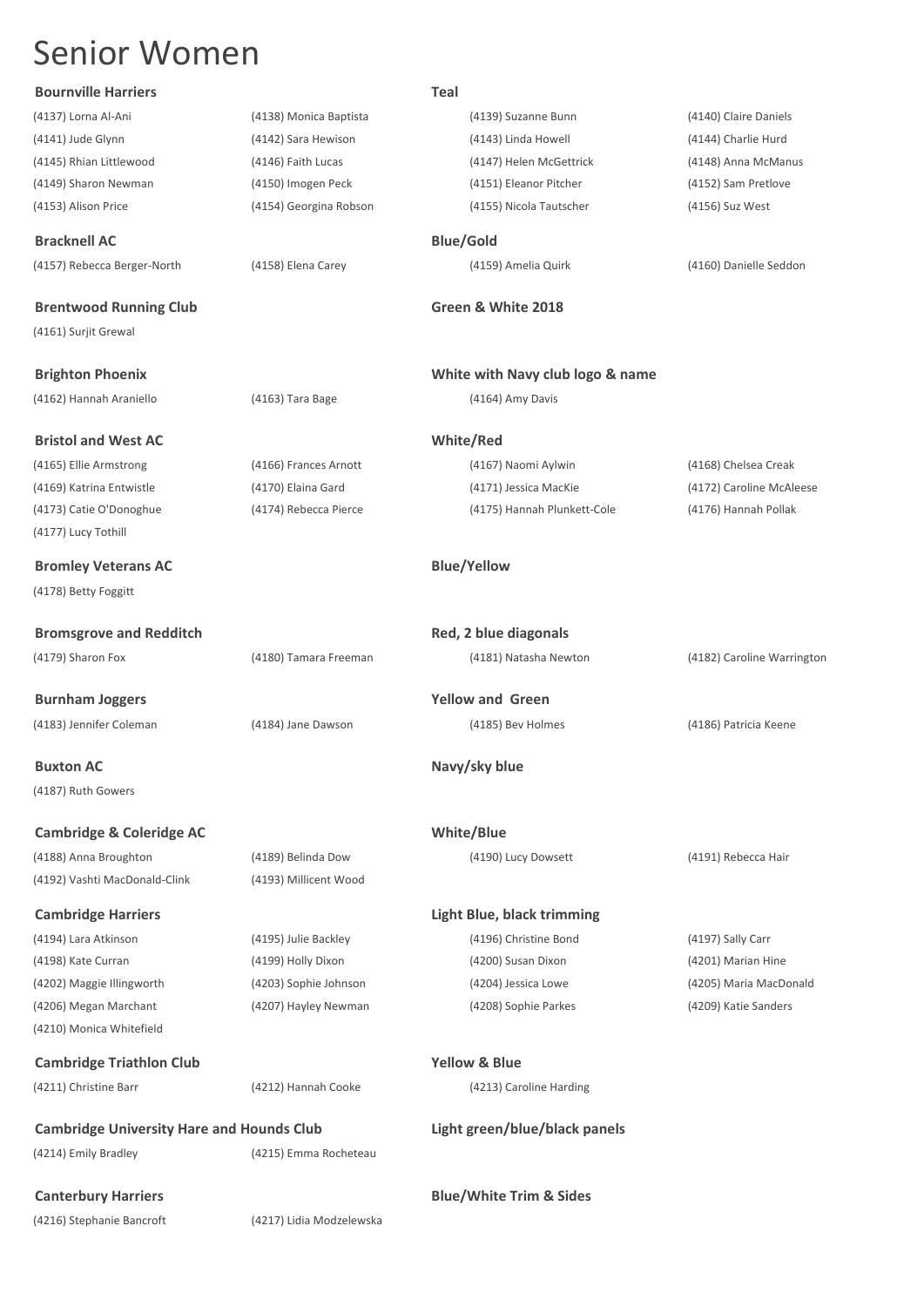**Bournville Harriers Teal**

## (4137) Lorna Al-Ani (4138) Monica Baptista (4139) Suzanne Bunn (4140) Claire Daniels (4141) Jude Glynn (4142) Sara Hewison (4143) Linda Howell (4144) Charlie Hurd (4145) Rhian Littlewood (4146) Faith Lucas (4147) Helen McGettrick (4148) Anna McManus (4149) Sharon Newman (4150) Imogen Peck (4151) Eleanor Pitcher (4152) Sam Pretlove (4153) Alison Price (4154) Georgina Robson (4155) Nicola Tautscher (4156) Suz West **Bracknell AC Blue/Gold** (4157) Rebecca Berger-North (4158) Elena Carey (4159) Amelia Quirk (4160) Danielle Seddon **Brentwood Running Club Green & White 2018** (4161) Surjit Grewal **Brighton Phoenix White with Navy club logo & name**

(4162) Hannah Araniello (4163) Tara Bage (4164) Amy Davis

**Bristol and West AC White/Red**

(4165) Ellie Armstrong (4166) Frances Arnott (4167) Naomi Aylwin (4168) Chelsea Creak (4169) Katrina Entwistle (4170) Elaina Gard (4171) Jessica MacKie (4172) Caroline McAleese (4173) Catie O'Donoghue (4174) Rebecca Pierce (4175) Hannah Plunkett-Cole (4176) Hannah Pollak

## **Bromley Veterans AC Blue/Yellow**

| <b>Bromsgrove and Redditch</b> |                       | Red, 2 blue diagonals |                            |  |
|--------------------------------|-----------------------|-----------------------|----------------------------|--|
| (4179) Sharon Fox              | (4180) Tamara Freeman | (4181) Natasha Newton | (4182) Caroline Warrington |  |
|                                |                       |                       |                            |  |

**Buxton AC Navy/sky blue** (4187) Ruth Gowers

(4177) Lucy Tothill

(4178) Betty Foggitt

**Cambridge & Coleridge AC White/Blue** (4188) Anna Broughton (4189) Belinda Dow (4190) Lucy Dowsett (4191) Rebecca Hair (4192) Vashti MacDonald-Clink (4193) Millicent Wood

**Cambridge Harriers Light Blue, black trimming** (4202) Maggie Illingworth (4203) Sophie Johnson (4204) Jessica Lowe (4205) Maria MacDonald

(4210) Monica Whitefield

**Cambridge Triathlon Club Yellow & Blue**

(4211) Christine Barr (4212) Hannah Cooke (4213) Caroline Harding

**Burnham Joggers Yellow and Green**

(4214) Emily Bradley (4215) Emma Rocheteau

**Canterbury Harriers Blue/White Trim & Sides**

(4216) Stephanie Bancroft (4217) Lidia Modzelewska

# (4194) Lara Atkinson (4195) Julie Backley (4196) Christine Bond (4197) Sally Carr (4198) Kate Curran (4199) Holly Dixon (4200) Susan Dixon (4201) Marian Hine

(4206) Megan Marchant (4207) Hayley Newman (4208) Sophie Parkes (4209) Katie Sanders

**Cambridge University Hare and Hounds Club Light green/blue/black panels**

(4183) Jennifer Coleman (4184) Jane Dawson (4185) Bev Holmes (4186) Patricia Keene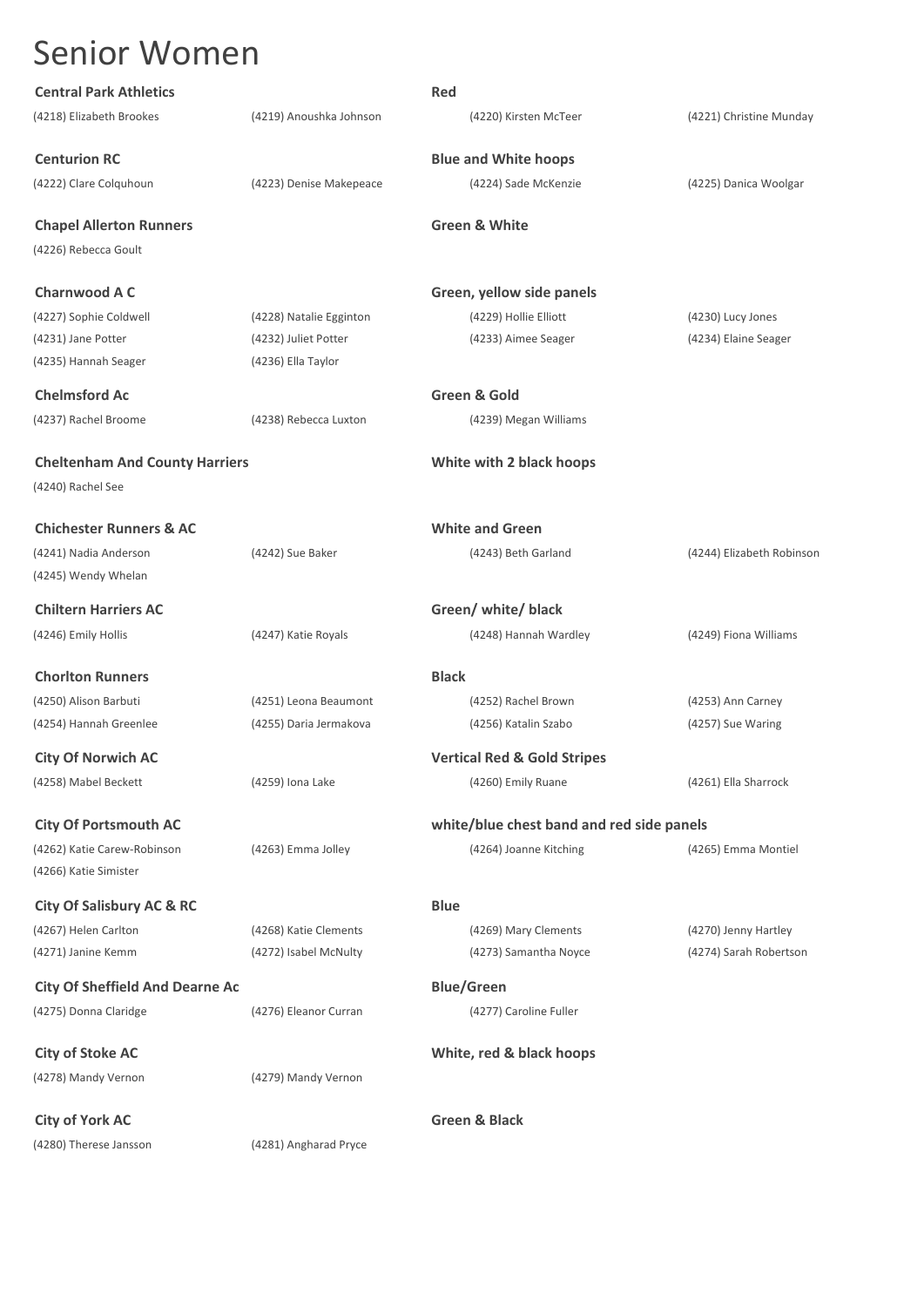| <b>Central Park Athletics</b>          |                         | Red                      |                                           |                           |
|----------------------------------------|-------------------------|--------------------------|-------------------------------------------|---------------------------|
| (4218) Elizabeth Brookes               | (4219) Anoushka Johnson |                          | (4220) Kirsten McTeer                     | (4221) Christine Munday   |
| <b>Centurion RC</b>                    |                         |                          | <b>Blue and White hoops</b>               |                           |
| (4222) Clare Colquhoun                 | (4223) Denise Makepeace |                          | (4224) Sade McKenzie                      | (4225) Danica Woolgar     |
| <b>Chapel Allerton Runners</b>         |                         | <b>Green &amp; White</b> |                                           |                           |
| (4226) Rebecca Goult                   |                         |                          |                                           |                           |
| <b>Charnwood A C</b>                   |                         |                          | Green, yellow side panels                 |                           |
| (4227) Sophie Coldwell                 | (4228) Natalie Egginton |                          | (4229) Hollie Elliott                     | (4230) Lucy Jones         |
| (4231) Jane Potter                     | (4232) Juliet Potter    |                          | (4233) Aimee Seager                       | (4234) Elaine Seager      |
| (4235) Hannah Seager                   | (4236) Ella Taylor      |                          |                                           |                           |
| <b>Chelmsford Ac</b>                   |                         | <b>Green &amp; Gold</b>  |                                           |                           |
| (4237) Rachel Broome                   | (4238) Rebecca Luxton   |                          | (4239) Megan Williams                     |                           |
| <b>Cheltenham And County Harriers</b>  |                         |                          | White with 2 black hoops                  |                           |
| (4240) Rachel See                      |                         |                          |                                           |                           |
| <b>Chichester Runners &amp; AC</b>     |                         | <b>White and Green</b>   |                                           |                           |
| (4241) Nadia Anderson                  | (4242) Sue Baker        |                          | (4243) Beth Garland                       | (4244) Elizabeth Robinson |
| (4245) Wendy Whelan                    |                         |                          |                                           |                           |
| <b>Chiltern Harriers AC</b>            |                         |                          | Green/ white/ black                       |                           |
| (4246) Emily Hollis                    | (4247) Katie Royals     |                          | (4248) Hannah Wardley                     | (4249) Fiona Williams     |
| <b>Chorlton Runners</b>                |                         | <b>Black</b>             |                                           |                           |
| (4250) Alison Barbuti                  | (4251) Leona Beaumont   |                          | (4252) Rachel Brown                       | (4253) Ann Carney         |
| (4254) Hannah Greenlee                 | (4255) Daria Jermakova  |                          | (4256) Katalin Szabo                      | (4257) Sue Waring         |
| <b>City Of Norwich AC</b>              |                         |                          | <b>Vertical Red &amp; Gold Stripes</b>    |                           |
| (4258) Mabel Beckett                   | (4259) Iona Lake        |                          | (4260) Emily Ruane                        | (4261) Ella Sharrock      |
| <b>City Of Portsmouth AC</b>           |                         |                          | white/blue chest band and red side panels |                           |
| (4262) Katie Carew-Robinson            | (4263) Emma Jolley      |                          | (4264) Joanne Kitching                    | (4265) Emma Montiel       |
| (4266) Katie Simister                  |                         |                          |                                           |                           |
| <b>City Of Salisbury AC &amp; RC</b>   |                         | <b>Blue</b>              |                                           |                           |
| (4267) Helen Carlton                   | (4268) Katie Clements   |                          | (4269) Mary Clements                      | (4270) Jenny Hartley      |
| (4271) Janine Kemm                     | (4272) Isabel McNulty   |                          | (4273) Samantha Noyce                     | (4274) Sarah Robertson    |
| <b>City Of Sheffield And Dearne Ac</b> |                         | <b>Blue/Green</b>        |                                           |                           |
| (4275) Donna Claridge                  | (4276) Eleanor Curran   |                          | (4277) Caroline Fuller                    |                           |
| <b>City of Stoke AC</b>                |                         |                          | White, red & black hoops                  |                           |
| (4278) Mandy Vernon                    | (4279) Mandy Vernon     |                          |                                           |                           |
| <b>City of York AC</b>                 |                         | <b>Green &amp; Black</b> |                                           |                           |
| (4280) Therese Jansson                 | (4281) Angharad Pryce   |                          |                                           |                           |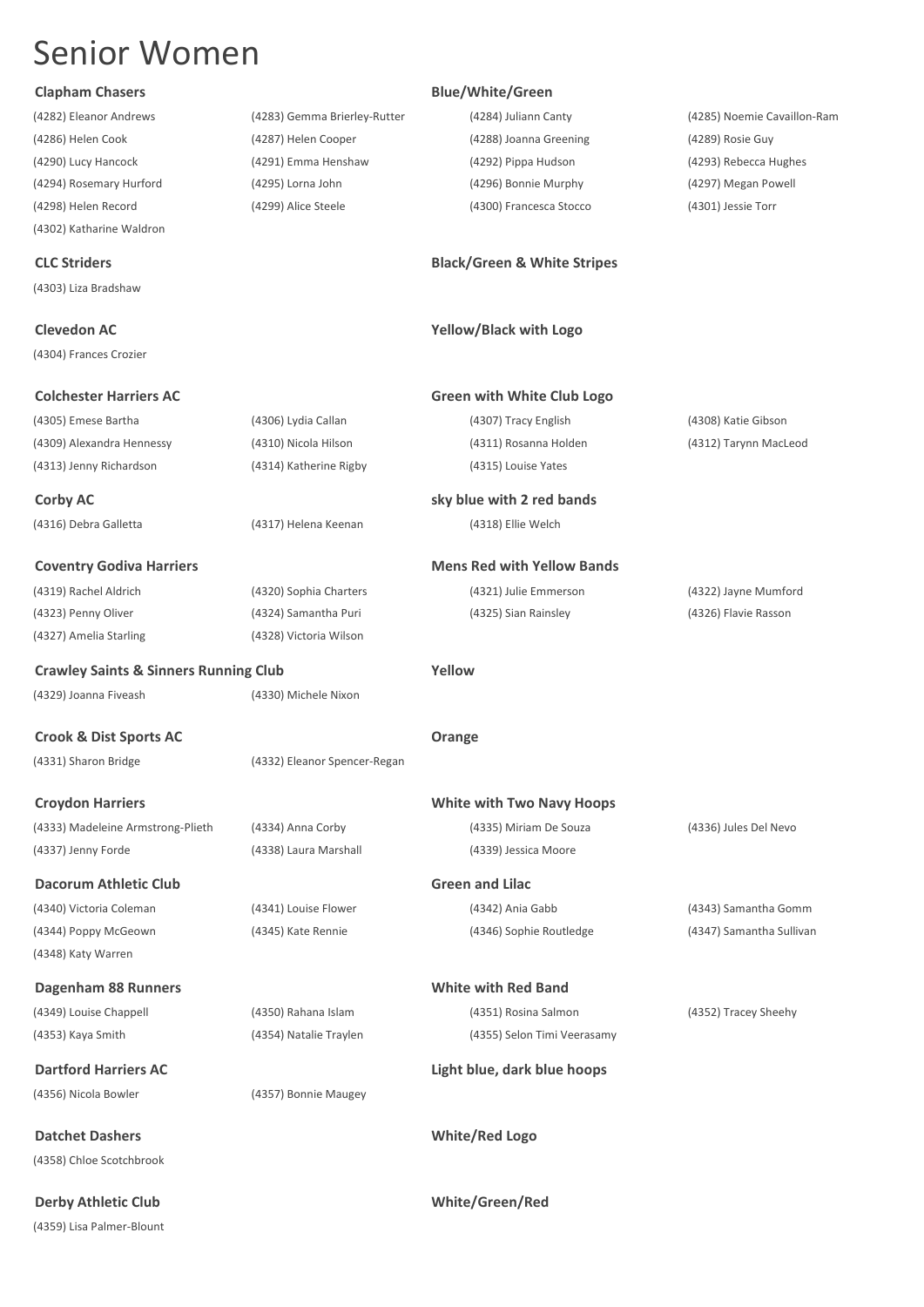(4282) Eleanor Andrews (4283) Gemma Brierley-Rutter (4284) Juliann Canty (4285) Noemie Cavaillon-Ram (4302) Katharine Waldron

(4303) Liza Bradshaw

(4304) Frances Crozier

(4316) Debra Galletta (4317) Helena Keenan (4318) Ellie Welch

**Coventry Godiva Harriers <b>Mens** Red with Yellow Bands (4323) Penny Oliver (4324) Samantha Puri (4325) Sian Rainsley (4326) Flavie Rasson (4327) Amelia Starling (4328) Victoria Wilson

**Crawley Saints & Sinners Running Club Yellow** (4329) Joanna Fiveash (4330) Michele Nixon

(4331) Sharon Bridge (4332) Eleanor Spencer-Regan

(4333) Madeleine Armstrong-Plieth (4334) Anna Corby (4335) Miriam De Souza (4336) Jules Del Nevo (4337) Jenny Forde (4338) Laura Marshall (4339) Jessica Moore

**Dacorum Athletic Club** Green and Lilac (4340) Victoria Coleman (4341) Louise Flower (4342) Ania Gabb (4343) Samantha Gomm

**Dagenham 88 Runners White with Red Band** (4349) Louise Chappell (4350) Rahana Islam (4351) Rosina Salmon (4352) Tracey Sheehy

(4348) Katy Warren

(4356) Nicola Bowler (4357) Bonnie Maugey

(4358) Chloe Scotchbrook

**Derby Athletic Club White/Green/Red** (4359) Lisa Palmer-Blount

## **Clapham Chasers Blue/White/Green**

(4286) Helen Cook (4287) Helen Cooper (4288) Joanna Greening (4289) Rosie Guy (4290) Lucy Hancock (4291) Emma Henshaw (4292) Pippa Hudson (4293) Rebecca Hughes (4294) Rosemary Hurford (4295) Lorna John (4296) Bonnie Murphy (4297) Megan Powell (4298) Helen Record (4299) Alice Steele (4300) Francesca Stocco (4301) Jessie Torr

## **CLC Striders Black/Green & White Stripes**

## **Clevedon AC Yellow/Black with Logo**

| <b>Colchester Harriers AC</b> |                        | <b>Green with White Club Logo</b> |                       |
|-------------------------------|------------------------|-----------------------------------|-----------------------|
| (4305) Emese Bartha           | (4306) Lydia Callan    | (4307) Tracy English              | (4308) Katie Gibson   |
| (4309) Alexandra Hennessy     | (4310) Nicola Hilson   | (4311) Rosanna Holden             | (4312) Tarynn MacLeod |
| (4313) Jenny Richardson       | (4314) Katherine Rigby | (4315) Louise Yates               |                       |

**Corby AC sky blue with 2 red bands** 

(4319) Rachel Aldrich (4320) Sophia Charters (4321) Julie Emmerson (4322) Jayne Mumford

**Crook & Dist Sports AC Orange**

**Croydon Harriers White with Two Navy Hoops**

(4353) Kaya Smith (4354) Natalie Traylen (4355) Selon Timi Veerasamy

**Dartford Harriers AC Light blue, dark blue hoops**

**Datchet Dashers White/Red Logo**

(4344) Poppy McGeown (4345) Kate Rennie (4346) Sophie Routledge (4347) Samantha Sullivan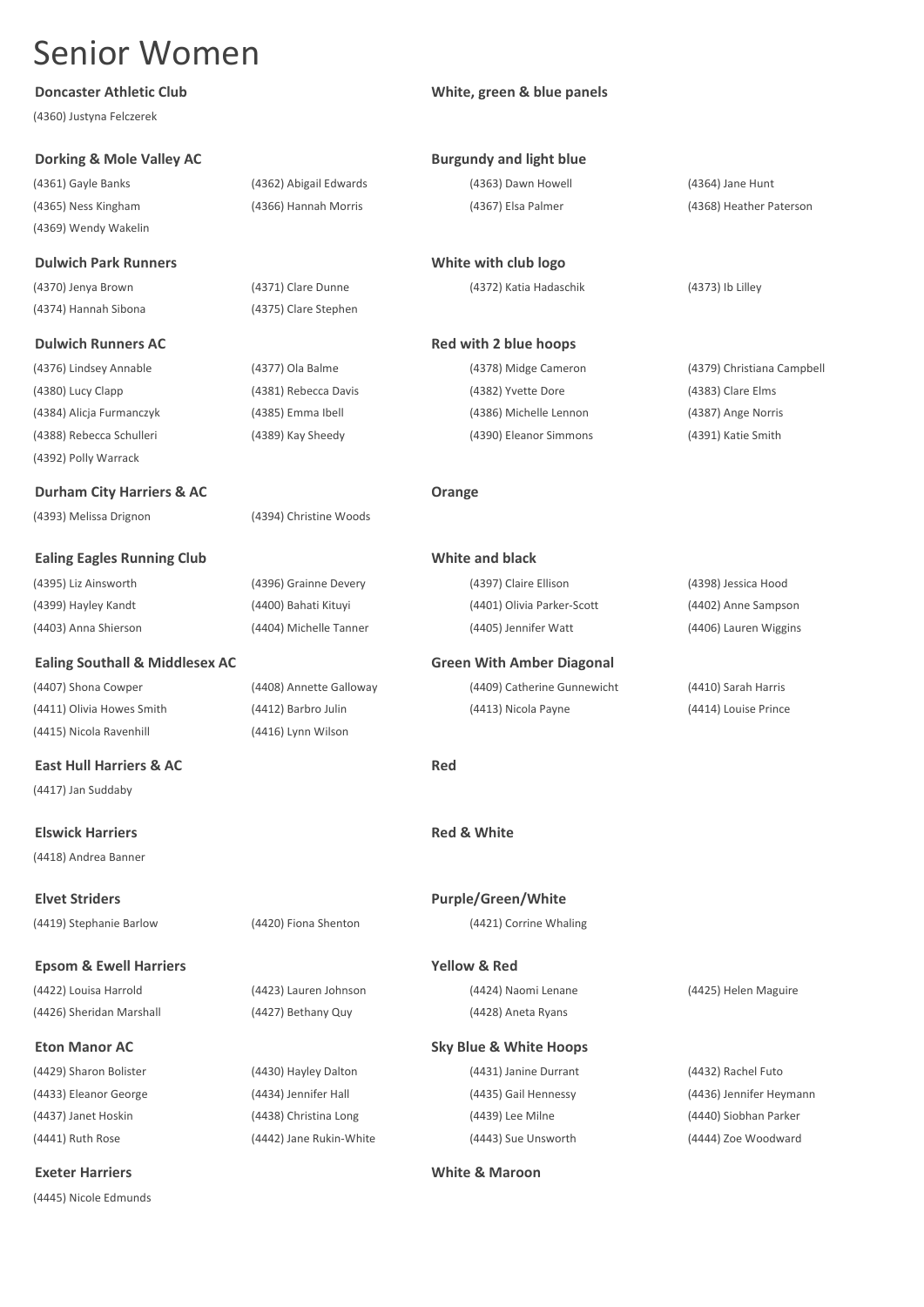(4360) Justyna Felczerek

## **Dorking & Mole Valley AC Burgundy and light blue**

(4361) Gayle Banks (4362) Abigail Edwards (4363) Dawn Howell (4364) Jane Hunt (4369) Wendy Wakelin

(4370) Jenya Brown (4371) Clare Dunne (4372) Katia Hadaschik (4373) Ib Lilley (4374) Hannah Sibona (4375) Clare Stephen

## **Dulwich Runners AC Red with 2 blue hoops**

(4388) Rebecca Schulleri (4389) Kay Sheedy (4390) Eleanor Simmons (4391) Katie Smith (4392) Polly Warrack

**Durham City Harriers & AC Drange** (4393) Melissa Drignon (4394) Christine Woods

**Ealing Eagles Running Club White and black** (4395) Liz Ainsworth (4396) Grainne Devery (4397) Claire Ellison (4398) Jessica Hood (4399) Hayley Kandt (4400) Bahati Kituyi (4401) Olivia Parker-Scott (4402) Anne Sampson

**Ealing Southall & Middlesex AC Green With Amber Diagonal**

(4415) Nicola Ravenhill (4416) Lynn Wilson

**East Hull Harriers & AC Red** (4417) Jan Suddaby

(4418) Andrea Banner

**Epsom & Ewell Harriers Yellow & Red** (4422) Louisa Harrold (4423) Lauren Johnson (4424) Naomi Lenane (4425) Helen Maguire

(4437) Janet Hoskin (4438) Christina Long (4439) Lee Milne (4440) Siobhan Parker (4441) Ruth Rose (4442) Jane Rukin-White (4443) Sue Unsworth (4444) Zoe Woodward

(4445) Nicole Edmunds

## **Doncaster Athletic Club CLUB White, green & blue panels**

| <b>Burgundy and light blue</b> |  |  |
|--------------------------------|--|--|
|                                |  |  |

**Dulwich Park Runners White with club logo** 

(4376) Lindsey Annable (4377) Ola Balme (4378) Midge Cameron (4379) Christiana Campbell (4380) Lucy Clapp (4381) Rebecca Davis (4382) Yvette Dore (4383) Clare Elms (4384) Alicja Furmanczyk (4385) Emma Ibell (4386) Michelle Lennon (4387) Ange Norris

(4403) Anna Shierson (4404) Michelle Tanner (4405) Jennifer Watt (4406) Lauren Wiggins

(4407) Shona Cowper (4408) Annette Galloway (4409) Catherine Gunnewicht (4410) Sarah Harris (4411) Olivia Howes Smith (4412) Barbro Julin (4413) Nicola Payne (4414) Louise Prince

**Elswick Harriers Red & White**

**Elvet Striders Purple/Green/White** (4419) Stephanie Barlow (4420) Fiona Shenton (4421) Corrine Whaling

(4426) Sheridan Marshall (4427) Bethany Quy (4428) Aneta Ryans

**Eton Manor AC Sky Blue & White Hoops** (4429) Sharon Bolister (4430) Hayley Dalton (4431) Janine Durrant (4432) Rachel Futo

### **Exeter Harriers White & Maroon**

(4365) Ness Kingham (4366) Hannah Morris (4367) Elsa Palmer (4368) Heather Paterson

(4433) Eleanor George (4434) Jennifer Hall (4435) Gail Hennessy (4436) Jennifer Heymann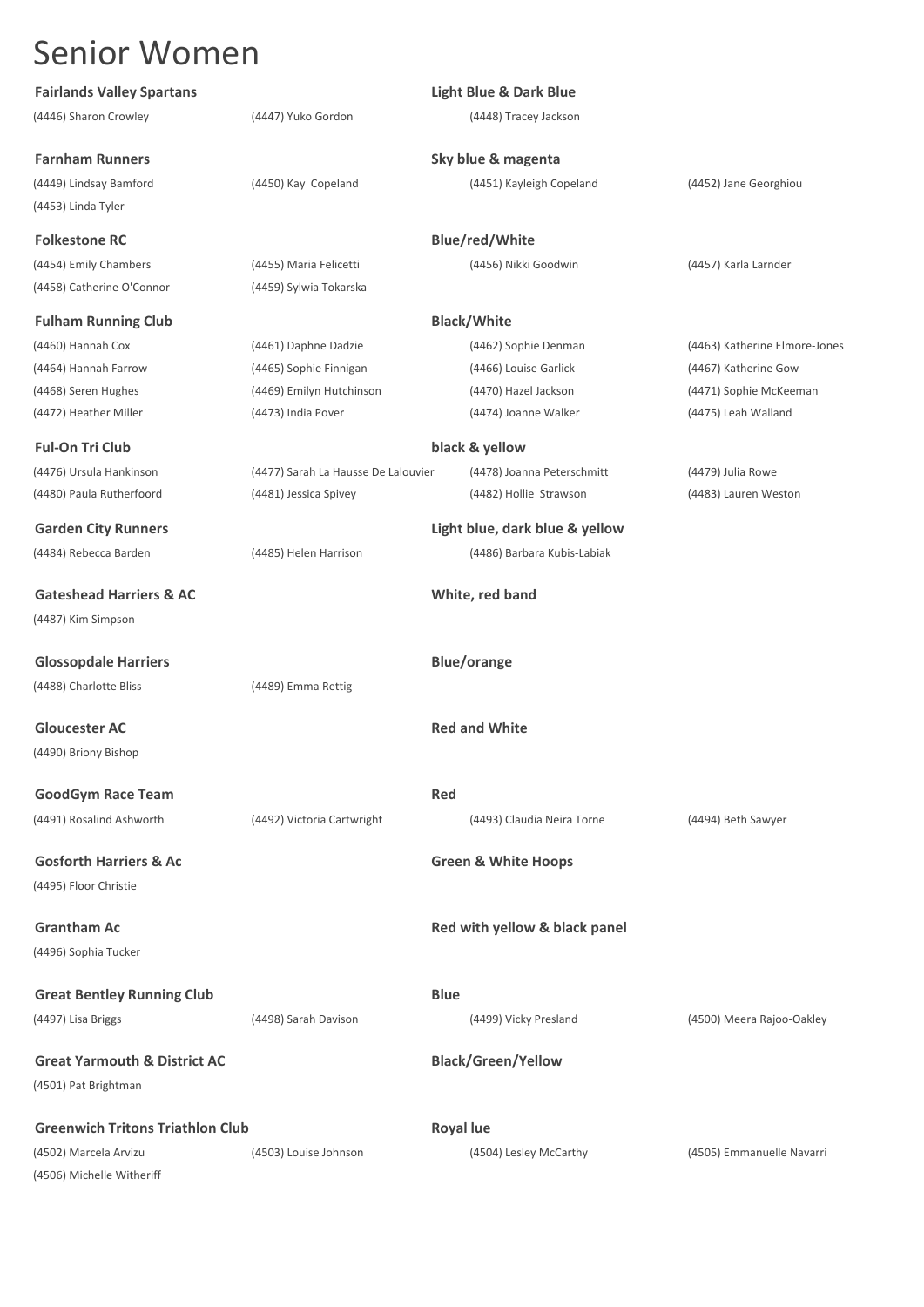| <b>Fairlands Valley Spartans</b>        |                                     | <b>Light Blue &amp; Dark Blue</b> |                               |
|-----------------------------------------|-------------------------------------|-----------------------------------|-------------------------------|
| (4446) Sharon Crowley                   | (4447) Yuko Gordon                  | (4448) Tracey Jackson             |                               |
| <b>Farnham Runners</b>                  |                                     | Sky blue & magenta                |                               |
| (4449) Lindsay Bamford                  | (4450) Kay Copeland                 | (4451) Kayleigh Copeland          | (4452) Jane Georghiou         |
| (4453) Linda Tyler                      |                                     |                                   |                               |
| <b>Folkestone RC</b>                    |                                     | <b>Blue/red/White</b>             |                               |
| (4454) Emily Chambers                   | (4455) Maria Felicetti              | (4456) Nikki Goodwin              | (4457) Karla Larnder          |
| (4458) Catherine O'Connor               | (4459) Sylwia Tokarska              |                                   |                               |
| <b>Fulham Running Club</b>              |                                     | <b>Black/White</b>                |                               |
| (4460) Hannah Cox                       | (4461) Daphne Dadzie                | (4462) Sophie Denman              | (4463) Katherine Elmore-Jones |
| (4464) Hannah Farrow                    | (4465) Sophie Finnigan              | (4466) Louise Garlick             | (4467) Katherine Gow          |
| (4468) Seren Hughes                     | (4469) Emilyn Hutchinson            | (4470) Hazel Jackson              | (4471) Sophie McKeeman        |
| (4472) Heather Miller                   | (4473) India Pover                  | (4474) Joanne Walker              | (4475) Leah Walland           |
| <b>Ful-On Tri Club</b>                  |                                     | black & yellow                    |                               |
| (4476) Ursula Hankinson                 | (4477) Sarah La Hausse De Lalouvier | (4478) Joanna Peterschmitt        | (4479) Julia Rowe             |
| (4480) Paula Rutherfoord                | (4481) Jessica Spivey               | (4482) Hollie Strawson            | (4483) Lauren Weston          |
| <b>Garden City Runners</b>              |                                     | Light blue, dark blue & yellow    |                               |
| (4484) Rebecca Barden                   | (4485) Helen Harrison               | (4486) Barbara Kubis-Labiak       |                               |
| <b>Gateshead Harriers &amp; AC</b>      |                                     | White, red band                   |                               |
| (4487) Kim Simpson                      |                                     |                                   |                               |
| <b>Glossopdale Harriers</b>             |                                     | <b>Blue/orange</b>                |                               |
| (4488) Charlotte Bliss                  | (4489) Emma Rettig                  |                                   |                               |
|                                         |                                     |                                   |                               |
| <b>Gloucester AC</b>                    |                                     | <b>Red and White</b>              |                               |
| (4490) Briony Bishop                    |                                     |                                   |                               |
| <b>GoodGym Race Team</b>                |                                     | Red                               |                               |
| (4491) Rosalind Ashworth                | (4492) Victoria Cartwright          | (4493) Claudia Neira Torne        | (4494) Beth Sawyer            |
| <b>Gosforth Harriers &amp; Ac</b>       |                                     | <b>Green &amp; White Hoops</b>    |                               |
| (4495) Floor Christie                   |                                     |                                   |                               |
| <b>Grantham Ac</b>                      |                                     | Red with yellow & black panel     |                               |
| (4496) Sophia Tucker                    |                                     |                                   |                               |
|                                         |                                     | <b>Blue</b>                       |                               |
| <b>Great Bentley Running Club</b>       |                                     |                                   |                               |
| (4497) Lisa Briggs                      | (4498) Sarah Davison                | (4499) Vicky Presland             | (4500) Meera Rajoo-Oakley     |
| <b>Great Yarmouth &amp; District AC</b> |                                     | <b>Black/Green/Yellow</b>         |                               |
| (4501) Pat Brightman                    |                                     |                                   |                               |
| <b>Greenwich Tritons Triathlon Club</b> |                                     | <b>Royal lue</b>                  |                               |
| (4502) Marcela Arvizu                   | (4503) Louise Johnson               | (4504) Lesley McCarthy            | (4505) Emmanuelle Navarri     |
| (4506) Michelle Witheriff               |                                     |                                   |                               |
|                                         |                                     |                                   |                               |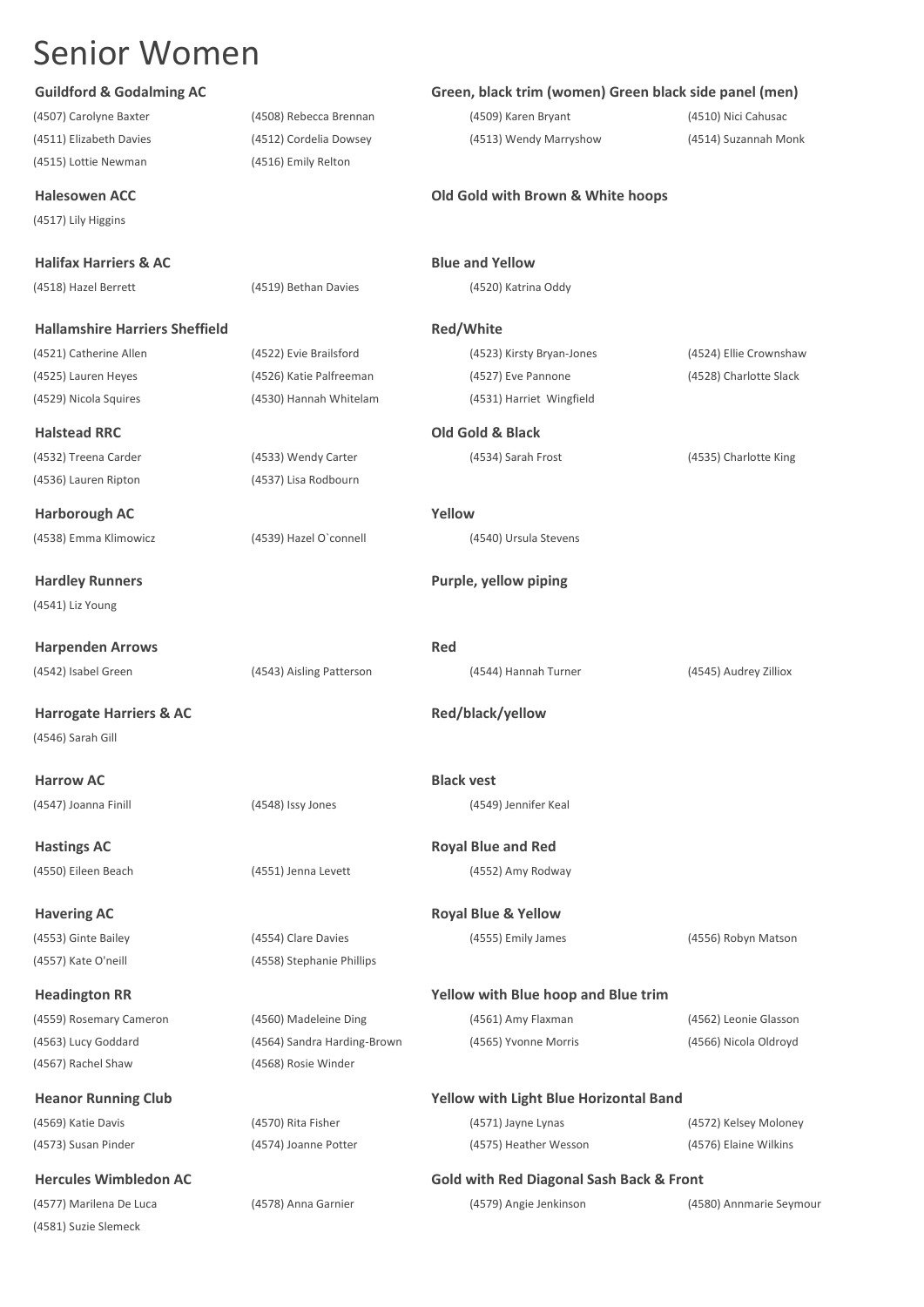(4515) Lottie Newman (4516) Emily Relton

(4517) Lily Higgins

## **Halifax Harriers & AC Blue and Yellow**

(4518) Hazel Berrett (4519) Bethan Davies (4520) Katrina Oddy

## **Hallamshire Harriers Sheffield Red/White**

## **Halstead RRC Old Gold & Black**

(4536) Lauren Ripton (4537) Lisa Rodbourn

**Harborough AC Yellow** (4538) Emma Klimowicz (4539) Hazel O`connell (4540) Ursula Stevens

(4541) Liz Young

**Harpenden Arrows Red** 

**Harrogate Harriers & AC Red/black/yellow Red/black/yellow** (4546) Sarah Gill

**Harrow AC Black vest** 

(4557) Kate O'neill (4558) Stephanie Phillips

(4559) Rosemary Cameron (4560) Madeleine Ding (4561) Amy Flaxman (4562) Leonie Glasson (4563) Lucy Goddard (4564) Sandra Harding-Brown (4565) Yvonne Morris (4566) Nicola Oldroyd (4567) Rachel Shaw (4568) Rosie Winder

(4577) Marilena De Luca (4578) Anna Garnier (4579) Angie Jenkinson (4580) Annmarie Seymour (4581) Suzie Slemeck

## **Guildford & Godalming AC Green, black trim (women) Green black side panel (men)**

(4507) Carolyne Baxter (4508) Rebecca Brennan (4509) Karen Bryant (4510) Nici Cahusac (4511) Elizabeth Davies (4512) Cordelia Dowsey (4513) Wendy Marryshow (4514) Suzannah Monk

## **Halesowen ACC Old Gold with Brown & White hoops**

(4521) Catherine Allen (4522) Evie Brailsford (4523) Kirsty Bryan-Jones (4524) Ellie Crownshaw (4525) Lauren Heyes (4526) Katie Palfreeman (4527) Eve Pannone (4528) Charlotte Slack (4529) Nicola Squires (4530) Hannah Whitelam (4531) Harriet Wingfield

# (4532) Treena Carder (4533) Wendy Carter (4534) Sarah Frost (4535) Charlotte King

**Hardley Runners Purple, yellow piping**

(4542) Isabel Green (4543) Aisling Patterson (4544) Hannah Turner (4545) Audrey Zilliox

(4547) Joanna Finill (4548) Issy Jones (4549) Jennifer Keal

**Hastings AC Royal Blue and Red** (4550) Eileen Beach (4551) Jenna Levett (4552) Amy Rodway

## **Havering AC Royal Blue & Yellow**

(4553) Ginte Bailey (4554) Clare Davies (4555) Emily James (4556) Robyn Matson

## **Headington RR Yellow with Blue hoop and Blue trim**

## **Heanor Running Club Yellow with Light Blue Horizontal Band**

(4569) Katie Davis (4570) Rita Fisher (4571) Jayne Lynas (4572) Kelsey Moloney (4573) Susan Pinder (4574) Joanne Potter (4575) Heather Wesson (4576) Elaine Wilkins

## **Hercules Wimbledon AC Gold with Red Diagonal Sash Back & Front**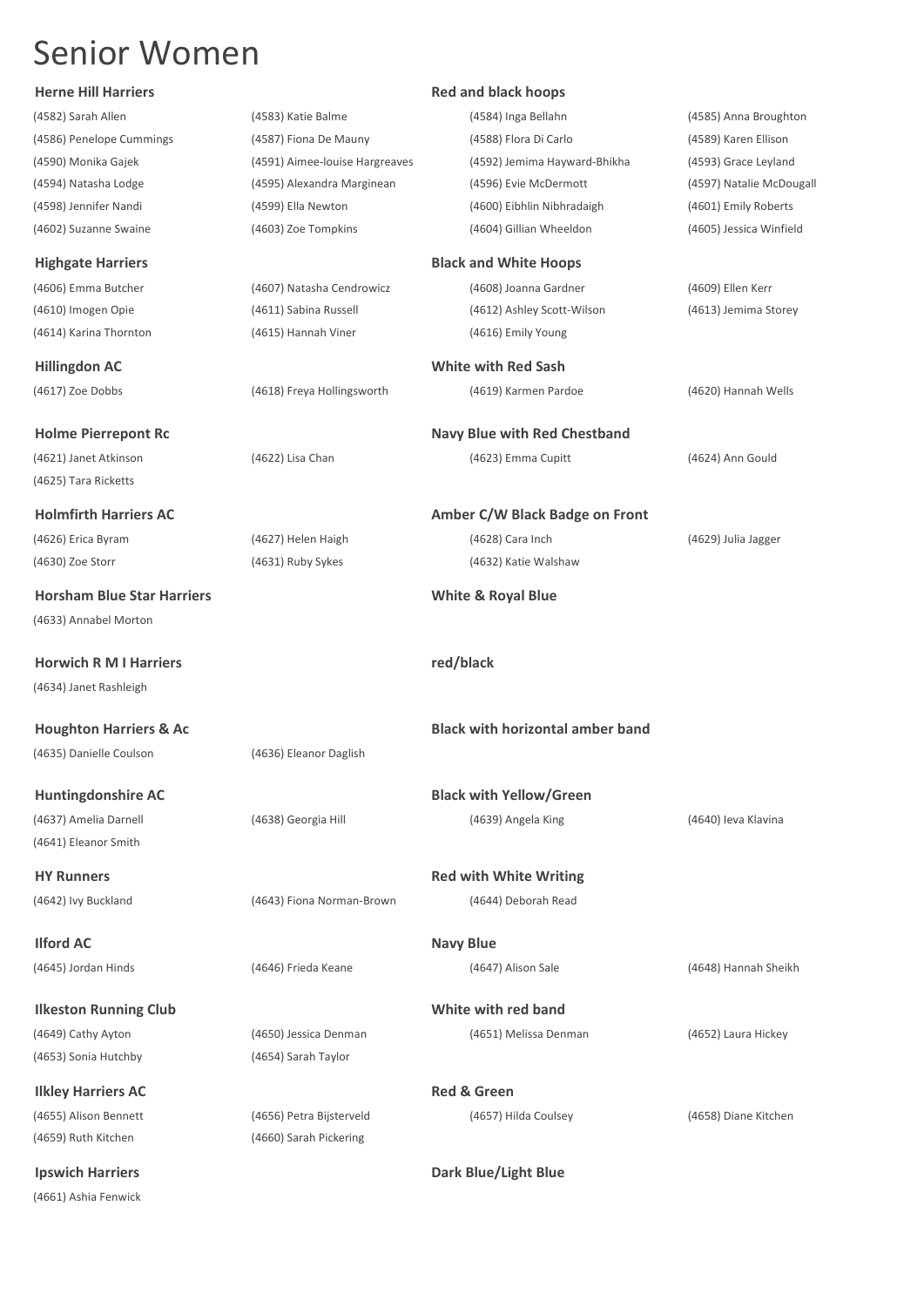| <b>Herne Hill Harriers</b>        |                                | <b>Red and black hoops</b>              |                         |
|-----------------------------------|--------------------------------|-----------------------------------------|-------------------------|
| (4582) Sarah Allen                | (4583) Katie Balme             | (4584) Inga Bellahn                     | (4585) Anna Broughton   |
| (4586) Penelope Cummings          | (4587) Fiona De Mauny          | (4588) Flora Di Carlo                   | (4589) Karen Ellison    |
| (4590) Monika Gajek               | (4591) Aimee-louise Hargreaves | (4592) Jemima Hayward-Bhikha            | (4593) Grace Leyland    |
| (4594) Natasha Lodge              | (4595) Alexandra Marginean     | (4596) Evie McDermott                   | (4597) Natalie McDougal |
| (4598) Jennifer Nandi             | (4599) Ella Newton             | (4600) Eibhlin Nibhradaigh              | (4601) Emily Roberts    |
| (4602) Suzanne Swaine             | (4603) Zoe Tompkins            | (4604) Gillian Wheeldon                 | (4605) Jessica Winfield |
| <b>Highgate Harriers</b>          |                                | <b>Black and White Hoops</b>            |                         |
| (4606) Emma Butcher               | (4607) Natasha Cendrowicz      | (4608) Joanna Gardner                   | (4609) Ellen Kerr       |
| (4610) Imogen Opie                | (4611) Sabina Russell          | (4612) Ashley Scott-Wilson              | (4613) Jemima Storey    |
| (4614) Karina Thornton            | (4615) Hannah Viner            | (4616) Emily Young                      |                         |
| <b>Hillingdon AC</b>              |                                | <b>White with Red Sash</b>              |                         |
| (4617) Zoe Dobbs                  | (4618) Freya Hollingsworth     | (4619) Karmen Pardoe                    | (4620) Hannah Wells     |
| <b>Holme Pierrepont Rc</b>        |                                | <b>Navy Blue with Red Chestband</b>     |                         |
| (4621) Janet Atkinson             | (4622) Lisa Chan               | (4623) Emma Cupitt                      | (4624) Ann Gould        |
| (4625) Tara Ricketts              |                                |                                         |                         |
| <b>Holmfirth Harriers AC</b>      |                                | Amber C/W Black Badge on Front          |                         |
| (4626) Erica Byram                | (4627) Helen Haigh             | (4628) Cara Inch                        | (4629) Julia Jagger     |
| (4630) Zoe Storr                  | (4631) Ruby Sykes              | (4632) Katie Walshaw                    |                         |
| <b>Horsham Blue Star Harriers</b> |                                | <b>White &amp; Royal Blue</b>           |                         |
| (4633) Annabel Morton             |                                |                                         |                         |
| <b>Horwich R M I Harriers</b>     |                                | red/black                               |                         |
| (4634) Janet Rashleigh            |                                |                                         |                         |
| <b>Houghton Harriers &amp; Ac</b> |                                | <b>Black with horizontal amber band</b> |                         |
| (4635) Danielle Coulson           | (4636) Eleanor Daglish         |                                         |                         |
|                                   |                                |                                         |                         |
| <b>Huntingdonshire AC</b>         |                                | <b>Black with Yellow/Green</b>          |                         |
| (4637) Amelia Darnell             | (4638) Georgia Hill            | (4639) Angela King                      | (4640) Ieva Klavina     |
| (4641) Eleanor Smith              |                                |                                         |                         |
| <b>HY Runners</b>                 |                                | <b>Red with White Writing</b>           |                         |
| (4642) Ivy Buckland               | (4643) Fiona Norman-Brown      | (4644) Deborah Read                     |                         |
| <b>Ilford AC</b>                  |                                | <b>Navy Blue</b>                        |                         |
| (4645) Jordan Hinds               | (4646) Frieda Keane            | (4647) Alison Sale                      | (4648) Hannah Sheikh    |
| <b>Ilkeston Running Club</b>      |                                | White with red band                     |                         |
| (4649) Cathy Ayton                | (4650) Jessica Denman          | (4651) Melissa Denman                   | (4652) Laura Hickey     |
| (4653) Sonia Hutchby              | (4654) Sarah Taylor            |                                         |                         |
| <b>Ilkley Harriers AC</b>         |                                | <b>Red &amp; Green</b>                  |                         |
| (4655) Alison Bennett             | (4656) Petra Bijsterveld       | (4657) Hilda Coulsey                    | (4658) Diane Kitchen    |
| (4659) Ruth Kitchen               | (4660) Sarah Pickering         |                                         |                         |

(4661) Ashia Fenwick

**Ipswich Harriers Dark Blue/Light Blue**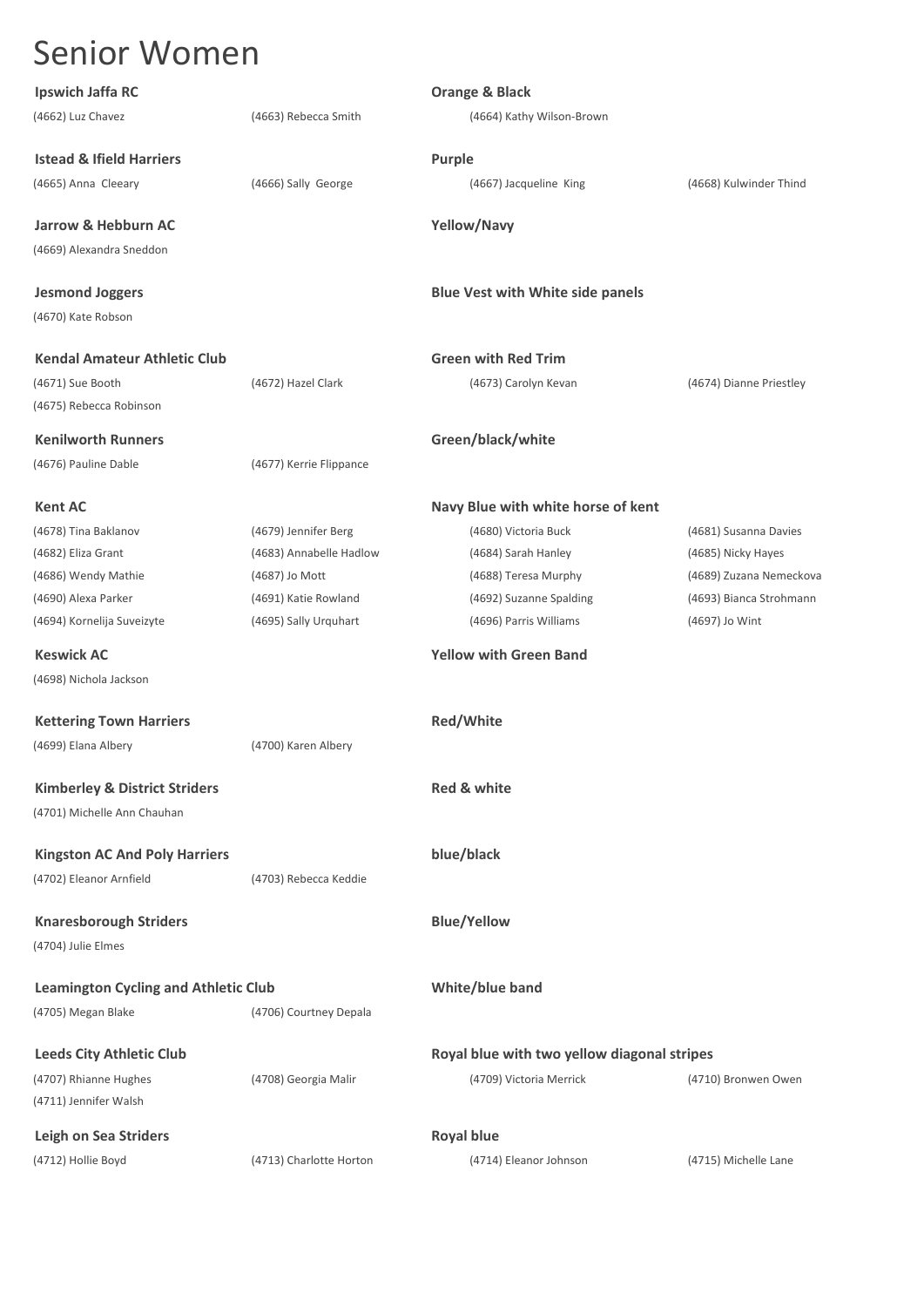| <b>Senior Women</b>                         |                         |                                             |                         |
|---------------------------------------------|-------------------------|---------------------------------------------|-------------------------|
| Ipswich Jaffa RC                            |                         | <b>Orange &amp; Black</b>                   |                         |
| (4662) Luz Chavez                           | (4663) Rebecca Smith    | (4664) Kathy Wilson-Brown                   |                         |
| <b>Istead &amp; Ifield Harriers</b>         |                         | Purple                                      |                         |
| (4665) Anna Cleeary                         | (4666) Sally George     | (4667) Jacqueline King                      | (4668) Kulwinder Thind  |
| Jarrow & Hebburn AC                         |                         | Yellow/Navy                                 |                         |
| (4669) Alexandra Sneddon                    |                         |                                             |                         |
| <b>Jesmond Joggers</b>                      |                         | <b>Blue Vest with White side panels</b>     |                         |
| (4670) Kate Robson                          |                         |                                             |                         |
| <b>Kendal Amateur Athletic Club</b>         |                         | <b>Green with Red Trim</b>                  |                         |
| (4671) Sue Booth                            | (4672) Hazel Clark      | (4673) Carolyn Kevan                        | (4674) Dianne Priestley |
| (4675) Rebecca Robinson                     |                         |                                             |                         |
| <b>Kenilworth Runners</b>                   |                         | Green/black/white                           |                         |
| (4676) Pauline Dable                        | (4677) Kerrie Flippance |                                             |                         |
| <b>Kent AC</b>                              |                         | Navy Blue with white horse of kent          |                         |
| (4678) Tina Baklanov                        | (4679) Jennifer Berg    | (4680) Victoria Buck                        | (4681) Susanna Davies   |
| (4682) Eliza Grant                          | (4683) Annabelle Hadlow | (4684) Sarah Hanley                         | (4685) Nicky Hayes      |
| (4686) Wendy Mathie                         | (4687) Jo Mott          | (4688) Teresa Murphy                        | (4689) Zuzana Nemeckova |
| (4690) Alexa Parker                         | (4691) Katie Rowland    | (4692) Suzanne Spalding                     | (4693) Bianca Strohmann |
| (4694) Kornelija Suveizyte                  | (4695) Sally Urquhart   | (4696) Parris Williams                      | (4697) Jo Wint          |
| <b>Keswick AC</b>                           |                         | <b>Yellow with Green Band</b>               |                         |
| (4698) Nichola Jackson                      |                         |                                             |                         |
| <b>Kettering Town Harriers</b>              |                         | Red/White                                   |                         |
| (4699) Elana Albery                         | (4700) Karen Albery     |                                             |                         |
| <b>Kimberley &amp; District Striders</b>    |                         | Red & white                                 |                         |
| (4701) Michelle Ann Chauhan                 |                         |                                             |                         |
| <b>Kingston AC And Poly Harriers</b>        |                         | blue/black                                  |                         |
| (4702) Eleanor Arnfield                     | (4703) Rebecca Keddie   |                                             |                         |
| <b>Knaresborough Striders</b>               |                         | <b>Blue/Yellow</b>                          |                         |
| (4704) Julie Elmes                          |                         |                                             |                         |
| <b>Leamington Cycling and Athletic Club</b> |                         | White/blue band                             |                         |
| (4705) Megan Blake                          | (4706) Courtney Depala  |                                             |                         |
| <b>Leeds City Athletic Club</b>             |                         | Royal blue with two yellow diagonal stripes |                         |
| (4707) Rhianne Hughes                       | (4708) Georgia Malir    | (4709) Victoria Merrick                     | (4710) Bronwen Owen     |
| (4711) Jennifer Walsh                       |                         |                                             |                         |
| <b>Leigh on Sea Striders</b>                |                         | <b>Royal blue</b>                           |                         |

(4712) Hollie Boyd (4713) Charlotte Horton (4714) Eleanor Johnson (4715) Michelle Lane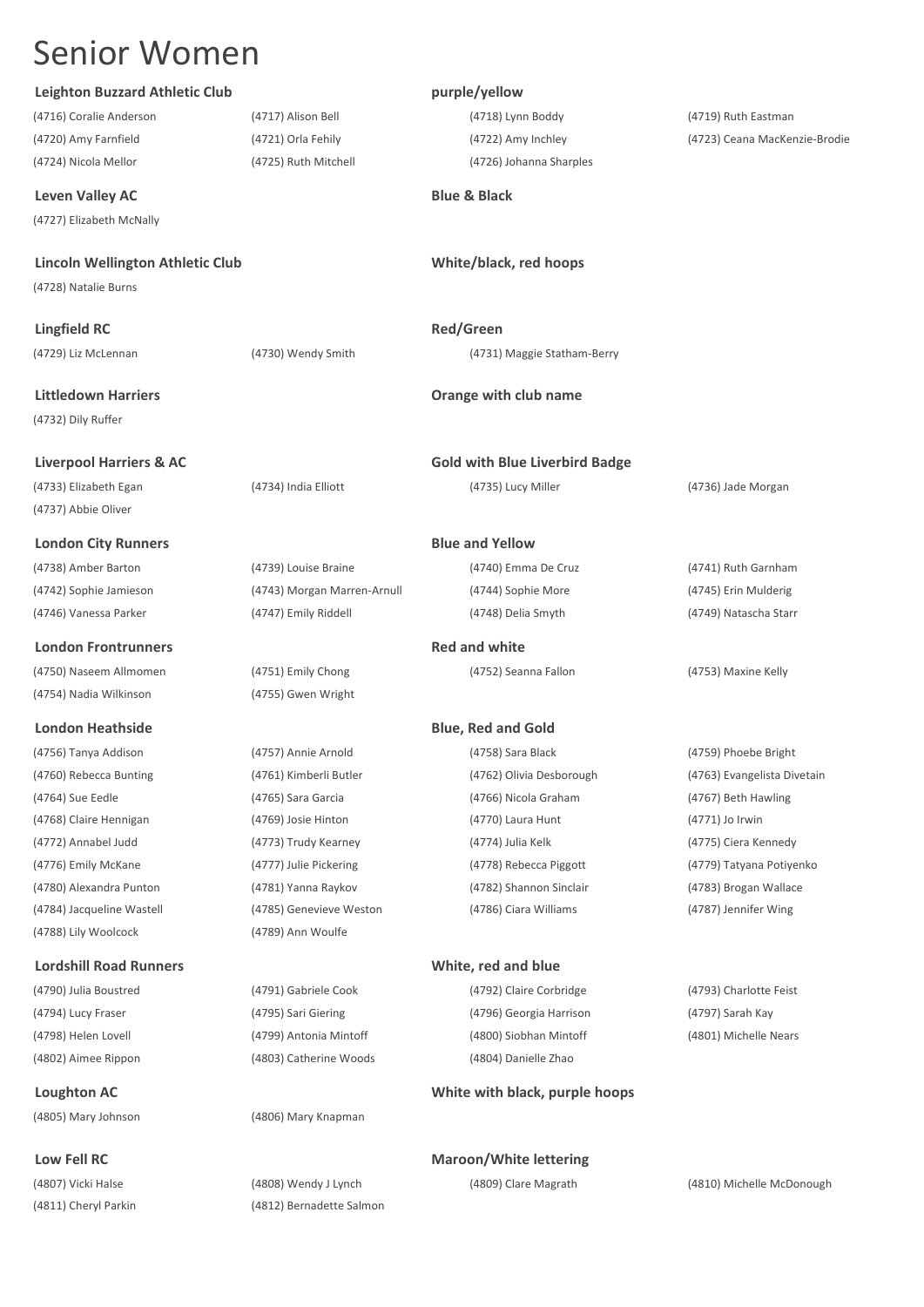## **Leighton Buzzard Athletic Club purple/yellow**

## **Leven Valley AC Blue & Black**

(4727) Elizabeth McNally

## Lincoln Wellington Athletic Club<br>
White/black, red hoops

(4728) Natalie Burns

**Lingfield RC Red/Green** 

(4732) Dily Ruffer

(4733) Elizabeth Egan (4734) India Elliott (4735) Lucy Miller (4736) Jade Morgan (4737) Abbie Oliver

**London City Runners Blue and Yellow**

(4742) Sophie Jamieson (4743) Morgan Marren-Arnull (4744) Sophie More (4745) Erin Mulderig (4746) Vanessa Parker (4747) Emily Riddell (4748) Delia Smyth (4749) Natascha Starr

## **London Frontrunners Red and white Red and white**

(4750) Naseem Allmomen (4751) Emily Chong (4752) Seanna Fallon (4753) Maxine Kelly (4754) Nadia Wilkinson (4755) Gwen Wright

## **London Heathside Blue, Red and Gold**

(4756) Tanya Addison (4757) Annie Arnold (4758) Sara Black (4759) Phoebe Bright (4764) Sue Eedle (4765) Sara Garcia (4766) Nicola Graham (4767) Beth Hawling (4768) Claire Hennigan (4769) Josie Hinton (4770) Laura Hunt (4771) Jo Irwin (4772) Annabel Judd (4773) Trudy Kearney (4774) Julia Kelk (4775) Ciera Kennedy (4776) Emily McKane (4777) Julie Pickering (4778) Rebecca Piggott (4779) Tatyana Potiyenko (4780) Alexandra Punton (4781) Yanna Raykov (4782) Shannon Sinclair (4783) Brogan Wallace (4784) Jacqueline Wastell (4785) Genevieve Weston (4786) Ciara Williams (4787) Jennifer Wing (4788) Lily Woolcock (4789) Ann Woulfe

## **Lordshill Road Runners White, red and blue**

(4802) Aimee Rippon (4803) Catherine Woods (4804) Danielle Zhao

(4805) Mary Johnson (4806) Mary Knapman

(4811) Cheryl Parkin (4812) Bernadette Salmon

(4716) Coralie Anderson (4717) Alison Bell (4718) Lynn Boddy (4719) Ruth Eastman (4724) Nicola Mellor (4725) Ruth Mitchell (4726) Johanna Sharples

(4720) Amy Farnfield (4721) Orla Fehily (4722) Amy Inchley (4723) Ceana MacKenzie-Brodie

(4729) Liz McLennan (4730) Wendy Smith (4731) Maggie Statham-Berry

### **Littledown Harriers Orange with club name**

**Liverpool Harriers & AC Gold with Blue Liverbird Badge**

(4738) Amber Barton (4739) Louise Braine (4740) Emma De Cruz (4741) Ruth Garnham

(4790) Julia Boustred (4791) Gabriele Cook (4792) Claire Corbridge (4793) Charlotte Feist (4794) Lucy Fraser (4795) Sari Giering (4796) Georgia Harrison (4797) Sarah Kay (4798) Helen Lovell (4799) Antonia Mintoff (4800) Siobhan Mintoff (4801) Michelle Nears

## **Loughton AC White with black, purple hoops**

**Low Fell RC Maroon/White lettering** 

(4760) Rebecca Bunting (4761) Kimberli Butler (4762) Olivia Desborough (4763) Evangelista Divetain

(4807) Vicki Halse (4808) Wendy J Lynch (4809) Clare Magrath (4810) Michelle McDonough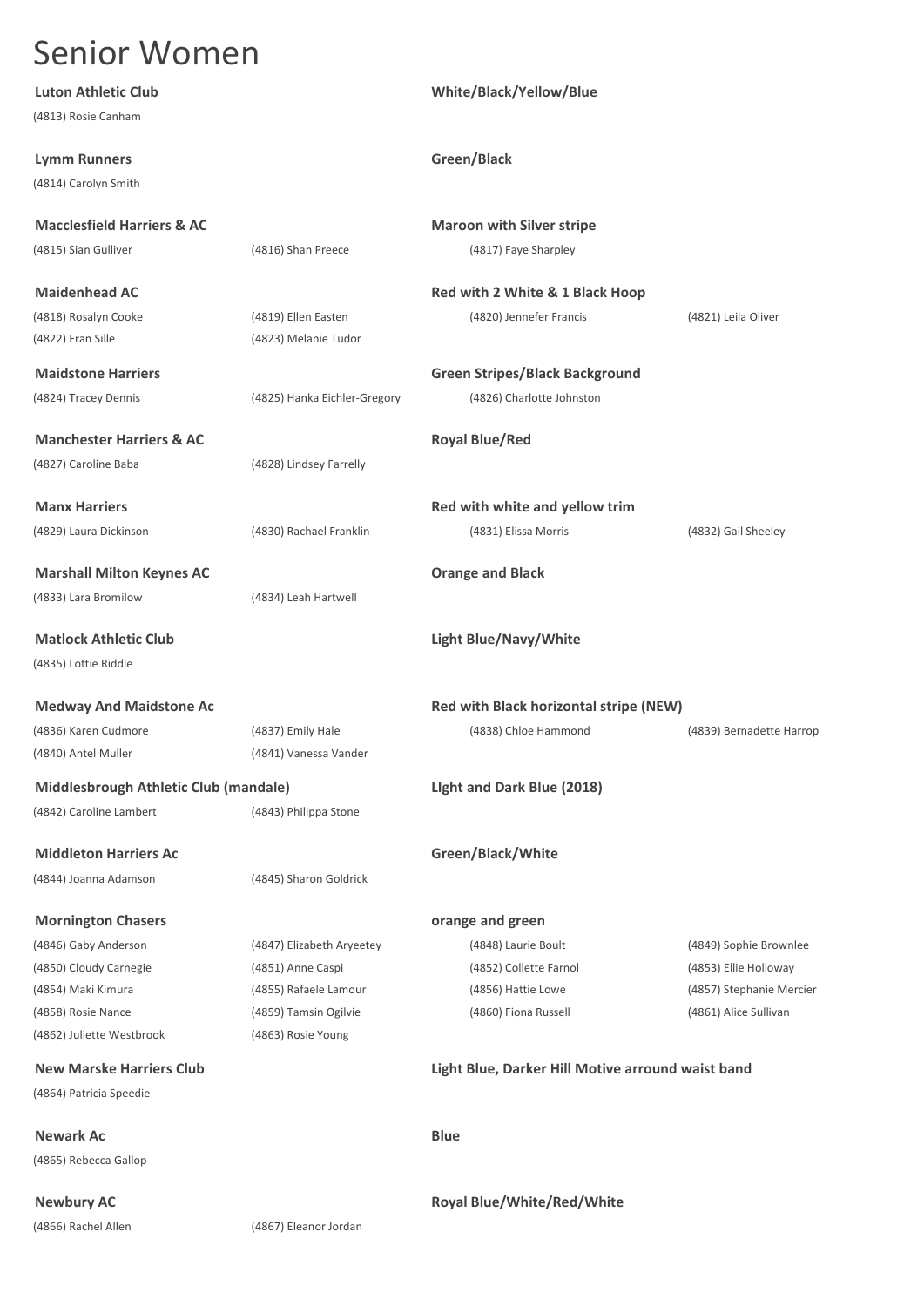|  |  |  | <b>Senior Women</b> |
|--|--|--|---------------------|
|--|--|--|---------------------|

| Luton Athletic Club                          |                              | White/Black/Yellow/Blue                           |                          |
|----------------------------------------------|------------------------------|---------------------------------------------------|--------------------------|
| (4813) Rosie Canham                          |                              |                                                   |                          |
| <b>Lymm Runners</b>                          |                              | Green/Black                                       |                          |
| (4814) Carolyn Smith                         |                              |                                                   |                          |
| <b>Macclesfield Harriers &amp; AC</b>        |                              | <b>Maroon with Silver stripe</b>                  |                          |
| (4815) Sian Gulliver                         | (4816) Shan Preece           | (4817) Faye Sharpley                              |                          |
| <b>Maidenhead AC</b>                         |                              | Red with 2 White & 1 Black Hoop                   |                          |
| (4818) Rosalyn Cooke                         | (4819) Ellen Easten          | (4820) Jennefer Francis                           | (4821) Leila Oliver      |
| (4822) Fran Sille                            | (4823) Melanie Tudor         |                                                   |                          |
| <b>Maidstone Harriers</b>                    |                              | <b>Green Stripes/Black Background</b>             |                          |
| (4824) Tracey Dennis                         | (4825) Hanka Eichler-Gregory | (4826) Charlotte Johnston                         |                          |
| <b>Manchester Harriers &amp; AC</b>          |                              | <b>Royal Blue/Red</b>                             |                          |
| (4827) Caroline Baba                         | (4828) Lindsey Farrelly      |                                                   |                          |
| <b>Manx Harriers</b>                         |                              | Red with white and yellow trim                    |                          |
| (4829) Laura Dickinson                       | (4830) Rachael Franklin      | (4831) Elissa Morris                              | (4832) Gail Sheeley      |
| <b>Marshall Milton Keynes AC</b>             |                              | <b>Orange and Black</b>                           |                          |
| (4833) Lara Bromilow                         | (4834) Leah Hartwell         |                                                   |                          |
| <b>Matlock Athletic Club</b>                 |                              | <b>Light Blue/Navy/White</b>                      |                          |
| (4835) Lottie Riddle                         |                              |                                                   |                          |
| <b>Medway And Maidstone Ac</b>               |                              | Red with Black horizontal stripe (NEW)            |                          |
| (4836) Karen Cudmore                         | (4837) Emily Hale            | (4838) Chloe Hammond                              | (4839) Bernadette Harrop |
| (4840) Antel Muller                          | (4841) Vanessa Vander        |                                                   |                          |
| <b>Middlesbrough Athletic Club (mandale)</b> |                              | Light and Dark Blue (2018)                        |                          |
| (4842) Caroline Lambert                      | (4843) Philippa Stone        |                                                   |                          |
| <b>Middleton Harriers Ac</b>                 |                              | Green/Black/White                                 |                          |
| (4844) Joanna Adamson                        | (4845) Sharon Goldrick       |                                                   |                          |
| <b>Mornington Chasers</b>                    |                              | orange and green                                  |                          |
| (4846) Gaby Anderson                         | (4847) Elizabeth Aryeetey    | (4848) Laurie Boult                               | (4849) Sophie Brownlee   |
| (4850) Cloudy Carnegie                       | (4851) Anne Caspi            | (4852) Collette Farnol                            | (4853) Ellie Holloway    |
| (4854) Maki Kimura                           | (4855) Rafaele Lamour        | (4856) Hattie Lowe                                | (4857) Stephanie Mercier |
| (4858) Rosie Nance                           | (4859) Tamsin Ogilvie        | (4860) Fiona Russell                              | (4861) Alice Sullivan    |
| (4862) Juliette Westbrook                    | (4863) Rosie Young           |                                                   |                          |
| <b>New Marske Harriers Club</b>              |                              | Light Blue, Darker Hill Motive arround waist band |                          |
| (4864) Patricia Speedie                      |                              |                                                   |                          |
| <b>Newark Ac</b>                             |                              | <b>Blue</b>                                       |                          |
| (4865) Rebecca Gallop                        |                              |                                                   |                          |
| <b>Newbury AC</b>                            |                              | Royal Blue/White/Red/White                        |                          |
| (4866) Rachel Allen                          | (4867) Eleanor Jordan        |                                                   |                          |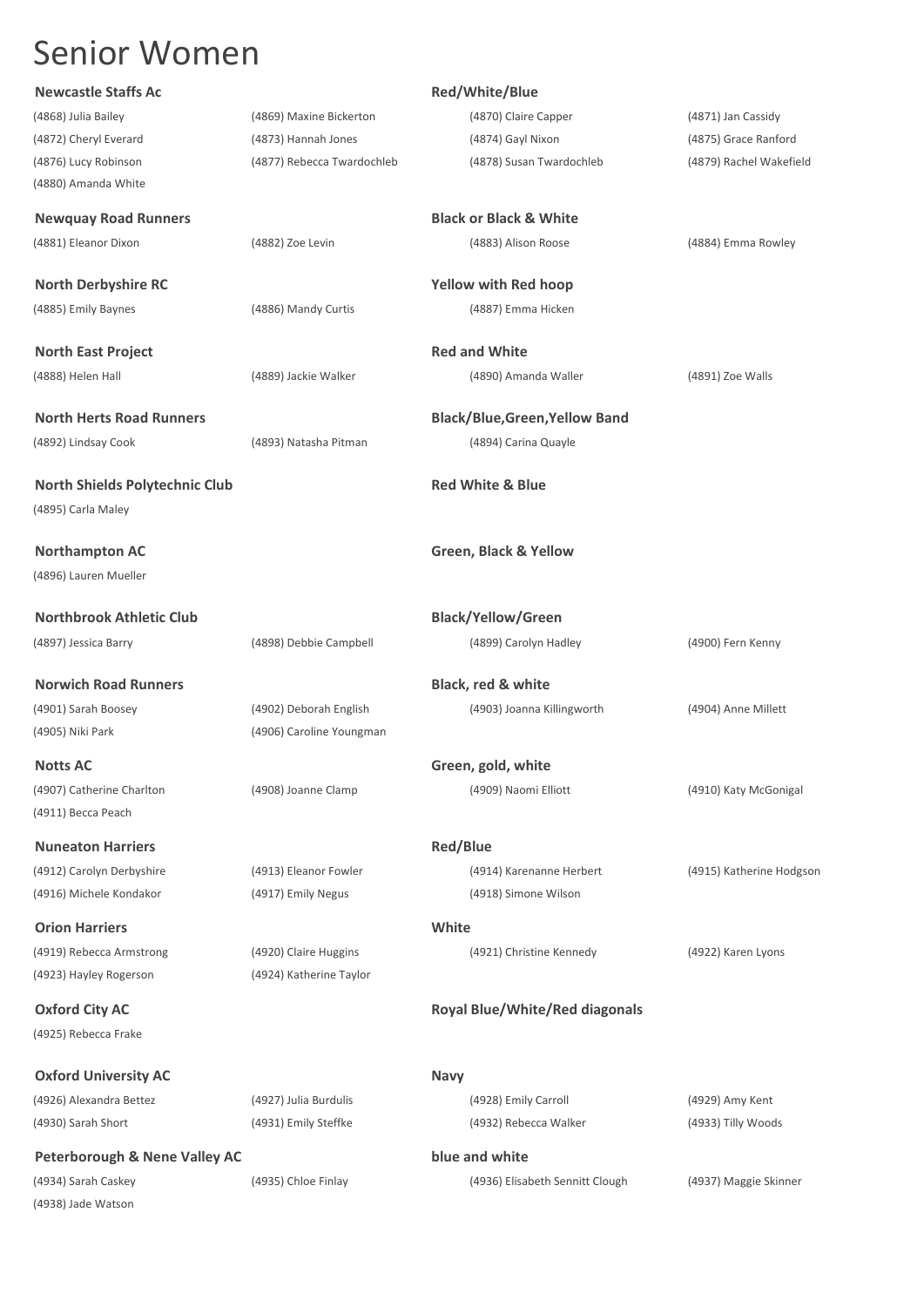| <b>Newcastle Staffs Ac</b>               |                            | Red/White/Blue                        |                          |
|------------------------------------------|----------------------------|---------------------------------------|--------------------------|
| (4868) Julia Bailey                      | (4869) Maxine Bickerton    | (4870) Claire Capper                  | (4871) Jan Cassidy       |
| (4872) Cheryl Everard                    | (4873) Hannah Jones        | (4874) Gayl Nixon                     | (4875) Grace Ranford     |
| (4876) Lucy Robinson                     | (4877) Rebecca Twardochleb | (4878) Susan Twardochleb              | (4879) Rachel Wakefield  |
| (4880) Amanda White                      |                            |                                       |                          |
|                                          |                            | <b>Black or Black &amp; White</b>     |                          |
| <b>Newquay Road Runners</b>              |                            |                                       |                          |
| (4881) Eleanor Dixon                     | (4882) Zoe Levin           | (4883) Alison Roose                   | (4884) Emma Rowley       |
| <b>North Derbyshire RC</b>               |                            | <b>Yellow with Red hoop</b>           |                          |
| (4885) Emily Baynes                      | (4886) Mandy Curtis        | (4887) Emma Hicken                    |                          |
| <b>North East Project</b>                |                            | <b>Red and White</b>                  |                          |
| (4888) Helen Hall                        | (4889) Jackie Walker       | (4890) Amanda Waller                  | (4891) Zoe Walls         |
|                                          |                            |                                       |                          |
| <b>North Herts Road Runners</b>          |                            | <b>Black/Blue, Green, Yellow Band</b> |                          |
| (4892) Lindsay Cook                      | (4893) Natasha Pitman      | (4894) Carina Quayle                  |                          |
|                                          |                            |                                       |                          |
| North Shields Polytechnic Club           |                            | <b>Red White &amp; Blue</b>           |                          |
| (4895) Carla Maley                       |                            |                                       |                          |
| <b>Northampton AC</b>                    |                            | Green, Black & Yellow                 |                          |
| (4896) Lauren Mueller                    |                            |                                       |                          |
|                                          |                            |                                       |                          |
| <b>Northbrook Athletic Club</b>          |                            | <b>Black/Yellow/Green</b>             |                          |
| (4897) Jessica Barry                     | (4898) Debbie Campbell     | (4899) Carolyn Hadley                 | (4900) Fern Kenny        |
| <b>Norwich Road Runners</b>              |                            | Black, red & white                    |                          |
| (4901) Sarah Boosey                      | (4902) Deborah English     | (4903) Joanna Killingworth            | (4904) Anne Millett      |
| (4905) Niki Park                         | (4906) Caroline Youngman   |                                       |                          |
|                                          |                            |                                       |                          |
| <b>Notts AC</b>                          |                            | Green, gold, white                    |                          |
| (4907) Catherine Charlton                | (4908) Joanne Clamp        | (4909) Naomi Elliott                  | (4910) Katy McGonigal    |
| (4911) Becca Peach                       |                            |                                       |                          |
| <b>Nuneaton Harriers</b>                 |                            | <b>Red/Blue</b>                       |                          |
| (4912) Carolyn Derbyshire                | (4913) Eleanor Fowler      | (4914) Karenanne Herbert              | (4915) Katherine Hodgson |
| (4916) Michele Kondakor                  | (4917) Emily Negus         | (4918) Simone Wilson                  |                          |
| <b>Orion Harriers</b>                    |                            | White                                 |                          |
| (4919) Rebecca Armstrong                 | (4920) Claire Huggins      | (4921) Christine Kennedy              | (4922) Karen Lyons       |
| (4923) Hayley Rogerson                   | (4924) Katherine Taylor    |                                       |                          |
| <b>Oxford City AC</b>                    |                            | <b>Royal Blue/White/Red diagonals</b> |                          |
| (4925) Rebecca Frake                     |                            |                                       |                          |
|                                          |                            |                                       |                          |
| <b>Oxford University AC</b>              |                            | <b>Navy</b>                           |                          |
| (4926) Alexandra Bettez                  | (4927) Julia Burdulis      | (4928) Emily Carroll                  | (4929) Amy Kent          |
| (4930) Sarah Short                       | (4931) Emily Steffke       | (4932) Rebecca Walker                 | (4933) Tilly Woods       |
| <b>Peterborough &amp; Nene Valley AC</b> |                            | blue and white                        |                          |
| (4934) Sarah Caskey                      | (4935) Chloe Finlay        | (4936) Elisabeth Sennitt Clough       | (4937) Maggie Skinner    |
| (4938) Jade Watson                       |                            |                                       |                          |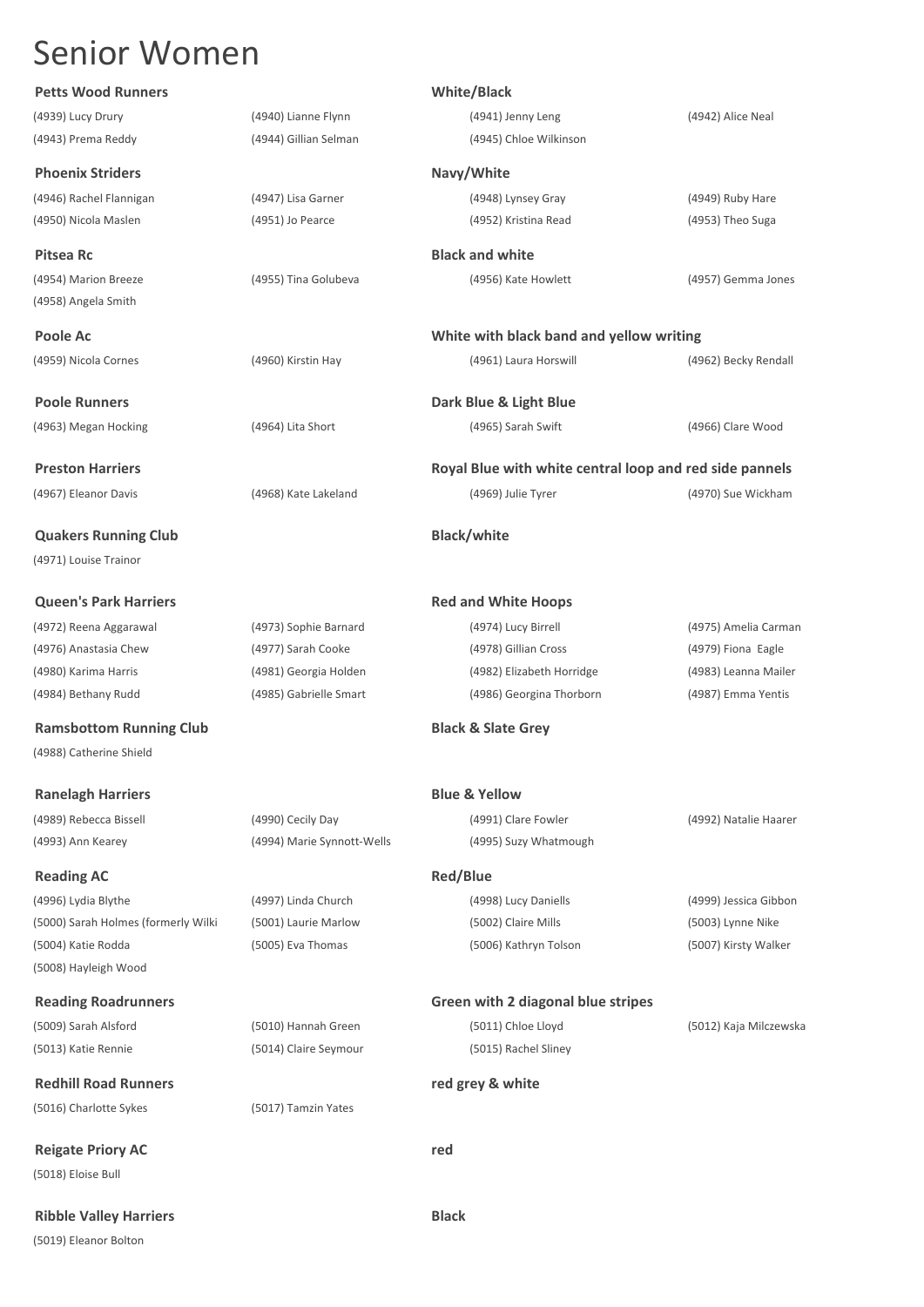## **Petts Wood Runners White/Black**

## **Phoenix Striders Navy/White**

(4958) Angela Smith

**Quakers Running Club Black/white** (4971) Louise Trainor

**Queen's Park Harriers Red and White Hoops Red and White Hoops** 

**Ramsbottom Running Club Black & Slate Grey** (4988) Catherine Shield

**Ranelagh Harriers Blue & Yellow** 

## **Reading AC Reading AC Red/Blue**

(4996) Lydia Blythe (4997) Linda Church (4998) Lucy Daniells (4999) Jessica Gibbon (5000) Sarah Holmes (formerly Wilki (5001) Laurie Marlow (5002) Claire Mills (5003) Lynne Nike (5004) Katie Rodda (5005) Eva Thomas (5006) Kathryn Tolson (5007) Kirsty Walker (5008) Hayleigh Wood

(5009) Sarah Alsford (5010) Hannah Green (5011) Chloe Lloyd (5012) Kaja Milczewska (5013) Katie Rennie (5014) Claire Seymour (5015) Rachel Sliney

**Redhill Road Runners red grey & white** (5016) Charlotte Sykes (5017) Tamzin Yates

**Reigate Priory AC red** (5018) Eloise Bull

**Ribble Valley Harriers Black**

(5019) Eleanor Bolton

(4939) Lucy Drury (4940) Lianne Flynn (4941) Jenny Leng (4942) Alice Neal

## **Reading Roadrunners Green with 2 diagonal blue stripes**

(4943) Prema Reddy (4944) Gillian Selman (4945) Chloe Wilkinson (4946) Rachel Flannigan (4947) Lisa Garner (4948) Lynsey Gray (4949) Ruby Hare (4950) Nicola Maslen (4951) Jo Pearce (4952) Kristina Read (4953) Theo Suga **Pitsea Rc Black and white Black and white Black and white** (4954) Marion Breeze (4955) Tina Golubeva (4956) Kate Howlett (4957) Gemma Jones

**Poole Ac White with black band and yellow writing** (4959) Nicola Cornes (4960) Kirstin Hay (4961) Laura Horswill (4962) Becky Rendall

**Poole Runners Dark Blue & Light Blue**  (4963) Megan Hocking (4964) Lita Short (4965) Sarah Swift (4966) Clare Wood

**Preston Harriers Royal Blue with white central loop and red side pannels** 

(4967) Eleanor Davis (4968) Kate Lakeland (4969) Julie Tyrer (4970) Sue Wickham

(4972) Reena Aggarawal (4973) Sophie Barnard (4974) Lucy Birrell (4975) Amelia Carman (4976) Anastasia Chew (4977) Sarah Cooke (4978) Gillian Cross (4979) Fiona Eagle (4980) Karima Harris (4981) Georgia Holden (4982) Elizabeth Horridge (4983) Leanna Mailer (4984) Bethany Rudd (4985) Gabrielle Smart (4986) Georgina Thorborn (4987) Emma Yentis

(4993) Ann Kearey (4994) Marie Synnott-Wells (4995) Suzy Whatmough

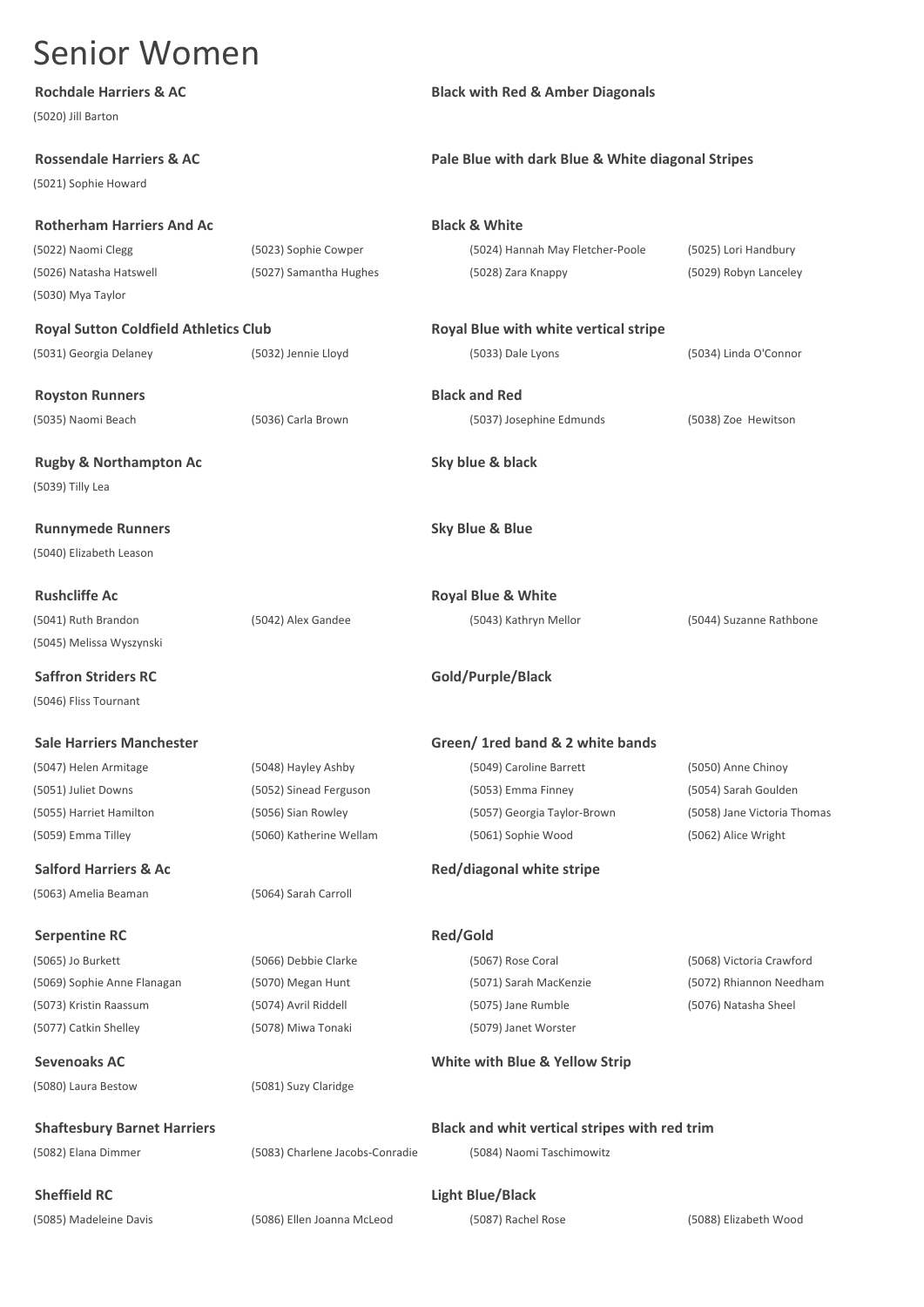| (5020) Jill Barton                           |                        |                                                   |                       |
|----------------------------------------------|------------------------|---------------------------------------------------|-----------------------|
| <b>Rossendale Harriers &amp; AC</b>          |                        | Pale Blue with dark Blue & White diagonal Stripes |                       |
| (5021) Sophie Howard                         |                        |                                                   |                       |
| <b>Rotherham Harriers And Ac</b>             |                        | <b>Black &amp; White</b>                          |                       |
| (5022) Naomi Clegg                           | (5023) Sophie Cowper   | (5024) Hannah May Fletcher-Poole                  | (5025) Lori Handbury  |
| (5026) Natasha Hatswell                      | (5027) Samantha Hughes | (5028) Zara Knappy                                | (5029) Robyn Lanceley |
| (5030) Mya Taylor                            |                        |                                                   |                       |
| <b>Royal Sutton Coldfield Athletics Club</b> |                        | Royal Blue with white vertical stripe             |                       |
| (5031) Georgia Delaney                       | (5032) Jennie Lloyd    | (5033) Dale Lyons                                 | (5034) Linda O'Connor |

**Royston Runners Black and Red**

**Rugby & Northampton Ac Sky blue & black** (5039) Tilly Lea

**Runnymede Runners Sky Blue & Blue** (5040) Elizabeth Leason

(5041) Ruth Brandon (5042) Alex Gandee (5043) Kathryn Mellor (5044) Suzanne Rathbone (5045) Melissa Wyszynski

**Saffron Striders RC Gold/Purple/Black** (5046) Fliss Tournant

(5063) Amelia Beaman (5064) Sarah Carroll

**Serpentine RC Red/Gold** 

(5073) Kristin Raassum (5074) Avril Riddell (5075) Jane Rumble (5076) Natasha Sheel (5077) Catkin Shelley (5078) Miwa Tonaki (5079) Janet Worster

(5080) Laura Bestow (5081) Suzy Claridge

(5082) Elana Dimmer (5083) Charlene Jacobs-Conradie (5084) Naomi Taschimowitz

**Rochdale Harriers & AC Black with Red & Amber Diagonals**

## **Pale Blue with dark Blue & White diagonal Stripes**

## **Black & White**

**Royal Blue with white vertical stripe** 

(5035) Naomi Beach (5036) Carla Brown (5037) Josephine Edmunds (5038) Zoe Hewitson

**Rushcliffe Ac Royal Blue & White**

## **Sale Harriers Manchester Green/ 1red band & 2 white bands**

(5047) Helen Armitage (5048) Hayley Ashby (5049) Caroline Barrett (5050) Anne Chinoy (5051) Juliet Downs (5052) Sinead Ferguson (5053) Emma Finney (5054) Sarah Goulden (5055) Harriet Hamilton (5056) Sian Rowley (5057) Georgia Taylor-Brown (5058) Jane Victoria Thomas (5059) Emma Tilley (5060) Katherine Wellam (5061) Sophie Wood (5062) Alice Wright

## **Salford Harriers & Ac Red/diagonal white stripe**

(5065) Jo Burkett (5066) Debbie Clarke (5067) Rose Coral (5068) Victoria Crawford

(5069) Sophie Anne Flanagan (5070) Megan Hunt (5071) Sarah MacKenzie (5072) Rhiannon Needham

## **Sevenoaks AC White with Blue & Yellow Strip**

**Shaftesbury Barnet Harriers Black and whit vertical stripes with red trim**

**Sheffield RC Light Blue/Black**

(5085) Madeleine Davis (5086) Ellen Joanna McLeod (5087) Rachel Rose (5088) Elizabeth Wood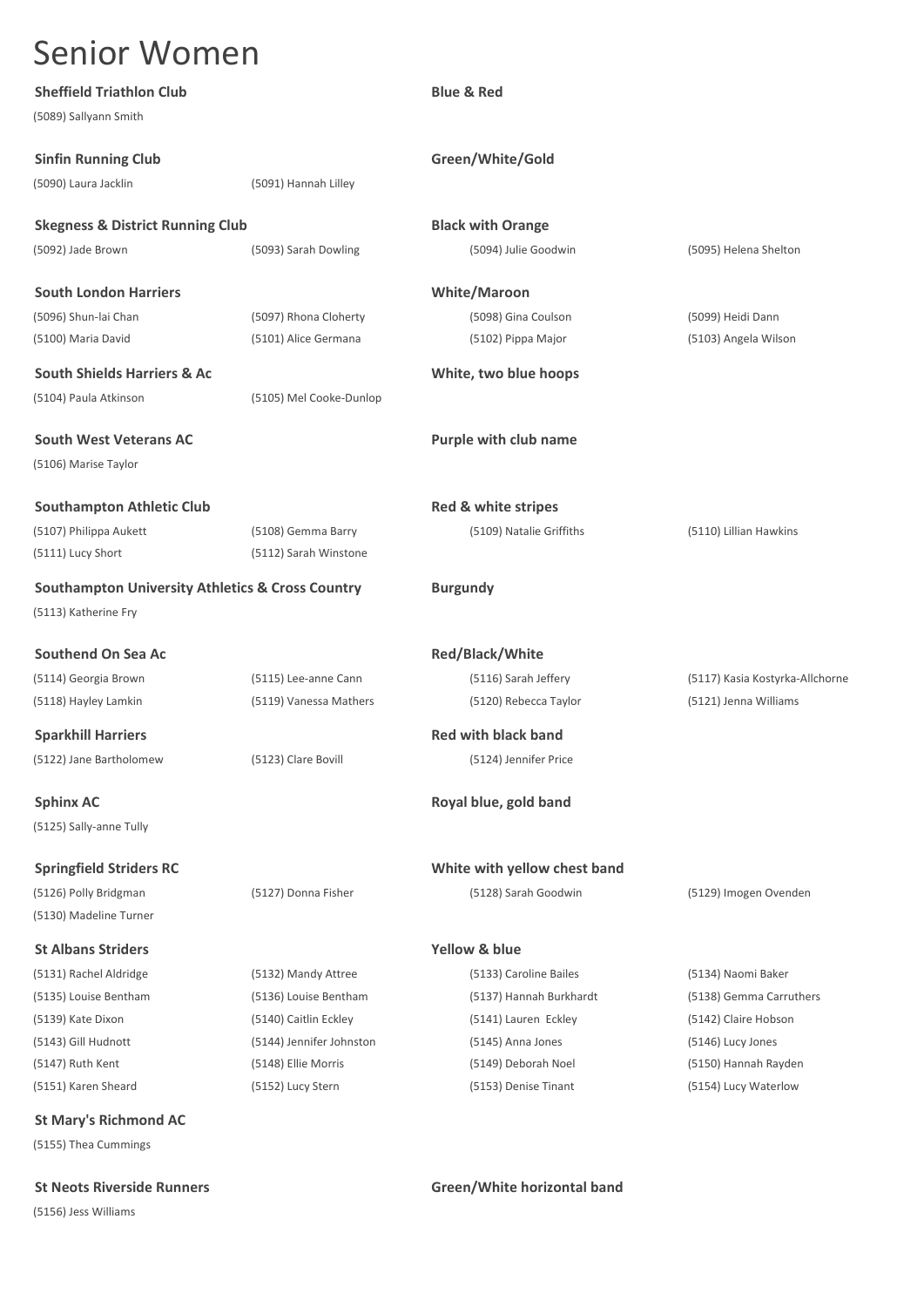| <b>Sheffield Triathlon Club</b>                             |                          | <b>Blue &amp; Red</b>        |                                 |
|-------------------------------------------------------------|--------------------------|------------------------------|---------------------------------|
| (5089) Sallyann Smith                                       |                          |                              |                                 |
| <b>Sinfin Running Club</b>                                  |                          | Green/White/Gold             |                                 |
| (5090) Laura Jacklin                                        | (5091) Hannah Lilley     |                              |                                 |
|                                                             |                          |                              |                                 |
| <b>Skegness &amp; District Running Club</b>                 |                          | <b>Black with Orange</b>     |                                 |
| (5092) Jade Brown                                           | (5093) Sarah Dowling     | (5094) Julie Goodwin         | (5095) Helena Shelton           |
| <b>South London Harriers</b>                                |                          | <b>White/Maroon</b>          |                                 |
| (5096) Shun-lai Chan                                        | (5097) Rhona Cloherty    | (5098) Gina Coulson          | (5099) Heidi Dann               |
| (5100) Maria David                                          | (5101) Alice Germana     | (5102) Pippa Major           | (5103) Angela Wilson            |
| <b>South Shields Harriers &amp; Ac</b>                      |                          | White, two blue hoops        |                                 |
| (5104) Paula Atkinson                                       | (5105) Mel Cooke-Dunlop  |                              |                                 |
| <b>South West Veterans AC</b>                               |                          | Purple with club name        |                                 |
| (5106) Marise Taylor                                        |                          |                              |                                 |
|                                                             |                          |                              |                                 |
| <b>Southampton Athletic Club</b>                            |                          | Red & white stripes          |                                 |
| (5107) Philippa Aukett                                      | (5108) Gemma Barry       | (5109) Natalie Griffiths     | (5110) Lillian Hawkins          |
| (5111) Lucy Short                                           | (5112) Sarah Winstone    |                              |                                 |
| <b>Southampton University Athletics &amp; Cross Country</b> |                          | <b>Burgundy</b>              |                                 |
| (5113) Katherine Fry                                        |                          |                              |                                 |
|                                                             |                          |                              |                                 |
| <b>Southend On Sea Ac</b>                                   |                          | Red/Black/White              |                                 |
| (5114) Georgia Brown                                        | (5115) Lee-anne Cann     | (5116) Sarah Jeffery         | (5117) Kasia Kostyrka-Allchorne |
| (5118) Hayley Lamkin                                        | (5119) Vanessa Mathers   | (5120) Rebecca Taylor        | (5121) Jenna Williams           |
| <b>Sparkhill Harriers</b>                                   |                          | <b>Red with black band</b>   |                                 |
| (5122) Jane Bartholomew                                     | (5123) Clare Bovill      | (5124) Jennifer Price        |                                 |
| <b>Sphinx AC</b>                                            |                          | Royal blue, gold band        |                                 |
| (5125) Sally-anne Tully                                     |                          |                              |                                 |
|                                                             |                          |                              |                                 |
| <b>Springfield Striders RC</b>                              |                          | White with yellow chest band |                                 |
| (5126) Polly Bridgman                                       | (5127) Donna Fisher      | (5128) Sarah Goodwin         | (5129) Imogen Ovenden           |
| (5130) Madeline Turner                                      |                          |                              |                                 |
| <b>St Albans Striders</b>                                   |                          | <b>Yellow &amp; blue</b>     |                                 |
| (5131) Rachel Aldridge                                      | (5132) Mandy Attree      | (5133) Caroline Bailes       | (5134) Naomi Baker              |
| (5135) Louise Bentham                                       | (5136) Louise Bentham    | (5137) Hannah Burkhardt      | (5138) Gemma Carruthers         |
| (5139) Kate Dixon                                           | (5140) Caitlin Eckley    | (5141) Lauren Eckley         | (5142) Claire Hobson            |
| (5143) Gill Hudnott                                         | (5144) Jennifer Johnston | (5145) Anna Jones            | (5146) Lucy Jones               |
| (5147) Ruth Kent                                            | (5148) Ellie Morris      | (5149) Deborah Noel          | (5150) Hannah Rayden            |
| (5151) Karen Sheard                                         | (5152) Lucy Stern        | (5153) Denise Tinant         | (5154) Lucy Waterlow            |
| <b>St Mary's Richmond AC</b>                                |                          |                              |                                 |
| (5155) Thea Cummings                                        |                          |                              |                                 |

**St Neots Riverside Runners Green/White horizontal band**

(5156) Jess Williams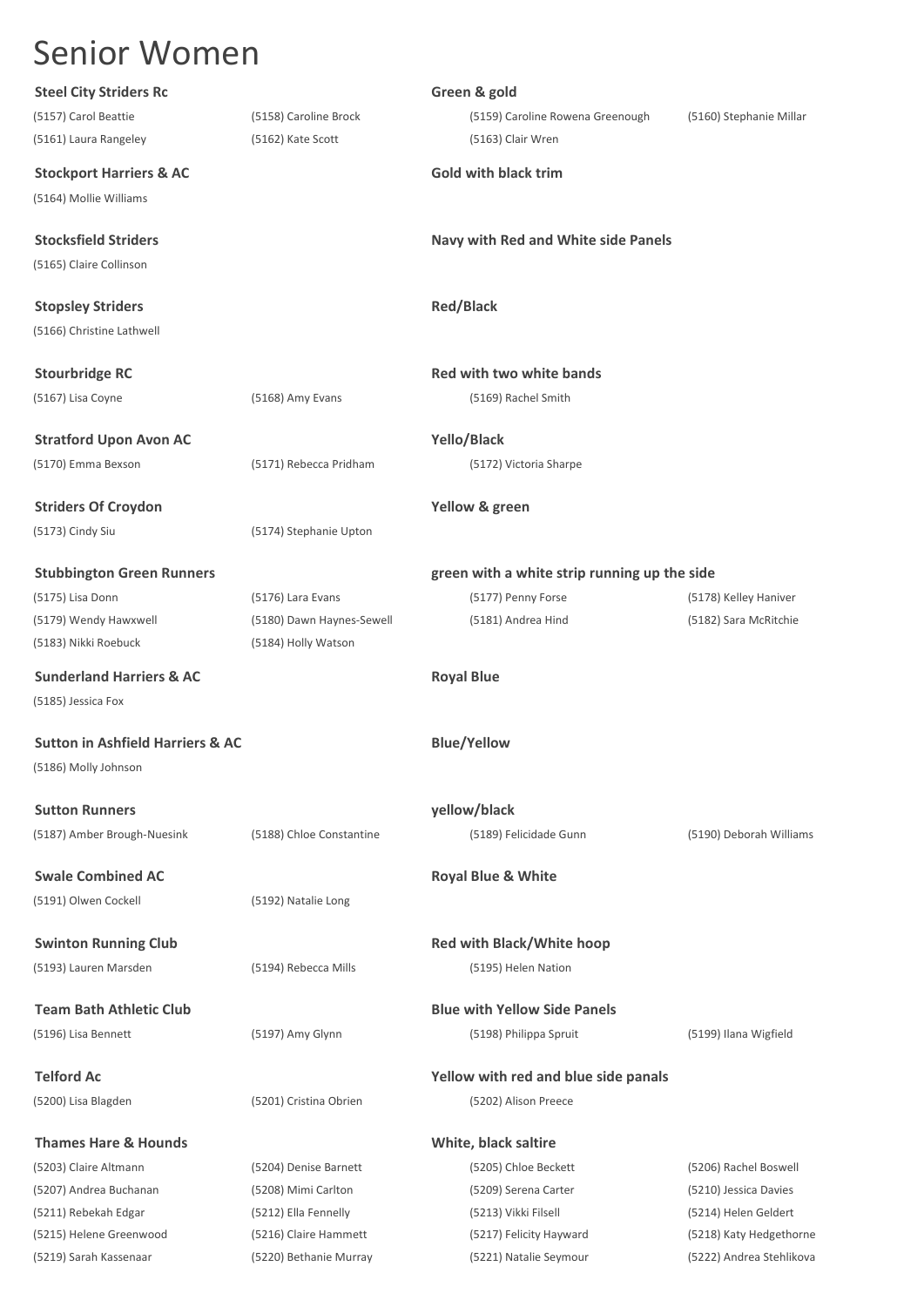| <b>Steel City Striders Rc</b>               |                           | Green & gold                                 |                          |
|---------------------------------------------|---------------------------|----------------------------------------------|--------------------------|
| (5157) Carol Beattie                        | (5158) Caroline Brock     | (5159) Caroline Rowena Greenough             | (5160) Stephanie Millar  |
| (5161) Laura Rangeley                       | (5162) Kate Scott         | (5163) Clair Wren                            |                          |
| <b>Stockport Harriers &amp; AC</b>          |                           | <b>Gold with black trim</b>                  |                          |
| (5164) Mollie Williams                      |                           |                                              |                          |
| <b>Stocksfield Striders</b>                 |                           | Navy with Red and White side Panels          |                          |
| (5165) Claire Collinson                     |                           |                                              |                          |
| <b>Stopsley Striders</b>                    |                           | <b>Red/Black</b>                             |                          |
| (5166) Christine Lathwell                   |                           |                                              |                          |
| <b>Stourbridge RC</b>                       |                           | Red with two white bands                     |                          |
| (5167) Lisa Coyne                           | (5168) Amy Evans          | (5169) Rachel Smith                          |                          |
| <b>Stratford Upon Avon AC</b>               |                           | Yello/Black                                  |                          |
| (5170) Emma Bexson                          | (5171) Rebecca Pridham    | (5172) Victoria Sharpe                       |                          |
|                                             |                           |                                              |                          |
| <b>Striders Of Croydon</b>                  |                           | Yellow & green                               |                          |
| (5173) Cindy Siu                            | (5174) Stephanie Upton    |                                              |                          |
| <b>Stubbington Green Runners</b>            |                           | green with a white strip running up the side |                          |
| (5175) Lisa Donn                            | (5176) Lara Evans         | (5177) Penny Forse                           | (5178) Kelley Haniver    |
| (5179) Wendy Hawxwell                       | (5180) Dawn Haynes-Sewell | (5181) Andrea Hind                           | (5182) Sara McRitchie    |
| (5183) Nikki Roebuck                        | (5184) Holly Watson       |                                              |                          |
| <b>Sunderland Harriers &amp; AC</b>         |                           | <b>Royal Blue</b>                            |                          |
| (5185) Jessica Fox                          |                           |                                              |                          |
| <b>Sutton in Ashfield Harriers &amp; AC</b> |                           | <b>Blue/Yellow</b>                           |                          |
| (5186) Molly Johnson                        |                           |                                              |                          |
| <b>Sutton Runners</b>                       |                           | yellow/black                                 |                          |
| (5187) Amber Brough-Nuesink                 | (5188) Chloe Constantine  | (5189) Felicidade Gunn                       | (5190) Deborah Williams  |
| <b>Swale Combined AC</b>                    |                           | <b>Royal Blue &amp; White</b>                |                          |
| (5191) Olwen Cockell                        | (5192) Natalie Long       |                                              |                          |
|                                             |                           |                                              |                          |
| <b>Swinton Running Club</b>                 |                           | <b>Red with Black/White hoop</b>             |                          |
| (5193) Lauren Marsden                       | (5194) Rebecca Mills      | (5195) Helen Nation                          |                          |
| <b>Team Bath Athletic Club</b>              |                           | <b>Blue with Yellow Side Panels</b>          |                          |
| (5196) Lisa Bennett                         | (5197) Amy Glynn          | (5198) Philippa Spruit                       | (5199) Ilana Wigfield    |
| <b>Telford Ac</b>                           |                           | Yellow with red and blue side panals         |                          |
| (5200) Lisa Blagden                         | (5201) Cristina Obrien    | (5202) Alison Preece                         |                          |
| <b>Thames Hare &amp; Hounds</b>             |                           | White, black saltire                         |                          |
| (5203) Claire Altmann                       | (5204) Denise Barnett     | (5205) Chloe Beckett                         | (5206) Rachel Boswell    |
| (5207) Andrea Buchanan                      | (5208) Mimi Carlton       | (5209) Serena Carter                         | (5210) Jessica Davies    |
| (5211) Rebekah Edgar                        | (5212) Ella Fennelly      | (5213) Vikki Filsell                         | (5214) Helen Geldert     |
| (5215) Helene Greenwood                     | (5216) Claire Hammett     | (5217) Felicity Hayward                      | (5218) Katy Hedgethorne  |
| (5219) Sarah Kassenaar                      | (5220) Bethanie Murray    | (5221) Natalie Seymour                       | (5222) Andrea Stehlikova |
|                                             |                           |                                              |                          |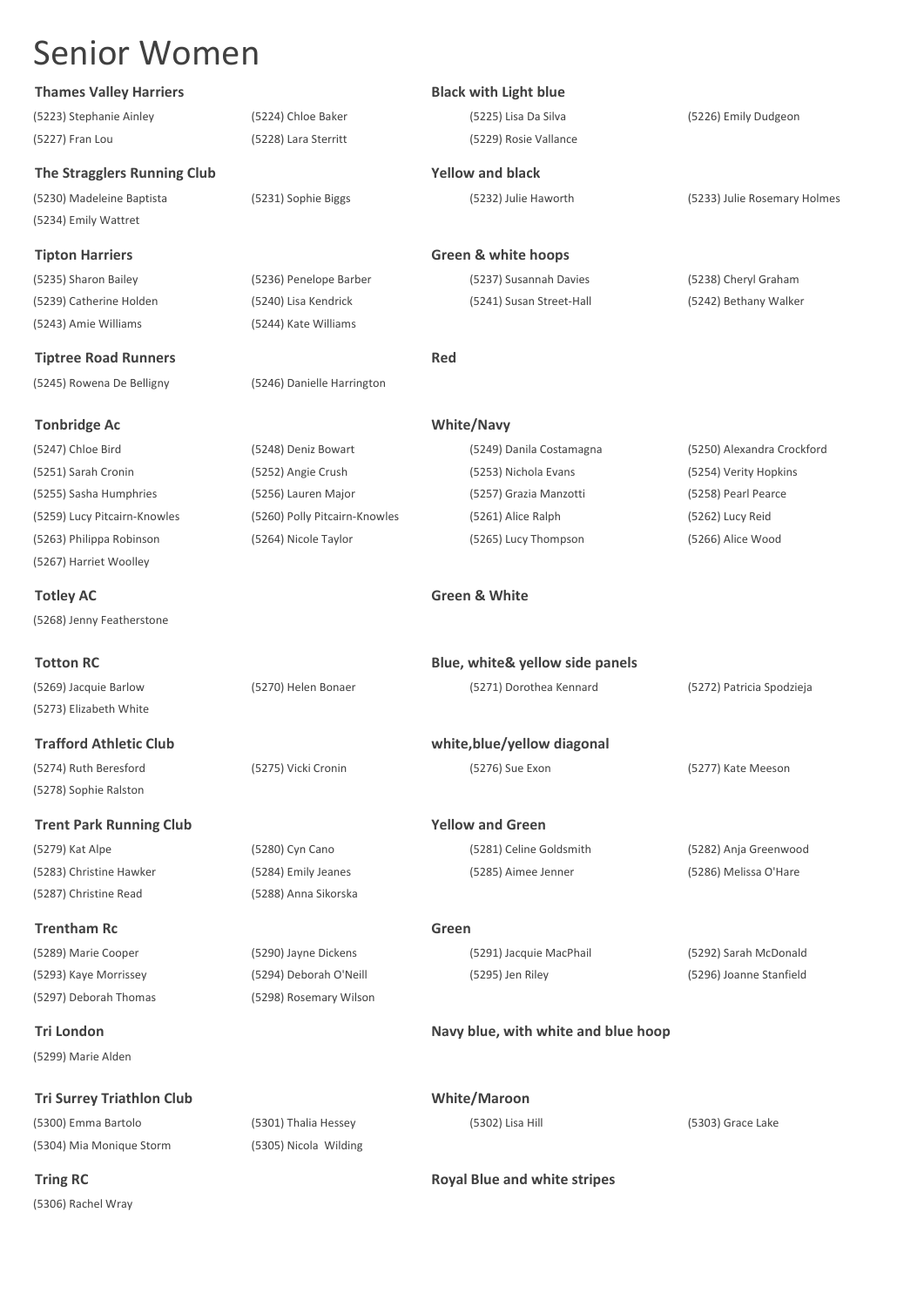## **Thames Valley Harriers Black with Light blue**

(5223) Stephanie Ainley (5224) Chloe Baker (5225) Lisa Da Silva (5226) Emily Dudgeon (5227) Fran Lou (5228) Lara Sterritt (5229) Rosie Vallance

**The Stragglers Running Club Yellow and black**

(5234) Emily Wattret

(5239) Catherine Holden (5240) Lisa Kendrick (5241) Susan Street-Hall (5242) Bethany Walker (5243) Amie Williams (5244) Kate Williams

**Tiptree Road Runners Red** 

(5245) Rowena De Belligny (5246) Danielle Harrington

**Tonbridge Ac White/Navy**

(5267) Harriet Woolley

**Totley AC Green & White** (5268) Jenny Featherstone

(5279) Kat Alpe (5280) Cyn Cano (5281) Celine Goldsmith (5282) Anja Greenwood (5283) Christine Hawker (5284) Emily Jeanes (5285) Aimee Jenner (5286) Melissa O'Hare (5287) Christine Read (5288) Anna Sikorska

**Trentham Rc Green** (5289) Marie Cooper (5290) Jayne Dickens (5291) Jacquie MacPhail (5292) Sarah McDonald (5293) Kaye Morrissey (5294) Deborah O'Neill (5295) Jen Riley (5296) Joanne Stanfield (5297) Deborah Thomas (5298) Rosemary Wilson

(5299) Marie Alden

**Tri Surrey Triathlon Club White/Maroon**

(5300) Emma Bartolo (5301) Thalia Hessey (5302) Lisa Hill (5303) Grace Lake (5304) Mia Monique Storm (5305) Nicola Wilding

(5306) Rachel Wray

(5230) Madeleine Baptista (5231) Sophie Biggs (5232) Julie Haworth (5233) Julie Rosemary Holmes

**Tipton Harriers Green & white hoops**

(5235) Sharon Bailey (5236) Penelope Barber (5237) Susannah Davies (5238) Cheryl Graham

| (5247) Chloe Bird            | (5248) Deniz Bowart           | (5249) Danila Costamagna | (5250) Alexandra Crockford |
|------------------------------|-------------------------------|--------------------------|----------------------------|
| (5251) Sarah Cronin          | (5252) Angie Crush            | (5253) Nichola Evans     | (5254) Verity Hopkins      |
| (5255) Sasha Humphries       | (5256) Lauren Major           | (5257) Grazia Manzotti   | (5258) Pearl Pearce        |
| (5259) Lucy Pitcairn-Knowles | (5260) Polly Pitcairn-Knowles | (5261) Alice Ralph       | (5262) Lucy Reid           |
| (5263) Philippa Robinson     | (5264) Nicole Taylor          | (5265) Lucy Thompson     | (5266) Alice Wood          |
|                              |                               |                          |                            |

| <b>Totton RC</b>                                |                     | Blue, white & yellow side panels |                           |
|-------------------------------------------------|---------------------|----------------------------------|---------------------------|
| (5269) Jacquie Barlow<br>(5273) Elizabeth White | (5270) Helen Bonaer | (5271) Dorothea Kennard          | (5272) Patricia Spodzieja |
| <b>Trafford Athletic Club</b>                   |                     | white, blue/yellow diagonal      |                           |
| (5274) Ruth Beresford                           | (5275) Vicki Cronin | (5276) Sue Exon                  | (5277) Kate Meeson        |
| (5278) Sophie Ralston                           |                     |                                  |                           |
| <b>Trent Park Running Club</b>                  |                     | <b>Yellow and Green</b>          |                           |

## **Tri London Navy blue, with white and blue hoop**

**Tring RC Royal Blue and white stripes Royal Blue and white stripes**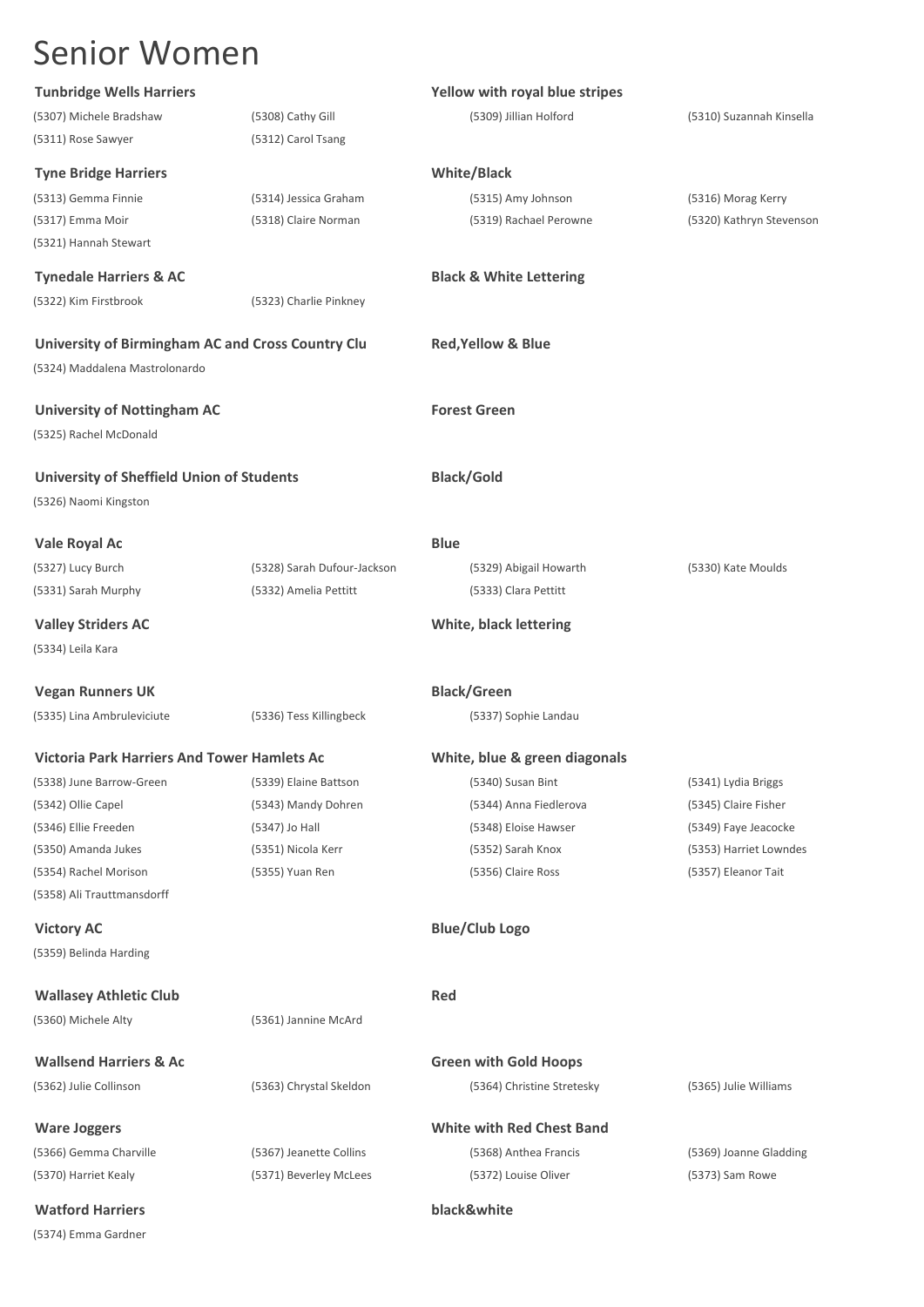| <b>Tunbridge Wells Harriers</b>                    |                             | Yellow with royal blue stripes     |                          |
|----------------------------------------------------|-----------------------------|------------------------------------|--------------------------|
| (5307) Michele Bradshaw                            | (5308) Cathy Gill           | (5309) Jillian Holford             | (5310) Suzannah Kinsella |
| (5311) Rose Sawyer                                 | (5312) Carol Tsang          |                                    |                          |
| <b>Tyne Bridge Harriers</b>                        |                             | <b>White/Black</b>                 |                          |
| (5313) Gemma Finnie                                | (5314) Jessica Graham       | (5315) Amy Johnson                 | (5316) Morag Kerry       |
| (5317) Emma Moir                                   | (5318) Claire Norman        | (5319) Rachael Perowne             | (5320) Kathryn Stevenson |
| (5321) Hannah Stewart                              |                             |                                    |                          |
| <b>Tynedale Harriers &amp; AC</b>                  |                             | <b>Black &amp; White Lettering</b> |                          |
| (5322) Kim Firstbrook                              | (5323) Charlie Pinkney      |                                    |                          |
| University of Birmingham AC and Cross Country Clu  |                             | <b>Red, Yellow &amp; Blue</b>      |                          |
| (5324) Maddalena Mastrolonardo                     |                             |                                    |                          |
| <b>University of Nottingham AC</b>                 |                             | <b>Forest Green</b>                |                          |
| (5325) Rachel McDonald                             |                             |                                    |                          |
| <b>University of Sheffield Union of Students</b>   |                             | <b>Black/Gold</b>                  |                          |
| (5326) Naomi Kingston                              |                             |                                    |                          |
| Vale Royal Ac                                      |                             | <b>Blue</b>                        |                          |
| (5327) Lucy Burch                                  | (5328) Sarah Dufour-Jackson | (5329) Abigail Howarth             | (5330) Kate Moulds       |
| (5331) Sarah Murphy                                | (5332) Amelia Pettitt       | (5333) Clara Pettitt               |                          |
| <b>Valley Striders AC</b>                          |                             | White, black lettering             |                          |
| (5334) Leila Kara                                  |                             |                                    |                          |
| <b>Vegan Runners UK</b>                            |                             | <b>Black/Green</b>                 |                          |
| (5335) Lina Ambruleviciute                         | (5336) Tess Killingbeck     | (5337) Sophie Landau               |                          |
| <b>Victoria Park Harriers And Tower Hamlets Ac</b> |                             | White, blue & green diagonals      |                          |
| (5338) June Barrow-Green                           | (5339) Elaine Battson       | (5340) Susan Bint                  | (5341) Lydia Briggs      |
| (5342) Ollie Capel                                 | (5343) Mandy Dohren         | (5344) Anna Fiedlerova             | (5345) Claire Fisher     |
| (5346) Ellie Freeden                               | (5347) Jo Hall              | (5348) Eloise Hawser               | (5349) Faye Jeacocke     |
| (5350) Amanda Jukes                                | (5351) Nicola Kerr          | (5352) Sarah Knox                  | (5353) Harriet Lowndes   |
| (5354) Rachel Morison                              | (5355) Yuan Ren             | (5356) Claire Ross                 | (5357) Eleanor Tait      |
| (5358) Ali Trauttmansdorff                         |                             |                                    |                          |
| <b>Victory AC</b>                                  |                             | <b>Blue/Club Logo</b>              |                          |
| (5359) Belinda Harding                             |                             |                                    |                          |
| <b>Wallasey Athletic Club</b>                      |                             | <b>Red</b>                         |                          |
| (5360) Michele Alty                                | (5361) Jannine McArd        |                                    |                          |
| <b>Wallsend Harriers &amp; Ac</b>                  |                             | <b>Green with Gold Hoops</b>       |                          |
| (5362) Julie Collinson                             | (5363) Chrystal Skeldon     | (5364) Christine Stretesky         | (5365) Julie Williams    |
| <b>Ware Joggers</b>                                |                             | <b>White with Red Chest Band</b>   |                          |
| (5366) Gemma Charville                             | (5367) Jeanette Collins     | (5368) Anthea Francis              | (5369) Joanne Gladding   |
| (5370) Harriet Kealy                               | (5371) Beverley McLees      | (5372) Louise Oliver               | (5373) Sam Rowe          |
| <b>Watford Harriers</b>                            |                             | black&white                        |                          |

(5374) Emma Gardner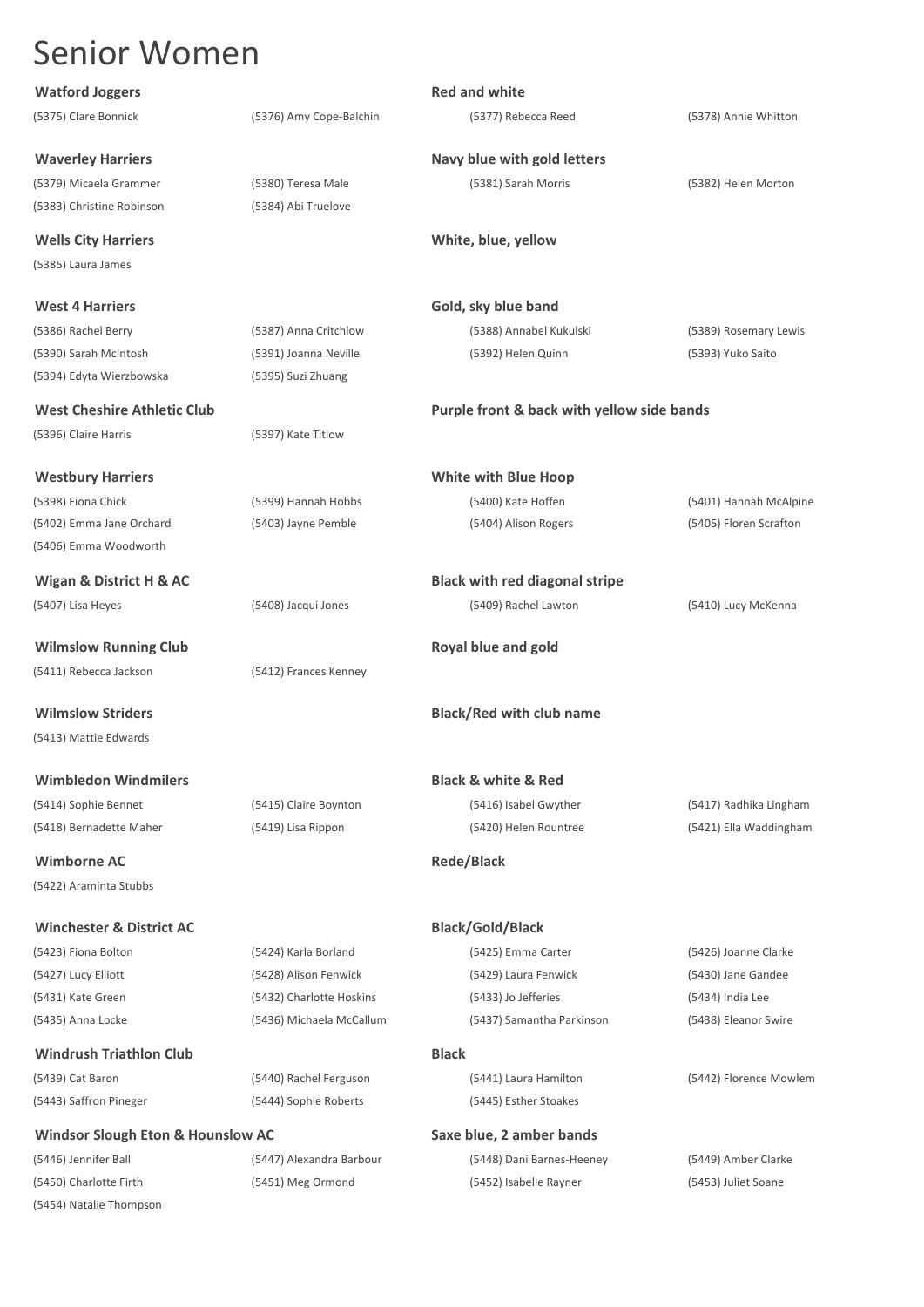| <b>Watford Joggers</b>              |                          | <b>Red and white</b>                       |                        |
|-------------------------------------|--------------------------|--------------------------------------------|------------------------|
| (5375) Clare Bonnick                | (5376) Amy Cope-Balchin  | (5377) Rebecca Reed                        | (5378) Annie Whitton   |
| <b>Waverley Harriers</b>            |                          | Navy blue with gold letters                |                        |
| (5379) Micaela Grammer              | (5380) Teresa Male       | (5381) Sarah Morris                        | (5382) Helen Morton    |
| (5383) Christine Robinson           | (5384) Abi Truelove      |                                            |                        |
| <b>Wells City Harriers</b>          |                          | White, blue, yellow                        |                        |
| (5385) Laura James                  |                          |                                            |                        |
| <b>West 4 Harriers</b>              |                          | Gold, sky blue band                        |                        |
| (5386) Rachel Berry                 | (5387) Anna Critchlow    | (5388) Annabel Kukulski                    | (5389) Rosemary Lewis  |
| (5390) Sarah McIntosh               | (5391) Joanna Neville    | (5392) Helen Quinn                         | (5393) Yuko Saito      |
| (5394) Edyta Wierzbowska            | (5395) Suzi Zhuang       |                                            |                        |
| <b>West Cheshire Athletic Club</b>  |                          | Purple front & back with yellow side bands |                        |
| (5396) Claire Harris                | (5397) Kate Titlow       |                                            |                        |
| <b>Westbury Harriers</b>            |                          | <b>White with Blue Hoop</b>                |                        |
| (5398) Fiona Chick                  | (5399) Hannah Hobbs      | (5400) Kate Hoffen                         | (5401) Hannah McAlpine |
| (5402) Emma Jane Orchard            | (5403) Jayne Pemble      | (5404) Alison Rogers                       | (5405) Floren Scrafton |
| (5406) Emma Woodworth               |                          |                                            |                        |
| Wigan & District H & AC             |                          | <b>Black with red diagonal stripe</b>      |                        |
| (5407) Lisa Heyes                   | (5408) Jacqui Jones      | (5409) Rachel Lawton                       | (5410) Lucy McKenna    |
| <b>Wilmslow Running Club</b>        |                          | Royal blue and gold                        |                        |
| (5411) Rebecca Jackson              | (5412) Frances Kenney    |                                            |                        |
| <b>Wilmslow Striders</b>            |                          | <b>Black/Red with club name</b>            |                        |
| (5413) Mattie Edwards               |                          |                                            |                        |
| <b>Wimbledon Windmilers</b>         |                          | <b>Black &amp; white &amp; Red</b>         |                        |
| (5414) Sophie Bennet                | (5415) Claire Boynton    | (5416) Isabel Gwyther                      | (5417) Radhika Lingham |
| (5418) Bernadette Maher             | (5419) Lisa Rippon       | (5420) Helen Rountree                      | (5421) Ella Waddingham |
| <b>Wimborne AC</b>                  |                          | <b>Rede/Black</b>                          |                        |
| (5422) Araminta Stubbs              |                          |                                            |                        |
| <b>Winchester &amp; District AC</b> |                          | <b>Black/Gold/Black</b>                    |                        |
| (5423) Fiona Bolton                 | (5424) Karla Borland     | (5425) Emma Carter                         | (5426) Joanne Clarke   |
| (5427) Lucy Elliott                 | (5428) Alison Fenwick    | (5429) Laura Fenwick                       | (5430) Jane Gandee     |
| (5431) Kate Green                   | (5432) Charlotte Hoskins | (5433) Jo Jefferies                        | (5434) India Lee       |
| (5435) Anna Locke                   | (5436) Michaela McCallum | (5437) Samantha Parkinson                  | (5438) Eleanor Swire   |
| <b>Windrush Triathlon Club</b>      |                          | <b>Black</b>                               |                        |
| (5439) Cat Baron                    | (5440) Rachel Ferguson   | (5441) Laura Hamilton                      | (5442) Florence Mowlem |
| (5443) Saffron Pineger              | (5444) Sophie Roberts    | (5445) Esther Stoakes                      |                        |
| Windsor Slough Eton & Hounslow AC   |                          | Saxe blue, 2 amber bands                   |                        |
| (5446) Jennifer Ball                | (5447) Alexandra Barbour | (5448) Dani Barnes-Heeney                  | (5449) Amber Clarke    |
| (5450) Charlotte Firth              | (5451) Meg Ormond        | (5452) Isabelle Rayner                     | (5453) Juliet Soane    |
| (5454) Natalie Thompson             |                          |                                            |                        |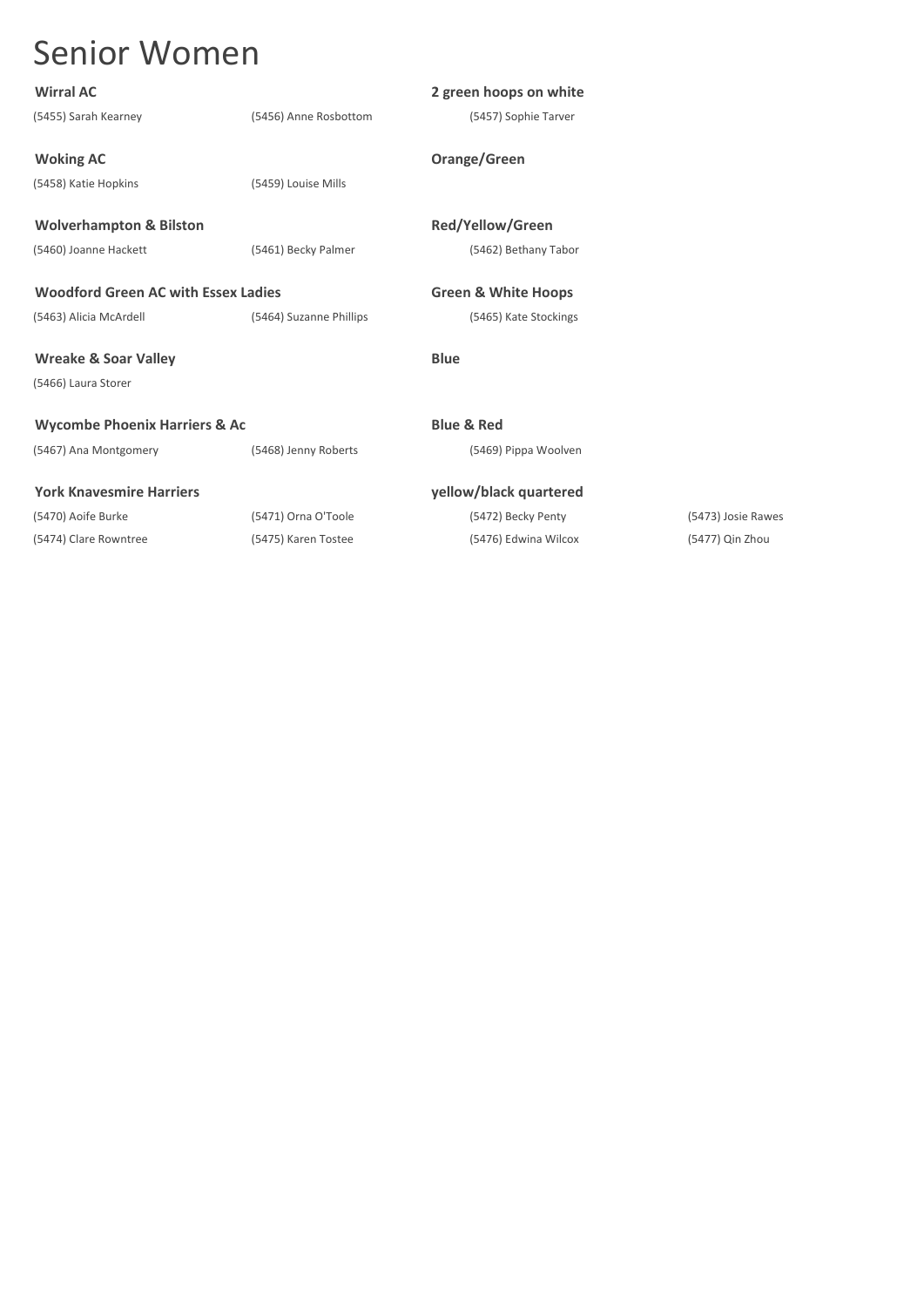| <b>Wirral AC</b>                           |                         | 2 green hoops on white         |                    |
|--------------------------------------------|-------------------------|--------------------------------|--------------------|
| (5455) Sarah Kearney                       | (5456) Anne Rosbottom   | (5457) Sophie Tarver           |                    |
| <b>Woking AC</b>                           |                         | Orange/Green                   |                    |
| (5458) Katie Hopkins                       | (5459) Louise Mills     |                                |                    |
| <b>Wolverhampton &amp; Bilston</b>         |                         | <b>Red/Yellow/Green</b>        |                    |
| (5460) Joanne Hackett                      | (5461) Becky Palmer     | (5462) Bethany Tabor           |                    |
| <b>Woodford Green AC with Essex Ladies</b> |                         | <b>Green &amp; White Hoops</b> |                    |
| (5463) Alicia McArdell                     | (5464) Suzanne Phillips | (5465) Kate Stockings          |                    |
| <b>Wreake &amp; Soar Valley</b>            |                         | <b>Blue</b>                    |                    |
| (5466) Laura Storer                        |                         |                                |                    |
| <b>Wycombe Phoenix Harriers &amp; Ac</b>   |                         | <b>Blue &amp; Red</b>          |                    |
| (5467) Ana Montgomery                      | (5468) Jenny Roberts    | (5469) Pippa Woolven           |                    |
| <b>York Knavesmire Harriers</b>            |                         | yellow/black quartered         |                    |
| (5470) Aoife Burke                         | (5471) Orna O'Toole     | (5472) Becky Penty             | (5473) Josie Rawes |
| (5474) Clare Rowntree                      | (5475) Karen Tostee     | (5476) Edwina Wilcox           | (5477) Qin Zhou    |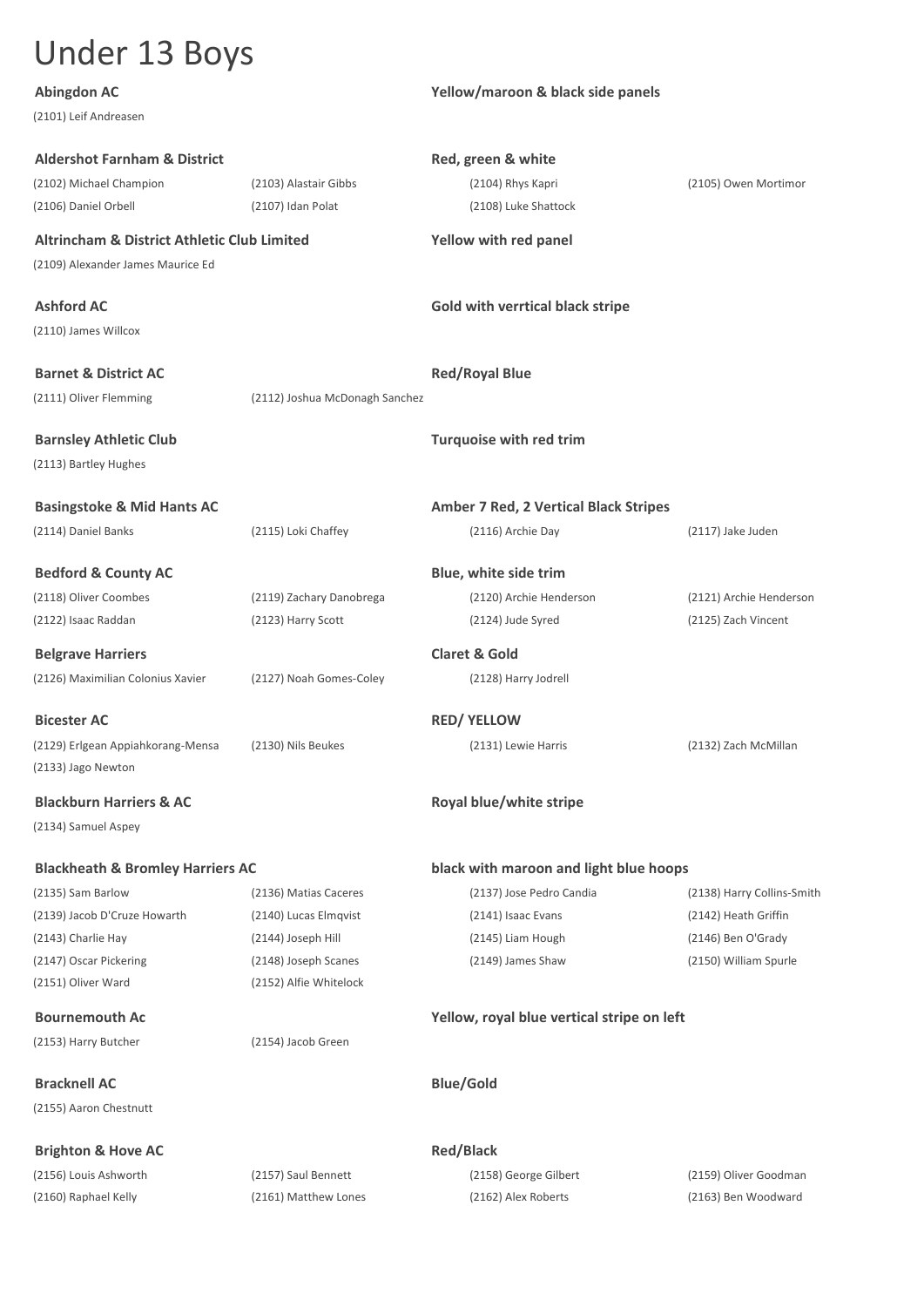# Under 13 Boys

(2101) Leif Andreasen

## **Abingdon AC Yellow/maroon & black side panels**

| <b>Aldershot Farnham &amp; District</b>                 |                                | Red, green & white                         |                            |  |
|---------------------------------------------------------|--------------------------------|--------------------------------------------|----------------------------|--|
| (2102) Michael Champion                                 | (2103) Alastair Gibbs          | (2104) Rhys Kapri                          | (2105) Owen Mortimor       |  |
| (2106) Daniel Orbell                                    | (2107) Idan Polat              | (2108) Luke Shattock                       |                            |  |
| <b>Altrincham &amp; District Athletic Club Limited</b>  |                                | <b>Yellow with red panel</b>               |                            |  |
| (2109) Alexander James Maurice Ed                       |                                |                                            |                            |  |
| <b>Ashford AC</b>                                       |                                | Gold with verrtical black stripe           |                            |  |
| (2110) James Willcox                                    |                                |                                            |                            |  |
| <b>Barnet &amp; District AC</b>                         |                                | <b>Red/Royal Blue</b>                      |                            |  |
| (2111) Oliver Flemming                                  | (2112) Joshua McDonagh Sanchez |                                            |                            |  |
| <b>Barnsley Athletic Club</b>                           |                                | <b>Turquoise with red trim</b>             |                            |  |
| (2113) Bartley Hughes                                   |                                |                                            |                            |  |
| <b>Basingstoke &amp; Mid Hants AC</b>                   |                                | Amber 7 Red, 2 Vertical Black Stripes      |                            |  |
| (2114) Daniel Banks                                     | (2115) Loki Chaffey            | (2116) Archie Day                          | (2117) Jake Juden          |  |
| <b>Bedford &amp; County AC</b>                          |                                | Blue, white side trim                      |                            |  |
| (2118) Oliver Coombes                                   | (2119) Zachary Danobrega       | (2120) Archie Henderson                    | (2121) Archie Henderson    |  |
| (2122) Isaac Raddan                                     | (2123) Harry Scott             | (2124) Jude Syred                          | (2125) Zach Vincent        |  |
| <b>Belgrave Harriers</b>                                |                                | <b>Claret &amp; Gold</b>                   |                            |  |
| (2126) Maximilian Colonius Xavier                       | (2127) Noah Gomes-Coley        | (2128) Harry Jodrell                       |                            |  |
| <b>Bicester AC</b>                                      |                                | <b>RED/ YELLOW</b>                         |                            |  |
| (2129) Erlgean Appiahkorang-Mensa<br>(2133) Jago Newton | (2130) Nils Beukes             | (2131) Lewie Harris                        | (2132) Zach McMillan       |  |
| <b>Blackburn Harriers &amp; AC</b>                      |                                | Royal blue/white stripe                    |                            |  |
| (2134) Samuel Aspey                                     |                                |                                            |                            |  |
| <b>Blackheath &amp; Bromley Harriers AC</b>             |                                | black with maroon and light blue hoops     |                            |  |
| (2135) Sam Barlow                                       | (2136) Matias Caceres          | (2137) Jose Pedro Candia                   | (2138) Harry Collins-Smith |  |
| (2139) Jacob D'Cruze Howarth                            | (2140) Lucas Elmqvist          | (2141) Isaac Evans                         | (2142) Heath Griffin       |  |
| (2143) Charlie Hay                                      | (2144) Joseph Hill             | (2145) Liam Hough                          | (2146) Ben O'Grady         |  |
| (2147) Oscar Pickering                                  | (2148) Joseph Scanes           | (2149) James Shaw                          | (2150) William Spurle      |  |
| (2151) Oliver Ward                                      | (2152) Alfie Whitelock         |                                            |                            |  |
| <b>Bournemouth Ac</b>                                   |                                | Yellow, royal blue vertical stripe on left |                            |  |
| (2153) Harry Butcher                                    | (2154) Jacob Green             |                                            |                            |  |
| <b>Bracknell AC</b>                                     |                                | <b>Blue/Gold</b>                           |                            |  |
| (2155) Aaron Chestnutt                                  |                                |                                            |                            |  |
| <b>Brighton &amp; Hove AC</b>                           |                                | <b>Red/Black</b>                           |                            |  |
| (2156) Louis Ashworth                                   | (2157) Saul Bennett            | (2158) George Gilbert                      | (2159) Oliver Goodman      |  |
| (2160) Raphael Kelly                                    | (2161) Matthew Lones           | (2162) Alex Roberts                        | (2163) Ben Woodward        |  |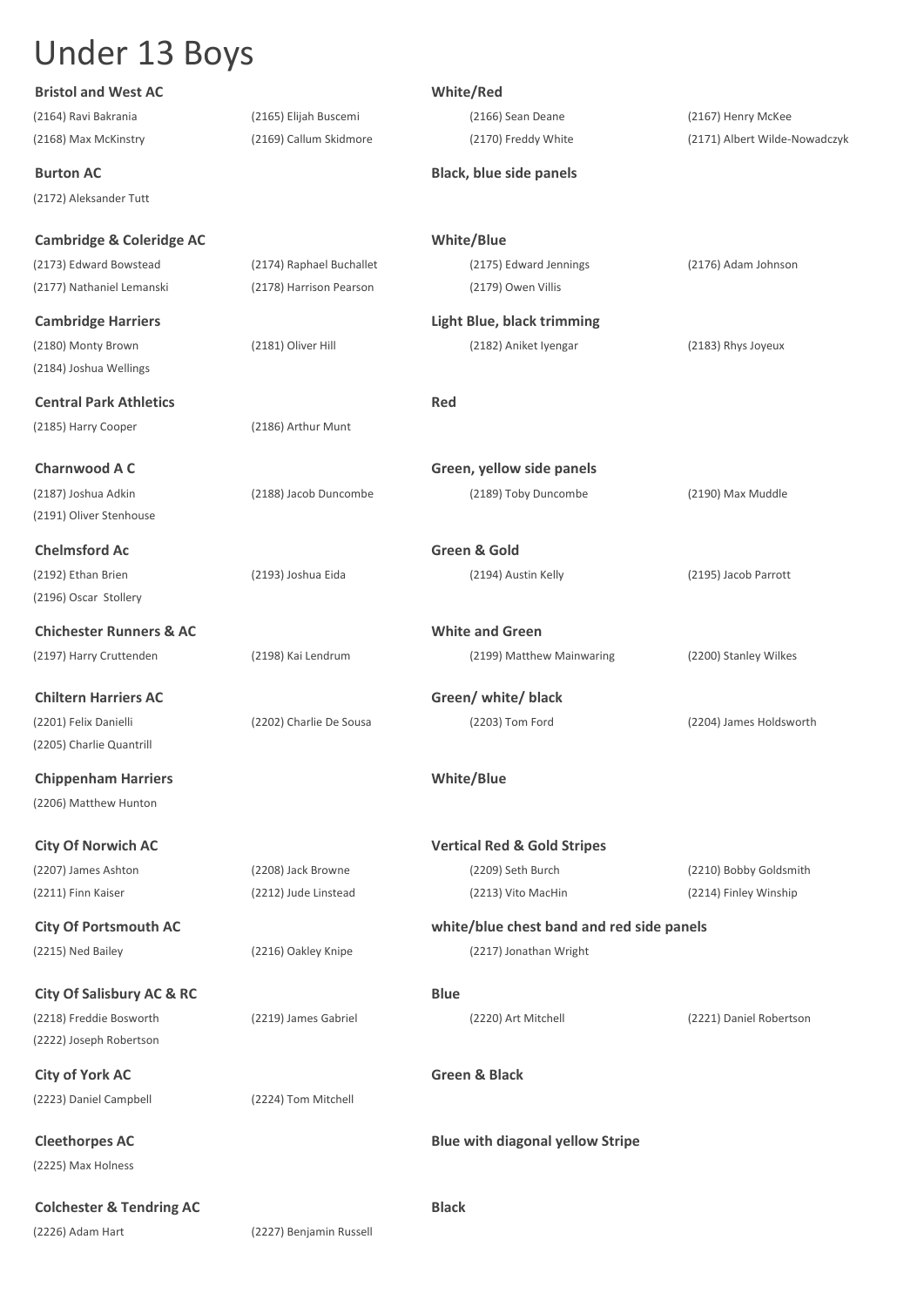# Under 13 Boys

| <b>Bristol and West AC</b>           |                          | White/Red                                 |                               |
|--------------------------------------|--------------------------|-------------------------------------------|-------------------------------|
| (2164) Ravi Bakrania                 | (2165) Elijah Buscemi    | (2166) Sean Deane                         | (2167) Henry McKee            |
| (2168) Max McKinstry                 | (2169) Callum Skidmore   | (2170) Freddy White                       | (2171) Albert Wilde-Nowadczyk |
| <b>Burton AC</b>                     |                          | <b>Black, blue side panels</b>            |                               |
| (2172) Aleksander Tutt               |                          |                                           |                               |
| Cambridge & Coleridge AC             |                          | <b>White/Blue</b>                         |                               |
| (2173) Edward Bowstead               | (2174) Raphael Buchallet | (2175) Edward Jennings                    | (2176) Adam Johnson           |
| (2177) Nathaniel Lemanski            | (2178) Harrison Pearson  | (2179) Owen Villis                        |                               |
| <b>Cambridge Harriers</b>            |                          | <b>Light Blue, black trimming</b>         |                               |
| (2180) Monty Brown                   | (2181) Oliver Hill       | (2182) Aniket Iyengar                     | (2183) Rhys Joyeux            |
| (2184) Joshua Wellings               |                          |                                           |                               |
| <b>Central Park Athletics</b>        |                          | Red                                       |                               |
| (2185) Harry Cooper                  | (2186) Arthur Munt       |                                           |                               |
|                                      |                          |                                           |                               |
| <b>Charnwood A C</b>                 |                          | Green, yellow side panels                 |                               |
| (2187) Joshua Adkin                  | (2188) Jacob Duncombe    | (2189) Toby Duncombe                      | (2190) Max Muddle             |
| (2191) Oliver Stenhouse              |                          |                                           |                               |
| <b>Chelmsford Ac</b>                 |                          | Green & Gold                              |                               |
| (2192) Ethan Brien                   | (2193) Joshua Eida       | (2194) Austin Kelly                       | (2195) Jacob Parrott          |
| (2196) Oscar Stollery                |                          |                                           |                               |
| <b>Chichester Runners &amp; AC</b>   |                          | <b>White and Green</b>                    |                               |
|                                      |                          |                                           |                               |
| (2197) Harry Cruttenden              | (2198) Kai Lendrum       | (2199) Matthew Mainwaring                 | (2200) Stanley Wilkes         |
| <b>Chiltern Harriers AC</b>          |                          | Green/ white/ black                       |                               |
| (2201) Felix Danielli                | (2202) Charlie De Sousa  | (2203) Tom Ford                           | (2204) James Holdsworth       |
| (2205) Charlie Quantrill             |                          |                                           |                               |
| <b>Chippenham Harriers</b>           |                          | <b>White/Blue</b>                         |                               |
| (2206) Matthew Hunton                |                          |                                           |                               |
|                                      |                          |                                           |                               |
| <b>City Of Norwich AC</b>            |                          | <b>Vertical Red &amp; Gold Stripes</b>    |                               |
| (2207) James Ashton                  | (2208) Jack Browne       | (2209) Seth Burch                         | (2210) Bobby Goldsmith        |
| (2211) Finn Kaiser                   | (2212) Jude Linstead     | (2213) Vito MacHin                        | (2214) Finley Winship         |
| <b>City Of Portsmouth AC</b>         |                          | white/blue chest band and red side panels |                               |
| (2215) Ned Bailey                    | (2216) Oakley Knipe      | (2217) Jonathan Wright                    |                               |
|                                      |                          |                                           |                               |
| <b>City Of Salisbury AC &amp; RC</b> |                          | <b>Blue</b>                               |                               |
| (2218) Freddie Bosworth              | (2219) James Gabriel     | (2220) Art Mitchell                       | (2221) Daniel Robertson       |
| (2222) Joseph Robertson              |                          |                                           |                               |
| <b>City of York AC</b>               |                          | <b>Green &amp; Black</b>                  |                               |
| (2223) Daniel Campbell               | (2224) Tom Mitchell      |                                           |                               |
|                                      |                          |                                           |                               |
| <b>Cleethorpes AC</b>                |                          | <b>Blue with diagonal yellow Stripe</b>   |                               |
| (2225) Max Holness                   |                          |                                           |                               |
| <b>Colchester &amp; Tendring AC</b>  |                          | <b>Black</b>                              |                               |
| (2226) Adam Hart                     | (2227) Benjamin Russell  |                                           |                               |
|                                      |                          |                                           |                               |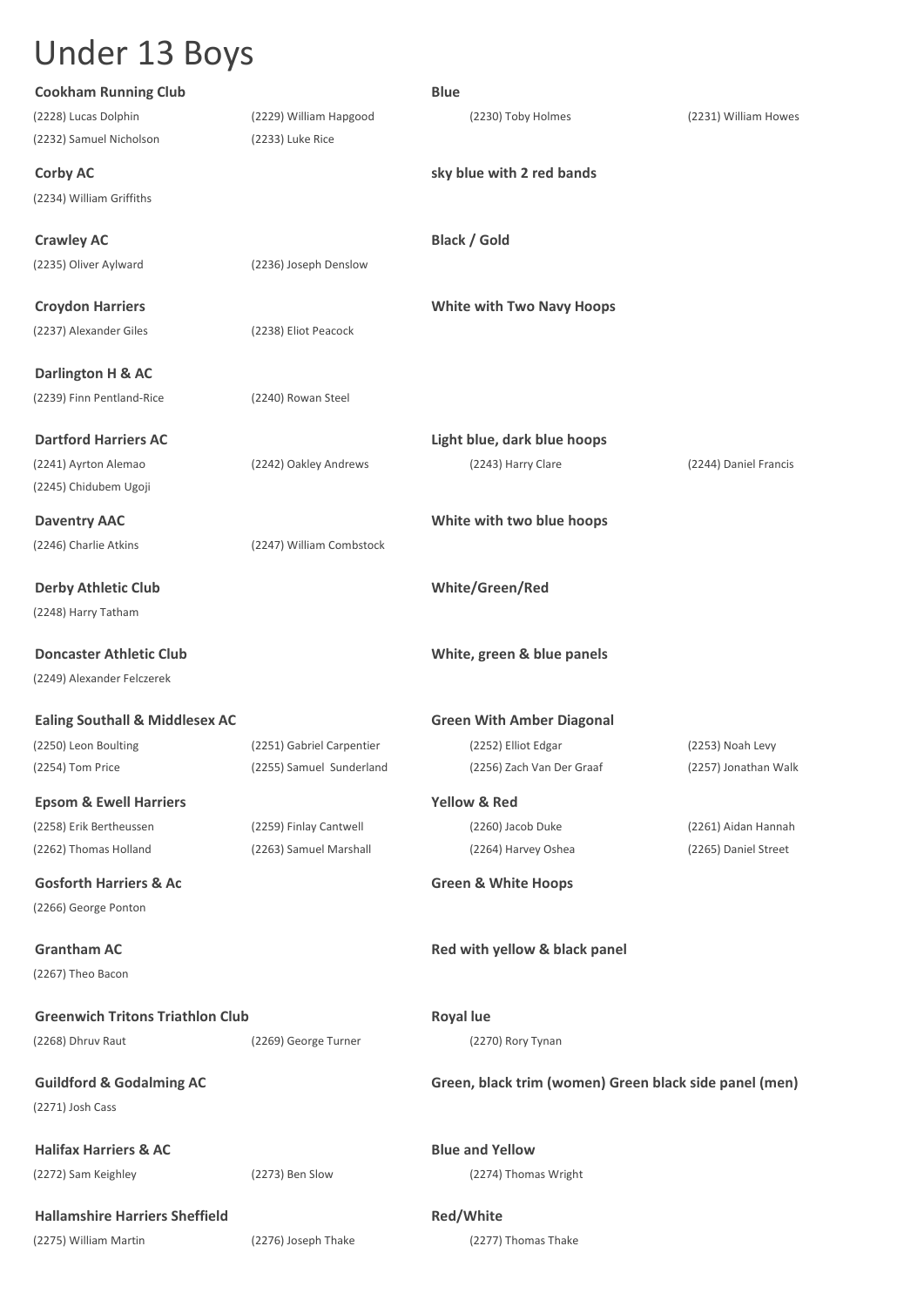# Under 13 Boys

| <b>Cookham Running Club</b>                     |                                            | <b>Blue</b>                                            |                       |
|-------------------------------------------------|--------------------------------------------|--------------------------------------------------------|-----------------------|
| (2228) Lucas Dolphin<br>(2232) Samuel Nicholson | (2229) William Hapgood<br>(2233) Luke Rice | (2230) Toby Holmes                                     | (2231) William Howes  |
| <b>Corby AC</b>                                 |                                            | sky blue with 2 red bands                              |                       |
| (2234) William Griffiths                        |                                            |                                                        |                       |
| <b>Crawley AC</b>                               |                                            | <b>Black / Gold</b>                                    |                       |
| (2235) Oliver Aylward                           | (2236) Joseph Denslow                      |                                                        |                       |
| <b>Croydon Harriers</b>                         |                                            | <b>White with Two Navy Hoops</b>                       |                       |
| (2237) Alexander Giles                          | (2238) Eliot Peacock                       |                                                        |                       |
| Darlington H & AC                               |                                            |                                                        |                       |
| (2239) Finn Pentland-Rice                       | (2240) Rowan Steel                         |                                                        |                       |
| <b>Dartford Harriers AC</b>                     |                                            | Light blue, dark blue hoops                            |                       |
| (2241) Ayrton Alemao<br>(2245) Chidubem Ugoji   | (2242) Oakley Andrews                      | (2243) Harry Clare                                     | (2244) Daniel Francis |
|                                                 |                                            |                                                        |                       |
| <b>Daventry AAC</b><br>(2246) Charlie Atkins    | (2247) William Combstock                   | White with two blue hoops                              |                       |
|                                                 |                                            |                                                        |                       |
| <b>Derby Athletic Club</b>                      |                                            | White/Green/Red                                        |                       |
| (2248) Harry Tatham                             |                                            |                                                        |                       |
| <b>Doncaster Athletic Club</b>                  |                                            | White, green & blue panels                             |                       |
| (2249) Alexander Felczerek                      |                                            |                                                        |                       |
| <b>Ealing Southall &amp; Middlesex AC</b>       |                                            | <b>Green With Amber Diagonal</b>                       |                       |
| (2250) Leon Boulting                            | (2251) Gabriel Carpentier                  | (2252) Elliot Edgar                                    | (2253) Noah Levy      |
| (2254) Tom Price                                | (2255) Samuel Sunderland                   | (2256) Zach Van Der Graaf                              | (2257) Jonathan Walk  |
| <b>Epsom &amp; Ewell Harriers</b>               |                                            | <b>Yellow &amp; Red</b>                                |                       |
| (2258) Erik Bertheussen                         | (2259) Finlay Cantwell                     | (2260) Jacob Duke                                      | (2261) Aidan Hannah   |
| (2262) Thomas Holland                           | (2263) Samuel Marshall                     | (2264) Harvey Oshea                                    | (2265) Daniel Street  |
| <b>Gosforth Harriers &amp; Ac</b>               |                                            | <b>Green &amp; White Hoops</b>                         |                       |
| (2266) George Ponton                            |                                            |                                                        |                       |
| <b>Grantham AC</b>                              |                                            | Red with yellow & black panel                          |                       |
| (2267) Theo Bacon                               |                                            |                                                        |                       |
| <b>Greenwich Tritons Triathlon Club</b>         |                                            | <b>Royal lue</b>                                       |                       |
| (2268) Dhruv Raut                               | (2269) George Turner                       | (2270) Rory Tynan                                      |                       |
| <b>Guildford &amp; Godalming AC</b>             |                                            | Green, black trim (women) Green black side panel (men) |                       |
| (2271) Josh Cass                                |                                            |                                                        |                       |
| <b>Halifax Harriers &amp; AC</b>                |                                            | <b>Blue and Yellow</b>                                 |                       |
| (2272) Sam Keighley                             | (2273) Ben Slow                            | (2274) Thomas Wright                                   |                       |
| <b>Hallamshire Harriers Sheffield</b>           |                                            | Red/White                                              |                       |
| (2275) William Martin                           | (2276) Joseph Thake                        | (2277) Thomas Thake                                    |                       |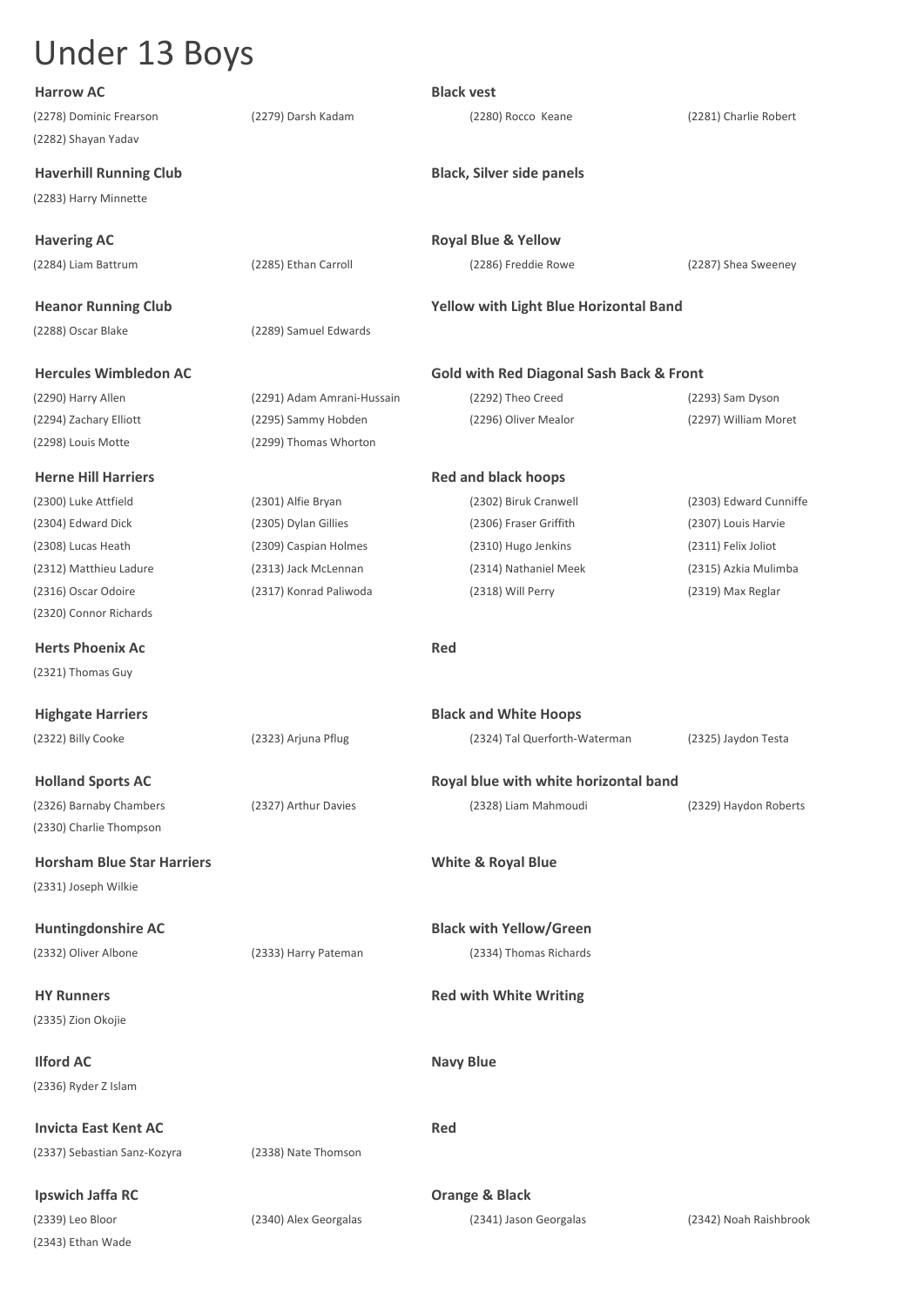| <b>Harrow AC</b>                  |                            | <b>Black vest</b>                                   |                        |
|-----------------------------------|----------------------------|-----------------------------------------------------|------------------------|
| (2278) Dominic Frearson           | (2279) Darsh Kadam         | (2280) Rocco Keane                                  | (2281) Charlie Robert  |
| (2282) Shayan Yadav               |                            |                                                     |                        |
| <b>Haverhill Running Club</b>     |                            | <b>Black, Silver side panels</b>                    |                        |
| (2283) Harry Minnette             |                            |                                                     |                        |
|                                   |                            |                                                     |                        |
| <b>Havering AC</b>                |                            | <b>Royal Blue &amp; Yellow</b>                      |                        |
| (2284) Liam Battrum               | (2285) Ethan Carroll       | (2286) Freddie Rowe                                 | (2287) Shea Sweeney    |
| <b>Heanor Running Club</b>        |                            | Yellow with Light Blue Horizontal Band              |                        |
| (2288) Oscar Blake                | (2289) Samuel Edwards      |                                                     |                        |
|                                   |                            |                                                     |                        |
| <b>Hercules Wimbledon AC</b>      |                            | <b>Gold with Red Diagonal Sash Back &amp; Front</b> |                        |
| (2290) Harry Allen                | (2291) Adam Amrani-Hussain | (2292) Theo Creed                                   | (2293) Sam Dyson       |
| (2294) Zachary Elliott            | (2295) Sammy Hobden        | (2296) Oliver Mealor                                | (2297) William Moret   |
| (2298) Louis Motte                | (2299) Thomas Whorton      |                                                     |                        |
| <b>Herne Hill Harriers</b>        |                            | <b>Red and black hoops</b>                          |                        |
| (2300) Luke Attfield              | (2301) Alfie Bryan         | (2302) Biruk Cranwell                               | (2303) Edward Cunniffe |
| (2304) Edward Dick                | (2305) Dylan Gillies       | (2306) Fraser Griffith                              | (2307) Louis Harvie    |
| (2308) Lucas Heath                | (2309) Caspian Holmes      | (2310) Hugo Jenkins                                 | (2311) Felix Joliot    |
| (2312) Matthieu Ladure            | (2313) Jack McLennan       | (2314) Nathaniel Meek                               | (2315) Azkia Mulimba   |
| (2316) Oscar Odoire               | (2317) Konrad Paliwoda     | (2318) Will Perry                                   | (2319) Max Reglar      |
| (2320) Connor Richards            |                            |                                                     |                        |
| <b>Herts Phoenix Ac</b>           |                            | <b>Red</b>                                          |                        |
| (2321) Thomas Guy                 |                            |                                                     |                        |
|                                   |                            |                                                     |                        |
| <b>Highgate Harriers</b>          |                            | <b>Black and White Hoops</b>                        |                        |
| (2322) Billy Cooke                | (2323) Arjuna Pflug        | (2324) Tal Querforth-Waterman                       | (2325) Jaydon Testa    |
|                                   |                            |                                                     |                        |
| <b>Holland Sports AC</b>          |                            | Royal blue with white horizontal band               |                        |
| (2326) Barnaby Chambers           | (2327) Arthur Davies       | (2328) Liam Mahmoudi                                | (2329) Haydon Roberts  |
| (2330) Charlie Thompson           |                            |                                                     |                        |
| <b>Horsham Blue Star Harriers</b> |                            | <b>White &amp; Royal Blue</b>                       |                        |
| (2331) Joseph Wilkie              |                            |                                                     |                        |
| <b>Huntingdonshire AC</b>         |                            | <b>Black with Yellow/Green</b>                      |                        |
| (2332) Oliver Albone              | (2333) Harry Pateman       | (2334) Thomas Richards                              |                        |
|                                   |                            |                                                     |                        |
| <b>HY Runners</b>                 |                            | <b>Red with White Writing</b>                       |                        |
| (2335) Zion Okojie                |                            |                                                     |                        |
|                                   |                            |                                                     |                        |
| <b>Ilford AC</b>                  |                            | <b>Navy Blue</b>                                    |                        |
| (2336) Ryder Z Islam              |                            |                                                     |                        |
| <b>Invicta East Kent AC</b>       |                            | Red                                                 |                        |
| (2337) Sebastian Sanz-Kozyra      | (2338) Nate Thomson        |                                                     |                        |
|                                   |                            |                                                     |                        |
| <b>Ipswich Jaffa RC</b>           |                            | <b>Orange &amp; Black</b>                           |                        |
| (2339) Leo Bloor                  | (2340) Alex Georgalas      | (2341) Jason Georgalas                              | (2342) Noah Raishbrook |
| (2343) Ethan Wade                 |                            |                                                     |                        |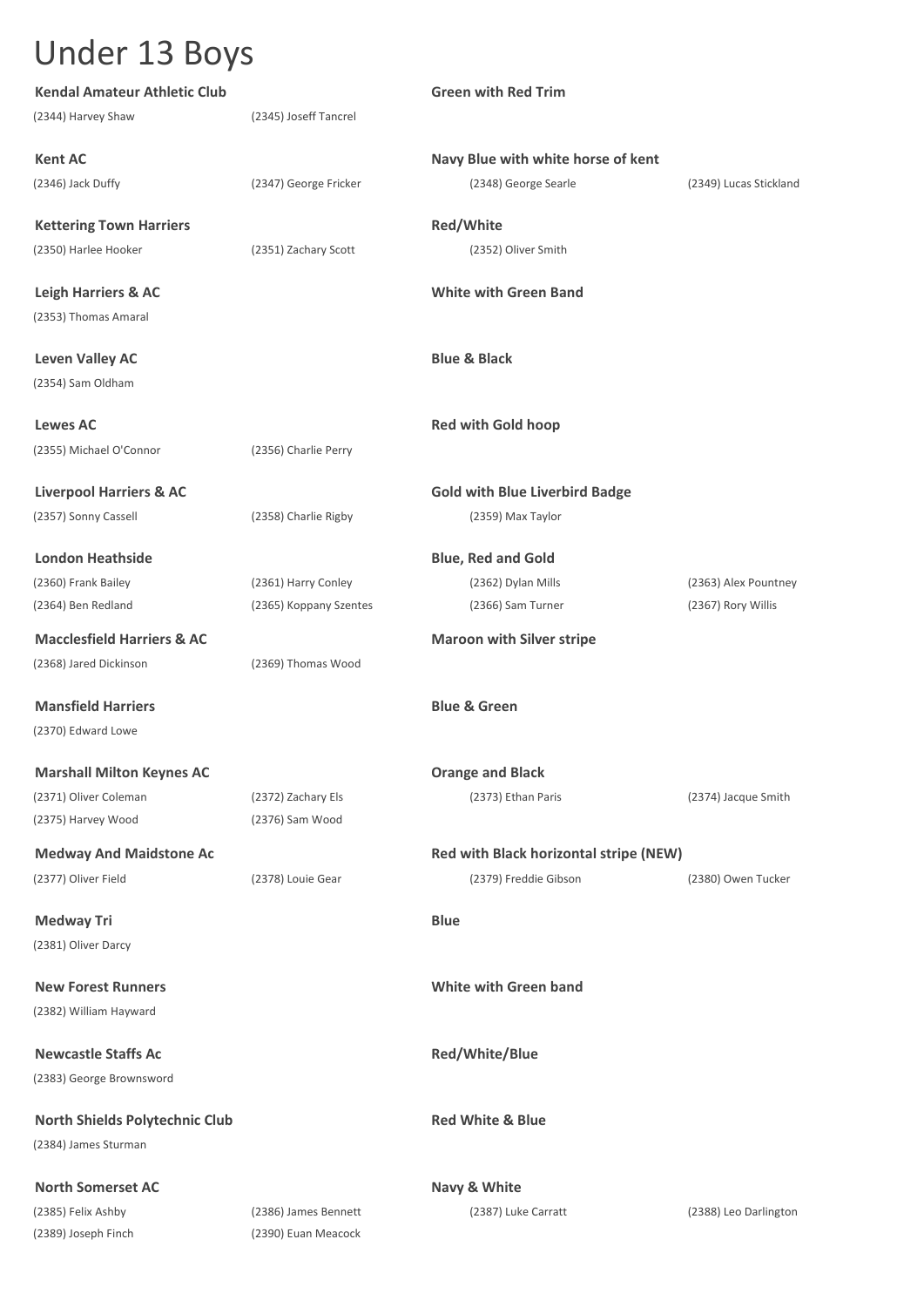| <b>Kendal Amateur Athletic Club</b>   |                        | <b>Green with Red Trim</b>             |                        |
|---------------------------------------|------------------------|----------------------------------------|------------------------|
| (2344) Harvey Shaw                    | (2345) Joseff Tancrel  |                                        |                        |
| <b>Kent AC</b>                        |                        | Navy Blue with white horse of kent     |                        |
| (2346) Jack Duffy                     | (2347) George Fricker  | (2348) George Searle                   | (2349) Lucas Stickland |
| <b>Kettering Town Harriers</b>        |                        | Red/White                              |                        |
| (2350) Harlee Hooker                  | (2351) Zachary Scott   | (2352) Oliver Smith                    |                        |
| <b>Leigh Harriers &amp; AC</b>        |                        | <b>White with Green Band</b>           |                        |
| (2353) Thomas Amaral                  |                        |                                        |                        |
| <b>Leven Valley AC</b>                |                        | <b>Blue &amp; Black</b>                |                        |
| (2354) Sam Oldham                     |                        |                                        |                        |
| <b>Lewes AC</b>                       |                        | <b>Red with Gold hoop</b>              |                        |
| (2355) Michael O'Connor               | (2356) Charlie Perry   |                                        |                        |
| <b>Liverpool Harriers &amp; AC</b>    |                        | <b>Gold with Blue Liverbird Badge</b>  |                        |
| (2357) Sonny Cassell                  | (2358) Charlie Rigby   | (2359) Max Taylor                      |                        |
| <b>London Heathside</b>               |                        | <b>Blue, Red and Gold</b>              |                        |
| (2360) Frank Bailey                   | (2361) Harry Conley    | (2362) Dylan Mills                     | (2363) Alex Pountney   |
| (2364) Ben Redland                    | (2365) Koppany Szentes | (2366) Sam Turner                      | (2367) Rory Willis     |
| <b>Macclesfield Harriers &amp; AC</b> |                        | <b>Maroon with Silver stripe</b>       |                        |
| (2368) Jared Dickinson                | (2369) Thomas Wood     |                                        |                        |
| <b>Mansfield Harriers</b>             |                        | <b>Blue &amp; Green</b>                |                        |
| (2370) Edward Lowe                    |                        |                                        |                        |
| <b>Marshall Milton Keynes AC</b>      |                        | <b>Orange and Black</b>                |                        |
| (2371) Oliver Coleman                 | (2372) Zachary Els     | (2373) Ethan Paris                     | (2374) Jacque Smith    |
| (2375) Harvey Wood                    | (2376) Sam Wood        |                                        |                        |
| <b>Medway And Maidstone Ac</b>        |                        | Red with Black horizontal stripe (NEW) |                        |
| (2377) Oliver Field                   | (2378) Louie Gear      | (2379) Freddie Gibson                  | (2380) Owen Tucker     |
| <b>Medway Tri</b>                     |                        | <b>Blue</b>                            |                        |
| (2381) Oliver Darcy                   |                        |                                        |                        |
| <b>New Forest Runners</b>             |                        | <b>White with Green band</b>           |                        |
| (2382) William Hayward                |                        |                                        |                        |
| <b>Newcastle Staffs Ac</b>            |                        | Red/White/Blue                         |                        |
| (2383) George Brownsword              |                        |                                        |                        |
| <b>North Shields Polytechnic Club</b> |                        | <b>Red White &amp; Blue</b>            |                        |
| (2384) James Sturman                  |                        |                                        |                        |
| <b>North Somerset AC</b>              |                        | Navy & White                           |                        |
| (2385) Felix Ashby                    | (2386) James Bennett   | (2387) Luke Carratt                    | (2388) Leo Darlington  |
| (2389) Joseph Finch                   | (2390) Euan Meacock    |                                        |                        |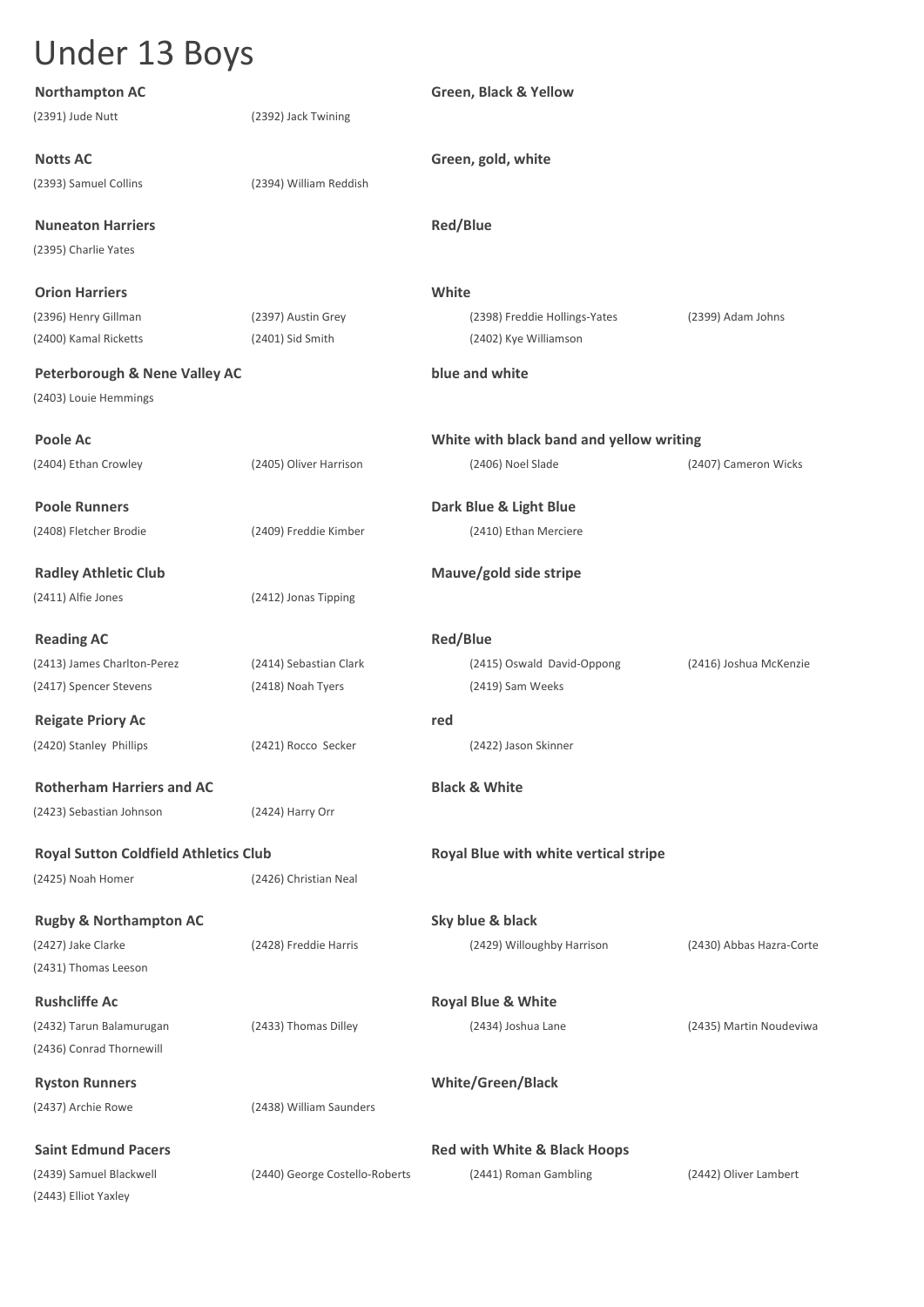| <b>Northampton AC</b>                        |                                | Green, Black & Yellow                    |                          |
|----------------------------------------------|--------------------------------|------------------------------------------|--------------------------|
| (2391) Jude Nutt                             | (2392) Jack Twining            |                                          |                          |
| <b>Notts AC</b>                              |                                | Green, gold, white                       |                          |
| (2393) Samuel Collins                        | (2394) William Reddish         |                                          |                          |
| <b>Nuneaton Harriers</b>                     |                                | <b>Red/Blue</b>                          |                          |
| (2395) Charlie Yates                         |                                |                                          |                          |
| <b>Orion Harriers</b>                        |                                | White                                    |                          |
| (2396) Henry Gillman                         | (2397) Austin Grey             | (2398) Freddie Hollings-Yates            | (2399) Adam Johns        |
| (2400) Kamal Ricketts                        | $(2401)$ Sid Smith             | (2402) Kye Williamson                    |                          |
| <b>Peterborough &amp; Nene Valley AC</b>     |                                | blue and white                           |                          |
| (2403) Louie Hemmings                        |                                |                                          |                          |
| <b>Poole Ac</b>                              |                                | White with black band and yellow writing |                          |
| (2404) Ethan Crowley                         | (2405) Oliver Harrison         | (2406) Noel Slade                        | (2407) Cameron Wicks     |
| <b>Poole Runners</b>                         |                                | Dark Blue & Light Blue                   |                          |
| (2408) Fletcher Brodie                       | (2409) Freddie Kimber          | (2410) Ethan Merciere                    |                          |
| <b>Radley Athletic Club</b>                  |                                | Mauve/gold side stripe                   |                          |
| (2411) Alfie Jones                           | (2412) Jonas Tipping           |                                          |                          |
| <b>Reading AC</b>                            |                                | <b>Red/Blue</b>                          |                          |
| (2413) James Charlton-Perez                  | (2414) Sebastian Clark         | (2415) Oswald David-Oppong               | (2416) Joshua McKenzie   |
| (2417) Spencer Stevens                       | (2418) Noah Tyers              | (2419) Sam Weeks                         |                          |
| <b>Reigate Priory Ac</b>                     |                                | red                                      |                          |
| (2420) Stanley Phillips                      | (2421) Rocco Secker            | (2422) Jason Skinner                     |                          |
| <b>Rotherham Harriers and AC</b>             |                                | <b>Black &amp; White</b>                 |                          |
| (2423) Sebastian Johnson                     | (2424) Harry Orr               |                                          |                          |
| <b>Royal Sutton Coldfield Athletics Club</b> |                                | Royal Blue with white vertical stripe    |                          |
| (2425) Noah Homer                            | (2426) Christian Neal          |                                          |                          |
| <b>Rugby &amp; Northampton AC</b>            |                                | Sky blue & black                         |                          |
| (2427) Jake Clarke                           | (2428) Freddie Harris          | (2429) Willoughby Harrison               | (2430) Abbas Hazra-Corte |
| (2431) Thomas Leeson                         |                                |                                          |                          |
| <b>Rushcliffe Ac</b>                         |                                | <b>Royal Blue &amp; White</b>            |                          |
| (2432) Tarun Balamurugan                     | (2433) Thomas Dilley           | (2434) Joshua Lane                       | (2435) Martin Noudeviwa  |
| (2436) Conrad Thornewill                     |                                |                                          |                          |
| <b>Ryston Runners</b>                        |                                | White/Green/Black                        |                          |
| (2437) Archie Rowe                           | (2438) William Saunders        |                                          |                          |
| <b>Saint Edmund Pacers</b>                   |                                | <b>Red with White &amp; Black Hoops</b>  |                          |
| (2439) Samuel Blackwell                      | (2440) George Costello-Roberts | (2441) Roman Gambling                    | (2442) Oliver Lambert    |
| (2443) Elliot Yaxley                         |                                |                                          |                          |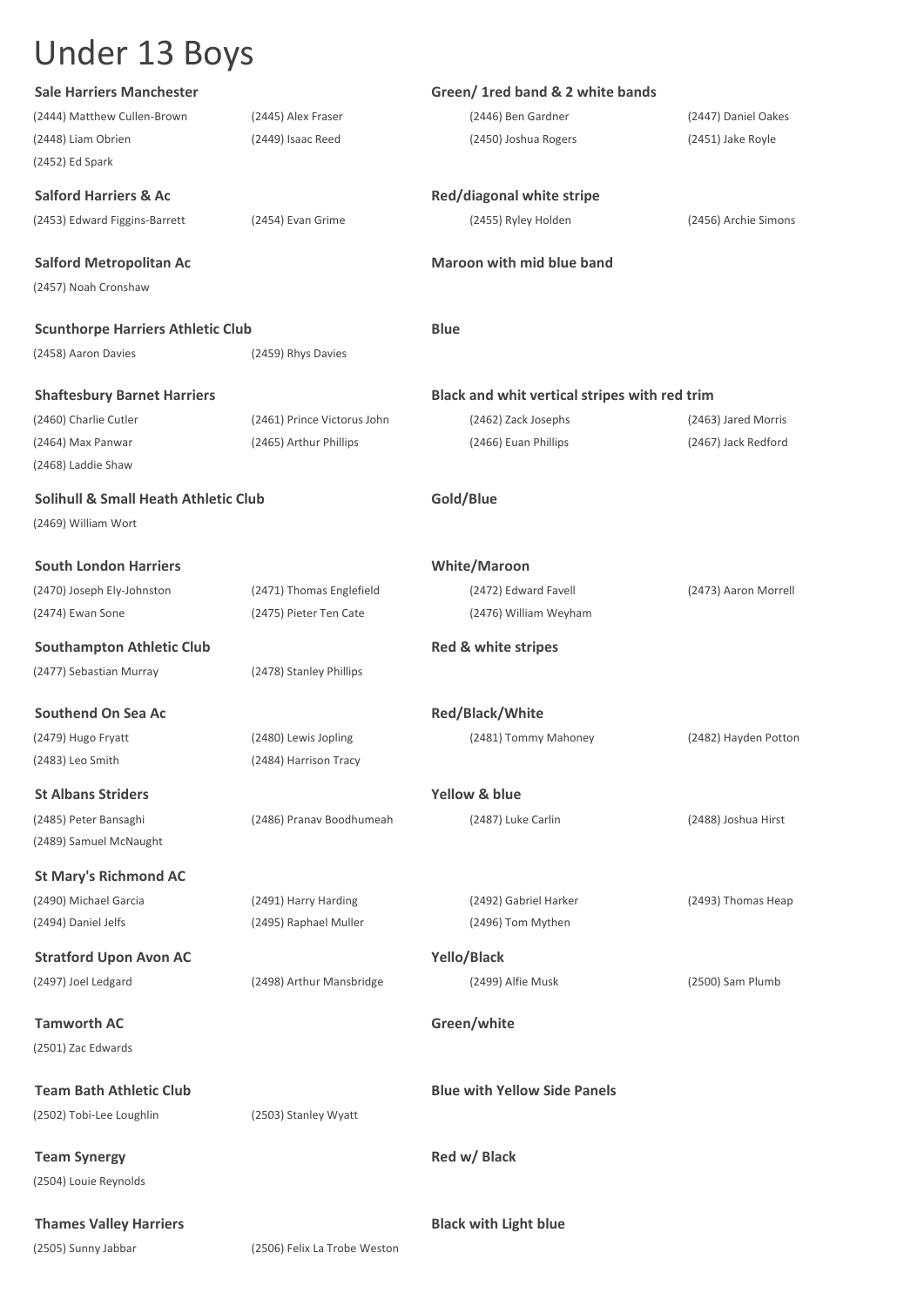| (2444) Matthew Cullen-Brown<br>(2446) Ben Gardner<br>(2447) Daniel Oakes<br>(2445) Alex Fraser<br>(2449) Isaac Reed<br>(2448) Liam Obrien<br>(2450) Joshua Rogers<br>(2451) Jake Royle<br>(2452) Ed Spark<br><b>Salford Harriers &amp; Ac</b><br>Red/diagonal white stripe<br>(2453) Edward Figgins-Barrett<br>(2454) Evan Grime<br>(2455) Ryley Holden<br>(2456) Archie Simons<br><b>Maroon with mid blue band</b><br><b>Salford Metropolitan Ac</b><br>(2457) Noah Cronshaw<br><b>Blue</b><br><b>Scunthorpe Harriers Athletic Club</b><br>(2458) Aaron Davies<br>(2459) Rhys Davies<br><b>Shaftesbury Barnet Harriers</b><br>Black and whit vertical stripes with red trim<br>(2460) Charlie Cutler<br>(2461) Prince Victorus John<br>(2462) Zack Josephs<br>(2463) Jared Morris<br>(2465) Arthur Phillips<br>(2464) Max Panwar<br>(2466) Euan Phillips<br>(2467) Jack Redford<br>(2468) Laddie Shaw<br><b>Solihull &amp; Small Heath Athletic Club</b><br>Gold/Blue<br>(2469) William Wort<br><b>South London Harriers</b><br><b>White/Maroon</b><br>(2470) Joseph Ely-Johnston<br>(2471) Thomas Englefield<br>(2472) Edward Favell<br>(2473) Aaron Morrell<br>(2474) Ewan Sone<br>(2475) Pieter Ten Cate<br>(2476) William Weyham<br><b>Southampton Athletic Club</b><br>Red & white stripes<br>(2477) Sebastian Murray<br>(2478) Stanley Phillips<br><b>Southend On Sea Ac</b><br><b>Red/Black/White</b><br>(2481) Tommy Mahoney<br>(2479) Hugo Fryatt<br>(2480) Lewis Jopling<br>(2482) Hayden Potton<br>(2483) Leo Smith<br>(2484) Harrison Tracy<br><b>St Albans Striders</b><br>Yellow & blue<br>(2485) Peter Bansaghi<br>(2486) Pranav Boodhumeah<br>(2487) Luke Carlin<br>(2488) Joshua Hirst<br>(2489) Samuel McNaught<br><b>St Mary's Richmond AC</b><br>(2490) Michael Garcia<br>(2491) Harry Harding<br>(2492) Gabriel Harker<br>(2493) Thomas Heap<br>(2496) Tom Mythen<br>(2494) Daniel Jelfs<br>(2495) Raphael Muller<br>Yello/Black<br><b>Stratford Upon Avon AC</b><br>(2497) Joel Ledgard<br>(2498) Arthur Mansbridge<br>(2499) Alfie Musk<br>(2500) Sam Plumb<br>Green/white<br><b>Tamworth AC</b><br>(2501) Zac Edwards<br><b>Team Bath Athletic Club</b><br><b>Blue with Yellow Side Panels</b><br>(2502) Tobi-Lee Loughlin<br>(2503) Stanley Wyatt<br>Red w/ Black<br><b>Team Synergy</b><br>(2504) Louie Reynolds<br><b>Thames Valley Harriers</b><br><b>Black with Light blue</b><br>(2505) Sunny Jabbar<br>(2506) Felix La Trobe Weston | <b>Sale Harriers Manchester</b> | Green/ 1red band & 2 white bands |  |
|---------------------------------------------------------------------------------------------------------------------------------------------------------------------------------------------------------------------------------------------------------------------------------------------------------------------------------------------------------------------------------------------------------------------------------------------------------------------------------------------------------------------------------------------------------------------------------------------------------------------------------------------------------------------------------------------------------------------------------------------------------------------------------------------------------------------------------------------------------------------------------------------------------------------------------------------------------------------------------------------------------------------------------------------------------------------------------------------------------------------------------------------------------------------------------------------------------------------------------------------------------------------------------------------------------------------------------------------------------------------------------------------------------------------------------------------------------------------------------------------------------------------------------------------------------------------------------------------------------------------------------------------------------------------------------------------------------------------------------------------------------------------------------------------------------------------------------------------------------------------------------------------------------------------------------------------------------------------------------------------------------------------------------------------------------------------------------------------------------------------------------------------------------------------------------------------------------------------------------------------------------------------------------------------------------------------------------------------------------------------------------------------------------------------------------------------------------------------|---------------------------------|----------------------------------|--|
|                                                                                                                                                                                                                                                                                                                                                                                                                                                                                                                                                                                                                                                                                                                                                                                                                                                                                                                                                                                                                                                                                                                                                                                                                                                                                                                                                                                                                                                                                                                                                                                                                                                                                                                                                                                                                                                                                                                                                                                                                                                                                                                                                                                                                                                                                                                                                                                                                                                                     |                                 |                                  |  |
|                                                                                                                                                                                                                                                                                                                                                                                                                                                                                                                                                                                                                                                                                                                                                                                                                                                                                                                                                                                                                                                                                                                                                                                                                                                                                                                                                                                                                                                                                                                                                                                                                                                                                                                                                                                                                                                                                                                                                                                                                                                                                                                                                                                                                                                                                                                                                                                                                                                                     |                                 |                                  |  |
|                                                                                                                                                                                                                                                                                                                                                                                                                                                                                                                                                                                                                                                                                                                                                                                                                                                                                                                                                                                                                                                                                                                                                                                                                                                                                                                                                                                                                                                                                                                                                                                                                                                                                                                                                                                                                                                                                                                                                                                                                                                                                                                                                                                                                                                                                                                                                                                                                                                                     |                                 |                                  |  |
|                                                                                                                                                                                                                                                                                                                                                                                                                                                                                                                                                                                                                                                                                                                                                                                                                                                                                                                                                                                                                                                                                                                                                                                                                                                                                                                                                                                                                                                                                                                                                                                                                                                                                                                                                                                                                                                                                                                                                                                                                                                                                                                                                                                                                                                                                                                                                                                                                                                                     |                                 |                                  |  |
|                                                                                                                                                                                                                                                                                                                                                                                                                                                                                                                                                                                                                                                                                                                                                                                                                                                                                                                                                                                                                                                                                                                                                                                                                                                                                                                                                                                                                                                                                                                                                                                                                                                                                                                                                                                                                                                                                                                                                                                                                                                                                                                                                                                                                                                                                                                                                                                                                                                                     |                                 |                                  |  |
|                                                                                                                                                                                                                                                                                                                                                                                                                                                                                                                                                                                                                                                                                                                                                                                                                                                                                                                                                                                                                                                                                                                                                                                                                                                                                                                                                                                                                                                                                                                                                                                                                                                                                                                                                                                                                                                                                                                                                                                                                                                                                                                                                                                                                                                                                                                                                                                                                                                                     |                                 |                                  |  |
|                                                                                                                                                                                                                                                                                                                                                                                                                                                                                                                                                                                                                                                                                                                                                                                                                                                                                                                                                                                                                                                                                                                                                                                                                                                                                                                                                                                                                                                                                                                                                                                                                                                                                                                                                                                                                                                                                                                                                                                                                                                                                                                                                                                                                                                                                                                                                                                                                                                                     |                                 |                                  |  |
|                                                                                                                                                                                                                                                                                                                                                                                                                                                                                                                                                                                                                                                                                                                                                                                                                                                                                                                                                                                                                                                                                                                                                                                                                                                                                                                                                                                                                                                                                                                                                                                                                                                                                                                                                                                                                                                                                                                                                                                                                                                                                                                                                                                                                                                                                                                                                                                                                                                                     |                                 |                                  |  |
|                                                                                                                                                                                                                                                                                                                                                                                                                                                                                                                                                                                                                                                                                                                                                                                                                                                                                                                                                                                                                                                                                                                                                                                                                                                                                                                                                                                                                                                                                                                                                                                                                                                                                                                                                                                                                                                                                                                                                                                                                                                                                                                                                                                                                                                                                                                                                                                                                                                                     |                                 |                                  |  |
|                                                                                                                                                                                                                                                                                                                                                                                                                                                                                                                                                                                                                                                                                                                                                                                                                                                                                                                                                                                                                                                                                                                                                                                                                                                                                                                                                                                                                                                                                                                                                                                                                                                                                                                                                                                                                                                                                                                                                                                                                                                                                                                                                                                                                                                                                                                                                                                                                                                                     |                                 |                                  |  |
|                                                                                                                                                                                                                                                                                                                                                                                                                                                                                                                                                                                                                                                                                                                                                                                                                                                                                                                                                                                                                                                                                                                                                                                                                                                                                                                                                                                                                                                                                                                                                                                                                                                                                                                                                                                                                                                                                                                                                                                                                                                                                                                                                                                                                                                                                                                                                                                                                                                                     |                                 |                                  |  |
|                                                                                                                                                                                                                                                                                                                                                                                                                                                                                                                                                                                                                                                                                                                                                                                                                                                                                                                                                                                                                                                                                                                                                                                                                                                                                                                                                                                                                                                                                                                                                                                                                                                                                                                                                                                                                                                                                                                                                                                                                                                                                                                                                                                                                                                                                                                                                                                                                                                                     |                                 |                                  |  |
|                                                                                                                                                                                                                                                                                                                                                                                                                                                                                                                                                                                                                                                                                                                                                                                                                                                                                                                                                                                                                                                                                                                                                                                                                                                                                                                                                                                                                                                                                                                                                                                                                                                                                                                                                                                                                                                                                                                                                                                                                                                                                                                                                                                                                                                                                                                                                                                                                                                                     |                                 |                                  |  |
|                                                                                                                                                                                                                                                                                                                                                                                                                                                                                                                                                                                                                                                                                                                                                                                                                                                                                                                                                                                                                                                                                                                                                                                                                                                                                                                                                                                                                                                                                                                                                                                                                                                                                                                                                                                                                                                                                                                                                                                                                                                                                                                                                                                                                                                                                                                                                                                                                                                                     |                                 |                                  |  |
|                                                                                                                                                                                                                                                                                                                                                                                                                                                                                                                                                                                                                                                                                                                                                                                                                                                                                                                                                                                                                                                                                                                                                                                                                                                                                                                                                                                                                                                                                                                                                                                                                                                                                                                                                                                                                                                                                                                                                                                                                                                                                                                                                                                                                                                                                                                                                                                                                                                                     |                                 |                                  |  |
|                                                                                                                                                                                                                                                                                                                                                                                                                                                                                                                                                                                                                                                                                                                                                                                                                                                                                                                                                                                                                                                                                                                                                                                                                                                                                                                                                                                                                                                                                                                                                                                                                                                                                                                                                                                                                                                                                                                                                                                                                                                                                                                                                                                                                                                                                                                                                                                                                                                                     |                                 |                                  |  |
|                                                                                                                                                                                                                                                                                                                                                                                                                                                                                                                                                                                                                                                                                                                                                                                                                                                                                                                                                                                                                                                                                                                                                                                                                                                                                                                                                                                                                                                                                                                                                                                                                                                                                                                                                                                                                                                                                                                                                                                                                                                                                                                                                                                                                                                                                                                                                                                                                                                                     |                                 |                                  |  |
|                                                                                                                                                                                                                                                                                                                                                                                                                                                                                                                                                                                                                                                                                                                                                                                                                                                                                                                                                                                                                                                                                                                                                                                                                                                                                                                                                                                                                                                                                                                                                                                                                                                                                                                                                                                                                                                                                                                                                                                                                                                                                                                                                                                                                                                                                                                                                                                                                                                                     |                                 |                                  |  |
|                                                                                                                                                                                                                                                                                                                                                                                                                                                                                                                                                                                                                                                                                                                                                                                                                                                                                                                                                                                                                                                                                                                                                                                                                                                                                                                                                                                                                                                                                                                                                                                                                                                                                                                                                                                                                                                                                                                                                                                                                                                                                                                                                                                                                                                                                                                                                                                                                                                                     |                                 |                                  |  |
|                                                                                                                                                                                                                                                                                                                                                                                                                                                                                                                                                                                                                                                                                                                                                                                                                                                                                                                                                                                                                                                                                                                                                                                                                                                                                                                                                                                                                                                                                                                                                                                                                                                                                                                                                                                                                                                                                                                                                                                                                                                                                                                                                                                                                                                                                                                                                                                                                                                                     |                                 |                                  |  |
|                                                                                                                                                                                                                                                                                                                                                                                                                                                                                                                                                                                                                                                                                                                                                                                                                                                                                                                                                                                                                                                                                                                                                                                                                                                                                                                                                                                                                                                                                                                                                                                                                                                                                                                                                                                                                                                                                                                                                                                                                                                                                                                                                                                                                                                                                                                                                                                                                                                                     |                                 |                                  |  |
|                                                                                                                                                                                                                                                                                                                                                                                                                                                                                                                                                                                                                                                                                                                                                                                                                                                                                                                                                                                                                                                                                                                                                                                                                                                                                                                                                                                                                                                                                                                                                                                                                                                                                                                                                                                                                                                                                                                                                                                                                                                                                                                                                                                                                                                                                                                                                                                                                                                                     |                                 |                                  |  |
|                                                                                                                                                                                                                                                                                                                                                                                                                                                                                                                                                                                                                                                                                                                                                                                                                                                                                                                                                                                                                                                                                                                                                                                                                                                                                                                                                                                                                                                                                                                                                                                                                                                                                                                                                                                                                                                                                                                                                                                                                                                                                                                                                                                                                                                                                                                                                                                                                                                                     |                                 |                                  |  |
|                                                                                                                                                                                                                                                                                                                                                                                                                                                                                                                                                                                                                                                                                                                                                                                                                                                                                                                                                                                                                                                                                                                                                                                                                                                                                                                                                                                                                                                                                                                                                                                                                                                                                                                                                                                                                                                                                                                                                                                                                                                                                                                                                                                                                                                                                                                                                                                                                                                                     |                                 |                                  |  |
|                                                                                                                                                                                                                                                                                                                                                                                                                                                                                                                                                                                                                                                                                                                                                                                                                                                                                                                                                                                                                                                                                                                                                                                                                                                                                                                                                                                                                                                                                                                                                                                                                                                                                                                                                                                                                                                                                                                                                                                                                                                                                                                                                                                                                                                                                                                                                                                                                                                                     |                                 |                                  |  |
|                                                                                                                                                                                                                                                                                                                                                                                                                                                                                                                                                                                                                                                                                                                                                                                                                                                                                                                                                                                                                                                                                                                                                                                                                                                                                                                                                                                                                                                                                                                                                                                                                                                                                                                                                                                                                                                                                                                                                                                                                                                                                                                                                                                                                                                                                                                                                                                                                                                                     |                                 |                                  |  |
|                                                                                                                                                                                                                                                                                                                                                                                                                                                                                                                                                                                                                                                                                                                                                                                                                                                                                                                                                                                                                                                                                                                                                                                                                                                                                                                                                                                                                                                                                                                                                                                                                                                                                                                                                                                                                                                                                                                                                                                                                                                                                                                                                                                                                                                                                                                                                                                                                                                                     |                                 |                                  |  |
|                                                                                                                                                                                                                                                                                                                                                                                                                                                                                                                                                                                                                                                                                                                                                                                                                                                                                                                                                                                                                                                                                                                                                                                                                                                                                                                                                                                                                                                                                                                                                                                                                                                                                                                                                                                                                                                                                                                                                                                                                                                                                                                                                                                                                                                                                                                                                                                                                                                                     |                                 |                                  |  |
|                                                                                                                                                                                                                                                                                                                                                                                                                                                                                                                                                                                                                                                                                                                                                                                                                                                                                                                                                                                                                                                                                                                                                                                                                                                                                                                                                                                                                                                                                                                                                                                                                                                                                                                                                                                                                                                                                                                                                                                                                                                                                                                                                                                                                                                                                                                                                                                                                                                                     |                                 |                                  |  |
|                                                                                                                                                                                                                                                                                                                                                                                                                                                                                                                                                                                                                                                                                                                                                                                                                                                                                                                                                                                                                                                                                                                                                                                                                                                                                                                                                                                                                                                                                                                                                                                                                                                                                                                                                                                                                                                                                                                                                                                                                                                                                                                                                                                                                                                                                                                                                                                                                                                                     |                                 |                                  |  |
|                                                                                                                                                                                                                                                                                                                                                                                                                                                                                                                                                                                                                                                                                                                                                                                                                                                                                                                                                                                                                                                                                                                                                                                                                                                                                                                                                                                                                                                                                                                                                                                                                                                                                                                                                                                                                                                                                                                                                                                                                                                                                                                                                                                                                                                                                                                                                                                                                                                                     |                                 |                                  |  |
|                                                                                                                                                                                                                                                                                                                                                                                                                                                                                                                                                                                                                                                                                                                                                                                                                                                                                                                                                                                                                                                                                                                                                                                                                                                                                                                                                                                                                                                                                                                                                                                                                                                                                                                                                                                                                                                                                                                                                                                                                                                                                                                                                                                                                                                                                                                                                                                                                                                                     |                                 |                                  |  |
|                                                                                                                                                                                                                                                                                                                                                                                                                                                                                                                                                                                                                                                                                                                                                                                                                                                                                                                                                                                                                                                                                                                                                                                                                                                                                                                                                                                                                                                                                                                                                                                                                                                                                                                                                                                                                                                                                                                                                                                                                                                                                                                                                                                                                                                                                                                                                                                                                                                                     |                                 |                                  |  |
|                                                                                                                                                                                                                                                                                                                                                                                                                                                                                                                                                                                                                                                                                                                                                                                                                                                                                                                                                                                                                                                                                                                                                                                                                                                                                                                                                                                                                                                                                                                                                                                                                                                                                                                                                                                                                                                                                                                                                                                                                                                                                                                                                                                                                                                                                                                                                                                                                                                                     |                                 |                                  |  |
|                                                                                                                                                                                                                                                                                                                                                                                                                                                                                                                                                                                                                                                                                                                                                                                                                                                                                                                                                                                                                                                                                                                                                                                                                                                                                                                                                                                                                                                                                                                                                                                                                                                                                                                                                                                                                                                                                                                                                                                                                                                                                                                                                                                                                                                                                                                                                                                                                                                                     |                                 |                                  |  |
|                                                                                                                                                                                                                                                                                                                                                                                                                                                                                                                                                                                                                                                                                                                                                                                                                                                                                                                                                                                                                                                                                                                                                                                                                                                                                                                                                                                                                                                                                                                                                                                                                                                                                                                                                                                                                                                                                                                                                                                                                                                                                                                                                                                                                                                                                                                                                                                                                                                                     |                                 |                                  |  |
|                                                                                                                                                                                                                                                                                                                                                                                                                                                                                                                                                                                                                                                                                                                                                                                                                                                                                                                                                                                                                                                                                                                                                                                                                                                                                                                                                                                                                                                                                                                                                                                                                                                                                                                                                                                                                                                                                                                                                                                                                                                                                                                                                                                                                                                                                                                                                                                                                                                                     |                                 |                                  |  |
|                                                                                                                                                                                                                                                                                                                                                                                                                                                                                                                                                                                                                                                                                                                                                                                                                                                                                                                                                                                                                                                                                                                                                                                                                                                                                                                                                                                                                                                                                                                                                                                                                                                                                                                                                                                                                                                                                                                                                                                                                                                                                                                                                                                                                                                                                                                                                                                                                                                                     |                                 |                                  |  |
|                                                                                                                                                                                                                                                                                                                                                                                                                                                                                                                                                                                                                                                                                                                                                                                                                                                                                                                                                                                                                                                                                                                                                                                                                                                                                                                                                                                                                                                                                                                                                                                                                                                                                                                                                                                                                                                                                                                                                                                                                                                                                                                                                                                                                                                                                                                                                                                                                                                                     |                                 |                                  |  |
|                                                                                                                                                                                                                                                                                                                                                                                                                                                                                                                                                                                                                                                                                                                                                                                                                                                                                                                                                                                                                                                                                                                                                                                                                                                                                                                                                                                                                                                                                                                                                                                                                                                                                                                                                                                                                                                                                                                                                                                                                                                                                                                                                                                                                                                                                                                                                                                                                                                                     |                                 |                                  |  |
|                                                                                                                                                                                                                                                                                                                                                                                                                                                                                                                                                                                                                                                                                                                                                                                                                                                                                                                                                                                                                                                                                                                                                                                                                                                                                                                                                                                                                                                                                                                                                                                                                                                                                                                                                                                                                                                                                                                                                                                                                                                                                                                                                                                                                                                                                                                                                                                                                                                                     |                                 |                                  |  |
|                                                                                                                                                                                                                                                                                                                                                                                                                                                                                                                                                                                                                                                                                                                                                                                                                                                                                                                                                                                                                                                                                                                                                                                                                                                                                                                                                                                                                                                                                                                                                                                                                                                                                                                                                                                                                                                                                                                                                                                                                                                                                                                                                                                                                                                                                                                                                                                                                                                                     |                                 |                                  |  |
|                                                                                                                                                                                                                                                                                                                                                                                                                                                                                                                                                                                                                                                                                                                                                                                                                                                                                                                                                                                                                                                                                                                                                                                                                                                                                                                                                                                                                                                                                                                                                                                                                                                                                                                                                                                                                                                                                                                                                                                                                                                                                                                                                                                                                                                                                                                                                                                                                                                                     |                                 |                                  |  |
|                                                                                                                                                                                                                                                                                                                                                                                                                                                                                                                                                                                                                                                                                                                                                                                                                                                                                                                                                                                                                                                                                                                                                                                                                                                                                                                                                                                                                                                                                                                                                                                                                                                                                                                                                                                                                                                                                                                                                                                                                                                                                                                                                                                                                                                                                                                                                                                                                                                                     |                                 |                                  |  |
|                                                                                                                                                                                                                                                                                                                                                                                                                                                                                                                                                                                                                                                                                                                                                                                                                                                                                                                                                                                                                                                                                                                                                                                                                                                                                                                                                                                                                                                                                                                                                                                                                                                                                                                                                                                                                                                                                                                                                                                                                                                                                                                                                                                                                                                                                                                                                                                                                                                                     |                                 |                                  |  |
|                                                                                                                                                                                                                                                                                                                                                                                                                                                                                                                                                                                                                                                                                                                                                                                                                                                                                                                                                                                                                                                                                                                                                                                                                                                                                                                                                                                                                                                                                                                                                                                                                                                                                                                                                                                                                                                                                                                                                                                                                                                                                                                                                                                                                                                                                                                                                                                                                                                                     |                                 |                                  |  |
|                                                                                                                                                                                                                                                                                                                                                                                                                                                                                                                                                                                                                                                                                                                                                                                                                                                                                                                                                                                                                                                                                                                                                                                                                                                                                                                                                                                                                                                                                                                                                                                                                                                                                                                                                                                                                                                                                                                                                                                                                                                                                                                                                                                                                                                                                                                                                                                                                                                                     |                                 |                                  |  |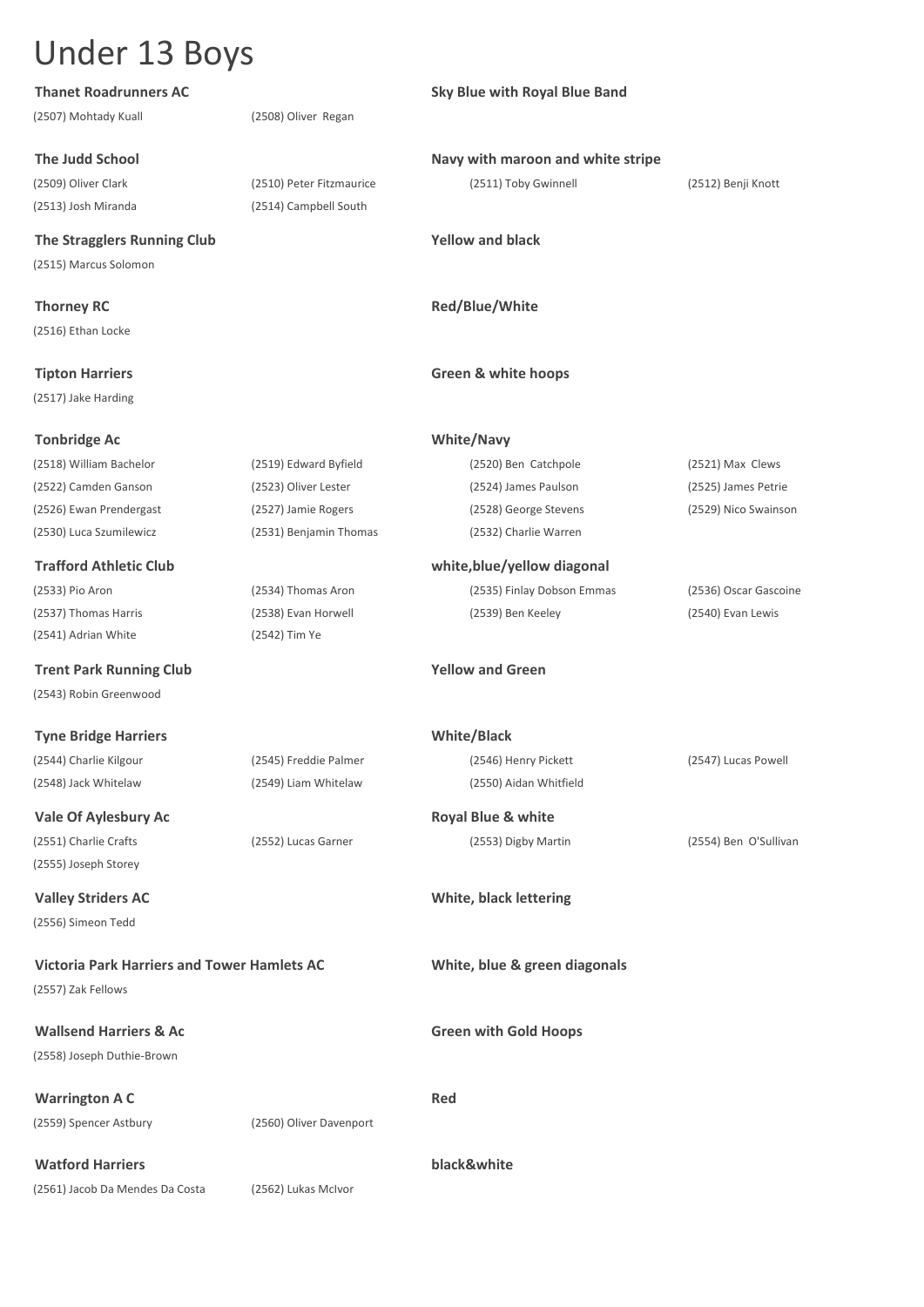| <b>Thanet Roadrunners AC</b>                       |                          | <b>Sky Blue with Royal Blue Band</b> |                       |
|----------------------------------------------------|--------------------------|--------------------------------------|-----------------------|
| (2507) Mohtady Kuall                               | (2508) Oliver Regan      |                                      |                       |
| <b>The Judd School</b>                             |                          | Navy with maroon and white stripe    |                       |
| (2509) Oliver Clark                                | (2510) Peter Fitzmaurice | (2511) Toby Gwinnell                 | (2512) Benji Knott    |
| (2513) Josh Miranda                                | (2514) Campbell South    |                                      |                       |
| The Stragglers Running Club                        |                          | <b>Yellow and black</b>              |                       |
| (2515) Marcus Solomon                              |                          |                                      |                       |
| <b>Thorney RC</b>                                  |                          | Red/Blue/White                       |                       |
| (2516) Ethan Locke                                 |                          |                                      |                       |
| <b>Tipton Harriers</b>                             |                          | <b>Green &amp; white hoops</b>       |                       |
| (2517) Jake Harding                                |                          |                                      |                       |
| <b>Tonbridge Ac</b>                                |                          | <b>White/Navy</b>                    |                       |
| (2518) William Bachelor                            | (2519) Edward Byfield    | (2520) Ben Catchpole                 | (2521) Max Clews      |
| (2522) Camden Ganson                               | (2523) Oliver Lester     | (2524) James Paulson                 | (2525) James Petrie   |
| (2526) Ewan Prendergast                            | (2527) Jamie Rogers      | (2528) George Stevens                | (2529) Nico Swainson  |
| (2530) Luca Szumilewicz                            | (2531) Benjamin Thomas   | (2532) Charlie Warren                |                       |
| <b>Trafford Athletic Club</b>                      |                          | white, blue/yellow diagonal          |                       |
| (2533) Pio Aron                                    | (2534) Thomas Aron       | (2535) Finlay Dobson Emmas           | (2536) Oscar Gascoine |
| (2537) Thomas Harris                               | (2538) Evan Horwell      | (2539) Ben Keeley                    | (2540) Evan Lewis     |
| (2541) Adrian White                                | (2542) Tim Ye            |                                      |                       |
| <b>Trent Park Running Club</b>                     |                          | <b>Yellow and Green</b>              |                       |
| (2543) Robin Greenwood                             |                          |                                      |                       |
| <b>Tyne Bridge Harriers</b>                        |                          | <b>White/Black</b>                   |                       |
| (2544) Charlie Kilgour                             | (2545) Freddie Palmer    | (2546) Henry Pickett                 | (2547) Lucas Powell   |
| (2548) Jack Whitelaw                               | (2549) Liam Whitelaw     | (2550) Aidan Whitfield               |                       |
| Vale Of Aylesbury Ac                               |                          | <b>Royal Blue &amp; white</b>        |                       |
| (2551) Charlie Crafts                              | (2552) Lucas Garner      | (2553) Digby Martin                  | (2554) Ben O'Sullivan |
| (2555) Joseph Storey                               |                          |                                      |                       |
| <b>Valley Striders AC</b>                          |                          | White, black lettering               |                       |
| (2556) Simeon Tedd                                 |                          |                                      |                       |
| <b>Victoria Park Harriers and Tower Hamlets AC</b> |                          | White, blue & green diagonals        |                       |
| (2557) Zak Fellows                                 |                          |                                      |                       |
| <b>Wallsend Harriers &amp; Ac</b>                  |                          | <b>Green with Gold Hoops</b>         |                       |
| (2558) Joseph Duthie-Brown                         |                          |                                      |                       |
| <b>Warrington A C</b>                              |                          | Red                                  |                       |
| (2559) Spencer Astbury                             | (2560) Oliver Davenport  |                                      |                       |
| <b>Watford Harriers</b>                            |                          | black&white                          |                       |

(2561) Jacob Da Mendes Da Costa (2562) Lukas McIvor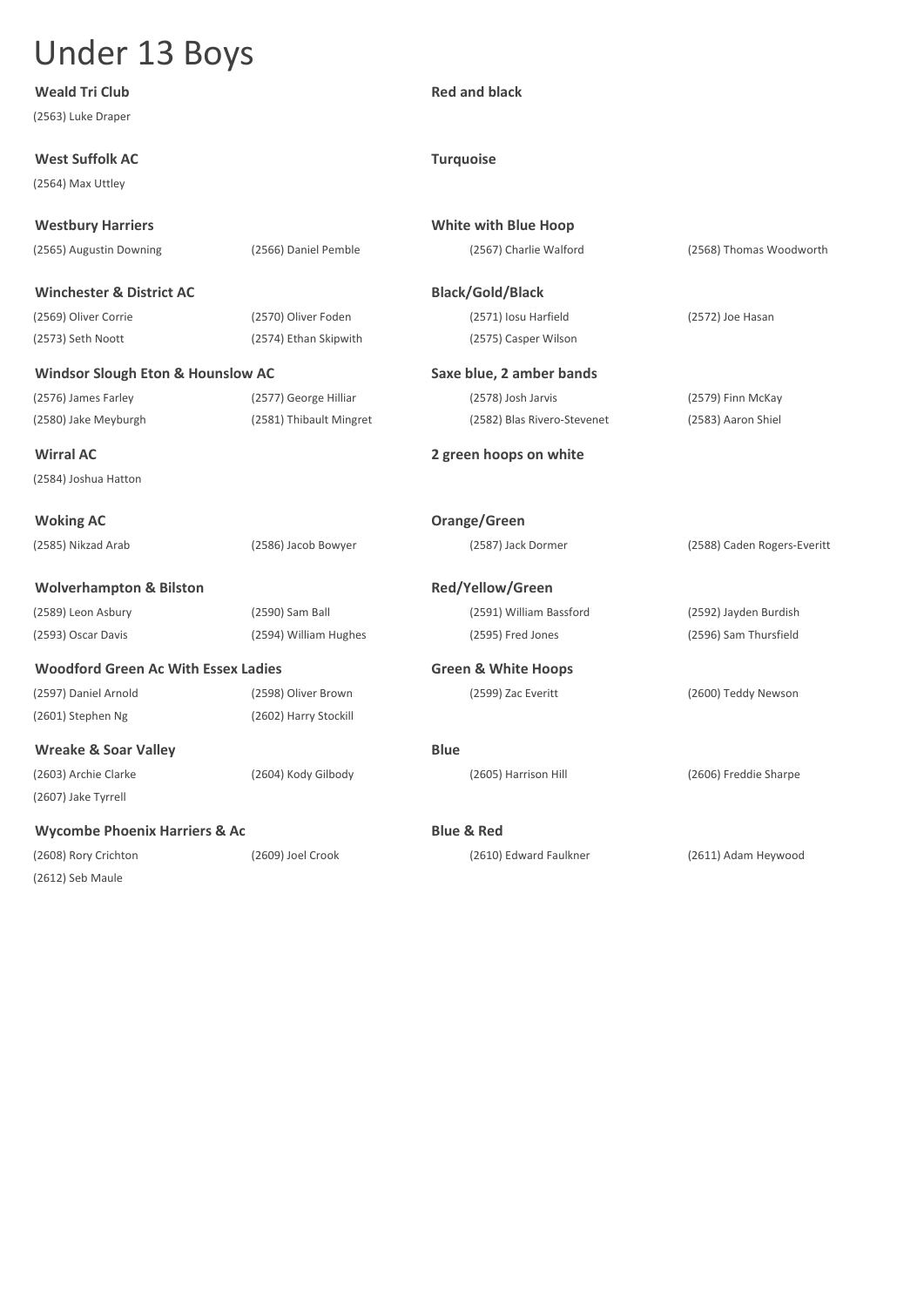| <b>Weald Tri Club</b>                        |                         | <b>Red and black</b>           |                             |
|----------------------------------------------|-------------------------|--------------------------------|-----------------------------|
| (2563) Luke Draper                           |                         |                                |                             |
| <b>West Suffolk AC</b>                       |                         | <b>Turquoise</b>               |                             |
| (2564) Max Uttley                            |                         |                                |                             |
| <b>Westbury Harriers</b>                     |                         | <b>White with Blue Hoop</b>    |                             |
| (2565) Augustin Downing                      | (2566) Daniel Pemble    | (2567) Charlie Walford         | (2568) Thomas Woodworth     |
| <b>Winchester &amp; District AC</b>          |                         | <b>Black/Gold/Black</b>        |                             |
| (2569) Oliver Corrie                         | (2570) Oliver Foden     | (2571) Iosu Harfield           | (2572) Joe Hasan            |
| (2573) Seth Noott                            | (2574) Ethan Skipwith   | (2575) Casper Wilson           |                             |
| <b>Windsor Slough Eton &amp; Hounslow AC</b> |                         | Saxe blue, 2 amber bands       |                             |
| (2576) James Farley                          | (2577) George Hilliar   | (2578) Josh Jarvis             | (2579) Finn McKay           |
| (2580) Jake Meyburgh                         | (2581) Thibault Mingret | (2582) Blas Rivero-Stevenet    | (2583) Aaron Shiel          |
| <b>Wirral AC</b>                             |                         | 2 green hoops on white         |                             |
| (2584) Joshua Hatton                         |                         |                                |                             |
| <b>Woking AC</b>                             |                         | Orange/Green                   |                             |
| (2585) Nikzad Arab                           | (2586) Jacob Bowyer     | (2587) Jack Dormer             | (2588) Caden Rogers-Everitt |
| <b>Wolverhampton &amp; Bilston</b>           |                         | Red/Yellow/Green               |                             |
| (2589) Leon Asbury                           | (2590) Sam Ball         | (2591) William Bassford        | (2592) Jayden Burdish       |
| (2593) Oscar Davis                           | (2594) William Hughes   | (2595) Fred Jones              | (2596) Sam Thursfield       |
| <b>Woodford Green Ac With Essex Ladies</b>   |                         | <b>Green &amp; White Hoops</b> |                             |
| (2597) Daniel Arnold                         | (2598) Oliver Brown     | (2599) Zac Everitt             | (2600) Teddy Newson         |
| (2601) Stephen Ng                            | (2602) Harry Stockill   |                                |                             |
| <b>Wreake &amp; Soar Valley</b>              |                         | <b>Blue</b>                    |                             |
| (2603) Archie Clarke                         | (2604) Kody Gilbody     | (2605) Harrison Hill           | (2606) Freddie Sharpe       |
| (2607) Jake Tyrrell                          |                         |                                |                             |
| <b>Wycombe Phoenix Harriers &amp; Ac</b>     |                         | <b>Blue &amp; Red</b>          |                             |
| (2608) Rory Crichton                         | (2609) Joel Crook       | (2610) Edward Faulkner         | (2611) Adam Heywood         |
| (2612) Seb Maule                             |                         |                                |                             |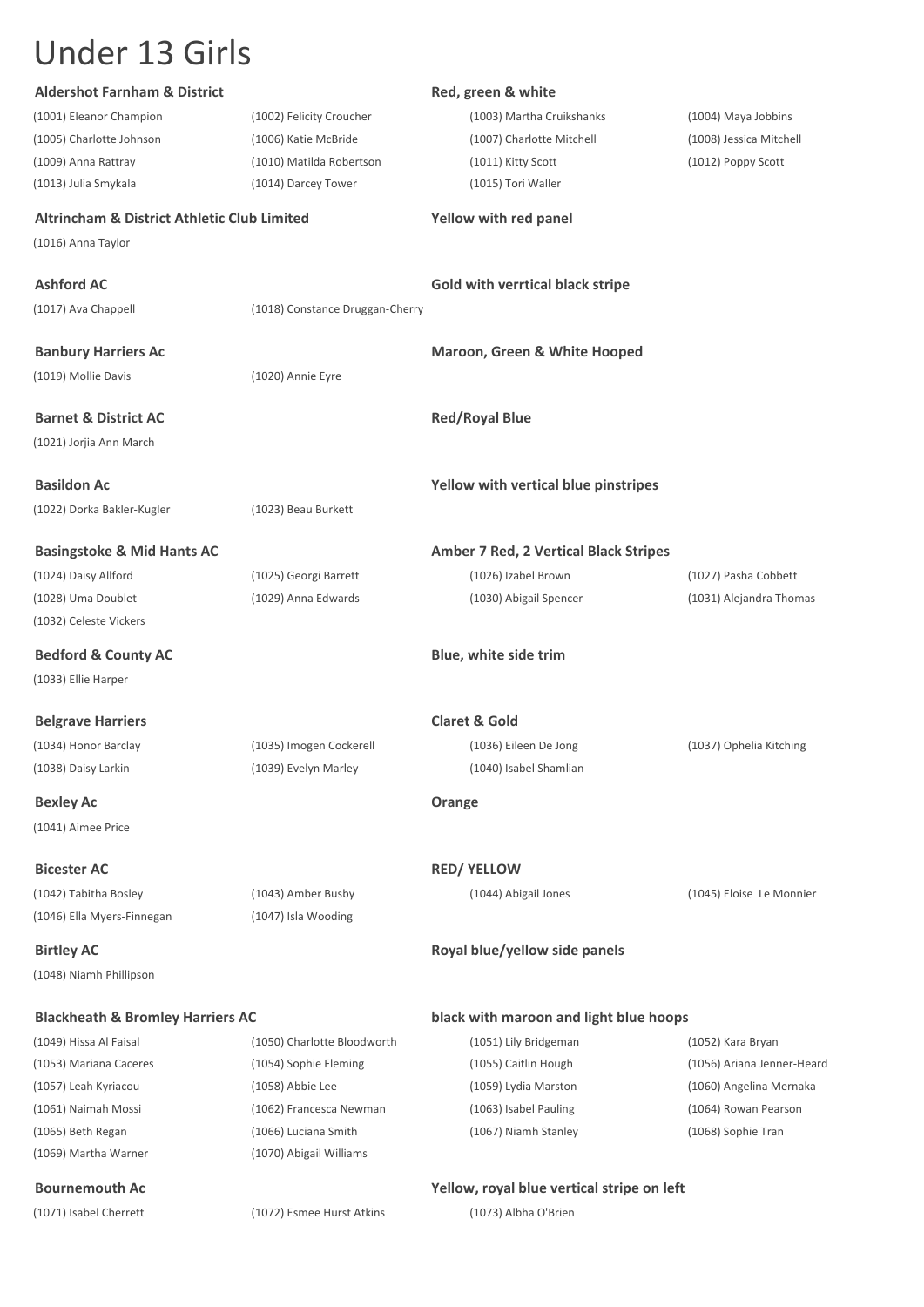(1069) Martha Warner (1070) Abigail Williams

| <b>Aldershot Farnham &amp; District</b>                |                                 | Red, green & white                           |                            |
|--------------------------------------------------------|---------------------------------|----------------------------------------------|----------------------------|
| (1001) Eleanor Champion                                | (1002) Felicity Croucher        | (1003) Martha Cruikshanks                    | (1004) Maya Jobbins        |
| (1005) Charlotte Johnson                               | (1006) Katie McBride            | (1007) Charlotte Mitchell                    | (1008) Jessica Mitchell    |
| (1009) Anna Rattray                                    | (1010) Matilda Robertson        | (1011) Kitty Scott                           | (1012) Poppy Scott         |
| (1013) Julia Smykala                                   | (1014) Darcey Tower             | (1015) Tori Waller                           |                            |
| <b>Altrincham &amp; District Athletic Club Limited</b> |                                 | Yellow with red panel                        |                            |
| (1016) Anna Taylor                                     |                                 |                                              |                            |
| <b>Ashford AC</b>                                      |                                 | Gold with verrtical black stripe             |                            |
| (1017) Ava Chappell                                    | (1018) Constance Druggan-Cherry |                                              |                            |
| <b>Banbury Harriers Ac</b>                             |                                 | <b>Maroon, Green &amp; White Hooped</b>      |                            |
| (1019) Mollie Davis                                    | (1020) Annie Eyre               |                                              |                            |
|                                                        |                                 |                                              |                            |
| <b>Barnet &amp; District AC</b>                        |                                 | <b>Red/Royal Blue</b>                        |                            |
| (1021) Jorjia Ann March                                |                                 |                                              |                            |
| <b>Basildon Ac</b>                                     |                                 | Yellow with vertical blue pinstripes         |                            |
| (1022) Dorka Bakler-Kugler                             | (1023) Beau Burkett             |                                              |                            |
| <b>Basingstoke &amp; Mid Hants AC</b>                  |                                 | <b>Amber 7 Red, 2 Vertical Black Stripes</b> |                            |
| (1024) Daisy Allford                                   | (1025) Georgi Barrett           | (1026) Izabel Brown                          | (1027) Pasha Cobbett       |
| (1028) Uma Doublet                                     | (1029) Anna Edwards             | (1030) Abigail Spencer                       | (1031) Alejandra Thomas    |
| (1032) Celeste Vickers                                 |                                 |                                              |                            |
| <b>Bedford &amp; County AC</b>                         |                                 | Blue, white side trim                        |                            |
| (1033) Ellie Harper                                    |                                 |                                              |                            |
| <b>Belgrave Harriers</b>                               |                                 | <b>Claret &amp; Gold</b>                     |                            |
| (1034) Honor Barclay                                   | (1035) Imogen Cockerell         | (1036) Eileen De Jong                        | (1037) Ophelia Kitching    |
| (1038) Daisy Larkin                                    | (1039) Evelyn Marley            | (1040) Isabel Shamlian                       |                            |
| <b>Bexley Ac</b>                                       |                                 | Orange                                       |                            |
| (1041) Aimee Price                                     |                                 |                                              |                            |
| <b>Bicester AC</b>                                     |                                 | <b>RED/ YELLOW</b>                           |                            |
| (1042) Tabitha Bosley                                  | (1043) Amber Busby              | (1044) Abigail Jones                         | (1045) Eloise Le Monnier   |
| (1046) Ella Myers-Finnegan                             | (1047) Isla Wooding             |                                              |                            |
| <b>Birtley AC</b>                                      |                                 | Royal blue/yellow side panels                |                            |
| (1048) Niamh Phillipson                                |                                 |                                              |                            |
| <b>Blackheath &amp; Bromley Harriers AC</b>            |                                 | black with maroon and light blue hoops       |                            |
| (1049) Hissa Al Faisal                                 | (1050) Charlotte Bloodworth     | (1051) Lily Bridgeman                        | (1052) Kara Bryan          |
| (1053) Mariana Caceres                                 | (1054) Sophie Fleming           | (1055) Caitlin Hough                         | (1056) Ariana Jenner-Heard |
| (1057) Leah Kyriacou                                   | (1058) Abbie Lee                | (1059) Lydia Marston                         | (1060) Angelina Mernaka    |
| (1061) Naimah Mossi                                    | (1062) Francesca Newman         | (1063) Isabel Pauling                        | (1064) Rowan Pearson       |
| (1065) Beth Regan                                      | (1066) Luciana Smith            | (1067) Niamh Stanley                         | (1068) Sophie Tran         |

#### **Bournemouth Ac Yellow, royal blue vertical stripe on left**

(1071) Isabel Cherrett (1072) Esmee Hurst Atkins (1073) Albha O'Brien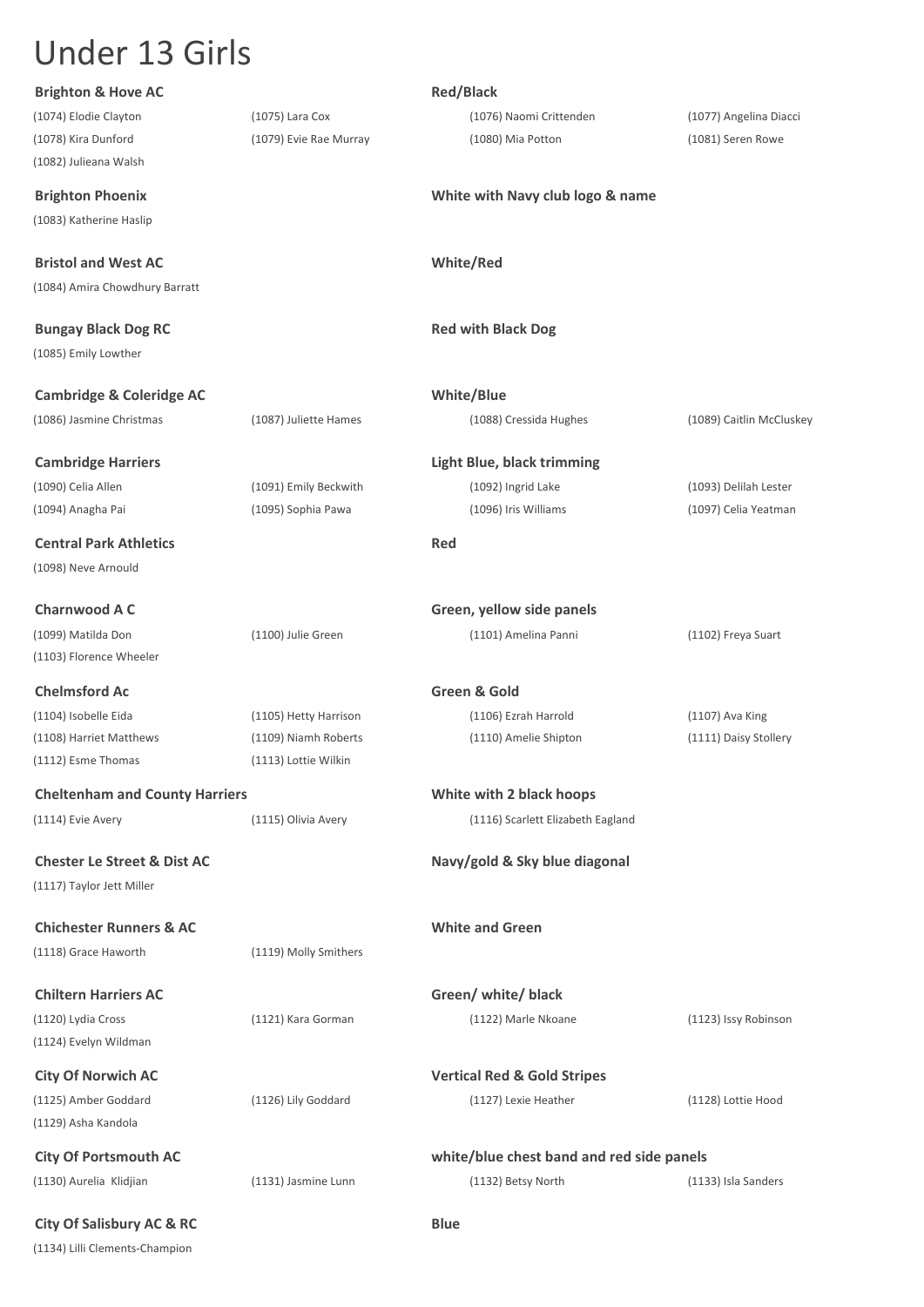| <b>Brighton &amp; Hove AC</b>          |                        | <b>Red/Black</b>                                                |                          |
|----------------------------------------|------------------------|-----------------------------------------------------------------|--------------------------|
| (1074) Elodie Clayton                  | (1075) Lara Cox        | (1076) Naomi Crittenden                                         | (1077) Angelina Diacci   |
| (1078) Kira Dunford                    | (1079) Evie Rae Murray | (1080) Mia Potton                                               | (1081) Seren Rowe        |
| (1082) Julieana Walsh                  |                        |                                                                 |                          |
| <b>Brighton Phoenix</b>                |                        | White with Navy club logo & name                                |                          |
| (1083) Katherine Haslip                |                        |                                                                 |                          |
|                                        |                        |                                                                 |                          |
| <b>Bristol and West AC</b>             |                        | White/Red                                                       |                          |
| (1084) Amira Chowdhury Barratt         |                        |                                                                 |                          |
| <b>Bungay Black Dog RC</b>             |                        | <b>Red with Black Dog</b>                                       |                          |
| (1085) Emily Lowther                   |                        |                                                                 |                          |
|                                        |                        |                                                                 |                          |
| <b>Cambridge &amp; Coleridge AC</b>    |                        | White/Blue                                                      |                          |
| (1086) Jasmine Christmas               | (1087) Juliette Hames  | (1088) Cressida Hughes                                          | (1089) Caitlin McCluskey |
| <b>Cambridge Harriers</b>              |                        | <b>Light Blue, black trimming</b>                               |                          |
| (1090) Celia Allen                     | (1091) Emily Beckwith  | (1092) Ingrid Lake                                              | (1093) Delilah Lester    |
| (1094) Anagha Pai                      | (1095) Sophia Pawa     | (1096) Iris Williams                                            | (1097) Celia Yeatman     |
|                                        |                        |                                                                 |                          |
| <b>Central Park Athletics</b>          |                        | Red                                                             |                          |
| (1098) Neve Arnould                    |                        |                                                                 |                          |
| <b>Charnwood A C</b>                   |                        | Green, yellow side panels                                       |                          |
| (1099) Matilda Don                     | (1100) Julie Green     | (1101) Amelina Panni                                            | (1102) Freya Suart       |
| (1103) Florence Wheeler                |                        |                                                                 |                          |
| <b>Chelmsford Ac</b>                   |                        | Green & Gold                                                    |                          |
| (1104) Isobelle Eida                   | (1105) Hetty Harrison  | (1106) Ezrah Harrold                                            | (1107) Ava King          |
| (1108) Harriet Matthews                | (1109) Niamh Roberts   | (1110) Amelie Shipton                                           | (1111) Daisy Stollery    |
| (1112) Esme Thomas                     | (1113) Lottie Wilkin   |                                                                 |                          |
|                                        |                        |                                                                 |                          |
| <b>Cheltenham and County Harriers</b>  |                        | White with 2 black hoops                                        |                          |
| (1114) Evie Avery                      | (1115) Olivia Avery    | (1116) Scarlett Elizabeth Eagland                               |                          |
| <b>Chester Le Street &amp; Dist AC</b> |                        | Navy/gold & Sky blue diagonal                                   |                          |
| (1117) Taylor Jett Miller              |                        |                                                                 |                          |
|                                        |                        |                                                                 |                          |
| <b>Chichester Runners &amp; AC</b>     |                        | <b>White and Green</b>                                          |                          |
| (1118) Grace Haworth                   | (1119) Molly Smithers  |                                                                 |                          |
| <b>Chiltern Harriers AC</b>            |                        | Green/ white/ black                                             |                          |
| (1120) Lydia Cross                     | (1121) Kara Gorman     | (1122) Marle Nkoane                                             | (1123) Issy Robinson     |
| (1124) Evelyn Wildman                  |                        |                                                                 |                          |
| <b>City Of Norwich AC</b>              |                        | <b>Vertical Red &amp; Gold Stripes</b>                          |                          |
| (1125) Amber Goddard                   | (1126) Lily Goddard    | (1127) Lexie Heather                                            | (1128) Lottie Hood       |
| (1129) Asha Kandola                    |                        |                                                                 |                          |
| <b>City Of Portsmouth AC</b>           |                        |                                                                 |                          |
| (1130) Aurelia Klidjian                | (1131) Jasmine Lunn    | white/blue chest band and red side panels<br>(1132) Betsy North | (1133) Isla Sanders      |
|                                        |                        |                                                                 |                          |
| <b>City Of Salisbury AC &amp; RC</b>   |                        | <b>Blue</b>                                                     |                          |
| (1134) Lilli Clements-Champion         |                        |                                                                 |                          |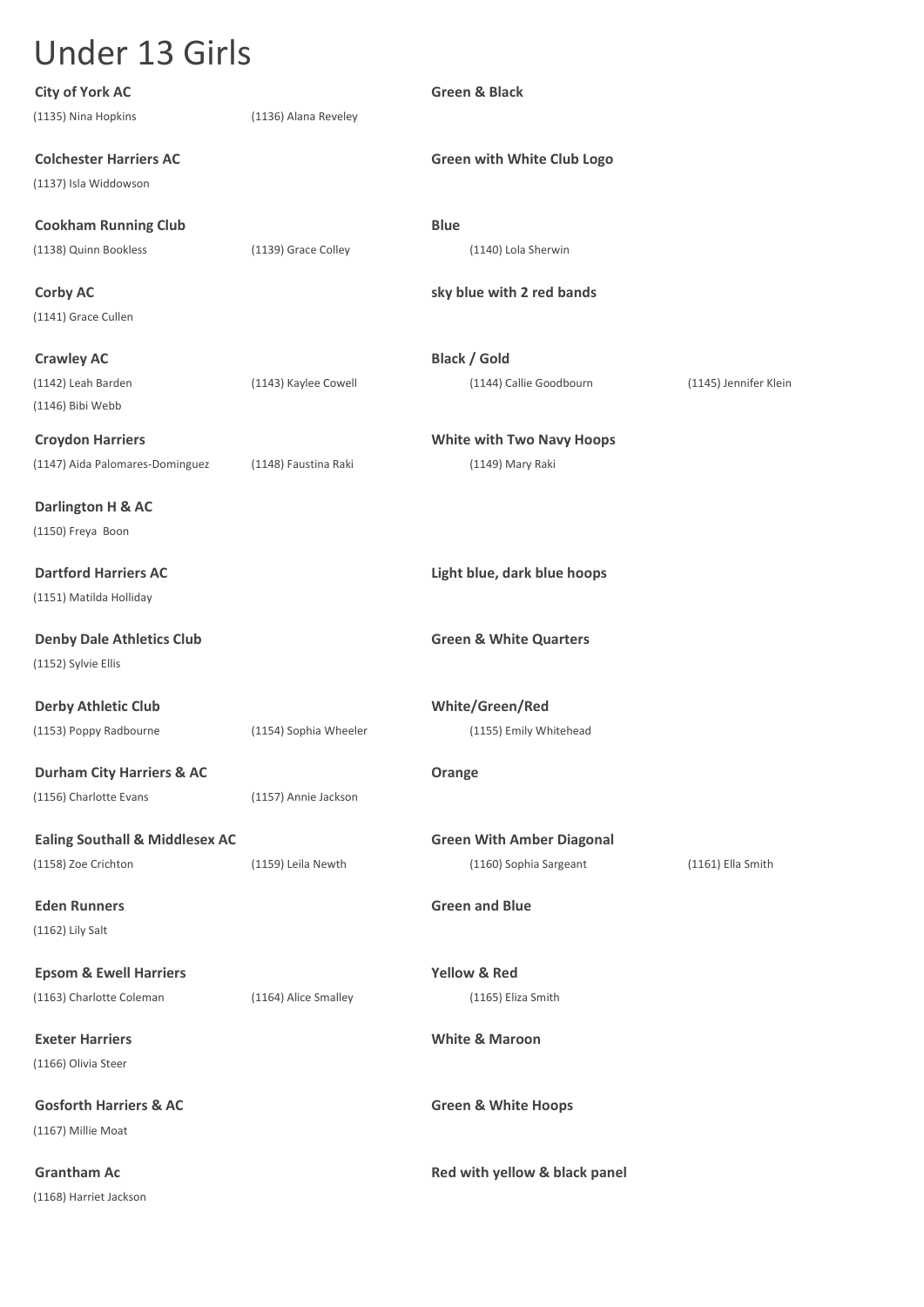| <b>City of York AC</b>                    |                       | <b>Green &amp; Black</b>          |                       |
|-------------------------------------------|-----------------------|-----------------------------------|-----------------------|
| (1135) Nina Hopkins                       | (1136) Alana Reveley  |                                   |                       |
| <b>Colchester Harriers AC</b>             |                       | <b>Green with White Club Logo</b> |                       |
| (1137) Isla Widdowson                     |                       |                                   |                       |
| <b>Cookham Running Club</b>               |                       | <b>Blue</b>                       |                       |
| (1138) Quinn Bookless                     | (1139) Grace Colley   | (1140) Lola Sherwin               |                       |
| <b>Corby AC</b>                           |                       | sky blue with 2 red bands         |                       |
| (1141) Grace Cullen                       |                       |                                   |                       |
| <b>Crawley AC</b>                         |                       | <b>Black / Gold</b>               |                       |
| (1142) Leah Barden                        | (1143) Kaylee Cowell  | (1144) Callie Goodbourn           | (1145) Jennifer Klein |
| (1146) Bibi Webb                          |                       |                                   |                       |
| <b>Croydon Harriers</b>                   |                       | <b>White with Two Navy Hoops</b>  |                       |
| (1147) Aida Palomares-Dominguez           | (1148) Faustina Raki  | (1149) Mary Raki                  |                       |
| Darlington H & AC                         |                       |                                   |                       |
| (1150) Freya Boon                         |                       |                                   |                       |
| <b>Dartford Harriers AC</b>               |                       | Light blue, dark blue hoops       |                       |
| (1151) Matilda Holliday                   |                       |                                   |                       |
| <b>Denby Dale Athletics Club</b>          |                       | <b>Green &amp; White Quarters</b> |                       |
| (1152) Sylvie Ellis                       |                       |                                   |                       |
| <b>Derby Athletic Club</b>                |                       | White/Green/Red                   |                       |
| (1153) Poppy Radbourne                    | (1154) Sophia Wheeler | (1155) Emily Whitehead            |                       |
| <b>Durham City Harriers &amp; AC</b>      |                       | Orange                            |                       |
| (1156) Charlotte Evans                    | (1157) Annie Jackson  |                                   |                       |
| <b>Ealing Southall &amp; Middlesex AC</b> |                       | <b>Green With Amber Diagonal</b>  |                       |
| (1158) Zoe Crichton                       | (1159) Leila Newth    | (1160) Sophia Sargeant            | (1161) Ella Smith     |
| <b>Eden Runners</b>                       |                       | <b>Green and Blue</b>             |                       |
| (1162) Lily Salt                          |                       |                                   |                       |
| <b>Epsom &amp; Ewell Harriers</b>         |                       | <b>Yellow &amp; Red</b>           |                       |
| (1163) Charlotte Coleman                  | (1164) Alice Smalley  | (1165) Eliza Smith                |                       |
|                                           |                       |                                   |                       |
| <b>Exeter Harriers</b>                    |                       | <b>White &amp; Maroon</b>         |                       |
| (1166) Olivia Steer                       |                       |                                   |                       |
| <b>Gosforth Harriers &amp; AC</b>         |                       | <b>Green &amp; White Hoops</b>    |                       |
| (1167) Millie Moat                        |                       |                                   |                       |
| <b>Grantham Ac</b>                        |                       | Red with yellow & black panel     |                       |
| (1168) Harriet Jackson                    |                       |                                   |                       |
|                                           |                       |                                   |                       |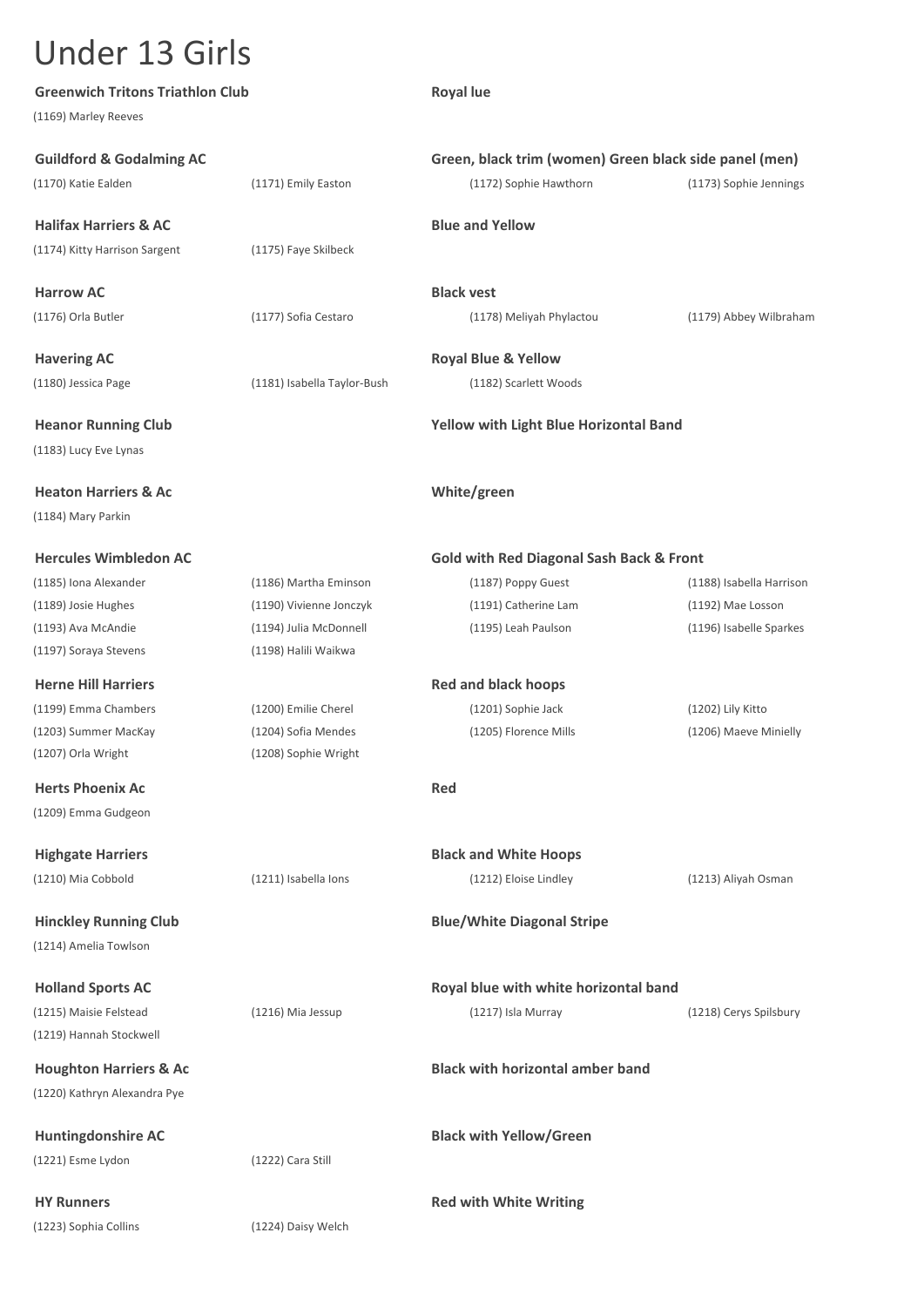| <b>Greenwich Tritons Triathlon Club</b> |                             | <b>Royal lue</b>                                       |                          |
|-----------------------------------------|-----------------------------|--------------------------------------------------------|--------------------------|
| (1169) Marley Reeves                    |                             |                                                        |                          |
| <b>Guildford &amp; Godalming AC</b>     |                             | Green, black trim (women) Green black side panel (men) |                          |
| (1170) Katie Ealden                     | (1171) Emily Easton         | (1172) Sophie Hawthorn                                 | (1173) Sophie Jennings   |
| <b>Halifax Harriers &amp; AC</b>        |                             | <b>Blue and Yellow</b>                                 |                          |
| (1174) Kitty Harrison Sargent           | (1175) Faye Skilbeck        |                                                        |                          |
| <b>Harrow AC</b>                        |                             | <b>Black vest</b>                                      |                          |
| (1176) Orla Butler                      | (1177) Sofia Cestaro        | (1178) Meliyah Phylactou                               | (1179) Abbey Wilbraham   |
| <b>Havering AC</b>                      |                             | <b>Royal Blue &amp; Yellow</b>                         |                          |
| (1180) Jessica Page                     | (1181) Isabella Taylor-Bush | (1182) Scarlett Woods                                  |                          |
| <b>Heanor Running Club</b>              |                             | Yellow with Light Blue Horizontal Band                 |                          |
| (1183) Lucy Eve Lynas                   |                             |                                                        |                          |
| <b>Heaton Harriers &amp; Ac</b>         |                             | White/green                                            |                          |
| (1184) Mary Parkin                      |                             |                                                        |                          |
| <b>Hercules Wimbledon AC</b>            |                             | <b>Gold with Red Diagonal Sash Back &amp; Front</b>    |                          |
| (1185) Iona Alexander                   | (1186) Martha Eminson       | (1187) Poppy Guest                                     | (1188) Isabella Harrison |
| (1189) Josie Hughes                     | (1190) Vivienne Jonczyk     | (1191) Catherine Lam                                   | (1192) Mae Losson        |
| (1193) Ava McAndie                      | (1194) Julia McDonnell      | (1195) Leah Paulson                                    | (1196) Isabelle Sparkes  |
| (1197) Soraya Stevens                   | (1198) Halili Waikwa        |                                                        |                          |
| <b>Herne Hill Harriers</b>              |                             | <b>Red and black hoops</b>                             |                          |
| (1199) Emma Chambers                    | (1200) Emilie Cherel        | (1201) Sophie Jack                                     | (1202) Lily Kitto        |
| (1203) Summer MacKay                    | (1204) Sofia Mendes         | (1205) Florence Mills                                  | (1206) Maeve Minielly    |
| (1207) Orla Wright                      | (1208) Sophie Wright        |                                                        |                          |
| <b>Herts Phoenix Ac</b>                 |                             | <b>Red</b>                                             |                          |
| (1209) Emma Gudgeon                     |                             |                                                        |                          |
| <b>Highgate Harriers</b>                |                             | <b>Black and White Hoops</b>                           |                          |
| (1210) Mia Cobbold                      | (1211) Isabella Ions        | (1212) Eloise Lindley                                  | (1213) Aliyah Osman      |
| <b>Hinckley Running Club</b>            |                             | <b>Blue/White Diagonal Stripe</b>                      |                          |
| (1214) Amelia Towlson                   |                             |                                                        |                          |
| <b>Holland Sports AC</b>                |                             | Royal blue with white horizontal band                  |                          |
| (1215) Maisie Felstead                  | (1216) Mia Jessup           | (1217) Isla Murray                                     | (1218) Cerys Spilsbury   |
| (1219) Hannah Stockwell                 |                             |                                                        |                          |
| <b>Houghton Harriers &amp; Ac</b>       |                             | <b>Black with horizontal amber band</b>                |                          |
| (1220) Kathryn Alexandra Pye            |                             |                                                        |                          |
| <b>Huntingdonshire AC</b>               |                             | <b>Black with Yellow/Green</b>                         |                          |
| (1221) Esme Lydon                       | (1222) Cara Still           |                                                        |                          |
| <b>HY Runners</b>                       |                             | <b>Red with White Writing</b>                          |                          |
| (1223) Sophia Collins                   | (1224) Daisy Welch          |                                                        |                          |
|                                         |                             |                                                        |                          |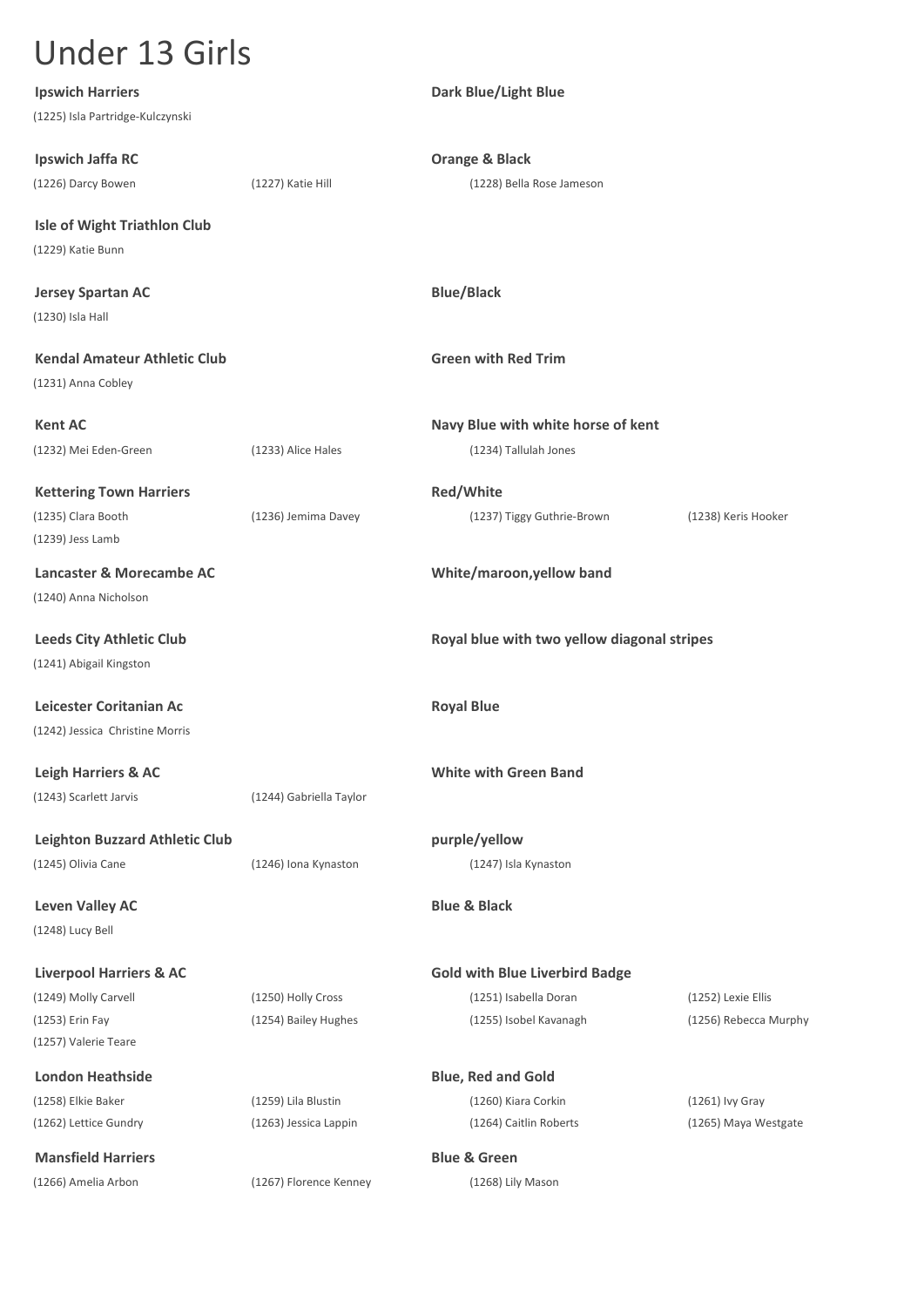**Ipswich Harriers Dark Blue/Light Blue** (1225) Isla Partridge-Kulczynski **Ipswich Jaffa RC Orange & Black** (1226) Darcy Bowen (1227) Katie Hill (1228) Bella Rose Jameson **Isle of Wight Triathlon Club** (1229) Katie Bunn **Jersey Spartan AC Blue/Black** (1230) Isla Hall **Kendal Amateur Athletic Club Green with Red Trim** (1231) Anna Cobley **Kent AC Navy Blue with white horse of kent** (1232) Mei Eden-Green (1233) Alice Hales (1234) Tallulah Jones **Kettering Town Harriers Red/White** (1235) Clara Booth (1236) Jemima Davey (1237) Tiggy Guthrie-Brown (1238) Keris Hooker (1239) Jess Lamb **Lancaster & Morecambe AC White/maroon,yellow band** (1240) Anna Nicholson **Leeds City Athletic Club Royal blue with two yellow diagonal stripes** (1241) Abigail Kingston **Leicester Coritanian Ac Royal Blue Royal Blue** (1242) Jessica Christine Morris **Leigh Harriers & AC White with Green Band** (1243) Scarlett Jarvis (1244) Gabriella Taylor **Leighton Buzzard Athletic Club purple/yellow** (1245) Olivia Cane (1246) Iona Kynaston (1247) Isla Kynaston **Leven Valley AC Blue & Black** (1248) Lucy Bell **Liverpool Harriers & AC Gold with Blue Liverbird Badge** (1249) Molly Carvell (1250) Holly Cross (1251) Isabella Doran (1252) Lexie Ellis (1253) Erin Fay (1254) Bailey Hughes (1255) Isobel Kavanagh (1256) Rebecca Murphy (1257) Valerie Teare **London Heathside <b>Blue**, Red and Gold (1258) Elkie Baker (1259) Lila Blustin (1260) Kiara Corkin (1261) Ivy Gray (1262) Lettice Gundry (1263) Jessica Lappin (1264) Caitlin Roberts (1265) Maya Westgate **Mansfield Harriers Blue & Green** (1266) Amelia Arbon (1267) Florence Kenney (1268) Lily Mason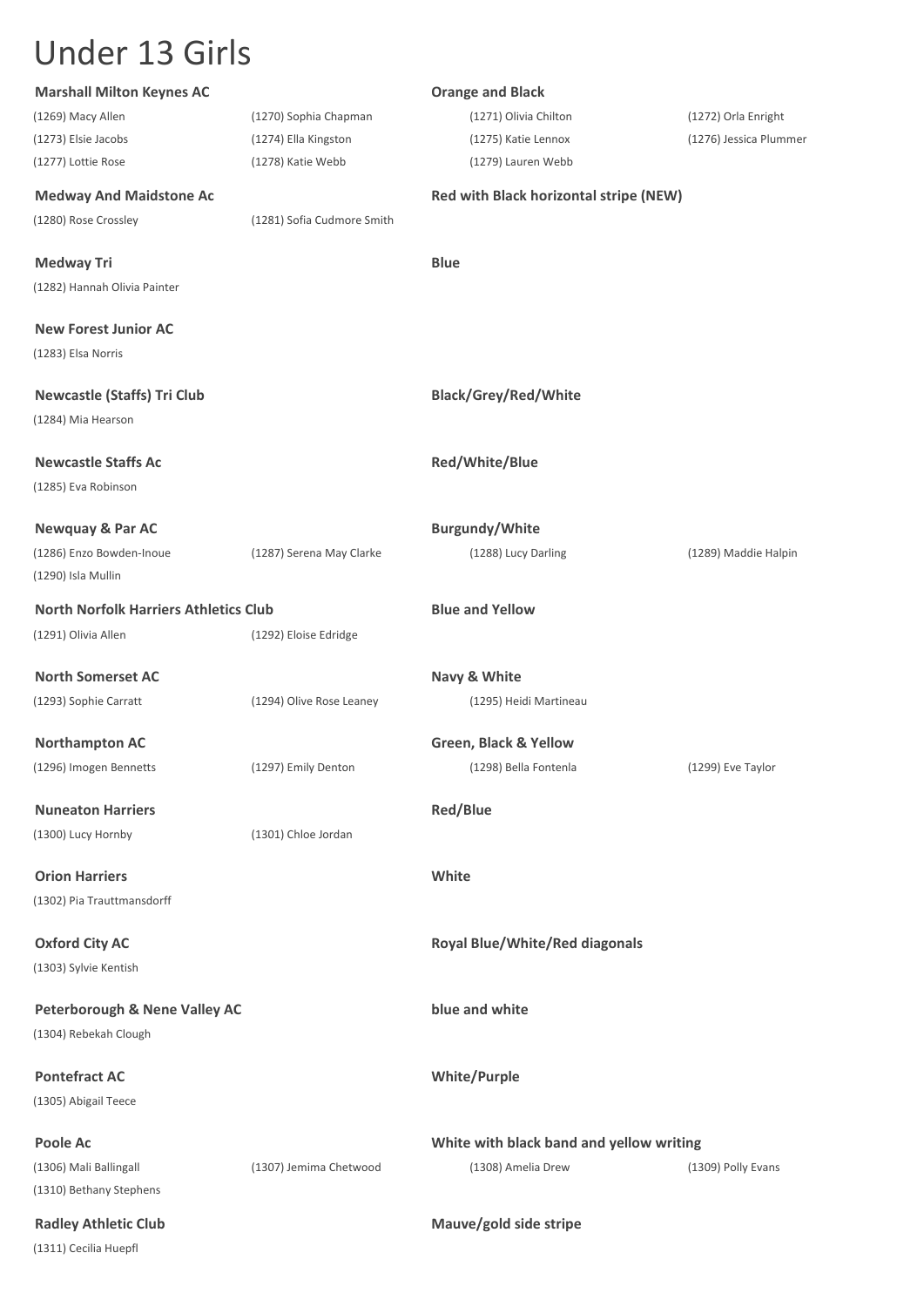| <b>Marshall Milton Keynes AC</b>             |                            | <b>Orange and Black</b>                  |                        |
|----------------------------------------------|----------------------------|------------------------------------------|------------------------|
| (1269) Macy Allen                            | (1270) Sophia Chapman      | (1271) Olivia Chilton                    | (1272) Orla Enright    |
| (1273) Elsie Jacobs                          | (1274) Ella Kingston       | (1275) Katie Lennox                      | (1276) Jessica Plummer |
| (1277) Lottie Rose                           | (1278) Katie Webb          | (1279) Lauren Webb                       |                        |
| <b>Medway And Maidstone Ac</b>               |                            | Red with Black horizontal stripe (NEW)   |                        |
| (1280) Rose Crossley                         | (1281) Sofia Cudmore Smith |                                          |                        |
| <b>Medway Tri</b>                            |                            | <b>Blue</b>                              |                        |
| (1282) Hannah Olivia Painter                 |                            |                                          |                        |
| <b>New Forest Junior AC</b>                  |                            |                                          |                        |
| (1283) Elsa Norris                           |                            |                                          |                        |
| <b>Newcastle (Staffs) Tri Club</b>           |                            | <b>Black/Grey/Red/White</b>              |                        |
| (1284) Mia Hearson                           |                            |                                          |                        |
| <b>Newcastle Staffs Ac</b>                   |                            | Red/White/Blue                           |                        |
| (1285) Eva Robinson                          |                            |                                          |                        |
| <b>Newquay &amp; Par AC</b>                  |                            | <b>Burgundy/White</b>                    |                        |
| (1286) Enzo Bowden-Inoue                     | (1287) Serena May Clarke   | (1288) Lucy Darling                      | (1289) Maddie Halpin   |
| (1290) Isla Mullin                           |                            |                                          |                        |
| <b>North Norfolk Harriers Athletics Club</b> |                            | <b>Blue and Yellow</b>                   |                        |
| (1291) Olivia Allen                          | (1292) Eloise Edridge      |                                          |                        |
| <b>North Somerset AC</b>                     |                            | Navy & White                             |                        |
| (1293) Sophie Carratt                        | (1294) Olive Rose Leaney   | (1295) Heidi Martineau                   |                        |
| <b>Northampton AC</b>                        |                            | <b>Green, Black &amp; Yellow</b>         |                        |
| (1296) Imogen Bennetts                       | (1297) Emily Denton        | (1298) Bella Fontenla                    | (1299) Eve Taylor      |
| <b>Nuneaton Harriers</b>                     |                            | <b>Red/Blue</b>                          |                        |
| (1300) Lucy Hornby                           | (1301) Chloe Jordan        |                                          |                        |
| <b>Orion Harriers</b>                        |                            | White                                    |                        |
| (1302) Pia Trauttmansdorff                   |                            |                                          |                        |
| <b>Oxford City AC</b>                        |                            | <b>Royal Blue/White/Red diagonals</b>    |                        |
| (1303) Sylvie Kentish                        |                            |                                          |                        |
| <b>Peterborough &amp; Nene Valley AC</b>     |                            | blue and white                           |                        |
| (1304) Rebekah Clough                        |                            |                                          |                        |
| <b>Pontefract AC</b>                         |                            | <b>White/Purple</b>                      |                        |
| (1305) Abigail Teece                         |                            |                                          |                        |
| Poole Ac                                     |                            | White with black band and yellow writing |                        |
| (1306) Mali Ballingall                       | (1307) Jemima Chetwood     | (1308) Amelia Drew                       | (1309) Polly Evans     |
| (1310) Bethany Stephens                      |                            |                                          |                        |
| <b>Radley Athletic Club</b>                  |                            | Mauve/gold side stripe                   |                        |
| (1311) Cecilia Huepfl                        |                            |                                          |                        |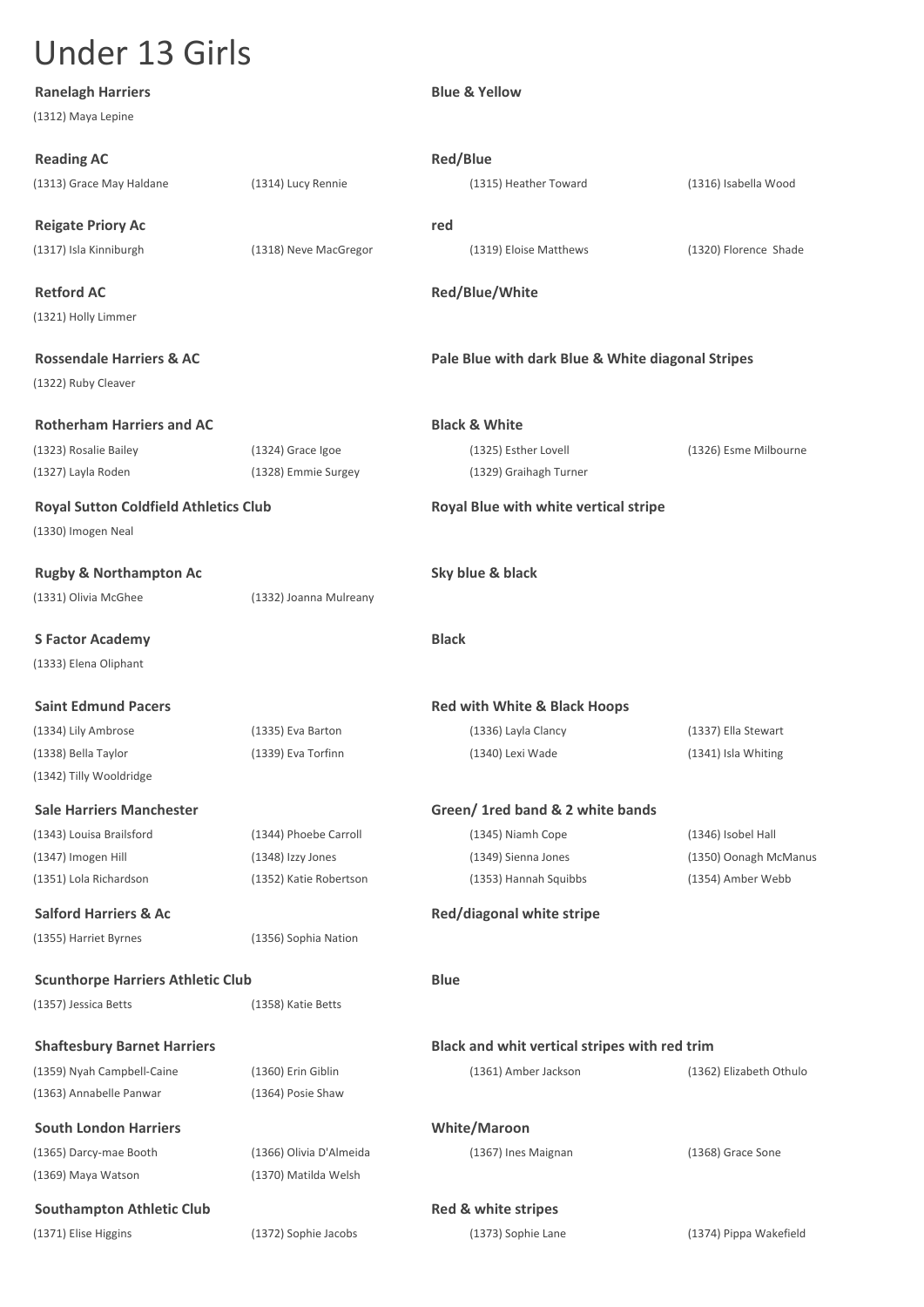**Ranelagh Harriers Blue & Yellow** (1312) Maya Lepine **Reading AC Reading AC Red/Blue** (1313) Grace May Haldane (1314) Lucy Rennie (1315) Heather Toward (1316) Isabella Wood **Reigate Priory Ac red** (1317) Isla Kinniburgh (1318) Neve MacGregor (1319) Eloise Matthews (1320) Florence Shade **Retford AC Red/Blue/White** (1321) Holly Limmer **Rossendale Harriers & AC Pale Blue with dark Blue & White diagonal Stripes** (1322) Ruby Cleaver **Rotherham Harriers and AC Black & White** (1323) Rosalie Bailey (1324) Grace Igoe (1325) Esther Lovell (1326) Esme Milbourne (1327) Layla Roden (1328) Emmie Surgey (1329) Graihagh Turner **Royal Sutton Coldfield Athletics Club Royal Blue with white vertical stripe** (1330) Imogen Neal **Rugby & Northampton Ac Sky blue & black** (1331) Olivia McGhee (1332) Joanna Mulreany **S Factor Academy Black** (1333) Elena Oliphant **Saint Edmund Pacers Red with White & Black Hoops Red with White & Black Hoops** (1334) Lily Ambrose (1335) Eva Barton (1336) Layla Clancy (1337) Ella Stewart (1338) Bella Taylor (1339) Eva Torfinn (1340) Lexi Wade (1341) Isla Whiting (1342) Tilly Wooldridge **Sale Harriers Manchester Green/ 1red band & 2 white bands** (1343) Louisa Brailsford (1344) Phoebe Carroll (1345) Niamh Cope (1346) Isobel Hall (1347) Imogen Hill (1348) Izzy Jones (1349) Sienna Jones (1350) Oonagh McManus (1351) Lola Richardson (1352) Katie Robertson (1353) Hannah Squibbs (1354) Amber Webb **Salford Harriers & Ac Red/diagonal white stripe Red/diagonal white stripe** (1355) Harriet Byrnes (1356) Sophia Nation **Scunthorpe Harriers Athletic Club Blue** (1357) Jessica Betts (1358) Katie Betts **Shaftesbury Barnet Harriers Black and whit vertical stripes with red trim** (1359) Nyah Campbell-Caine (1360) Erin Giblin (1361) Amber Jackson (1362) Elizabeth Othulo (1363) Annabelle Panwar (1364) Posie Shaw **South London Harriers White/Maroon** (1365) Darcy-mae Booth (1366) Olivia D'Almeida (1367) Ines Maignan (1368) Grace Sone (1369) Maya Watson (1370) Matilda Welsh **Southampton Athletic Club Red & white stripes Red & white stripes** (1371) Elise Higgins (1372) Sophie Jacobs (1373) Sophie Lane (1374) Pippa Wakefield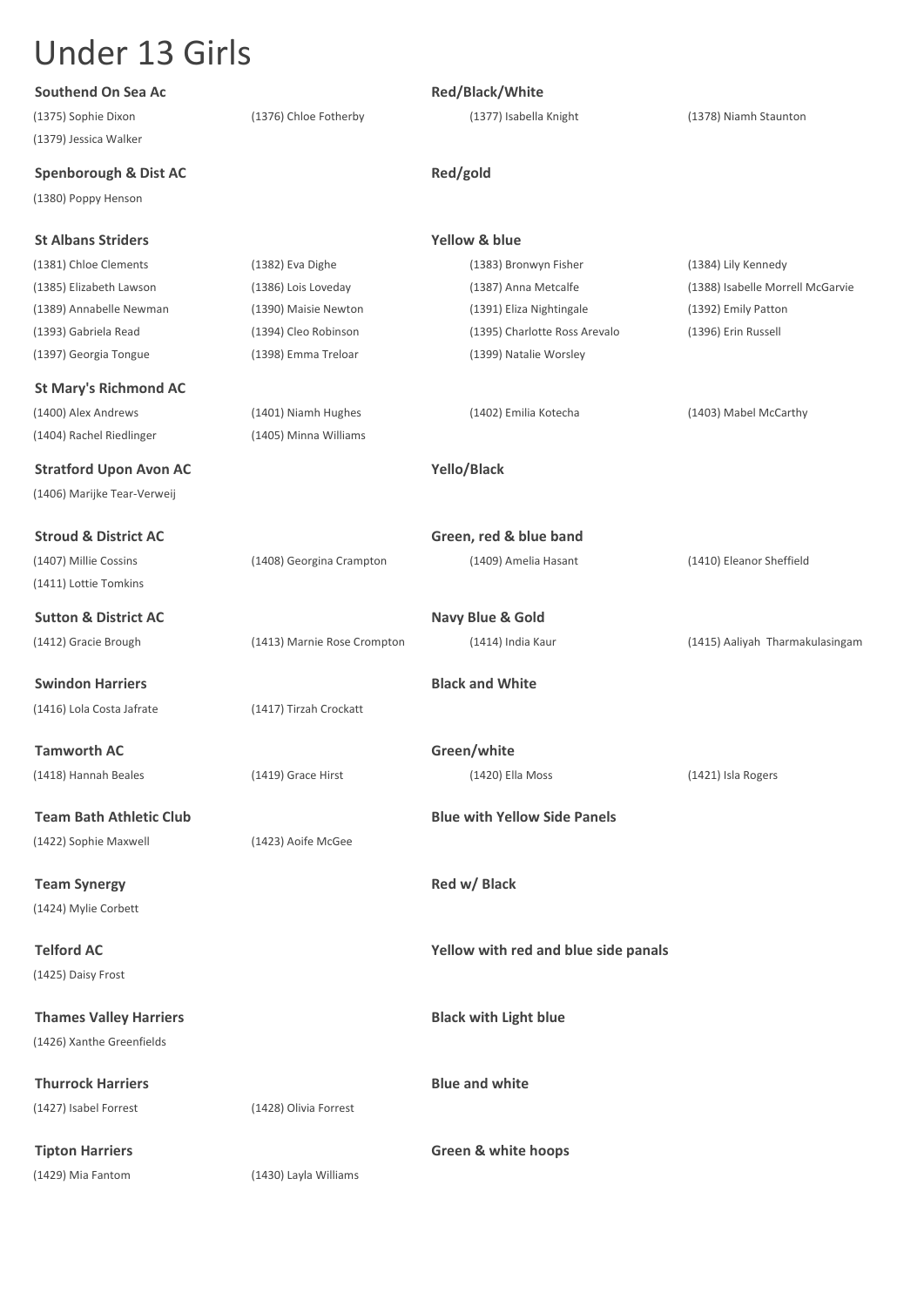| Southend On Sea Ac               |                             | Red/Black/White                      |                                  |
|----------------------------------|-----------------------------|--------------------------------------|----------------------------------|
| (1375) Sophie Dixon              | (1376) Chloe Fotherby       | (1377) Isabella Knight               | (1378) Niamh Staunton            |
| (1379) Jessica Walker            |                             |                                      |                                  |
| <b>Spenborough &amp; Dist AC</b> |                             | Red/gold                             |                                  |
| (1380) Poppy Henson              |                             |                                      |                                  |
| <b>St Albans Striders</b>        |                             | <b>Yellow &amp; blue</b>             |                                  |
| (1381) Chloe Clements            | (1382) Eva Dighe            | (1383) Bronwyn Fisher                | (1384) Lily Kennedy              |
| (1385) Elizabeth Lawson          | (1386) Lois Loveday         | (1387) Anna Metcalfe                 | (1388) Isabelle Morrell McGarvie |
| (1389) Annabelle Newman          | (1390) Maisie Newton        | (1391) Eliza Nightingale             | (1392) Emily Patton              |
| (1393) Gabriela Read             | (1394) Cleo Robinson        | (1395) Charlotte Ross Arevalo        | (1396) Erin Russell              |
| (1397) Georgia Tongue            | (1398) Emma Treloar         | (1399) Natalie Worsley               |                                  |
| <b>St Mary's Richmond AC</b>     |                             |                                      |                                  |
| (1400) Alex Andrews              | (1401) Niamh Hughes         | (1402) Emilia Kotecha                | (1403) Mabel McCarthy            |
| (1404) Rachel Riedlinger         | (1405) Minna Williams       |                                      |                                  |
| <b>Stratford Upon Avon AC</b>    |                             | Yello/Black                          |                                  |
| (1406) Marijke Tear-Verweij      |                             |                                      |                                  |
| <b>Stroud &amp; District AC</b>  |                             | Green, red & blue band               |                                  |
| (1407) Millie Cossins            | (1408) Georgina Crampton    | (1409) Amelia Hasant                 | (1410) Eleanor Sheffield         |
| (1411) Lottie Tomkins            |                             |                                      |                                  |
| <b>Sutton &amp; District AC</b>  |                             | Navy Blue & Gold                     |                                  |
| (1412) Gracie Brough             | (1413) Marnie Rose Crompton | (1414) India Kaur                    | (1415) Aaliyah Tharmakulasingam  |
| <b>Swindon Harriers</b>          |                             | <b>Black and White</b>               |                                  |
| (1416) Lola Costa Jafrate        | (1417) Tirzah Crockatt      |                                      |                                  |
| <b>Tamworth AC</b>               |                             | Green/white                          |                                  |
| (1418) Hannah Beales             | (1419) Grace Hirst          | (1420) Ella Moss                     | (1421) Isla Rogers               |
| <b>Team Bath Athletic Club</b>   |                             | <b>Blue with Yellow Side Panels</b>  |                                  |
| (1422) Sophie Maxwell            | (1423) Aoife McGee          |                                      |                                  |
| <b>Team Synergy</b>              |                             | Red w/ Black                         |                                  |
| (1424) Mylie Corbett             |                             |                                      |                                  |
| <b>Telford AC</b>                |                             | Yellow with red and blue side panals |                                  |
| (1425) Daisy Frost               |                             |                                      |                                  |
| <b>Thames Valley Harriers</b>    |                             | <b>Black with Light blue</b>         |                                  |
| (1426) Xanthe Greenfields        |                             |                                      |                                  |
| <b>Thurrock Harriers</b>         |                             | <b>Blue and white</b>                |                                  |
| (1427) Isabel Forrest            | (1428) Olivia Forrest       |                                      |                                  |
| <b>Tipton Harriers</b>           |                             | <b>Green &amp; white hoops</b>       |                                  |
| (1429) Mia Fantom                | (1430) Layla Williams       |                                      |                                  |
|                                  |                             |                                      |                                  |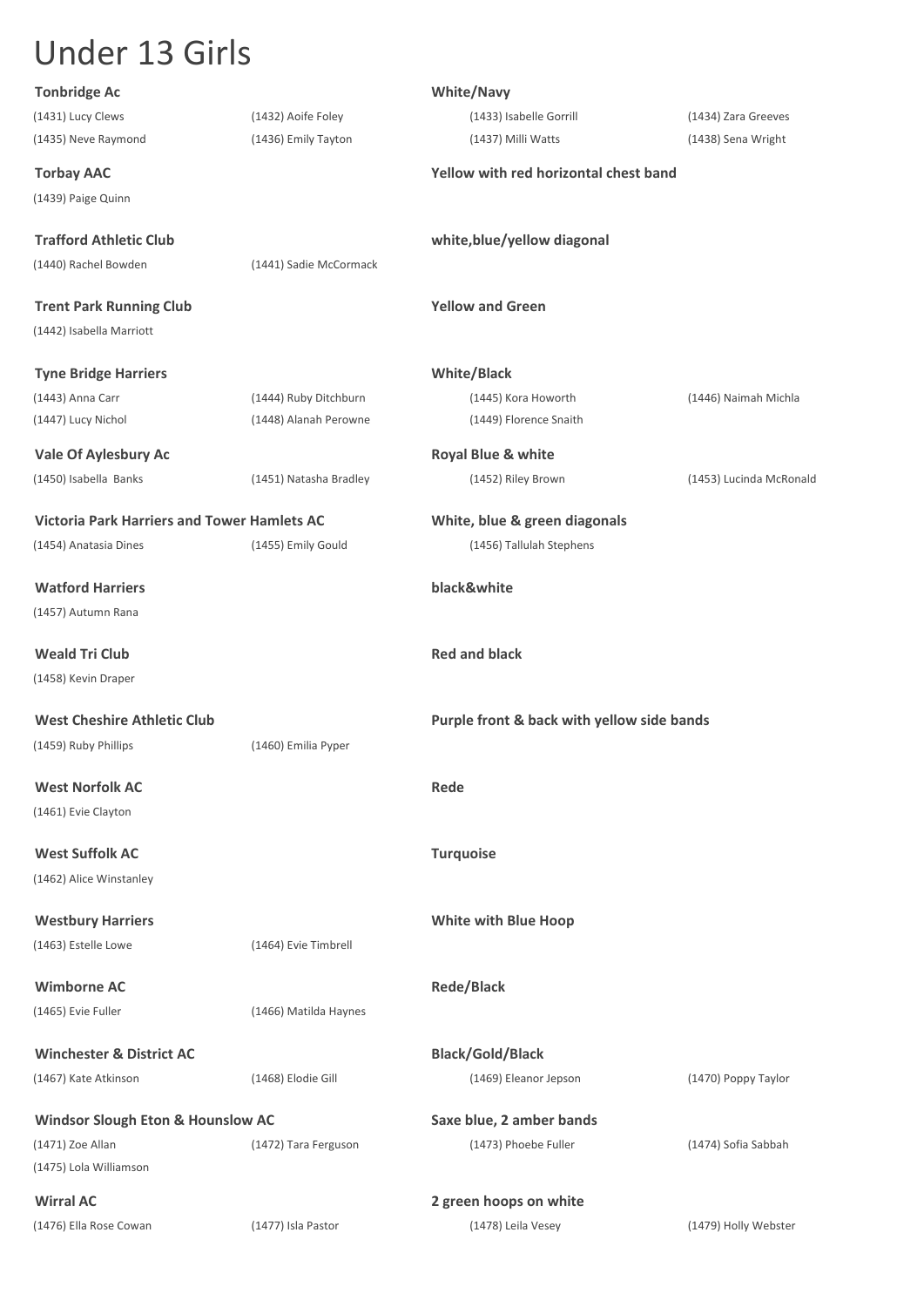| <b>Tonbridge Ac</b>                                |                        | <b>White/Navy</b>                          |                         |
|----------------------------------------------------|------------------------|--------------------------------------------|-------------------------|
| (1431) Lucy Clews                                  | (1432) Aoife Foley     | (1433) Isabelle Gorrill                    | (1434) Zara Greeves     |
| (1435) Neve Raymond                                | (1436) Emily Tayton    | (1437) Milli Watts                         | (1438) Sena Wright      |
| <b>Torbay AAC</b>                                  |                        | Yellow with red horizontal chest band      |                         |
| (1439) Paige Quinn                                 |                        |                                            |                         |
| <b>Trafford Athletic Club</b>                      |                        | white, blue/yellow diagonal                |                         |
| (1440) Rachel Bowden                               | (1441) Sadie McCormack |                                            |                         |
| <b>Trent Park Running Club</b>                     |                        | <b>Yellow and Green</b>                    |                         |
| (1442) Isabella Marriott                           |                        |                                            |                         |
| <b>Tyne Bridge Harriers</b>                        |                        | <b>White/Black</b>                         |                         |
| (1443) Anna Carr                                   | (1444) Ruby Ditchburn  | (1445) Kora Howorth                        | (1446) Naimah Michla    |
| (1447) Lucy Nichol                                 | (1448) Alanah Perowne  | (1449) Florence Snaith                     |                         |
| <b>Vale Of Aylesbury Ac</b>                        |                        | Royal Blue & white                         |                         |
| (1450) Isabella Banks                              | (1451) Natasha Bradley | (1452) Riley Brown                         | (1453) Lucinda McRonald |
| <b>Victoria Park Harriers and Tower Hamlets AC</b> |                        | White, blue & green diagonals              |                         |
| (1454) Anatasia Dines                              | (1455) Emily Gould     | (1456) Tallulah Stephens                   |                         |
|                                                    |                        |                                            |                         |
| <b>Watford Harriers</b>                            |                        | black&white                                |                         |
| (1457) Autumn Rana                                 |                        |                                            |                         |
| <b>Weald Tri Club</b>                              |                        | <b>Red and black</b>                       |                         |
| (1458) Kevin Draper                                |                        |                                            |                         |
| <b>West Cheshire Athletic Club</b>                 |                        | Purple front & back with yellow side bands |                         |
| (1459) Ruby Phillips                               | (1460) Emilia Pyper    |                                            |                         |
| <b>West Norfolk AC</b>                             |                        | Rede                                       |                         |
| (1461) Evie Clayton                                |                        |                                            |                         |
|                                                    |                        |                                            |                         |
| <b>West Suffolk AC</b>                             |                        | <b>Turquoise</b>                           |                         |
| (1462) Alice Winstanley                            |                        |                                            |                         |
| <b>Westbury Harriers</b>                           |                        | <b>White with Blue Hoop</b>                |                         |
| (1463) Estelle Lowe                                | (1464) Evie Timbrell   |                                            |                         |
| <b>Wimborne AC</b>                                 |                        | <b>Rede/Black</b>                          |                         |
| (1465) Evie Fuller                                 | (1466) Matilda Haynes  |                                            |                         |
| <b>Winchester &amp; District AC</b>                |                        |                                            |                         |
|                                                    |                        | <b>Black/Gold/Black</b>                    |                         |
| (1467) Kate Atkinson                               | (1468) Elodie Gill     | (1469) Eleanor Jepson                      | (1470) Poppy Taylor     |
| <b>Windsor Slough Eton &amp; Hounslow AC</b>       |                        | Saxe blue, 2 amber bands                   |                         |
| (1471) Zoe Allan                                   | (1472) Tara Ferguson   | (1473) Phoebe Fuller                       | (1474) Sofia Sabbah     |
| (1475) Lola Williamson                             |                        |                                            |                         |
| <b>Wirral AC</b>                                   |                        | 2 green hoops on white                     |                         |
| (1476) Ella Rose Cowan                             | (1477) Isla Pastor     | (1478) Leila Vesey                         | (1479) Holly Webster    |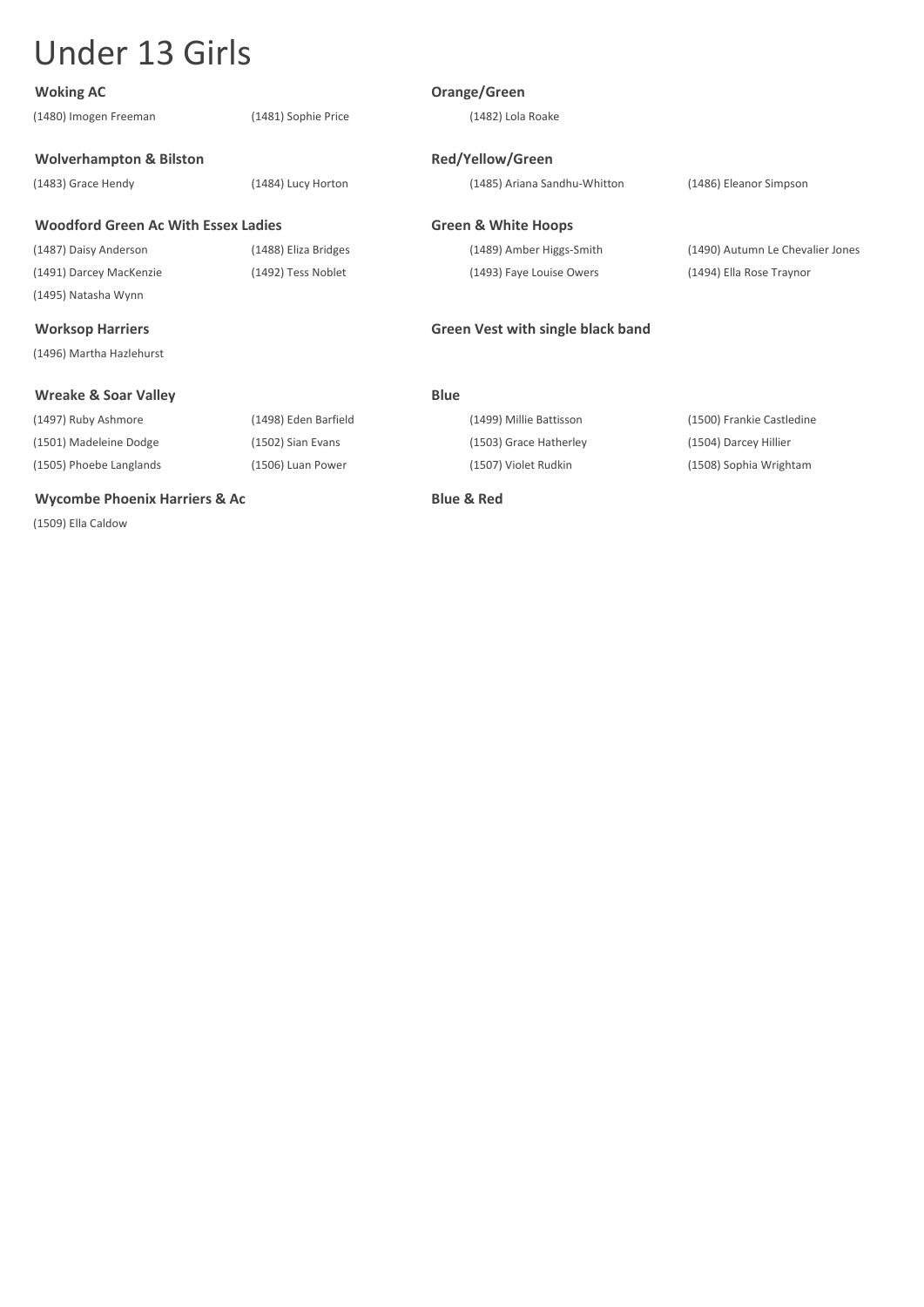| <b>Woking AC</b>                           |                      | Orange/Green                      |                                  |
|--------------------------------------------|----------------------|-----------------------------------|----------------------------------|
| (1480) Imogen Freeman                      | (1481) Sophie Price  | (1482) Lola Roake                 |                                  |
| <b>Wolverhampton &amp; Bilston</b>         |                      | <b>Red/Yellow/Green</b>           |                                  |
| (1483) Grace Hendy                         | (1484) Lucy Horton   | (1485) Ariana Sandhu-Whitton      | (1486) Eleanor Simpson           |
| <b>Woodford Green Ac With Essex Ladies</b> |                      | <b>Green &amp; White Hoops</b>    |                                  |
| (1487) Daisy Anderson                      | (1488) Eliza Bridges | (1489) Amber Higgs-Smith          | (1490) Autumn Le Chevalier Jones |
| (1491) Darcey MacKenzie                    | (1492) Tess Noblet   | (1493) Faye Louise Owers          | (1494) Ella Rose Traynor         |
| (1495) Natasha Wynn                        |                      |                                   |                                  |
| <b>Worksop Harriers</b>                    |                      | Green Vest with single black band |                                  |
| (1496) Martha Hazlehurst                   |                      |                                   |                                  |
| <b>Wreake &amp; Soar Valley</b>            |                      | <b>Blue</b>                       |                                  |
| (1497) Ruby Ashmore                        | (1498) Eden Barfield | (1499) Millie Battisson           | (1500) Frankie Castledine        |
| (1501) Madeleine Dodge                     | (1502) Sian Evans    | (1503) Grace Hatherley            | (1504) Darcey Hillier            |
| (1505) Phoebe Langlands                    | (1506) Luan Power    | (1507) Violet Rudkin              | (1508) Sophia Wrightam           |
| <b>Wycombe Phoenix Harriers &amp; Ac</b>   |                      | <b>Blue &amp; Red</b>             |                                  |

(1509) Ella Caldow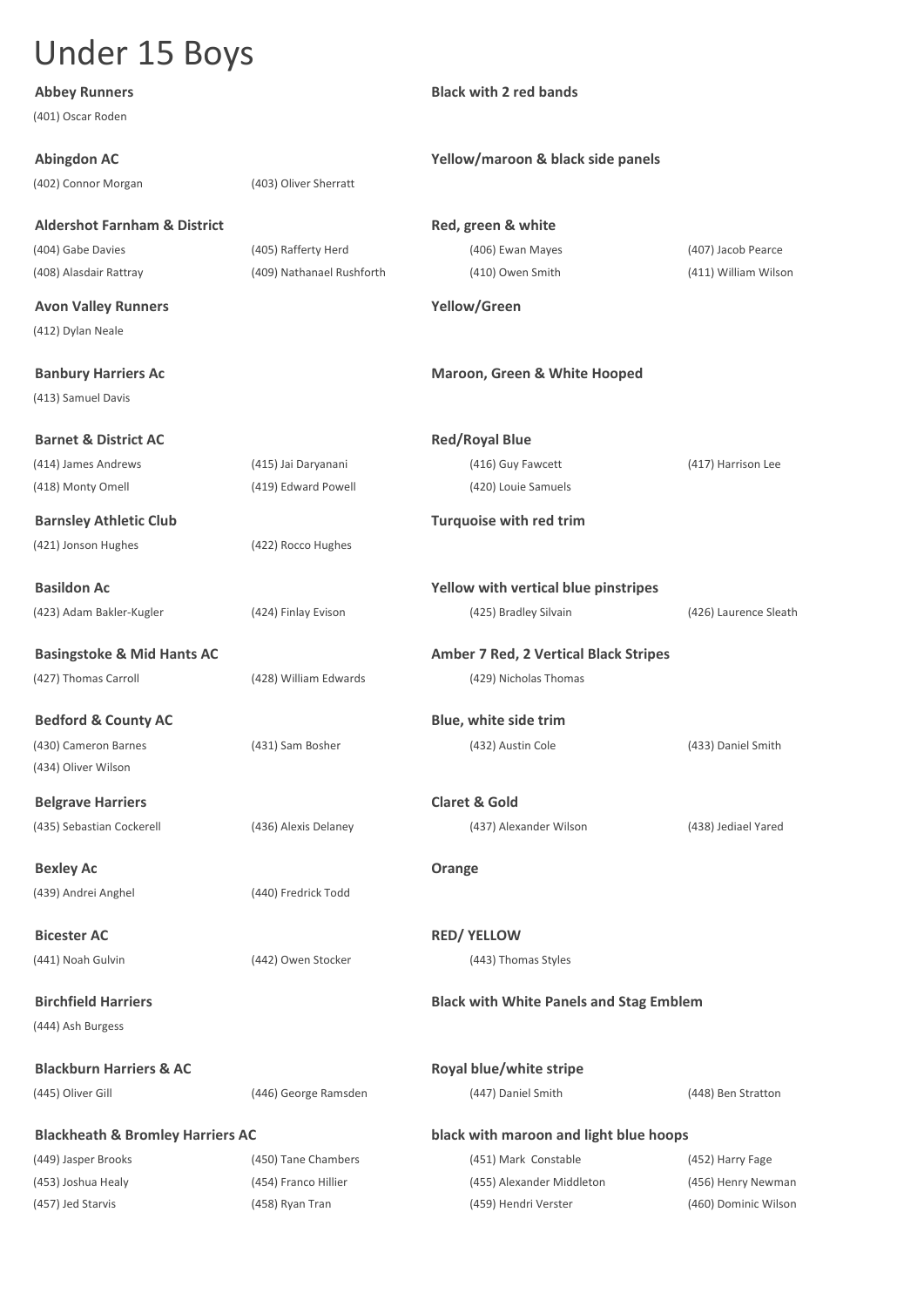| <b>Abbey Runners</b>                        |                           | <b>Black with 2 red bands</b>                  |                       |
|---------------------------------------------|---------------------------|------------------------------------------------|-----------------------|
| (401) Oscar Roden                           |                           |                                                |                       |
| <b>Abingdon AC</b>                          |                           | Yellow/maroon & black side panels              |                       |
| (402) Connor Morgan                         | (403) Oliver Sherratt     |                                                |                       |
| <b>Aldershot Farnham &amp; District</b>     |                           | Red, green & white                             |                       |
| (404) Gabe Davies                           | (405) Rafferty Herd       | (406) Ewan Mayes                               | (407) Jacob Pearce    |
| (408) Alasdair Rattray                      | (409) Nathanael Rushforth | (410) Owen Smith                               | (411) William Wilson  |
| <b>Avon Valley Runners</b>                  |                           | Yellow/Green                                   |                       |
| (412) Dylan Neale                           |                           |                                                |                       |
| <b>Banbury Harriers Ac</b>                  |                           | Maroon, Green & White Hooped                   |                       |
| (413) Samuel Davis                          |                           |                                                |                       |
| <b>Barnet &amp; District AC</b>             |                           | <b>Red/Royal Blue</b>                          |                       |
| (414) James Andrews                         | (415) Jai Daryanani       | (416) Guy Fawcett                              | (417) Harrison Lee    |
| (418) Monty Omell                           | (419) Edward Powell       | (420) Louie Samuels                            |                       |
| <b>Barnsley Athletic Club</b>               |                           | <b>Turquoise with red trim</b>                 |                       |
| (421) Jonson Hughes                         | (422) Rocco Hughes        |                                                |                       |
| <b>Basildon Ac</b>                          |                           | Yellow with vertical blue pinstripes           |                       |
| (423) Adam Bakler-Kugler                    | (424) Finlay Evison       | (425) Bradley Silvain                          | (426) Laurence Sleath |
| <b>Basingstoke &amp; Mid Hants AC</b>       |                           | <b>Amber 7 Red, 2 Vertical Black Stripes</b>   |                       |
| (427) Thomas Carroll                        | (428) William Edwards     | (429) Nicholas Thomas                          |                       |
| <b>Bedford &amp; County AC</b>              |                           | Blue, white side trim                          |                       |
| (430) Cameron Barnes                        | (431) Sam Bosher          | (432) Austin Cole                              | (433) Daniel Smith    |
| (434) Oliver Wilson                         |                           |                                                |                       |
| <b>Belgrave Harriers</b>                    |                           | <b>Claret &amp; Gold</b>                       |                       |
| (435) Sebastian Cockerell                   | (436) Alexis Delaney      | (437) Alexander Wilson                         | (438) Jediael Yared   |
| <b>Bexley Ac</b>                            |                           | Orange                                         |                       |
| (439) Andrei Anghel                         | (440) Fredrick Todd       |                                                |                       |
| <b>Bicester AC</b>                          |                           | <b>RED/ YELLOW</b>                             |                       |
| (441) Noah Gulvin                           | (442) Owen Stocker        | (443) Thomas Styles                            |                       |
| <b>Birchfield Harriers</b>                  |                           | <b>Black with White Panels and Stag Emblem</b> |                       |
| (444) Ash Burgess                           |                           |                                                |                       |
| <b>Blackburn Harriers &amp; AC</b>          |                           | Royal blue/white stripe                        |                       |
| (445) Oliver Gill                           | (446) George Ramsden      | (447) Daniel Smith                             | (448) Ben Stratton    |
| <b>Blackheath &amp; Bromley Harriers AC</b> |                           | black with maroon and light blue hoops         |                       |
| (449) Jasper Brooks                         | (450) Tane Chambers       | (451) Mark Constable                           | (452) Harry Fage      |
| (453) Joshua Healy                          | (454) Franco Hillier      | (455) Alexander Middleton                      | (456) Henry Newman    |
| (457) Jed Starvis                           | (458) Ryan Tran           | (459) Hendri Verster                           | (460) Dominic Wilson  |
|                                             |                           |                                                |                       |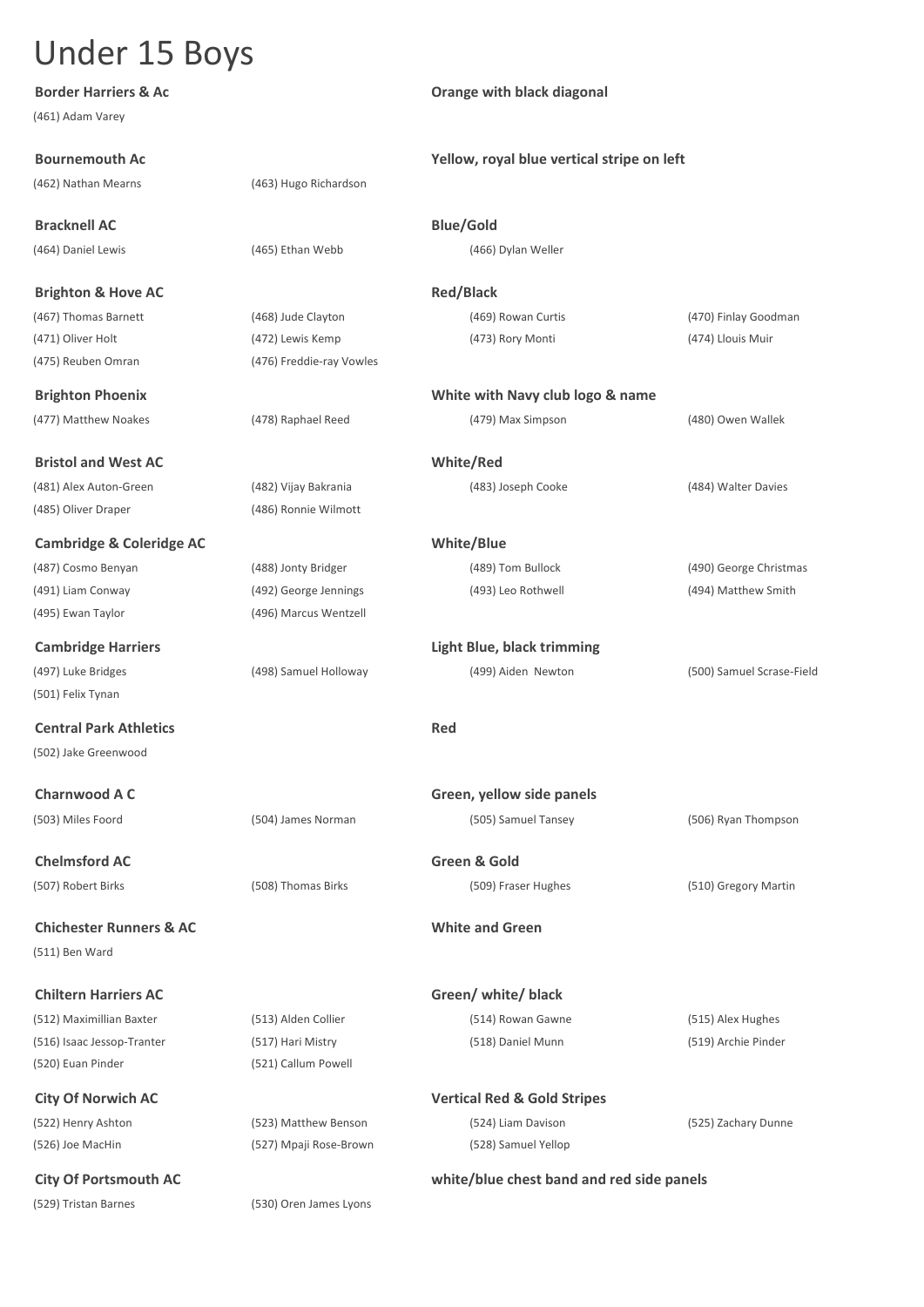**Border Harriers & Ac Dramage with black diagonal** (461) Adam Varey **Bournemouth Ac Yellow, royal blue vertical stripe on left** (462) Nathan Mearns (463) Hugo Richardson **Bracknell AC Blue/Gold** (464) Daniel Lewis (465) Ethan Webb (466) Dylan Weller **Brighton & Hove AC Red/Black** (467) Thomas Barnett (468) Jude Clayton (469) Rowan Curtis (470) Finlay Goodman (471) Oliver Holt (472) Lewis Kemp (473) Rory Monti (474) Llouis Muir (475) Reuben Omran (476) Freddie-ray Vowles **Brighton Phoenix White with Navy club logo & name** (477) Matthew Noakes (478) Raphael Reed (479) Max Simpson (480) Owen Wallek **Bristol and West AC White/Red** (481) Alex Auton-Green (482) Vijay Bakrania (483) Joseph Cooke (484) Walter Davies (485) Oliver Draper (486) Ronnie Wilmott **Cambridge & Coleridge AC White/Blue** (487) Cosmo Benyan (488) Jonty Bridger (489) Tom Bullock (490) George Christmas (491) Liam Conway (492) George Jennings (493) Leo Rothwell (494) Matthew Smith (495) Ewan Taylor (496) Marcus Wentzell **Cambridge Harriers Light Blue, black trimming** (497) Luke Bridges (498) Samuel Holloway (499) Aiden Newton (500) Samuel Scrase-Field (501) Felix Tynan **Central Park Athletics Red** (502) Jake Greenwood **Charnwood A C Green, yellow side panels** (503) Miles Foord (504) James Norman (505) Samuel Tansey (506) Ryan Thompson **Chelmsford AC Green & Gold** (507) Robert Birks (508) Thomas Birks (509) Fraser Hughes (510) Gregory Martin **Chichester Runners & AC White and Green** (511) Ben Ward **Chiltern Harriers AC Green/ white/ black**  (512) Maximillian Baxter (513) Alden Collier (514) Rowan Gawne (515) Alex Hughes (516) Isaac Jessop-Tranter (517) Hari Mistry (518) Daniel Munn (519) Archie Pinder

**City Of Norwich AC Vertical Red & Gold Stripes** (522) Henry Ashton (523) Matthew Benson (524) Liam Davison (525) Zachary Dunne (526) Joe MacHin (527) Mpaji Rose-Brown (528) Samuel Yellop

(520) Euan Pinder (521) Callum Powell

**City Of Portsmouth AC white/blue chest band and red side panels** (529) Tristan Barnes (530) Oren James Lyons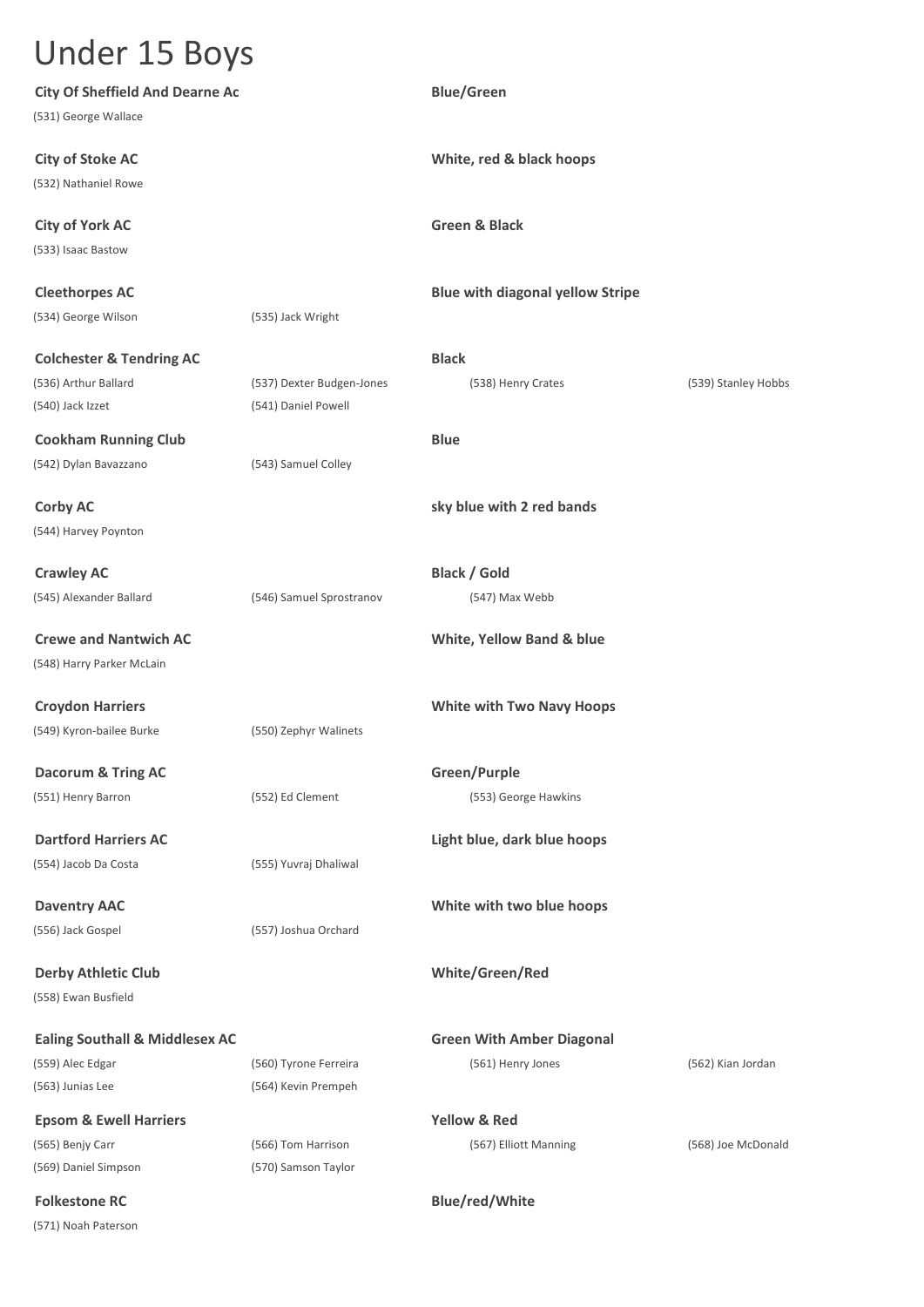| <b>City Of Sheffield And Dearne Ac</b>    |                           | <b>Blue/Green</b>                       |                     |
|-------------------------------------------|---------------------------|-----------------------------------------|---------------------|
| (531) George Wallace                      |                           |                                         |                     |
| <b>City of Stoke AC</b>                   |                           | White, red & black hoops                |                     |
| (532) Nathaniel Rowe                      |                           |                                         |                     |
| <b>City of York AC</b>                    |                           | <b>Green &amp; Black</b>                |                     |
| (533) Isaac Bastow                        |                           |                                         |                     |
| <b>Cleethorpes AC</b>                     |                           | <b>Blue with diagonal yellow Stripe</b> |                     |
| (534) George Wilson                       | (535) Jack Wright         |                                         |                     |
| <b>Colchester &amp; Tendring AC</b>       |                           | <b>Black</b>                            |                     |
| (536) Arthur Ballard                      | (537) Dexter Budgen-Jones | (538) Henry Crates                      | (539) Stanley Hobbs |
| (540) Jack Izzet                          | (541) Daniel Powell       |                                         |                     |
| <b>Cookham Running Club</b>               |                           | <b>Blue</b>                             |                     |
| (542) Dylan Bavazzano                     | (543) Samuel Colley       |                                         |                     |
| <b>Corby AC</b>                           |                           | sky blue with 2 red bands               |                     |
| (544) Harvey Poynton                      |                           |                                         |                     |
| <b>Crawley AC</b>                         |                           | <b>Black / Gold</b>                     |                     |
| (545) Alexander Ballard                   | (546) Samuel Sprostranov  | (547) Max Webb                          |                     |
| <b>Crewe and Nantwich AC</b>              |                           | White, Yellow Band & blue               |                     |
| (548) Harry Parker McLain                 |                           |                                         |                     |
| <b>Croydon Harriers</b>                   |                           | <b>White with Two Navy Hoops</b>        |                     |
| (549) Kyron-bailee Burke                  | (550) Zephyr Walinets     |                                         |                     |
| <b>Dacorum &amp; Tring AC</b>             |                           | Green/Purple                            |                     |
| (551) Henry Barron                        | (552) Ed Clement          | (553) George Hawkins                    |                     |
| <b>Dartford Harriers AC</b>               |                           | Light blue, dark blue hoops             |                     |
| (554) Jacob Da Costa                      | (555) Yuvraj Dhaliwal     |                                         |                     |
| <b>Daventry AAC</b>                       |                           | White with two blue hoops               |                     |
| (556) Jack Gospel                         | (557) Joshua Orchard      |                                         |                     |
| <b>Derby Athletic Club</b>                |                           | White/Green/Red                         |                     |
| (558) Ewan Busfield                       |                           |                                         |                     |
| <b>Ealing Southall &amp; Middlesex AC</b> |                           | <b>Green With Amber Diagonal</b>        |                     |
| (559) Alec Edgar                          | (560) Tyrone Ferreira     | (561) Henry Jones                       | (562) Kian Jordan   |
| (563) Junias Lee                          | (564) Kevin Prempeh       |                                         |                     |
| <b>Epsom &amp; Ewell Harriers</b>         |                           | <b>Yellow &amp; Red</b>                 |                     |
| (565) Benjy Carr                          | (566) Tom Harrison        | (567) Elliott Manning                   | (568) Joe McDonald  |
| (569) Daniel Simpson                      | (570) Samson Taylor       |                                         |                     |
| <b>Folkestone RC</b>                      |                           | <b>Blue/red/White</b>                   |                     |
| (571) Noah Paterson                       |                           |                                         |                     |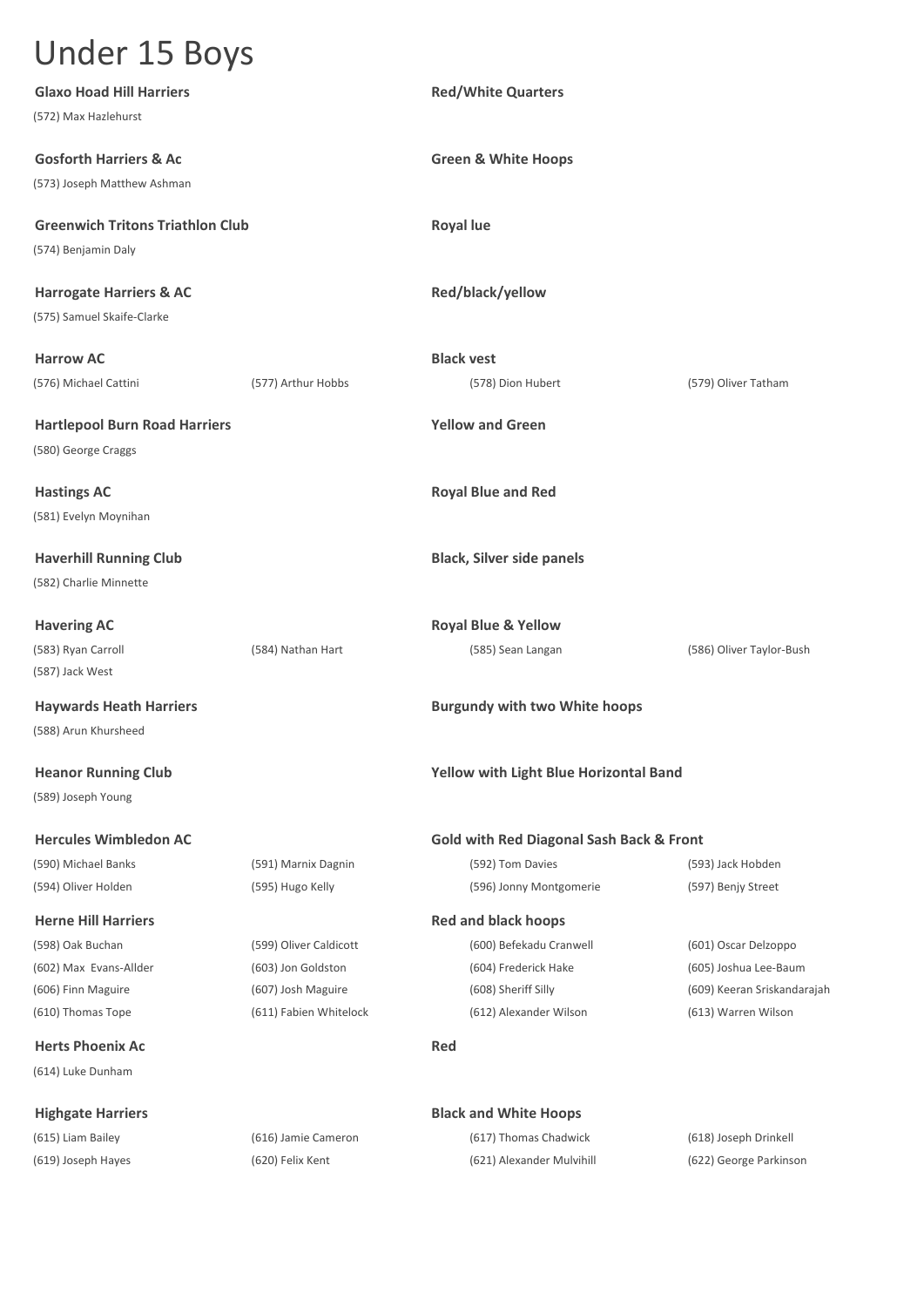| <b>Glaxo Hoad Hill Harriers</b>         |                        | <b>Red/White Quarters</b>                           |                             |
|-----------------------------------------|------------------------|-----------------------------------------------------|-----------------------------|
| (572) Max Hazlehurst                    |                        |                                                     |                             |
| <b>Gosforth Harriers &amp; Ac</b>       |                        | <b>Green &amp; White Hoops</b>                      |                             |
| (573) Joseph Matthew Ashman             |                        |                                                     |                             |
| <b>Greenwich Tritons Triathlon Club</b> |                        | <b>Royal lue</b>                                    |                             |
| (574) Benjamin Daly                     |                        |                                                     |                             |
| <b>Harrogate Harriers &amp; AC</b>      |                        | Red/black/yellow                                    |                             |
| (575) Samuel Skaife-Clarke              |                        |                                                     |                             |
| <b>Harrow AC</b>                        |                        | <b>Black vest</b>                                   |                             |
| (576) Michael Cattini                   | (577) Arthur Hobbs     | (578) Dion Hubert                                   | (579) Oliver Tatham         |
| <b>Hartlepool Burn Road Harriers</b>    |                        | <b>Yellow and Green</b>                             |                             |
| (580) George Craggs                     |                        |                                                     |                             |
| <b>Hastings AC</b>                      |                        | <b>Royal Blue and Red</b>                           |                             |
| (581) Evelyn Moynihan                   |                        |                                                     |                             |
| <b>Haverhill Running Club</b>           |                        | <b>Black, Silver side panels</b>                    |                             |
| (582) Charlie Minnette                  |                        |                                                     |                             |
| <b>Havering AC</b>                      |                        | <b>Royal Blue &amp; Yellow</b>                      |                             |
| (583) Ryan Carroll                      | (584) Nathan Hart      | (585) Sean Langan                                   | (586) Oliver Taylor-Bush    |
| (587) Jack West                         |                        |                                                     |                             |
| <b>Haywards Heath Harriers</b>          |                        | <b>Burgundy with two White hoops</b>                |                             |
| (588) Arun Khursheed                    |                        |                                                     |                             |
| <b>Heanor Running Club</b>              |                        | Yellow with Light Blue Horizontal Band              |                             |
| (589) Joseph Young                      |                        |                                                     |                             |
| <b>Hercules Wimbledon AC</b>            |                        | <b>Gold with Red Diagonal Sash Back &amp; Front</b> |                             |
| (590) Michael Banks                     | (591) Marnix Dagnin    | (592) Tom Davies                                    | (593) Jack Hobden           |
| (594) Oliver Holden                     | (595) Hugo Kelly       | (596) Jonny Montgomerie                             | (597) Benjy Street          |
| <b>Herne Hill Harriers</b>              |                        | <b>Red and black hoops</b>                          |                             |
| (598) Oak Buchan                        | (599) Oliver Caldicott | (600) Befekadu Cranwell                             | (601) Oscar Delzoppo        |
| (602) Max Evans-Allder                  | (603) Jon Goldston     | (604) Frederick Hake                                | (605) Joshua Lee-Baum       |
| (606) Finn Maguire                      | (607) Josh Maguire     | (608) Sheriff Silly                                 | (609) Keeran Sriskandarajah |
| (610) Thomas Tope                       | (611) Fabien Whitelock | (612) Alexander Wilson                              | (613) Warren Wilson         |
| <b>Herts Phoenix Ac</b>                 |                        | <b>Red</b>                                          |                             |
| (614) Luke Dunham                       |                        |                                                     |                             |
| <b>Highgate Harriers</b>                |                        | <b>Black and White Hoops</b>                        |                             |
| (615) Liam Bailey                       | (616) Jamie Cameron    | (617) Thomas Chadwick                               | (618) Joseph Drinkell       |
| (619) Joseph Hayes                      | (620) Felix Kent       | (621) Alexander Mulvihill                           | (622) George Parkinson      |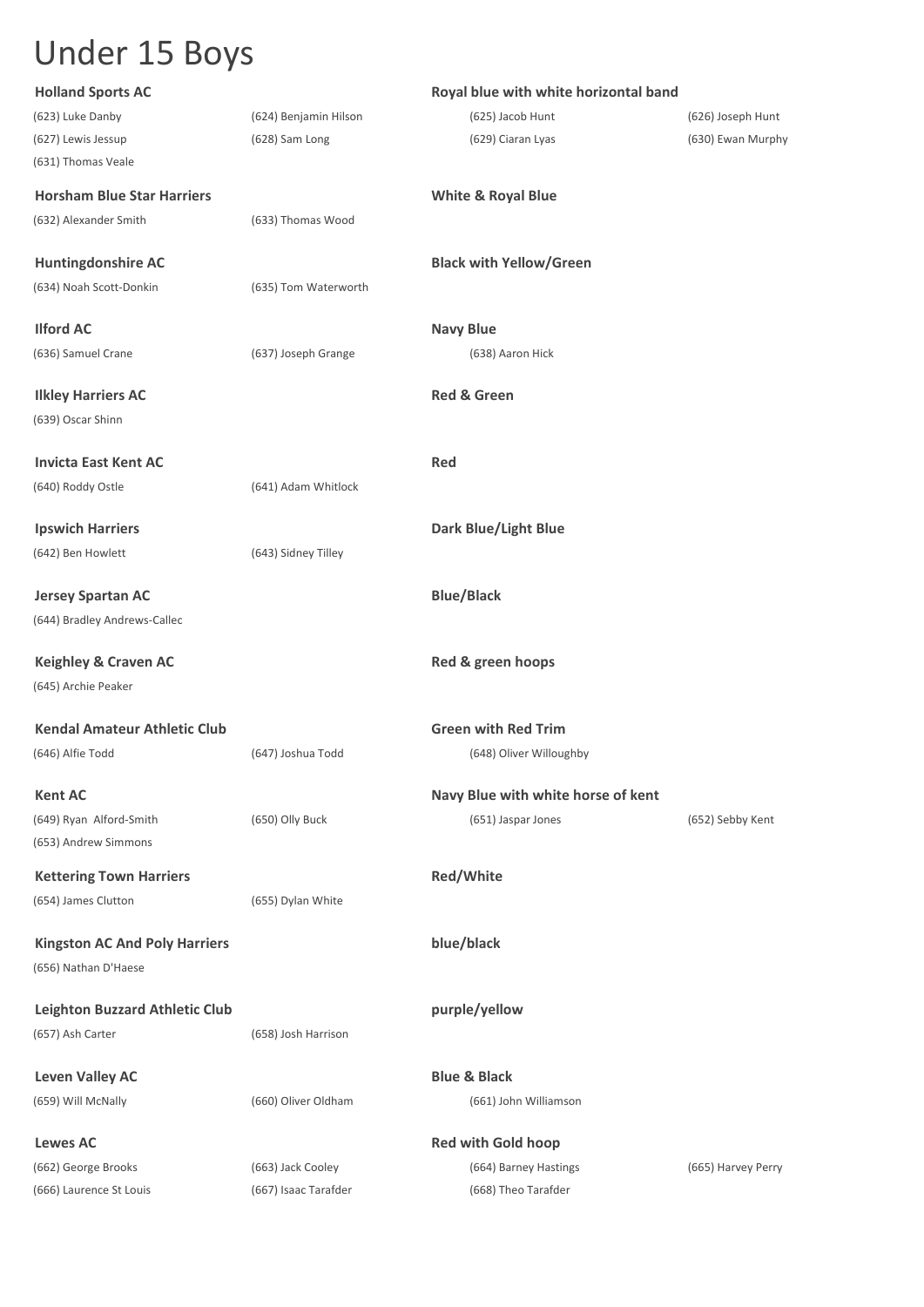| <b>Holland Sports AC</b>              |                       | Royal blue with white horizontal band |                    |
|---------------------------------------|-----------------------|---------------------------------------|--------------------|
| (623) Luke Danby                      | (624) Benjamin Hilson | (625) Jacob Hunt                      | (626) Joseph Hunt  |
| (627) Lewis Jessup                    | (628) Sam Long        | (629) Ciaran Lyas                     | (630) Ewan Murphy  |
| (631) Thomas Veale                    |                       |                                       |                    |
| <b>Horsham Blue Star Harriers</b>     |                       | <b>White &amp; Royal Blue</b>         |                    |
| (632) Alexander Smith                 | (633) Thomas Wood     |                                       |                    |
| <b>Huntingdonshire AC</b>             |                       | <b>Black with Yellow/Green</b>        |                    |
| (634) Noah Scott-Donkin               | (635) Tom Waterworth  |                                       |                    |
| <b>Ilford AC</b>                      |                       | <b>Navy Blue</b>                      |                    |
| (636) Samuel Crane                    | (637) Joseph Grange   | (638) Aaron Hick                      |                    |
| <b>Ilkley Harriers AC</b>             |                       | <b>Red &amp; Green</b>                |                    |
| (639) Oscar Shinn                     |                       |                                       |                    |
| <b>Invicta East Kent AC</b>           |                       | <b>Red</b>                            |                    |
| (640) Roddy Ostle                     | (641) Adam Whitlock   |                                       |                    |
| <b>Ipswich Harriers</b>               |                       | <b>Dark Blue/Light Blue</b>           |                    |
| (642) Ben Howlett                     | (643) Sidney Tilley   |                                       |                    |
| <b>Jersey Spartan AC</b>              |                       | <b>Blue/Black</b>                     |                    |
| (644) Bradley Andrews-Callec          |                       |                                       |                    |
| <b>Keighley &amp; Craven AC</b>       |                       | Red & green hoops                     |                    |
| (645) Archie Peaker                   |                       |                                       |                    |
| <b>Kendal Amateur Athletic Club</b>   |                       | <b>Green with Red Trim</b>            |                    |
| (646) Alfie Todd                      | (647) Joshua Todd     | (648) Oliver Willoughby               |                    |
| <b>Kent AC</b>                        |                       | Navy Blue with white horse of kent    |                    |
| (649) Ryan Alford-Smith               | (650) Olly Buck       | (651) Jaspar Jones                    | (652) Sebby Kent   |
| (653) Andrew Simmons                  |                       |                                       |                    |
| <b>Kettering Town Harriers</b>        |                       | <b>Red/White</b>                      |                    |
| (654) James Clutton                   | (655) Dylan White     |                                       |                    |
| <b>Kingston AC And Poly Harriers</b>  |                       | blue/black                            |                    |
| (656) Nathan D'Haese                  |                       |                                       |                    |
| <b>Leighton Buzzard Athletic Club</b> |                       | purple/yellow                         |                    |
| (657) Ash Carter                      | (658) Josh Harrison   |                                       |                    |
| <b>Leven Valley AC</b>                |                       | <b>Blue &amp; Black</b>               |                    |
| (659) Will McNally                    | (660) Oliver Oldham   | (661) John Williamson                 |                    |
| <b>Lewes AC</b>                       |                       | <b>Red with Gold hoop</b>             |                    |
| (662) George Brooks                   | (663) Jack Cooley     | (664) Barney Hastings                 | (665) Harvey Perry |
| (666) Laurence St Louis               | (667) Isaac Tarafder  | (668) Theo Tarafder                   |                    |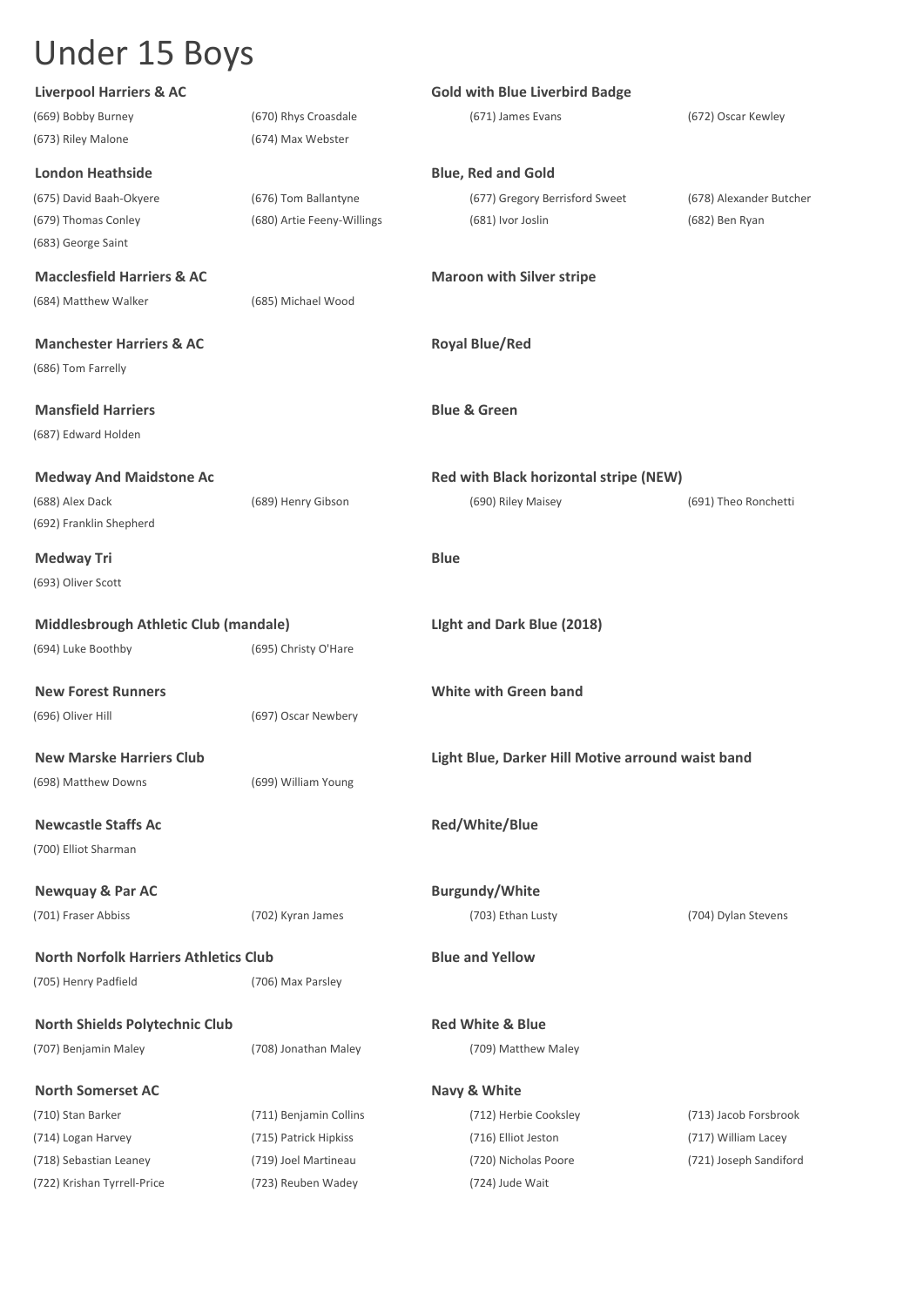| <b>Liverpool Harriers &amp; AC</b>           |                            | <b>Gold with Blue Liverbird Badge</b>             |                         |
|----------------------------------------------|----------------------------|---------------------------------------------------|-------------------------|
| (669) Bobby Burney                           | (670) Rhys Croasdale       | (671) James Evans                                 | (672) Oscar Kewley      |
| (673) Riley Malone                           | (674) Max Webster          |                                                   |                         |
| <b>London Heathside</b>                      |                            | <b>Blue, Red and Gold</b>                         |                         |
| (675) David Baah-Okyere                      | (676) Tom Ballantyne       | (677) Gregory Berrisford Sweet                    | (678) Alexander Butcher |
| (679) Thomas Conley                          | (680) Artie Feeny-Willings | (681) Ivor Joslin                                 | (682) Ben Ryan          |
| (683) George Saint                           |                            |                                                   |                         |
| <b>Macclesfield Harriers &amp; AC</b>        |                            | <b>Maroon with Silver stripe</b>                  |                         |
| (684) Matthew Walker                         | (685) Michael Wood         |                                                   |                         |
| <b>Manchester Harriers &amp; AC</b>          |                            | <b>Royal Blue/Red</b>                             |                         |
| (686) Tom Farrelly                           |                            |                                                   |                         |
| <b>Mansfield Harriers</b>                    |                            | <b>Blue &amp; Green</b>                           |                         |
| (687) Edward Holden                          |                            |                                                   |                         |
| <b>Medway And Maidstone Ac</b>               |                            | Red with Black horizontal stripe (NEW)            |                         |
| (688) Alex Dack                              | (689) Henry Gibson         | (690) Riley Maisey                                | (691) Theo Ronchetti    |
| (692) Franklin Shepherd                      |                            |                                                   |                         |
| Medway Tri                                   |                            | <b>Blue</b>                                       |                         |
| (693) Oliver Scott                           |                            |                                                   |                         |
| Middlesbrough Athletic Club (mandale)        |                            | Light and Dark Blue (2018)                        |                         |
| (694) Luke Boothby                           | (695) Christy O'Hare       |                                                   |                         |
| <b>New Forest Runners</b>                    |                            | <b>White with Green band</b>                      |                         |
| (696) Oliver Hill                            | (697) Oscar Newbery        |                                                   |                         |
| <b>New Marske Harriers Club</b>              |                            | Light Blue, Darker Hill Motive arround waist band |                         |
| (698) Matthew Downs                          | (699) William Young        |                                                   |                         |
| <b>Newcastle Staffs Ac</b>                   |                            | Red/White/Blue                                    |                         |
| (700) Elliot Sharman                         |                            |                                                   |                         |
| <b>Newquay &amp; Par AC</b>                  |                            | <b>Burgundy/White</b>                             |                         |
| (701) Fraser Abbiss                          | (702) Kyran James          | (703) Ethan Lusty                                 | (704) Dylan Stevens     |
| <b>North Norfolk Harriers Athletics Club</b> |                            | <b>Blue and Yellow</b>                            |                         |
| (705) Henry Padfield                         | (706) Max Parsley          |                                                   |                         |
| <b>North Shields Polytechnic Club</b>        |                            | <b>Red White &amp; Blue</b>                       |                         |
| (707) Benjamin Maley                         | (708) Jonathan Maley       | (709) Matthew Maley                               |                         |
|                                              |                            |                                                   |                         |
| <b>North Somerset AC</b>                     |                            | Navy & White                                      |                         |
| (710) Stan Barker                            | (711) Benjamin Collins     | (712) Herbie Cooksley                             | (713) Jacob Forsbrook   |
| (714) Logan Harvey                           | (715) Patrick Hipkiss      | (716) Elliot Jeston                               | (717) William Lacey     |
| (718) Sebastian Leaney                       | (719) Joel Martineau       | (720) Nicholas Poore                              | (721) Joseph Sandiford  |
| (722) Krishan Tyrrell-Price                  | (723) Reuben Wadey         | (724) Jude Wait                                   |                         |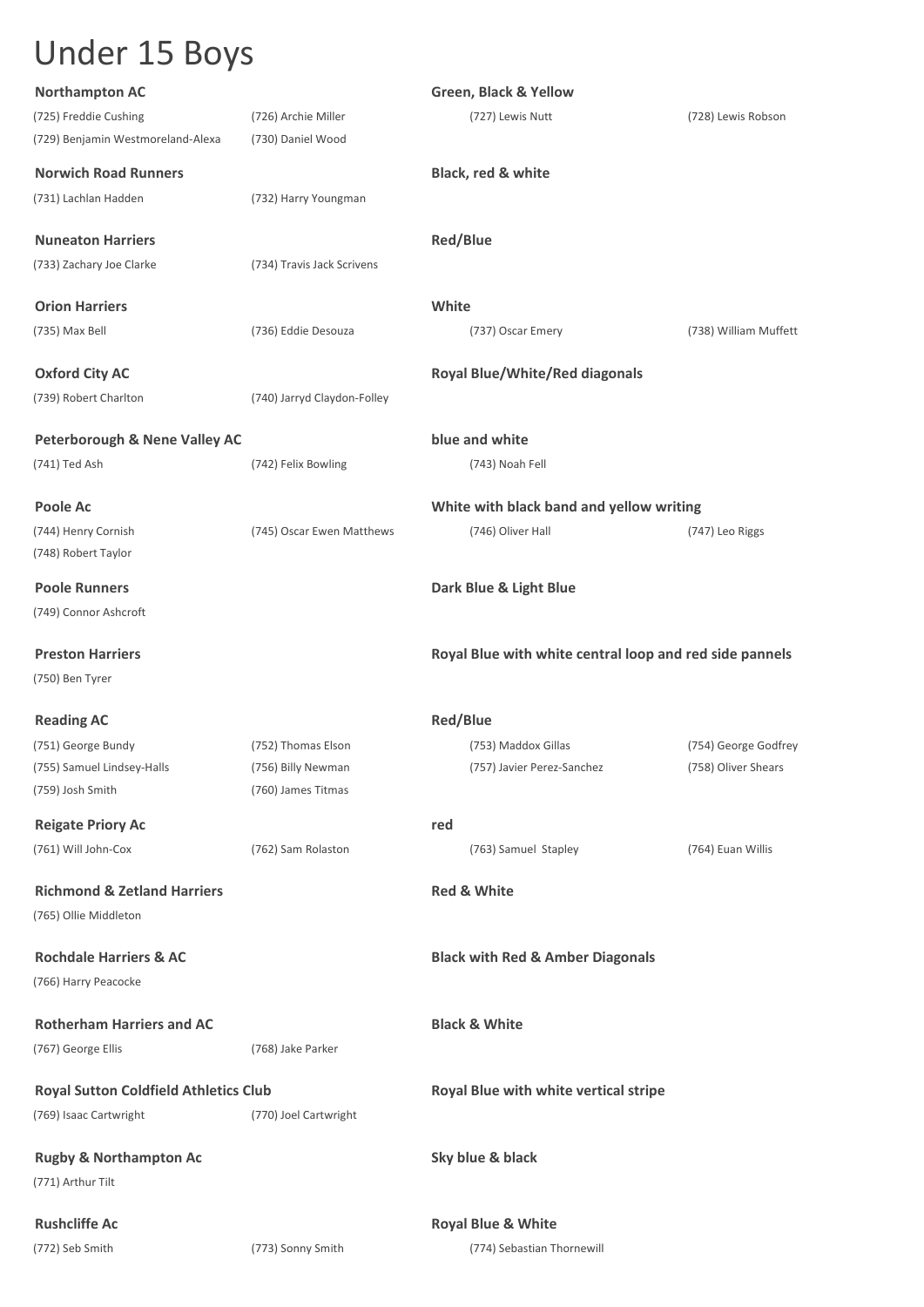| <b>Northampton AC</b>                                  |                             | <b>Green, Black &amp; Yellow</b>                        |                       |
|--------------------------------------------------------|-----------------------------|---------------------------------------------------------|-----------------------|
| (725) Freddie Cushing                                  | (726) Archie Miller         | (727) Lewis Nutt                                        | (728) Lewis Robson    |
| (729) Benjamin Westmoreland-Alexa                      | (730) Daniel Wood           |                                                         |                       |
| <b>Norwich Road Runners</b>                            |                             | Black, red & white                                      |                       |
| (731) Lachlan Hadden                                   | (732) Harry Youngman        |                                                         |                       |
|                                                        |                             |                                                         |                       |
| <b>Nuneaton Harriers</b>                               |                             | <b>Red/Blue</b>                                         |                       |
| (733) Zachary Joe Clarke                               | (734) Travis Jack Scrivens  |                                                         |                       |
| <b>Orion Harriers</b>                                  |                             | White                                                   |                       |
| (735) Max Bell                                         | (736) Eddie Desouza         | (737) Oscar Emery                                       | (738) William Muffett |
|                                                        |                             |                                                         |                       |
| <b>Oxford City AC</b>                                  |                             | <b>Royal Blue/White/Red diagonals</b>                   |                       |
| (739) Robert Charlton                                  | (740) Jarryd Claydon-Folley |                                                         |                       |
| <b>Peterborough &amp; Nene Valley AC</b>               |                             | blue and white                                          |                       |
| (741) Ted Ash                                          | (742) Felix Bowling         | (743) Noah Fell                                         |                       |
|                                                        |                             |                                                         |                       |
| Poole Ac                                               |                             | White with black band and yellow writing                |                       |
| (744) Henry Cornish                                    | (745) Oscar Ewen Matthews   | (746) Oliver Hall                                       | (747) Leo Riggs       |
| (748) Robert Taylor                                    |                             |                                                         |                       |
| <b>Poole Runners</b>                                   |                             | Dark Blue & Light Blue                                  |                       |
| (749) Connor Ashcroft                                  |                             |                                                         |                       |
| <b>Preston Harriers</b>                                |                             |                                                         |                       |
| (750) Ben Tyrer                                        |                             | Royal Blue with white central loop and red side pannels |                       |
|                                                        |                             |                                                         |                       |
| <b>Reading AC</b>                                      |                             | <b>Red/Blue</b>                                         |                       |
| (751) George Bundy                                     | (752) Thomas Elson          | (753) Maddox Gillas                                     | (754) George Godfrey  |
| (755) Samuel Lindsey-Halls                             | (756) Billy Newman          | (757) Javier Perez-Sanchez                              | (758) Oliver Shears   |
| (759) Josh Smith                                       | (760) James Titmas          |                                                         |                       |
| <b>Reigate Priory Ac</b>                               |                             | red                                                     |                       |
| (761) Will John-Cox                                    | (762) Sam Rolaston          | (763) Samuel Stapley                                    | (764) Euan Willis     |
| <b>Richmond &amp; Zetland Harriers</b>                 |                             | <b>Red &amp; White</b>                                  |                       |
| (765) Ollie Middleton                                  |                             |                                                         |                       |
|                                                        |                             |                                                         |                       |
| <b>Rochdale Harriers &amp; AC</b>                      |                             | <b>Black with Red &amp; Amber Diagonals</b>             |                       |
| (766) Harry Peacocke                                   |                             |                                                         |                       |
|                                                        |                             |                                                         |                       |
| <b>Rotherham Harriers and AC</b>                       |                             | <b>Black &amp; White</b>                                |                       |
| (767) George Ellis                                     | (768) Jake Parker           |                                                         |                       |
| <b>Royal Sutton Coldfield Athletics Club</b>           |                             | Royal Blue with white vertical stripe                   |                       |
| (769) Isaac Cartwright                                 | (770) Joel Cartwright       |                                                         |                       |
|                                                        |                             |                                                         |                       |
| <b>Rugby &amp; Northampton Ac</b><br>(771) Arthur Tilt |                             | Sky blue & black                                        |                       |
|                                                        |                             |                                                         |                       |
| <b>Rushcliffe Ac</b>                                   |                             | <b>Royal Blue &amp; White</b>                           |                       |
| (772) Seb Smith                                        | (773) Sonny Smith           | (774) Sebastian Thornewill                              |                       |
|                                                        |                             |                                                         |                       |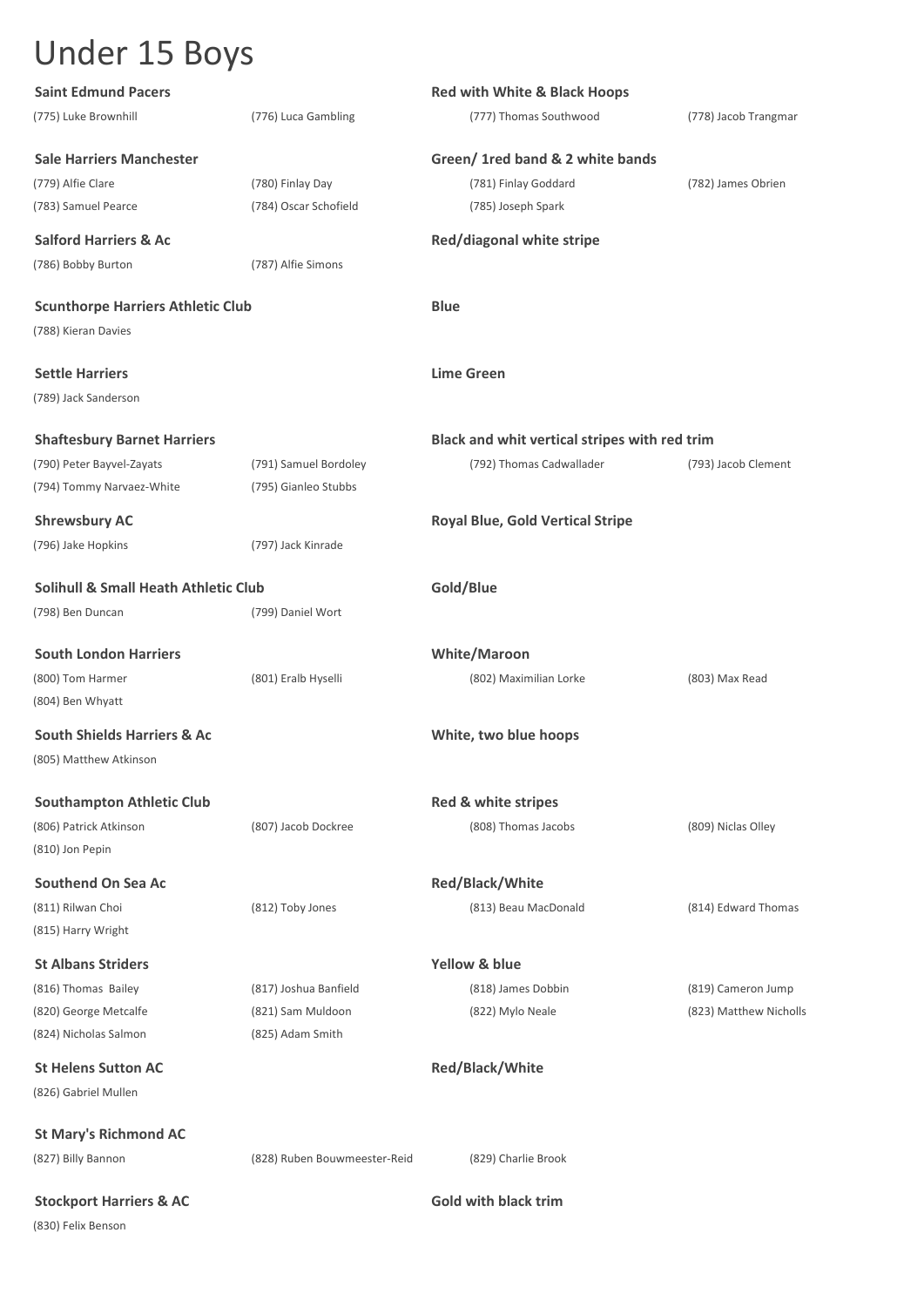| <b>Saint Edmund Pacers</b>                      |                              | <b>Red with White &amp; Black Hoops</b>       |                        |
|-------------------------------------------------|------------------------------|-----------------------------------------------|------------------------|
| (775) Luke Brownhill                            | (776) Luca Gambling          | (777) Thomas Southwood                        | (778) Jacob Trangmar   |
| <b>Sale Harriers Manchester</b>                 |                              | Green/ 1red band & 2 white bands              |                        |
| (779) Alfie Clare                               | (780) Finlay Day             | (781) Finlay Goddard                          | (782) James Obrien     |
| (783) Samuel Pearce                             | (784) Oscar Schofield        | (785) Joseph Spark                            |                        |
| <b>Salford Harriers &amp; Ac</b>                |                              | Red/diagonal white stripe                     |                        |
| (786) Bobby Burton                              | (787) Alfie Simons           |                                               |                        |
| <b>Scunthorpe Harriers Athletic Club</b>        |                              | <b>Blue</b>                                   |                        |
| (788) Kieran Davies                             |                              |                                               |                        |
| <b>Settle Harriers</b>                          |                              | <b>Lime Green</b>                             |                        |
| (789) Jack Sanderson                            |                              |                                               |                        |
| <b>Shaftesbury Barnet Harriers</b>              |                              | Black and whit vertical stripes with red trim |                        |
| (790) Peter Bayvel-Zayats                       | (791) Samuel Bordoley        | (792) Thomas Cadwallader                      | (793) Jacob Clement    |
| (794) Tommy Narvaez-White                       | (795) Gianleo Stubbs         |                                               |                        |
| <b>Shrewsbury AC</b>                            |                              | <b>Royal Blue, Gold Vertical Stripe</b>       |                        |
| (796) Jake Hopkins                              | (797) Jack Kinrade           |                                               |                        |
| <b>Solihull &amp; Small Heath Athletic Club</b> |                              | Gold/Blue                                     |                        |
| (798) Ben Duncan                                | (799) Daniel Wort            |                                               |                        |
| <b>South London Harriers</b>                    |                              | <b>White/Maroon</b>                           |                        |
| (800) Tom Harmer                                | (801) Eralb Hyselli          | (802) Maximilian Lorke                        | (803) Max Read         |
| (804) Ben Whyatt                                |                              |                                               |                        |
| <b>South Shields Harriers &amp; Ac</b>          |                              | White, two blue hoops                         |                        |
| (805) Matthew Atkinson                          |                              |                                               |                        |
| <b>Southampton Athletic Club</b>                |                              | Red & white stripes                           |                        |
| (806) Patrick Atkinson                          | (807) Jacob Dockree          | (808) Thomas Jacobs                           | (809) Niclas Olley     |
| (810) Jon Pepin                                 |                              |                                               |                        |
| <b>Southend On Sea Ac</b>                       |                              | <b>Red/Black/White</b>                        |                        |
| (811) Rilwan Choi                               | (812) Toby Jones             | (813) Beau MacDonald                          | (814) Edward Thomas    |
| (815) Harry Wright                              |                              |                                               |                        |
| <b>St Albans Striders</b>                       |                              | <b>Yellow &amp; blue</b>                      |                        |
| (816) Thomas Bailey                             | (817) Joshua Banfield        | (818) James Dobbin                            | (819) Cameron Jump     |
| (820) George Metcalfe                           | (821) Sam Muldoon            | (822) Mylo Neale                              | (823) Matthew Nicholls |
| (824) Nicholas Salmon                           | (825) Adam Smith             |                                               |                        |
| <b>St Helens Sutton AC</b>                      |                              | Red/Black/White                               |                        |
| (826) Gabriel Mullen                            |                              |                                               |                        |
| <b>St Mary's Richmond AC</b>                    |                              |                                               |                        |
| (827) Billy Bannon                              | (828) Ruben Bouwmeester-Reid | (829) Charlie Brook                           |                        |
| <b>Stockport Harriers &amp; AC</b>              |                              | <b>Gold with black trim</b>                   |                        |
| (830) Felix Benson                              |                              |                                               |                        |
|                                                 |                              |                                               |                        |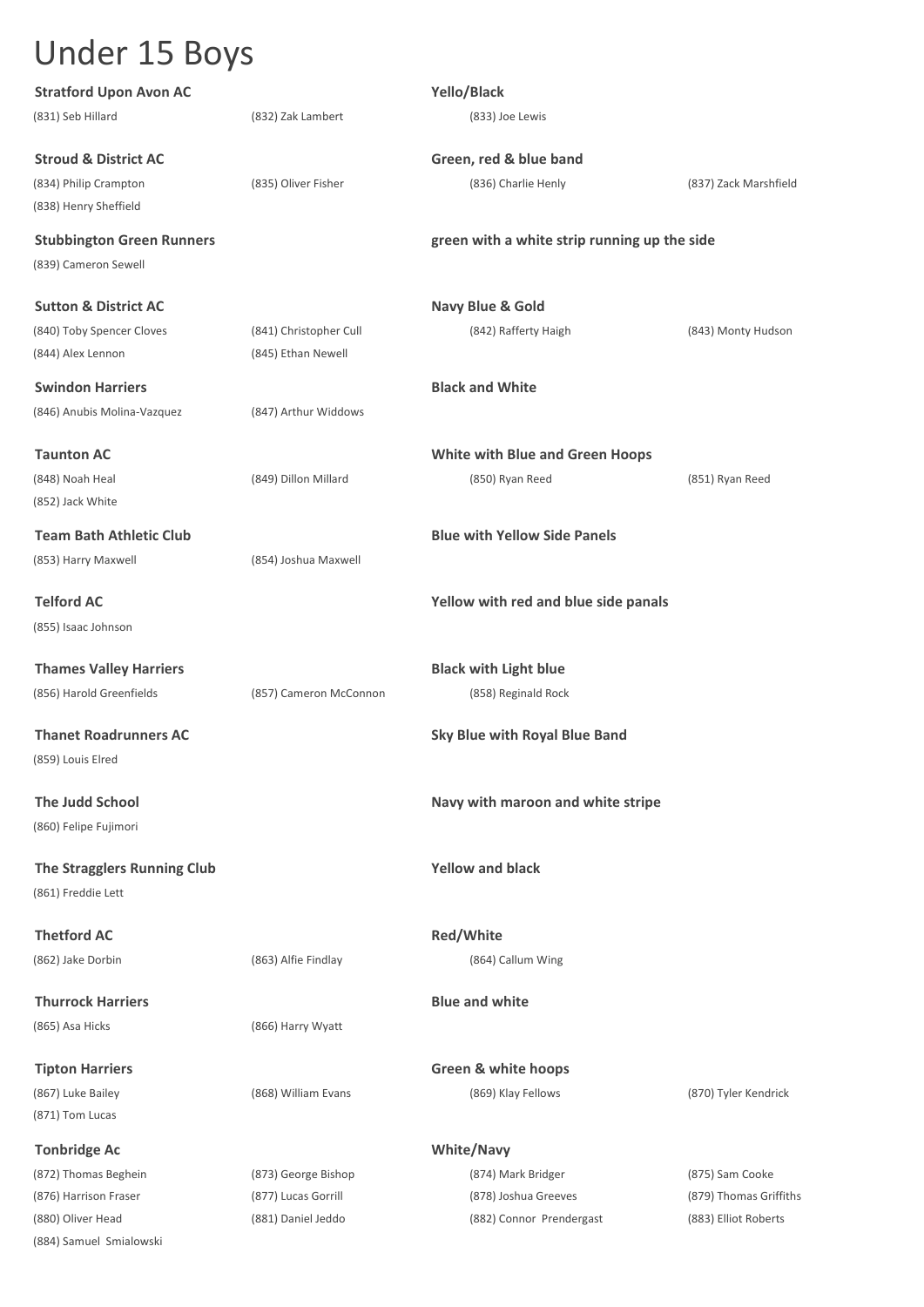| <b>Stratford Upon Avon AC</b>    |                        | Yello/Black                                  |                        |
|----------------------------------|------------------------|----------------------------------------------|------------------------|
| (831) Seb Hillard                | (832) Zak Lambert      | (833) Joe Lewis                              |                        |
| <b>Stroud &amp; District AC</b>  |                        | Green, red & blue band                       |                        |
| (834) Philip Crampton            | (835) Oliver Fisher    | (836) Charlie Henly                          | (837) Zack Marshfield  |
| (838) Henry Sheffield            |                        |                                              |                        |
| <b>Stubbington Green Runners</b> |                        | green with a white strip running up the side |                        |
| (839) Cameron Sewell             |                        |                                              |                        |
| <b>Sutton &amp; District AC</b>  |                        | <b>Navy Blue &amp; Gold</b>                  |                        |
| (840) Toby Spencer Cloves        | (841) Christopher Cull | (842) Rafferty Haigh                         | (843) Monty Hudson     |
| (844) Alex Lennon                | (845) Ethan Newell     |                                              |                        |
| <b>Swindon Harriers</b>          |                        | <b>Black and White</b>                       |                        |
| (846) Anubis Molina-Vazquez      | (847) Arthur Widdows   |                                              |                        |
| <b>Taunton AC</b>                |                        | <b>White with Blue and Green Hoops</b>       |                        |
| (848) Noah Heal                  | (849) Dillon Millard   | (850) Ryan Reed                              | (851) Ryan Reed        |
| (852) Jack White                 |                        |                                              |                        |
| <b>Team Bath Athletic Club</b>   |                        | <b>Blue with Yellow Side Panels</b>          |                        |
| (853) Harry Maxwell              | (854) Joshua Maxwell   |                                              |                        |
| <b>Telford AC</b>                |                        | Yellow with red and blue side panals         |                        |
| (855) Isaac Johnson              |                        |                                              |                        |
| <b>Thames Valley Harriers</b>    |                        | <b>Black with Light blue</b>                 |                        |
| (856) Harold Greenfields         | (857) Cameron McConnon | (858) Reginald Rock                          |                        |
| <b>Thanet Roadrunners AC</b>     |                        | <b>Sky Blue with Royal Blue Band</b>         |                        |
| (859) Louis Elred                |                        |                                              |                        |
| <b>The Judd School</b>           |                        | Navy with maroon and white stripe            |                        |
| (860) Felipe Fujimori            |                        |                                              |                        |
| The Stragglers Running Club      |                        | <b>Yellow and black</b>                      |                        |
| (861) Freddie Lett               |                        |                                              |                        |
| <b>Thetford AC</b>               |                        | Red/White                                    |                        |
| (862) Jake Dorbin                | (863) Alfie Findlay    | (864) Callum Wing                            |                        |
| <b>Thurrock Harriers</b>         |                        | <b>Blue and white</b>                        |                        |
| (865) Asa Hicks                  | (866) Harry Wyatt      |                                              |                        |
| <b>Tipton Harriers</b>           |                        | <b>Green &amp; white hoops</b>               |                        |
| (867) Luke Bailey                | (868) William Evans    | (869) Klay Fellows                           | (870) Tyler Kendrick   |
| (871) Tom Lucas                  |                        |                                              |                        |
| <b>Tonbridge Ac</b>              |                        | <b>White/Navy</b>                            |                        |
| (872) Thomas Beghein             | (873) George Bishop    | (874) Mark Bridger                           | (875) Sam Cooke        |
| (876) Harrison Fraser            | (877) Lucas Gorrill    | (878) Joshua Greeves                         | (879) Thomas Griffiths |
| (880) Oliver Head                | (881) Daniel Jeddo     | (882) Connor Prendergast                     | (883) Elliot Roberts   |
| (884) Samuel Smialowski          |                        |                                              |                        |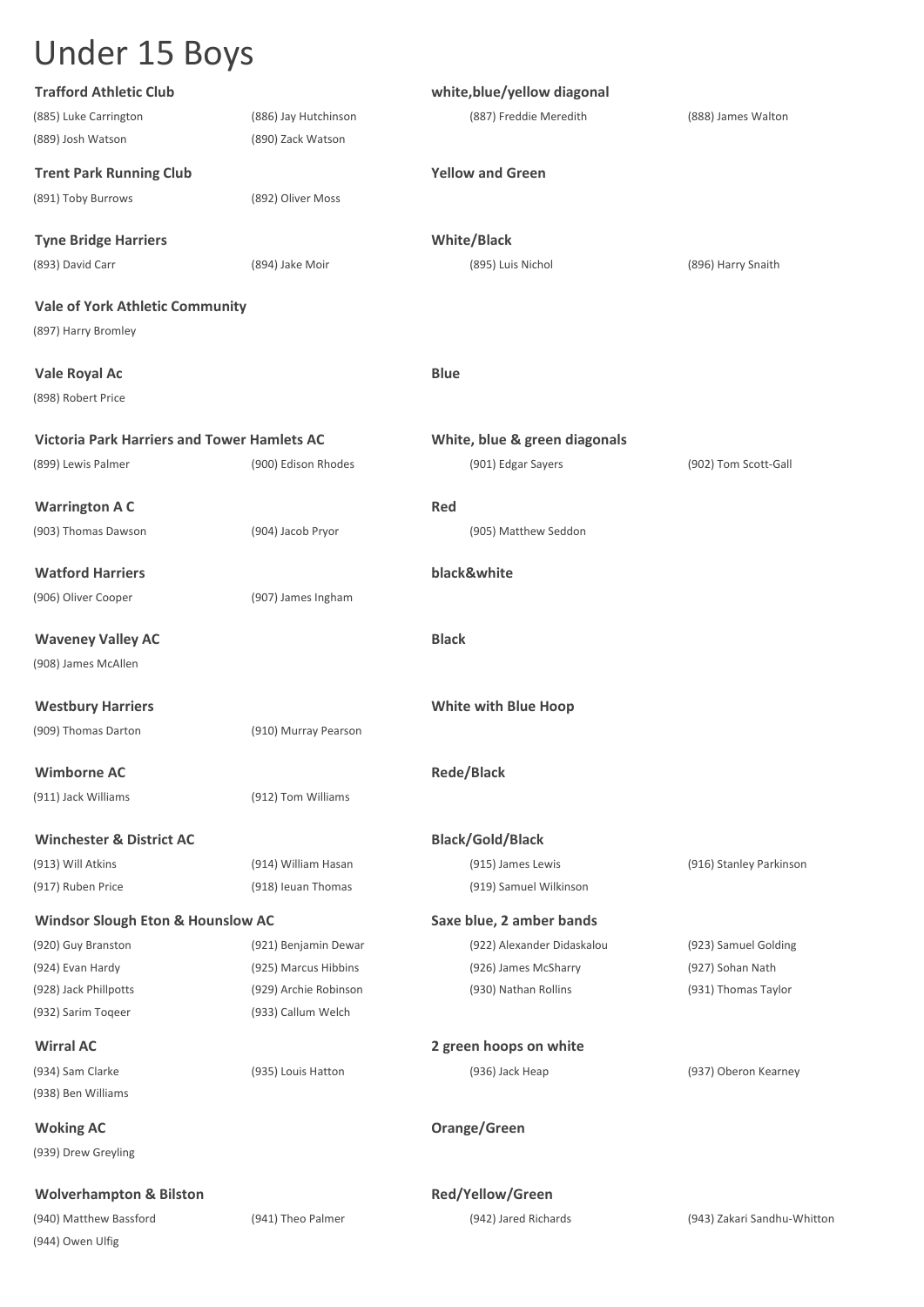| <b>Trafford Athletic Club</b>                      |                       | white, blue/yellow diagonal   |                             |
|----------------------------------------------------|-----------------------|-------------------------------|-----------------------------|
| (885) Luke Carrington                              | (886) Jay Hutchinson  | (887) Freddie Meredith        | (888) James Walton          |
| (889) Josh Watson                                  | (890) Zack Watson     |                               |                             |
| <b>Trent Park Running Club</b>                     |                       | <b>Yellow and Green</b>       |                             |
| (891) Toby Burrows                                 | (892) Oliver Moss     |                               |                             |
|                                                    |                       |                               |                             |
| <b>Tyne Bridge Harriers</b>                        |                       | <b>White/Black</b>            |                             |
| (893) David Carr                                   | (894) Jake Moir       | (895) Luis Nichol             | (896) Harry Snaith          |
| <b>Vale of York Athletic Community</b>             |                       |                               |                             |
| (897) Harry Bromley                                |                       |                               |                             |
|                                                    |                       |                               |                             |
| Vale Royal Ac                                      |                       | <b>Blue</b>                   |                             |
| (898) Robert Price                                 |                       |                               |                             |
| <b>Victoria Park Harriers and Tower Hamlets AC</b> |                       | White, blue & green diagonals |                             |
| (899) Lewis Palmer                                 | (900) Edison Rhodes   | (901) Edgar Sayers            | (902) Tom Scott-Gall        |
|                                                    |                       |                               |                             |
| <b>Warrington A C</b>                              |                       | Red                           |                             |
| (903) Thomas Dawson                                | (904) Jacob Pryor     | (905) Matthew Seddon          |                             |
|                                                    |                       |                               |                             |
| <b>Watford Harriers</b>                            |                       | black&white                   |                             |
| (906) Oliver Cooper                                | (907) James Ingham    |                               |                             |
| <b>Waveney Valley AC</b>                           |                       | <b>Black</b>                  |                             |
| (908) James McAllen                                |                       |                               |                             |
|                                                    |                       |                               |                             |
| <b>Westbury Harriers</b>                           |                       | <b>White with Blue Hoop</b>   |                             |
| (909) Thomas Darton                                | (910) Murray Pearson  |                               |                             |
|                                                    |                       |                               |                             |
| <b>Wimborne AC</b>                                 |                       | <b>Rede/Black</b>             |                             |
| (911) Jack Williams                                | (912) Tom Williams    |                               |                             |
| <b>Winchester &amp; District AC</b>                |                       | <b>Black/Gold/Black</b>       |                             |
| (913) Will Atkins                                  | (914) William Hasan   | (915) James Lewis             | (916) Stanley Parkinson     |
| (917) Ruben Price                                  | (918) Ieuan Thomas    | (919) Samuel Wilkinson        |                             |
| <b>Windsor Slough Eton &amp; Hounslow AC</b>       |                       | Saxe blue, 2 amber bands      |                             |
| (920) Guy Branston                                 | (921) Benjamin Dewar  | (922) Alexander Didaskalou    | (923) Samuel Golding        |
| (924) Evan Hardy                                   | (925) Marcus Hibbins  | (926) James McSharry          | (927) Sohan Nath            |
| (928) Jack Phillpotts                              | (929) Archie Robinson | (930) Nathan Rollins          | (931) Thomas Taylor         |
| (932) Sarim Togeer                                 | (933) Callum Welch    |                               |                             |
|                                                    |                       |                               |                             |
| <b>Wirral AC</b>                                   |                       | 2 green hoops on white        |                             |
| (934) Sam Clarke                                   | (935) Louis Hatton    | (936) Jack Heap               | (937) Oberon Kearney        |
| (938) Ben Williams                                 |                       |                               |                             |
| <b>Woking AC</b>                                   |                       | Orange/Green                  |                             |
| (939) Drew Greyling                                |                       |                               |                             |
|                                                    |                       |                               |                             |
| <b>Wolverhampton &amp; Bilston</b>                 |                       | Red/Yellow/Green              |                             |
| (940) Matthew Bassford                             | (941) Theo Palmer     | (942) Jared Richards          | (943) Zakari Sandhu-Whittor |
| (944) Owen Ulfig                                   |                       |                               |                             |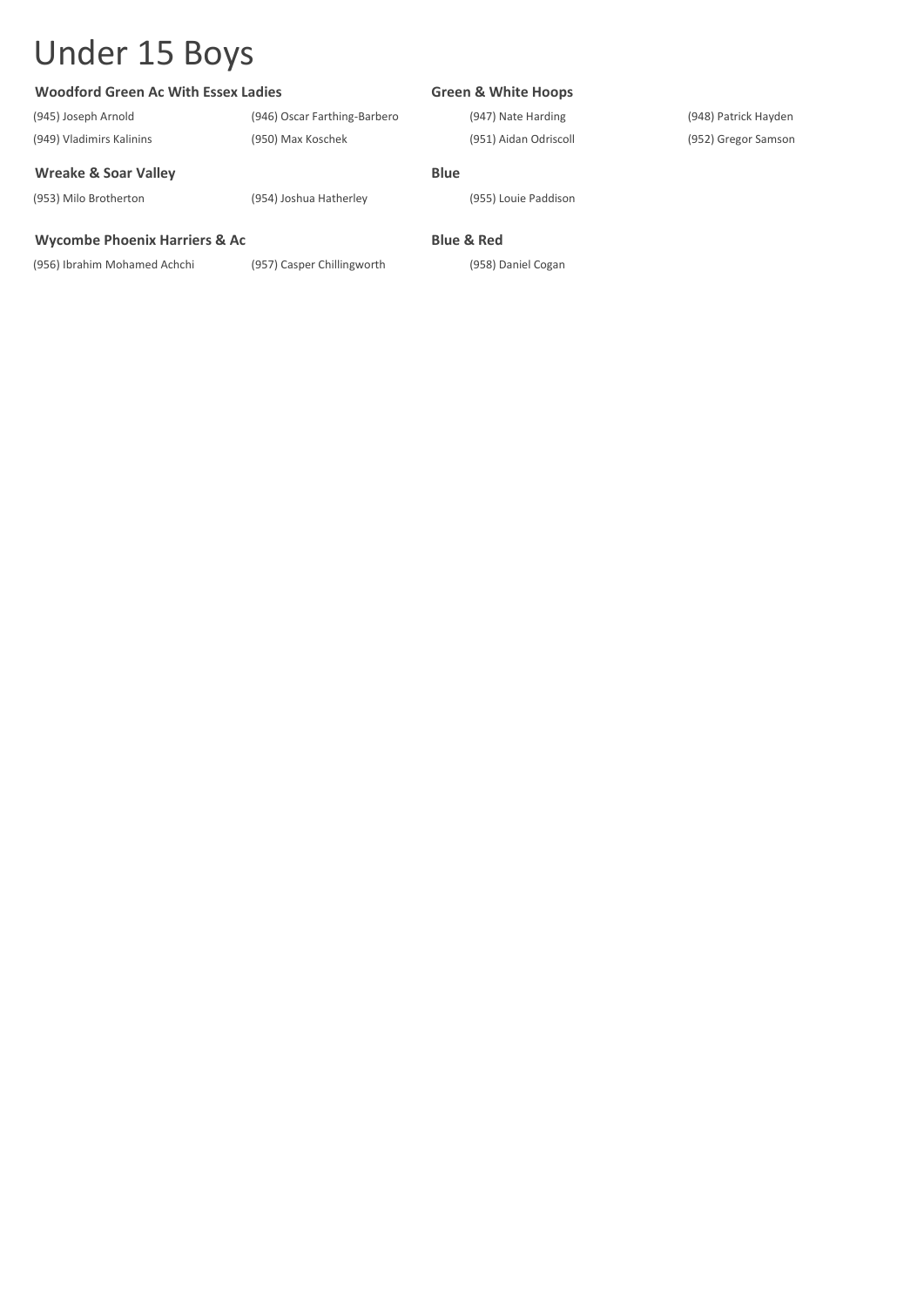#### **Woodford Green Ac With Essex Ladies Green & White Hoops**

(945) Joseph Arnold (946) Oscar Farthing-Barbero (947) Nate Harding (948) Patrick Hayden

#### **Wreake & Soar Valley <b>Blue Blue**

(953) Milo Brotherton (954) Joshua Hatherley (955) Louie Paddison

#### **Wycombe Phoenix Harriers & Ac Blue & Red**

(956) Ibrahim Mohamed Achchi (957) Casper Chillingworth (958) Daniel Cogan

(949) Vladimirs Kalinins (950) Max Koschek (951) Aidan Odriscoll (952) Gregor Samson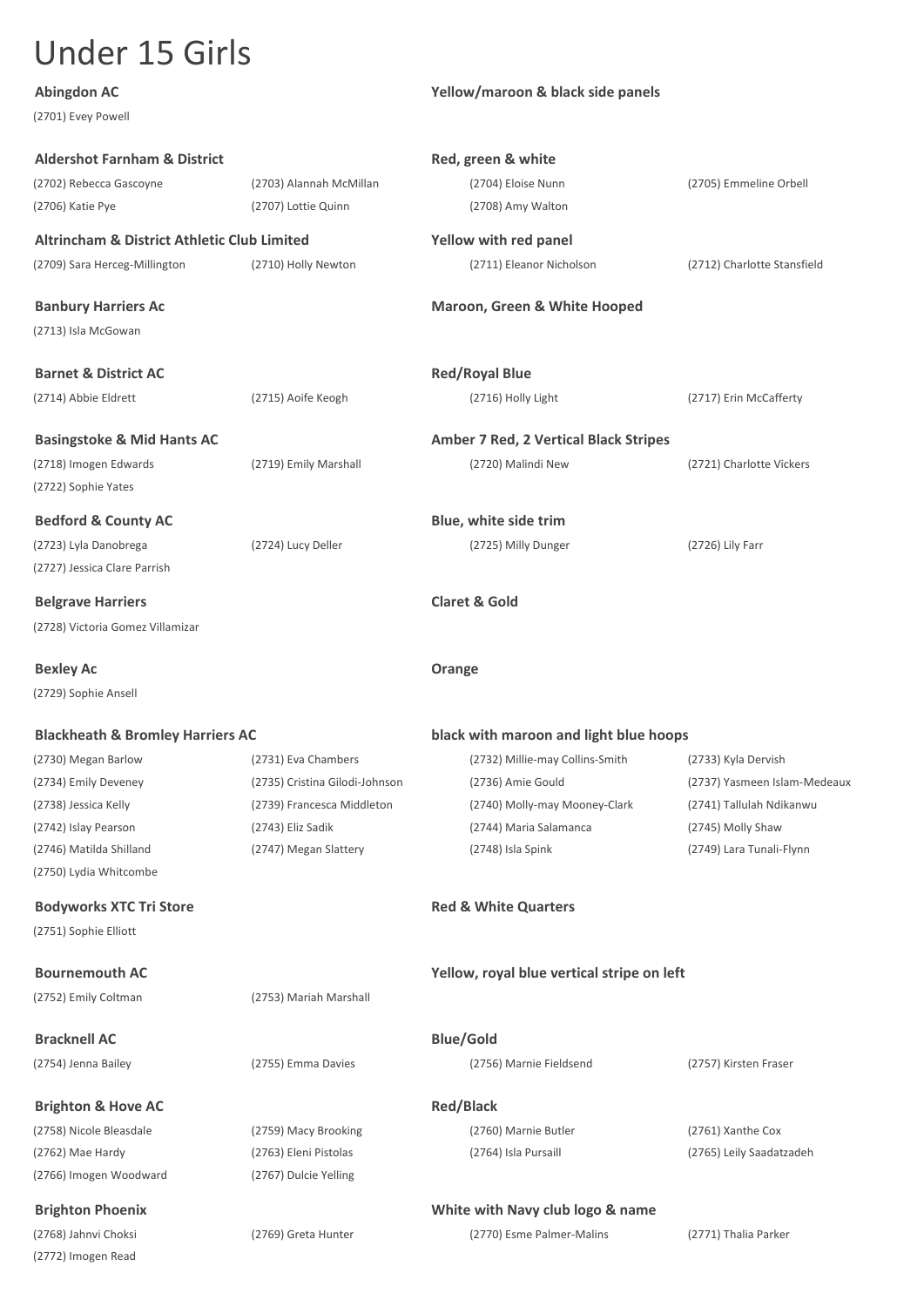(2701) Evey Powell

#### **Abingdon AC Yellow/maroon & black side panels**

| <b>Aldershot Farnham &amp; District</b>                |                                | Red, green & white                           |                              |  |
|--------------------------------------------------------|--------------------------------|----------------------------------------------|------------------------------|--|
| (2702) Rebecca Gascoyne                                | (2703) Alannah McMillan        | (2704) Eloise Nunn                           | (2705) Emmeline Orbell       |  |
| (2706) Katie Pye                                       | (2707) Lottie Quinn            | (2708) Amy Walton                            |                              |  |
| <b>Altrincham &amp; District Athletic Club Limited</b> |                                | Yellow with red panel                        |                              |  |
| (2709) Sara Herceg-Millington                          | (2710) Holly Newton            | (2711) Eleanor Nicholson                     | (2712) Charlotte Stansfield  |  |
| <b>Banbury Harriers Ac</b>                             |                                | <b>Maroon, Green &amp; White Hooped</b>      |                              |  |
| (2713) Isla McGowan                                    |                                |                                              |                              |  |
| <b>Barnet &amp; District AC</b>                        |                                | <b>Red/Royal Blue</b>                        |                              |  |
| (2714) Abbie Eldrett                                   | (2715) Aoife Keogh             | (2716) Holly Light                           | (2717) Erin McCafferty       |  |
| <b>Basingstoke &amp; Mid Hants AC</b>                  |                                | <b>Amber 7 Red, 2 Vertical Black Stripes</b> |                              |  |
| (2718) Imogen Edwards                                  | (2719) Emily Marshall          | (2720) Malindi New                           | (2721) Charlotte Vickers     |  |
| (2722) Sophie Yates                                    |                                |                                              |                              |  |
| <b>Bedford &amp; County AC</b>                         |                                | Blue, white side trim                        |                              |  |
| (2723) Lyla Danobrega                                  | (2724) Lucy Deller             | (2725) Milly Dunger                          | (2726) Lily Farr             |  |
| (2727) Jessica Clare Parrish                           |                                |                                              |                              |  |
| <b>Belgrave Harriers</b>                               |                                | <b>Claret &amp; Gold</b>                     |                              |  |
| (2728) Victoria Gomez Villamizar                       |                                |                                              |                              |  |
| <b>Bexley Ac</b>                                       |                                | Orange                                       |                              |  |
| (2729) Sophie Ansell                                   |                                |                                              |                              |  |
| <b>Blackheath &amp; Bromley Harriers AC</b>            |                                | black with maroon and light blue hoops       |                              |  |
| (2730) Megan Barlow                                    | (2731) Eva Chambers            | (2732) Millie-may Collins-Smith              | (2733) Kyla Dervish          |  |
| (2734) Emily Deveney                                   | (2735) Cristina Gilodi-Johnson | (2736) Amie Gould                            | (2737) Yasmeen Islam-Medeaux |  |
| (2738) Jessica Kelly                                   | (2739) Francesca Middleton     | (2740) Molly-may Mooney-Clark                | (2741) Tallulah Ndikanwu     |  |
| (2742) Islay Pearson                                   | (2743) Eliz Sadik              | (2744) Maria Salamanca                       | (2745) Molly Shaw            |  |
| (2746) Matilda Shilland                                | (2747) Megan Slattery          | (2748) Isla Spink                            | (2749) Lara Tunali-Flynn     |  |
| (2750) Lydia Whitcombe                                 |                                |                                              |                              |  |
| <b>Bodyworks XTC Tri Store</b>                         |                                | <b>Red &amp; White Quarters</b>              |                              |  |
| (2751) Sophie Elliott                                  |                                |                                              |                              |  |
| <b>Bournemouth AC</b>                                  |                                | Yellow, royal blue vertical stripe on left   |                              |  |
| (2752) Emily Coltman                                   | (2753) Mariah Marshall         |                                              |                              |  |
| <b>Bracknell AC</b>                                    |                                | <b>Blue/Gold</b>                             |                              |  |
| (2754) Jenna Bailey                                    | (2755) Emma Davies             | (2756) Marnie Fieldsend                      | (2757) Kirsten Fraser        |  |
| <b>Brighton &amp; Hove AC</b>                          |                                | <b>Red/Black</b>                             |                              |  |
| (2758) Nicole Bleasdale                                | (2759) Macy Brooking           | (2760) Marnie Butler                         | (2761) Xanthe Cox            |  |
| (2762) Mae Hardy                                       | (2763) Eleni Pistolas          | (2764) Isla Pursaill                         | (2765) Leily Saadatzadeh     |  |
| (2766) Imogen Woodward                                 | (2767) Dulcie Yelling          |                                              |                              |  |
| <b>Brighton Phoenix</b>                                |                                | White with Navy club logo & name             |                              |  |
| (2768) Jahnvi Choksi                                   | (2769) Greta Hunter            | (2770) Esme Palmer-Malins                    | (2771) Thalia Parker         |  |
| (2772) Imogen Read                                     |                                |                                              |                              |  |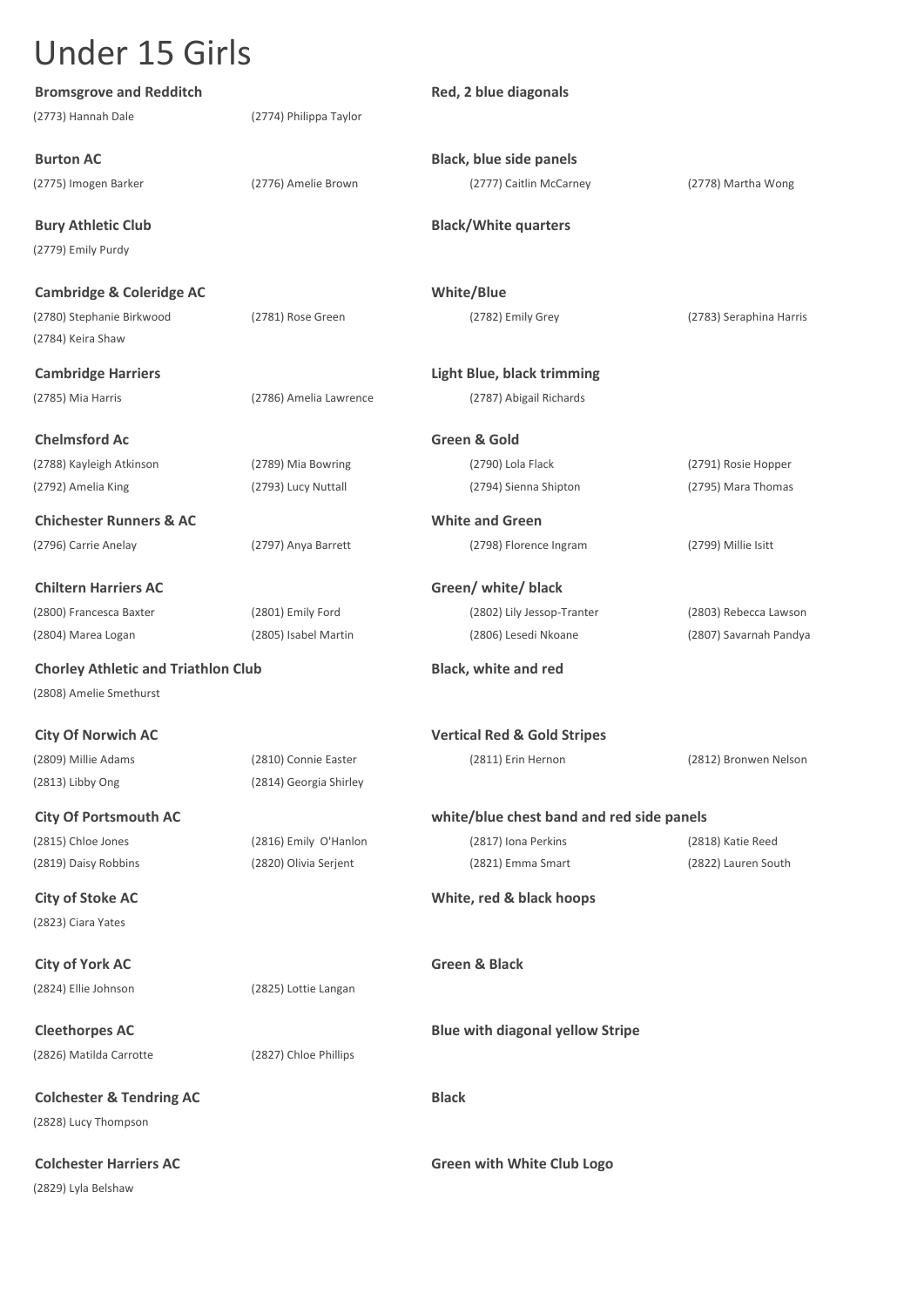| <b>Bromsgrove and Redditch</b>             |                        | Red, 2 blue diagonals                     |                         |
|--------------------------------------------|------------------------|-------------------------------------------|-------------------------|
| (2773) Hannah Dale                         | (2774) Philippa Taylor |                                           |                         |
| <b>Burton AC</b>                           |                        | <b>Black, blue side panels</b>            |                         |
| (2775) Imogen Barker                       | (2776) Amelie Brown    | (2777) Caitlin McCarney                   | (2778) Martha Wong      |
| <b>Bury Athletic Club</b>                  |                        | <b>Black/White quarters</b>               |                         |
| (2779) Emily Purdy                         |                        |                                           |                         |
| <b>Cambridge &amp; Coleridge AC</b>        |                        | <b>White/Blue</b>                         |                         |
| (2780) Stephanie Birkwood                  | (2781) Rose Green      | (2782) Emily Grey                         | (2783) Seraphina Harris |
| (2784) Keira Shaw                          |                        |                                           |                         |
| <b>Cambridge Harriers</b>                  |                        | Light Blue, black trimming                |                         |
| (2785) Mia Harris                          | (2786) Amelia Lawrence | (2787) Abigail Richards                   |                         |
| <b>Chelmsford Ac</b>                       |                        | Green & Gold                              |                         |
| (2788) Kayleigh Atkinson                   | (2789) Mia Bowring     | (2790) Lola Flack                         | (2791) Rosie Hopper     |
| (2792) Amelia King                         | (2793) Lucy Nuttall    | (2794) Sienna Shipton                     | (2795) Mara Thomas      |
| <b>Chichester Runners &amp; AC</b>         |                        | <b>White and Green</b>                    |                         |
| (2796) Carrie Anelay                       | (2797) Anya Barrett    | (2798) Florence Ingram                    | (2799) Millie Isitt     |
| <b>Chiltern Harriers AC</b>                |                        | Green/ white/ black                       |                         |
| (2800) Francesca Baxter                    | (2801) Emily Ford      | (2802) Lily Jessop-Tranter                | (2803) Rebecca Lawson   |
| (2804) Marea Logan                         | (2805) Isabel Martin   | (2806) Lesedi Nkoane                      | (2807) Savarnah Pandya  |
| <b>Chorley Athletic and Triathlon Club</b> |                        | <b>Black, white and red</b>               |                         |
| (2808) Amelie Smethurst                    |                        |                                           |                         |
| <b>City Of Norwich AC</b>                  |                        | <b>Vertical Red &amp; Gold Stripes</b>    |                         |
| (2809) Millie Adams                        | (2810) Connie Easter   | (2811) Erin Hernon                        | (2812) Bronwen Nelson   |
| (2813) Libby Ong                           | (2814) Georgia Shirley |                                           |                         |
| <b>City Of Portsmouth AC</b>               |                        | white/blue chest band and red side panels |                         |
| (2815) Chloe Jones                         | (2816) Emily O'Hanlon  | (2817) Iona Perkins                       | (2818) Katie Reed       |
| (2819) Daisy Robbins                       | (2820) Olivia Serjent  | (2821) Emma Smart                         | (2822) Lauren South     |
| <b>City of Stoke AC</b>                    |                        | White, red & black hoops                  |                         |
| (2823) Ciara Yates                         |                        |                                           |                         |
| <b>City of York AC</b>                     |                        | <b>Green &amp; Black</b>                  |                         |
| (2824) Ellie Johnson                       | (2825) Lottie Langan   |                                           |                         |
| <b>Cleethorpes AC</b>                      |                        | <b>Blue with diagonal yellow Stripe</b>   |                         |
| (2826) Matilda Carrotte                    | (2827) Chloe Phillips  |                                           |                         |
| <b>Colchester &amp; Tendring AC</b>        |                        | <b>Black</b>                              |                         |
| (2828) Lucy Thompson                       |                        |                                           |                         |
| <b>Colchester Harriers AC</b>              |                        | <b>Green with White Club Logo</b>         |                         |
| (2829) Lyla Belshaw                        |                        |                                           |                         |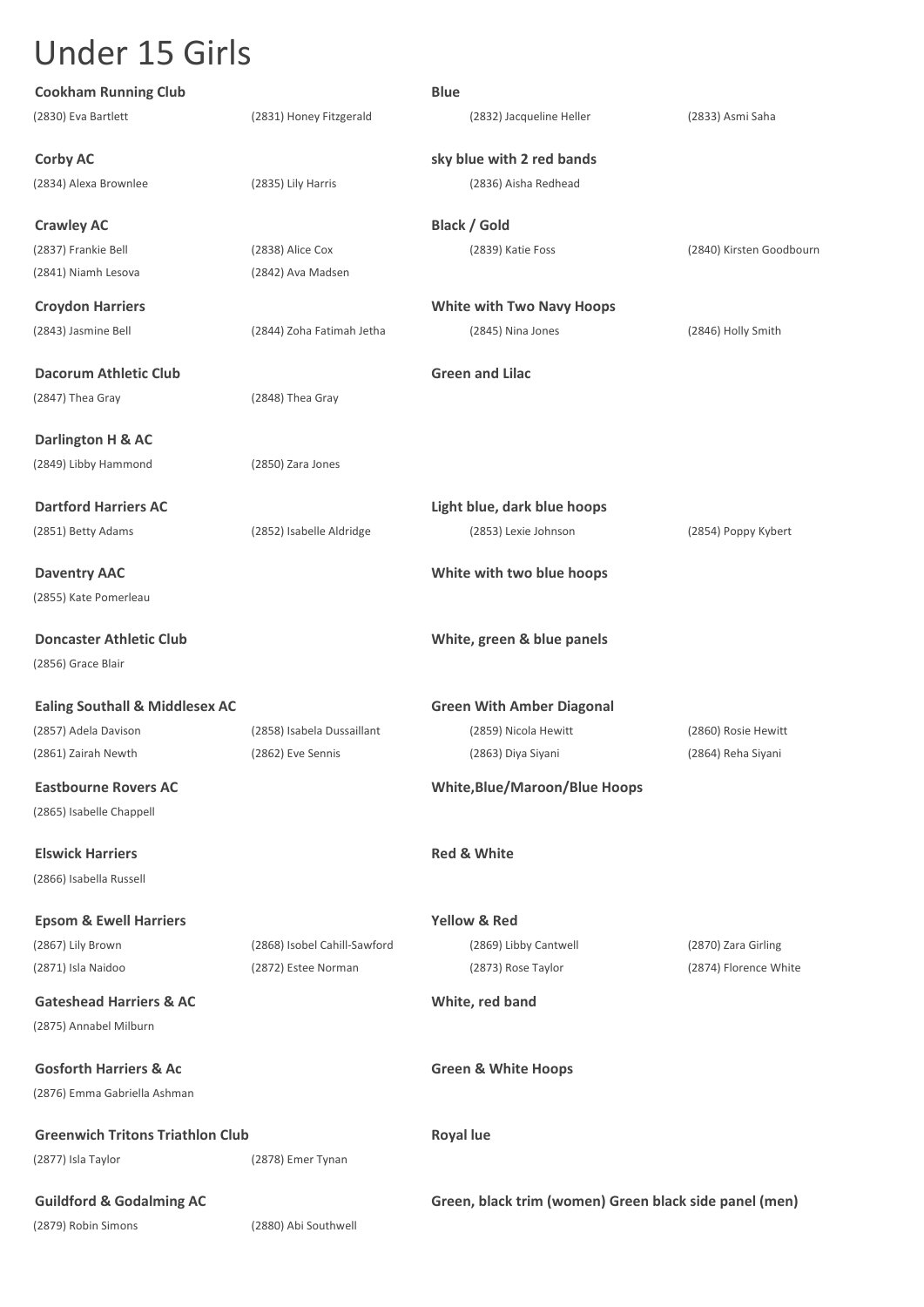| <b>Cookham Running Club</b>               |                              | <b>Blue</b>                                            |                          |
|-------------------------------------------|------------------------------|--------------------------------------------------------|--------------------------|
| (2830) Eva Bartlett                       | (2831) Honey Fitzgerald      | (2832) Jacqueline Heller                               | (2833) Asmi Saha         |
| <b>Corby AC</b>                           |                              | sky blue with 2 red bands                              |                          |
| (2834) Alexa Brownlee                     | (2835) Lily Harris           | (2836) Aisha Redhead                                   |                          |
| <b>Crawley AC</b>                         |                              | <b>Black / Gold</b>                                    |                          |
| (2837) Frankie Bell                       | (2838) Alice Cox             | (2839) Katie Foss                                      | (2840) Kirsten Goodbourn |
| (2841) Niamh Lesova                       | (2842) Ava Madsen            |                                                        |                          |
| <b>Croydon Harriers</b>                   |                              | <b>White with Two Navy Hoops</b>                       |                          |
| (2843) Jasmine Bell                       | (2844) Zoha Fatimah Jetha    | (2845) Nina Jones                                      | (2846) Holly Smith       |
| Dacorum Athletic Club                     |                              | <b>Green and Lilac</b>                                 |                          |
| (2847) Thea Gray                          | (2848) Thea Gray             |                                                        |                          |
| Darlington H & AC                         |                              |                                                        |                          |
| (2849) Libby Hammond                      | (2850) Zara Jones            |                                                        |                          |
| <b>Dartford Harriers AC</b>               |                              | Light blue, dark blue hoops                            |                          |
| (2851) Betty Adams                        | (2852) Isabelle Aldridge     | (2853) Lexie Johnson                                   | (2854) Poppy Kybert      |
|                                           |                              |                                                        |                          |
| <b>Daventry AAC</b>                       |                              | White with two blue hoops                              |                          |
| (2855) Kate Pomerleau                     |                              |                                                        |                          |
| <b>Doncaster Athletic Club</b>            |                              | White, green & blue panels                             |                          |
| (2856) Grace Blair                        |                              |                                                        |                          |
| <b>Ealing Southall &amp; Middlesex AC</b> |                              | <b>Green With Amber Diagonal</b>                       |                          |
| (2857) Adela Davison                      | (2858) Isabela Dussaillant   | (2859) Nicola Hewitt                                   | (2860) Rosie Hewitt      |
| (2861) Zairah Newth                       | (2862) Eve Sennis            | (2863) Diya Siyani                                     | (2864) Reha Siyani       |
| <b>Eastbourne Rovers AC</b>               |                              | <b>White, Blue/Maroon/Blue Hoops</b>                   |                          |
| (2865) Isabelle Chappell                  |                              |                                                        |                          |
| <b>Elswick Harriers</b>                   |                              | <b>Red &amp; White</b>                                 |                          |
| (2866) Isabella Russell                   |                              |                                                        |                          |
| <b>Epsom &amp; Ewell Harriers</b>         |                              | <b>Yellow &amp; Red</b>                                |                          |
| (2867) Lily Brown                         | (2868) Isobel Cahill-Sawford | (2869) Libby Cantwell                                  | (2870) Zara Girling      |
| (2871) Isla Naidoo                        | (2872) Estee Norman          | (2873) Rose Taylor                                     | (2874) Florence White    |
| <b>Gateshead Harriers &amp; AC</b>        |                              | White, red band                                        |                          |
| (2875) Annabel Milburn                    |                              |                                                        |                          |
| <b>Gosforth Harriers &amp; Ac</b>         |                              | <b>Green &amp; White Hoops</b>                         |                          |
| (2876) Emma Gabriella Ashman              |                              |                                                        |                          |
| <b>Greenwich Tritons Triathlon Club</b>   |                              | <b>Royal lue</b>                                       |                          |
| (2877) Isla Taylor                        | (2878) Emer Tynan            |                                                        |                          |
| <b>Guildford &amp; Godalming AC</b>       |                              | Green, black trim (women) Green black side panel (men) |                          |
| (2879) Robin Simons                       | (2880) Abi Southwell         |                                                        |                          |
|                                           |                              |                                                        |                          |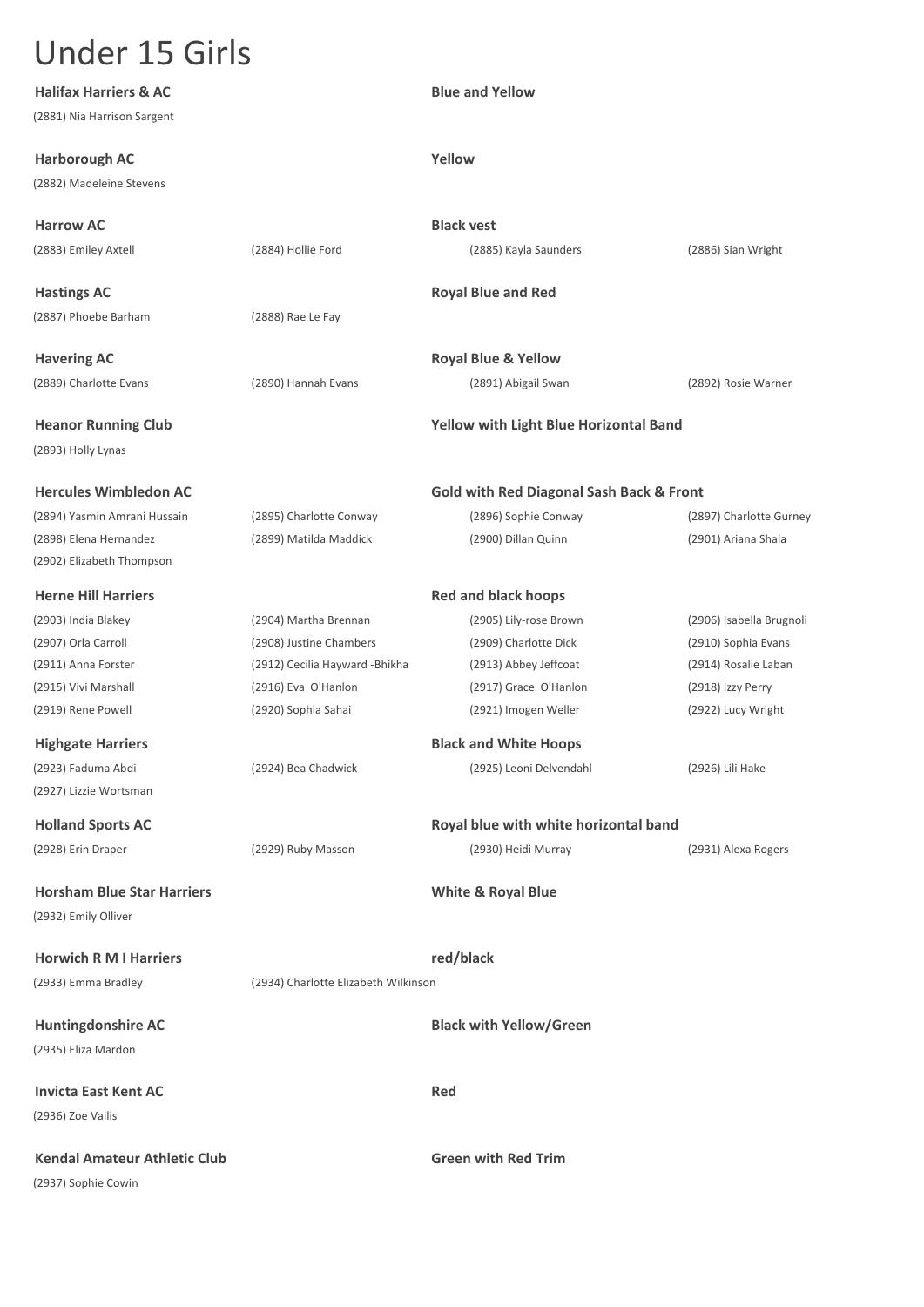| <b>Halifax Harriers &amp; AC</b>    |                                      | <b>Blue and Yellow</b>                              |                          |
|-------------------------------------|--------------------------------------|-----------------------------------------------------|--------------------------|
| (2881) Nia Harrison Sargent         |                                      |                                                     |                          |
| <b>Harborough AC</b>                |                                      | Yellow                                              |                          |
| (2882) Madeleine Stevens            |                                      |                                                     |                          |
|                                     |                                      |                                                     |                          |
| <b>Harrow AC</b>                    |                                      | <b>Black vest</b>                                   |                          |
| (2883) Emiley Axtell                | (2884) Hollie Ford                   | (2885) Kayla Saunders                               | (2886) Sian Wright       |
| <b>Hastings AC</b>                  |                                      | <b>Royal Blue and Red</b>                           |                          |
| (2887) Phoebe Barham                | (2888) Rae Le Fay                    |                                                     |                          |
| <b>Havering AC</b>                  |                                      | <b>Royal Blue &amp; Yellow</b>                      |                          |
| (2889) Charlotte Evans              | (2890) Hannah Evans                  | (2891) Abigail Swan                                 | (2892) Rosie Warner      |
| <b>Heanor Running Club</b>          |                                      | Yellow with Light Blue Horizontal Band              |                          |
| (2893) Holly Lynas                  |                                      |                                                     |                          |
| <b>Hercules Wimbledon AC</b>        |                                      | <b>Gold with Red Diagonal Sash Back &amp; Front</b> |                          |
| (2894) Yasmin Amrani Hussain        | (2895) Charlotte Conway              | (2896) Sophie Conway                                | (2897) Charlotte Gurney  |
| (2898) Elena Hernandez              | (2899) Matilda Maddick               | (2900) Dillan Quinn                                 | (2901) Ariana Shala      |
| (2902) Elizabeth Thompson           |                                      |                                                     |                          |
| <b>Herne Hill Harriers</b>          |                                      | <b>Red and black hoops</b>                          |                          |
| (2903) India Blakey                 | (2904) Martha Brennan                | (2905) Lily-rose Brown                              | (2906) Isabella Brugnoli |
| (2907) Orla Carroll                 | (2908) Justine Chambers              | (2909) Charlotte Dick                               | (2910) Sophia Evans      |
| (2911) Anna Forster                 | (2912) Cecilia Hayward - Bhikha      | (2913) Abbey Jeffcoat                               | (2914) Rosalie Laban     |
| (2915) Vivi Marshall                | (2916) Eva O'Hanlon                  | (2917) Grace O'Hanlon                               | (2918) Izzy Perry        |
| (2919) Rene Powell                  | (2920) Sophia Sahai                  | (2921) Imogen Weller                                | (2922) Lucy Wright       |
| <b>Highgate Harriers</b>            |                                      | <b>Black and White Hoops</b>                        |                          |
| (2923) Faduma Abdi                  | (2924) Bea Chadwick                  | (2925) Leoni Delvendahl                             | (2926) Lili Hake         |
| (2927) Lizzie Wortsman              |                                      |                                                     |                          |
| <b>Holland Sports AC</b>            |                                      | Royal blue with white horizontal band               |                          |
| (2928) Erin Draper                  | (2929) Ruby Masson                   | (2930) Heidi Murray                                 | (2931) Alexa Rogers      |
| <b>Horsham Blue Star Harriers</b>   |                                      | <b>White &amp; Royal Blue</b>                       |                          |
| (2932) Emily Olliver                |                                      |                                                     |                          |
| <b>Horwich R M I Harriers</b>       |                                      | red/black                                           |                          |
| (2933) Emma Bradley                 | (2934) Charlotte Elizabeth Wilkinson |                                                     |                          |
| <b>Huntingdonshire AC</b>           |                                      | <b>Black with Yellow/Green</b>                      |                          |
| (2935) Eliza Mardon                 |                                      |                                                     |                          |
|                                     |                                      |                                                     |                          |
| <b>Invicta East Kent AC</b>         |                                      | <b>Red</b>                                          |                          |
| (2936) Zoe Vallis                   |                                      |                                                     |                          |
| <b>Kendal Amateur Athletic Club</b> |                                      | <b>Green with Red Trim</b>                          |                          |
| (2937) Sophie Cowin                 |                                      |                                                     |                          |
|                                     |                                      |                                                     |                          |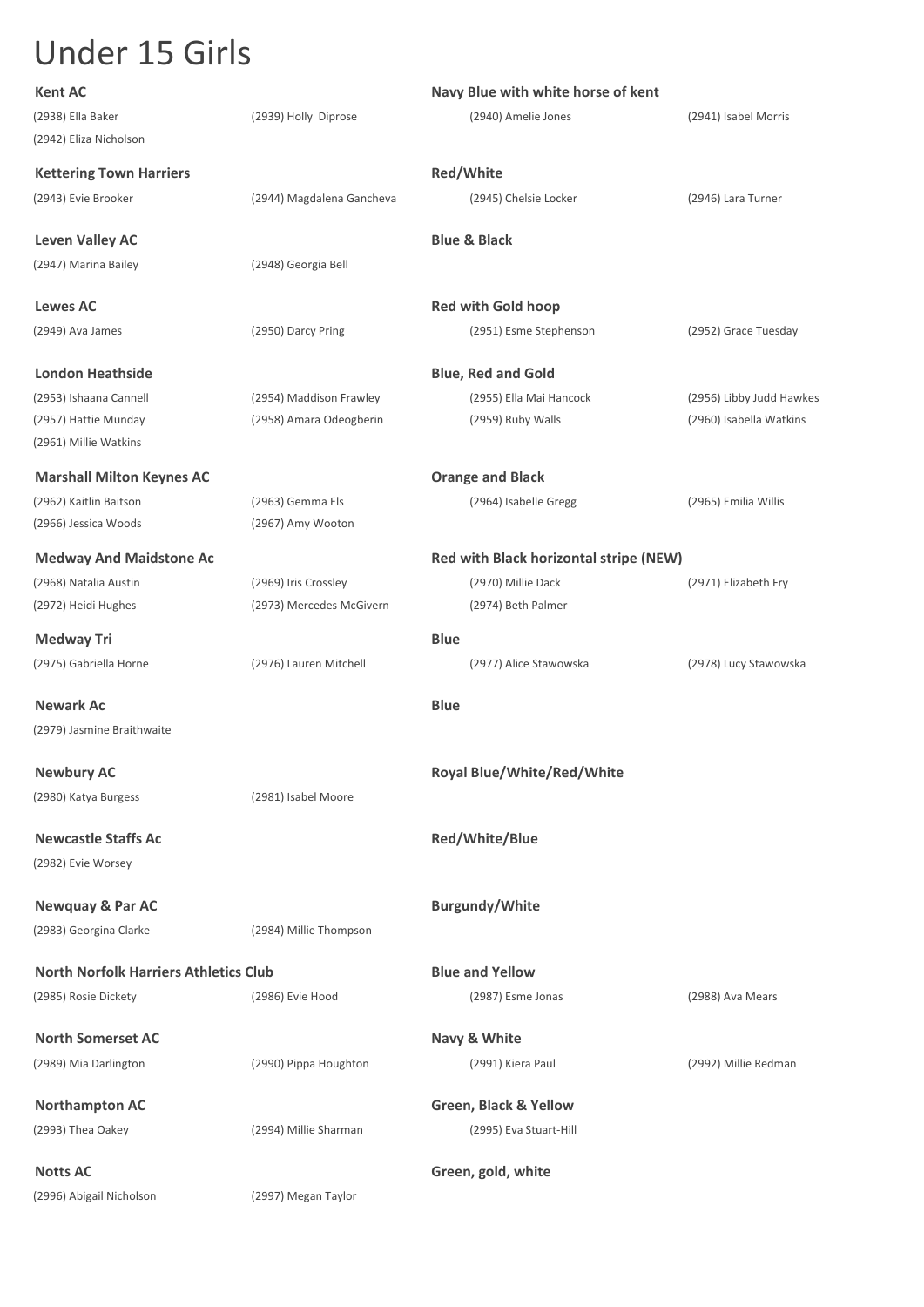| <b>Kent AC</b>                               |                           | Navy Blue with white horse of kent     |                          |
|----------------------------------------------|---------------------------|----------------------------------------|--------------------------|
| (2938) Ella Baker                            | (2939) Holly Diprose      | (2940) Amelie Jones                    | (2941) Isabel Morris     |
| (2942) Eliza Nicholson                       |                           |                                        |                          |
| <b>Kettering Town Harriers</b>               |                           | Red/White                              |                          |
| (2943) Evie Brooker                          | (2944) Magdalena Gancheva | (2945) Chelsie Locker                  | (2946) Lara Turner       |
| <b>Leven Valley AC</b>                       |                           | <b>Blue &amp; Black</b>                |                          |
| (2947) Marina Bailey                         | (2948) Georgia Bell       |                                        |                          |
| Lewes AC                                     |                           | <b>Red with Gold hoop</b>              |                          |
| (2949) Ava James                             | (2950) Darcy Pring        | (2951) Esme Stephenson                 | (2952) Grace Tuesday     |
| London Heathside                             |                           | <b>Blue, Red and Gold</b>              |                          |
| (2953) Ishaana Cannell                       | (2954) Maddison Frawley   | (2955) Ella Mai Hancock                | (2956) Libby Judd Hawkes |
| (2957) Hattie Munday                         | (2958) Amara Odeogberin   | (2959) Ruby Walls                      | (2960) Isabella Watkins  |
| (2961) Millie Watkins                        |                           |                                        |                          |
| <b>Marshall Milton Keynes AC</b>             |                           | <b>Orange and Black</b>                |                          |
| (2962) Kaitlin Baitson                       | (2963) Gemma Els          | (2964) Isabelle Gregg                  | (2965) Emilia Willis     |
| (2966) Jessica Woods                         | (2967) Amy Wooton         |                                        |                          |
| <b>Medway And Maidstone Ac</b>               |                           | Red with Black horizontal stripe (NEW) |                          |
| (2968) Natalia Austin                        | (2969) Iris Crossley      | (2970) Millie Dack                     | (2971) Elizabeth Fry     |
| (2972) Heidi Hughes                          | (2973) Mercedes McGivern  | (2974) Beth Palmer                     |                          |
| Medway Tri                                   |                           | <b>Blue</b>                            |                          |
| (2975) Gabriella Horne                       | (2976) Lauren Mitchell    | (2977) Alice Stawowska                 | (2978) Lucy Stawowska    |
| <b>Newark Ac</b>                             |                           | <b>Blue</b>                            |                          |
| (2979) Jasmine Braithwaite                   |                           |                                        |                          |
| <b>Newbury AC</b>                            |                           | <b>Royal Blue/White/Red/White</b>      |                          |
| (2980) Katya Burgess                         | (2981) Isabel Moore       |                                        |                          |
| <b>Newcastle Staffs Ac</b>                   |                           | Red/White/Blue                         |                          |
| (2982) Evie Worsey                           |                           |                                        |                          |
| <b>Newquay &amp; Par AC</b>                  |                           | <b>Burgundy/White</b>                  |                          |
| (2983) Georgina Clarke                       | (2984) Millie Thompson    |                                        |                          |
| <b>North Norfolk Harriers Athletics Club</b> |                           | <b>Blue and Yellow</b>                 |                          |
| (2985) Rosie Dickety                         | (2986) Evie Hood          | (2987) Esme Jonas                      | (2988) Ava Mears         |
| <b>North Somerset AC</b>                     |                           | Navy & White                           |                          |
| (2989) Mia Darlington                        | (2990) Pippa Houghton     | (2991) Kiera Paul                      | (2992) Millie Redman     |
| <b>Northampton AC</b>                        |                           | Green, Black & Yellow                  |                          |
| (2993) Thea Oakey                            | (2994) Millie Sharman     | (2995) Eva Stuart-Hill                 |                          |
|                                              |                           |                                        |                          |
| <b>Notts AC</b>                              |                           | Green, gold, white                     |                          |
| (2996) Abigail Nicholson                     | (2997) Megan Taylor       |                                        |                          |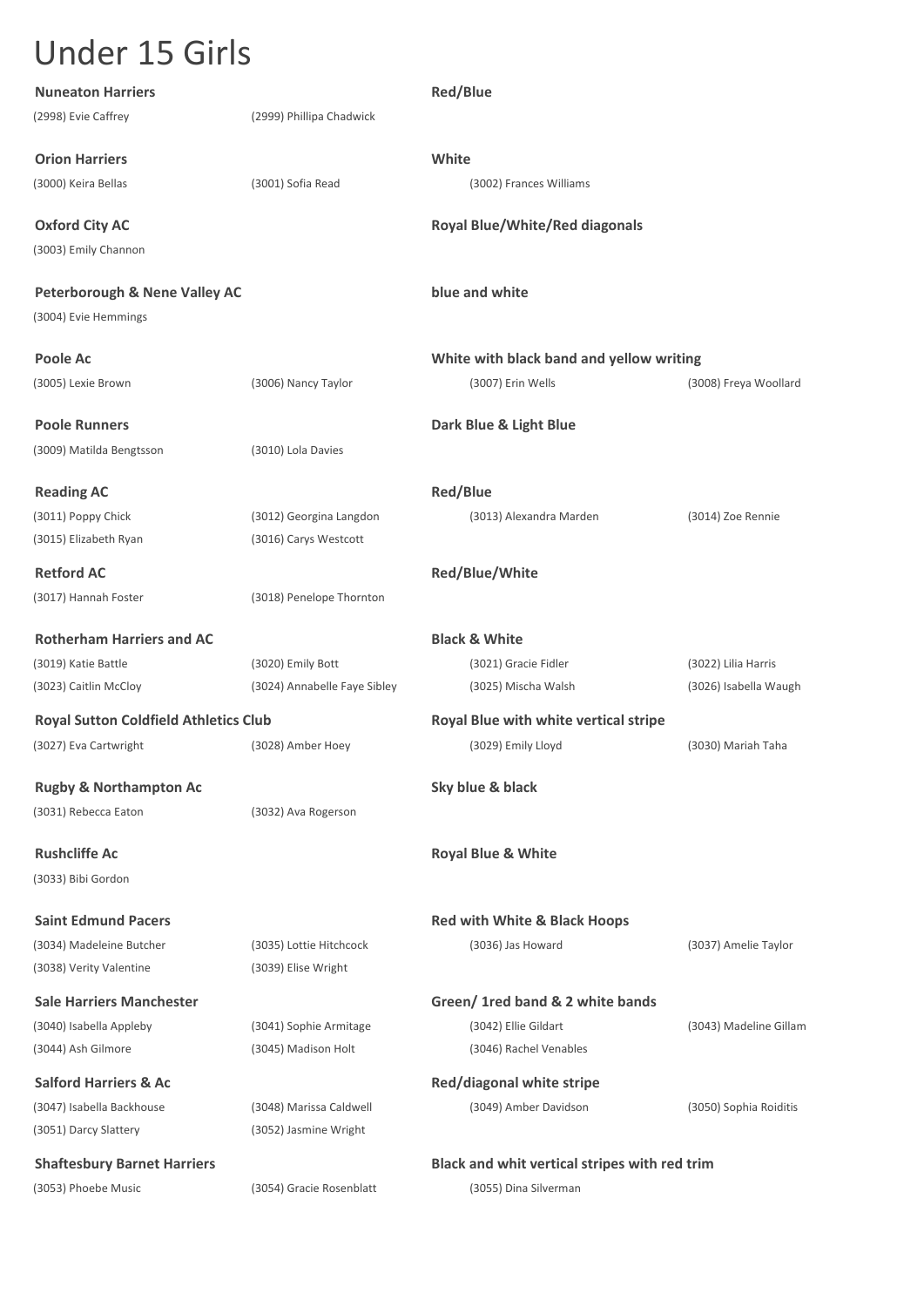| <b>Nuneaton Harriers</b>                                         |                              | <b>Red/Blue</b>                               |                        |
|------------------------------------------------------------------|------------------------------|-----------------------------------------------|------------------------|
| (2998) Evie Caffrey                                              | (2999) Phillipa Chadwick     |                                               |                        |
| <b>Orion Harriers</b>                                            |                              | White                                         |                        |
| (3000) Keira Bellas                                              | (3001) Sofia Read            | (3002) Frances Williams                       |                        |
| <b>Oxford City AC</b>                                            |                              | <b>Royal Blue/White/Red diagonals</b>         |                        |
| (3003) Emily Channon                                             |                              |                                               |                        |
| <b>Peterborough &amp; Nene Valley AC</b><br>(3004) Evie Hemmings |                              | blue and white                                |                        |
| Poole Ac                                                         |                              | White with black band and yellow writing      |                        |
| (3005) Lexie Brown                                               | (3006) Nancy Taylor          | (3007) Erin Wells                             | (3008) Freya Woollard  |
| <b>Poole Runners</b>                                             |                              | Dark Blue & Light Blue                        |                        |
| (3009) Matilda Bengtsson                                         | (3010) Lola Davies           |                                               |                        |
| <b>Reading AC</b>                                                |                              | <b>Red/Blue</b>                               |                        |
| (3011) Poppy Chick                                               | (3012) Georgina Langdon      | (3013) Alexandra Marden                       | (3014) Zoe Rennie      |
| (3015) Elizabeth Ryan                                            | (3016) Carys Westcott        |                                               |                        |
| <b>Retford AC</b>                                                |                              | Red/Blue/White                                |                        |
| (3017) Hannah Foster                                             | (3018) Penelope Thornton     |                                               |                        |
| <b>Rotherham Harriers and AC</b>                                 |                              | <b>Black &amp; White</b>                      |                        |
| (3019) Katie Battle                                              | (3020) Emily Bott            | (3021) Gracie Fidler                          | (3022) Lilia Harris    |
| (3023) Caitlin McCloy                                            | (3024) Annabelle Faye Sibley | (3025) Mischa Walsh                           | (3026) Isabella Waugh  |
| <b>Royal Sutton Coldfield Athletics Club</b>                     |                              | Royal Blue with white vertical stripe         |                        |
| (3027) Eva Cartwright                                            | (3028) Amber Hoey            | (3029) Emily Lloyd                            | (3030) Mariah Taha     |
| <b>Rugby &amp; Northampton Ac</b>                                |                              | Sky blue & black                              |                        |
| (3031) Rebecca Eaton                                             | (3032) Ava Rogerson          |                                               |                        |
| <b>Rushcliffe Ac</b>                                             |                              | <b>Royal Blue &amp; White</b>                 |                        |
| (3033) Bibi Gordon                                               |                              |                                               |                        |
| <b>Saint Edmund Pacers</b>                                       |                              | Red with White & Black Hoops                  |                        |
| (3034) Madeleine Butcher                                         | (3035) Lottie Hitchcock      | (3036) Jas Howard                             | (3037) Amelie Taylor   |
| (3038) Verity Valentine                                          | (3039) Elise Wright          |                                               |                        |
| <b>Sale Harriers Manchester</b>                                  |                              | Green/ 1 red band & 2 white bands             |                        |
| (3040) Isabella Appleby                                          | (3041) Sophie Armitage       | (3042) Ellie Gildart                          | (3043) Madeline Gillam |
| (3044) Ash Gilmore                                               | (3045) Madison Holt          | (3046) Rachel Venables                        |                        |
| <b>Salford Harriers &amp; Ac</b>                                 |                              | Red/diagonal white stripe                     |                        |
| (3047) Isabella Backhouse                                        | (3048) Marissa Caldwell      | (3049) Amber Davidson                         | (3050) Sophia Roiditis |
| (3051) Darcy Slattery                                            | (3052) Jasmine Wright        |                                               |                        |
| <b>Shaftesbury Barnet Harriers</b>                               |                              | Black and whit vertical stripes with red trim |                        |
| (3053) Phoebe Music                                              | (3054) Gracie Rosenblatt     | (3055) Dina Silverman                         |                        |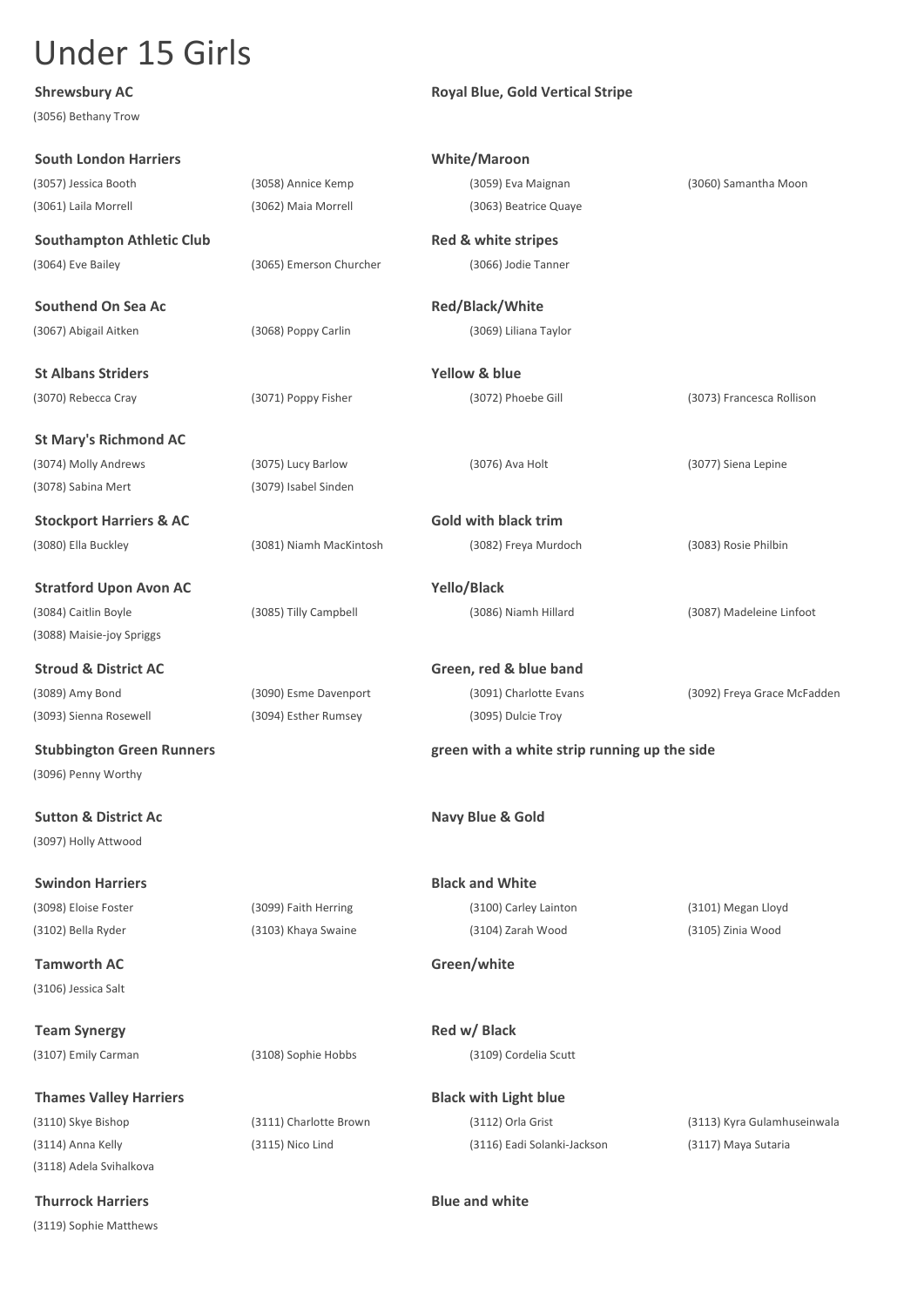(3056) Bethany Trow

#### **Shrewsbury AC Royal Blue, Gold Vertical Stripe**

| <b>South London Harriers</b>       |                         | <b>White/Maroon</b>                          |                             |
|------------------------------------|-------------------------|----------------------------------------------|-----------------------------|
| (3057) Jessica Booth               | (3058) Annice Kemp      | (3059) Eva Maignan                           | (3060) Samantha Moon        |
| (3061) Laila Morrell               | (3062) Maia Morrell     | (3063) Beatrice Quaye                        |                             |
|                                    |                         |                                              |                             |
| <b>Southampton Athletic Club</b>   |                         | Red & white stripes                          |                             |
| (3064) Eve Bailey                  | (3065) Emerson Churcher | (3066) Jodie Tanner                          |                             |
| Southend On Sea Ac                 |                         | Red/Black/White                              |                             |
| (3067) Abigail Aitken              | (3068) Poppy Carlin     | (3069) Liliana Taylor                        |                             |
|                                    |                         |                                              |                             |
| <b>St Albans Striders</b>          |                         | <b>Yellow &amp; blue</b>                     |                             |
| (3070) Rebecca Cray                | (3071) Poppy Fisher     | (3072) Phoebe Gill                           | (3073) Francesca Rollison   |
|                                    |                         |                                              |                             |
| <b>St Mary's Richmond AC</b>       |                         |                                              |                             |
| (3074) Molly Andrews               | (3075) Lucy Barlow      | (3076) Ava Holt                              | (3077) Siena Lepine         |
| (3078) Sabina Mert                 | (3079) Isabel Sinden    |                                              |                             |
| <b>Stockport Harriers &amp; AC</b> |                         | <b>Gold with black trim</b>                  |                             |
| (3080) Ella Buckley                | (3081) Niamh MacKintosh | (3082) Freya Murdoch                         | (3083) Rosie Philbin        |
|                                    |                         |                                              |                             |
| <b>Stratford Upon Avon AC</b>      |                         | Yello/Black                                  |                             |
| (3084) Caitlin Boyle               | (3085) Tilly Campbell   | (3086) Niamh Hillard                         | (3087) Madeleine Linfoot    |
| (3088) Maisie-joy Spriggs          |                         |                                              |                             |
| <b>Stroud &amp; District AC</b>    |                         | Green, red & blue band                       |                             |
| (3089) Amy Bond                    | (3090) Esme Davenport   | (3091) Charlotte Evans                       | (3092) Freya Grace McFadden |
| (3093) Sienna Rosewell             | (3094) Esther Rumsey    | (3095) Dulcie Troy                           |                             |
|                                    |                         |                                              |                             |
| <b>Stubbington Green Runners</b>   |                         | green with a white strip running up the side |                             |
| (3096) Penny Worthy                |                         |                                              |                             |
| <b>Sutton &amp; District Ac</b>    |                         | Navy Blue & Gold                             |                             |
| (3097) Holly Attwood               |                         |                                              |                             |
|                                    |                         |                                              |                             |
| <b>Swindon Harriers</b>            |                         | <b>Black and White</b>                       |                             |
| (3098) Eloise Foster               | (3099) Faith Herring    | (3100) Carley Lainton                        | (3101) Megan Lloyd          |
| (3102) Bella Ryder                 | (3103) Khaya Swaine     | (3104) Zarah Wood                            | (3105) Zinia Wood           |
| <b>Tamworth AC</b>                 |                         | Green/white                                  |                             |
| (3106) Jessica Salt                |                         |                                              |                             |
|                                    |                         |                                              |                             |
| <b>Team Synergy</b>                |                         | Red w/ Black                                 |                             |
| (3107) Emily Carman                | (3108) Sophie Hobbs     | (3109) Cordelia Scutt                        |                             |
| <b>Thames Valley Harriers</b>      |                         | <b>Black with Light blue</b>                 |                             |
| (3110) Skye Bishop                 | (3111) Charlotte Brown  | (3112) Orla Grist                            | (3113) Kyra Gulamhuseinwala |
| (3114) Anna Kelly                  | (3115) Nico Lind        | (3116) Eadi Solanki-Jackson                  | (3117) Maya Sutaria         |

(3118) Adela Svihalkova

(3119) Sophie Matthews

#### **Thurrock Harriers Blue and white**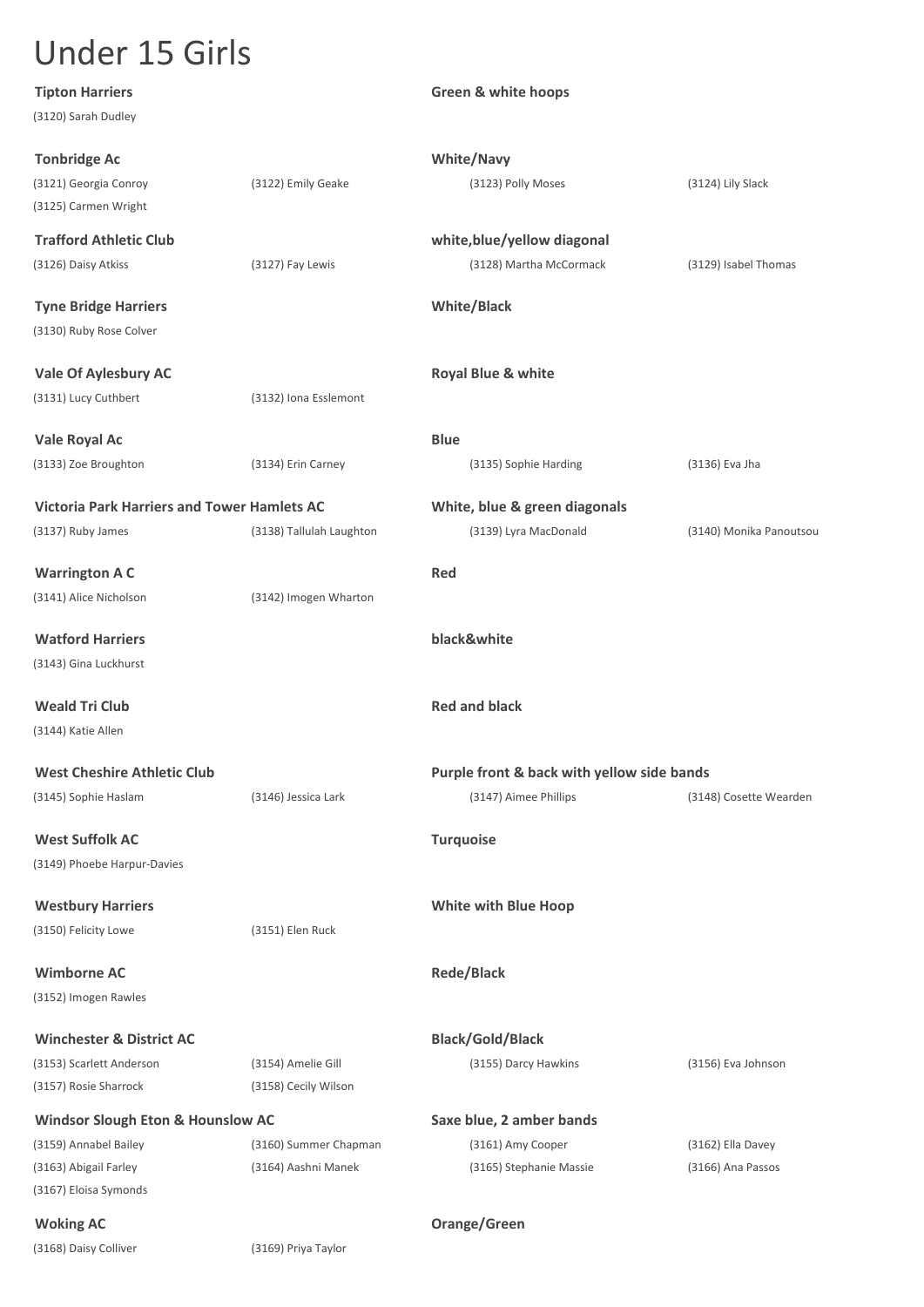| <b>Tipton Harriers</b>                             |                          | <b>Green &amp; white hoops</b>             |                         |
|----------------------------------------------------|--------------------------|--------------------------------------------|-------------------------|
| (3120) Sarah Dudley                                |                          |                                            |                         |
| <b>Tonbridge Ac</b>                                |                          | <b>White/Navy</b>                          |                         |
| (3121) Georgia Conroy                              | (3122) Emily Geake       | (3123) Polly Moses                         | (3124) Lily Slack       |
| (3125) Carmen Wright                               |                          |                                            |                         |
| <b>Trafford Athletic Club</b>                      |                          | white, blue/yellow diagonal                |                         |
| (3126) Daisy Atkiss                                | (3127) Fay Lewis         | (3128) Martha McCormack                    | (3129) Isabel Thomas    |
| <b>Tyne Bridge Harriers</b>                        |                          | <b>White/Black</b>                         |                         |
| (3130) Ruby Rose Colver                            |                          |                                            |                         |
| <b>Vale Of Aylesbury AC</b>                        |                          | Royal Blue & white                         |                         |
| (3131) Lucy Cuthbert                               | (3132) Iona Esslemont    |                                            |                         |
| Vale Royal Ac                                      |                          | <b>Blue</b>                                |                         |
| (3133) Zoe Broughton                               | (3134) Erin Carney       | (3135) Sophie Harding                      | (3136) Eva Jha          |
| <b>Victoria Park Harriers and Tower Hamlets AC</b> |                          | White, blue & green diagonals              |                         |
| (3137) Ruby James                                  | (3138) Tallulah Laughton | (3139) Lyra MacDonald                      | (3140) Monika Panoutsou |
| <b>Warrington A C</b>                              |                          | <b>Red</b>                                 |                         |
| (3141) Alice Nicholson                             | (3142) Imogen Wharton    |                                            |                         |
| <b>Watford Harriers</b>                            |                          | black&white                                |                         |
| (3143) Gina Luckhurst                              |                          |                                            |                         |
| <b>Weald Tri Club</b>                              |                          | <b>Red and black</b>                       |                         |
| (3144) Katie Allen                                 |                          |                                            |                         |
| <b>West Cheshire Athletic Club</b>                 |                          | Purple front & back with yellow side bands |                         |
| (3145) Sophie Haslam                               | (3146) Jessica Lark      | (3147) Aimee Phillips                      | (3148) Cosette Wearden  |
| <b>West Suffolk AC</b>                             |                          | <b>Turquoise</b>                           |                         |
| (3149) Phoebe Harpur-Davies                        |                          |                                            |                         |
| <b>Westbury Harriers</b>                           |                          | <b>White with Blue Hoop</b>                |                         |
| (3150) Felicity Lowe                               | (3151) Elen Ruck         |                                            |                         |
| <b>Wimborne AC</b>                                 |                          | <b>Rede/Black</b>                          |                         |
| (3152) Imogen Rawles                               |                          |                                            |                         |
| <b>Winchester &amp; District AC</b>                |                          | <b>Black/Gold/Black</b>                    |                         |
| (3153) Scarlett Anderson                           | (3154) Amelie Gill       | (3155) Darcy Hawkins                       | (3156) Eva Johnson      |
| (3157) Rosie Sharrock                              | (3158) Cecily Wilson     |                                            |                         |
| <b>Windsor Slough Eton &amp; Hounslow AC</b>       |                          | Saxe blue, 2 amber bands                   |                         |
| (3159) Annabel Bailey                              | (3160) Summer Chapman    | (3161) Amy Cooper                          | (3162) Ella Davey       |
| (3163) Abigail Farley<br>(3167) Eloisa Symonds     | (3164) Aashni Manek      | (3165) Stephanie Massie                    | (3166) Ana Passos       |
| <b>Woking AC</b>                                   |                          | Orange/Green                               |                         |
|                                                    |                          |                                            |                         |

(3168) Daisy Colliver (3169) Priya Taylor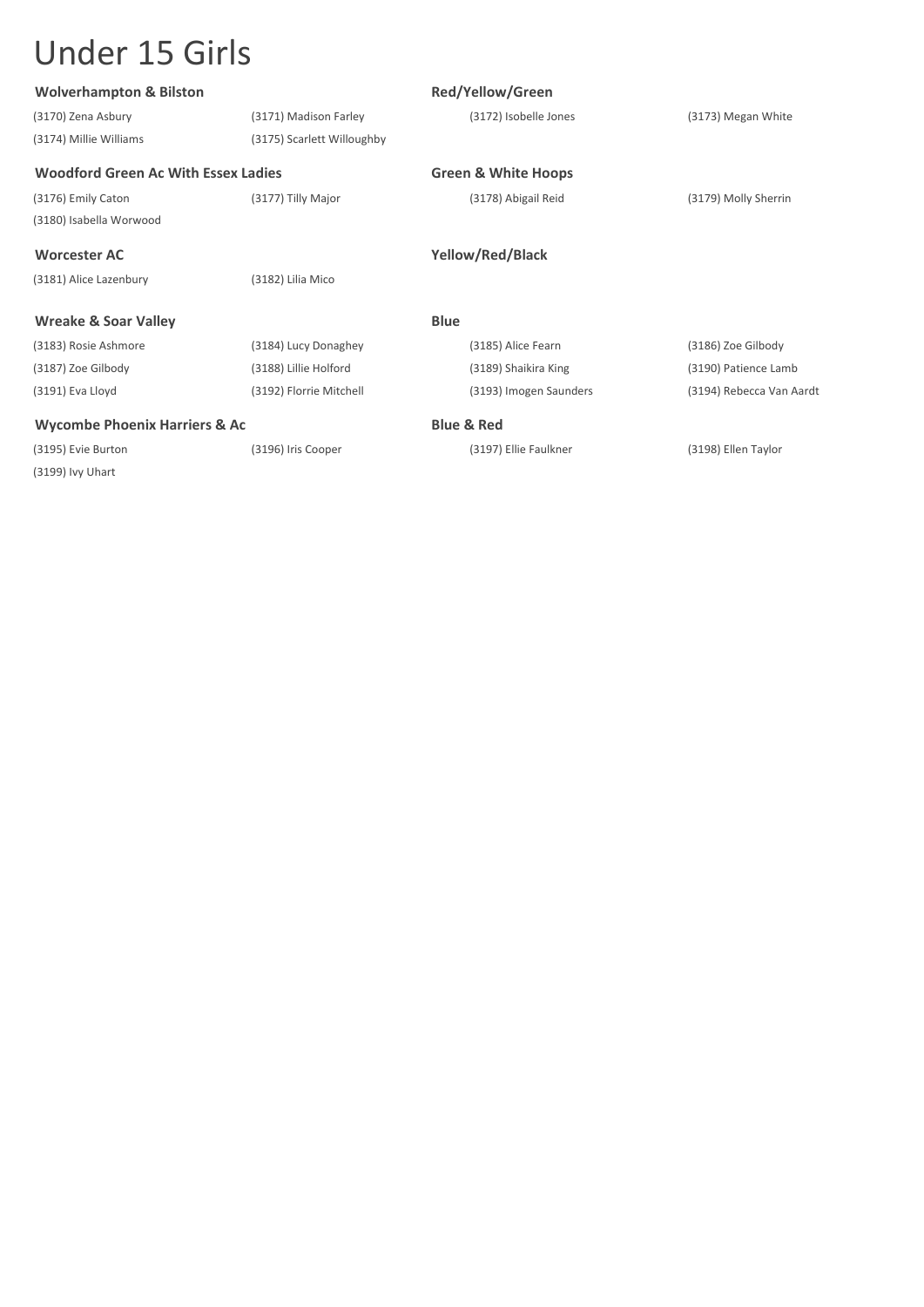| <b>Wolverhampton &amp; Bilston</b>         |                            | Red/Yellow/Green               |                          |
|--------------------------------------------|----------------------------|--------------------------------|--------------------------|
| (3170) Zena Asbury                         | (3171) Madison Farley      | (3172) Isobelle Jones          | (3173) Megan White       |
| (3174) Millie Williams                     | (3175) Scarlett Willoughby |                                |                          |
| <b>Woodford Green Ac With Essex Ladies</b> |                            | <b>Green &amp; White Hoops</b> |                          |
| (3176) Emily Caton                         | (3177) Tilly Major         | (3178) Abigail Reid            | (3179) Molly Sherrin     |
| (3180) Isabella Worwood                    |                            |                                |                          |
| <b>Worcester AC</b>                        |                            | Yellow/Red/Black               |                          |
| (3181) Alice Lazenbury                     | (3182) Lilia Mico          |                                |                          |
| <b>Wreake &amp; Soar Valley</b>            |                            | <b>Blue</b>                    |                          |
| (3183) Rosie Ashmore                       | (3184) Lucy Donaghey       | (3185) Alice Fearn             | (3186) Zoe Gilbody       |
| (3187) Zoe Gilbody                         | (3188) Lillie Holford      | (3189) Shaikira King           | (3190) Patience Lamb     |
| (3191) Eva Lloyd                           | (3192) Florrie Mitchell    | (3193) Imogen Saunders         | (3194) Rebecca Van Aardt |
| <b>Wycombe Phoenix Harriers &amp; Ac</b>   |                            | <b>Blue &amp; Red</b>          |                          |
| (3195) Evie Burton                         | (3196) Iris Cooper         | (3197) Ellie Faulkner          | (3198) Ellen Taylor      |
| (3199) Ivy Uhart                           |                            |                                |                          |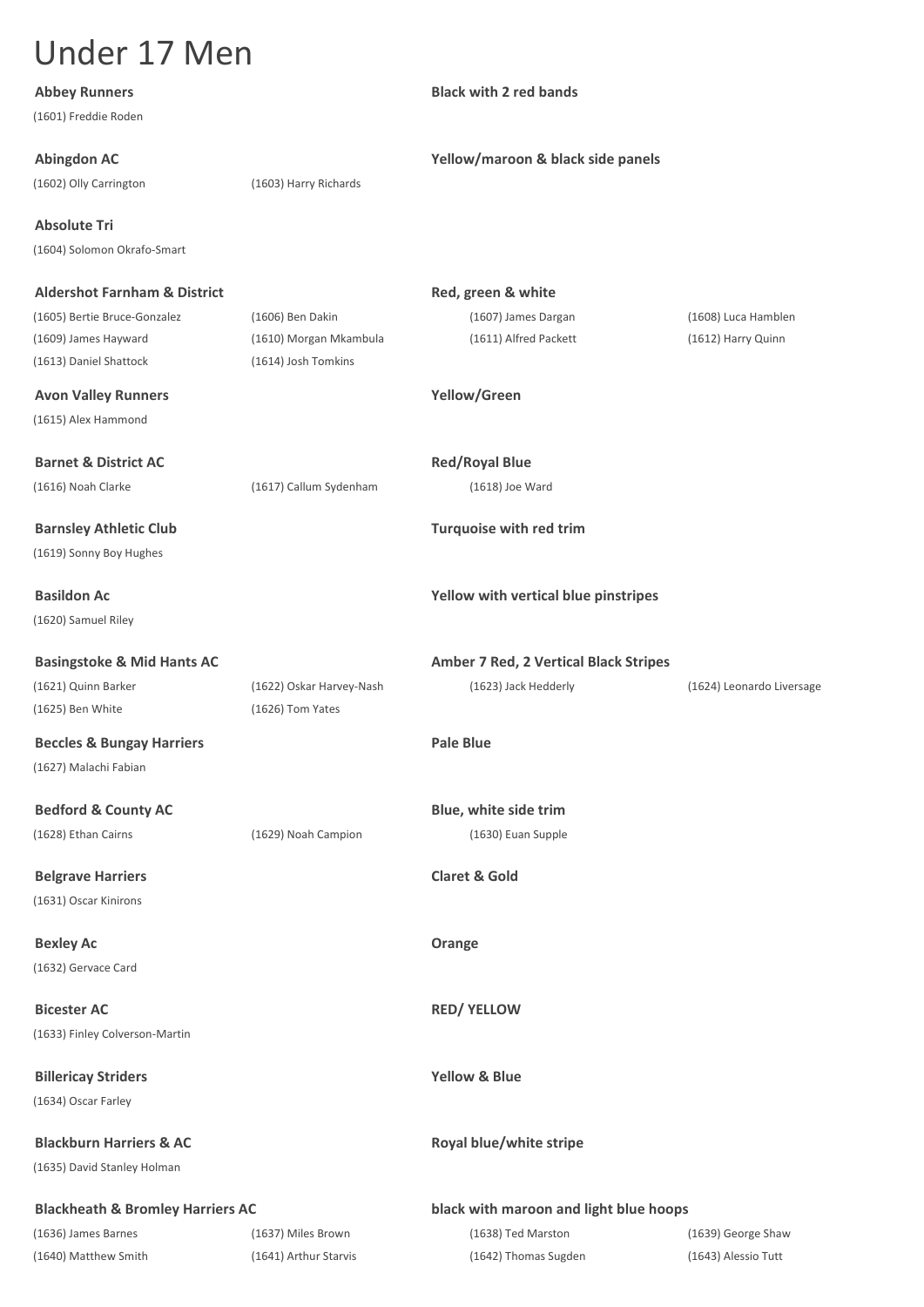| <b>Abbey Runners</b>                        |                          | <b>Black with 2 red bands</b>                |                           |
|---------------------------------------------|--------------------------|----------------------------------------------|---------------------------|
| (1601) Freddie Roden                        |                          |                                              |                           |
| <b>Abingdon AC</b>                          |                          | Yellow/maroon & black side panels            |                           |
| (1602) Olly Carrington                      | (1603) Harry Richards    |                                              |                           |
| <b>Absolute Tri</b>                         |                          |                                              |                           |
| (1604) Solomon Okrafo-Smart                 |                          |                                              |                           |
|                                             |                          |                                              |                           |
| <b>Aldershot Farnham &amp; District</b>     |                          | Red, green & white                           |                           |
| (1605) Bertie Bruce-Gonzalez                | (1606) Ben Dakin         | (1607) James Dargan                          | (1608) Luca Hamblen       |
| (1609) James Hayward                        | (1610) Morgan Mkambula   | (1611) Alfred Packett                        | (1612) Harry Quinn        |
| (1613) Daniel Shattock                      | (1614) Josh Tomkins      |                                              |                           |
| <b>Avon Valley Runners</b>                  |                          | Yellow/Green                                 |                           |
| (1615) Alex Hammond                         |                          |                                              |                           |
| <b>Barnet &amp; District AC</b>             |                          | <b>Red/Royal Blue</b>                        |                           |
| (1616) Noah Clarke                          | (1617) Callum Sydenham   | (1618) Joe Ward                              |                           |
| <b>Barnsley Athletic Club</b>               |                          | Turquoise with red trim                      |                           |
| (1619) Sonny Boy Hughes                     |                          |                                              |                           |
|                                             |                          |                                              |                           |
| <b>Basildon Ac</b>                          |                          | Yellow with vertical blue pinstripes         |                           |
| (1620) Samuel Riley                         |                          |                                              |                           |
| <b>Basingstoke &amp; Mid Hants AC</b>       |                          | <b>Amber 7 Red, 2 Vertical Black Stripes</b> |                           |
| (1621) Quinn Barker                         | (1622) Oskar Harvey-Nash | (1623) Jack Hedderly                         | (1624) Leonardo Liversage |
| (1625) Ben White                            | (1626) Tom Yates         |                                              |                           |
| <b>Beccles &amp; Bungay Harriers</b>        |                          | <b>Pale Blue</b>                             |                           |
| (1627) Malachi Fabian                       |                          |                                              |                           |
| <b>Bedford &amp; County AC</b>              |                          | Blue, white side trim                        |                           |
| (1628) Ethan Cairns                         | (1629) Noah Campion      | (1630) Euan Supple                           |                           |
|                                             |                          |                                              |                           |
| <b>Belgrave Harriers</b>                    |                          | <b>Claret &amp; Gold</b>                     |                           |
| (1631) Oscar Kinirons                       |                          |                                              |                           |
| <b>Bexley Ac</b>                            |                          | Orange                                       |                           |
| (1632) Gervace Card                         |                          |                                              |                           |
| <b>Bicester AC</b>                          |                          | <b>RED/ YELLOW</b>                           |                           |
| (1633) Finley Colverson-Martin              |                          |                                              |                           |
|                                             |                          |                                              |                           |
| <b>Billericay Striders</b>                  |                          | <b>Yellow &amp; Blue</b>                     |                           |
| (1634) Oscar Farley                         |                          |                                              |                           |
| <b>Blackburn Harriers &amp; AC</b>          |                          | Royal blue/white stripe                      |                           |
| (1635) David Stanley Holman                 |                          |                                              |                           |
| <b>Blackheath &amp; Bromley Harriers AC</b> |                          | black with maroon and light blue hoops       |                           |
| (1636) James Barnes                         | (1637) Miles Brown       | (1638) Ted Marston                           | (1639) George Shaw        |
| (1640) Matthew Smith                        | (1641) Arthur Starvis    | (1642) Thomas Sugden                         | (1643) Alessio Tutt       |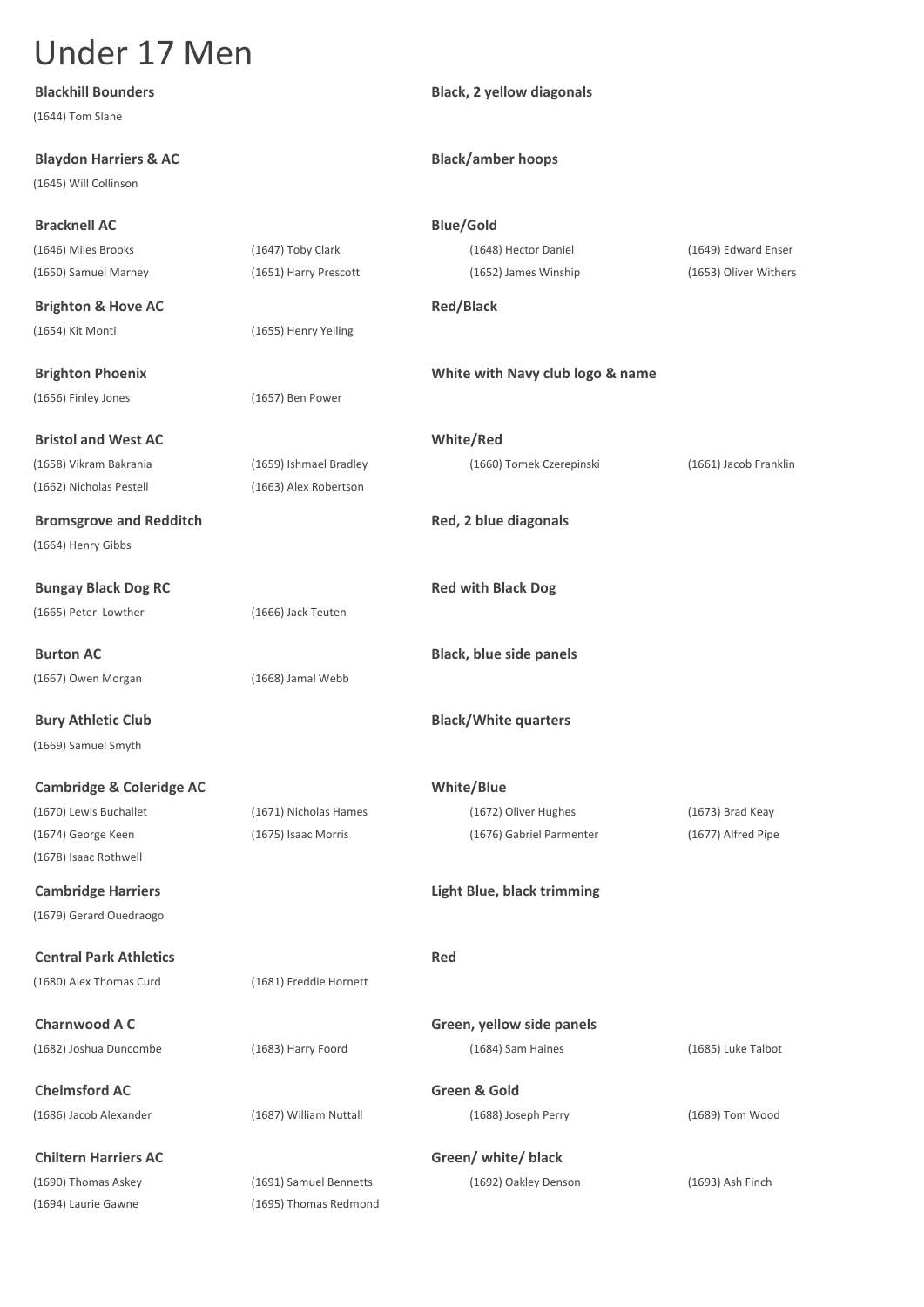| <b>Blackhill Bounders</b>           |                        | <b>Black, 2 yellow diagonals</b>  |                       |
|-------------------------------------|------------------------|-----------------------------------|-----------------------|
| (1644) Tom Slane                    |                        |                                   |                       |
| <b>Blaydon Harriers &amp; AC</b>    |                        | <b>Black/amber hoops</b>          |                       |
| (1645) Will Collinson               |                        |                                   |                       |
| <b>Bracknell AC</b>                 |                        | <b>Blue/Gold</b>                  |                       |
| (1646) Miles Brooks                 | (1647) Toby Clark      | (1648) Hector Daniel              | (1649) Edward Enser   |
| (1650) Samuel Marney                | (1651) Harry Prescott  | (1652) James Winship              | (1653) Oliver Withers |
| <b>Brighton &amp; Hove AC</b>       |                        | <b>Red/Black</b>                  |                       |
| (1654) Kit Monti                    | (1655) Henry Yelling   |                                   |                       |
| <b>Brighton Phoenix</b>             |                        | White with Navy club logo & name  |                       |
| (1656) Finley Jones                 | (1657) Ben Power       |                                   |                       |
| <b>Bristol and West AC</b>          |                        | White/Red                         |                       |
| (1658) Vikram Bakrania              | (1659) Ishmael Bradley | (1660) Tomek Czerepinski          | (1661) Jacob Franklin |
| (1662) Nicholas Pestell             | (1663) Alex Robertson  |                                   |                       |
| <b>Bromsgrove and Redditch</b>      |                        | Red, 2 blue diagonals             |                       |
| (1664) Henry Gibbs                  |                        |                                   |                       |
| <b>Bungay Black Dog RC</b>          |                        | <b>Red with Black Dog</b>         |                       |
| (1665) Peter Lowther                | (1666) Jack Teuten     |                                   |                       |
| <b>Burton AC</b>                    |                        | <b>Black, blue side panels</b>    |                       |
| (1667) Owen Morgan                  | (1668) Jamal Webb      |                                   |                       |
| <b>Bury Athletic Club</b>           |                        | <b>Black/White quarters</b>       |                       |
| (1669) Samuel Smyth                 |                        |                                   |                       |
| <b>Cambridge &amp; Coleridge AC</b> |                        | White/Blue                        |                       |
| (1670) Lewis Buchallet              | (1671) Nicholas Hames  | (1672) Oliver Hughes              | (1673) Brad Keay      |
| (1674) George Keen                  | (1675) Isaac Morris    | (1676) Gabriel Parmenter          | (1677) Alfred Pipe    |
| (1678) Isaac Rothwell               |                        |                                   |                       |
| <b>Cambridge Harriers</b>           |                        | <b>Light Blue, black trimming</b> |                       |
| (1679) Gerard Ouedraogo             |                        |                                   |                       |
| <b>Central Park Athletics</b>       |                        | <b>Red</b>                        |                       |
| (1680) Alex Thomas Curd             | (1681) Freddie Hornett |                                   |                       |
| <b>Charnwood A C</b>                |                        | Green, yellow side panels         |                       |
| (1682) Joshua Duncombe              | (1683) Harry Foord     | (1684) Sam Haines                 | (1685) Luke Talbot    |
| <b>Chelmsford AC</b>                |                        | Green & Gold                      |                       |
| (1686) Jacob Alexander              | (1687) William Nuttall | (1688) Joseph Perry               | $(1689)$ Tom Wood     |
| <b>Chiltern Harriers AC</b>         |                        | Green/ white/ black               |                       |
| (1690) Thomas Askey                 | (1691) Samuel Bennetts | (1692) Oakley Denson              |                       |
|                                     | (1695) Thomas Redmond  |                                   | $(1693)$ Ash Finch    |
| (1694) Laurie Gawne                 |                        |                                   |                       |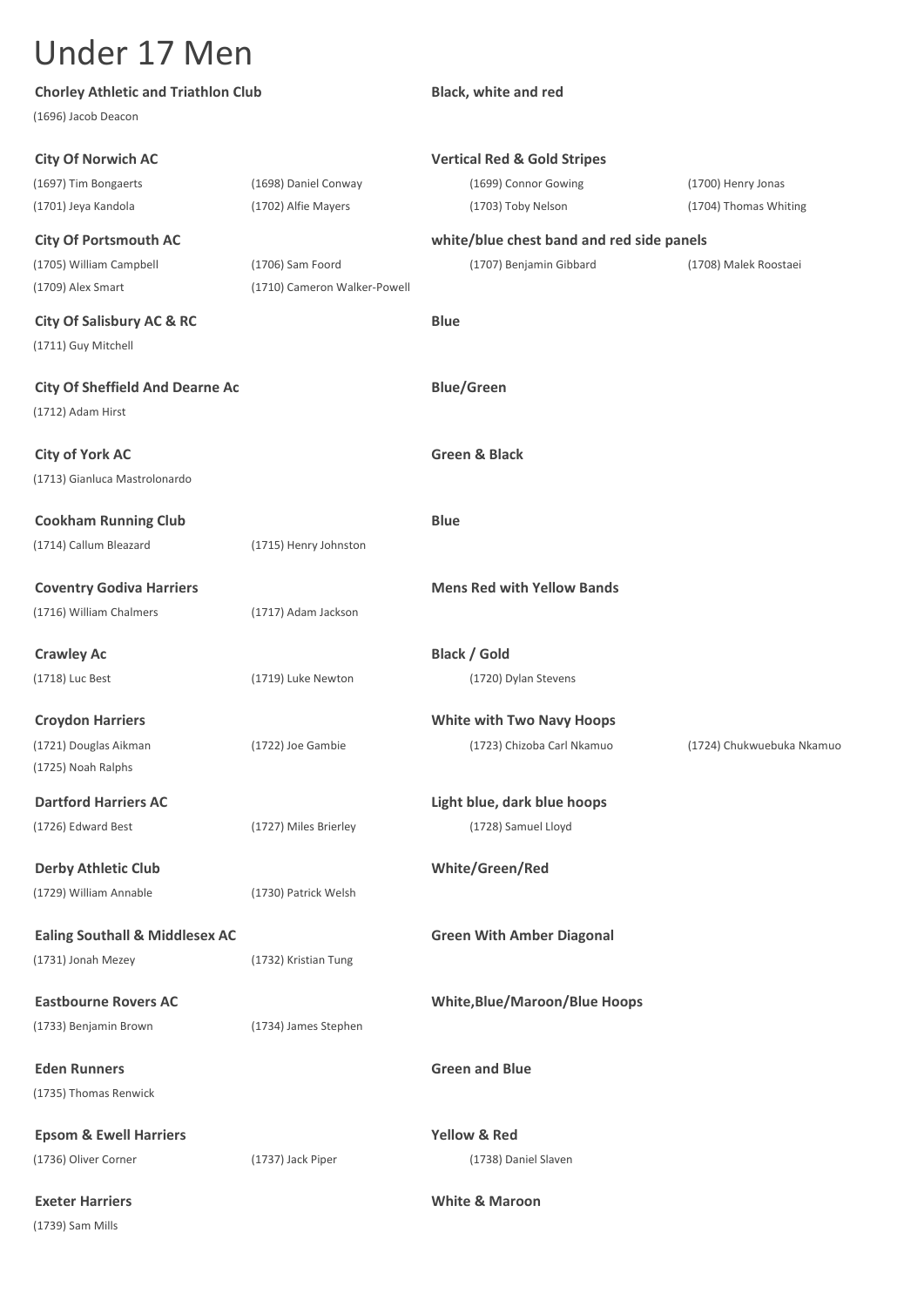| <b>Chorley Athletic and Triathlon Club</b> |                              | <b>Black, white and red</b>               |                           |
|--------------------------------------------|------------------------------|-------------------------------------------|---------------------------|
| (1696) Jacob Deacon                        |                              |                                           |                           |
| <b>City Of Norwich AC</b>                  |                              | <b>Vertical Red &amp; Gold Stripes</b>    |                           |
| (1697) Tim Bongaerts                       | (1698) Daniel Conway         | (1699) Connor Gowing                      | (1700) Henry Jonas        |
| (1701) Jeya Kandola                        | (1702) Alfie Mayers          | (1703) Toby Nelson                        | (1704) Thomas Whiting     |
| <b>City Of Portsmouth AC</b>               |                              | white/blue chest band and red side panels |                           |
| (1705) William Campbell                    | (1706) Sam Foord             | (1707) Benjamin Gibbard                   | (1708) Malek Roostaei     |
| (1709) Alex Smart                          | (1710) Cameron Walker-Powell |                                           |                           |
| <b>City Of Salisbury AC &amp; RC</b>       |                              | <b>Blue</b>                               |                           |
| (1711) Guy Mitchell                        |                              |                                           |                           |
| <b>City Of Sheffield And Dearne Ac</b>     |                              | <b>Blue/Green</b>                         |                           |
| (1712) Adam Hirst                          |                              |                                           |                           |
| <b>City of York AC</b>                     |                              | <b>Green &amp; Black</b>                  |                           |
| (1713) Gianluca Mastrolonardo              |                              |                                           |                           |
| <b>Cookham Running Club</b>                |                              | <b>Blue</b>                               |                           |
| (1714) Callum Bleazard                     |                              |                                           |                           |
|                                            | (1715) Henry Johnston        |                                           |                           |
| <b>Coventry Godiva Harriers</b>            |                              | <b>Mens Red with Yellow Bands</b>         |                           |
| (1716) William Chalmers                    | (1717) Adam Jackson          |                                           |                           |
| <b>Crawley Ac</b>                          |                              | <b>Black / Gold</b>                       |                           |
| (1718) Luc Best                            | (1719) Luke Newton           | (1720) Dylan Stevens                      |                           |
|                                            |                              |                                           |                           |
| <b>Croydon Harriers</b>                    |                              | <b>White with Two Navy Hoops</b>          |                           |
| (1721) Douglas Aikman                      | (1722) Joe Gambie            | (1723) Chizoba Carl Nkamuo                | (1724) Chukwuebuka Nkamuo |
| (1725) Noah Ralphs                         |                              |                                           |                           |
| <b>Dartford Harriers AC</b>                |                              | Light blue, dark blue hoops               |                           |
| (1726) Edward Best                         | (1727) Miles Brierley        | (1728) Samuel Lloyd                       |                           |
| <b>Derby Athletic Club</b>                 |                              | White/Green/Red                           |                           |
| (1729) William Annable                     | (1730) Patrick Welsh         |                                           |                           |
| <b>Ealing Southall &amp; Middlesex AC</b>  |                              | <b>Green With Amber Diagonal</b>          |                           |
| (1731) Jonah Mezey                         | (1732) Kristian Tung         |                                           |                           |
|                                            |                              |                                           |                           |
| <b>Eastbourne Rovers AC</b>                |                              | <b>White, Blue/Maroon/Blue Hoops</b>      |                           |
| (1733) Benjamin Brown                      | (1734) James Stephen         |                                           |                           |
| <b>Eden Runners</b>                        |                              | <b>Green and Blue</b>                     |                           |
| (1735) Thomas Renwick                      |                              |                                           |                           |
| <b>Epsom &amp; Ewell Harriers</b>          |                              | <b>Yellow &amp; Red</b>                   |                           |
| (1736) Oliver Corner                       | (1737) Jack Piper            | (1738) Daniel Slaven                      |                           |
| <b>Exeter Harriers</b>                     |                              | <b>White &amp; Maroon</b>                 |                           |
| (1739) Sam Mills                           |                              |                                           |                           |
|                                            |                              |                                           |                           |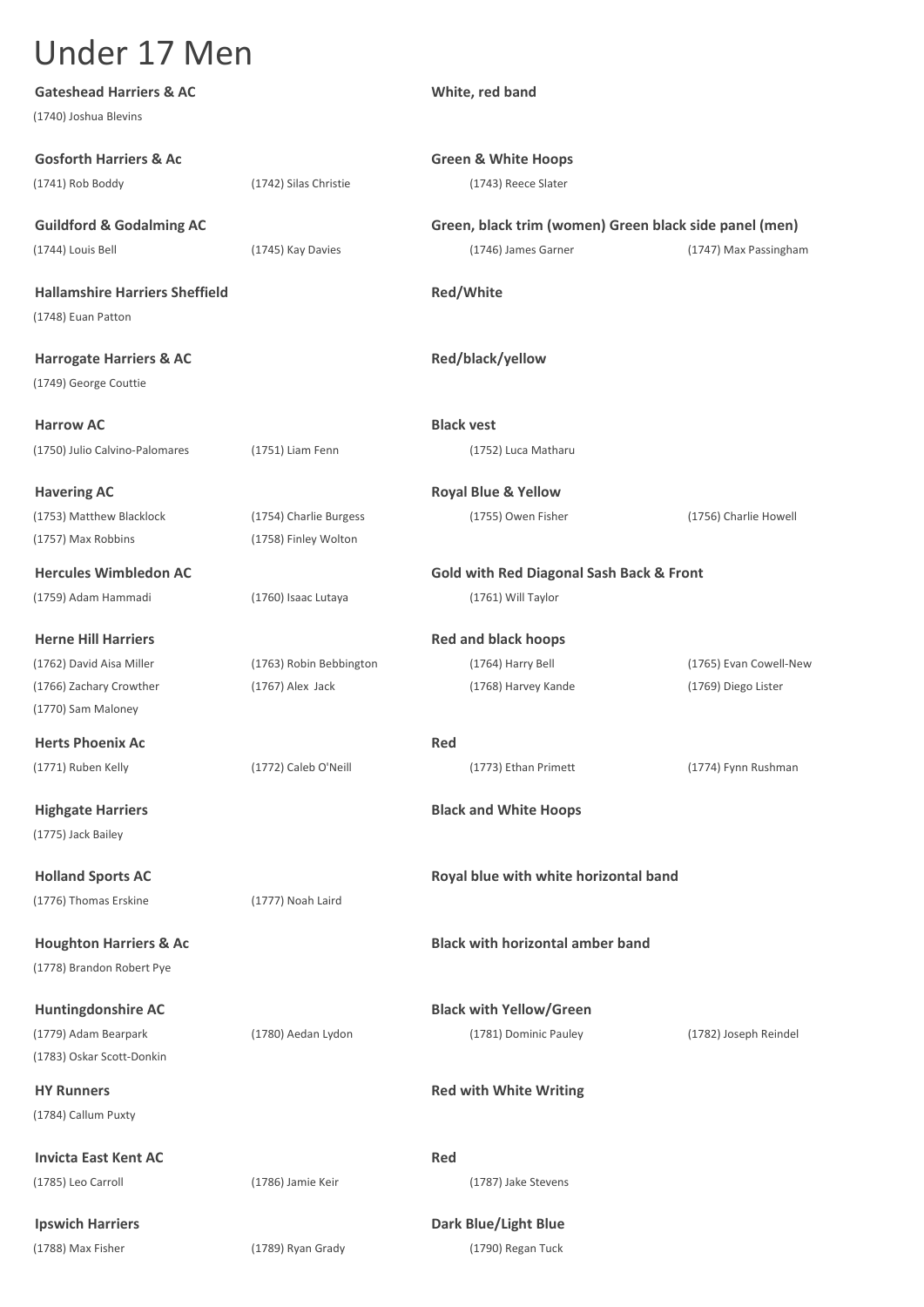| <b>Gateshead Harriers &amp; AC</b><br>(1740) Joshua Blevins |                         | White, red band                                                           |                        |
|-------------------------------------------------------------|-------------------------|---------------------------------------------------------------------------|------------------------|
| <b>Gosforth Harriers &amp; Ac</b>                           |                         | <b>Green &amp; White Hoops</b>                                            |                        |
| (1741) Rob Boddy                                            | (1742) Silas Christie   | (1743) Reece Slater                                                       |                        |
| <b>Guildford &amp; Godalming AC</b>                         |                         | Green, black trim (women) Green black side panel (men)                    |                        |
| (1744) Louis Bell                                           | (1745) Kay Davies       | (1746) James Garner                                                       | (1747) Max Passingham  |
| <b>Hallamshire Harriers Sheffield</b>                       |                         | <b>Red/White</b>                                                          |                        |
| (1748) Euan Patton                                          |                         |                                                                           |                        |
| <b>Harrogate Harriers &amp; AC</b>                          |                         | Red/black/yellow                                                          |                        |
| (1749) George Couttie                                       |                         |                                                                           |                        |
| <b>Harrow AC</b>                                            |                         | <b>Black vest</b>                                                         |                        |
| (1750) Julio Calvino-Palomares                              | (1751) Liam Fenn        | (1752) Luca Matharu                                                       |                        |
| <b>Havering AC</b>                                          |                         | <b>Royal Blue &amp; Yellow</b>                                            |                        |
| (1753) Matthew Blacklock<br>(1757) Max Robbins              | (1754) Charlie Burgess  | (1755) Owen Fisher                                                        | (1756) Charlie Howell  |
|                                                             | (1758) Finley Wolton    |                                                                           |                        |
| <b>Hercules Wimbledon AC</b><br>(1759) Adam Hammadi         | (1760) Isaac Lutaya     | <b>Gold with Red Diagonal Sash Back &amp; Front</b><br>(1761) Will Taylor |                        |
|                                                             |                         |                                                                           |                        |
| <b>Herne Hill Harriers</b>                                  |                         | <b>Red and black hoops</b>                                                |                        |
| (1762) David Aisa Miller                                    | (1763) Robin Bebbington | (1764) Harry Bell                                                         | (1765) Evan Cowell-New |
| (1766) Zachary Crowther                                     | $(1767)$ Alex Jack      | (1768) Harvey Kande                                                       | (1769) Diego Lister    |
| (1770) Sam Maloney                                          |                         |                                                                           |                        |
| <b>Herts Phoenix Ac</b>                                     |                         | Red                                                                       |                        |
| (1771) Ruben Kelly                                          | (1772) Caleb O'Neill    | (1773) Ethan Primett                                                      | (1774) Fynn Rushman    |
| <b>Highgate Harriers</b>                                    |                         | <b>Black and White Hoops</b>                                              |                        |
| (1775) Jack Bailey                                          |                         |                                                                           |                        |
| <b>Holland Sports AC</b>                                    |                         | Royal blue with white horizontal band                                     |                        |
| (1776) Thomas Erskine                                       | (1777) Noah Laird       |                                                                           |                        |
| <b>Houghton Harriers &amp; Ac</b>                           |                         | <b>Black with horizontal amber band</b>                                   |                        |
| (1778) Brandon Robert Pye                                   |                         |                                                                           |                        |
| <b>Huntingdonshire AC</b>                                   |                         | <b>Black with Yellow/Green</b>                                            |                        |
| (1779) Adam Bearpark                                        | (1780) Aedan Lydon      | (1781) Dominic Pauley                                                     | (1782) Joseph Reindel  |
| (1783) Oskar Scott-Donkin                                   |                         |                                                                           |                        |
| <b>HY Runners</b>                                           |                         | <b>Red with White Writing</b>                                             |                        |
| (1784) Callum Puxty                                         |                         |                                                                           |                        |
| <b>Invicta East Kent AC</b>                                 |                         | Red                                                                       |                        |
| (1785) Leo Carroll                                          | (1786) Jamie Keir       | (1787) Jake Stevens                                                       |                        |
| <b>Ipswich Harriers</b>                                     |                         | <b>Dark Blue/Light Blue</b>                                               |                        |
| (1788) Max Fisher                                           | (1789) Ryan Grady       | (1790) Regan Tuck                                                         |                        |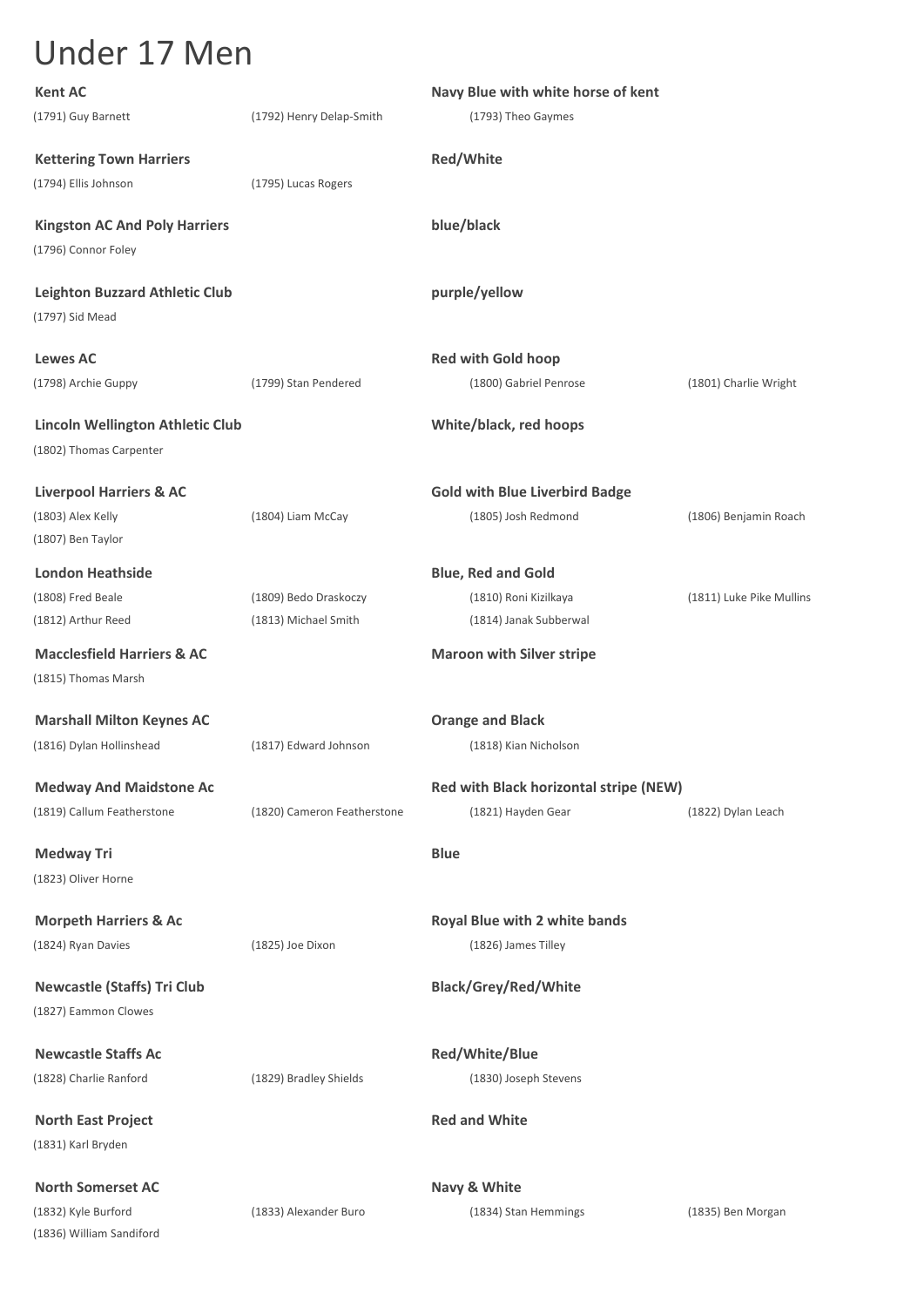| <b>Kent AC</b>                                                     |                             | Navy Blue with white horse of kent     |                          |
|--------------------------------------------------------------------|-----------------------------|----------------------------------------|--------------------------|
| (1791) Guy Barnett                                                 | (1792) Henry Delap-Smith    | (1793) Theo Gaymes                     |                          |
| <b>Kettering Town Harriers</b>                                     |                             | Red/White                              |                          |
| (1794) Ellis Johnson                                               | (1795) Lucas Rogers         |                                        |                          |
| <b>Kingston AC And Poly Harriers</b>                               |                             | blue/black                             |                          |
| (1796) Connor Foley                                                |                             |                                        |                          |
| <b>Leighton Buzzard Athletic Club</b>                              |                             | purple/yellow                          |                          |
| (1797) Sid Mead                                                    |                             |                                        |                          |
| <b>Lewes AC</b>                                                    |                             | <b>Red with Gold hoop</b>              |                          |
| (1798) Archie Guppy                                                | (1799) Stan Pendered        | (1800) Gabriel Penrose                 | (1801) Charlie Wright    |
| <b>Lincoln Wellington Athletic Club</b><br>(1802) Thomas Carpenter |                             | White/black, red hoops                 |                          |
| <b>Liverpool Harriers &amp; AC</b>                                 |                             | <b>Gold with Blue Liverbird Badge</b>  |                          |
| (1803) Alex Kelly                                                  | (1804) Liam McCay           | (1805) Josh Redmond                    | (1806) Benjamin Roach    |
| (1807) Ben Taylor                                                  |                             |                                        |                          |
| <b>London Heathside</b>                                            |                             | <b>Blue, Red and Gold</b>              |                          |
| (1808) Fred Beale                                                  | (1809) Bedo Draskoczy       | (1810) Roni Kizilkaya                  | (1811) Luke Pike Mullins |
| (1812) Arthur Reed                                                 | (1813) Michael Smith        | (1814) Janak Subberwal                 |                          |
| <b>Macclesfield Harriers &amp; AC</b>                              |                             | <b>Maroon with Silver stripe</b>       |                          |
| (1815) Thomas Marsh                                                |                             |                                        |                          |
| <b>Marshall Milton Keynes AC</b>                                   |                             | <b>Orange and Black</b>                |                          |
| (1816) Dylan Hollinshead                                           | (1817) Edward Johnson       | (1818) Kian Nicholson                  |                          |
| <b>Medway And Maidstone Ac</b>                                     |                             | Red with Black horizontal stripe (NEW) |                          |
| (1819) Callum Featherstone                                         | (1820) Cameron Featherstone | (1821) Hayden Gear                     | (1822) Dylan Leach       |
| <b>Medway Tri</b>                                                  |                             | <b>Blue</b>                            |                          |
| (1823) Oliver Horne                                                |                             |                                        |                          |
| <b>Morpeth Harriers &amp; Ac</b>                                   |                             | Royal Blue with 2 white bands          |                          |
| (1824) Ryan Davies                                                 | (1825) Joe Dixon            | (1826) James Tilley                    |                          |
| <b>Newcastle (Staffs) Tri Club</b>                                 |                             | <b>Black/Grey/Red/White</b>            |                          |
| (1827) Eammon Clowes                                               |                             |                                        |                          |
| <b>Newcastle Staffs Ac</b>                                         |                             | Red/White/Blue                         |                          |
| (1828) Charlie Ranford                                             | (1829) Bradley Shields      | (1830) Joseph Stevens                  |                          |
| <b>North East Project</b>                                          |                             | <b>Red and White</b>                   |                          |
| (1831) Karl Bryden                                                 |                             |                                        |                          |
| <b>North Somerset AC</b>                                           |                             | Navy & White                           |                          |
| (1832) Kyle Burford                                                | (1833) Alexander Buro       | (1834) Stan Hemmings                   | (1835) Ben Morgan        |
| (1836) William Sandiford                                           |                             |                                        |                          |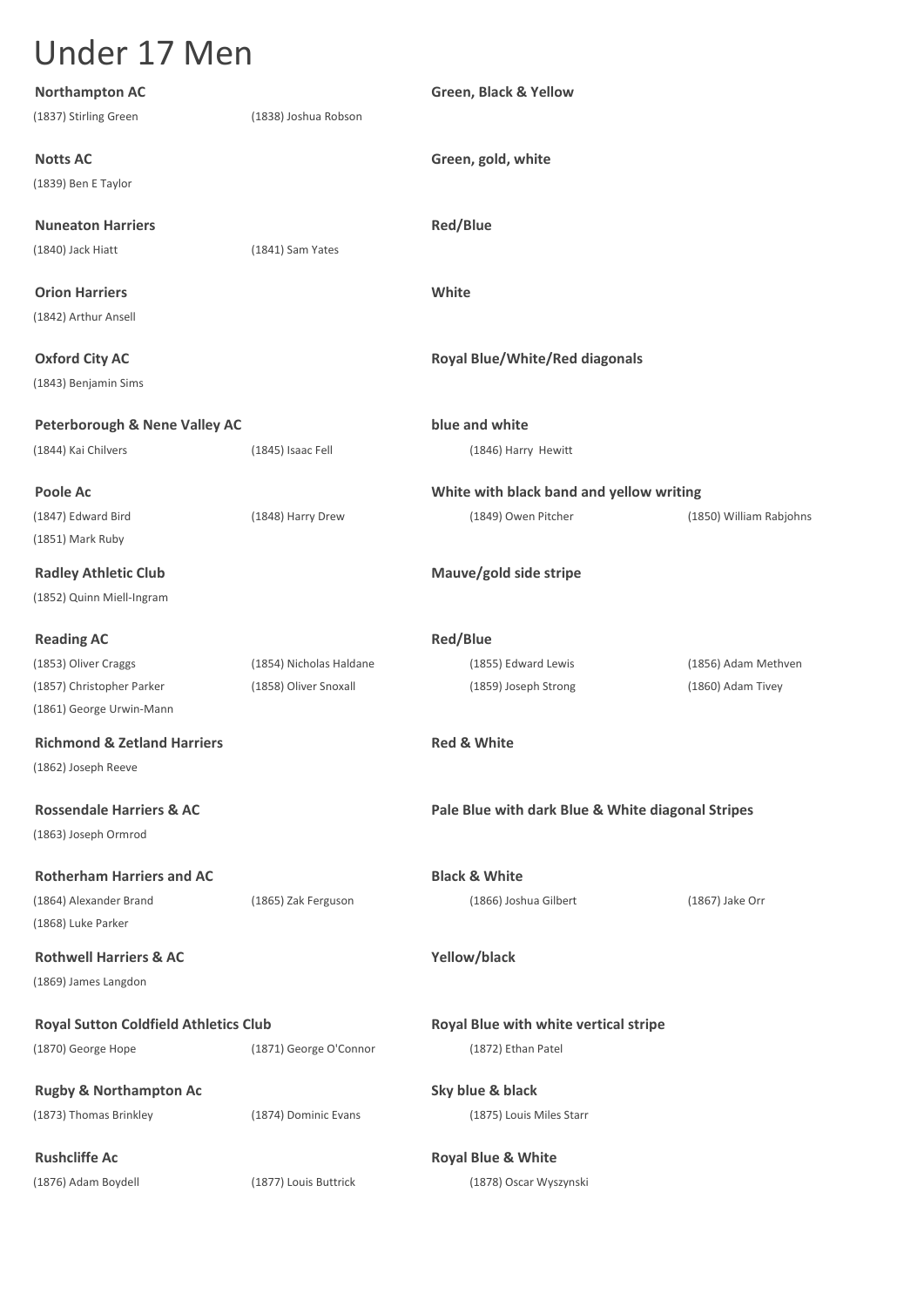| <b>Northampton AC</b>                                         |                         | Green, Black & Yellow                             |                         |
|---------------------------------------------------------------|-------------------------|---------------------------------------------------|-------------------------|
| (1837) Stirling Green                                         | (1838) Joshua Robson    |                                                   |                         |
| <b>Notts AC</b>                                               |                         | Green, gold, white                                |                         |
| (1839) Ben E Taylor                                           |                         |                                                   |                         |
| <b>Nuneaton Harriers</b>                                      |                         | <b>Red/Blue</b>                                   |                         |
| (1840) Jack Hiatt                                             | (1841) Sam Yates        |                                                   |                         |
| <b>Orion Harriers</b>                                         |                         | White                                             |                         |
| (1842) Arthur Ansell                                          |                         |                                                   |                         |
| <b>Oxford City AC</b>                                         |                         | <b>Royal Blue/White/Red diagonals</b>             |                         |
| (1843) Benjamin Sims                                          |                         |                                                   |                         |
| <b>Peterborough &amp; Nene Valley AC</b>                      |                         | blue and white                                    |                         |
| (1844) Kai Chilvers                                           | (1845) Isaac Fell       | (1846) Harry Hewitt                               |                         |
| <b>Poole Ac</b>                                               |                         | White with black band and yellow writing          |                         |
| (1847) Edward Bird<br>(1851) Mark Ruby                        | (1848) Harry Drew       | (1849) Owen Pitcher                               | (1850) William Rabjohns |
| <b>Radley Athletic Club</b><br>(1852) Quinn Miell-Ingram      |                         | Mauve/gold side stripe                            |                         |
| <b>Reading AC</b>                                             |                         | <b>Red/Blue</b>                                   |                         |
| (1853) Oliver Craggs                                          | (1854) Nicholas Haldane | (1855) Edward Lewis                               | (1856) Adam Methven     |
| (1857) Christopher Parker                                     | (1858) Oliver Snoxall   | (1859) Joseph Strong                              | (1860) Adam Tivey       |
| (1861) George Urwin-Mann                                      |                         |                                                   |                         |
| <b>Richmond &amp; Zetland Harriers</b><br>(1862) Joseph Reeve |                         | <b>Red &amp; White</b>                            |                         |
| <b>Rossendale Harriers &amp; AC</b><br>(1863) Joseph Ormrod   |                         | Pale Blue with dark Blue & White diagonal Stripes |                         |
| <b>Rotherham Harriers and AC</b>                              |                         | <b>Black &amp; White</b>                          |                         |
| (1864) Alexander Brand                                        | (1865) Zak Ferguson     | (1866) Joshua Gilbert                             | (1867) Jake Orr         |
| (1868) Luke Parker                                            |                         |                                                   |                         |
| <b>Rothwell Harriers &amp; AC</b>                             |                         | Yellow/black                                      |                         |
| (1869) James Langdon                                          |                         |                                                   |                         |
| <b>Royal Sutton Coldfield Athletics Club</b>                  |                         | Royal Blue with white vertical stripe             |                         |
| (1870) George Hope                                            | (1871) George O'Connor  | (1872) Ethan Patel                                |                         |
| <b>Rugby &amp; Northampton Ac</b>                             |                         | Sky blue & black                                  |                         |
| (1873) Thomas Brinkley                                        | (1874) Dominic Evans    | (1875) Louis Miles Starr                          |                         |
| <b>Rushcliffe Ac</b>                                          |                         | <b>Royal Blue &amp; White</b>                     |                         |
| (1876) Adam Boydell                                           | (1877) Louis Buttrick   | (1878) Oscar Wyszynski                            |                         |
|                                                               |                         |                                                   |                         |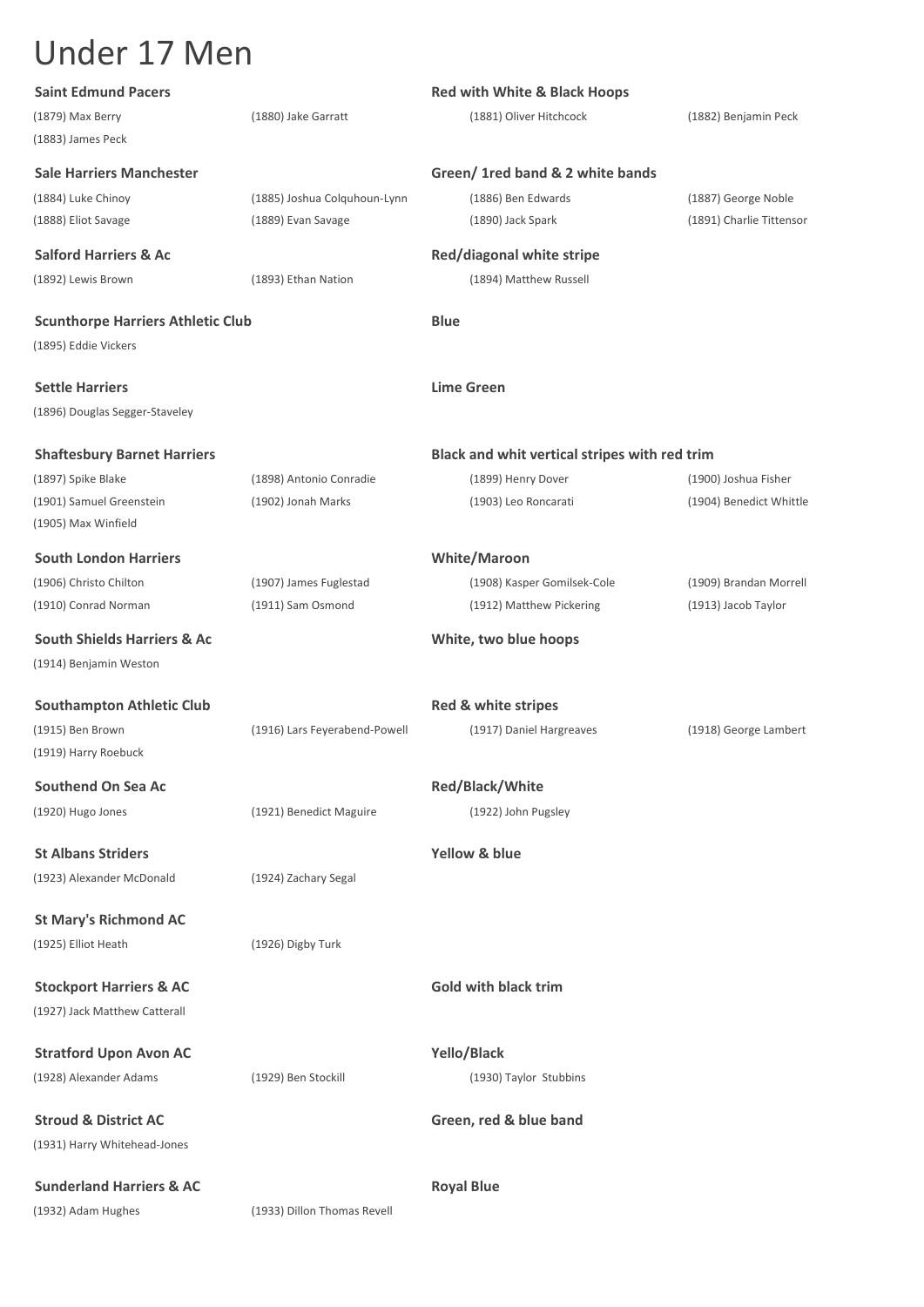| <b>Saint Edmund Pacers</b>               |                               | <b>Red with White &amp; Black Hoops</b>       |                          |
|------------------------------------------|-------------------------------|-----------------------------------------------|--------------------------|
| (1879) Max Berry                         | (1880) Jake Garratt           | (1881) Oliver Hitchcock                       | (1882) Benjamin Peck     |
| (1883) James Peck                        |                               |                                               |                          |
| <b>Sale Harriers Manchester</b>          |                               | Green/ 1red band & 2 white bands              |                          |
| (1884) Luke Chinoy                       | (1885) Joshua Colquhoun-Lynn  | (1886) Ben Edwards                            | (1887) George Noble      |
| (1888) Eliot Savage                      | (1889) Evan Savage            | (1890) Jack Spark                             | (1891) Charlie Tittensor |
| <b>Salford Harriers &amp; Ac</b>         |                               | Red/diagonal white stripe                     |                          |
| (1892) Lewis Brown                       | (1893) Ethan Nation           | (1894) Matthew Russell                        |                          |
|                                          |                               |                                               |                          |
| <b>Scunthorpe Harriers Athletic Club</b> |                               | <b>Blue</b>                                   |                          |
| (1895) Eddie Vickers                     |                               |                                               |                          |
| <b>Settle Harriers</b>                   |                               | <b>Lime Green</b>                             |                          |
| (1896) Douglas Segger-Staveley           |                               |                                               |                          |
|                                          |                               |                                               |                          |
| <b>Shaftesbury Barnet Harriers</b>       |                               | Black and whit vertical stripes with red trim |                          |
| (1897) Spike Blake                       | (1898) Antonio Conradie       | (1899) Henry Dover                            | (1900) Joshua Fisher     |
| (1901) Samuel Greenstein                 | (1902) Jonah Marks            | (1903) Leo Roncarati                          | (1904) Benedict Whittle  |
| (1905) Max Winfield                      |                               |                                               |                          |
| <b>South London Harriers</b>             |                               | <b>White/Maroon</b>                           |                          |
| (1906) Christo Chilton                   | (1907) James Fuglestad        | (1908) Kasper Gomilsek-Cole                   | (1909) Brandan Morrell   |
| (1910) Conrad Norman                     | (1911) Sam Osmond             | (1912) Matthew Pickering                      | (1913) Jacob Taylor      |
| <b>South Shields Harriers &amp; Ac</b>   |                               | White, two blue hoops                         |                          |
| (1914) Benjamin Weston                   |                               |                                               |                          |
|                                          |                               |                                               |                          |
| <b>Southampton Athletic Club</b>         |                               | Red & white stripes                           |                          |
| (1915) Ben Brown<br>(1919) Harry Roebuck | (1916) Lars Feyerabend-Powell | (1917) Daniel Hargreaves                      | (1918) George Lambert    |
|                                          |                               |                                               |                          |
| <b>Southend On Sea Ac</b>                |                               | <b>Red/Black/White</b>                        |                          |
| (1920) Hugo Jones                        | (1921) Benedict Maguire       | (1922) John Pugsley                           |                          |
| <b>St Albans Striders</b>                |                               | Yellow & blue                                 |                          |
| (1923) Alexander McDonald                | (1924) Zachary Segal          |                                               |                          |
|                                          |                               |                                               |                          |
| <b>St Mary's Richmond AC</b>             |                               |                                               |                          |
| (1925) Elliot Heath                      | (1926) Digby Turk             |                                               |                          |
| <b>Stockport Harriers &amp; AC</b>       |                               | <b>Gold with black trim</b>                   |                          |
| (1927) Jack Matthew Catterall            |                               |                                               |                          |
|                                          |                               |                                               |                          |
| <b>Stratford Upon Avon AC</b>            |                               | Yello/Black                                   |                          |
| (1928) Alexander Adams                   | (1929) Ben Stockill           | (1930) Taylor Stubbins                        |                          |
| <b>Stroud &amp; District AC</b>          |                               | Green, red & blue band                        |                          |
| (1931) Harry Whitehead-Jones             |                               |                                               |                          |
|                                          |                               |                                               |                          |
| <b>Sunderland Harriers &amp; AC</b>      |                               | <b>Royal Blue</b>                             |                          |
| (1932) Adam Hughes                       | (1933) Dillon Thomas Revell   |                                               |                          |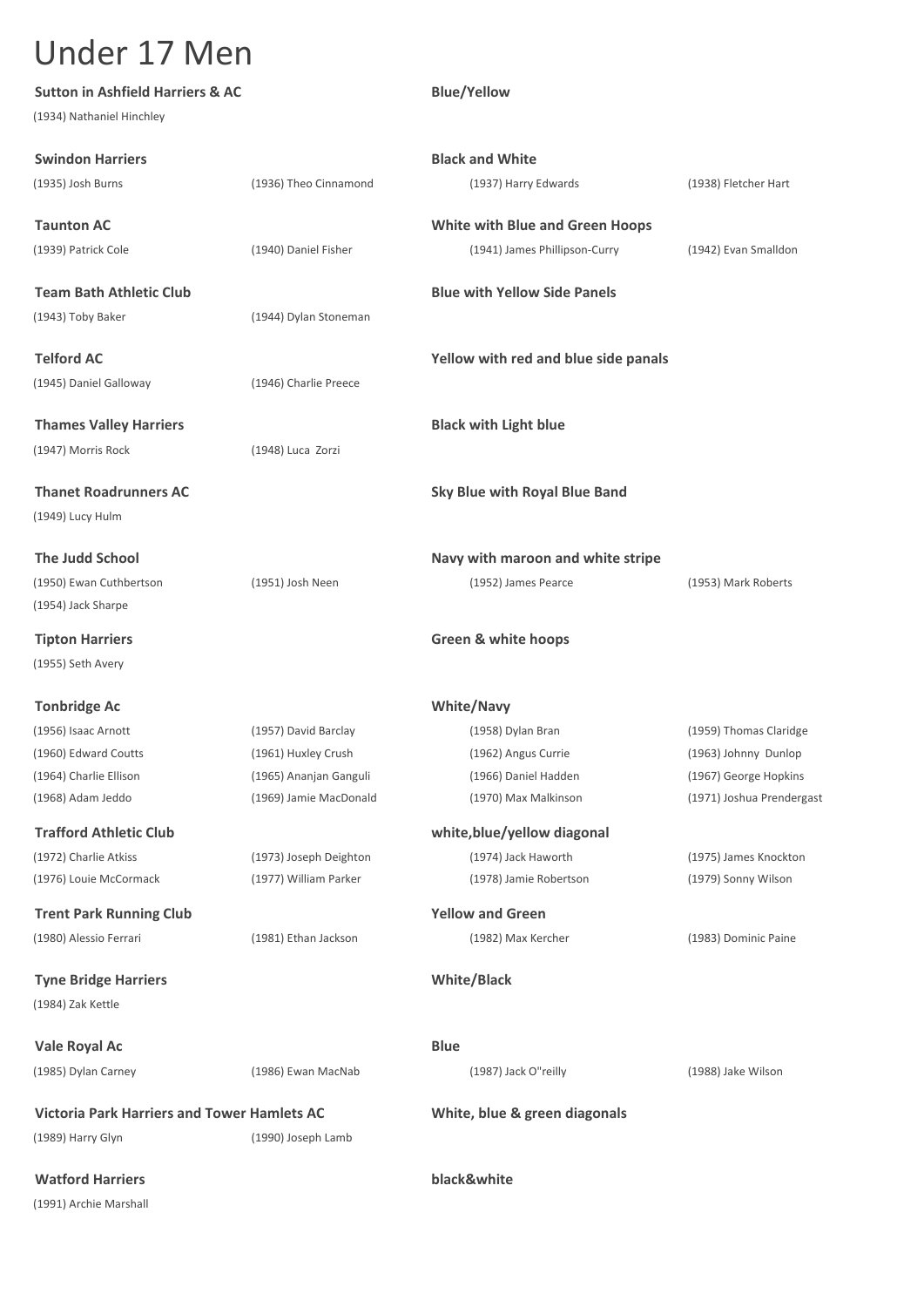| <b>Sutton in Ashfield Harriers &amp; AC</b>        |                        | <b>Blue/Yellow</b>                     |                           |
|----------------------------------------------------|------------------------|----------------------------------------|---------------------------|
| (1934) Nathaniel Hinchley                          |                        |                                        |                           |
| <b>Swindon Harriers</b>                            |                        | <b>Black and White</b>                 |                           |
| (1935) Josh Burns                                  | (1936) Theo Cinnamond  | (1937) Harry Edwards                   | (1938) Fletcher Hart      |
| <b>Taunton AC</b>                                  |                        | <b>White with Blue and Green Hoops</b> |                           |
| (1939) Patrick Cole                                | (1940) Daniel Fisher   | (1941) James Phillipson-Curry          | (1942) Evan Smalldon      |
| <b>Team Bath Athletic Club</b>                     |                        | <b>Blue with Yellow Side Panels</b>    |                           |
| (1943) Toby Baker                                  | (1944) Dylan Stoneman  |                                        |                           |
| <b>Telford AC</b>                                  |                        | Yellow with red and blue side panals   |                           |
| (1945) Daniel Galloway                             | (1946) Charlie Preece  |                                        |                           |
| <b>Thames Valley Harriers</b>                      |                        | <b>Black with Light blue</b>           |                           |
| (1947) Morris Rock                                 | (1948) Luca Zorzi      |                                        |                           |
| <b>Thanet Roadrunners AC</b>                       |                        | <b>Sky Blue with Royal Blue Band</b>   |                           |
| (1949) Lucy Hulm                                   |                        |                                        |                           |
| <b>The Judd School</b>                             |                        | Navy with maroon and white stripe      |                           |
| (1950) Ewan Cuthbertson                            | (1951) Josh Neen       | (1952) James Pearce                    | (1953) Mark Roberts       |
| (1954) Jack Sharpe                                 |                        |                                        |                           |
| <b>Tipton Harriers</b>                             |                        | <b>Green &amp; white hoops</b>         |                           |
| (1955) Seth Avery                                  |                        |                                        |                           |
| <b>Tonbridge Ac</b>                                |                        | <b>White/Navy</b>                      |                           |
| (1956) Isaac Arnott                                | (1957) David Barclay   | (1958) Dylan Bran                      | (1959) Thomas Claridge    |
| (1960) Edward Coutts                               | (1961) Huxley Crush    | (1962) Angus Currie                    | (1963) Johnny Dunlop      |
| (1964) Charlie Ellison                             | (1965) Ananjan Ganguli | (1966) Daniel Hadden                   | (1967) George Hopkins     |
| (1968) Adam Jeddo                                  | (1969) Jamie MacDonald | (1970) Max Malkinson                   | (1971) Joshua Prendergast |
| <b>Trafford Athletic Club</b>                      |                        | white, blue/yellow diagonal            |                           |
| (1972) Charlie Atkiss                              | (1973) Joseph Deighton | (1974) Jack Haworth                    | (1975) James Knockton     |
| (1976) Louie McCormack                             | (1977) William Parker  | (1978) Jamie Robertson                 | (1979) Sonny Wilson       |
| <b>Trent Park Running Club</b>                     |                        | <b>Yellow and Green</b>                |                           |
| (1980) Alessio Ferrari                             | (1981) Ethan Jackson   | (1982) Max Kercher                     | (1983) Dominic Paine      |
| <b>Tyne Bridge Harriers</b>                        |                        | White/Black                            |                           |
| (1984) Zak Kettle                                  |                        |                                        |                           |
| Vale Royal Ac                                      |                        | <b>Blue</b>                            |                           |
| (1985) Dylan Carney                                | (1986) Ewan MacNab     | (1987) Jack O"reilly                   | (1988) Jake Wilson        |
| <b>Victoria Park Harriers and Tower Hamlets AC</b> |                        | White, blue & green diagonals          |                           |
| (1989) Harry Glyn                                  | (1990) Joseph Lamb     |                                        |                           |
| <b>Watford Harriers</b>                            |                        | black&white                            |                           |

(1991) Archie Marshall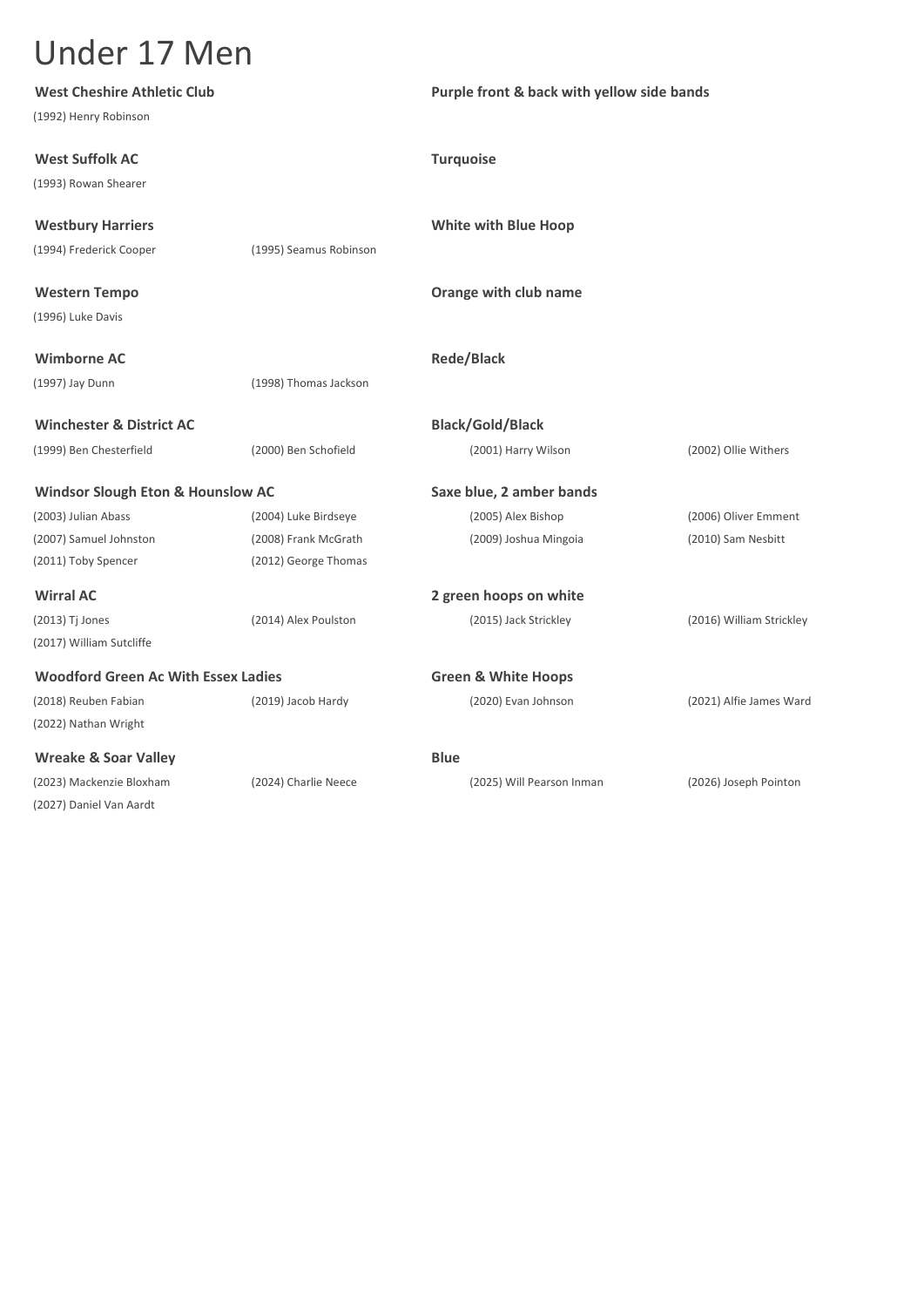| <b>West Cheshire Athletic Club</b>           |                        | Purple front & back with yellow side bands |                          |
|----------------------------------------------|------------------------|--------------------------------------------|--------------------------|
| (1992) Henry Robinson                        |                        |                                            |                          |
| <b>West Suffolk AC</b>                       |                        | <b>Turquoise</b>                           |                          |
| (1993) Rowan Shearer                         |                        |                                            |                          |
| <b>Westbury Harriers</b>                     |                        | <b>White with Blue Hoop</b>                |                          |
| (1994) Frederick Cooper                      | (1995) Seamus Robinson |                                            |                          |
| <b>Western Tempo</b>                         |                        | Orange with club name                      |                          |
| (1996) Luke Davis                            |                        |                                            |                          |
| <b>Wimborne AC</b>                           |                        | <b>Rede/Black</b>                          |                          |
| (1997) Jay Dunn                              | (1998) Thomas Jackson  |                                            |                          |
| <b>Winchester &amp; District AC</b>          |                        | <b>Black/Gold/Black</b>                    |                          |
| (1999) Ben Chesterfield                      | (2000) Ben Schofield   | (2001) Harry Wilson                        | (2002) Ollie Withers     |
| <b>Windsor Slough Eton &amp; Hounslow AC</b> |                        | Saxe blue, 2 amber bands                   |                          |
| (2003) Julian Abass                          | (2004) Luke Birdseye   | (2005) Alex Bishop                         | (2006) Oliver Emment     |
| (2007) Samuel Johnston                       | (2008) Frank McGrath   | (2009) Joshua Mingoia                      | (2010) Sam Nesbitt       |
| (2011) Toby Spencer                          | (2012) George Thomas   |                                            |                          |
| <b>Wirral AC</b>                             |                        | 2 green hoops on white                     |                          |
| (2013) Tj Jones                              | (2014) Alex Poulston   | (2015) Jack Strickley                      | (2016) William Strickley |
| (2017) William Sutcliffe                     |                        |                                            |                          |
| <b>Woodford Green Ac With Essex Ladies</b>   |                        | <b>Green &amp; White Hoops</b>             |                          |
| (2018) Reuben Fabian                         | (2019) Jacob Hardy     | (2020) Evan Johnson                        | (2021) Alfie James Ward  |
| (2022) Nathan Wright                         |                        |                                            |                          |
| <b>Wreake &amp; Soar Valley</b>              |                        | <b>Blue</b>                                |                          |
| (2023) Mackenzie Bloxham                     | (2024) Charlie Neece   | (2025) Will Pearson Inman                  | (2026) Joseph Pointon    |
| (2027) Daniel Van Aardt                      |                        |                                            |                          |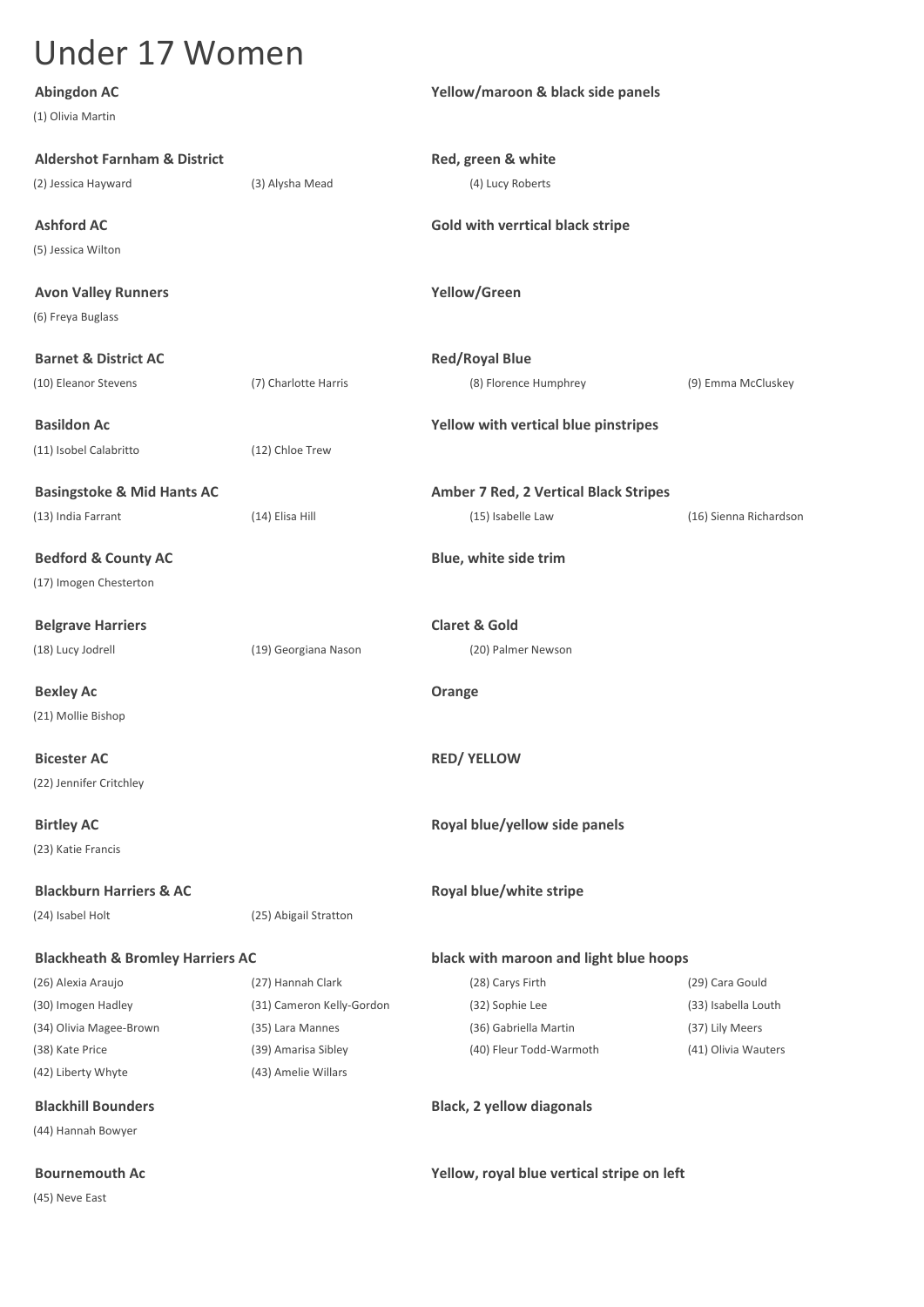(1) Olivia Martin **Aldershot Farnham & District Red, green & white**

(5) Jessica Wilton

**Avon Valley Runners Yellow/Green** (6) Freya Buglass

**Barnet & District AC Red/Royal Blue** 

(11) Isobel Calabritto (12) Chloe Trew

(13) India Farrant (14) Elisa Hill (15) Isabelle Law (16) Sienna Richardson

(17) Imogen Chesterton

**Belgrave Harriers Claret & Gold** (18) Lucy Jodrell (19) Georgiana Nason (20) Palmer Newson

**Bexley Ac Orange** (21) Mollie Bishop

(22) Jennifer Critchley

(23) Katie Francis

(24) Isabel Holt (25) Abigail Stratton

(30) Imogen Hadley (31) Cameron Kelly-Gordon (32) Sophie Lee (33) Isabella Louth (34) Olivia Magee-Brown (35) Lara Mannes (36) Gabriella Martin (37) Lily Meers (38) Kate Price (39) Amarisa Sibley (40) Fleur Todd-Warmoth (41) Olivia Wauters (42) Liberty Whyte (43) Amelie Willars

(44) Hannah Bowyer

(45) Neve East

**Abingdon AC Yellow/maroon & black side panels**

(2) Jessica Hayward (3) Alysha Mead (4) Lucy Roberts

**Ashford AC Gold with verrtical black stripe**

(10) Eleanor Stevens (7) Charlotte Harris (8) Florence Humphrey (9) Emma McCluskey

**Basildon Ac Yellow with vertical blue pinstripes**

**Basingstoke & Mid Hants AC Amber 7 Red, 2 Vertical Black Stripes**

**Bedford & County AC Blue, white side trim** 

**Bicester AC RED/ YELLOW**

**Birtley AC Royal blue/yellow side panels Birtley AC Royal blue/yellow side panels** 

**Blackburn Harriers & AC Royal blue/white stripe** 

### **Blackheath & Bromley Harriers AC black with maroon and light blue hoops**

(26) Alexia Araujo (27) Hannah Clark (28) Carys Firth (29) Cara Gould

**Blackhill Bounders Black, 2 yellow diagonals**

**Bournemouth Ac Yellow, royal blue vertical stripe on left**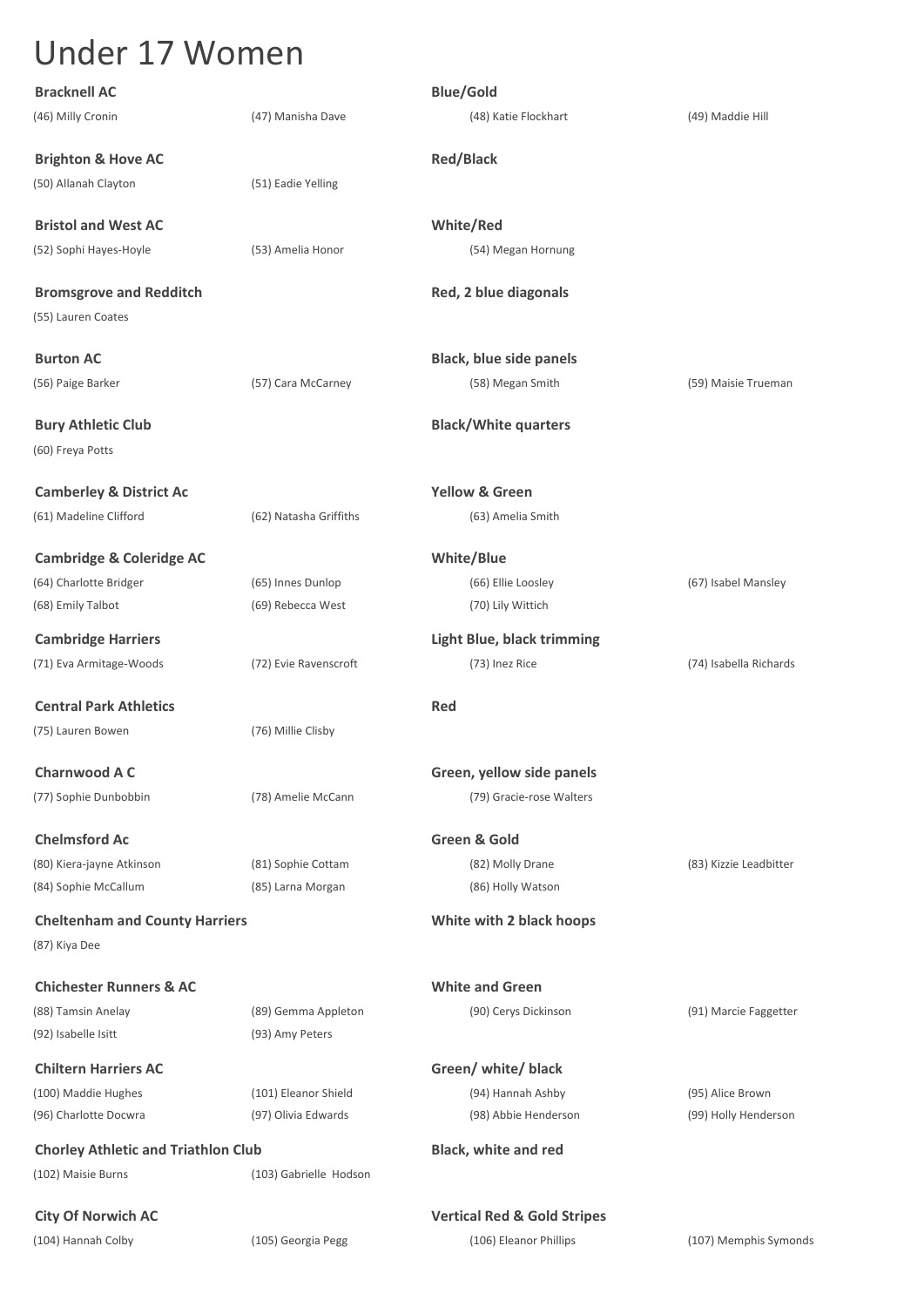| <b>Bracknell AC</b>                                    |                        | <b>Blue/Gold</b>                       |                        |
|--------------------------------------------------------|------------------------|----------------------------------------|------------------------|
| (46) Milly Cronin                                      | (47) Manisha Dave      | (48) Katie Flockhart                   | (49) Maddie Hill       |
| <b>Brighton &amp; Hove AC</b>                          |                        | <b>Red/Black</b>                       |                        |
| (50) Allanah Clayton                                   | (51) Eadie Yelling     |                                        |                        |
| <b>Bristol and West AC</b>                             |                        | White/Red                              |                        |
| (52) Sophi Hayes-Hoyle                                 | (53) Amelia Honor      | (54) Megan Hornung                     |                        |
| <b>Bromsgrove and Redditch</b><br>(55) Lauren Coates   |                        | Red, 2 blue diagonals                  |                        |
| <b>Burton AC</b>                                       |                        | <b>Black, blue side panels</b>         |                        |
| (56) Paige Barker                                      | (57) Cara McCarney     | (58) Megan Smith                       | (59) Maisie Trueman    |
|                                                        |                        |                                        |                        |
| <b>Bury Athletic Club</b><br>(60) Freya Potts          |                        | <b>Black/White quarters</b>            |                        |
| <b>Camberley &amp; District Ac</b>                     |                        | <b>Yellow &amp; Green</b>              |                        |
| (61) Madeline Clifford                                 | (62) Natasha Griffiths | (63) Amelia Smith                      |                        |
| <b>Cambridge &amp; Coleridge AC</b>                    |                        | <b>White/Blue</b>                      |                        |
| (64) Charlotte Bridger                                 | (65) Innes Dunlop      | (66) Ellie Loosley                     | (67) Isabel Mansley    |
| (68) Emily Talbot                                      | (69) Rebecca West      | (70) Lily Wittich                      |                        |
| <b>Cambridge Harriers</b>                              |                        | <b>Light Blue, black trimming</b>      |                        |
| (71) Eva Armitage-Woods                                | (72) Evie Ravenscroft  | (73) Inez Rice                         | (74) Isabella Richards |
| <b>Central Park Athletics</b>                          |                        | Red                                    |                        |
| (75) Lauren Bowen                                      | (76) Millie Clisby     |                                        |                        |
| <b>Charnwood A C</b>                                   |                        | Green, yellow side panels              |                        |
| (77) Sophie Dunbobbin                                  | (78) Amelie McCann     | (79) Gracie-rose Walters               |                        |
| <b>Chelmsford Ac</b>                                   |                        | Green & Gold                           |                        |
| (80) Kiera-jayne Atkinson                              | (81) Sophie Cottam     | (82) Molly Drane                       | (83) Kizzie Leadbitter |
| (84) Sophie McCallum                                   | (85) Larna Morgan      | (86) Holly Watson                      |                        |
| <b>Cheltenham and County Harriers</b><br>(87) Kiya Dee |                        | White with 2 black hoops               |                        |
| <b>Chichester Runners &amp; AC</b>                     |                        | <b>White and Green</b>                 |                        |
| (88) Tamsin Anelay                                     | (89) Gemma Appleton    | (90) Cerys Dickinson                   | (91) Marcie Faggetter  |
| (92) Isabelle Isitt                                    | (93) Amy Peters        |                                        |                        |
| <b>Chiltern Harriers AC</b>                            |                        | Green/ white/ black                    |                        |
| (100) Maddie Hughes                                    | (101) Eleanor Shield   | (94) Hannah Ashby                      | (95) Alice Brown       |
| (96) Charlotte Docwra                                  | (97) Olivia Edwards    | (98) Abbie Henderson                   | (99) Holly Henderson   |
| <b>Chorley Athletic and Triathlon Club</b>             |                        | <b>Black, white and red</b>            |                        |
| (102) Maisie Burns                                     | (103) Gabrielle Hodson |                                        |                        |
| <b>City Of Norwich AC</b>                              |                        | <b>Vertical Red &amp; Gold Stripes</b> |                        |
| (104) Hannah Colby                                     | (105) Georgia Pegg     | (106) Eleanor Phillips                 | (107) Memphis Symonds  |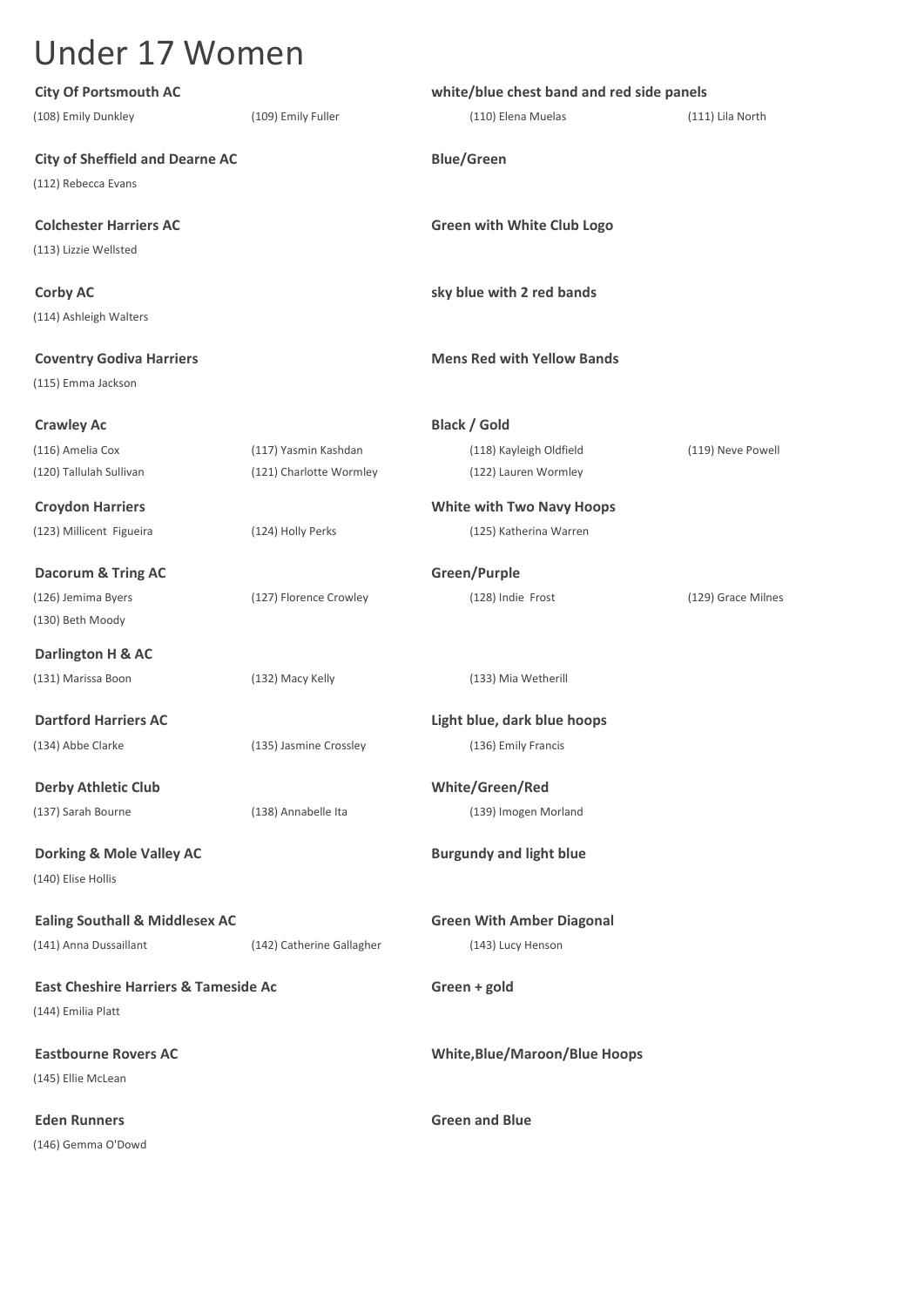| <b>City Of Portsmouth AC</b>                              |                           | white/blue chest band and red side panels |                    |  |
|-----------------------------------------------------------|---------------------------|-------------------------------------------|--------------------|--|
| (108) Emily Dunkley                                       | (109) Emily Fuller        | (110) Elena Muelas                        | (111) Lila North   |  |
| <b>City of Sheffield and Dearne AC</b>                    |                           | <b>Blue/Green</b>                         |                    |  |
| (112) Rebecca Evans                                       |                           |                                           |                    |  |
| <b>Colchester Harriers AC</b>                             |                           | <b>Green with White Club Logo</b>         |                    |  |
| (113) Lizzie Wellsted                                     |                           |                                           |                    |  |
| <b>Corby AC</b>                                           |                           | sky blue with 2 red bands                 |                    |  |
| (114) Ashleigh Walters                                    |                           |                                           |                    |  |
| <b>Coventry Godiva Harriers</b>                           |                           | <b>Mens Red with Yellow Bands</b>         |                    |  |
| (115) Emma Jackson                                        |                           |                                           |                    |  |
| <b>Crawley Ac</b>                                         |                           | <b>Black / Gold</b>                       |                    |  |
| (116) Amelia Cox                                          | (117) Yasmin Kashdan      | (118) Kayleigh Oldfield                   | (119) Neve Powell  |  |
| (120) Tallulah Sullivan                                   | (121) Charlotte Wormley   | (122) Lauren Wormley                      |                    |  |
| <b>Croydon Harriers</b>                                   |                           | <b>White with Two Navy Hoops</b>          |                    |  |
| (123) Millicent Figueira                                  | (124) Holly Perks         | (125) Katherina Warren                    |                    |  |
| <b>Dacorum &amp; Tring AC</b>                             |                           | Green/Purple                              |                    |  |
| (126) Jemima Byers                                        | (127) Florence Crowley    | (128) Indie Frost                         | (129) Grace Milnes |  |
| (130) Beth Moody                                          |                           |                                           |                    |  |
| Darlington H & AC                                         |                           |                                           |                    |  |
| (131) Marissa Boon                                        | (132) Macy Kelly          | (133) Mia Wetherill                       |                    |  |
| <b>Dartford Harriers AC</b>                               |                           | Light blue, dark blue hoops               |                    |  |
| (134) Abbe Clarke                                         | (135) Jasmine Crossley    | (136) Emily Francis                       |                    |  |
| <b>Derby Athletic Club</b>                                |                           | White/Green/Red                           |                    |  |
| (137) Sarah Bourne                                        | (138) Annabelle Ita       | (139) Imogen Morland                      |                    |  |
| <b>Dorking &amp; Mole Valley AC</b><br>(140) Elise Hollis |                           | <b>Burgundy and light blue</b>            |                    |  |
| <b>Ealing Southall &amp; Middlesex AC</b>                 |                           | <b>Green With Amber Diagonal</b>          |                    |  |
| (141) Anna Dussaillant                                    | (142) Catherine Gallagher | (143) Lucy Henson                         |                    |  |
| <b>East Cheshire Harriers &amp; Tameside Ac</b>           |                           | Green + gold                              |                    |  |
| (144) Emilia Platt                                        |                           |                                           |                    |  |
| <b>Eastbourne Rovers AC</b>                               |                           | <b>White, Blue/Maroon/Blue Hoops</b>      |                    |  |
| (145) Ellie McLean                                        |                           |                                           |                    |  |
| <b>Eden Runners</b>                                       |                           | <b>Green and Blue</b>                     |                    |  |
| (146) Gemma O'Dowd                                        |                           |                                           |                    |  |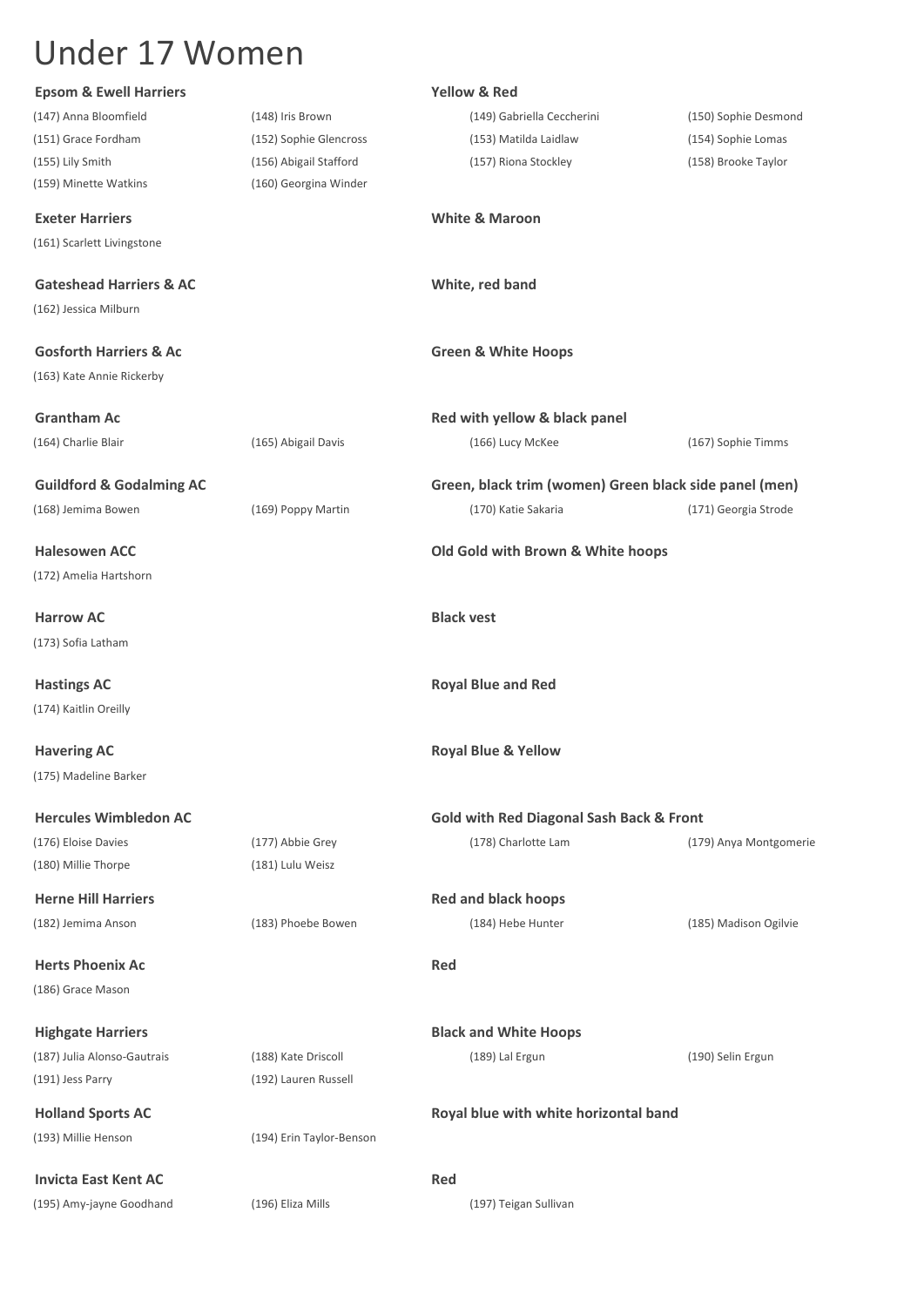| <b>Epsom &amp; Ewell Harriers</b>   |                          | <b>Yellow &amp; Red</b>                                |                        |
|-------------------------------------|--------------------------|--------------------------------------------------------|------------------------|
| (147) Anna Bloomfield               | (148) Iris Brown         | (149) Gabriella Ceccherini                             | (150) Sophie Desmond   |
| (151) Grace Fordham                 | (152) Sophie Glencross   | (153) Matilda Laidlaw                                  | (154) Sophie Lomas     |
| (155) Lily Smith                    | (156) Abigail Stafford   | (157) Riona Stockley                                   | (158) Brooke Taylor    |
| (159) Minette Watkins               | (160) Georgina Winder    |                                                        |                        |
| <b>Exeter Harriers</b>              |                          | <b>White &amp; Maroon</b>                              |                        |
| (161) Scarlett Livingstone          |                          |                                                        |                        |
| <b>Gateshead Harriers &amp; AC</b>  |                          | White, red band                                        |                        |
| (162) Jessica Milburn               |                          |                                                        |                        |
| <b>Gosforth Harriers &amp; Ac</b>   |                          | <b>Green &amp; White Hoops</b>                         |                        |
| (163) Kate Annie Rickerby           |                          |                                                        |                        |
| <b>Grantham Ac</b>                  |                          | Red with yellow & black panel                          |                        |
| (164) Charlie Blair                 | (165) Abigail Davis      | (166) Lucy McKee                                       | (167) Sophie Timms     |
|                                     |                          |                                                        |                        |
| <b>Guildford &amp; Godalming AC</b> |                          | Green, black trim (women) Green black side panel (men) |                        |
| (168) Jemima Bowen                  | (169) Poppy Martin       | (170) Katie Sakaria                                    | (171) Georgia Strode   |
| <b>Halesowen ACC</b>                |                          | Old Gold with Brown & White hoops                      |                        |
| (172) Amelia Hartshorn              |                          |                                                        |                        |
| <b>Harrow AC</b>                    |                          | <b>Black vest</b>                                      |                        |
| (173) Sofia Latham                  |                          |                                                        |                        |
| <b>Hastings AC</b>                  |                          | <b>Royal Blue and Red</b>                              |                        |
| (174) Kaitlin Oreilly               |                          |                                                        |                        |
| <b>Havering AC</b>                  |                          | <b>Royal Blue &amp; Yellow</b>                         |                        |
| (175) Madeline Barker               |                          |                                                        |                        |
| <b>Hercules Wimbledon AC</b>        |                          | <b>Gold with Red Diagonal Sash Back &amp; Front</b>    |                        |
| (176) Eloise Davies                 | (177) Abbie Grey         | (178) Charlotte Lam                                    | (179) Anya Montgomerie |
| (180) Millie Thorpe                 | (181) Lulu Weisz         |                                                        |                        |
| <b>Herne Hill Harriers</b>          |                          | <b>Red and black hoops</b>                             |                        |
| (182) Jemima Anson                  | (183) Phoebe Bowen       | (184) Hebe Hunter                                      | (185) Madison Ogilvie  |
| <b>Herts Phoenix Ac</b>             |                          | <b>Red</b>                                             |                        |
| (186) Grace Mason                   |                          |                                                        |                        |
| <b>Highgate Harriers</b>            |                          | <b>Black and White Hoops</b>                           |                        |
| (187) Julia Alonso-Gautrais         | (188) Kate Driscoll      | (189) Lal Ergun                                        | (190) Selin Ergun      |
| (191) Jess Parry                    | (192) Lauren Russell     |                                                        |                        |
| <b>Holland Sports AC</b>            |                          | Royal blue with white horizontal band                  |                        |
| (193) Millie Henson                 | (194) Erin Taylor-Benson |                                                        |                        |
| <b>Invicta East Kent AC</b>         |                          | Red                                                    |                        |
| (195) Amy-jayne Goodhand            | (196) Eliza Mills        | (197) Teigan Sullivan                                  |                        |
|                                     |                          |                                                        |                        |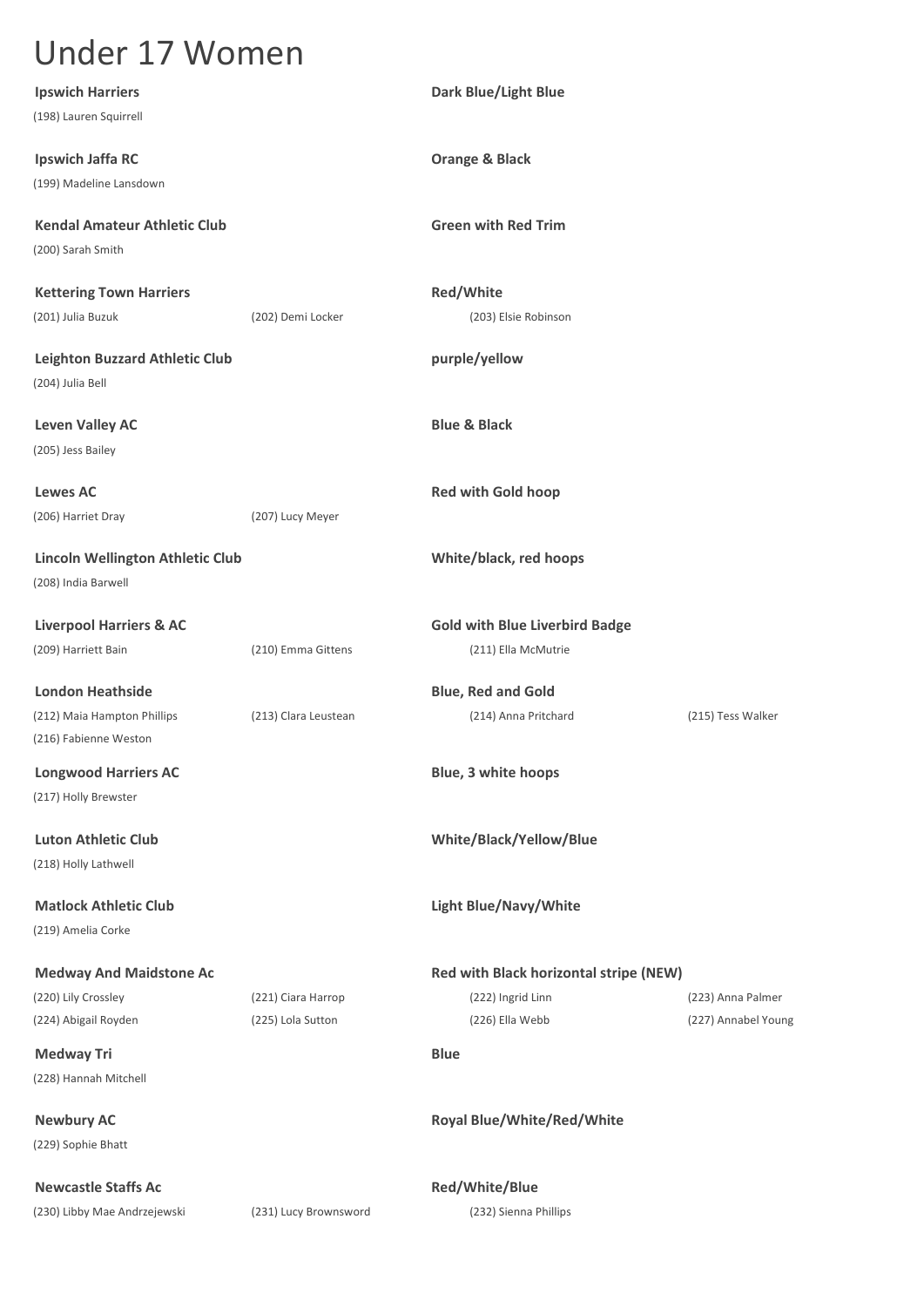| <b>Ipswich Harriers</b>                 |                       | Dark Blue/Light Blue                   |                     |
|-----------------------------------------|-----------------------|----------------------------------------|---------------------|
| (198) Lauren Squirrell                  |                       |                                        |                     |
| Ipswich Jaffa RC                        |                       | <b>Orange &amp; Black</b>              |                     |
| (199) Madeline Lansdown                 |                       |                                        |                     |
|                                         |                       |                                        |                     |
| <b>Kendal Amateur Athletic Club</b>     |                       | <b>Green with Red Trim</b>             |                     |
| (200) Sarah Smith                       |                       |                                        |                     |
| <b>Kettering Town Harriers</b>          |                       | Red/White                              |                     |
| (201) Julia Buzuk                       | (202) Demi Locker     | (203) Elsie Robinson                   |                     |
| <b>Leighton Buzzard Athletic Club</b>   |                       | purple/yellow                          |                     |
| (204) Julia Bell                        |                       |                                        |                     |
|                                         |                       |                                        |                     |
| <b>Leven Valley AC</b>                  |                       | <b>Blue &amp; Black</b>                |                     |
| (205) Jess Bailey                       |                       |                                        |                     |
| <b>Lewes AC</b>                         |                       | <b>Red with Gold hoop</b>              |                     |
| (206) Harriet Dray                      | (207) Lucy Meyer      |                                        |                     |
|                                         |                       |                                        |                     |
| <b>Lincoln Wellington Athletic Club</b> |                       | White/black, red hoops                 |                     |
| (208) India Barwell                     |                       |                                        |                     |
| <b>Liverpool Harriers &amp; AC</b>      |                       | <b>Gold with Blue Liverbird Badge</b>  |                     |
| (209) Harriett Bain                     | (210) Emma Gittens    | (211) Ella McMutrie                    |                     |
| <b>London Heathside</b>                 |                       | <b>Blue, Red and Gold</b>              |                     |
| (212) Maia Hampton Phillips             | (213) Clara Leustean  | (214) Anna Pritchard                   | (215) Tess Walker   |
| (216) Fabienne Weston                   |                       |                                        |                     |
| <b>Longwood Harriers AC</b>             |                       | Blue, 3 white hoops                    |                     |
| (217) Holly Brewster                    |                       |                                        |                     |
|                                         |                       |                                        |                     |
| <b>Luton Athletic Club</b>              |                       | White/Black/Yellow/Blue                |                     |
| (218) Holly Lathwell                    |                       |                                        |                     |
| <b>Matlock Athletic Club</b>            |                       | <b>Light Blue/Navy/White</b>           |                     |
| (219) Amelia Corke                      |                       |                                        |                     |
| <b>Medway And Maidstone Ac</b>          |                       | Red with Black horizontal stripe (NEW) |                     |
| (220) Lily Crossley                     | (221) Ciara Harrop    | (222) Ingrid Linn                      | (223) Anna Palmer   |
| (224) Abigail Royden                    | (225) Lola Sutton     | (226) Ella Webb                        | (227) Annabel Young |
| <b>Medway Tri</b>                       |                       | <b>Blue</b>                            |                     |
| (228) Hannah Mitchell                   |                       |                                        |                     |
|                                         |                       |                                        |                     |
| <b>Newbury AC</b>                       |                       | Royal Blue/White/Red/White             |                     |
| (229) Sophie Bhatt                      |                       |                                        |                     |
| <b>Newcastle Staffs Ac</b>              |                       | Red/White/Blue                         |                     |
| (230) Libby Mae Andrzejewski            | (231) Lucy Brownsword | (232) Sienna Phillips                  |                     |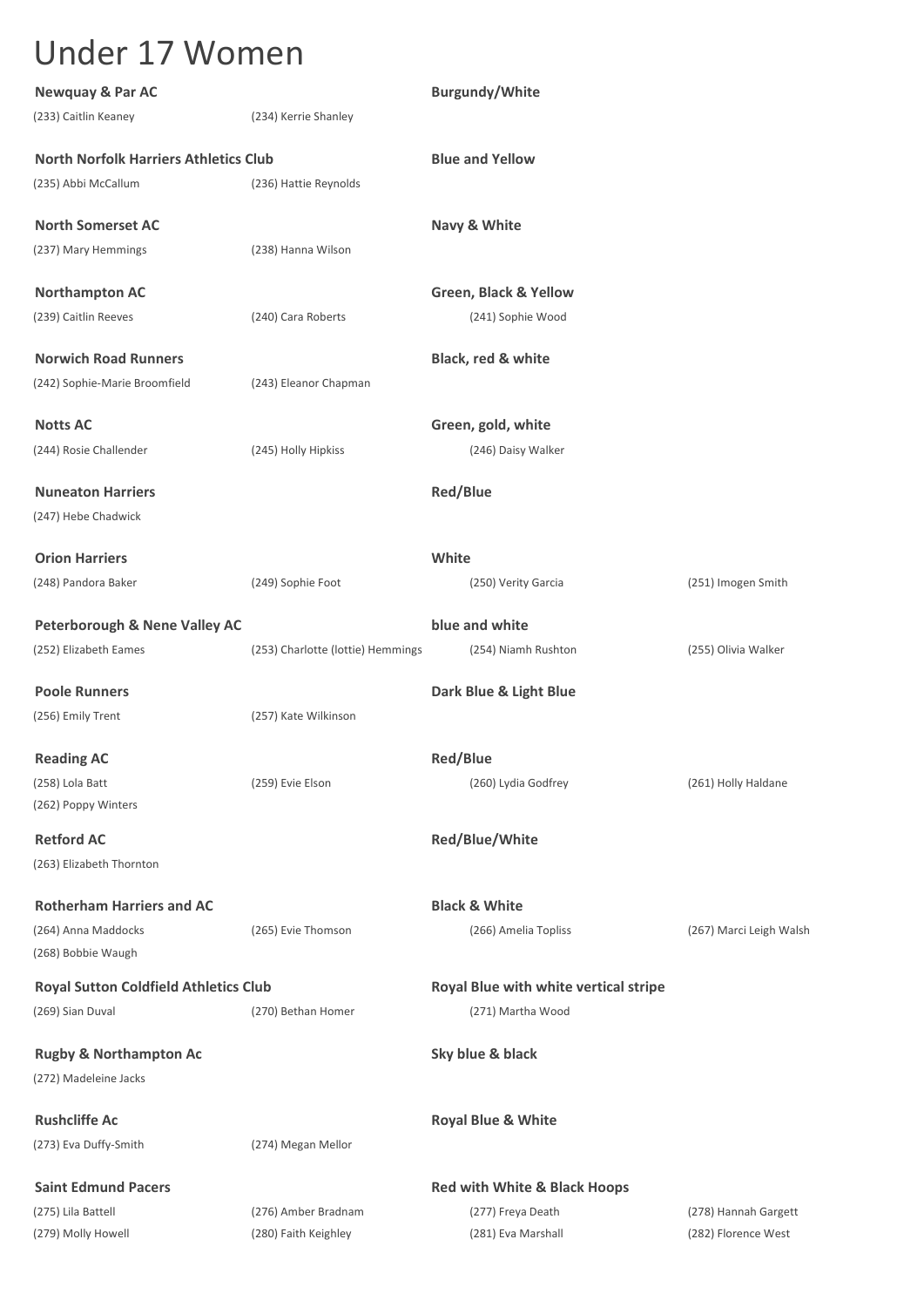| <b>Newquay &amp; Par AC</b>                  |                                   | <b>Burgundy/White</b>                   |                         |
|----------------------------------------------|-----------------------------------|-----------------------------------------|-------------------------|
| (233) Caitlin Keaney                         | (234) Kerrie Shanley              |                                         |                         |
| <b>North Norfolk Harriers Athletics Club</b> |                                   | <b>Blue and Yellow</b>                  |                         |
| (235) Abbi McCallum                          | (236) Hattie Reynolds             |                                         |                         |
| <b>North Somerset AC</b>                     |                                   | Navy & White                            |                         |
| (237) Mary Hemmings                          | (238) Hanna Wilson                |                                         |                         |
| <b>Northampton AC</b>                        |                                   | Green, Black & Yellow                   |                         |
| (239) Caitlin Reeves                         | (240) Cara Roberts                | (241) Sophie Wood                       |                         |
| <b>Norwich Road Runners</b>                  |                                   | Black, red & white                      |                         |
| (242) Sophie-Marie Broomfield                | (243) Eleanor Chapman             |                                         |                         |
| <b>Notts AC</b>                              |                                   | Green, gold, white                      |                         |
| (244) Rosie Challender                       | (245) Holly Hipkiss               | (246) Daisy Walker                      |                         |
| <b>Nuneaton Harriers</b>                     |                                   | <b>Red/Blue</b>                         |                         |
| (247) Hebe Chadwick                          |                                   |                                         |                         |
| <b>Orion Harriers</b>                        |                                   | White                                   |                         |
| (248) Pandora Baker                          | (249) Sophie Foot                 | (250) Verity Garcia                     | (251) Imogen Smith      |
| <b>Peterborough &amp; Nene Valley AC</b>     |                                   | blue and white                          |                         |
| (252) Elizabeth Eames                        | (253) Charlotte (lottie) Hemmings | (254) Niamh Rushton                     | (255) Olivia Walker     |
| <b>Poole Runners</b>                         |                                   | Dark Blue & Light Blue                  |                         |
| (256) Emily Trent                            | (257) Kate Wilkinson              |                                         |                         |
| <b>Reading AC</b>                            |                                   | <b>Red/Blue</b>                         |                         |
| (258) Lola Batt                              | (259) Evie Elson                  | (260) Lydia Godfrey                     | (261) Holly Haldane     |
| (262) Poppy Winters                          |                                   |                                         |                         |
| <b>Retford AC</b>                            |                                   | Red/Blue/White                          |                         |
| (263) Elizabeth Thornton                     |                                   |                                         |                         |
| <b>Rotherham Harriers and AC</b>             |                                   | <b>Black &amp; White</b>                |                         |
| (264) Anna Maddocks                          | (265) Evie Thomson                | (266) Amelia Topliss                    | (267) Marci Leigh Walsh |
| (268) Bobbie Waugh                           |                                   |                                         |                         |
| <b>Royal Sutton Coldfield Athletics Club</b> |                                   | Royal Blue with white vertical stripe   |                         |
| (269) Sian Duval                             | (270) Bethan Homer                | (271) Martha Wood                       |                         |
| <b>Rugby &amp; Northampton Ac</b>            |                                   | Sky blue & black                        |                         |
| (272) Madeleine Jacks                        |                                   |                                         |                         |
| <b>Rushcliffe Ac</b>                         |                                   | <b>Royal Blue &amp; White</b>           |                         |
| (273) Eva Duffy-Smith                        | (274) Megan Mellor                |                                         |                         |
| <b>Saint Edmund Pacers</b>                   |                                   | <b>Red with White &amp; Black Hoops</b> |                         |
| (275) Lila Battell                           | (276) Amber Bradnam               | (277) Freya Death                       | (278) Hannah Gargett    |
| (279) Molly Howell                           | (280) Faith Keighley              | (281) Eva Marshall                      | (282) Florence West     |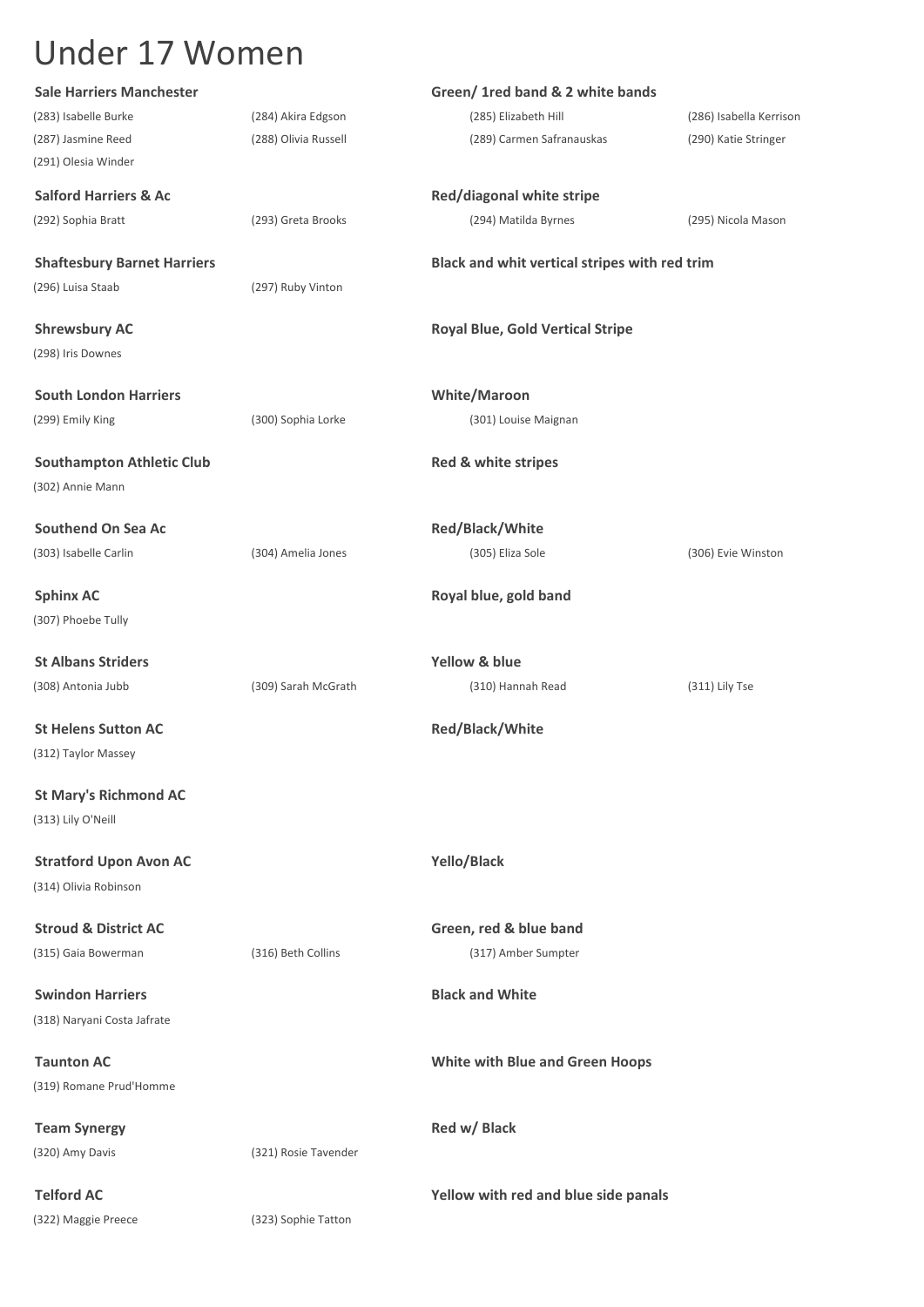| <b>Sale Harriers Manchester</b>    |                      | Green/ 1red band & 2 white bands              |                         |  |
|------------------------------------|----------------------|-----------------------------------------------|-------------------------|--|
| (283) Isabelle Burke               | (284) Akira Edgson   | (285) Elizabeth Hill                          | (286) Isabella Kerrison |  |
| (287) Jasmine Reed                 | (288) Olivia Russell | (289) Carmen Safranauskas                     | (290) Katie Stringer    |  |
| (291) Olesia Winder                |                      |                                               |                         |  |
| <b>Salford Harriers &amp; Ac</b>   |                      | Red/diagonal white stripe                     |                         |  |
| (292) Sophia Bratt                 | (293) Greta Brooks   | (294) Matilda Byrnes                          | (295) Nicola Mason      |  |
| <b>Shaftesbury Barnet Harriers</b> |                      | Black and whit vertical stripes with red trim |                         |  |
| (296) Luisa Staab                  | (297) Ruby Vinton    |                                               |                         |  |
| <b>Shrewsbury AC</b>               |                      | <b>Royal Blue, Gold Vertical Stripe</b>       |                         |  |
| (298) Iris Downes                  |                      |                                               |                         |  |
| <b>South London Harriers</b>       |                      | <b>White/Maroon</b>                           |                         |  |
| (299) Emily King                   | (300) Sophia Lorke   | (301) Louise Maignan                          |                         |  |
| <b>Southampton Athletic Club</b>   |                      | Red & white stripes                           |                         |  |
| (302) Annie Mann                   |                      |                                               |                         |  |
| <b>Southend On Sea Ac</b>          |                      | Red/Black/White                               |                         |  |
| (303) Isabelle Carlin              | (304) Amelia Jones   | (305) Eliza Sole                              | (306) Evie Winston      |  |
| <b>Sphinx AC</b>                   |                      | Royal blue, gold band                         |                         |  |
| (307) Phoebe Tully                 |                      |                                               |                         |  |
| <b>St Albans Striders</b>          |                      | Yellow & blue                                 |                         |  |
| (308) Antonia Jubb                 | (309) Sarah McGrath  | (310) Hannah Read                             | (311) Lily Tse          |  |
| <b>St Helens Sutton AC</b>         |                      | Red/Black/White                               |                         |  |
| (312) Taylor Massey                |                      |                                               |                         |  |
| <b>St Mary's Richmond AC</b>       |                      |                                               |                         |  |
| (313) Lily O'Neill                 |                      |                                               |                         |  |
| <b>Stratford Upon Avon AC</b>      |                      | Yello/Black                                   |                         |  |
| (314) Olivia Robinson              |                      |                                               |                         |  |
| <b>Stroud &amp; District AC</b>    |                      | Green, red & blue band                        |                         |  |
| (315) Gaia Bowerman                | (316) Beth Collins   | (317) Amber Sumpter                           |                         |  |
| <b>Swindon Harriers</b>            |                      | <b>Black and White</b>                        |                         |  |
| (318) Naryani Costa Jafrate        |                      |                                               |                         |  |
| <b>Taunton AC</b>                  |                      | <b>White with Blue and Green Hoops</b>        |                         |  |
| (319) Romane Prud'Homme            |                      |                                               |                         |  |
| <b>Team Synergy</b>                |                      | Red w/ Black                                  |                         |  |
| (320) Amy Davis                    | (321) Rosie Tavender |                                               |                         |  |
| <b>Telford AC</b>                  |                      | Yellow with red and blue side panals          |                         |  |
| (322) Maggie Preece                | (323) Sophie Tatton  |                                               |                         |  |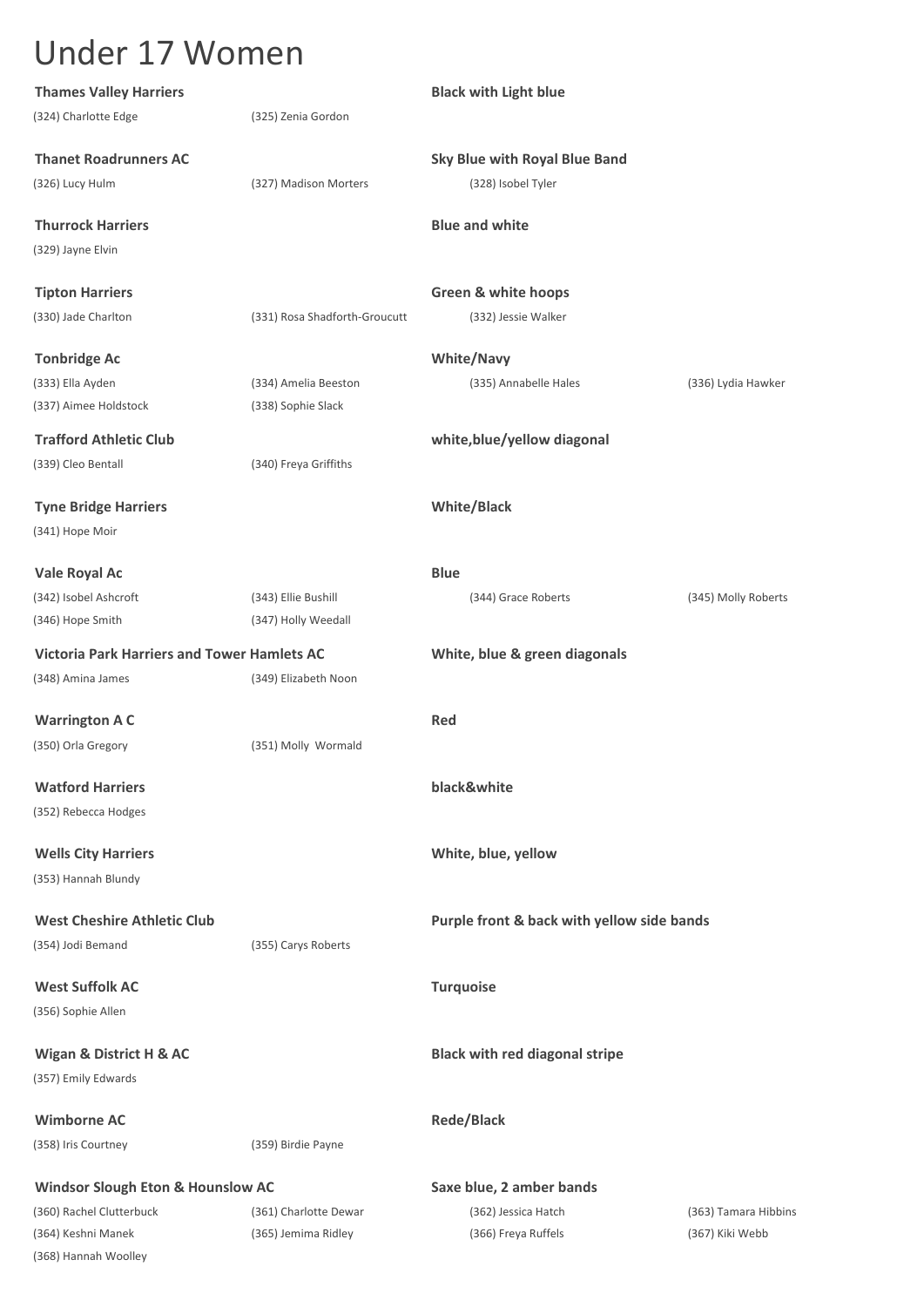| <b>Thames Valley Harriers</b>                      |                               | <b>Black with Light blue</b>               |                      |
|----------------------------------------------------|-------------------------------|--------------------------------------------|----------------------|
| (324) Charlotte Edge                               | (325) Zenia Gordon            |                                            |                      |
| <b>Thanet Roadrunners AC</b>                       |                               | <b>Sky Blue with Royal Blue Band</b>       |                      |
| (326) Lucy Hulm                                    | (327) Madison Morters         | (328) Isobel Tyler                         |                      |
| <b>Thurrock Harriers</b>                           |                               | <b>Blue and white</b>                      |                      |
| (329) Jayne Elvin                                  |                               |                                            |                      |
| <b>Tipton Harriers</b>                             |                               | <b>Green &amp; white hoops</b>             |                      |
| (330) Jade Charlton                                | (331) Rosa Shadforth-Groucutt | (332) Jessie Walker                        |                      |
| <b>Tonbridge Ac</b>                                |                               | <b>White/Navy</b>                          |                      |
| (333) Ella Ayden                                   | (334) Amelia Beeston          | (335) Annabelle Hales                      | (336) Lydia Hawker   |
| (337) Aimee Holdstock                              | (338) Sophie Slack            |                                            |                      |
| <b>Trafford Athletic Club</b>                      |                               | white, blue/yellow diagonal                |                      |
| (339) Cleo Bentall                                 | (340) Freya Griffiths         |                                            |                      |
| <b>Tyne Bridge Harriers</b>                        |                               | <b>White/Black</b>                         |                      |
| (341) Hope Moir                                    |                               |                                            |                      |
| Vale Royal Ac                                      |                               | <b>Blue</b>                                |                      |
| (342) Isobel Ashcroft                              | (343) Ellie Bushill           | (344) Grace Roberts                        | (345) Molly Roberts  |
| (346) Hope Smith                                   | (347) Holly Weedall           |                                            |                      |
| <b>Victoria Park Harriers and Tower Hamlets AC</b> |                               | White, blue & green diagonals              |                      |
| (348) Amina James                                  | (349) Elizabeth Noon          |                                            |                      |
| <b>Warrington A C</b>                              |                               | Red                                        |                      |
| (350) Orla Gregory                                 | (351) Molly Wormald           |                                            |                      |
| <b>Watford Harriers</b>                            |                               | black&white                                |                      |
| (352) Rebecca Hodges                               |                               |                                            |                      |
| <b>Wells City Harriers</b>                         |                               | White, blue, yellow                        |                      |
| (353) Hannah Blundy                                |                               |                                            |                      |
| <b>West Cheshire Athletic Club</b>                 |                               | Purple front & back with yellow side bands |                      |
| (354) Jodi Bemand                                  | (355) Carys Roberts           |                                            |                      |
| <b>West Suffolk AC</b>                             |                               | <b>Turquoise</b>                           |                      |
| (356) Sophie Allen                                 |                               |                                            |                      |
| Wigan & District H & AC                            |                               | <b>Black with red diagonal stripe</b>      |                      |
| (357) Emily Edwards                                |                               |                                            |                      |
| <b>Wimborne AC</b>                                 |                               | <b>Rede/Black</b>                          |                      |
| (358) Iris Courtney                                | (359) Birdie Payne            |                                            |                      |
| <b>Windsor Slough Eton &amp; Hounslow AC</b>       |                               | Saxe blue, 2 amber bands                   |                      |
| (360) Rachel Clutterbuck                           | (361) Charlotte Dewar         | (362) Jessica Hatch                        | (363) Tamara Hibbins |
| (364) Keshni Manek                                 | (365) Jemima Ridley           | (366) Freya Ruffels                        | (367) Kiki Webb      |
| (368) Hannah Woolley                               |                               |                                            |                      |